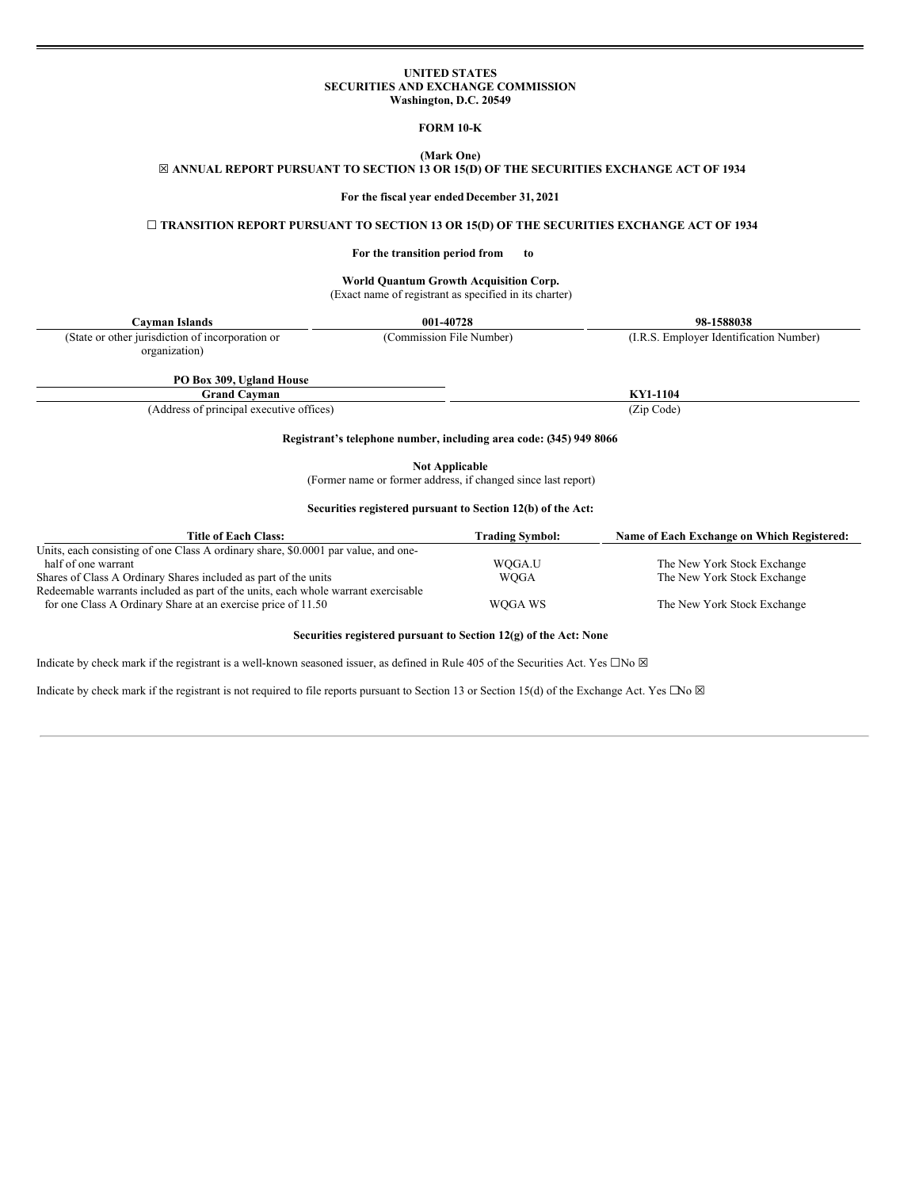# **UNITED STATES SECURITIES AND EXCHANGE COMMISSION Washington, D.C. 20549**

# **FORM 10-K**

**(Mark One)**

☒ **ANNUAL REPORT PURSUANT TO SECTION 13 OR 15(D) OF THE SECURITIES EXCHANGE ACT OF 1934**

# **For the fiscal year ended December 31, 2021**

☐ **TRANSITION REPORT PURSUANT TO SECTION 13 OR 15(D) OF THE SECURITIES EXCHANGE ACT OF 1934**

# **For the transition period from to**

**World Quantum Growth Acquisition Corp.**

(Exact name of registrant as specified in its charter)

| Cayman Islands                                                    | 001-40728                                                                              | 98-1588038                              |
|-------------------------------------------------------------------|----------------------------------------------------------------------------------------|-----------------------------------------|
| (State or other jurisdiction of incorporation or<br>organization) | (Commission File Number)                                                               | (I.R.S. Employer Identification Number) |
| PO Box 309, Ugland House                                          |                                                                                        |                                         |
| <b>Grand Cayman</b>                                               |                                                                                        | KY1-1104                                |
| (Address of principal executive offices)                          |                                                                                        | (Zip Code)                              |
|                                                                   | Registrant's telephone number, including area code: (345) 949 8066                     |                                         |
|                                                                   | <b>Not Applicable</b><br>(Former name or former address, if changed since last report) |                                         |

# **Securities registered pursuant to Section 12(b) of the Act:**

| <b>Title of Each Class:</b>                                                        | <b>Trading Symbol:</b> | Name of Each Exchange on Which Registered: |
|------------------------------------------------------------------------------------|------------------------|--------------------------------------------|
| Units, each consisting of one Class A ordinary share, \$0,0001 par value, and one- |                        |                                            |
| half of one warrant                                                                | WOGA.U                 | The New York Stock Exchange                |
| Shares of Class A Ordinary Shares included as part of the units                    | <b>WOGA</b>            | The New York Stock Exchange                |
| Redeemable warrants included as part of the units, each whole warrant exercisable  |                        |                                            |
| for one Class A Ordinary Share at an exercise price of 11.50                       | WOGA WS                | The New York Stock Exchange                |

# **Securities registered pursuant to Section 12(g) of the Act: None**

Indicate by check mark if the registrant is a well-known seasoned issuer, as defined in Rule 405 of the Securities Act. Yes  $\Box$ No  $\boxtimes$ 

Indicate by check mark if the registrant is not required to file reports pursuant to Section 13 or Section 15(d) of the Exchange Act. Yes  $\Box$ No  $\boxtimes$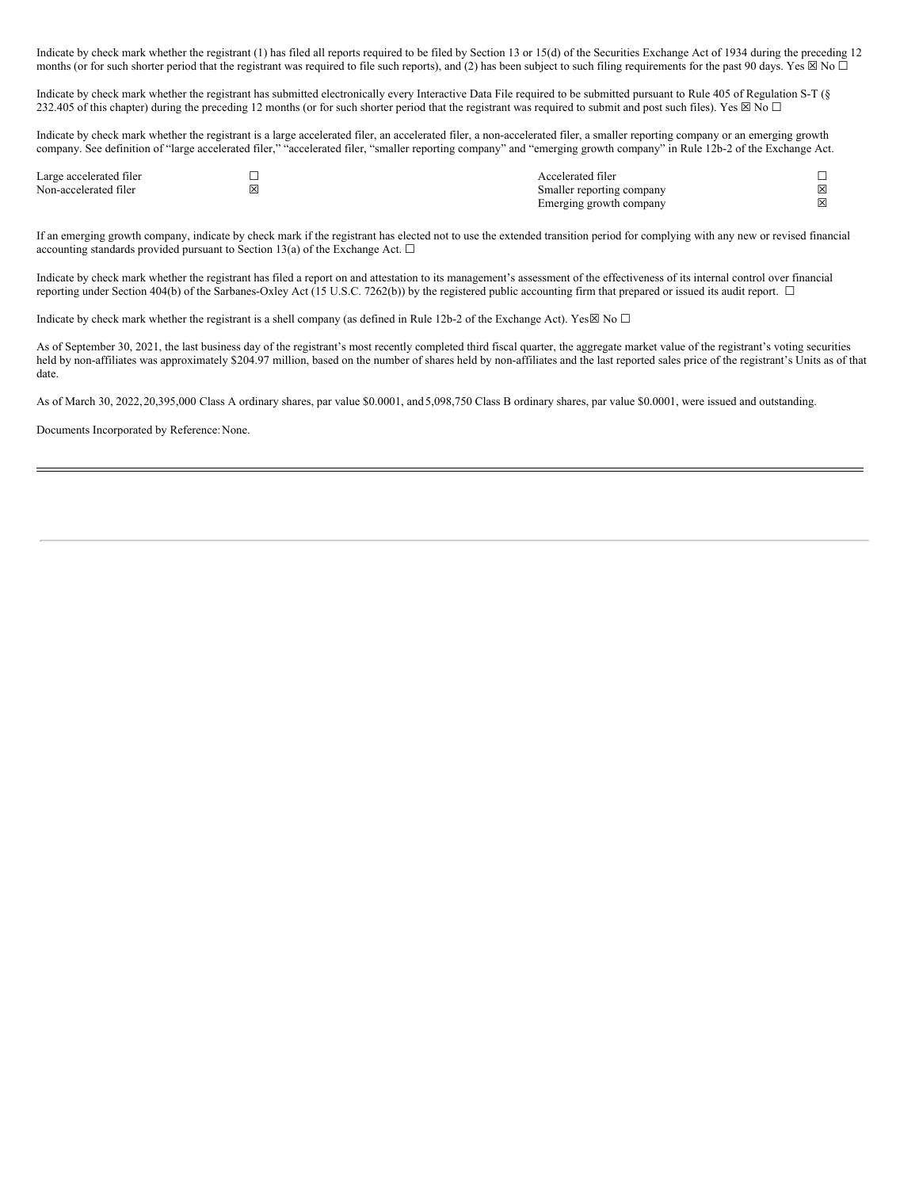Indicate by check mark whether the registrant (1) has filed all reports required to be filed by Section 13 or 15(d) of the Securities Exchange Act of 1934 during the preceding 12 months (or for such shorter period that the registrant was required to file such reports), and (2) has been subject to such filing requirements for the past 90 days. Yes  $\boxtimes$  No  $\Box$ 

Indicate by check mark whether the registrant has submitted electronically every Interactive Data File required to be submitted pursuant to Rule 405 of Regulation S-T (§ 232.405 of this chapter) during the preceding 12 months (or for such shorter period that the registrant was required to submit and post such files). Yes  $\boxtimes$  No  $\Box$ 

Indicate by check mark whether the registrant is a large accelerated filer, an accelerated filer, a non-accelerated filer, a smaller reporting company or an emerging growth company. See definition of "large accelerated filer," "accelerated filer, "smaller reporting company" and "emerging growth company" in Rule 12b-2 of the Exchange Act.

| Large accelerated filer                          | Accelerated filer         |   |
|--------------------------------------------------|---------------------------|---|
| $\mathsf{\overline{X}}$<br>Non-accelerated filer | Smaller reporting company | X |
|                                                  | Emerging growth company   | 冈 |

If an emerging growth company, indicate by check mark if the registrant has elected not to use the extended transition period for complying with any new or revised financial accounting standards provided pursuant to Section 13(a) of the Exchange Act.  $\square$ 

Indicate by check mark whether the registrant has filed a report on and attestation to its management's assessment of the effectiveness of its internal control over financial reporting under Section 404(b) of the Sarbanes-Oxley Act (15 U.S.C. 7262(b)) by the registered public accounting firm that prepared or issued its audit report. ☐

Indicate by check mark whether the registrant is a shell company (as defined in Rule 12b-2 of the Exchange Act). Yes $\boxtimes$  No  $\Box$ 

As of September 30, 2021, the last business day of the registrant's most recently completed third fiscal quarter, the aggregate market value of the registrant's voting securities held by non-affiliates was approximately \$204.97 million, based on the number of shares held by non-affiliates and the last reported sales price of the registrant's Units as of that date.

As of March 30, 2022,20,395,000 Class A ordinary shares, par value \$0.0001, and 5,098,750 Class B ordinary shares, par value \$0.0001, were issued and outstanding.

Documents Incorporated by Reference: None.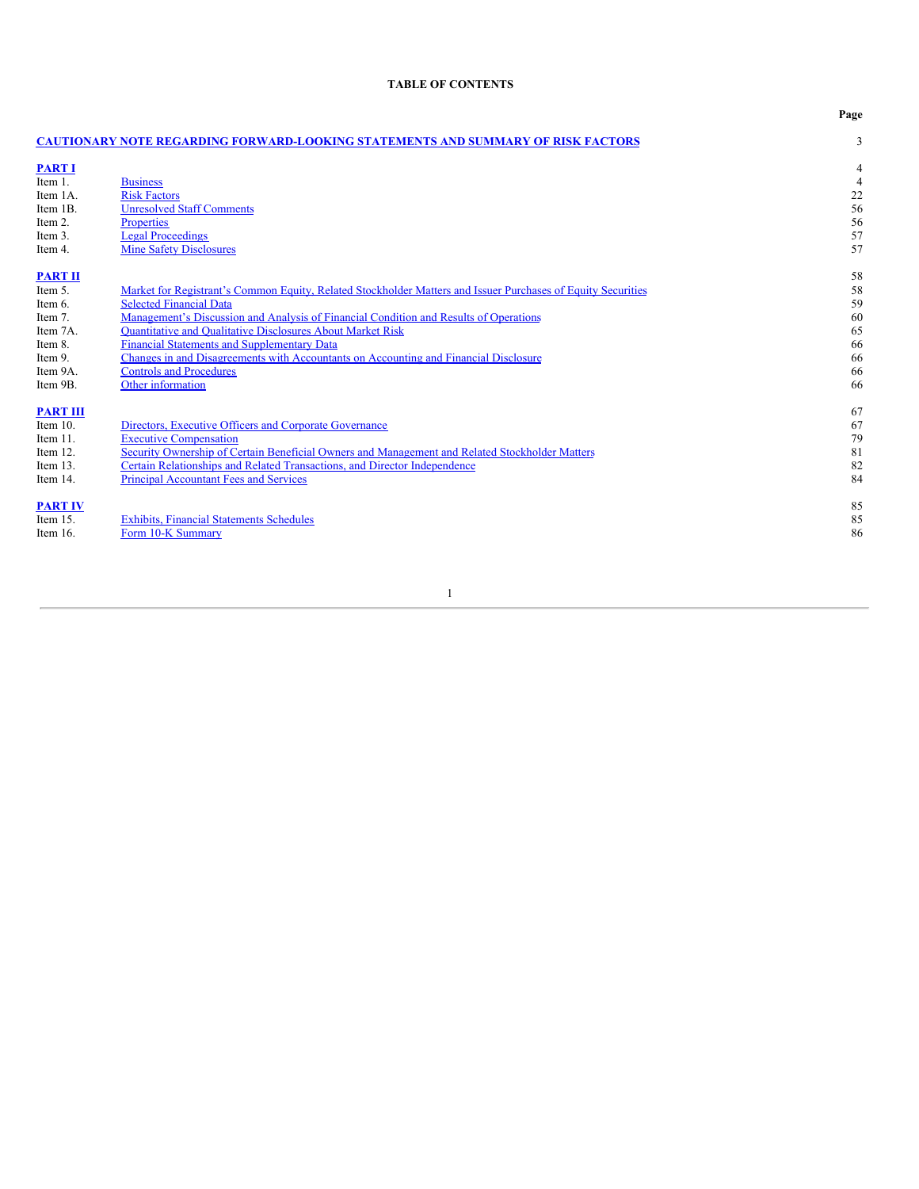# **TABLE OF CONTENTS**

|                 |                                                                                                              | Page |
|-----------------|--------------------------------------------------------------------------------------------------------------|------|
|                 | <b>CAUTIONARY NOTE REGARDING FORWARD-LOOKING STATEMENTS AND SUMMARY OF RISK FACTORS</b>                      | 3    |
| <b>PART I</b>   |                                                                                                              | 4    |
| Item 1.         | <b>Business</b>                                                                                              | 4    |
| Item 1A.        | <b>Risk Factors</b>                                                                                          | 22   |
| Item 1B.        | <b>Unresolved Staff Comments</b>                                                                             | 56   |
| Item 2.         | Properties                                                                                                   | 56   |
| Item 3.         | <b>Legal Proceedings</b>                                                                                     | 57   |
| Item 4.         | <b>Mine Safety Disclosures</b>                                                                               | 57   |
| <b>PART II</b>  |                                                                                                              | 58   |
| Item 5.         | Market for Registrant's Common Equity, Related Stockholder Matters and Issuer Purchases of Equity Securities | 58   |
| Item 6.         | <b>Selected Financial Data</b>                                                                               | 59   |
| Item 7.         | Management's Discussion and Analysis of Financial Condition and Results of Operations                        | 60   |
| Item 7A.        | <b>Ouantitative and Qualitative Disclosures About Market Risk</b>                                            | 65   |
| Item 8.         | <b>Financial Statements and Supplementary Data</b>                                                           | 66   |
| Item 9.         | Changes in and Disagreements with Accountants on Accounting and Financial Disclosure                         | 66   |
| Item 9A.        | <b>Controls and Procedures</b>                                                                               | 66   |
| Item 9B.        | Other information                                                                                            | 66   |
| <b>PART III</b> |                                                                                                              | 67   |
| Item 10.        | Directors, Executive Officers and Corporate Governance                                                       | 67   |
| Item 11.        | <b>Executive Compensation</b>                                                                                | 79   |
| Item 12.        | Security Ownership of Certain Beneficial Owners and Management and Related Stockholder Matters               | 81   |
| Item 13.        | Certain Relationships and Related Transactions, and Director Independence                                    | 82   |
| Item 14.        | <b>Principal Accountant Fees and Services</b>                                                                | 84   |
| <b>PART IV</b>  |                                                                                                              | 85   |
| Item 15.        | <b>Exhibits, Financial Statements Schedules</b>                                                              | 85   |
| Item 16.        | Form 10-K Summary                                                                                            | 86   |
|                 |                                                                                                              |      |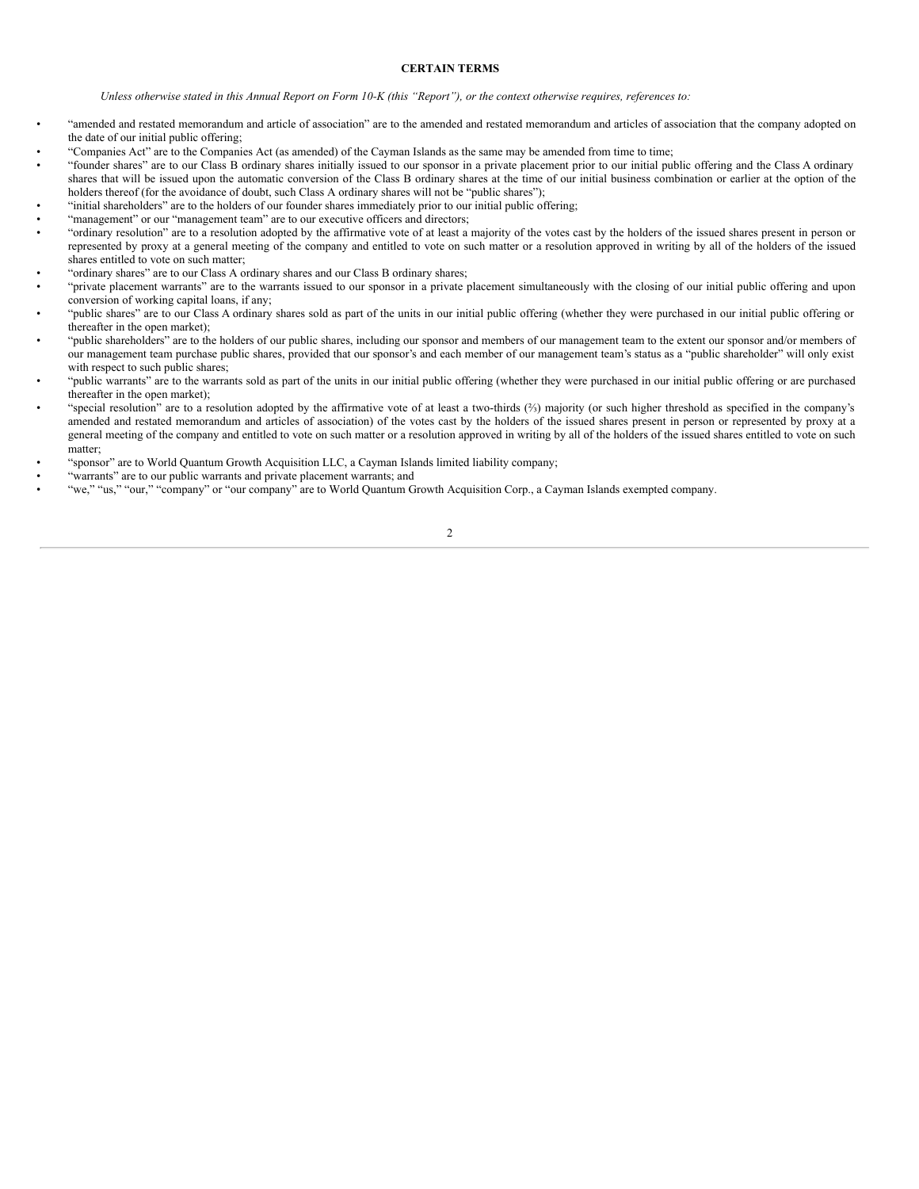#### **CERTAIN TERMS**

Unless otherwise stated in this Annual Report on Form 10-K (this "Report"), or the context otherwise requires, references to:

- "amended and restated memorandum and article of association" are to the amended and restated memorandum and articles of association that the company adopted on the date of our initial public offering;
- "Companies Act" are to the Companies Act (as amended) of the Cayman Islands as the same may be amended from time to time;
- "founder shares" are to our Class B ordinary shares initially issued to our sponsor in a private placement prior to our initial public offering and the Class A ordinary shares that will be issued upon the automatic conversion of the Class B ordinary shares at the time of our initial business combination or earlier at the option of the holders thereof (for the avoidance of doubt, such Class A ordinary shares will not be "public shares");
- "initial shareholders" are to the holders of our founder shares immediately prior to our initial public offering;
- "management" or our "management team" are to our executive officers and directors;
- "ordinary resolution" are to a resolution adopted by the affirmative vote of at least a majority of the votes cast by the holders of the issued shares present in person or represented by proxy at a general meeting of the company and entitled to vote on such matter or a resolution approved in writing by all of the holders of the issued shares entitled to vote on such matter;
- "ordinary shares" are to our Class A ordinary shares and our Class B ordinary shares;
- "private placement warrants" are to the warrants issued to our sponsor in a private placement simultaneously with the closing of our initial public offering and upon conversion of working capital loans, if any;
- "public shares" are to our Class A ordinary shares sold as part of the units in our initial public offering (whether they were purchased in our initial public offering or thereafter in the open market);
- "public shareholders" are to the holders of our public shares, including our sponsor and members of our management team to the extent our sponsor and/or members of our management team purchase public shares, provided that our sponsor's and each member of our management team's status as a "public shareholder" will only exist with respect to such public shares;
- "public warrants" are to the warrants sold as part of the units in our initial public offering (whether they were purchased in our initial public offering or are purchased thereafter in the open market);
- "special resolution" are to a resolution adopted by the affirmative vote of at least a two-thirds (⅔) majority (or such higher threshold as specified in the company's amended and restated memorandum and articles of association) of the votes cast by the holders of the issued shares present in person or represented by proxy at a general meeting of the company and entitled to vote on such matter or a resolution approved in writing by all of the holders of the issued shares entitled to vote on such matter;
- "sponsor" are to World Quantum Growth Acquisition LLC, a Cayman Islands limited liability company;
- "warrants" are to our public warrants and private placement warrants; and
- "we," "us," "our," "company" or "our company" are to World Quantum Growth Acquisition Corp., a Cayman Islands exempted company.

 $\mathfrak{D}$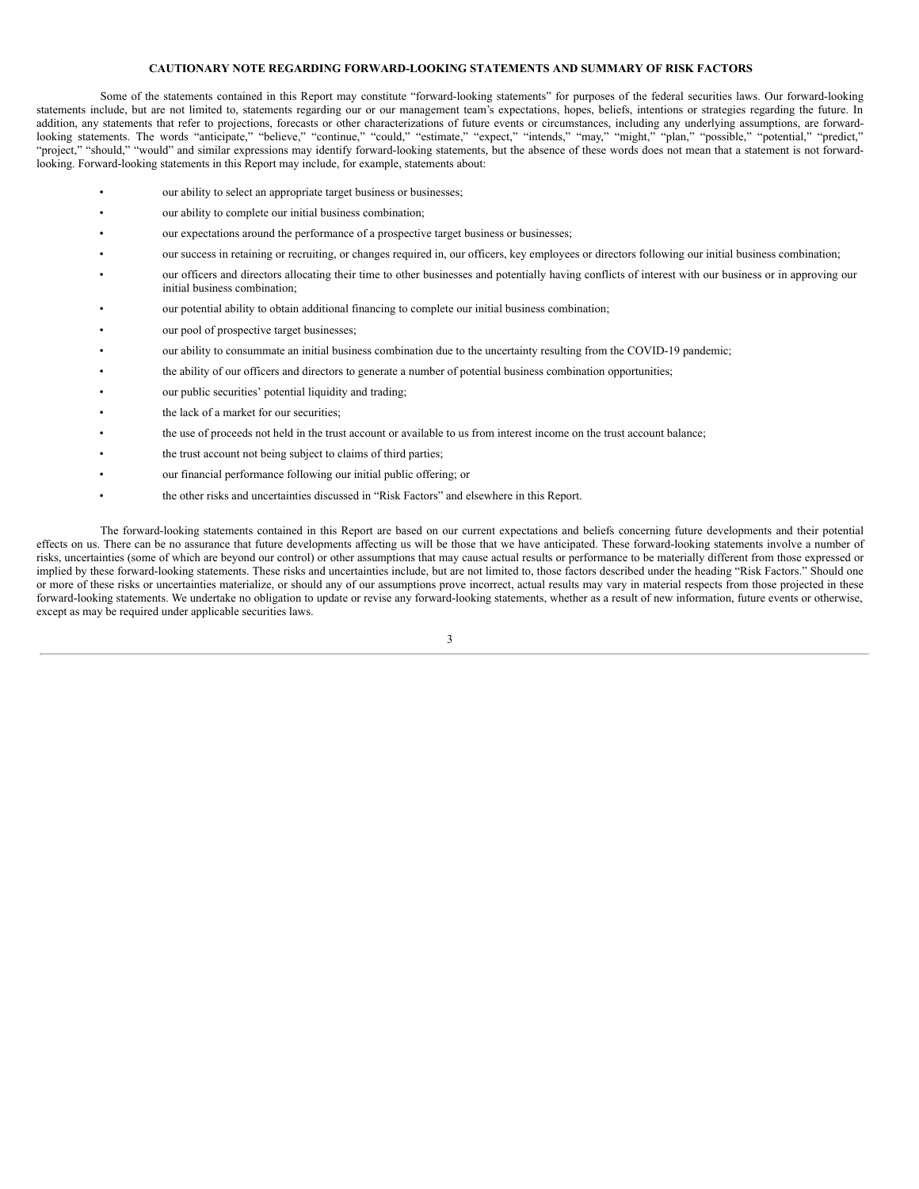# **CAUTIONARY NOTE REGARDING FORWARD-LOOKING STATEMENTS AND SUMMARY OF RISK FACTORS**

<span id="page-4-0"></span>Some of the statements contained in this Report may constitute "forward-looking statements" for purposes of the federal securities laws. Our forward-looking statements include, but are not limited to, statements regarding our or our management team's expectations, hopes, beliefs, intentions or strategies regarding the future. In addition, any statements that refer to projections, forecasts or other characterizations of future events or circumstances, including any underlying assumptions, are forwardlooking statements. The words "anticipate," "believe," "continue," "could," "estimate," "expect," "intends," "may," "might," "plan," "possible," "potential," "predict," "project," "should," "would" and similar expressions may identify forward-looking statements, but the absence of these words does not mean that a statement is not forwardlooking. Forward-looking statements in this Report may include, for example, statements about:

- our ability to select an appropriate target business or businesses;
- our ability to complete our initial business combination;
- our expectations around the performance of a prospective target business or businesses;
- our success in retaining or recruiting, or changes required in, our officers, key employees or directors following our initial business combination;
- our officers and directors allocating their time to other businesses and potentially having conflicts of interest with our business or in approving our initial business combination;
- our potential ability to obtain additional financing to complete our initial business combination;
- our pool of prospective target businesses;
- our ability to consummate an initial business combination due to the uncertainty resulting from the COVID-19 pandemic;
- the ability of our officers and directors to generate a number of potential business combination opportunities;
- our public securities' potential liquidity and trading;
- the lack of a market for our securities;
- the use of proceeds not held in the trust account or available to us from interest income on the trust account balance;
- the trust account not being subject to claims of third parties;
- our financial performance following our initial public offering; or
- the other risks and uncertainties discussed in "Risk Factors" and elsewhere in this Report.

The forward-looking statements contained in this Report are based on our current expectations and beliefs concerning future developments and their potential effects on us. There can be no assurance that future developments affecting us will be those that we have anticipated. These forward-looking statements involve a number of risks, uncertainties (some of which are beyond our control) or other assumptions that may cause actual results or performance to be materially different from those expressed or implied by these forward-looking statements. These risks and uncertainties include, but are not limited to, those factors described under the heading "Risk Factors." Should one or more of these risks or uncertainties materialize, or should any of our assumptions prove incorrect, actual results may vary in material respects from those projected in these forward-looking statements. We undertake no obligation to update or revise any forward-looking statements, whether as a result of new information, future events or otherwise, except as may be required under applicable securities laws.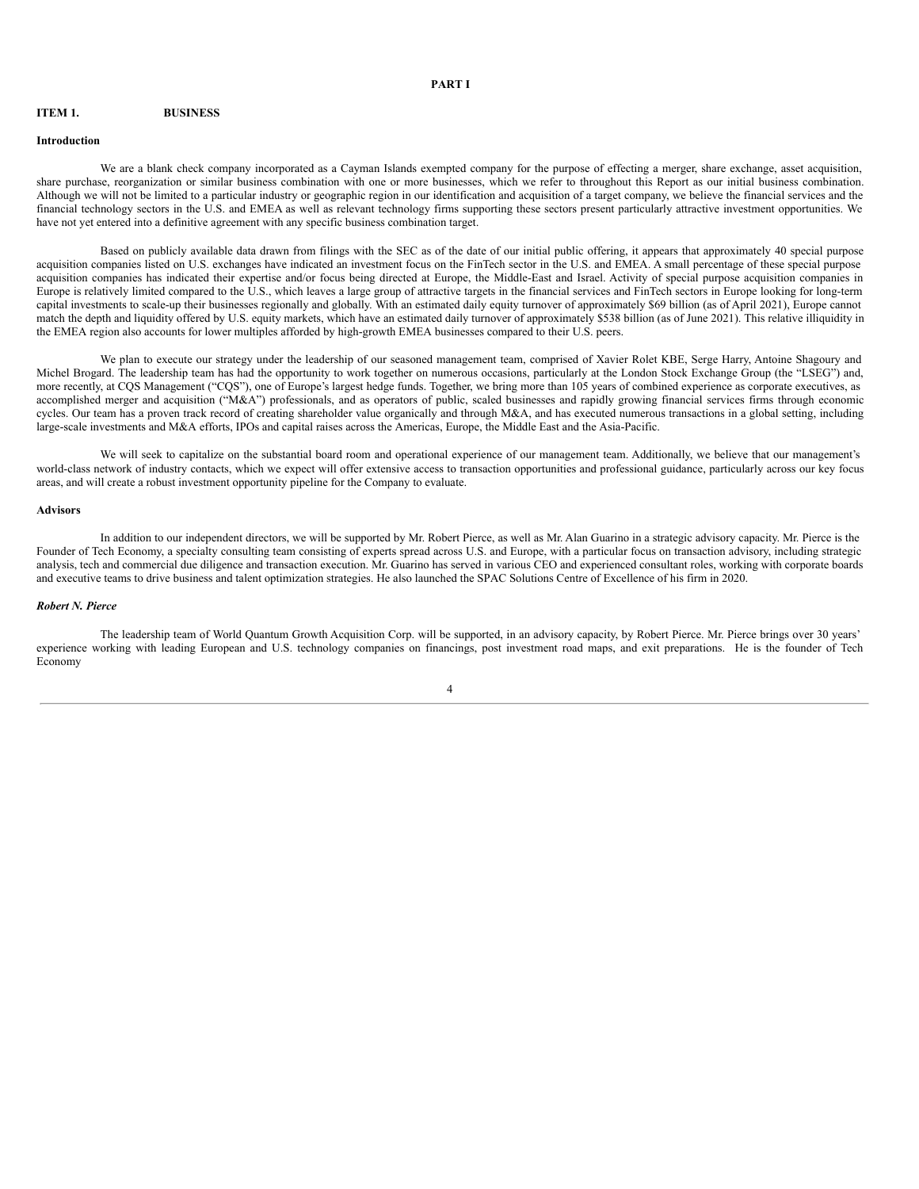# **PART I**

#### <span id="page-5-1"></span><span id="page-5-0"></span>**ITEM 1. BUSINESS**

# **Introduction**

We are a blank check company incorporated as a Cayman Islands exempted company for the purpose of effecting a merger, share exchange, asset acquisition, share purchase, reorganization or similar business combination with one or more businesses, which we refer to throughout this Report as our initial business combination. Although we will not be limited to a particular industry or geographic region in our identification and acquisition of a target company, we believe the financial services and the financial technology sectors in the U.S. and EMEA as well as relevant technology firms supporting these sectors present particularly attractive investment opportunities. We have not yet entered into a definitive agreement with any specific business combination target.

Based on publicly available data drawn from filings with the SEC as of the date of our initial public offering, it appears that approximately 40 special purpose acquisition companies listed on U.S. exchanges have indicated an investment focus on the FinTech sector in the U.S. and EMEA. A small percentage of these special purpose acquisition companies has indicated their expertise and/or focus being directed at Europe, the Middle-East and Israel. Activity of special purpose acquisition companies in Europe is relatively limited compared to the U.S., which leaves a large group of attractive targets in the financial services and FinTech sectors in Europe looking for long-term capital investments to scale-up their businesses regionally and globally. With an estimated daily equity turnover of approximately \$69 billion (as of April 2021), Europe cannot match the depth and liquidity offered by U.S. equity markets, which have an estimated daily turnover of approximately \$538 billion (as of June 2021). This relative illiquidity in the EMEA region also accounts for lower multiples afforded by high-growth EMEA businesses compared to their U.S. peers.

We plan to execute our strategy under the leadership of our seasoned management team, comprised of Xavier Rolet KBE, Serge Harry, Antoine Shagoury and Michel Brogard. The leadership team has had the opportunity to work together on numerous occasions, particularly at the London Stock Exchange Group (the "LSEG") and, more recently, at CQS Management ("CQS"), one of Europe's largest hedge funds. Together, we bring more than 105 years of combined experience as corporate executives, as accomplished merger and acquisition ("M&A") professionals, and as operators of public, scaled businesses and rapidly growing financial services firms through economic cycles. Our team has a proven track record of creating shareholder value organically and through M&A, and has executed numerous transactions in a global setting, including large-scale investments and M&A efforts, IPOs and capital raises across the Americas, Europe, the Middle East and the Asia-Pacific.

We will seek to capitalize on the substantial board room and operational experience of our management team. Additionally, we believe that our management's world-class network of industry contacts, which we expect will offer extensive access to transaction opportunities and professional guidance, particularly across our key focus areas, and will create a robust investment opportunity pipeline for the Company to evaluate.

#### **Advisors**

In addition to our independent directors, we will be supported by Mr. Robert Pierce, as well as Mr. Alan Guarino in a strategic advisory capacity. Mr. Pierce is the Founder of Tech Economy, a specialty consulting team consisting of experts spread across U.S. and Europe, with a particular focus on transaction advisory, including strategic analysis, tech and commercial due diligence and transaction execution. Mr. Guarino has served in various CEO and experienced consultant roles, working with corporate boards and executive teams to drive business and talent optimization strategies. He also launched the SPAC Solutions Centre of Excellence of his firm in 2020.

#### *Robert N. Pierce*

The leadership team of World Quantum Growth Acquisition Corp. will be supported, in an advisory capacity, by Robert Pierce. Mr. Pierce brings over 30 years' experience working with leading European and U.S. technology companies on financings, post investment road maps, and exit preparations. He is the founder of Tech Economy

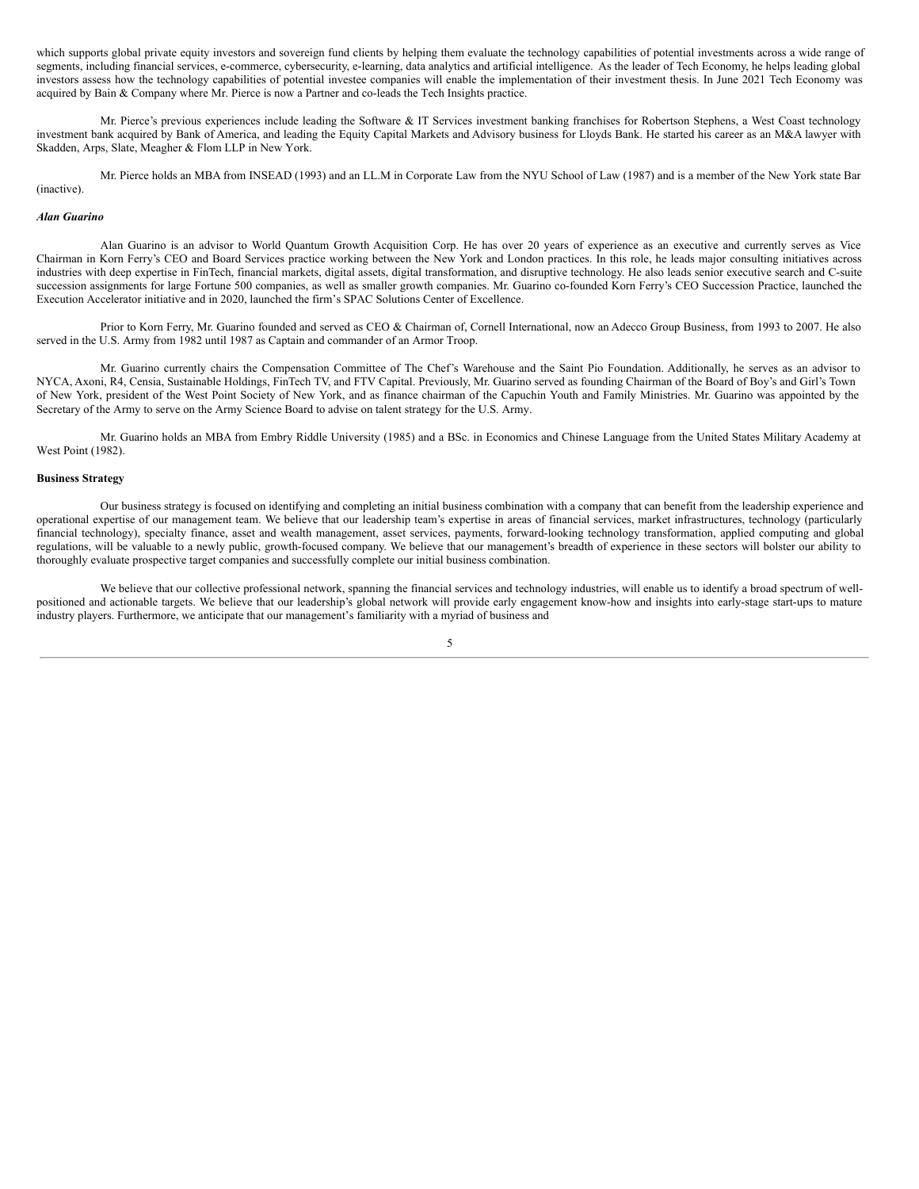which supports global private equity investors and sovereign fund clients by helping them evaluate the technology capabilities of potential investments across a wide range of segments, including financial services, e-commerce, cybersecurity, e-learning, data analytics and artificial intelligence. As the leader of Tech Economy, he helps leading global investors assess how the technology capabilities of potential investee companies will enable the implementation of their investment thesis. In June 2021 Tech Economy was acquired by Bain & Company where Mr. Pierce is now a Partner and co-leads the Tech Insights practice.

Mr. Pierce's previous experiences include leading the Software & IT Services investment banking franchises for Robertson Stephens, a West Coast technology investment bank acquired by Bank of America, and leading the Equity Capital Markets and Advisory business for Lloyds Bank. He started his career as an M&A lawyer with Skadden, Arps, Slate, Meagher & Flom LLP in New York.

Mr. Pierce holds an MBA from INSEAD (1993) and an LL.M in Corporate Law from the NYU School of Law (1987) and is a member of the New York state Bar

# (inactive).

#### *Alan Guarino*

Alan Guarino is an advisor to World Quantum Growth Acquisition Corp. He has over 20 years of experience as an executive and currently serves as Vice Chairman in Korn Ferry's CEO and Board Services practice working between the New York and London practices. In this role, he leads major consulting initiatives across industries with deep expertise in FinTech, financial markets, digital assets, digital transformation, and disruptive technology. He also leads senior executive search and C-suite succession assignments for large Fortune 500 companies, as well as smaller growth companies. Mr. Guarino co-founded Korn Ferry's CEO Succession Practice, launched the Execution Accelerator initiative and in 2020, launched the firm's SPAC Solutions Center of Excellence.

Prior to Korn Ferry, Mr. Guarino founded and served as CEO & Chairman of, Cornell International, now an Adecco Group Business, from 1993 to 2007. He also served in the U.S. Army from 1982 until 1987 as Captain and commander of an Armor Troop.

Mr. Guarino currently chairs the Compensation Committee of The Chef's Warehouse and the Saint Pio Foundation. Additionally, he serves as an advisor to NYCA, Axoni, R4, Censia, Sustainable Holdings, FinTech TV, and FTV Capital. Previously, Mr. Guarino served as founding Chairman of the Board of Boy's and Girl's Town of New York, president of the West Point Society of New York, and as finance chairman of the Capuchin Youth and Family Ministries. Mr. Guarino was appointed by the Secretary of the Army to serve on the Army Science Board to advise on talent strategy for the U.S. Army.

Mr. Guarino holds an MBA from Embry Riddle University (1985) and a BSc. in Economics and Chinese Language from the United States Military Academy at West Point (1982).

#### **Business Strategy**

Our business strategy is focused on identifying and completing an initial business combination with a company that can benefit from the leadership experience and operational expertise of our management team. We believe that our leadership team's expertise in areas of financial services, market infrastructures, technology (particularly financial technology), specialty finance, asset and wealth management, asset services, payments, forward-looking technology transformation, applied computing and global regulations, will be valuable to a newly public, growth-focused company. We believe that our management's breadth of experience in these sectors will bolster our ability to thoroughly evaluate prospective target companies and successfully complete our initial business combination.

We believe that our collective professional network, spanning the financial services and technology industries, will enable us to identify a broad spectrum of wellpositioned and actionable targets. We believe that our leadership's global network will provide early engagement know-how and insights into early-stage start-ups to mature industry players. Furthermore, we anticipate that our management's familiarity with a myriad of business and

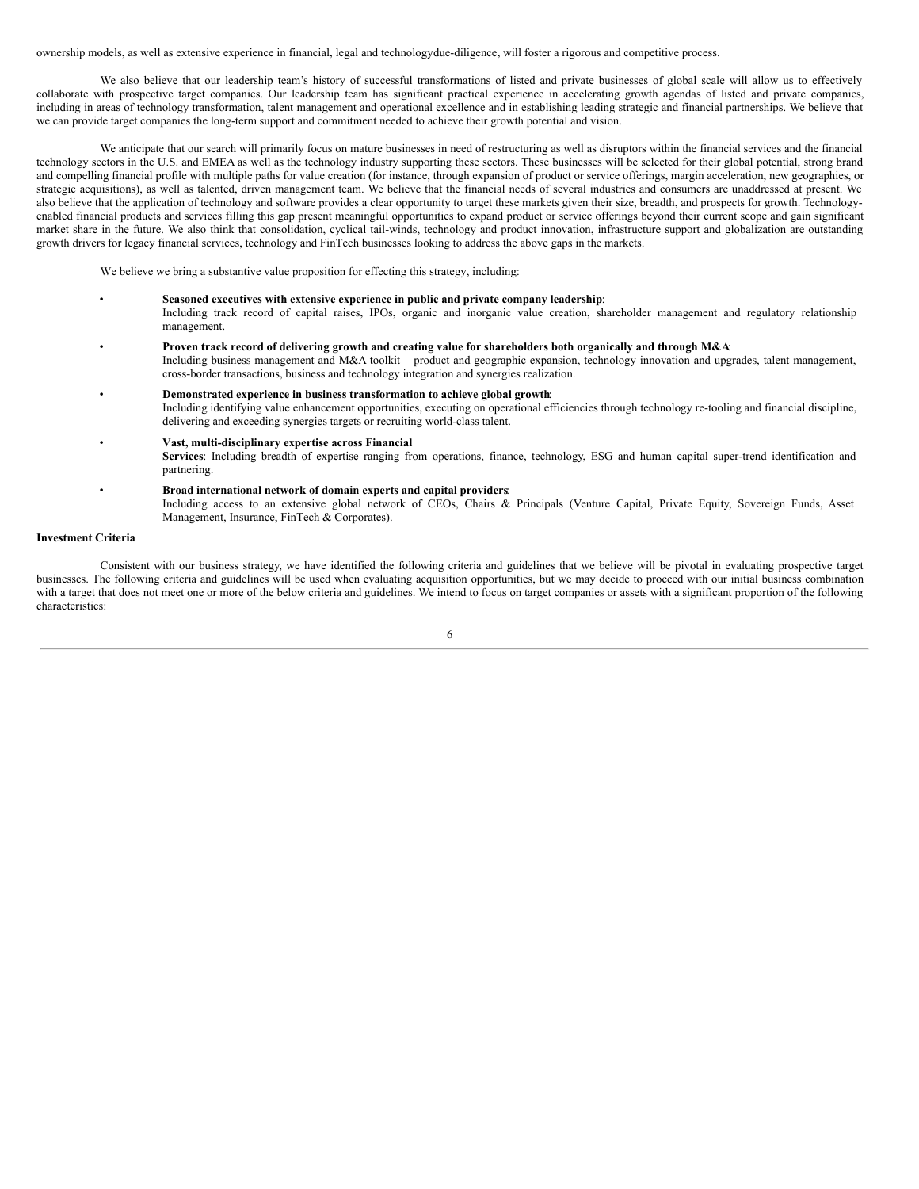ownership models, as well as extensive experience in financial, legal and technologydue-diligence, will foster a rigorous and competitive process.

We also believe that our leadership team's history of successful transformations of listed and private businesses of global scale will allow us to effectively collaborate with prospective target companies. Our leadership team has significant practical experience in accelerating growth agendas of listed and private companies, including in areas of technology transformation, talent management and operational excellence and in establishing leading strategic and financial partnerships. We believe that we can provide target companies the long-term support and commitment needed to achieve their growth potential and vision.

We anticipate that our search will primarily focus on mature businesses in need of restructuring as well as disruptors within the financial services and the financial technology sectors in the U.S. and EMEA as well as the technology industry supporting these sectors. These businesses will be selected for their global potential, strong brand and compelling financial profile with multiple paths for value creation (for instance, through expansion of product or service offerings, margin acceleration, new geographies, or strategic acquisitions), as well as talented, driven management team. We believe that the financial needs of several industries and consumers are unaddressed at present. We also believe that the application of technology and software provides a clear opportunity to target these markets given their size, breadth, and prospects for growth. Technologyenabled financial products and services filling this gap present meaningful opportunities to expand product or service offerings beyond their current scope and gain significant market share in the future. We also think that consolidation, cyclical tail-winds, technology and product innovation, infrastructure support and globalization are outstanding growth drivers for legacy financial services, technology and FinTech businesses looking to address the above gaps in the markets.

We believe we bring a substantive value proposition for effecting this strategy, including:

- **Seasoned executives with extensive experience in public and private company leadership**: Including track record of capital raises, IPOs, organic and inorganic value creation, shareholder management and regulatory relationship management.
- **Proven track record of delivering growth and creating value for shareholders both organically and through M&A**: Including business management and M&A toolkit – product and geographic expansion, technology innovation and upgrades, talent management, cross-border transactions, business and technology integration and synergies realization.
- **Demonstrated experience in business transformation to achieve global growth**: Including identifying value enhancement opportunities, executing on operational efficiencies through technology re-tooling and financial discipline, delivering and exceeding synergies targets or recruiting world-class talent.
- **Vast, multi-disciplinary expertise across Financial Services**: Including breadth of expertise ranging from operations, finance, technology, ESG and human capital super-trend identification and partnering.
- **Broad international network of domain experts and capital providers**: Including access to an extensive global network of CEOs, Chairs & Principals (Venture Capital, Private Equity, Sovereign Funds, Asset Management, Insurance, FinTech & Corporates).

#### **Investment Criteria**

Consistent with our business strategy, we have identified the following criteria and guidelines that we believe will be pivotal in evaluating prospective target businesses. The following criteria and guidelines will be used when evaluating acquisition opportunities, but we may decide to proceed with our initial business combination with a target that does not meet one or more of the below criteria and guidelines. We intend to focus on target companies or assets with a significant proportion of the following characteristics:

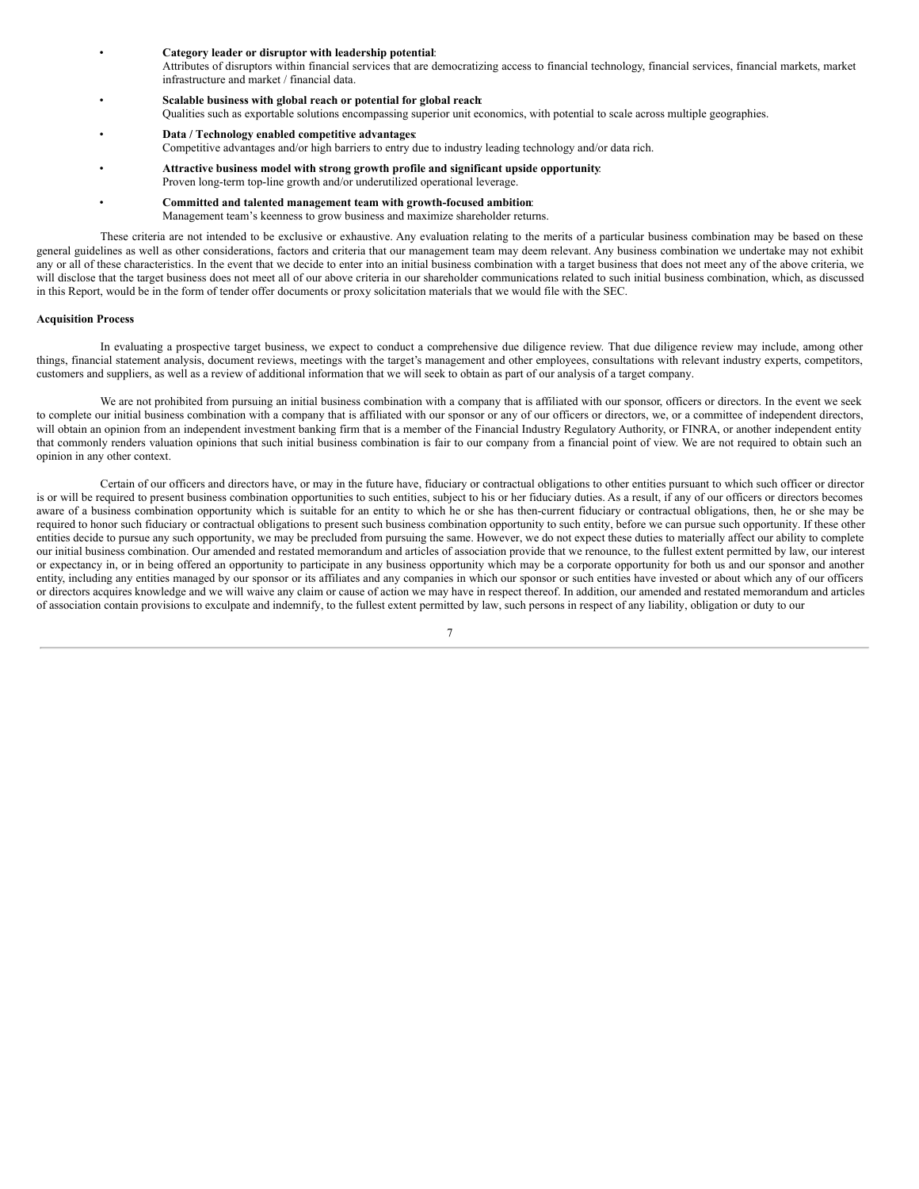- **Category leader or disruptor with leadership potential**:
- Attributes of disruptors within financial services that are democratizing access to financial technology, financial services, financial markets, market infrastructure and market / financial data.
- **Scalable business with global reach or potential for global reach**:
- Qualities such as exportable solutions encompassing superior unit economics, with potential to scale across multiple geographies.
- **Data / Technology enabled competitive advantages**:
	- Competitive advantages and/or high barriers to entry due to industry leading technology and/or data rich.
- **Attractive business model with strong growth profile and significant upside opportunity**: Proven long-term top-line growth and/or underutilized operational leverage.
- **Committed and talented management team with growth-focused ambition**: Management team's keenness to grow business and maximize shareholder returns.

These criteria are not intended to be exclusive or exhaustive. Any evaluation relating to the merits of a particular business combination may be based on these general guidelines as well as other considerations, factors and criteria that our management team may deem relevant. Any business combination we undertake may not exhibit any or all of these characteristics. In the event that we decide to enter into an initial business combination with a target business that does not meet any of the above criteria, we will disclose that the target business does not meet all of our above criteria in our shareholder communications related to such initial business combination, which, as discussed in this Report, would be in the form of tender offer documents or proxy solicitation materials that we would file with the SEC.

## **Acquisition Process**

In evaluating a prospective target business, we expect to conduct a comprehensive due diligence review. That due diligence review may include, among other things, financial statement analysis, document reviews, meetings with the target's management and other employees, consultations with relevant industry experts, competitors, customers and suppliers, as well as a review of additional information that we will seek to obtain as part of our analysis of a target company.

We are not prohibited from pursuing an initial business combination with a company that is affiliated with our sponsor, officers or directors. In the event we seek to complete our initial business combination with a company that is affiliated with our sponsor or any of our officers or directors, we, or a committee of independent directors, will obtain an opinion from an independent investment banking firm that is a member of the Financial Industry Regulatory Authority, or FINRA, or another independent entity that commonly renders valuation opinions that such initial business combination is fair to our company from a financial point of view. We are not required to obtain such an opinion in any other context.

Certain of our officers and directors have, or may in the future have, fiduciary or contractual obligations to other entities pursuant to which such officer or director is or will be required to present business combination opportunities to such entities, subject to his or her fiduciary duties. As a result, if any of our officers or directors becomes aware of a business combination opportunity which is suitable for an entity to which he or she has then-current fiduciary or contractual obligations, then, he or she may be required to honor such fiduciary or contractual obligations to present such business combination opportunity to such entity, before we can pursue such opportunity. If these other entities decide to pursue any such opportunity, we may be precluded from pursuing the same. However, we do not expect these duties to materially affect our ability to complete our initial business combination. Our amended and restated memorandum and articles of association provide that we renounce, to the fullest extent permitted by law, our interest or expectancy in, or in being offered an opportunity to participate in any business opportunity which may be a corporate opportunity for both us and our sponsor and another entity, including any entities managed by our sponsor or its affiliates and any companies in which our sponsor or such entities have invested or about which any of our officers or directors acquires knowledge and we will waive any claim or cause of action we may have in respect thereof. In addition, our amended and restated memorandum and articles of association contain provisions to exculpate and indemnify, to the fullest extent permitted by law, such persons in respect of any liability, obligation or duty to our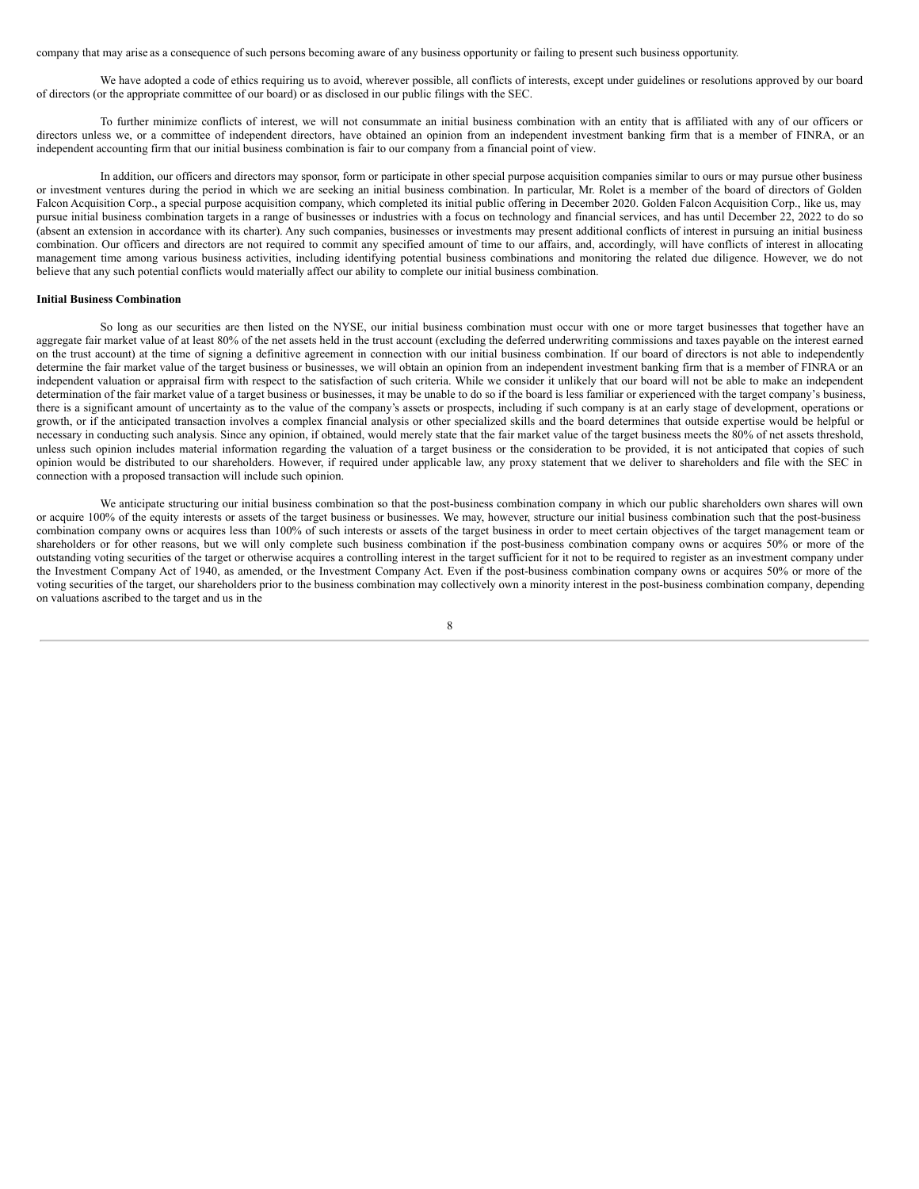company that may arise as a consequence of such persons becoming aware of any business opportunity or failing to present such business opportunity.

We have adopted a code of ethics requiring us to avoid, wherever possible, all conflicts of interests, except under guidelines or resolutions approved by our board of directors (or the appropriate committee of our board) or as disclosed in our public filings with the SEC.

To further minimize conflicts of interest, we will not consummate an initial business combination with an entity that is affiliated with any of our officers or directors unless we, or a committee of independent directors, have obtained an opinion from an independent investment banking firm that is a member of FINRA, or an independent accounting firm that our initial business combination is fair to our company from a financial point of view.

In addition, our officers and directors may sponsor, form or participate in other special purpose acquisition companies similar to ours or may pursue other business or investment ventures during the period in which we are seeking an initial business combination. In particular, Mr. Rolet is a member of the board of directors of Golden Falcon Acquisition Corp., a special purpose acquisition company, which completed its initial public offering in December 2020. Golden Falcon Acquisition Corp., like us, may pursue initial business combination targets in a range of businesses or industries with a focus on technology and financial services, and has until December 22, 2022 to do so (absent an extension in accordance with its charter). Any such companies, businesses or investments may present additional conflicts of interest in pursuing an initial business combination. Our officers and directors are not required to commit any specified amount of time to our affairs, and, accordingly, will have conflicts of interest in allocating management time among various business activities, including identifying potential business combinations and monitoring the related due diligence. However, we do not believe that any such potential conflicts would materially affect our ability to complete our initial business combination.

## **Initial Business Combination**

So long as our securities are then listed on the NYSE, our initial business combination must occur with one or more target businesses that together have an aggregate fair market value of at least 80% of the net assets held in the trust account (excluding the deferred underwriting commissions and taxes payable on the interest earned on the trust account) at the time of signing a definitive agreement in connection with our initial business combination. If our board of directors is not able to independently determine the fair market value of the target business or businesses, we will obtain an opinion from an independent investment banking firm that is a member of FINRA or an independent valuation or appraisal firm with respect to the satisfaction of such criteria. While we consider it unlikely that our board will not be able to make an independent determination of the fair market value of a target business or businesses, it may be unable to do so if the board is less familiar or experienced with the target company's business, there is a significant amount of uncertainty as to the value of the company's assets or prospects, including if such company is at an early stage of development, operations or growth, or if the anticipated transaction involves a complex financial analysis or other specialized skills and the board determines that outside expertise would be helpful or necessary in conducting such analysis. Since any opinion, if obtained, would merely state that the fair market value of the target business meets the 80% of net assets threshold, unless such opinion includes material information regarding the valuation of a target business or the consideration to be provided, it is not anticipated that copies of such opinion would be distributed to our shareholders. However, if required under applicable law, any proxy statement that we deliver to shareholders and file with the SEC in connection with a proposed transaction will include such opinion.

We anticipate structuring our initial business combination so that the post-business combination company in which our public shareholders own shares will own or acquire 100% of the equity interests or assets of the target business or businesses. We may, however, structure our initial business combination such that the post-business combination company owns or acquires less than 100% of such interests or assets of the target business in order to meet certain objectives of the target management team or shareholders or for other reasons, but we will only complete such business combination if the post-business combination company owns or acquires 50% or more of the outstanding voting securities of the target or otherwise acquires a controlling interest in the target sufficient for it not to be required to register as an investment company under the Investment Company Act of 1940, as amended, or the Investment Company Act. Even if the post-business combination company owns or acquires 50% or more of the voting securities of the target, our shareholders prior to the business combination may collectively own a minority interest in the post-business combination company, depending on valuations ascribed to the target and us in the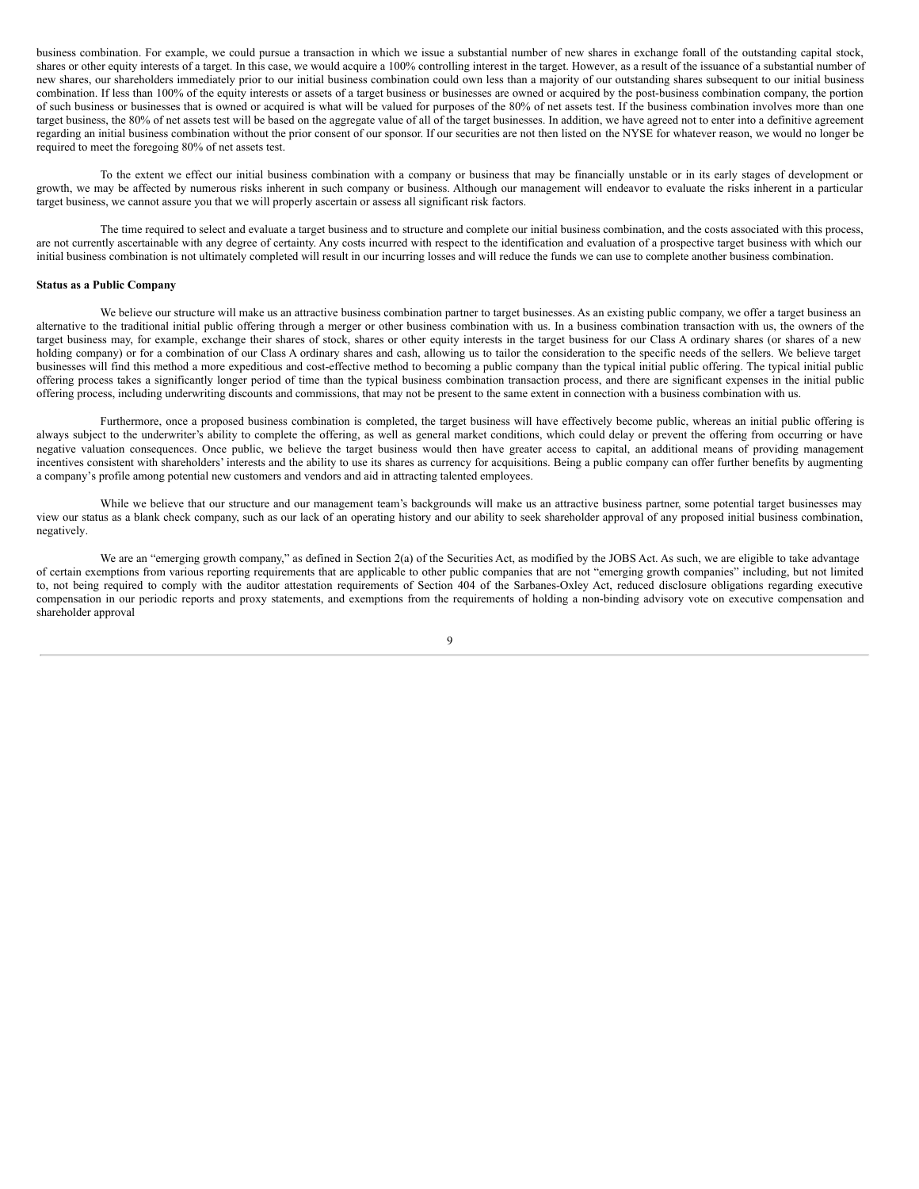business combination. For example, we could pursue a transaction in which we issue a substantial number of new shares in exchange forall of the outstanding capital stock, shares or other equity interests of a target. In this case, we would acquire a 100% controlling interest in the target. However, as a result of the issuance of a substantial number of new shares, our shareholders immediately prior to our initial business combination could own less than a majority of our outstanding shares subsequent to our initial business combination. If less than 100% of the equity interests or assets of a target business or businesses are owned or acquired by the post-business combination company, the portion of such business or businesses that is owned or acquired is what will be valued for purposes of the 80% of net assets test. If the business combination involves more than one target business, the 80% of net assets test will be based on the aggregate value of all of the target businesses. In addition, we have agreed not to enter into a definitive agreement regarding an initial business combination without the prior consent of our sponsor. If our securities are not then listed on the NYSE for whatever reason, we would no longer be required to meet the foregoing 80% of net assets test.

To the extent we effect our initial business combination with a company or business that may be financially unstable or in its early stages of development or growth, we may be affected by numerous risks inherent in such company or business. Although our management will endeavor to evaluate the risks inherent in a particular target business, we cannot assure you that we will properly ascertain or assess all significant risk factors.

The time required to select and evaluate a target business and to structure and complete our initial business combination, and the costs associated with this process, are not currently ascertainable with any degree of certainty. Any costs incurred with respect to the identification and evaluation of a prospective target business with which our initial business combination is not ultimately completed will result in our incurring losses and will reduce the funds we can use to complete another business combination.

#### **Status as a Public Company**

We believe our structure will make us an attractive business combination partner to target businesses. As an existing public company, we offer a target business an alternative to the traditional initial public offering through a merger or other business combination with us. In a business combination transaction with us, the owners of the target business may, for example, exchange their shares of stock, shares or other equity interests in the target business for our Class A ordinary shares (or shares of a new holding company) or for a combination of our Class A ordinary shares and cash, allowing us to tailor the consideration to the specific needs of the sellers. We believe target businesses will find this method a more expeditious and cost-effective method to becoming a public company than the typical initial public offering. The typical initial public offering process takes a significantly longer period of time than the typical business combination transaction process, and there are significant expenses in the initial public offering process, including underwriting discounts and commissions, that may not be present to the same extent in connection with a business combination with us.

Furthermore, once a proposed business combination is completed, the target business will have effectively become public, whereas an initial public offering is always subject to the underwriter's ability to complete the offering, as well as general market conditions, which could delay or prevent the offering from occurring or have negative valuation consequences. Once public, we believe the target business would then have greater access to capital, an additional means of providing management incentives consistent with shareholders' interests and the ability to use its shares as currency for acquisitions. Being a public company can offer further benefits by augmenting a company's profile among potential new customers and vendors and aid in attracting talented employees.

While we believe that our structure and our management team's backgrounds will make us an attractive business partner, some potential target businesses may view our status as a blank check company, such as our lack of an operating history and our ability to seek shareholder approval of any proposed initial business combination, negatively.

We are an "emerging growth company," as defined in Section 2(a) of the Securities Act, as modified by the JOBS Act. As such, we are eligible to take advantage of certain exemptions from various reporting requirements that are applicable to other public companies that are not "emerging growth companies" including, but not limited to, not being required to comply with the auditor attestation requirements of Section 404 of the Sarbanes-Oxley Act, reduced disclosure obligations regarding executive compensation in our periodic reports and proxy statements, and exemptions from the requirements of holding a non-binding advisory vote on executive compensation and shareholder approval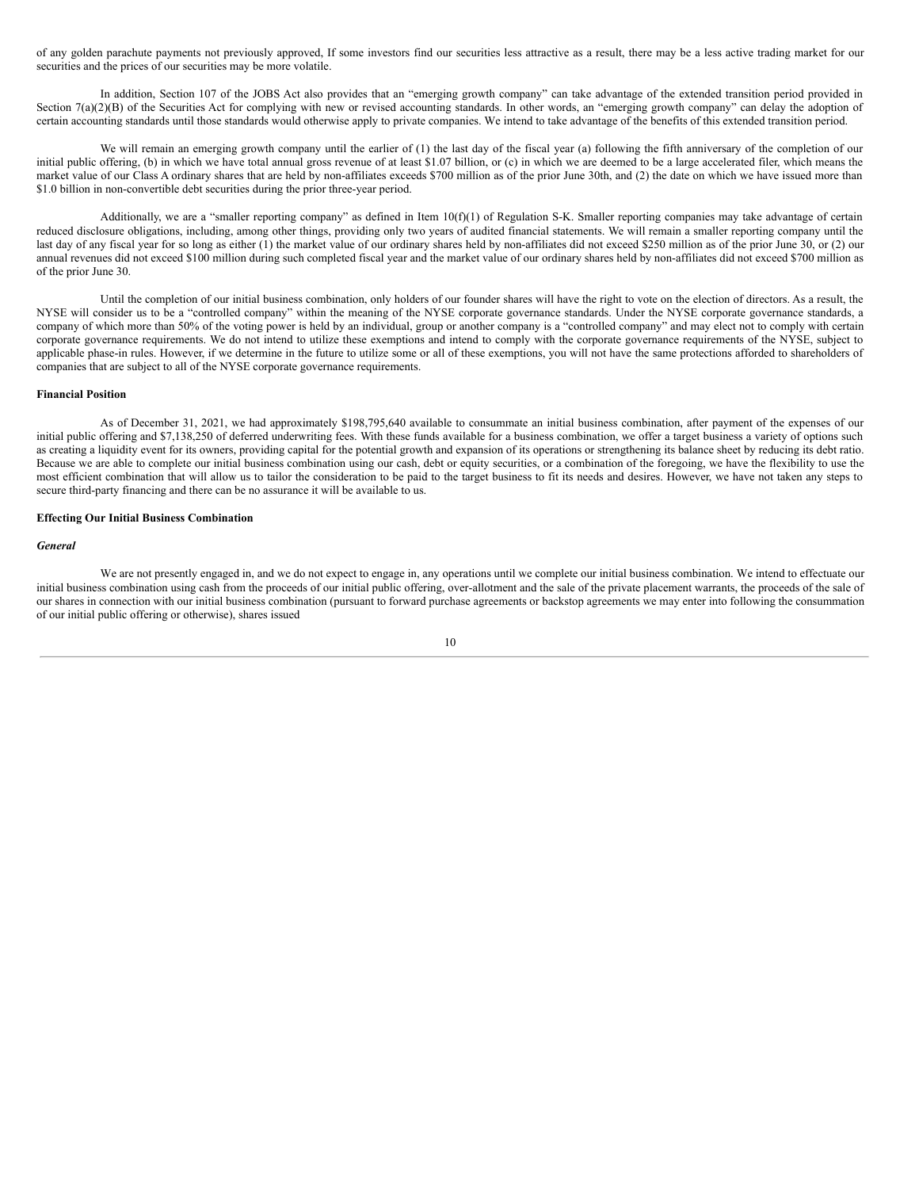of any golden parachute payments not previously approved, If some investors find our securities less attractive as a result, there may be a less active trading market for our securities and the prices of our securities may be more volatile.

In addition, Section 107 of the JOBS Act also provides that an "emerging growth company" can take advantage of the extended transition period provided in Section 7(a)(2)(B) of the Securities Act for complying with new or revised accounting standards. In other words, an "emerging growth company" can delay the adoption of certain accounting standards until those standards would otherwise apply to private companies. We intend to take advantage of the benefits of this extended transition period.

We will remain an emerging growth company until the earlier of (1) the last day of the fiscal year (a) following the fifth anniversary of the completion of our initial public offering, (b) in which we have total annual gross revenue of at least \$1.07 billion, or (c) in which we are deemed to be a large accelerated filer, which means the market value of our Class A ordinary shares that are held by non-affiliates exceeds \$700 million as of the prior June 30th, and (2) the date on which we have issued more than \$1.0 billion in non-convertible debt securities during the prior three-year period.

Additionally, we are a "smaller reporting company" as defined in Item 10(f)(1) of Regulation S-K. Smaller reporting companies may take advantage of certain reduced disclosure obligations, including, among other things, providing only two years of audited financial statements. We will remain a smaller reporting company until the last day of any fiscal year for so long as either (1) the market value of our ordinary shares held by non-affiliates did not exceed \$250 million as of the prior June 30, or (2) our annual revenues did not exceed \$100 million during such completed fiscal year and the market value of our ordinary shares held by non-affiliates did not exceed \$700 million as of the prior June 30.

Until the completion of our initial business combination, only holders of our founder shares will have the right to vote on the election of directors. As a result, the NYSE will consider us to be a "controlled company" within the meaning of the NYSE corporate governance standards. Under the NYSE corporate governance standards, a company of which more than 50% of the voting power is held by an individual, group or another company is a "controlled company" and may elect not to comply with certain corporate governance requirements. We do not intend to utilize these exemptions and intend to comply with the corporate governance requirements of the NYSE, subject to applicable phase-in rules. However, if we determine in the future to utilize some or all of these exemptions, you will not have the same protections afforded to shareholders of companies that are subject to all of the NYSE corporate governance requirements.

## **Financial Position**

As of December 31, 2021, we had approximately \$198,795,640 available to consummate an initial business combination, after payment of the expenses of our initial public offering and \$7,138,250 of deferred underwriting fees. With these funds available for a business combination, we offer a target business a variety of options such as creating a liquidity event for its owners, providing capital for the potential growth and expansion of its operations or strengthening its balance sheet by reducing its debt ratio. Because we are able to complete our initial business combination using our cash, debt or equity securities, or a combination of the foregoing, we have the flexibility to use the most efficient combination that will allow us to tailor the consideration to be paid to the target business to fit its needs and desires. However, we have not taken any steps to secure third-party financing and there can be no assurance it will be available to us.

#### **Effecting Our Initial Business Combination**

#### *General*

We are not presently engaged in, and we do not expect to engage in, any operations until we complete our initial business combination. We intend to effectuate our initial business combination using cash from the proceeds of our initial public offering, over-allotment and the sale of the private placement warrants, the proceeds of the sale of our shares in connection with our initial business combination (pursuant to forward purchase agreements or backstop agreements we may enter into following the consummation of our initial public offering or otherwise), shares issued

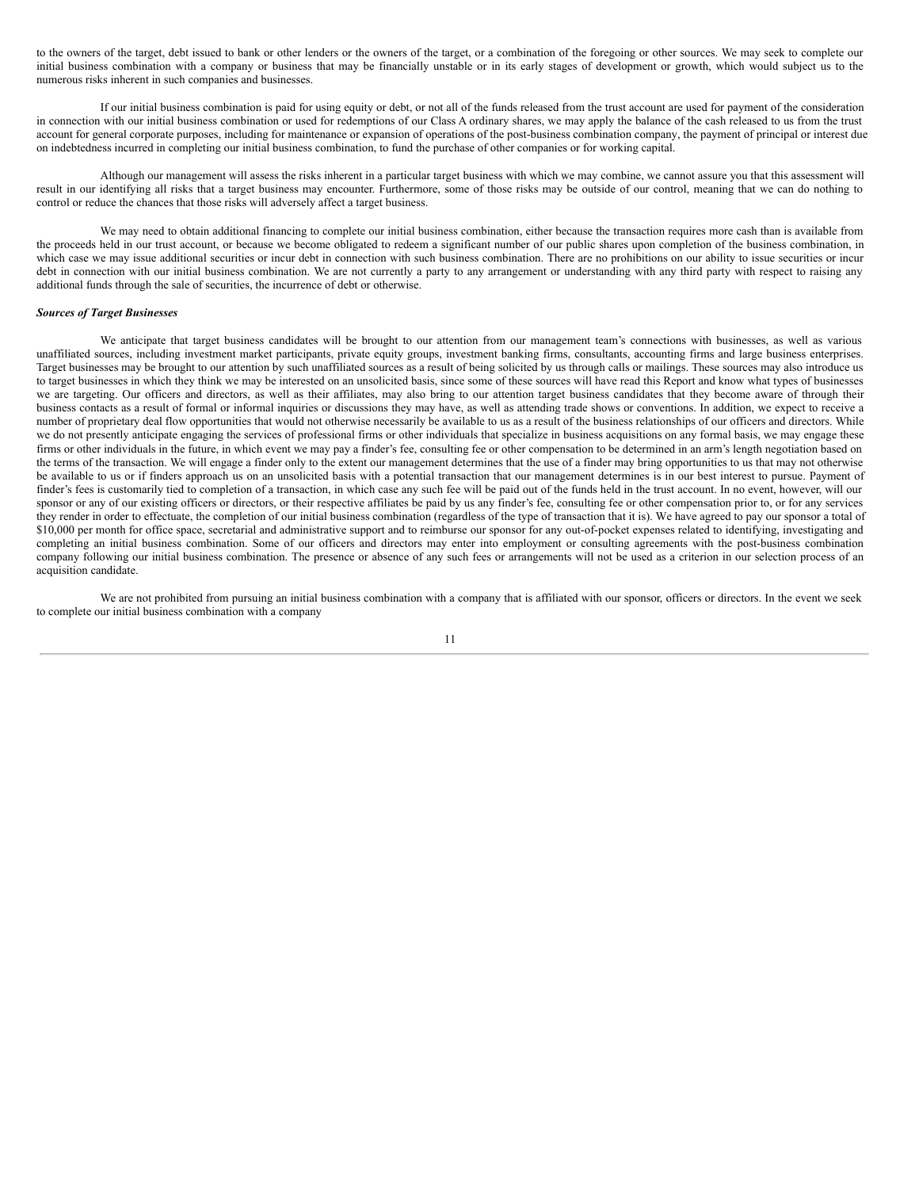to the owners of the target, debt issued to bank or other lenders or the owners of the target, or a combination of the foregoing or other sources. We may seek to complete our initial business combination with a company or business that may be financially unstable or in its early stages of development or growth, which would subject us to the numerous risks inherent in such companies and businesses.

If our initial business combination is paid for using equity or debt, or not all of the funds released from the trust account are used for payment of the consideration in connection with our initial business combination or used for redemptions of our Class A ordinary shares, we may apply the balance of the cash released to us from the trust account for general corporate purposes, including for maintenance or expansion of operations of the post-business combination company, the payment of principal or interest due on indebtedness incurred in completing our initial business combination, to fund the purchase of other companies or for working capital.

Although our management will assess the risks inherent in a particular target business with which we may combine, we cannot assure you that this assessment will result in our identifying all risks that a target business may encounter. Furthermore, some of those risks may be outside of our control, meaning that we can do nothing to control or reduce the chances that those risks will adversely affect a target business.

We may need to obtain additional financing to complete our initial business combination, either because the transaction requires more cash than is available from the proceeds held in our trust account, or because we become obligated to redeem a significant number of our public shares upon completion of the business combination, in which case we may issue additional securities or incur debt in connection with such business combination. There are no prohibitions on our ability to issue securities or incur debt in connection with our initial business combination. We are not currently a party to any arrangement or understanding with any third party with respect to raising any additional funds through the sale of securities, the incurrence of debt or otherwise.

#### *Sources of Target Businesses*

We anticipate that target business candidates will be brought to our attention from our management team's connections with businesses, as well as various unaffiliated sources, including investment market participants, private equity groups, investment banking firms, consultants, accounting firms and large business enterprises. Target businesses may be brought to our attention by such unaffiliated sources as a result of being solicited by us through calls or mailings. These sources may also introduce us to target businesses in which they think we may be interested on an unsolicited basis, since some of these sources will have read this Report and know what types of businesses we are targeting. Our officers and directors, as well as their affiliates, may also bring to our attention target business candidates that they become aware of through their business contacts as a result of formal or informal inquiries or discussions they may have, as well as attending trade shows or conventions. In addition, we expect to receive a number of proprietary deal flow opportunities that would not otherwise necessarily be available to us as a result of the business relationships of our officers and directors. While we do not presently anticipate engaging the services of professional firms or other individuals that specialize in business acquisitions on any formal basis, we may engage these firms or other individuals in the future, in which event we may pay a finder's fee, consulting fee or other compensation to be determined in an arm's length negotiation based on the terms of the transaction. We will engage a finder only to the extent our management determines that the use of a finder may bring opportunities to us that may not otherwise be available to us or if finders approach us on an unsolicited basis with a potential transaction that our management determines is in our best interest to pursue. Payment of finder's fees is customarily tied to completion of a transaction, in which case any such fee will be paid out of the funds held in the trust account. In no event, however, will our sponsor or any of our existing officers or directors, or their respective affiliates be paid by us any finder's fee, consulting fee or other compensation prior to, or for any services they render in order to effectuate, the completion of our initial business combination (regardless of the type of transaction that it is). We have agreed to pay our sponsor a total of \$10,000 per month for office space, secretarial and administrative support and to reimburse our sponsor for any out-of-pocket expenses related to identifying, investigating and completing an initial business combination. Some of our officers and directors may enter into employment or consulting agreements with the post-business combination company following our initial business combination. The presence or absence of any such fees or arrangements will not be used as a criterion in our selection process of an acquisition candidate.

We are not prohibited from pursuing an initial business combination with a company that is affiliated with our sponsor, officers or directors. In the event we seek to complete our initial business combination with a company

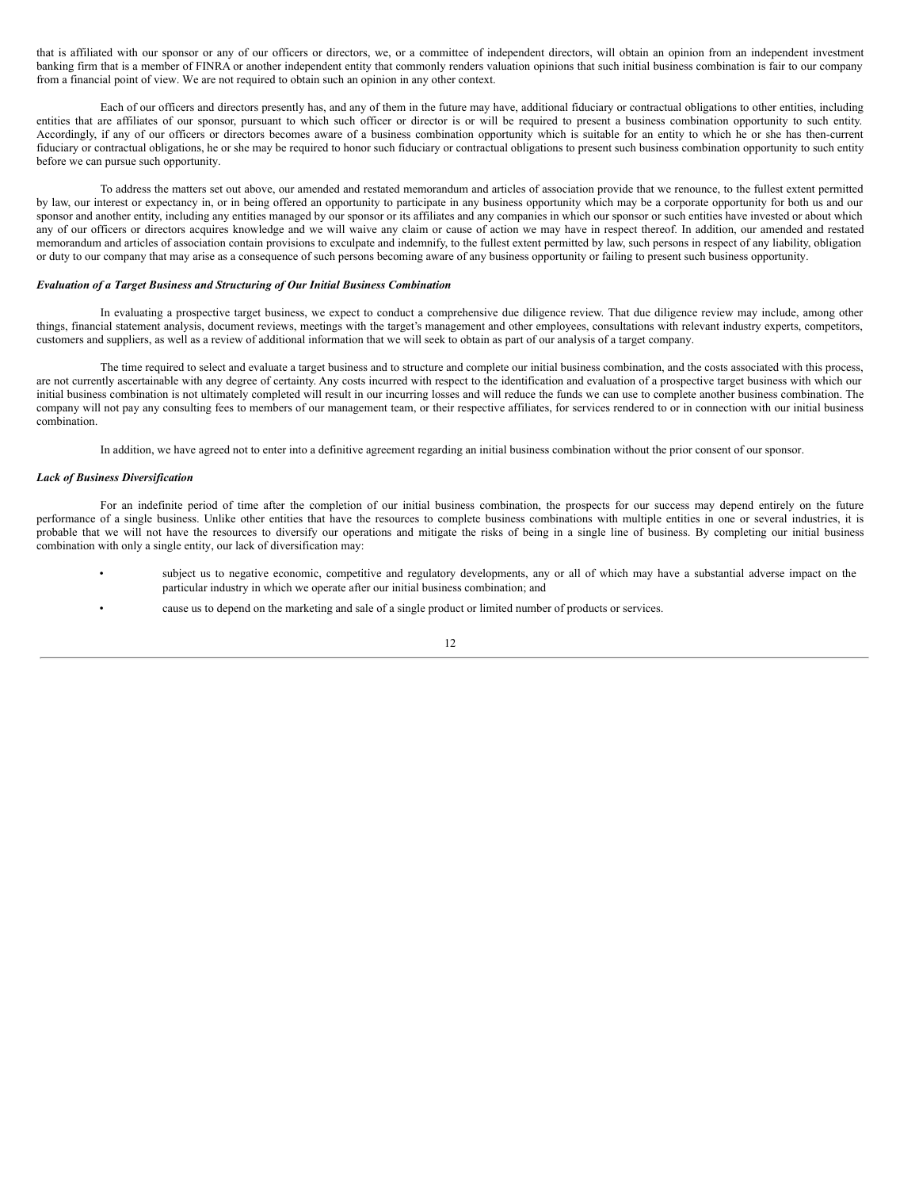that is affiliated with our sponsor or any of our officers or directors, we, or a committee of independent directors, will obtain an opinion from an independent investment banking firm that is a member of FINRA or another independent entity that commonly renders valuation opinions that such initial business combination is fair to our company from a financial point of view. We are not required to obtain such an opinion in any other context.

Each of our officers and directors presently has, and any of them in the future may have, additional fiduciary or contractual obligations to other entities, including entities that are affiliates of our sponsor, pursuant to which such officer or director is or will be required to present a business combination opportunity to such entity. Accordingly, if any of our officers or directors becomes aware of a business combination opportunity which is suitable for an entity to which he or she has then-current fiduciary or contractual obligations, he or she may be required to honor such fiduciary or contractual obligations to present such business combination opportunity to such entity before we can pursue such opportunity.

To address the matters set out above, our amended and restated memorandum and articles of association provide that we renounce, to the fullest extent permitted by law, our interest or expectancy in, or in being offered an opportunity to participate in any business opportunity which may be a corporate opportunity for both us and our sponsor and another entity, including any entities managed by our sponsor or its affiliates and any companies in which our sponsor or such entities have invested or about which any of our officers or directors acquires knowledge and we will waive any claim or cause of action we may have in respect thereof. In addition, our amended and restated memorandum and articles of association contain provisions to exculpate and indemnify, to the fullest extent permitted by law, such persons in respect of any liability, obligation or duty to our company that may arise as a consequence of such persons becoming aware of any business opportunity or failing to present such business opportunity.

#### *Evaluation of a Target Business and Structuring of Our Initial Business Combination*

In evaluating a prospective target business, we expect to conduct a comprehensive due diligence review. That due diligence review may include, among other things, financial statement analysis, document reviews, meetings with the target's management and other employees, consultations with relevant industry experts, competitors, customers and suppliers, as well as a review of additional information that we will seek to obtain as part of our analysis of a target company.

The time required to select and evaluate a target business and to structure and complete our initial business combination, and the costs associated with this process, are not currently ascertainable with any degree of certainty. Any costs incurred with respect to the identification and evaluation of a prospective target business with which our initial business combination is not ultimately completed will result in our incurring losses and will reduce the funds we can use to complete another business combination. The company will not pay any consulting fees to members of our management team, or their respective affiliates, for services rendered to or in connection with our initial business combination.

In addition, we have agreed not to enter into a definitive agreement regarding an initial business combination without the prior consent of our sponsor.

## *Lack of Business Diversification*

For an indefinite period of time after the completion of our initial business combination, the prospects for our success may depend entirely on the future performance of a single business. Unlike other entities that have the resources to complete business combinations with multiple entities in one or several industries, it is probable that we will not have the resources to diversify our operations and mitigate the risks of being in a single line of business. By completing our initial business combination with only a single entity, our lack of diversification may:

- subject us to negative economic, competitive and regulatory developments, any or all of which may have a substantial adverse impact on the particular industry in which we operate after our initial business combination; and
- cause us to depend on the marketing and sale of a single product or limited number of products or services.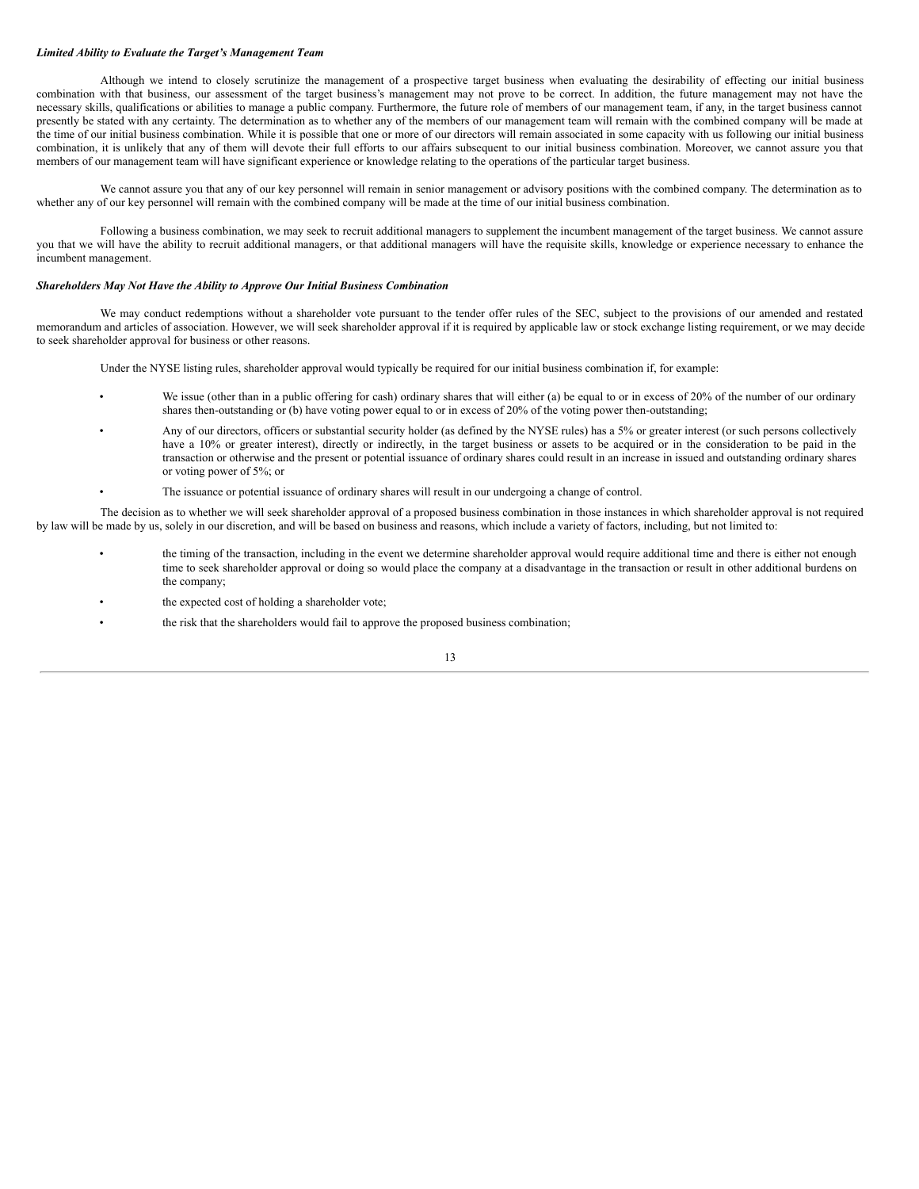#### *Limited Ability to Evaluate the Target's Management Team*

Although we intend to closely scrutinize the management of a prospective target business when evaluating the desirability of effecting our initial business combination with that business, our assessment of the target business's management may not prove to be correct. In addition, the future management may not have the necessary skills, qualifications or abilities to manage a public company. Furthermore, the future role of members of our management team, if any, in the target business cannot presently be stated with any certainty. The determination as to whether any of the members of our management team will remain with the combined company will be made at the time of our initial business combination. While it is possible that one or more of our directors will remain associated in some capacity with us following our initial business combination, it is unlikely that any of them will devote their full efforts to our affairs subsequent to our initial business combination. Moreover, we cannot assure you that members of our management team will have significant experience or knowledge relating to the operations of the particular target business.

We cannot assure you that any of our key personnel will remain in senior management or advisory positions with the combined company. The determination as to whether any of our key personnel will remain with the combined company will be made at the time of our initial business combination.

Following a business combination, we may seek to recruit additional managers to supplement the incumbent management of the target business. We cannot assure you that we will have the ability to recruit additional managers, or that additional managers will have the requisite skills, knowledge or experience necessary to enhance the incumbent management.

#### *Shareholders May Not Have the Ability to Approve Our Initial Business Combination*

We may conduct redemptions without a shareholder vote pursuant to the tender offer rules of the SEC, subject to the provisions of our amended and restated memorandum and articles of association. However, we will seek shareholder approval if it is required by applicable law or stock exchange listing requirement, or we may decide to seek shareholder approval for business or other reasons.

Under the NYSE listing rules, shareholder approval would typically be required for our initial business combination if, for example:

- We issue (other than in a public offering for cash) ordinary shares that will either (a) be equal to or in excess of 20% of the number of our ordinary shares then-outstanding or (b) have voting power equal to or in excess of 20% of the voting power then-outstanding;
- Any of our directors, officers or substantial security holder (as defined by the NYSE rules) has a 5% or greater interest (or such persons collectively have a 10% or greater interest), directly or indirectly, in the target business or assets to be acquired or in the consideration to be paid in the transaction or otherwise and the present or potential issuance of ordinary shares could result in an increase in issued and outstanding ordinary shares or voting power of 5%; or
- The issuance or potential issuance of ordinary shares will result in our undergoing a change of control.

The decision as to whether we will seek shareholder approval of a proposed business combination in those instances in which shareholder approval is not required by law will be made by us, solely in our discretion, and will be based on business and reasons, which include a variety of factors, including, but not limited to:

- the timing of the transaction, including in the event we determine shareholder approval would require additional time and there is either not enough time to seek shareholder approval or doing so would place the company at a disadvantage in the transaction or result in other additional burdens on the company;
- the expected cost of holding a shareholder vote;
- the risk that the shareholders would fail to approve the proposed business combination;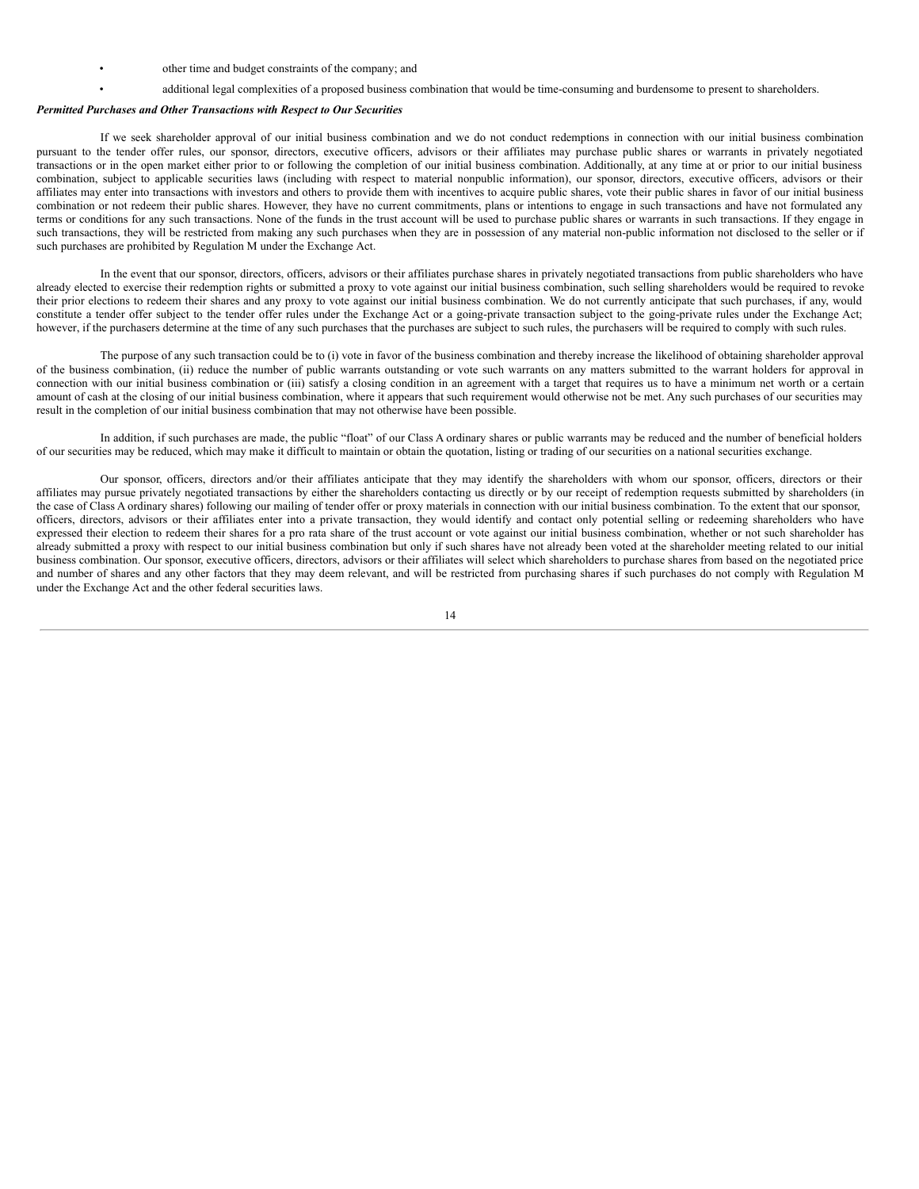- other time and budget constraints of the company; and
	- additional legal complexities of a proposed business combination that would be time-consuming and burdensome to present to shareholders.

#### *Permitted Purchases and Other Transactions with Respect to Our Securities*

If we seek shareholder approval of our initial business combination and we do not conduct redemptions in connection with our initial business combination pursuant to the tender offer rules, our sponsor, directors, executive officers, advisors or their affiliates may purchase public shares or warrants in privately negotiated transactions or in the open market either prior to or following the completion of our initial business combination. Additionally, at any time at or prior to our initial business combination, subject to applicable securities laws (including with respect to material nonpublic information), our sponsor, directors, executive officers, advisors or their affiliates may enter into transactions with investors and others to provide them with incentives to acquire public shares, vote their public shares in favor of our initial business combination or not redeem their public shares. However, they have no current commitments, plans or intentions to engage in such transactions and have not formulated any terms or conditions for any such transactions. None of the funds in the trust account will be used to purchase public shares or warrants in such transactions. If they engage in such transactions, they will be restricted from making any such purchases when they are in possession of any material non-public information not disclosed to the seller or if such purchases are prohibited by Regulation M under the Exchange Act.

In the event that our sponsor, directors, officers, advisors or their affiliates purchase shares in privately negotiated transactions from public shareholders who have already elected to exercise their redemption rights or submitted a proxy to vote against our initial business combination, such selling shareholders would be required to revoke their prior elections to redeem their shares and any proxy to vote against our initial business combination. We do not currently anticipate that such purchases, if any, would constitute a tender offer subject to the tender offer rules under the Exchange Act or a going-private transaction subject to the going-private rules under the Exchange Act; however, if the purchasers determine at the time of any such purchases that the purchases are subject to such rules, the purchasers will be required to comply with such rules.

The purpose of any such transaction could be to (i) vote in favor of the business combination and thereby increase the likelihood of obtaining shareholder approval of the business combination, (ii) reduce the number of public warrants outstanding or vote such warrants on any matters submitted to the warrant holders for approval in connection with our initial business combination or (iii) satisfy a closing condition in an agreement with a target that requires us to have a minimum net worth or a certain amount of cash at the closing of our initial business combination, where it appears that such requirement would otherwise not be met. Any such purchases of our securities may result in the completion of our initial business combination that may not otherwise have been possible.

In addition, if such purchases are made, the public "float" of our Class A ordinary shares or public warrants may be reduced and the number of beneficial holders of our securities may be reduced, which may make it difficult to maintain or obtain the quotation, listing or trading of our securities on a national securities exchange.

Our sponsor, officers, directors and/or their affiliates anticipate that they may identify the shareholders with whom our sponsor, officers, directors or their affiliates may pursue privately negotiated transactions by either the shareholders contacting us directly or by our receipt of redemption requests submitted by shareholders (in the case of Class A ordinary shares) following our mailing of tender offer or proxy materials in connection with our initial business combination. To the extent that our sponsor, officers, directors, advisors or their affiliates enter into a private transaction, they would identify and contact only potential selling or redeeming shareholders who have expressed their election to redeem their shares for a pro rata share of the trust account or vote against our initial business combination, whether or not such shareholder has already submitted a proxy with respect to our initial business combination but only if such shares have not already been voted at the shareholder meeting related to our initial business combination. Our sponsor, executive officers, directors, advisors or their affiliates will select which shareholders to purchase shares from based on the negotiated price and number of shares and any other factors that they may deem relevant, and will be restricted from purchasing shares if such purchases do not comply with Regulation M under the Exchange Act and the other federal securities laws.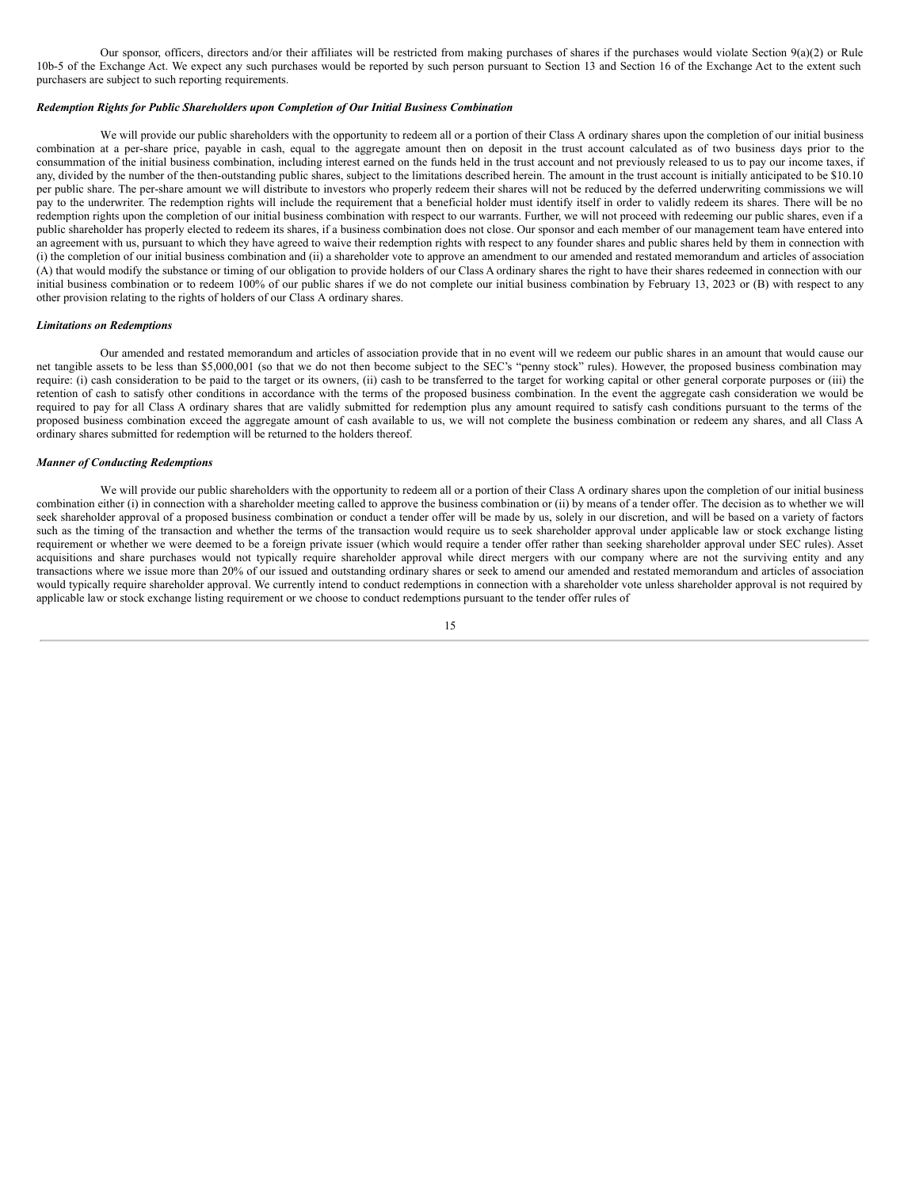Our sponsor, officers, directors and/or their affiliates will be restricted from making purchases of shares if the purchases would violate Section  $9(a)(2)$  or Rule 10b-5 of the Exchange Act. We expect any such purchases would be reported by such person pursuant to Section 13 and Section 16 of the Exchange Act to the extent such purchasers are subject to such reporting requirements.

## *Redemption Rights for Public Shareholders upon Completion of Our Initial Business Combination*

We will provide our public shareholders with the opportunity to redeem all or a portion of their Class A ordinary shares upon the completion of our initial business combination at a per-share price, payable in cash, equal to the aggregate amount then on deposit in the trust account calculated as of two business days prior to the consummation of the initial business combination, including interest earned on the funds held in the trust account and not previously released to us to pay our income taxes, if any, divided by the number of the then-outstanding public shares, subject to the limitations described herein. The amount in the trust account is initially anticipated to be \$10.10 per public share. The per-share amount we will distribute to investors who properly redeem their shares will not be reduced by the deferred underwriting commissions we will pay to the underwriter. The redemption rights will include the requirement that a beneficial holder must identify itself in order to validly redeem its shares. There will be no redemption rights upon the completion of our initial business combination with respect to our warrants. Further, we will not proceed with redeeming our public shares, even if a public shareholder has properly elected to redeem its shares, if a business combination does not close. Our sponsor and each member of our management team have entered into an agreement with us, pursuant to which they have agreed to waive their redemption rights with respect to any founder shares and public shares held by them in connection with (i) the completion of our initial business combination and (ii) a shareholder vote to approve an amendment to our amended and restated memorandum and articles of association (A) that would modify the substance or timing of our obligation to provide holders of our Class A ordinary shares the right to have their shares redeemed in connection with our initial business combination or to redeem 100% of our public shares if we do not complete our initial business combination by February 13, 2023 or (B) with respect to any other provision relating to the rights of holders of our Class A ordinary shares.

#### *Limitations on Redemptions*

Our amended and restated memorandum and articles of association provide that in no event will we redeem our public shares in an amount that would cause our net tangible assets to be less than \$5,000,001 (so that we do not then become subject to the SEC's "penny stock" rules). However, the proposed business combination may require: (i) cash consideration to be paid to the target or its owners, (ii) cash to be transferred to the target for working capital or other general corporate purposes or (iii) the retention of cash to satisfy other conditions in accordance with the terms of the proposed business combination. In the event the aggregate cash consideration we would be required to pay for all Class A ordinary shares that are validly submitted for redemption plus any amount required to satisfy cash conditions pursuant to the terms of the proposed business combination exceed the aggregate amount of cash available to us, we will not complete the business combination or redeem any shares, and all Class A ordinary shares submitted for redemption will be returned to the holders thereof.

#### *Manner of Conducting Redemptions*

We will provide our public shareholders with the opportunity to redeem all or a portion of their Class A ordinary shares upon the completion of our initial business combination either (i) in connection with a shareholder meeting called to approve the business combination or (ii) by means of a tender offer. The decision as to whether we will seek shareholder approval of a proposed business combination or conduct a tender offer will be made by us, solely in our discretion, and will be based on a variety of factors such as the timing of the transaction and whether the terms of the transaction would require us to seek shareholder approval under applicable law or stock exchange listing requirement or whether we were deemed to be a foreign private issuer (which would require a tender offer rather than seeking shareholder approval under SEC rules). Asset acquisitions and share purchases would not typically require shareholder approval while direct mergers with our company where are not the surviving entity and any transactions where we issue more than 20% of our issued and outstanding ordinary shares or seek to amend our amended and restated memorandum and articles of association would typically require shareholder approval. We currently intend to conduct redemptions in connection with a shareholder vote unless shareholder approval is not required by applicable law or stock exchange listing requirement or we choose to conduct redemptions pursuant to the tender offer rules of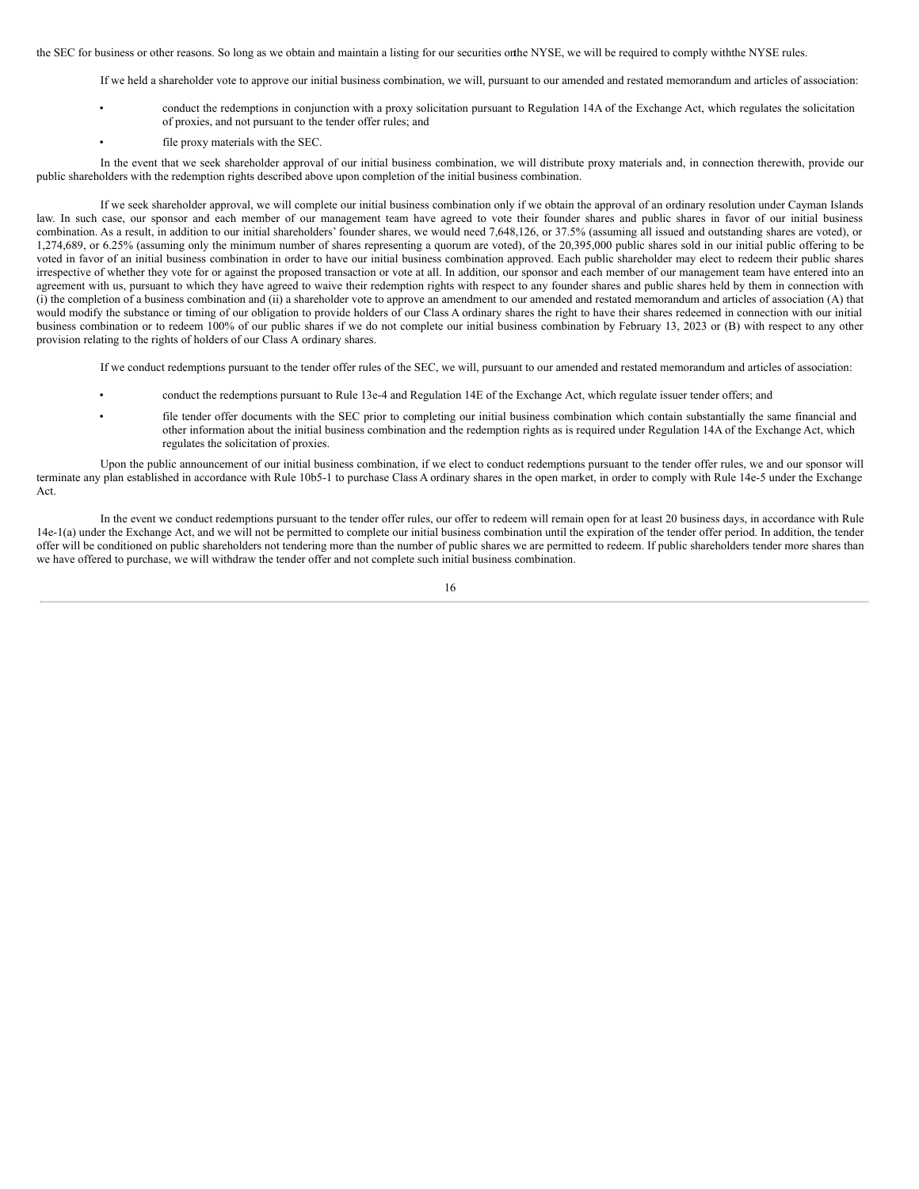the SEC for business or other reasons. So long as we obtain and maintain a listing for our securities on the NYSE, we will be required to comply with the NYSE rules.

If we held a shareholder vote to approve our initial business combination, we will, pursuant to our amended and restated memorandum and articles of association:

- conduct the redemptions in conjunction with a proxy solicitation pursuant to Regulation 14A of the Exchange Act, which regulates the solicitation of proxies, and not pursuant to the tender offer rules; and
- file proxy materials with the SEC.

In the event that we seek shareholder approval of our initial business combination, we will distribute proxy materials and, in connection therewith, provide our public shareholders with the redemption rights described above upon completion of the initial business combination.

If we seek shareholder approval, we will complete our initial business combination only if we obtain the approval of an ordinary resolution under Cayman Islands law. In such case, our sponsor and each member of our management team have agreed to vote their founder shares and public shares in favor of our initial business combination. As a result, in addition to our initial shareholders' founder shares, we would need 7,648,126, or 37.5% (assuming all issued and outstanding shares are voted), or 1,274,689, or 6.25% (assuming only the minimum number of shares representing a quorum are voted), of the 20,395,000 public shares sold in our initial public offering to be voted in favor of an initial business combination in order to have our initial business combination approved. Each public shareholder may elect to redeem their public shares irrespective of whether they vote for or against the proposed transaction or vote at all. In addition, our sponsor and each member of our management team have entered into an agreement with us, pursuant to which they have agreed to waive their redemption rights with respect to any founder shares and public shares held by them in connection with (i) the completion of a business combination and (ii) a shareholder vote to approve an amendment to our amended and restated memorandum and articles of association (A) that would modify the substance or timing of our obligation to provide holders of our Class A ordinary shares the right to have their shares redeemed in connection with our initial business combination or to redeem 100% of our public shares if we do not complete our initial business combination by February 13, 2023 or (B) with respect to any other provision relating to the rights of holders of our Class A ordinary shares.

If we conduct redemptions pursuant to the tender offer rules of the SEC, we will, pursuant to our amended and restated memorandum and articles of association:

- conduct the redemptions pursuant to Rule 13e-4 and Regulation 14E of the Exchange Act, which regulate issuer tender offers; and
- file tender offer documents with the SEC prior to completing our initial business combination which contain substantially the same financial and other information about the initial business combination and the redemption rights as is required under Regulation 14A of the Exchange Act, which regulates the solicitation of proxies.

Upon the public announcement of our initial business combination, if we elect to conduct redemptions pursuant to the tender offer rules, we and our sponsor will terminate any plan established in accordance with Rule 10b5-1 to purchase Class A ordinary shares in the open market, in order to comply with Rule 14e-5 under the Exchange Act.

In the event we conduct redemptions pursuant to the tender offer rules, our offer to redeem will remain open for at least 20 business days, in accordance with Rule 14e-1(a) under the Exchange Act, and we will not be permitted to complete our initial business combination until the expiration of the tender offer period. In addition, the tender offer will be conditioned on public shareholders not tendering more than the number of public shares we are permitted to redeem. If public shareholders tender more shares than we have offered to purchase, we will withdraw the tender offer and not complete such initial business combination.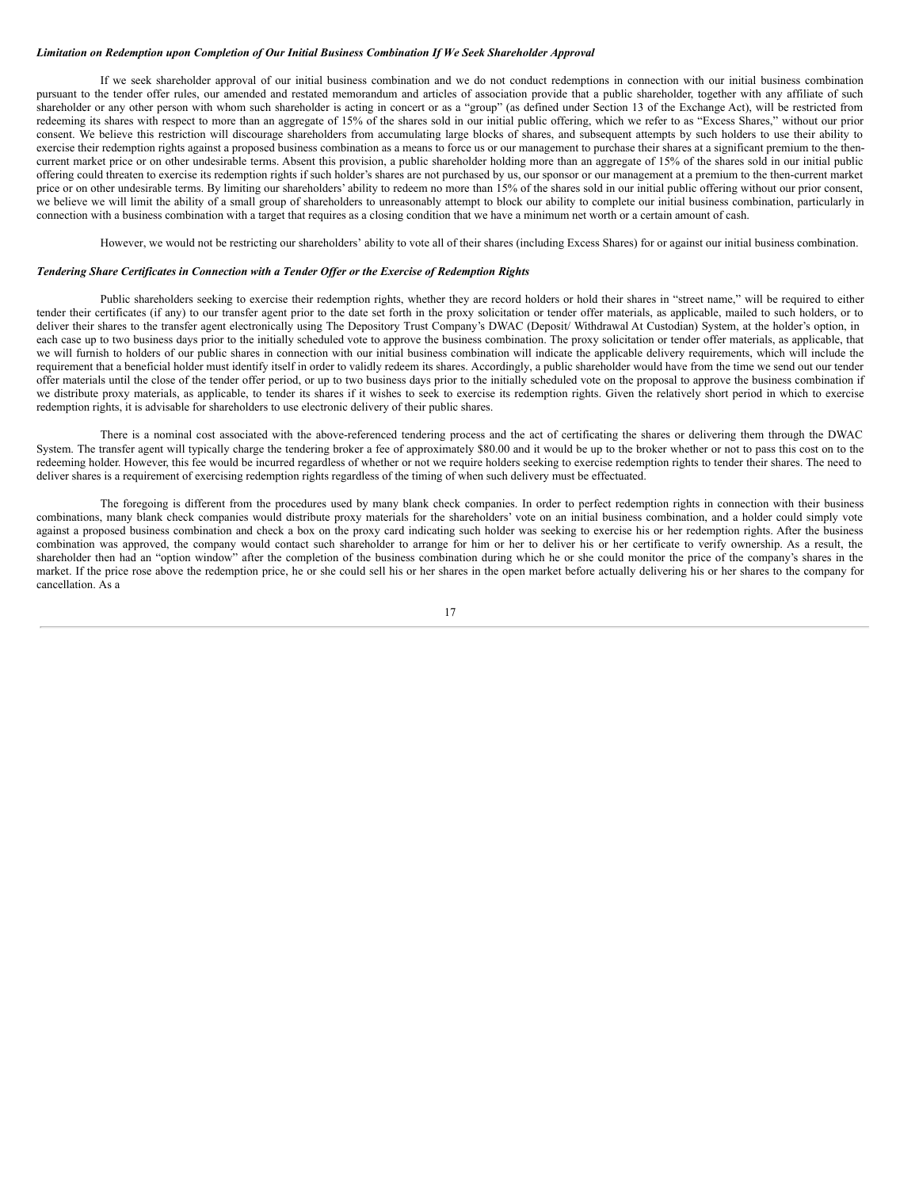## *Limitation on Redemption upon Completion of Our Initial Business Combination If We Seek Shareholder Approval*

If we seek shareholder approval of our initial business combination and we do not conduct redemptions in connection with our initial business combination pursuant to the tender offer rules, our amended and restated memorandum and articles of association provide that a public shareholder, together with any affiliate of such shareholder or any other person with whom such shareholder is acting in concert or as a "group" (as defined under Section 13 of the Exchange Act), will be restricted from redeeming its shares with respect to more than an aggregate of 15% of the shares sold in our initial public offering, which we refer to as "Excess Shares," without our prior consent. We believe this restriction will discourage shareholders from accumulating large blocks of shares, and subsequent attempts by such holders to use their ability to exercise their redemption rights against a proposed business combination as a means to force us or our management to purchase their shares at a significant premium to the thencurrent market price or on other undesirable terms. Absent this provision, a public shareholder holding more than an aggregate of 15% of the shares sold in our initial public offering could threaten to exercise its redemption rights if such holder's shares are not purchased by us, our sponsor or our management at a premium to the then-current market price or on other undesirable terms. By limiting our shareholders' ability to redeem no more than 15% of the shares sold in our initial public offering without our prior consent, we believe we will limit the ability of a small group of shareholders to unreasonably attempt to block our ability to complete our initial business combination, particularly in connection with a business combination with a target that requires as a closing condition that we have a minimum net worth or a certain amount of cash.

However, we would not be restricting our shareholders' ability to vote all of their shares (including Excess Shares) for or against our initial business combination.

## *Tendering Share Certificates in Connection with a Tender Of er or the Exercise of Redemption Rights*

Public shareholders seeking to exercise their redemption rights, whether they are record holders or hold their shares in "street name," will be required to either tender their certificates (if any) to our transfer agent prior to the date set forth in the proxy solicitation or tender offer materials, as applicable, mailed to such holders, or to deliver their shares to the transfer agent electronically using The Depository Trust Company's DWAC (Deposit/ Withdrawal At Custodian) System, at the holder's option, in each case up to two business days prior to the initially scheduled vote to approve the business combination. The proxy solicitation or tender offer materials, as applicable, that we will furnish to holders of our public shares in connection with our initial business combination will indicate the applicable delivery requirements, which will include the requirement that a beneficial holder must identify itself in order to validly redeem its shares. Accordingly, a public shareholder would have from the time we send out our tender offer materials until the close of the tender offer period, or up to two business days prior to the initially scheduled vote on the proposal to approve the business combination if we distribute proxy materials, as applicable, to tender its shares if it wishes to seek to exercise its redemption rights. Given the relatively short period in which to exercise redemption rights, it is advisable for shareholders to use electronic delivery of their public shares.

There is a nominal cost associated with the above-referenced tendering process and the act of certificating the shares or delivering them through the DWAC System. The transfer agent will typically charge the tendering broker a fee of approximately \$80.00 and it would be up to the broker whether or not to pass this cost on to the redeeming holder. However, this fee would be incurred regardless of whether or not we require holders seeking to exercise redemption rights to tender their shares. The need to deliver shares is a requirement of exercising redemption rights regardless of the timing of when such delivery must be effectuated.

The foregoing is different from the procedures used by many blank check companies. In order to perfect redemption rights in connection with their business combinations, many blank check companies would distribute proxy materials for the shareholders' vote on an initial business combination, and a holder could simply vote against a proposed business combination and check a box on the proxy card indicating such holder was seeking to exercise his or her redemption rights. After the business combination was approved, the company would contact such shareholder to arrange for him or her to deliver his or her certificate to verify ownership. As a result, the shareholder then had an "option window" after the completion of the business combination during which he or she could monitor the price of the company's shares in the market. If the price rose above the redemption price, he or she could sell his or her shares in the open market before actually delivering his or her shares to the company for cancellation. As a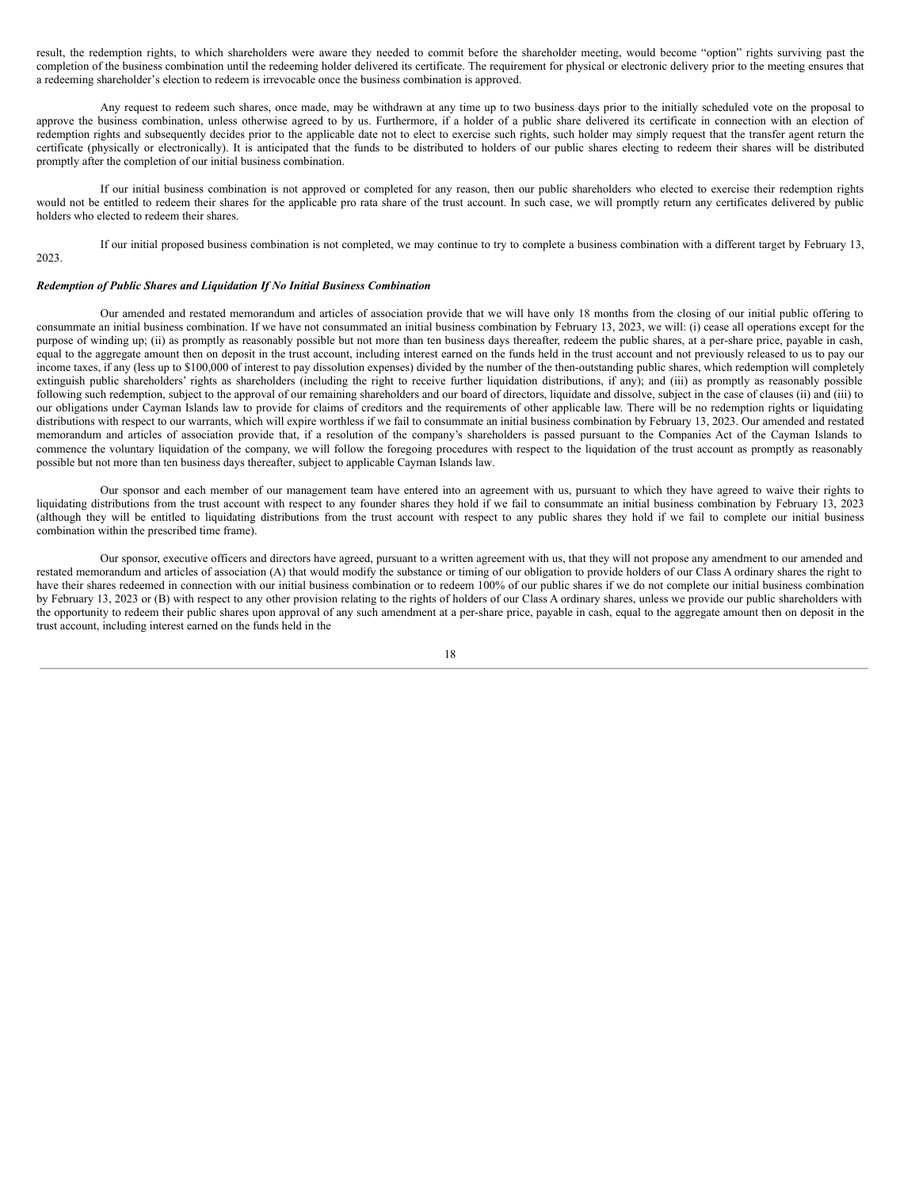result, the redemption rights, to which shareholders were aware they needed to commit before the shareholder meeting, would become "option" rights surviving past the completion of the business combination until the redeeming holder delivered its certificate. The requirement for physical or electronic delivery prior to the meeting ensures that a redeeming shareholder's election to redeem is irrevocable once the business combination is approved.

Any request to redeem such shares, once made, may be withdrawn at any time up to two business days prior to the initially scheduled vote on the proposal to approve the business combination, unless otherwise agreed to by us. Furthermore, if a holder of a public share delivered its certificate in connection with an election of redemption rights and subsequently decides prior to the applicable date not to elect to exercise such rights, such holder may simply request that the transfer agent return the certificate (physically or electronically). It is anticipated that the funds to be distributed to holders of our public shares electing to redeem their shares will be distributed promptly after the completion of our initial business combination.

If our initial business combination is not approved or completed for any reason, then our public shareholders who elected to exercise their redemption rights would not be entitled to redeem their shares for the applicable pro rata share of the trust account. In such case, we will promptly return any certificates delivered by public holders who elected to redeem their shares.

If our initial proposed business combination is not completed, we may continue to try to complete a business combination with a different target by February 13,

# *Redemption of Public Shares and Liquidation If No Initial Business Combination*

2023.

Our amended and restated memorandum and articles of association provide that we will have only 18 months from the closing of our initial public offering to consummate an initial business combination. If we have not consummated an initial business combination by February 13, 2023, we will: (i) cease all operations except for the purpose of winding up; (ii) as promptly as reasonably possible but not more than ten business days thereafter, redeem the public shares, at a per-share price, payable in cash, equal to the aggregate amount then on deposit in the trust account, including interest earned on the funds held in the trust account and not previously released to us to pay our income taxes, if any (less up to \$100,000 of interest to pay dissolution expenses) divided by the number of the then-outstanding public shares, which redemption will completely extinguish public shareholders' rights as shareholders (including the right to receive further liquidation distributions, if any); and (iii) as promptly as reasonably possible following such redemption, subject to the approval of our remaining shareholders and our board of directors, liquidate and dissolve, subject in the case of clauses (ii) and (iii) to our obligations under Cayman Islands law to provide for claims of creditors and the requirements of other applicable law. There will be no redemption rights or liquidating distributions with respect to our warrants, which will expire worthless if we fail to consummate an initial business combination by February 13, 2023. Our amended and restated memorandum and articles of association provide that, if a resolution of the company's shareholders is passed pursuant to the Companies Act of the Cayman Islands to commence the voluntary liquidation of the company, we will follow the foregoing procedures with respect to the liquidation of the trust account as promptly as reasonably possible but not more than ten business days thereafter, subject to applicable Cayman Islands law.

Our sponsor and each member of our management team have entered into an agreement with us, pursuant to which they have agreed to waive their rights to liquidating distributions from the trust account with respect to any founder shares they hold if we fail to consummate an initial business combination by February 13, 2023 (although they will be entitled to liquidating distributions from the trust account with respect to any public shares they hold if we fail to complete our initial business combination within the prescribed time frame).

Our sponsor, executive officers and directors have agreed, pursuant to a written agreement with us, that they will not propose any amendment to our amended and restated memorandum and articles of association (A) that would modify the substance or timing of our obligation to provide holders of our Class A ordinary shares the right to have their shares redeemed in connection with our initial business combination or to redeem 100% of our public shares if we do not complete our initial business combination by February 13, 2023 or (B) with respect to any other provision relating to the rights of holders of our Class A ordinary shares, unless we provide our public shareholders with the opportunity to redeem their public shares upon approval of any such amendment at a per-share price, payable in cash, equal to the aggregate amount then on deposit in the trust account, including interest earned on the funds held in the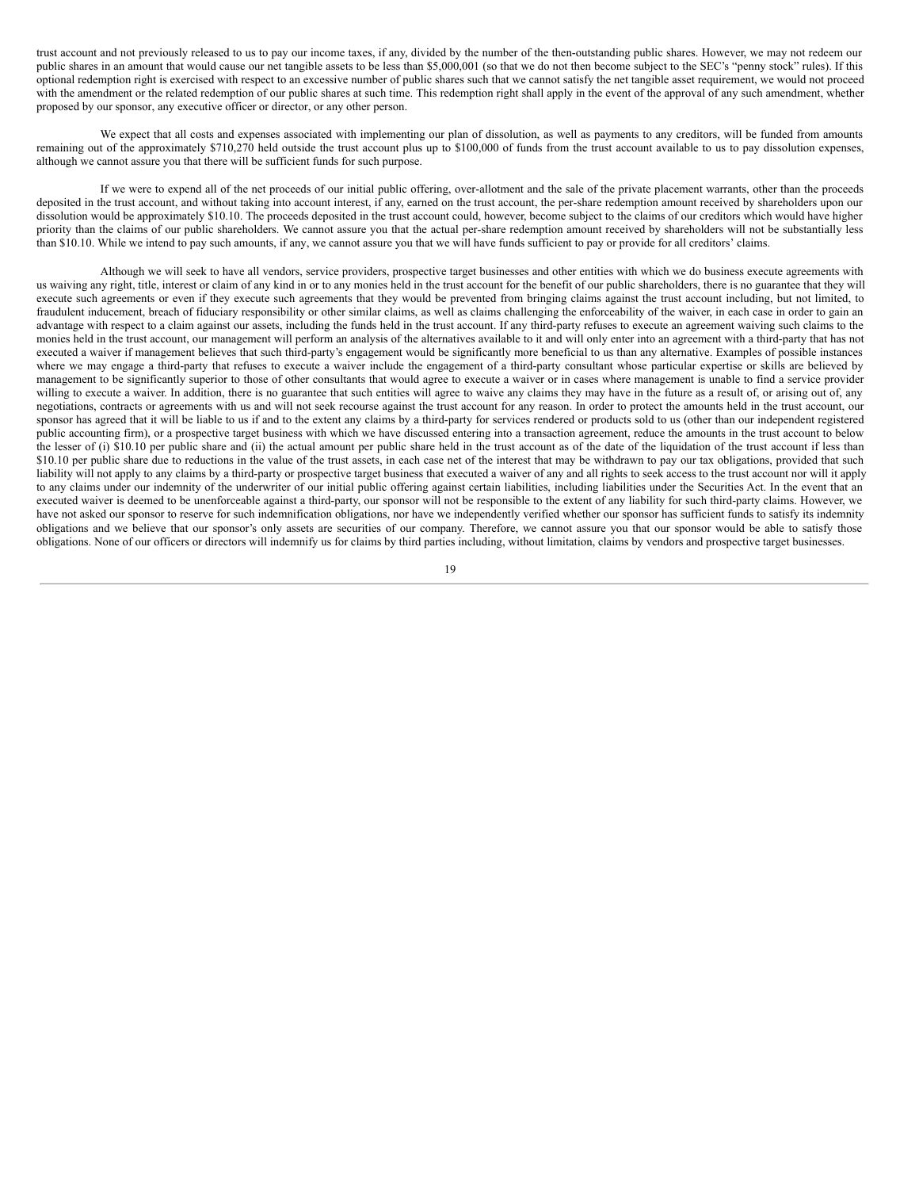trust account and not previously released to us to pay our income taxes, if any, divided by the number of the then-outstanding public shares. However, we may not redeem our public shares in an amount that would cause our net tangible assets to be less than \$5,000,001 (so that we do not then become subject to the SEC's "penny stock" rules). If this optional redemption right is exercised with respect to an excessive number of public shares such that we cannot satisfy the net tangible asset requirement, we would not proceed with the amendment or the related redemption of our public shares at such time. This redemption right shall apply in the event of the approval of any such amendment, whether proposed by our sponsor, any executive officer or director, or any other person.

We expect that all costs and expenses associated with implementing our plan of dissolution, as well as payments to any creditors, will be funded from amounts remaining out of the approximately \$710,270 held outside the trust account plus up to \$100,000 of funds from the trust account available to us to pay dissolution expenses, although we cannot assure you that there will be sufficient funds for such purpose.

If we were to expend all of the net proceeds of our initial public offering, over-allotment and the sale of the private placement warrants, other than the proceeds deposited in the trust account, and without taking into account interest, if any, earned on the trust account, the per-share redemption amount received by shareholders upon our dissolution would be approximately \$10.10. The proceeds deposited in the trust account could, however, become subject to the claims of our creditors which would have higher priority than the claims of our public shareholders. We cannot assure you that the actual per-share redemption amount received by shareholders will not be substantially less than \$10.10. While we intend to pay such amounts, if any, we cannot assure you that we will have funds sufficient to pay or provide for all creditors' claims.

Although we will seek to have all vendors, service providers, prospective target businesses and other entities with which we do business execute agreements with us waiving any right, title, interest or claim of any kind in or to any monies held in the trust account for the benefit of our public shareholders, there is no guarantee that they will execute such agreements or even if they execute such agreements that they would be prevented from bringing claims against the trust account including, but not limited, to fraudulent inducement, breach of fiduciary responsibility or other similar claims, as well as claims challenging the enforceability of the waiver, in each case in order to gain an advantage with respect to a claim against our assets, including the funds held in the trust account. If any third-party refuses to execute an agreement waiving such claims to the monies held in the trust account, our management will perform an analysis of the alternatives available to it and will only enter into an agreement with a third-party that has not executed a waiver if management believes that such third-party's engagement would be significantly more beneficial to us than any alternative. Examples of possible instances where we may engage a third-party that refuses to execute a waiver include the engagement of a third-party consultant whose particular expertise or skills are believed by management to be significantly superior to those of other consultants that would agree to execute a waiver or in cases where management is unable to find a service provider willing to execute a waiver. In addition, there is no guarantee that such entities will agree to waive any claims they may have in the future as a result of, or arising out of, any negotiations, contracts or agreements with us and will not seek recourse against the trust account for any reason. In order to protect the amounts held in the trust account, our sponsor has agreed that it will be liable to us if and to the extent any claims by a third-party for services rendered or products sold to us (other than our independent registered public accounting firm), or a prospective target business with which we have discussed entering into a transaction agreement, reduce the amounts in the trust account to below the lesser of (i) \$10.10 per public share and (ii) the actual amount per public share held in the trust account as of the date of the liquidation of the trust account if less than \$10.10 per public share due to reductions in the value of the trust assets, in each case net of the interest that may be withdrawn to pay our tax obligations, provided that such liability will not apply to any claims by a third-party or prospective target business that executed a waiver of any and all rights to seek access to the trust account nor will it apply to any claims under our indemnity of the underwriter of our initial public offering against certain liabilities, including liabilities under the Securities Act. In the event that an executed waiver is deemed to be unenforceable against a third-party, our sponsor will not be responsible to the extent of any liability for such third-party claims. However, we have not asked our sponsor to reserve for such indemnification obligations, nor have we independently verified whether our sponsor has sufficient funds to satisfy its indemnity obligations and we believe that our sponsor's only assets are securities of our company. Therefore, we cannot assure you that our sponsor would be able to satisfy those obligations. None of our officers or directors will indemnify us for claims by third parties including, without limitation, claims by vendors and prospective target businesses.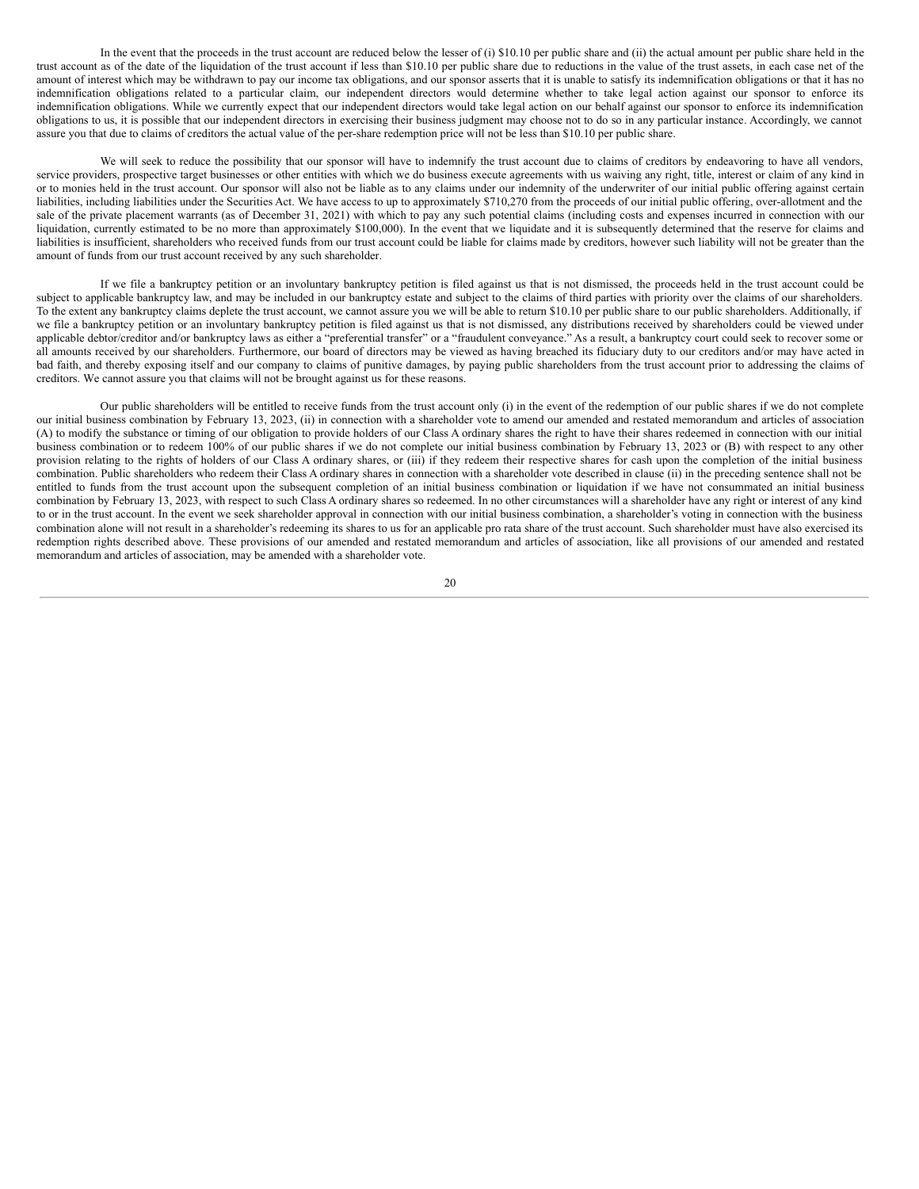In the event that the proceeds in the trust account are reduced below the lesser of (i) \$10.10 per public share and (ii) the actual amount per public share held in the trust account as of the date of the liquidation of the trust account if less than \$10.10 per public share due to reductions in the value of the trust assets, in each case net of the amount of interest which may be withdrawn to pay our income tax obligations, and our sponsor asserts that it is unable to satisfy its indemnification obligations or that it has no indemnification obligations related to a particular claim, our independent directors would determine whether to take legal action against our sponsor to enforce its indemnification obligations. While we currently expect that our independent directors would take legal action on our behalf against our sponsor to enforce its indemnification obligations to us, it is possible that our independent directors in exercising their business judgment may choose not to do so in any particular instance. Accordingly, we cannot assure you that due to claims of creditors the actual value of the per-share redemption price will not be less than \$10.10 per public share.

We will seek to reduce the possibility that our sponsor will have to indemnify the trust account due to claims of creditors by endeavoring to have all vendors, service providers, prospective target businesses or other entities with which we do business execute agreements with us waiving any right, title, interest or claim of any kind in or to monies held in the trust account. Our sponsor will also not be liable as to any claims under our indemnity of the underwriter of our initial public offering against certain liabilities, including liabilities under the Securities Act. We have access to up to approximately \$710,270 from the proceeds of our initial public offering, over-allotment and the sale of the private placement warrants (as of December 31, 2021) with which to pay any such potential claims (including costs and expenses incurred in connection with our liquidation, currently estimated to be no more than approximately \$100,000). In the event that we liquidate and it is subsequently determined that the reserve for claims and liabilities is insufficient, shareholders who received funds from our trust account could be liable for claims made by creditors, however such liability will not be greater than the amount of funds from our trust account received by any such shareholder.

If we file a bankruptcy petition or an involuntary bankruptcy petition is filed against us that is not dismissed, the proceeds held in the trust account could be subject to applicable bankruptcy law, and may be included in our bankruptcy estate and subject to the claims of third parties with priority over the claims of our shareholders. To the extent any bankruptcy claims deplete the trust account, we cannot assure you we will be able to return \$10.10 per public share to our public shareholders. Additionally, if we file a bankruptcy petition or an involuntary bankruptcy petition is filed against us that is not dismissed, any distributions received by shareholders could be viewed under applicable debtor/creditor and/or bankruptcy laws as either a "preferential transfer" or a "fraudulent conveyance." As a result, a bankruptcy court could seek to recover some or all amounts received by our shareholders. Furthermore, our board of directors may be viewed as having breached its fiduciary duty to our creditors and/or may have acted in bad faith, and thereby exposing itself and our company to claims of punitive damages, by paying public shareholders from the trust account prior to addressing the claims of creditors. We cannot assure you that claims will not be brought against us for these reasons.

Our public shareholders will be entitled to receive funds from the trust account only (i) in the event of the redemption of our public shares if we do not complete our initial business combination by February 13, 2023, (ii) in connection with a shareholder vote to amend our amended and restated memorandum and articles of association (A) to modify the substance or timing of our obligation to provide holders of our Class A ordinary shares the right to have their shares redeemed in connection with our initial business combination or to redeem 100% of our public shares if we do not complete our initial business combination by February 13, 2023 or (B) with respect to any other provision relating to the rights of holders of our Class A ordinary shares, or (iii) if they redeem their respective shares for cash upon the completion of the initial business combination. Public shareholders who redeem their Class A ordinary shares in connection with a shareholder vote described in clause (ii) in the preceding sentence shall not be entitled to funds from the trust account upon the subsequent completion of an initial business combination or liquidation if we have not consummated an initial business combination by February 13, 2023, with respect to such Class A ordinary shares so redeemed. In no other circumstances will a shareholder have any right or interest of any kind to or in the trust account. In the event we seek shareholder approval in connection with our initial business combination, a shareholder's voting in connection with the business combination alone will not result in a shareholder's redeeming its shares to us for an applicable pro rata share of the trust account. Such shareholder must have also exercised its redemption rights described above. These provisions of our amended and restated memorandum and articles of association, like all provisions of our amended and restated memorandum and articles of association, may be amended with a shareholder vote.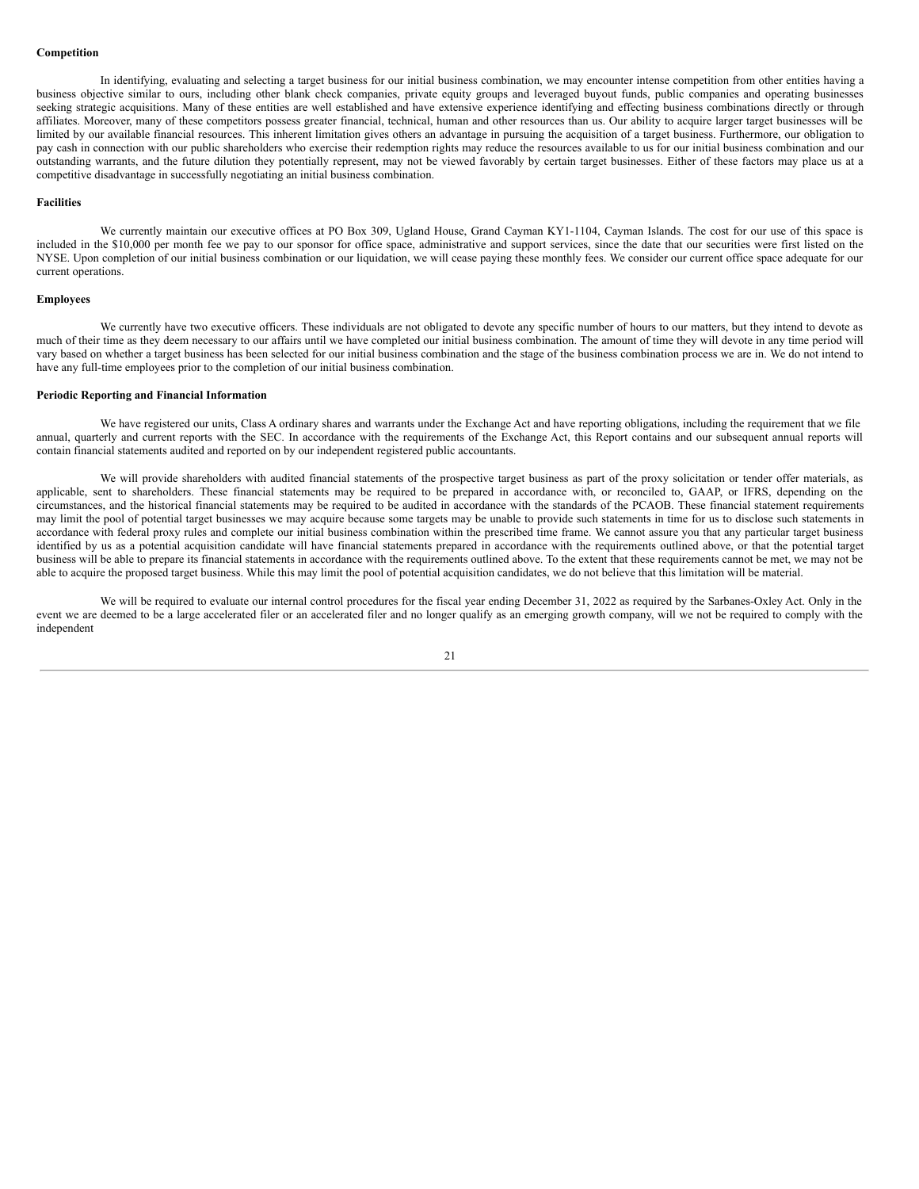#### **Competition**

In identifying, evaluating and selecting a target business for our initial business combination, we may encounter intense competition from other entities having a business objective similar to ours, including other blank check companies, private equity groups and leveraged buyout funds, public companies and operating businesses seeking strategic acquisitions. Many of these entities are well established and have extensive experience identifying and effecting business combinations directly or through affiliates. Moreover, many of these competitors possess greater financial, technical, human and other resources than us. Our ability to acquire larger target businesses will be limited by our available financial resources. This inherent limitation gives others an advantage in pursuing the acquisition of a target business. Furthermore, our obligation to pay cash in connection with our public shareholders who exercise their redemption rights may reduce the resources available to us for our initial business combination and our outstanding warrants, and the future dilution they potentially represent, may not be viewed favorably by certain target businesses. Either of these factors may place us at a competitive disadvantage in successfully negotiating an initial business combination.

#### **Facilities**

We currently maintain our executive offices at PO Box 309, Ugland House, Grand Cayman KY1-1104, Cayman Islands. The cost for our use of this space is included in the \$10,000 per month fee we pay to our sponsor for office space, administrative and support services, since the date that our securities were first listed on the NYSE. Upon completion of our initial business combination or our liquidation, we will cease paying these monthly fees. We consider our current office space adequate for our current operations.

#### **Employees**

We currently have two executive officers. These individuals are not obligated to devote any specific number of hours to our matters, but they intend to devote as much of their time as they deem necessary to our affairs until we have completed our initial business combination. The amount of time they will devote in any time period will vary based on whether a target business has been selected for our initial business combination and the stage of the business combination process we are in. We do not intend to have any full-time employees prior to the completion of our initial business combination.

#### **Periodic Reporting and Financial Information**

We have registered our units, Class A ordinary shares and warrants under the Exchange Act and have reporting obligations, including the requirement that we file annual, quarterly and current reports with the SEC. In accordance with the requirements of the Exchange Act, this Report contains and our subsequent annual reports will contain financial statements audited and reported on by our independent registered public accountants.

We will provide shareholders with audited financial statements of the prospective target business as part of the proxy solicitation or tender offer materials, as applicable, sent to shareholders. These financial statements may be required to be prepared in accordance with, or reconciled to, GAAP, or IFRS, depending on the circumstances, and the historical financial statements may be required to be audited in accordance with the standards of the PCAOB. These financial statement requirements may limit the pool of potential target businesses we may acquire because some targets may be unable to provide such statements in time for us to disclose such statements in accordance with federal proxy rules and complete our initial business combination within the prescribed time frame. We cannot assure you that any particular target business identified by us as a potential acquisition candidate will have financial statements prepared in accordance with the requirements outlined above, or that the potential target business will be able to prepare its financial statements in accordance with the requirements outlined above. To the extent that these requirements cannot be met, we may not be able to acquire the proposed target business. While this may limit the pool of potential acquisition candidates, we do not believe that this limitation will be material.

We will be required to evaluate our internal control procedures for the fiscal year ending December 31, 2022 as required by the Sarbanes-Oxley Act. Only in the event we are deemed to be a large accelerated filer or an accelerated filer and no longer qualify as an emerging growth company, will we not be required to comply with the independent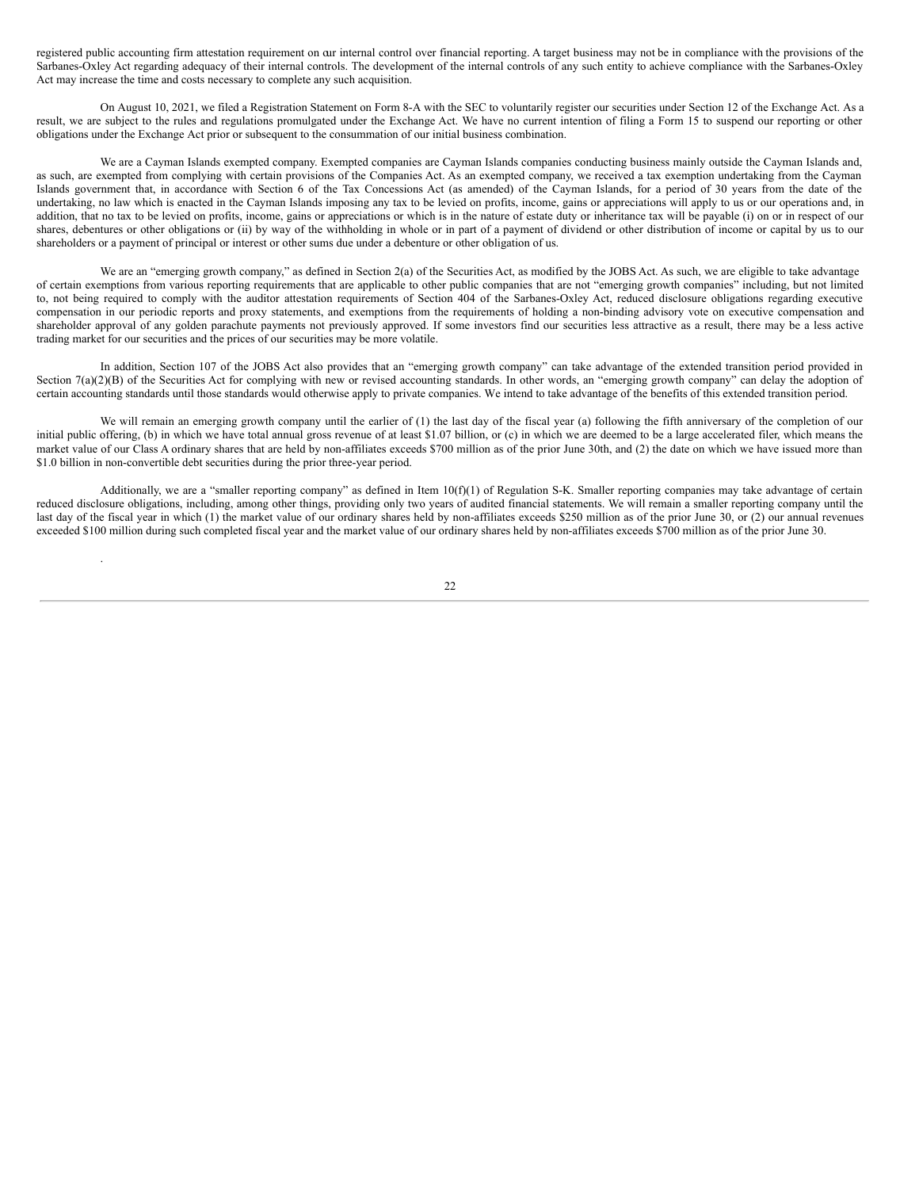registered public accounting firm attestation requirement on our internal control over financial reporting. A target business may not be in compliance with the provisions of the Sarbanes-Oxley Act regarding adequacy of their internal controls. The development of the internal controls of any such entity to achieve compliance with the Sarbanes-Oxley Act may increase the time and costs necessary to complete any such acquisition.

On August 10, 2021, we filed a Registration Statement on Form 8-A with the SEC to voluntarily register our securities under Section 12 of the Exchange Act. As a result, we are subject to the rules and regulations promulgated under the Exchange Act. We have no current intention of filing a Form 15 to suspend our reporting or other obligations under the Exchange Act prior or subsequent to the consummation of our initial business combination.

We are a Cayman Islands exempted company. Exempted companies are Cayman Islands companies conducting business mainly outside the Cayman Islands and, as such, are exempted from complying with certain provisions of the Companies Act. As an exempted company, we received a tax exemption undertaking from the Cayman Islands government that, in accordance with Section 6 of the Tax Concessions Act (as amended) of the Cayman Islands, for a period of 30 years from the date of the undertaking, no law which is enacted in the Cayman Islands imposing any tax to be levied on profits, income, gains or appreciations will apply to us or our operations and, in addition, that no tax to be levied on profits, income, gains or appreciations or which is in the nature of estate duty or inheritance tax will be payable (i) on or in respect of our shares, debentures or other obligations or (ii) by way of the withholding in whole or in part of a payment of dividend or other distribution of income or capital by us to our shareholders or a payment of principal or interest or other sums due under a debenture or other obligation of us.

We are an "emerging growth company," as defined in Section 2(a) of the Securities Act, as modified by the JOBS Act. As such, we are eligible to take advantage of certain exemptions from various reporting requirements that are applicable to other public companies that are not "emerging growth companies" including, but not limited to, not being required to comply with the auditor attestation requirements of Section 404 of the Sarbanes-Oxley Act, reduced disclosure obligations regarding executive compensation in our periodic reports and proxy statements, and exemptions from the requirements of holding a non-binding advisory vote on executive compensation and shareholder approval of any golden parachute payments not previously approved. If some investors find our securities less attractive as a result, there may be a less active trading market for our securities and the prices of our securities may be more volatile.

In addition, Section 107 of the JOBS Act also provides that an "emerging growth company" can take advantage of the extended transition period provided in Section 7(a)(2)(B) of the Securities Act for complying with new or revised accounting standards. In other words, an "emerging growth company" can delay the adoption of certain accounting standards until those standards would otherwise apply to private companies. We intend to take advantage of the benefits of this extended transition period.

We will remain an emerging growth company until the earlier of (1) the last day of the fiscal year (a) following the fifth anniversary of the completion of our initial public offering, (b) in which we have total annual gross revenue of at least \$1.07 billion, or (c) in which we are deemed to be a large accelerated filer, which means the market value of our Class A ordinary shares that are held by non-affiliates exceeds \$700 million as of the prior June 30th, and (2) the date on which we have issued more than \$1.0 billion in non-convertible debt securities during the prior three-year period.

Additionally, we are a "smaller reporting company" as defined in Item  $10(f)(1)$  of Regulation S-K. Smaller reporting companies may take advantage of certain reduced disclosure obligations, including, among other things, providing only two years of audited financial statements. We will remain a smaller reporting company until the last day of the fiscal year in which (1) the market value of our ordinary shares held by non-affiliates exceeds \$250 million as of the prior June 30, or (2) our annual revenues exceeded \$100 million during such completed fiscal year and the market value of our ordinary shares held by non-affiliates exceeds \$700 million as of the prior June 30.

22

.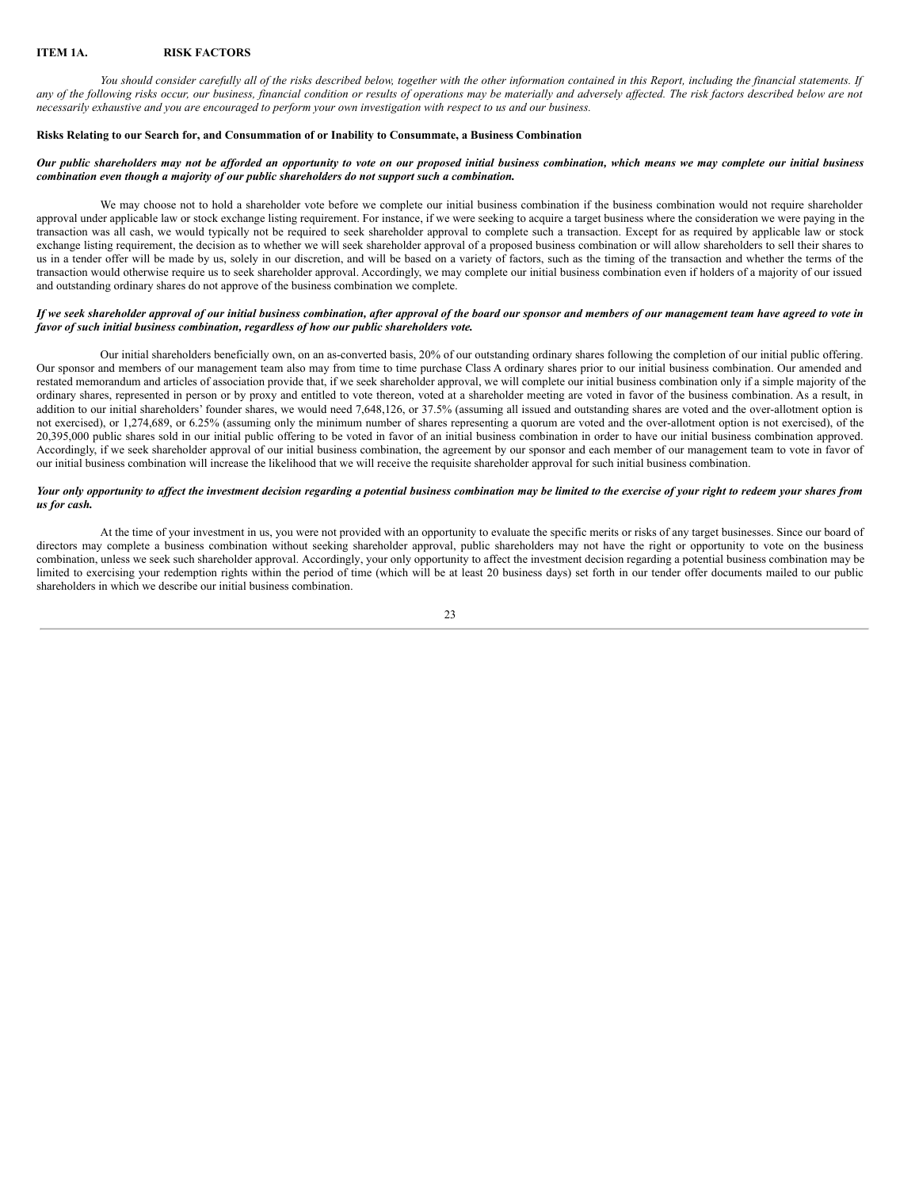# <span id="page-24-0"></span>**ITEM 1A. RISK FACTORS**

You should consider carefully all of the risks described below, together with the other information contained in this Report, including the financial statements. If any of the following risks occur, our business, financial condition or results of operations may be materially and adversely affected. The risk factors described below are not necessarily exhaustive and you are encouraged to perform your own investigation with respect to us and our business.

#### **Risks Relating to our Search for, and Consummation of or Inability to Consummate, a Business Combination**

#### Our public shareholders may not be afforded an opportunity to vote on our proposed initial business combination, which means we may complete our initial business *combination even though a majority of our public shareholders do not support such a combination.*

We may choose not to hold a shareholder vote before we complete our initial business combination if the business combination would not require shareholder approval under applicable law or stock exchange listing requirement. For instance, if we were seeking to acquire a target business where the consideration we were paying in the transaction was all cash, we would typically not be required to seek shareholder approval to complete such a transaction. Except for as required by applicable law or stock exchange listing requirement, the decision as to whether we will seek shareholder approval of a proposed business combination or will allow shareholders to sell their shares to us in a tender offer will be made by us, solely in our discretion, and will be based on a variety of factors, such as the timing of the transaction and whether the terms of the transaction would otherwise require us to seek shareholder approval. Accordingly, we may complete our initial business combination even if holders of a majority of our issued and outstanding ordinary shares do not approve of the business combination we complete.

#### If we seek shareholder approval of our initial business combination, after approval of the board our sponsor and members of our management team have agreed to vote in *favor of such initial business combination, regardless of how our public shareholders vote.*

Our initial shareholders beneficially own, on an as-converted basis, 20% of our outstanding ordinary shares following the completion of our initial public offering. Our sponsor and members of our management team also may from time to time purchase Class A ordinary shares prior to our initial business combination. Our amended and restated memorandum and articles of association provide that, if we seek shareholder approval, we will complete our initial business combination only if a simple majority of the ordinary shares, represented in person or by proxy and entitled to vote thereon, voted at a shareholder meeting are voted in favor of the business combination. As a result, in addition to our initial shareholders' founder shares, we would need 7,648,126, or 37.5% (assuming all issued and outstanding shares are voted and the over-allotment option is not exercised), or 1,274,689, or 6.25% (assuming only the minimum number of shares representing a quorum are voted and the over-allotment option is not exercised), of the 20,395,000 public shares sold in our initial public offering to be voted in favor of an initial business combination in order to have our initial business combination approved. Accordingly, if we seek shareholder approval of our initial business combination, the agreement by our sponsor and each member of our management team to vote in favor of our initial business combination will increase the likelihood that we will receive the requisite shareholder approval for such initial business combination.

#### Your only opportunity to affect the investment decision regarding a potential business combination may be limited to the exercise of your right to redeem your shares from *us for cash.*

At the time of your investment in us, you were not provided with an opportunity to evaluate the specific merits or risks of any target businesses. Since our board of directors may complete a business combination without seeking shareholder approval, public shareholders may not have the right or opportunity to vote on the business combination, unless we seek such shareholder approval. Accordingly, your only opportunity to affect the investment decision regarding a potential business combination may be limited to exercising your redemption rights within the period of time (which will be at least 20 business days) set forth in our tender offer documents mailed to our public shareholders in which we describe our initial business combination.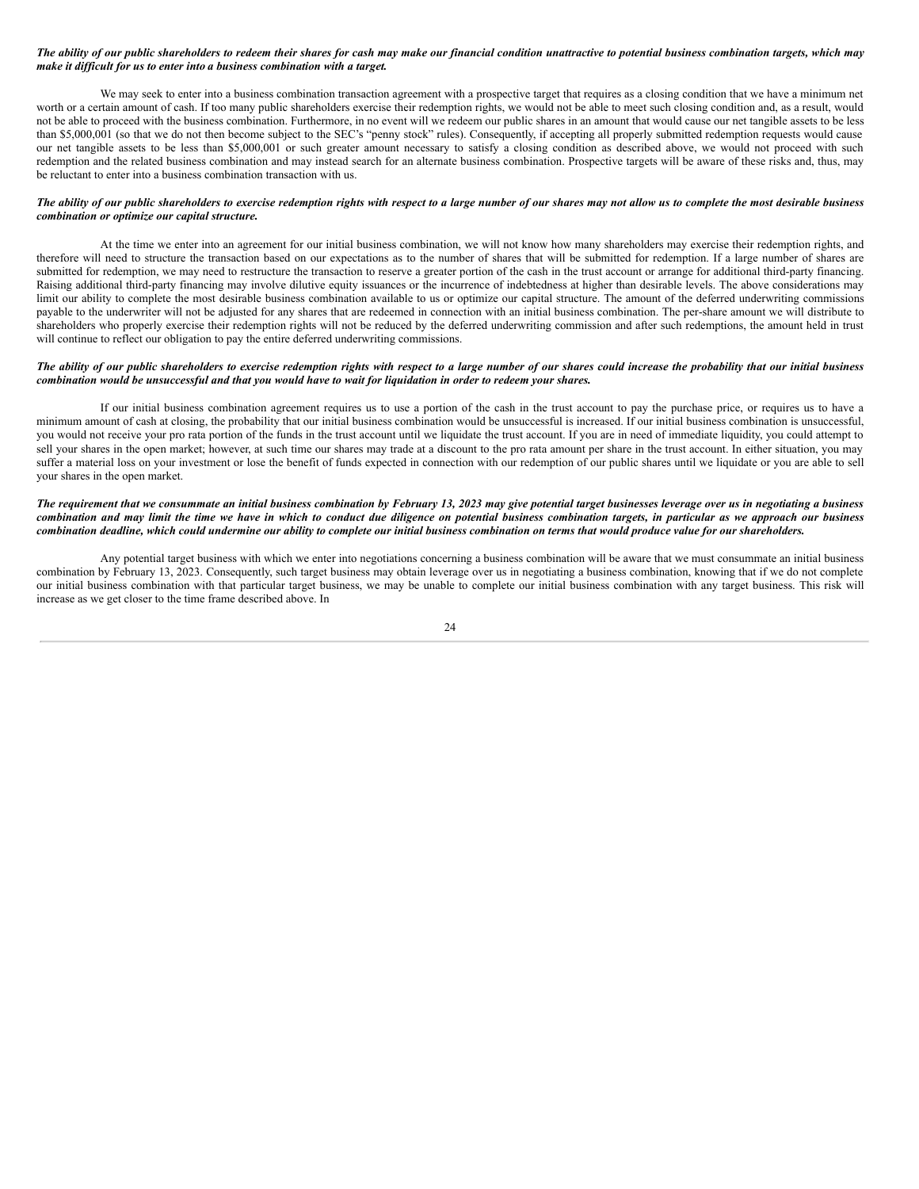#### The ability of our public shareholders to redeem their shares for cash may make our financial condition unattractive to potential business combination targets, which may *make it dif icult for us to enter into a business combination with a target.*

We may seek to enter into a business combination transaction agreement with a prospective target that requires as a closing condition that we have a minimum net worth or a certain amount of cash. If too many public shareholders exercise their redemption rights, we would not be able to meet such closing condition and, as a result, would not be able to proceed with the business combination. Furthermore, in no event will we redeem our public shares in an amount that would cause our net tangible assets to be less than \$5,000,001 (so that we do not then become subject to the SEC's "penny stock" rules). Consequently, if accepting all properly submitted redemption requests would cause our net tangible assets to be less than \$5,000,001 or such greater amount necessary to satisfy a closing condition as described above, we would not proceed with such redemption and the related business combination and may instead search for an alternate business combination. Prospective targets will be aware of these risks and, thus, may be reluctant to enter into a business combination transaction with us.

#### The ability of our public shareholders to exercise redemption rights with respect to a large number of our shares may not allow us to complete the most desirable business *combination or optimize our capital structure.*

At the time we enter into an agreement for our initial business combination, we will not know how many shareholders may exercise their redemption rights, and therefore will need to structure the transaction based on our expectations as to the number of shares that will be submitted for redemption. If a large number of shares are submitted for redemption, we may need to restructure the transaction to reserve a greater portion of the cash in the trust account or arrange for additional third-party financing. Raising additional third-party financing may involve dilutive equity issuances or the incurrence of indebtedness at higher than desirable levels. The above considerations may limit our ability to complete the most desirable business combination available to us or optimize our capital structure. The amount of the deferred underwriting commissions payable to the underwriter will not be adjusted for any shares that are redeemed in connection with an initial business combination. The per-share amount we will distribute to shareholders who properly exercise their redemption rights will not be reduced by the deferred underwriting commission and after such redemptions, the amount held in trust will continue to reflect our obligation to pay the entire deferred underwriting commissions.

#### The ability of our public shareholders to exercise redemption rights with respect to a large number of our shares could increase the probability that our initial business combination would be unsuccessful and that you would have to wait for liquidation in order to redeem your shares.

If our initial business combination agreement requires us to use a portion of the cash in the trust account to pay the purchase price, or requires us to have a minimum amount of cash at closing, the probability that our initial business combination would be unsuccessful is increased. If our initial business combination is unsuccessful, you would not receive your pro rata portion of the funds in the trust account until we liquidate the trust account. If you are in need of immediate liquidity, you could attempt to sell your shares in the open market; however, at such time our shares may trade at a discount to the pro rata amount per share in the trust account. In either situation, you may suffer a material loss on your investment or lose the benefit of funds expected in connection with our redemption of our public shares until we liquidate or you are able to sell your shares in the open market.

#### The requirement that we consummate an initial business combination by February 13, 2023 may give potential target businesses leverage over us in negotiating a business combination and may limit the time we have in which to conduct due diligence on potential business combination targets, in particular as we approach our business combination deadline, which could undermine our ability to complete our initial business combination on terms that would produce value for our shareholders.

Any potential target business with which we enter into negotiations concerning a business combination will be aware that we must consummate an initial business combination by February 13, 2023. Consequently, such target business may obtain leverage over us in negotiating a business combination, knowing that if we do not complete our initial business combination with that particular target business, we may be unable to complete our initial business combination with any target business. This risk will increase as we get closer to the time frame described above. In

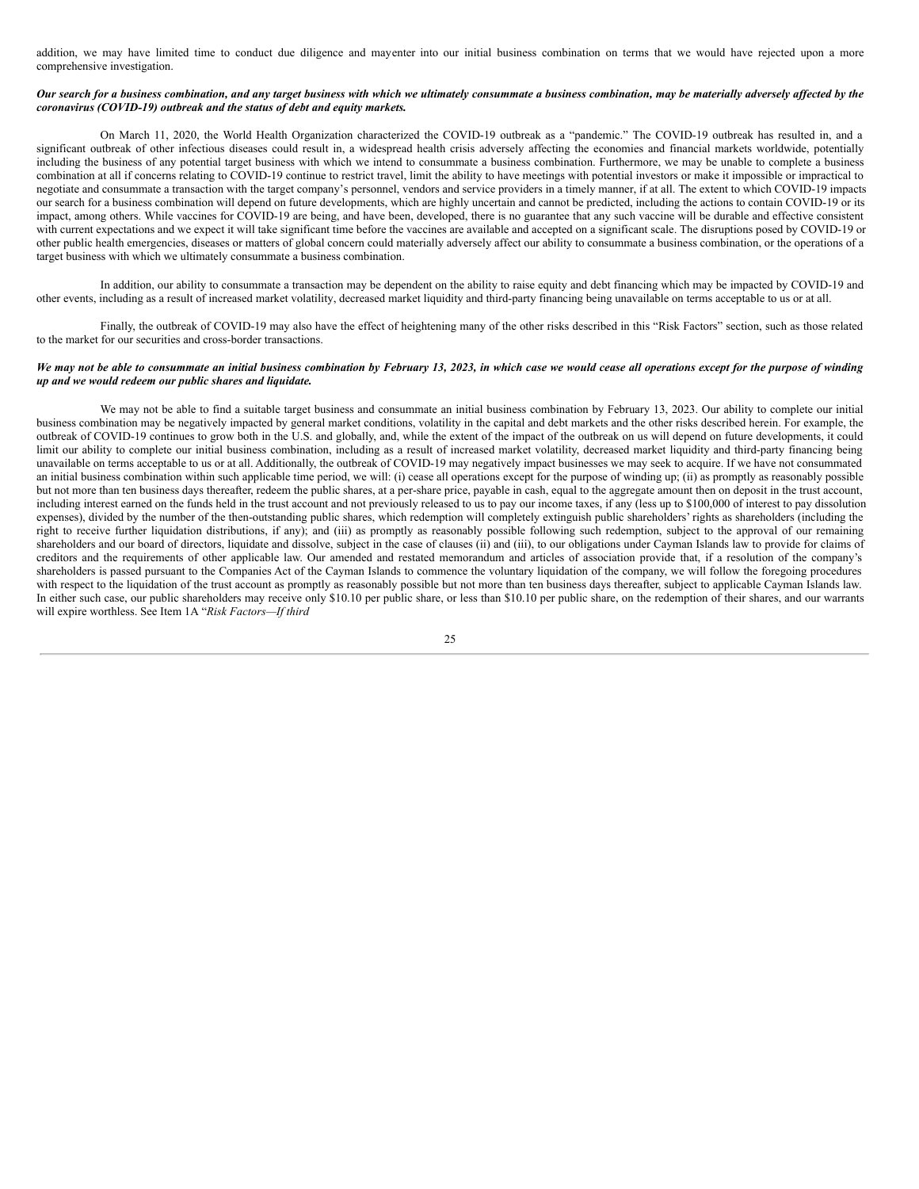addition, we may have limited time to conduct due diligence and mayenter into our initial business combination on terms that we would have rejected upon a more comprehensive investigation.

#### Our search for a business combination, and any target business with which we ultimately consummate a business combination, may be materially adversely affected by the *coronavirus (COVID-19) outbreak and the status of debt and equity markets.*

On March 11, 2020, the World Health Organization characterized the COVID-19 outbreak as a "pandemic." The COVID-19 outbreak has resulted in, and a significant outbreak of other infectious diseases could result in, a widespread health crisis adversely affecting the economies and financial markets worldwide, potentially including the business of any potential target business with which we intend to consummate a business combination. Furthermore, we may be unable to complete a business combination at all if concerns relating to COVID-19 continue to restrict travel, limit the ability to have meetings with potential investors or make it impossible or impractical to negotiate and consummate a transaction with the target company's personnel, vendors and service providers in a timely manner, if at all. The extent to which COVID-19 impacts our search for a business combination will depend on future developments, which are highly uncertain and cannot be predicted, including the actions to contain COVID-19 or its impact, among others. While vaccines for COVID-19 are being, and have been, developed, there is no guarantee that any such vaccine will be durable and effective consistent with current expectations and we expect it will take significant time before the vaccines are available and accepted on a significant scale. The disruptions posed by COVID-19 or other public health emergencies, diseases or matters of global concern could materially adversely affect our ability to consummate a business combination, or the operations of a target business with which we ultimately consummate a business combination.

In addition, our ability to consummate a transaction may be dependent on the ability to raise equity and debt financing which may be impacted by COVID-19 and other events, including as a result of increased market volatility, decreased market liquidity and third-party financing being unavailable on terms acceptable to us or at all.

Finally, the outbreak of COVID-19 may also have the effect of heightening many of the other risks described in this "Risk Factors" section, such as those related to the market for our securities and cross-border transactions.

#### We may not be able to consummate an initial business combination by February 13, 2023, in which case we would cease all operations except for the purpose of winding *up and we would redeem our public shares and liquidate.*

We may not be able to find a suitable target business and consummate an initial business combination by February 13, 2023. Our ability to complete our initial business combination may be negatively impacted by general market conditions, volatility in the capital and debt markets and the other risks described herein. For example, the outbreak of COVID-19 continues to grow both in the U.S. and globally, and, while the extent of the impact of the outbreak on us will depend on future developments, it could limit our ability to complete our initial business combination, including as a result of increased market volatility, decreased market liquidity and third-party financing being unavailable on terms acceptable to us or at all. Additionally, the outbreak of COVID-19 may negatively impact businesses we may seek to acquire. If we have not consummated an initial business combination within such applicable time period, we will: (i) cease all operations except for the purpose of winding up; (ii) as promptly as reasonably possible but not more than ten business days thereafter, redeem the public shares, at a per-share price, payable in cash, equal to the aggregate amount then on deposit in the trust account, including interest earned on the funds held in the trust account and not previously released to us to pay our income taxes, if any (less up to \$100,000 of interest to pay dissolution expenses), divided by the number of the then-outstanding public shares, which redemption will completely extinguish public shareholders' rights as shareholders (including the right to receive further liquidation distributions, if any); and (iii) as promptly as reasonably possible following such redemption, subject to the approval of our remaining shareholders and our board of directors, liquidate and dissolve, subject in the case of clauses (ii) and (iii), to our obligations under Cayman Islands law to provide for claims of creditors and the requirements of other applicable law. Our amended and restated memorandum and articles of association provide that, if a resolution of the company's shareholders is passed pursuant to the Companies Act of the Cayman Islands to commence the voluntary liquidation of the company, we will follow the foregoing procedures with respect to the liquidation of the trust account as promptly as reasonably possible but not more than ten business days thereafter, subject to applicable Cayman Islands law. In either such case, our public shareholders may receive only \$10.10 per public share, or less than \$10.10 per public share, on the redemption of their shares, and our warrants will expire worthless. See Item 1A "*Risk Factors—If third*

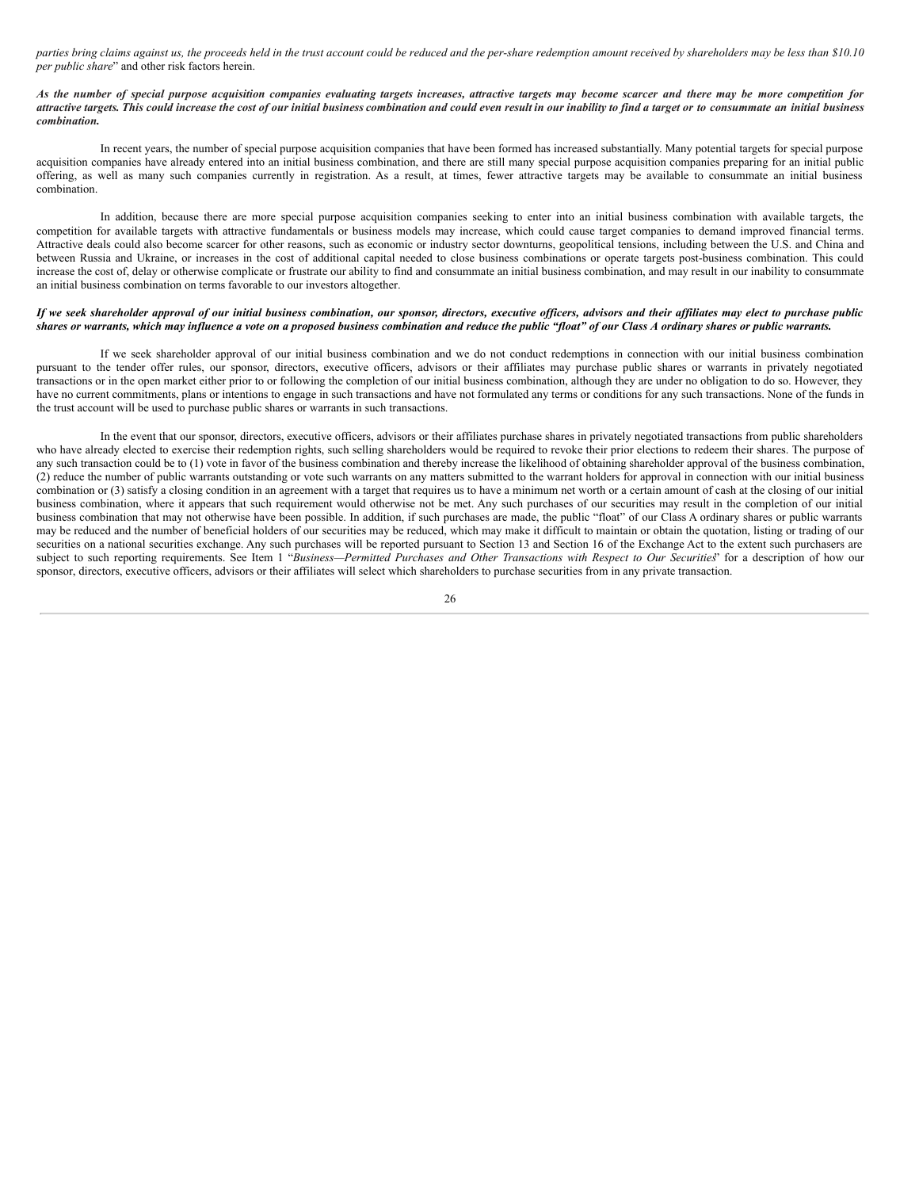parties bring claims against us, the proceeds held in the trust account could be reduced and the per-share redemption amount received by shareholders may be less than \$10.10 *per public share*" and other risk factors herein.

#### As the number of special purpose acquisition companies evaluating targets increases, attractive targets may become scarcer and there may be more competition for attractive targets. This could increase the cost of our initial business combination and could even result in our inability to find a target or to consummate an initial business *combination.*

In recent years, the number of special purpose acquisition companies that have been formed has increased substantially. Many potential targets for special purpose acquisition companies have already entered into an initial business combination, and there are still many special purpose acquisition companies preparing for an initial public offering, as well as many such companies currently in registration. As a result, at times, fewer attractive targets may be available to consummate an initial business combination.

In addition, because there are more special purpose acquisition companies seeking to enter into an initial business combination with available targets, the competition for available targets with attractive fundamentals or business models may increase, which could cause target companies to demand improved financial terms. Attractive deals could also become scarcer for other reasons, such as economic or industry sector downturns, geopolitical tensions, including between the U.S. and China and between Russia and Ukraine, or increases in the cost of additional capital needed to close business combinations or operate targets post-business combination. This could increase the cost of, delay or otherwise complicate or frustrate our ability to find and consummate an initial business combination, and may result in our inability to consummate an initial business combination on terms favorable to our investors altogether.

#### If we seek shareholder approval of our initial business combination, our sponsor, directors, executive officers, advisors and their affiliates may elect to purchase public shares or warrants, which may influence a vote on a proposed business combination and reduce the public "float" of our Class A ordinary shares or public warrants.

If we seek shareholder approval of our initial business combination and we do not conduct redemptions in connection with our initial business combination pursuant to the tender offer rules, our sponsor, directors, executive officers, advisors or their affiliates may purchase public shares or warrants in privately negotiated transactions or in the open market either prior to or following the completion of our initial business combination, although they are under no obligation to do so. However, they have no current commitments, plans or intentions to engage in such transactions and have not formulated any terms or conditions for any such transactions. None of the funds in the trust account will be used to purchase public shares or warrants in such transactions.

In the event that our sponsor, directors, executive officers, advisors or their affiliates purchase shares in privately negotiated transactions from public shareholders who have already elected to exercise their redemption rights, such selling shareholders would be required to revoke their prior elections to redeem their shares. The purpose of any such transaction could be to (1) vote in favor of the business combination and thereby increase the likelihood of obtaining shareholder approval of the business combination, (2) reduce the number of public warrants outstanding or vote such warrants on any matters submitted to the warrant holders for approval in connection with our initial business combination or (3) satisfy a closing condition in an agreement with a target that requires us to have a minimum net worth or a certain amount of cash at the closing of our initial business combination, where it appears that such requirement would otherwise not be met. Any such purchases of our securities may result in the completion of our initial business combination that may not otherwise have been possible. In addition, if such purchases are made, the public "float" of our Class A ordinary shares or public warrants may be reduced and the number of beneficial holders of our securities may be reduced, which may make it difficult to maintain or obtain the quotation, listing or trading of our securities on a national securities exchange. Any such purchases will be reported pursuant to Section 13 and Section 16 of the Exchange Act to the extent such purchasers are subject to such reporting requirements. See Item 1 "Business—Permitted Purchases and Other Transactions with Respect to Our Securities" for a description of how our sponsor, directors, executive officers, advisors or their affiliates will select which shareholders to purchase securities from in any private transaction.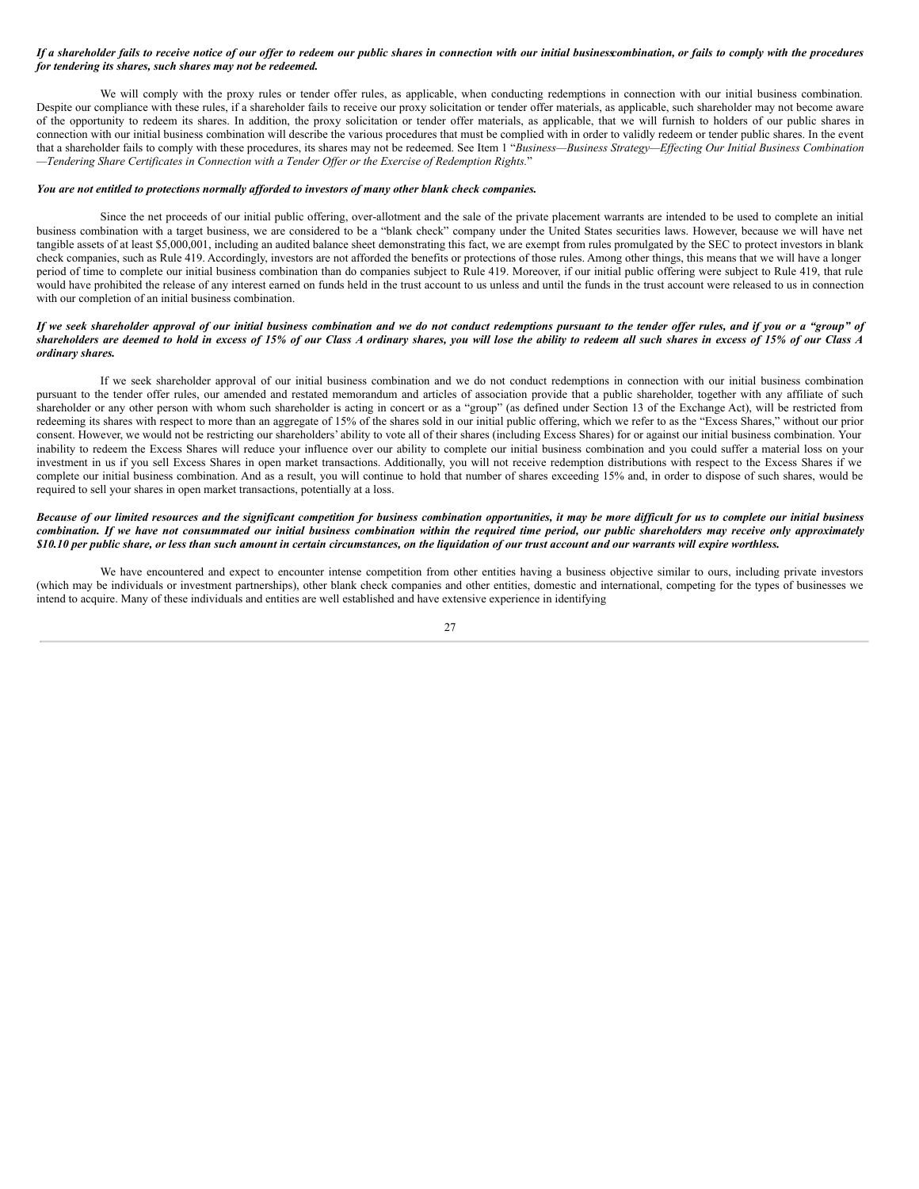## If a shareholder fails to receive notice of our offer to redeem our public shares in connection with our initial busines combination, or fails to comply with the procedures *for tendering its shares, such shares may not be redeemed.*

We will comply with the proxy rules or tender offer rules, as applicable, when conducting redemptions in connection with our initial business combination. Despite our compliance with these rules, if a shareholder fails to receive our proxy solicitation or tender offer materials, as applicable, such shareholder may not become aware of the opportunity to redeem its shares. In addition, the proxy solicitation or tender offer materials, as applicable, that we will furnish to holders of our public shares in connection with our initial business combination will describe the various procedures that must be complied with in order to validly redeem or tender public shares. In the event that a shareholder fails to comply with these procedures, its shares may not be redeemed. See Item 1 "Business-Business Strategy-Effecting Our Initial Business Combination *—Tendering Share Certificates in Connection with a Tender Of er or the Exercise of Redemption Rights.*"

#### *You are not entitled to protections normally af orded to investors of many other blank check companies.*

Since the net proceeds of our initial public offering, over-allotment and the sale of the private placement warrants are intended to be used to complete an initial business combination with a target business, we are considered to be a "blank check" company under the United States securities laws. However, because we will have net tangible assets of at least \$5,000,001, including an audited balance sheet demonstrating this fact, we are exempt from rules promulgated by the SEC to protect investors in blank check companies, such as Rule 419. Accordingly, investors are not afforded the benefits or protections of those rules. Among other things, this means that we will have a longer period of time to complete our initial business combination than do companies subject to Rule 419. Moreover, if our initial public offering were subject to Rule 419, that rule would have prohibited the release of any interest earned on funds held in the trust account to us unless and until the funds in the trust account were released to us in connection with our completion of an initial business combination.

#### If we seek shareholder approval of our initial business combination and we do not conduct redemptions pursuant to the tender offer rules, and if you or a "group" of shareholders are deemed to hold in excess of 15% of our Class A ordinary shares, you will lose the ability to redeem all such shares in excess of 15% of our Class A *ordinary shares.*

If we seek shareholder approval of our initial business combination and we do not conduct redemptions in connection with our initial business combination pursuant to the tender offer rules, our amended and restated memorandum and articles of association provide that a public shareholder, together with any affiliate of such shareholder or any other person with whom such shareholder is acting in concert or as a "group" (as defined under Section 13 of the Exchange Act), will be restricted from redeeming its shares with respect to more than an aggregate of 15% of the shares sold in our initial public offering, which we refer to as the "Excess Shares," without our prior consent. However, we would not be restricting our shareholders' ability to vote all of their shares (including Excess Shares) for or against our initial business combination. Your inability to redeem the Excess Shares will reduce your influence over our ability to complete our initial business combination and you could suffer a material loss on your investment in us if you sell Excess Shares in open market transactions. Additionally, you will not receive redemption distributions with respect to the Excess Shares if we complete our initial business combination. And as a result, you will continue to hold that number of shares exceeding 15% and, in order to dispose of such shares, would be required to sell your shares in open market transactions, potentially at a loss.

#### Because of our limited resources and the significant competition for business combination opportunities, it may be more difficult for us to complete our initial business combination. If we have not consummated our initial business combination within the required time period, our public shareholders may receive only approximately \$10.10 per public share, or less than such amount in certain circumstances, on the liquidation of our trust account and our warrants will expire worthless.

We have encountered and expect to encounter intense competition from other entities having a business objective similar to ours, including private investors (which may be individuals or investment partnerships), other blank check companies and other entities, domestic and international, competing for the types of businesses we intend to acquire. Many of these individuals and entities are well established and have extensive experience in identifying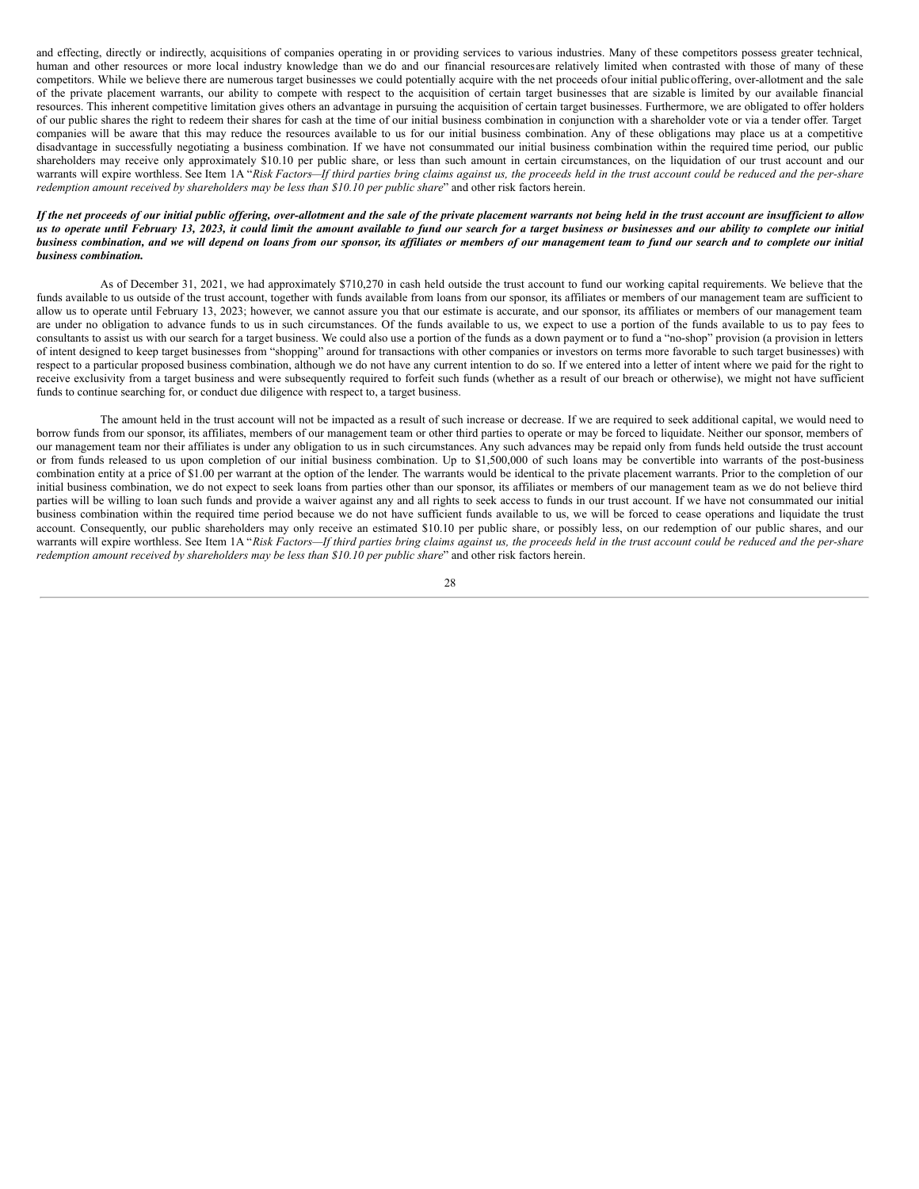and effecting, directly or indirectly, acquisitions of companies operating in or providing services to various industries. Many of these competitors possess greater technical, human and other resources or more local industry knowledge than we do and our financial resources are relatively limited when contrasted with those of many of these competitors. While we believe there are numerous target businesses we could potentially acquire with the net proceeds ofour initial publicoffering, over-allotment and the sale of the private placement warrants, our ability to compete with respect to the acquisition of certain target businesses that are sizable is limited by our available financial resources. This inherent competitive limitation gives others an advantage in pursuing the acquisition of certain target businesses. Furthermore, we are obligated to offer holders of our public shares the right to redeem their shares for cash at the time of our initial business combination in conjunction with a shareholder vote or via a tender offer. Target companies will be aware that this may reduce the resources available to us for our initial business combination. Any of these obligations may place us at a competitive disadvantage in successfully negotiating a business combination. If we have not consummated our initial business combination within the required time period, our public shareholders may receive only approximately \$10.10 per public share, or less than such amount in certain circumstances, on the liquidation of our trust account and our warrants will expire worthless. See Item 1A "Risk Factors-If third parties bring claims against us, the proceeds held in the trust account could be reduced and the per-share *redemption amount received by shareholders may be less than \$10.10 per public share*" and other risk factors herein.

#### If the net proceeds of our initial public offering, over-allotment and the sale of the private placement warrants not being held in the trust account are insufficient to allow us to operate until February 13, 2023, it could limit the amount available to fund our search for a target business or businesses and our ability to complete our initial business combination, and we will depend on loans from our sponsor, its affiliates or members of our management team to fund our search and to complete our initial *business combination.*

As of December 31, 2021, we had approximately \$710,270 in cash held outside the trust account to fund our working capital requirements. We believe that the funds available to us outside of the trust account, together with funds available from loans from our sponsor, its affiliates or members of our management team are sufficient to allow us to operate until February 13, 2023; however, we cannot assure you that our estimate is accurate, and our sponsor, its affiliates or members of our management team are under no obligation to advance funds to us in such circumstances. Of the funds available to us, we expect to use a portion of the funds available to us to pay fees to consultants to assist us with our search for a target business. We could also use a portion of the funds as a down payment or to fund a "no-shop" provision (a provision in letters of intent designed to keep target businesses from "shopping" around for transactions with other companies or investors on terms more favorable to such target businesses) with respect to a particular proposed business combination, although we do not have any current intention to do so. If we entered into a letter of intent where we paid for the right to receive exclusivity from a target business and were subsequently required to forfeit such funds (whether as a result of our breach or otherwise), we might not have sufficient funds to continue searching for, or conduct due diligence with respect to, a target business.

The amount held in the trust account will not be impacted as a result of such increase or decrease. If we are required to seek additional capital, we would need to borrow funds from our sponsor, its affiliates, members of our management team or other third parties to operate or may be forced to liquidate. Neither our sponsor, members of our management team nor their affiliates is under any obligation to us in such circumstances. Any such advances may be repaid only from funds held outside the trust account or from funds released to us upon completion of our initial business combination. Up to \$1,500,000 of such loans may be convertible into warrants of the post-business combination entity at a price of \$1.00 per warrant at the option of the lender. The warrants would be identical to the private placement warrants. Prior to the completion of our initial business combination, we do not expect to seek loans from parties other than our sponsor, its affiliates or members of our management team as we do not believe third parties will be willing to loan such funds and provide a waiver against any and all rights to seek access to funds in our trust account. If we have not consummated our initial business combination within the required time period because we do not have sufficient funds available to us, we will be forced to cease operations and liquidate the trust account. Consequently, our public shareholders may only receive an estimated \$10.10 per public share, or possibly less, on our redemption of our public shares, and our warrants will expire worthless. See Item 1A "Risk Factors-If third parties bring claims against us, the proceeds held in the trust account could be reduced and the per-share *redemption amount received by shareholders may be less than \$10.10 per public share*" and other risk factors herein.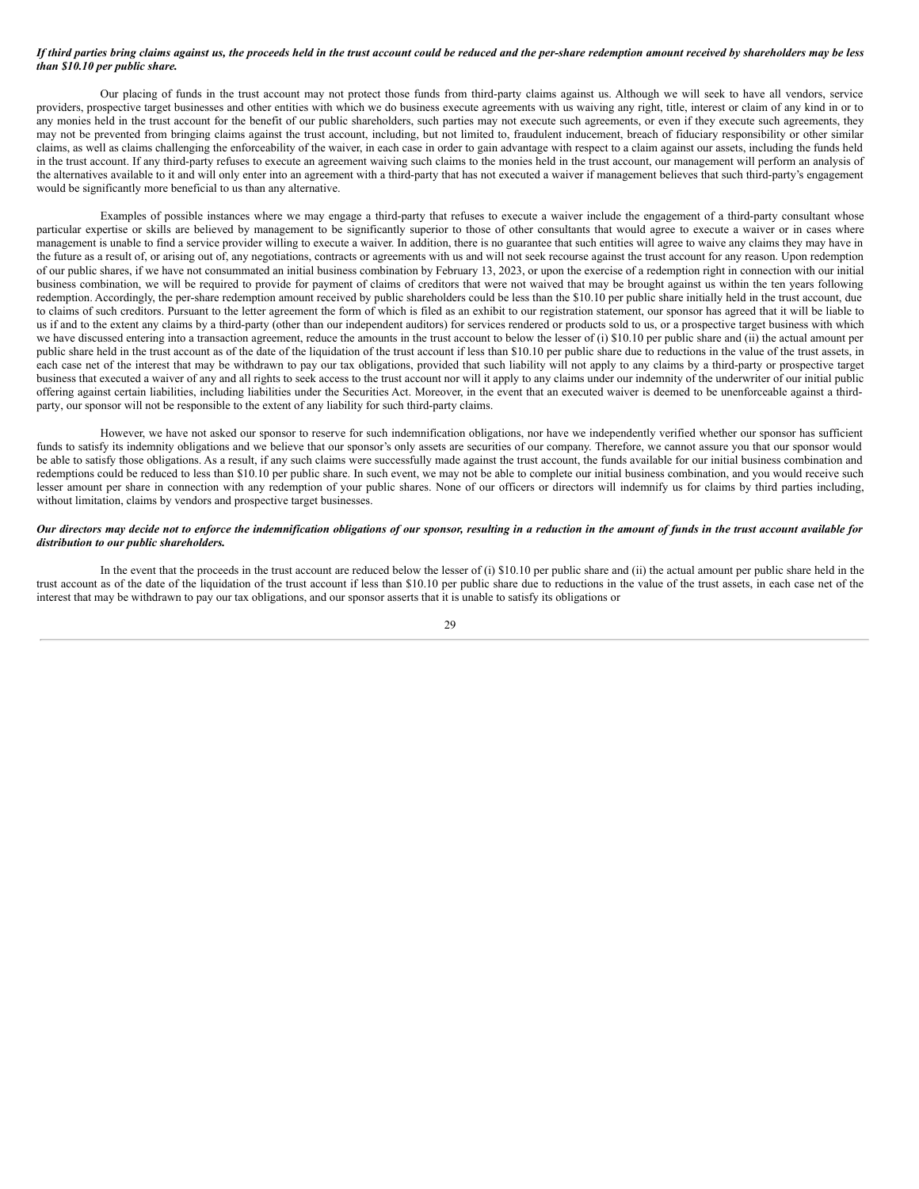#### If third parties bring claims against us, the proceeds held in the trust account could be reduced and the per-share redemption amount received by shareholders may be less *than \$10.10 per public share.*

Our placing of funds in the trust account may not protect those funds from third-party claims against us. Although we will seek to have all vendors, service providers, prospective target businesses and other entities with which we do business execute agreements with us waiving any right, title, interest or claim of any kind in or to any monies held in the trust account for the benefit of our public shareholders, such parties may not execute such agreements, or even if they execute such agreements, they may not be prevented from bringing claims against the trust account, including, but not limited to, fraudulent inducement, breach of fiduciary responsibility or other similar claims, as well as claims challenging the enforceability of the waiver, in each case in order to gain advantage with respect to a claim against our assets, including the funds held in the trust account. If any third-party refuses to execute an agreement waiving such claims to the monies held in the trust account, our management will perform an analysis of the alternatives available to it and will only enter into an agreement with a third-party that has not executed a waiver if management believes that such third-party's engagement would be significantly more beneficial to us than any alternative.

Examples of possible instances where we may engage a third-party that refuses to execute a waiver include the engagement of a third-party consultant whose particular expertise or skills are believed by management to be significantly superior to those of other consultants that would agree to execute a waiver or in cases where management is unable to find a service provider willing to execute a waiver. In addition, there is no guarantee that such entities will agree to waive any claims they may have in the future as a result of, or arising out of, any negotiations, contracts or agreements with us and will not seek recourse against the trust account for any reason. Upon redemption of our public shares, if we have not consummated an initial business combination by February 13, 2023, or upon the exercise of a redemption right in connection with our initial business combination, we will be required to provide for payment of claims of creditors that were not waived that may be brought against us within the ten years following redemption. Accordingly, the per-share redemption amount received by public shareholders could be less than the \$10.10 per public share initially held in the trust account, due to claims of such creditors. Pursuant to the letter agreement the form of which is filed as an exhibit to our registration statement, our sponsor has agreed that it will be liable to us if and to the extent any claims by a third-party (other than our independent auditors) for services rendered or products sold to us, or a prospective target business with which we have discussed entering into a transaction agreement, reduce the amounts in the trust account to below the lesser of (i) \$10.10 per public share and (ii) the actual amount per public share held in the trust account as of the date of the liquidation of the trust account if less than \$10.10 per public share due to reductions in the value of the trust assets, in each case net of the interest that may be withdrawn to pay our tax obligations, provided that such liability will not apply to any claims by a third-party or prospective target business that executed a waiver of any and all rights to seek access to the trust account nor will it apply to any claims under our indemnity of the underwriter of our initial public offering against certain liabilities, including liabilities under the Securities Act. Moreover, in the event that an executed waiver is deemed to be unenforceable against a thirdparty, our sponsor will not be responsible to the extent of any liability for such third-party claims.

However, we have not asked our sponsor to reserve for such indemnification obligations, nor have we independently verified whether our sponsor has sufficient funds to satisfy its indemnity obligations and we believe that our sponsor's only assets are securities of our company. Therefore, we cannot assure you that our sponsor would be able to satisfy those obligations. As a result, if any such claims were successfully made against the trust account, the funds available for our initial business combination and redemptions could be reduced to less than \$10.10 per public share. In such event, we may not be able to complete our initial business combination, and you would receive such lesser amount per share in connection with any redemption of your public shares. None of our officers or directors will indemnify us for claims by third parties including, without limitation, claims by vendors and prospective target businesses.

## Our directors may decide not to enforce the indemnification obligations of our sponsor, resulting in a reduction in the amount of funds in the trust account available for *distribution to our public shareholders.*

In the event that the proceeds in the trust account are reduced below the lesser of (i) \$10.10 per public share and (ii) the actual amount per public share held in the trust account as of the date of the liquidation of the trust account if less than \$10.10 per public share due to reductions in the value of the trust assets, in each case net of the interest that may be withdrawn to pay our tax obligations, and our sponsor asserts that it is unable to satisfy its obligations or

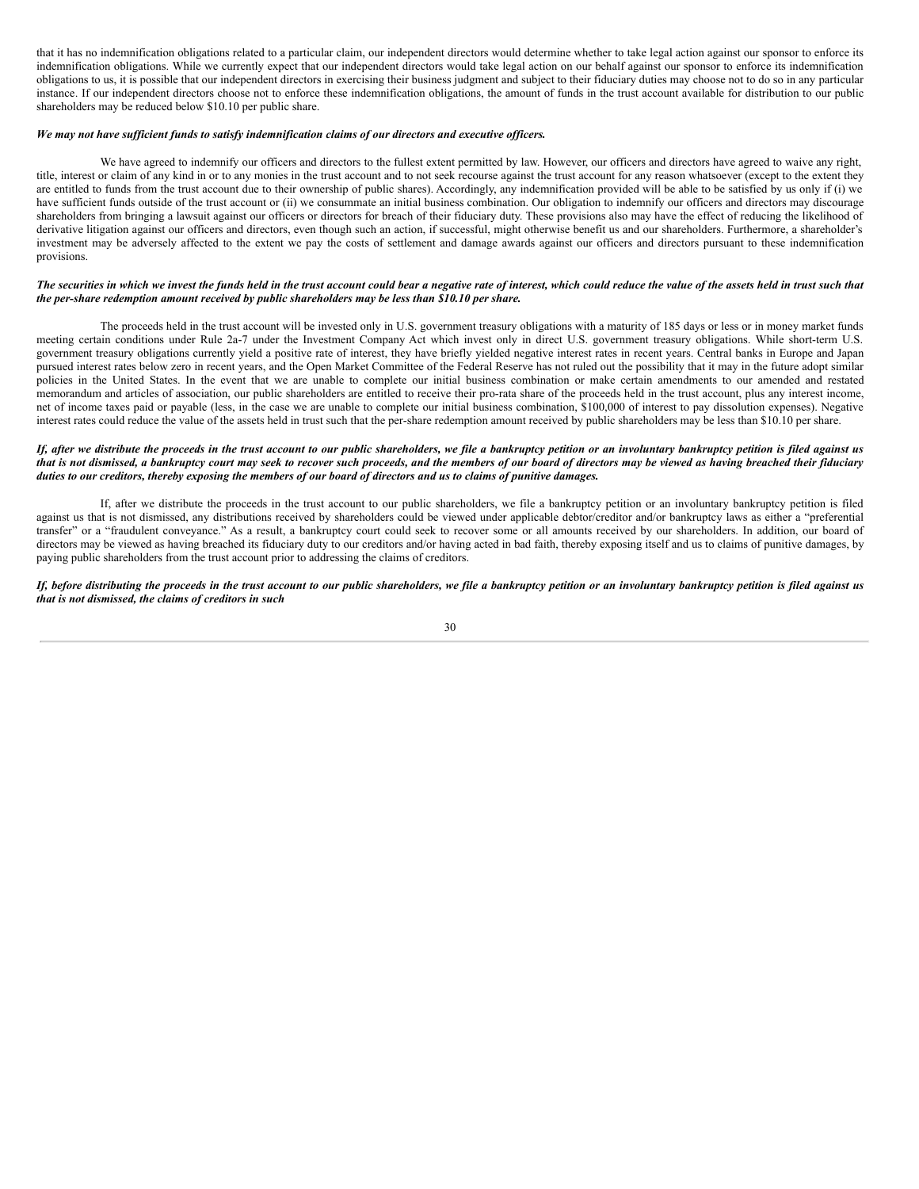that it has no indemnification obligations related to a particular claim, our independent directors would determine whether to take legal action against our sponsor to enforce its indemnification obligations. While we currently expect that our independent directors would take legal action on our behalf against our sponsor to enforce its indemnification obligations to us, it is possible that our independent directors in exercising their business judgment and subject to their fiduciary duties may choose not to do so in any particular instance. If our independent directors choose not to enforce these indemnification obligations, the amount of funds in the trust account available for distribution to our public shareholders may be reduced below \$10.10 per public share.

# We may not have sufficient funds to satisfy indemnification claims of our directors and executive officers.

We have agreed to indemnify our officers and directors to the fullest extent permitted by law. However, our officers and directors have agreed to waive any right, title, interest or claim of any kind in or to any monies in the trust account and to not seek recourse against the trust account for any reason whatsoever (except to the extent they are entitled to funds from the trust account due to their ownership of public shares). Accordingly, any indemnification provided will be able to be satisfied by us only if (i) we have sufficient funds outside of the trust account or (ii) we consummate an initial business combination. Our obligation to indemnify our officers and directors may discourage shareholders from bringing a lawsuit against our officers or directors for breach of their fiduciary duty. These provisions also may have the effect of reducing the likelihood of derivative litigation against our officers and directors, even though such an action, if successful, might otherwise benefit us and our shareholders. Furthermore, a shareholder's investment may be adversely affected to the extent we pay the costs of settlement and damage awards against our officers and directors pursuant to these indemnification provisions.

#### The securities in which we invest the funds held in the trust account could bear a negative rate of interest, which could reduce the value of the assets held in trust such that *the per-share redemption amount received by public shareholders may be less than \$10.10 per share.*

The proceeds held in the trust account will be invested only in U.S. government treasury obligations with a maturity of 185 days or less or in money market funds meeting certain conditions under Rule 2a-7 under the Investment Company Act which invest only in direct U.S. government treasury obligations. While short-term U.S. government treasury obligations currently yield a positive rate of interest, they have briefly yielded negative interest rates in recent years. Central banks in Europe and Japan pursued interest rates below zero in recent years, and the Open Market Committee of the Federal Reserve has not ruled out the possibility that it may in the future adopt similar policies in the United States. In the event that we are unable to complete our initial business combination or make certain amendments to our amended and restated memorandum and articles of association, our public shareholders are entitled to receive their pro-rata share of the proceeds held in the trust account, plus any interest income, net of income taxes paid or payable (less, in the case we are unable to complete our initial business combination, \$100,000 of interest to pay dissolution expenses). Negative interest rates could reduce the value of the assets held in trust such that the per-share redemption amount received by public shareholders may be less than \$10.10 per share.

#### If, after we distribute the proceeds in the trust account to our public shareholders, we file a bankruptcy petition or an involuntary bankruptcy petition is filed against us that is not dismissed, a bankruptcy court may seek to recover such proceeds, and the members of our board of directors may be viewed as having breached their fiduciary duties to our creditors, thereby exposing the members of our board of directors and us to claims of punitive damages.

If, after we distribute the proceeds in the trust account to our public shareholders, we file a bankruptcy petition or an involuntary bankruptcy petition is filed against us that is not dismissed, any distributions received by shareholders could be viewed under applicable debtor/creditor and/or bankruptcy laws as either a "preferential transfer" or a "fraudulent conveyance." As a result, a bankruptcy court could seek to recover some or all amounts received by our shareholders. In addition, our board of directors may be viewed as having breached its fiduciary duty to our creditors and/or having acted in bad faith, thereby exposing itself and us to claims of punitive damages, by paying public shareholders from the trust account prior to addressing the claims of creditors.

## If, before distributing the proceeds in the trust account to our public shareholders, we file a bankruptcy petition or an involuntary bankruptcy petition is filed against us *that is not dismissed, the claims of creditors in such*

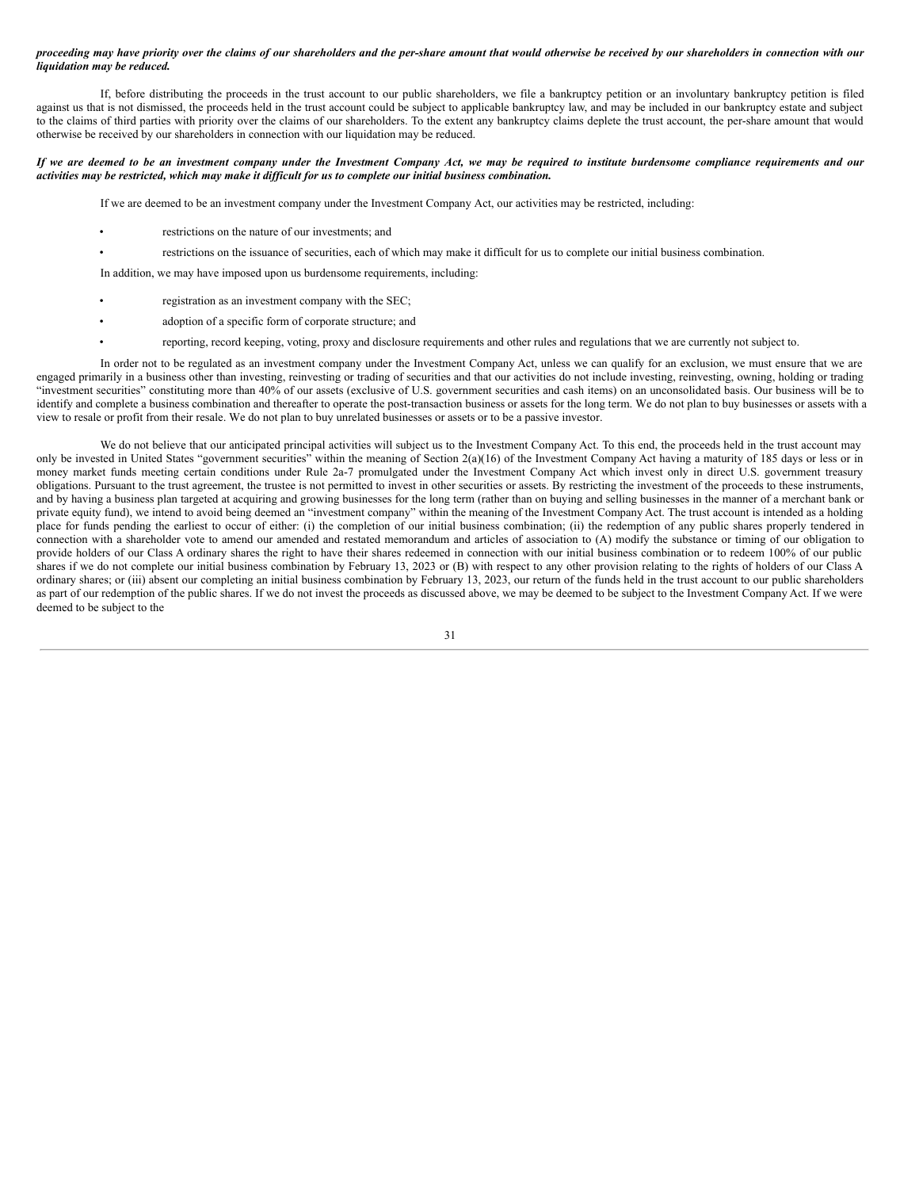#### proceeding may have priority over the claims of our shareholders and the per-share amount that would otherwise be received by our shareholders in connection with our *liquidation may be reduced.*

If, before distributing the proceeds in the trust account to our public shareholders, we file a bankruptcy petition or an involuntary bankruptcy petition is filed against us that is not dismissed, the proceeds held in the trust account could be subject to applicable bankruptcy law, and may be included in our bankruptcy estate and subject to the claims of third parties with priority over the claims of our shareholders. To the extent any bankruptcy claims deplete the trust account, the per-share amount that would otherwise be received by our shareholders in connection with our liquidation may be reduced.

#### If we are deemed to be an investment company under the Investment Company Act, we may be required to institute burdensome compliance requirements and our activities may be restricted, which may make it difficult for us to complete our initial business combination.

If we are deemed to be an investment company under the Investment Company Act, our activities may be restricted, including:

- restrictions on the nature of our investments; and
- restrictions on the issuance of securities, each of which may make it difficult for us to complete our initial business combination.

In addition, we may have imposed upon us burdensome requirements, including:

- registration as an investment company with the SEC;
- adoption of a specific form of corporate structure; and
- reporting, record keeping, voting, proxy and disclosure requirements and other rules and regulations that we are currently not subject to.

In order not to be regulated as an investment company under the Investment Company Act, unless we can qualify for an exclusion, we must ensure that we are engaged primarily in a business other than investing, reinvesting or trading of securities and that our activities do not include investing, reinvesting, owning, holding or trading "investment securities" constituting more than 40% of our assets (exclusive of U.S. government securities and cash items) on an unconsolidated basis. Our business will be to identify and complete a business combination and thereafter to operate the post-transaction business or assets for the long term. We do not plan to buy businesses or assets with a view to resale or profit from their resale. We do not plan to buy unrelated businesses or assets or to be a passive investor.

We do not believe that our anticipated principal activities will subject us to the Investment Company Act. To this end, the proceeds held in the trust account may only be invested in United States "government securities" within the meaning of Section 2(a)(16) of the Investment Company Act having a maturity of 185 days or less or in money market funds meeting certain conditions under Rule 2a-7 promulgated under the Investment Company Act which invest only in direct U.S. government treasury obligations. Pursuant to the trust agreement, the trustee is not permitted to invest in other securities or assets. By restricting the investment of the proceeds to these instruments, and by having a business plan targeted at acquiring and growing businesses for the long term (rather than on buying and selling businesses in the manner of a merchant bank or private equity fund), we intend to avoid being deemed an "investment company" within the meaning of the Investment Company Act. The trust account is intended as a holding place for funds pending the earliest to occur of either: (i) the completion of our initial business combination; (ii) the redemption of any public shares properly tendered in connection with a shareholder vote to amend our amended and restated memorandum and articles of association to (A) modify the substance or timing of our obligation to provide holders of our Class A ordinary shares the right to have their shares redeemed in connection with our initial business combination or to redeem 100% of our public shares if we do not complete our initial business combination by February 13, 2023 or (B) with respect to any other provision relating to the rights of holders of our Class A ordinary shares; or (iii) absent our completing an initial business combination by February 13, 2023, our return of the funds held in the trust account to our public shareholders as part of our redemption of the public shares. If we do not invest the proceeds as discussed above, we may be deemed to be subject to the Investment Company Act. If we were deemed to be subject to the

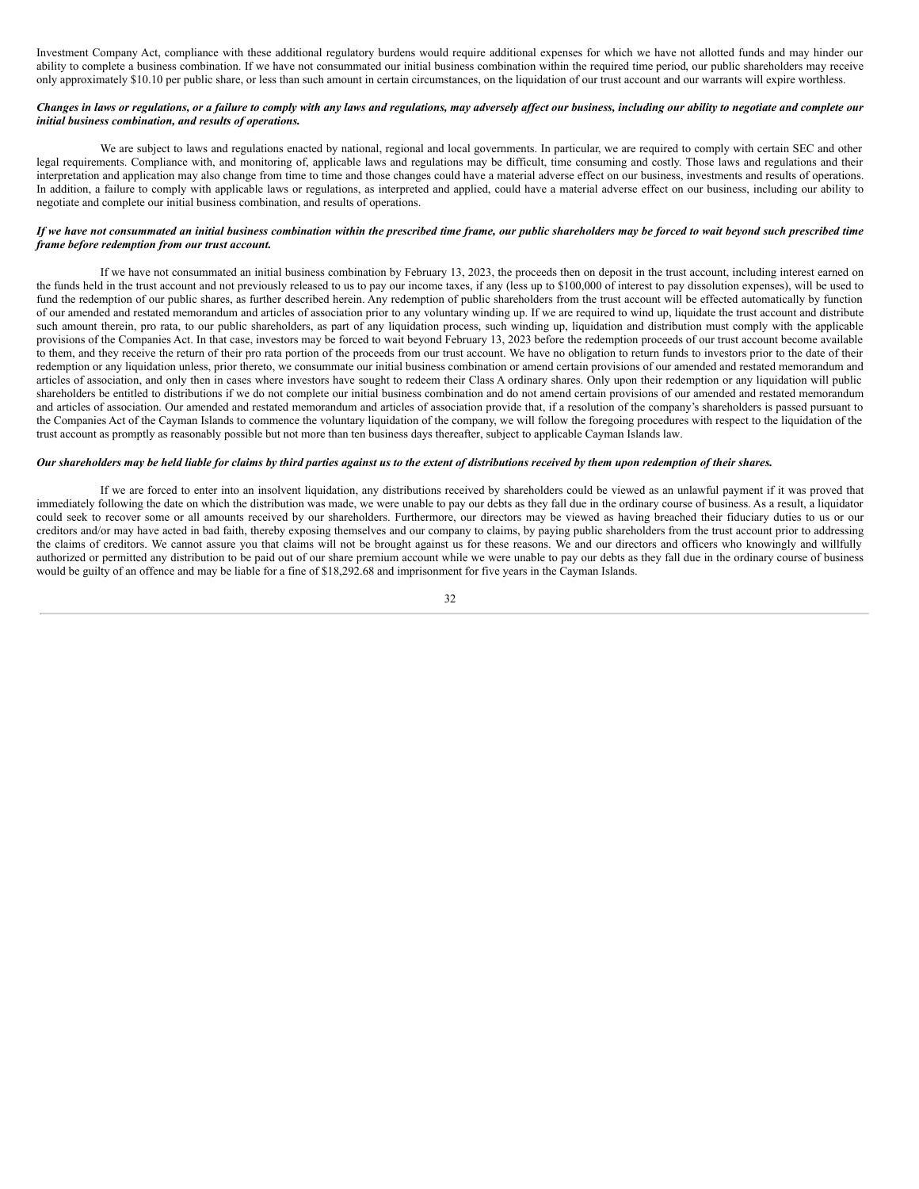Investment Company Act, compliance with these additional regulatory burdens would require additional expenses for which we have not allotted funds and may hinder our ability to complete a business combination. If we have not consummated our initial business combination within the required time period, our public shareholders may receive only approximately \$10.10 per public share, or less than such amount in certain circumstances, on the liquidation of our trust account and our warrants will expire worthless.

## Changes in laws or regulations, or a failure to comply with any laws and regulations, may adversely affect our business, including our ability to negotiate and complete our *initial business combination, and results of operations.*

We are subject to laws and regulations enacted by national, regional and local governments. In particular, we are required to comply with certain SEC and other legal requirements. Compliance with, and monitoring of, applicable laws and regulations may be difficult, time consuming and costly. Those laws and regulations and their interpretation and application may also change from time to time and those changes could have a material adverse effect on our business, investments and results of operations. In addition, a failure to comply with applicable laws or regulations, as interpreted and applied, could have a material adverse effect on our business, including our ability to negotiate and complete our initial business combination, and results of operations.

## If we have not consummated an initial business combination within the prescribed time frame, our public shareholders may be forced to wait beyond such prescribed time *frame before redemption from our trust account.*

If we have not consummated an initial business combination by February 13, 2023, the proceeds then on deposit in the trust account, including interest earned on the funds held in the trust account and not previously released to us to pay our income taxes, if any (less up to \$100,000 of interest to pay dissolution expenses), will be used to fund the redemption of our public shares, as further described herein. Any redemption of public shareholders from the trust account will be effected automatically by function of our amended and restated memorandum and articles of association prior to any voluntary winding up. If we are required to wind up, liquidate the trust account and distribute such amount therein, pro rata, to our public shareholders, as part of any liquidation process, such winding up, liquidation and distribution must comply with the applicable provisions of the Companies Act. In that case, investors may be forced to wait beyond February 13, 2023 before the redemption proceeds of our trust account become available to them, and they receive the return of their pro rata portion of the proceeds from our trust account. We have no obligation to return funds to investors prior to the date of their redemption or any liquidation unless, prior thereto, we consummate our initial business combination or amend certain provisions of our amended and restated memorandum and articles of association, and only then in cases where investors have sought to redeem their Class A ordinary shares. Only upon their redemption or any liquidation will public shareholders be entitled to distributions if we do not complete our initial business combination and do not amend certain provisions of our amended and restated memorandum and articles of association. Our amended and restated memorandum and articles of association provide that, if a resolution of the company's shareholders is passed pursuant to the Companies Act of the Cayman Islands to commence the voluntary liquidation of the company, we will follow the foregoing procedures with respect to the liquidation of the trust account as promptly as reasonably possible but not more than ten business days thereafter, subject to applicable Cayman Islands law.

#### Our shareholders may be held liable for claims by third parties against us to the extent of distributions received by them upon redemption of their shares.

If we are forced to enter into an insolvent liquidation, any distributions received by shareholders could be viewed as an unlawful payment if it was proved that immediately following the date on which the distribution was made, we were unable to pay our debts as they fall due in the ordinary course of business. As a result, a liquidator could seek to recover some or all amounts received by our shareholders. Furthermore, our directors may be viewed as having breached their fiduciary duties to us or our creditors and/or may have acted in bad faith, thereby exposing themselves and our company to claims, by paying public shareholders from the trust account prior to addressing the claims of creditors. We cannot assure you that claims will not be brought against us for these reasons. We and our directors and officers who knowingly and willfully authorized or permitted any distribution to be paid out of our share premium account while we were unable to pay our debts as they fall due in the ordinary course of business would be guilty of an offence and may be liable for a fine of \$18,292.68 and imprisonment for five years in the Cayman Islands.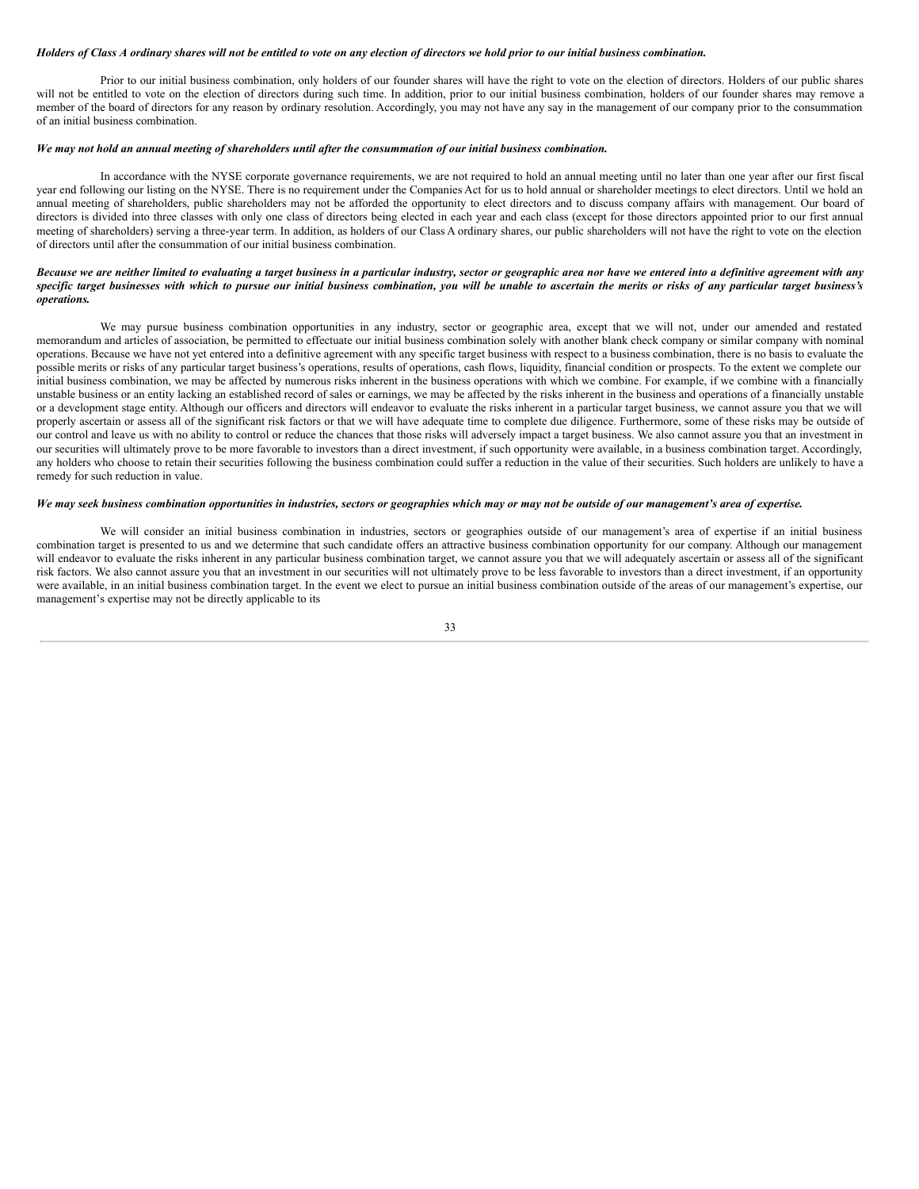#### Holders of Class A ordinary shares will not be entitled to vote on any election of directors we hold prior to our initial business combination.

Prior to our initial business combination, only holders of our founder shares will have the right to vote on the election of directors. Holders of our public shares will not be entitled to vote on the election of directors during such time. In addition, prior to our initial business combination, holders of our founder shares may remove a member of the board of directors for any reason by ordinary resolution. Accordingly, you may not have any say in the management of our company prior to the consummation of an initial business combination.

#### We may not hold an annual meeting of shareholders until after the consummation of our initial business combination.

In accordance with the NYSE corporate governance requirements, we are not required to hold an annual meeting until no later than one year after our first fiscal year end following our listing on the NYSE. There is no requirement under the Companies Act for us to hold annual or shareholder meetings to elect directors. Until we hold an annual meeting of shareholders, public shareholders may not be afforded the opportunity to elect directors and to discuss company affairs with management. Our board of directors is divided into three classes with only one class of directors being elected in each year and each class (except for those directors appointed prior to our first annual meeting of shareholders) serving a three-year term. In addition, as holders of our Class A ordinary shares, our public shareholders will not have the right to vote on the election of directors until after the consummation of our initial business combination.

#### Because we are neither limited to evaluating a target business in a particular industry, sector or geographic area nor have we entered into a definitive agreement with any specific target businesses with which to pursue our initial business combination, you will be unable to ascertain the merits or risks of any particular target business's *operations.*

We may pursue business combination opportunities in any industry, sector or geographic area, except that we will not, under our amended and restated memorandum and articles of association, be permitted to effectuate our initial business combination solely with another blank check company or similar company with nominal operations. Because we have not yet entered into a definitive agreement with any specific target business with respect to a business combination, there is no basis to evaluate the possible merits or risks of any particular target business's operations, results of operations, cash flows, liquidity, financial condition or prospects. To the extent we complete our initial business combination, we may be affected by numerous risks inherent in the business operations with which we combine. For example, if we combine with a financially unstable business or an entity lacking an established record of sales or earnings, we may be affected by the risks inherent in the business and operations of a financially unstable or a development stage entity. Although our officers and directors will endeavor to evaluate the risks inherent in a particular target business, we cannot assure you that we will properly ascertain or assess all of the significant risk factors or that we will have adequate time to complete due diligence. Furthermore, some of these risks may be outside of our control and leave us with no ability to control or reduce the chances that those risks will adversely impact a target business. We also cannot assure you that an investment in our securities will ultimately prove to be more favorable to investors than a direct investment, if such opportunity were available, in a business combination target. Accordingly, any holders who choose to retain their securities following the business combination could suffer a reduction in the value of their securities. Such holders are unlikely to have a remedy for such reduction in value.

# We may seek business combination opportunities in industries, sectors or geographies which may or may not be outside of our management's area of expertise.

We will consider an initial business combination in industries, sectors or geographies outside of our management's area of expertise if an initial business combination target is presented to us and we determine that such candidate offers an attractive business combination opportunity for our company. Although our management will endeavor to evaluate the risks inherent in any particular business combination target, we cannot assure you that we will adequately ascertain or assess all of the significant risk factors. We also cannot assure you that an investment in our securities will not ultimately prove to be less favorable to investors than a direct investment, if an opportunity were available, in an initial business combination target. In the event we elect to pursue an initial business combination outside of the areas of our management's expertise, our management's expertise may not be directly applicable to its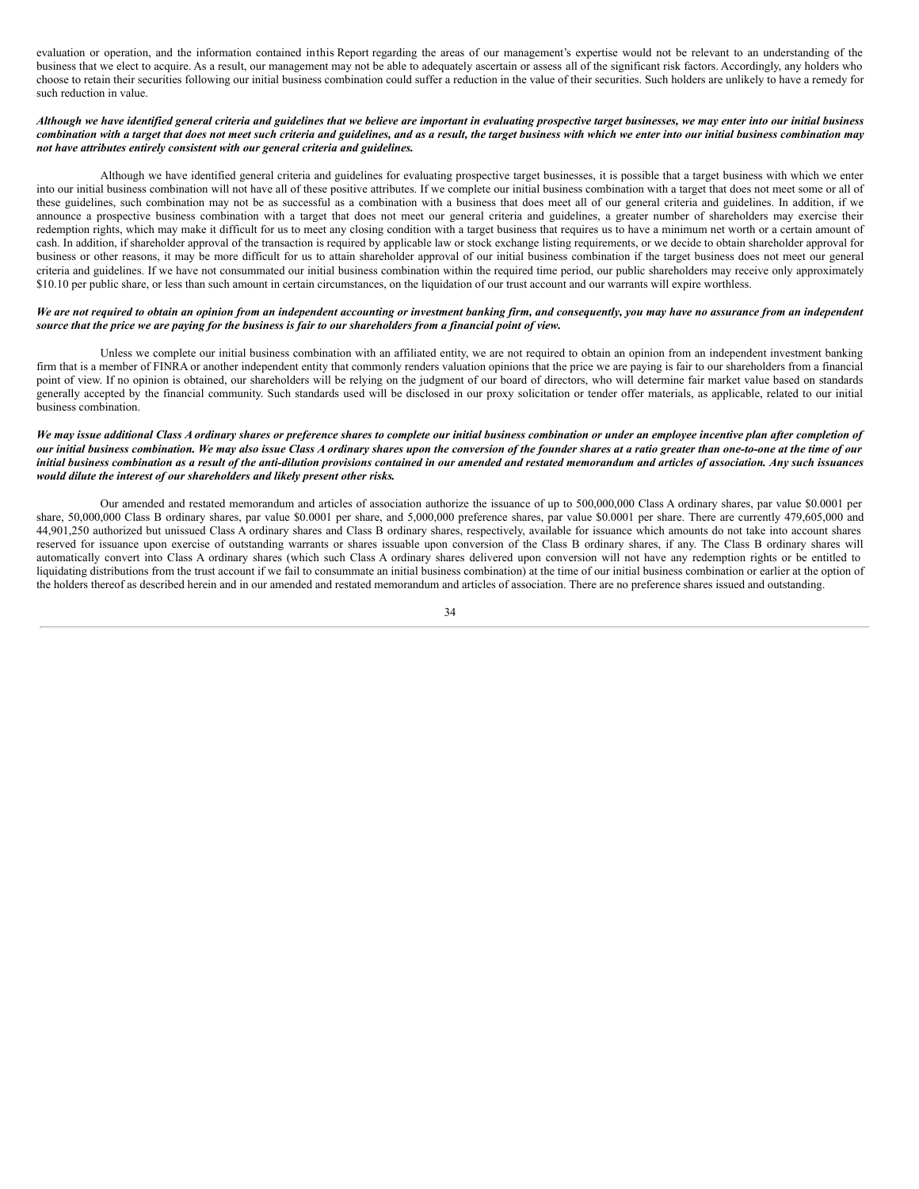evaluation or operation, and the information contained inthis Report regarding the areas of our management's expertise would not be relevant to an understanding of the business that we elect to acquire. As a result, our management may not be able to adequately ascertain or assess all of the significant risk factors. Accordingly, any holders who choose to retain their securities following our initial business combination could suffer a reduction in the value of their securities. Such holders are unlikely to have a remedy for such reduction in value.

#### Although we have identified general criteria and guidelines that we believe are important in evaluating prospective target businesses, we may enter into our initial business combination with a target that does not meet such criteria and guidelines, and as a result, the target business with which we enter into our initial business combination may *not have attributes entirely consistent with our general criteria and guidelines.*

Although we have identified general criteria and guidelines for evaluating prospective target businesses, it is possible that a target business with which we enter into our initial business combination will not have all of these positive attributes. If we complete our initial business combination with a target that does not meet some or all of these guidelines, such combination may not be as successful as a combination with a business that does meet all of our general criteria and guidelines. In addition, if we announce a prospective business combination with a target that does not meet our general criteria and guidelines, a greater number of shareholders may exercise their redemption rights, which may make it difficult for us to meet any closing condition with a target business that requires us to have a minimum net worth or a certain amount of cash. In addition, if shareholder approval of the transaction is required by applicable law or stock exchange listing requirements, or we decide to obtain shareholder approval for business or other reasons, it may be more difficult for us to attain shareholder approval of our initial business combination if the target business does not meet our general criteria and guidelines. If we have not consummated our initial business combination within the required time period, our public shareholders may receive only approximately \$10.10 per public share, or less than such amount in certain circumstances, on the liquidation of our trust account and our warrants will expire worthless.

#### We are not required to obtain an opinion from an independent accounting or investment banking firm, and consequently, you may have no assurance from an independent source that the price we are paying for the business is fair to our shareholders from a financial point of view.

Unless we complete our initial business combination with an affiliated entity, we are not required to obtain an opinion from an independent investment banking firm that is a member of FINRA or another independent entity that commonly renders valuation opinions that the price we are paying is fair to our shareholders from a financial point of view. If no opinion is obtained, our shareholders will be relying on the judgment of our board of directors, who will determine fair market value based on standards generally accepted by the financial community. Such standards used will be disclosed in our proxy solicitation or tender offer materials, as applicable, related to our initial business combination.

#### We may issue additional Class A ordinary shares or preference shares to complete our initial business combination or under an employee incentive plan after completion of our initial business combination. We may also issue Class A ordinary shares upon the conversion of the founder shares at a ratio greater than one-to-one at the time of our initial business combination as a result of the anti-dilution provisions contained in our amended and restated memorandum and articles of association. Any such issuances *would dilute the interest of our shareholders and likely present other risks.*

Our amended and restated memorandum and articles of association authorize the issuance of up to 500,000,000 Class A ordinary shares, par value \$0.0001 per share, 50,000,000 Class B ordinary shares, par value \$0.0001 per share, and 5,000,000 preference shares, par value \$0.0001 per share. There are currently 479,605,000 and 44,901,250 authorized but unissued Class A ordinary shares and Class B ordinary shares, respectively, available for issuance which amounts do not take into account shares reserved for issuance upon exercise of outstanding warrants or shares issuable upon conversion of the Class B ordinary shares, if any. The Class B ordinary shares will automatically convert into Class A ordinary shares (which such Class A ordinary shares delivered upon conversion will not have any redemption rights or be entitled to liquidating distributions from the trust account if we fail to consummate an initial business combination) at the time of our initial business combination or earlier at the option of the holders thereof as described herein and in our amended and restated memorandum and articles of association. There are no preference shares issued and outstanding.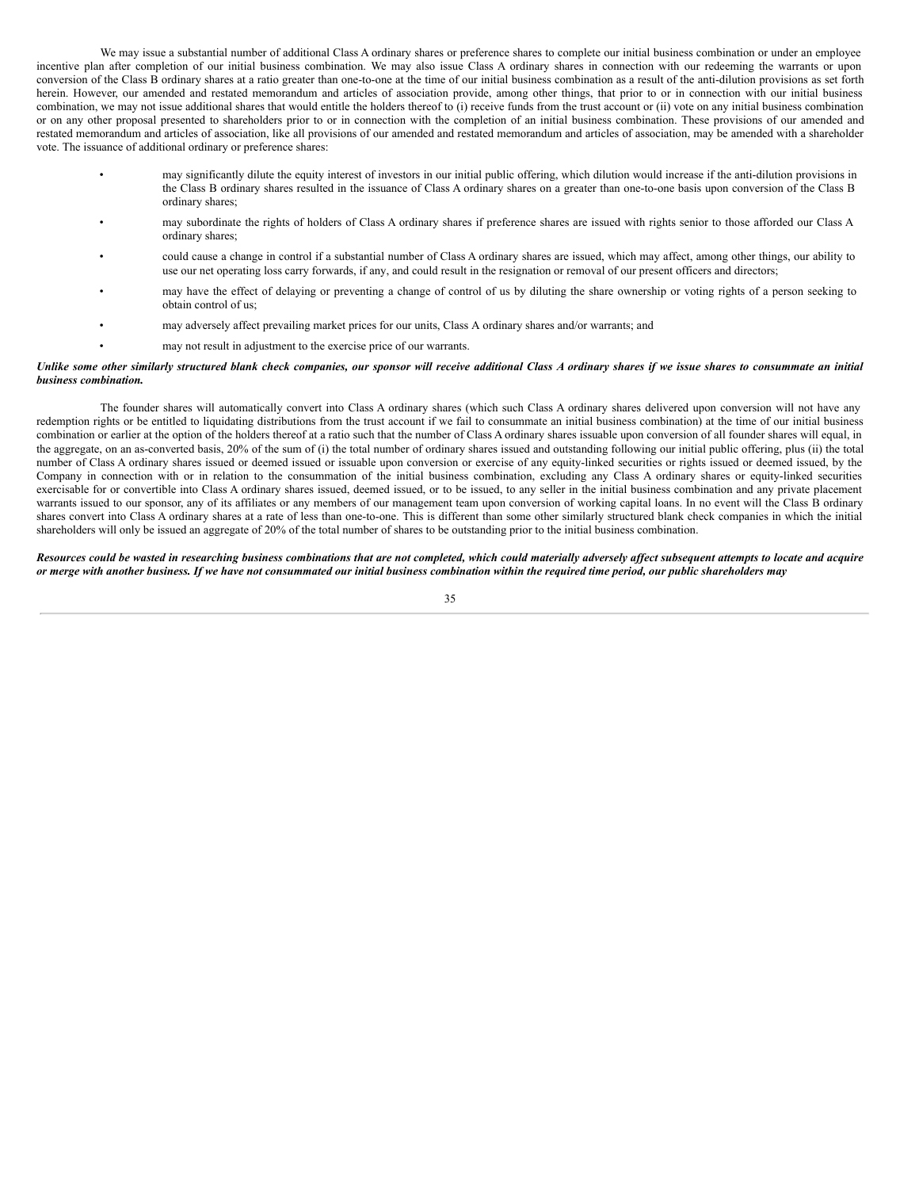We may issue a substantial number of additional Class A ordinary shares or preference shares to complete our initial business combination or under an employee incentive plan after completion of our initial business combination. We may also issue Class A ordinary shares in connection with our redeeming the warrants or upon conversion of the Class B ordinary shares at a ratio greater than one-to-one at the time of our initial business combination as a result of the anti-dilution provisions as set forth herein. However, our amended and restated memorandum and articles of association provide, among other things, that prior to or in connection with our initial business combination, we may not issue additional shares that would entitle the holders thereof to (i) receive funds from the trust account or (ii) vote on any initial business combination or on any other proposal presented to shareholders prior to or in connection with the completion of an initial business combination. These provisions of our amended and restated memorandum and articles of association, like all provisions of our amended and restated memorandum and articles of association, may be amended with a shareholder vote. The issuance of additional ordinary or preference shares:

- may significantly dilute the equity interest of investors in our initial public offering, which dilution would increase if the anti-dilution provisions in the Class B ordinary shares resulted in the issuance of Class A ordinary shares on a greater than one-to-one basis upon conversion of the Class B ordinary shares;
- may subordinate the rights of holders of Class A ordinary shares if preference shares are issued with rights senior to those afforded our Class A ordinary shares;
- could cause a change in control if a substantial number of Class A ordinary shares are issued, which may affect, among other things, our ability to use our net operating loss carry forwards, if any, and could result in the resignation or removal of our present officers and directors;
- may have the effect of delaying or preventing a change of control of us by diluting the share ownership or voting rights of a person seeking to obtain control of us;
- may adversely affect prevailing market prices for our units, Class A ordinary shares and/or warrants; and
- may not result in adjustment to the exercise price of our warrants.

## Unlike some other similarly structured blank check companies, our sponsor will receive additional Class A ordinary shares if we issue shares to consummate an initial *business combination.*

The founder shares will automatically convert into Class A ordinary shares (which such Class A ordinary shares delivered upon conversion will not have any redemption rights or be entitled to liquidating distributions from the trust account if we fail to consummate an initial business combination) at the time of our initial business combination or earlier at the option of the holders thereof at a ratio such that the number of Class A ordinary shares issuable upon conversion of all founder shares will equal, in the aggregate, on an as-converted basis, 20% of the sum of (i) the total number of ordinary shares issued and outstanding following our initial public offering, plus (ii) the total number of Class A ordinary shares issued or deemed issued or issuable upon conversion or exercise of any equity-linked securities or rights issued or deemed issued, by the Company in connection with or in relation to the consummation of the initial business combination, excluding any Class A ordinary shares or equity-linked securities exercisable for or convertible into Class A ordinary shares issued, deemed issued, or to be issued, to any seller in the initial business combination and any private placement warrants issued to our sponsor, any of its affiliates or any members of our management team upon conversion of working capital loans. In no event will the Class B ordinary shares convert into Class A ordinary shares at a rate of less than one-to-one. This is different than some other similarly structured blank check companies in which the initial shareholders will only be issued an aggregate of 20% of the total number of shares to be outstanding prior to the initial business combination.

### Resources could be wasted in researching business combinations that are not completed, which could materially adversely affect subsequent attempts to locate and acquire or merge with another business. If we have not consummated our initial business combination within the required time period, our public shareholders may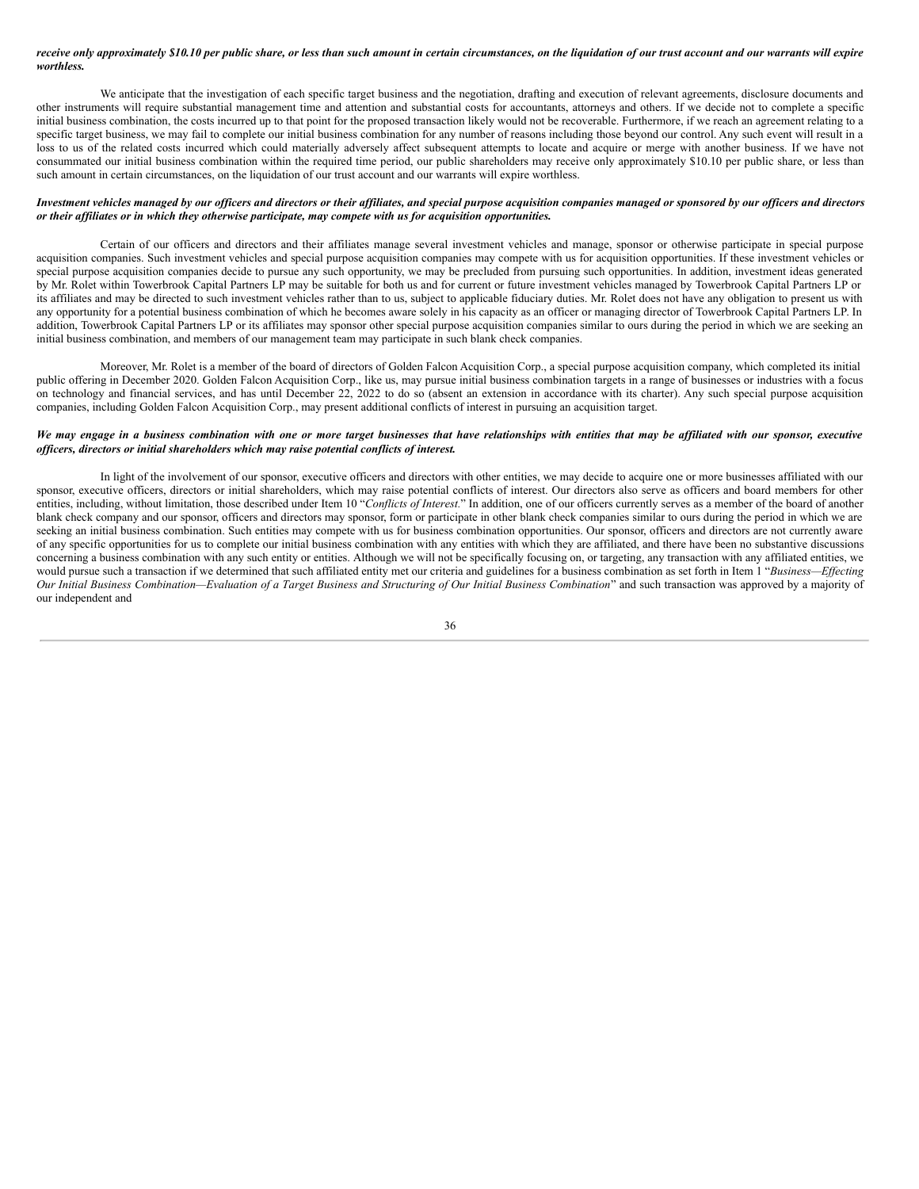## receive only approximately \$10.10 per public share, or less than such amount in certain circumstances, on the liquidation of our trust account and our warrants will expire *worthless.*

We anticipate that the investigation of each specific target business and the negotiation, drafting and execution of relevant agreements, disclosure documents and other instruments will require substantial management time and attention and substantial costs for accountants, attorneys and others. If we decide not to complete a specific initial business combination, the costs incurred up to that point for the proposed transaction likely would not be recoverable. Furthermore, if we reach an agreement relating to a specific target business, we may fail to complete our initial business combination for any number of reasons including those beyond our control. Any such event will result in a loss to us of the related costs incurred which could materially adversely affect subsequent attempts to locate and acquire or merge with another business. If we have not consummated our initial business combination within the required time period, our public shareholders may receive only approximately \$10.10 per public share, or less than such amount in certain circumstances, on the liquidation of our trust account and our warrants will expire worthless.

## Investment vehicles managed by our officers and directors or their affiliates, and special purpose acquisition companies managed or sponsored by our officers and directors or their affiliates or in which they otherwise participate, may compete with us for acquisition opportunities.

Certain of our officers and directors and their affiliates manage several investment vehicles and manage, sponsor or otherwise participate in special purpose acquisition companies. Such investment vehicles and special purpose acquisition companies may compete with us for acquisition opportunities. If these investment vehicles or special purpose acquisition companies decide to pursue any such opportunity, we may be precluded from pursuing such opportunities. In addition, investment ideas generated by Mr. Rolet within Towerbrook Capital Partners LP may be suitable for both us and for current or future investment vehicles managed by Towerbrook Capital Partners LP or its affiliates and may be directed to such investment vehicles rather than to us, subject to applicable fiduciary duties. Mr. Rolet does not have any obligation to present us with any opportunity for a potential business combination of which he becomes aware solely in his capacity as an officer or managing director of Towerbrook Capital Partners LP. In addition, Towerbrook Capital Partners LP or its affiliates may sponsor other special purpose acquisition companies similar to ours during the period in which we are seeking an initial business combination, and members of our management team may participate in such blank check companies.

Moreover, Mr. Rolet is a member of the board of directors of Golden Falcon Acquisition Corp., a special purpose acquisition company, which completed its initial public offering in December 2020. Golden Falcon Acquisition Corp., like us, may pursue initial business combination targets in a range of businesses or industries with a focus on technology and financial services, and has until December 22, 2022 to do so (absent an extension in accordance with its charter). Any such special purpose acquisition companies, including Golden Falcon Acquisition Corp., may present additional conflicts of interest in pursuing an acquisition target.

# We may engage in a business combination with one or more target businesses that have relationships with entities that may be affiliated with our sponsor, executive *of icers, directors or initial shareholders which may raise potential conflicts of interest.*

In light of the involvement of our sponsor, executive officers and directors with other entities, we may decide to acquire one or more businesses affiliated with our sponsor, executive officers, directors or initial shareholders, which may raise potential conflicts of interest. Our directors also serve as officers and board members for other entities, including, without limitation, those described under Item 10 "*Conflicts of Interest.*" In addition, one of our officers currently serves as a member of the board of another blank check company and our sponsor, officers and directors may sponsor, form or participate in other blank check companies similar to ours during the period in which we are seeking an initial business combination. Such entities may compete with us for business combination opportunities. Our sponsor, officers and directors are not currently aware of any specific opportunities for us to complete our initial business combination with any entities with which they are affiliated, and there have been no substantive discussions concerning a business combination with any such entity or entities. Although we will not be specifically focusing on, or targeting, any transaction with any affiliated entities, we would pursue such a transaction if we determined that such affiliated entity met our criteria and guidelines for a business combination as set forth in Item 1 "*Business—Effecting* Our Initial Business Combination-Evaluation of a Target Business and Structuring of Our Initial Business Combination" and such transaction was approved by a majority of our independent and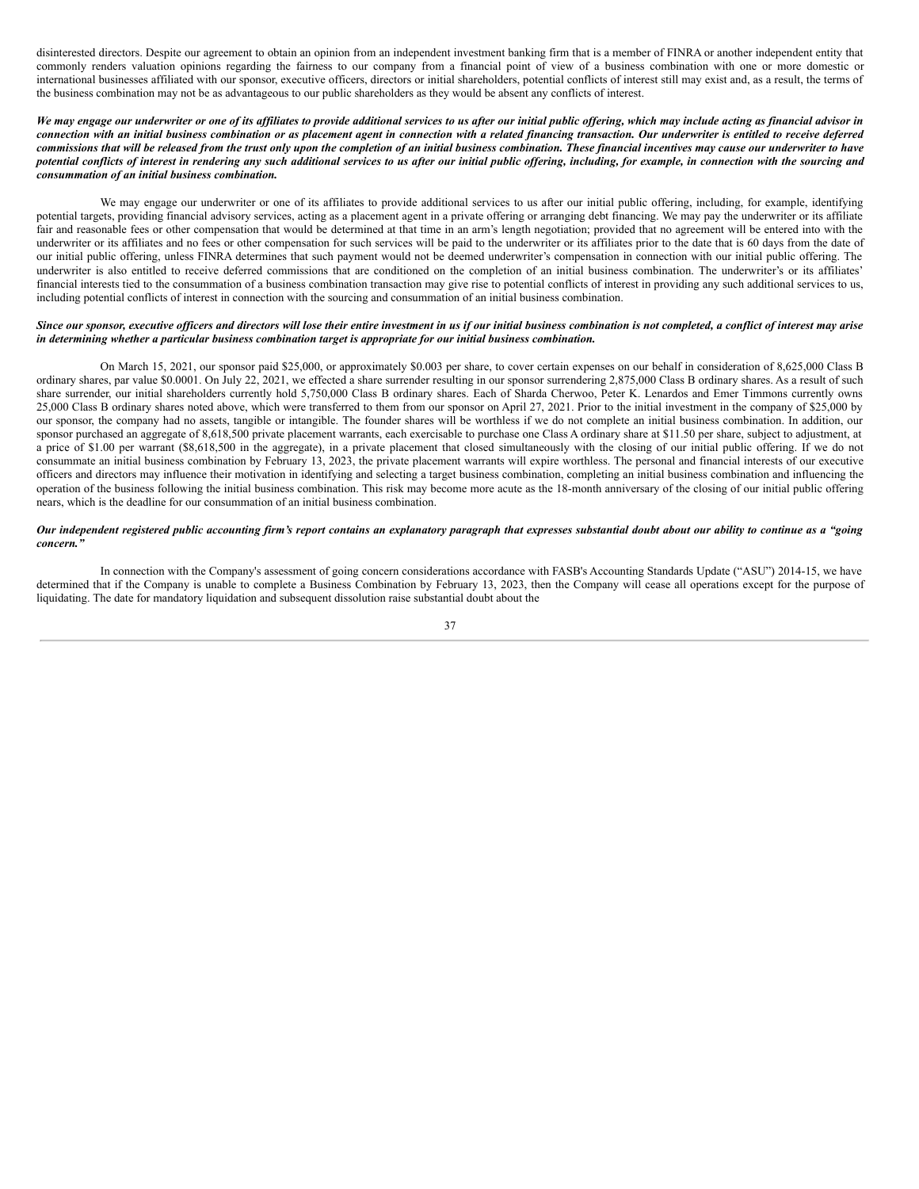disinterested directors. Despite our agreement to obtain an opinion from an independent investment banking firm that is a member of FINRA or another independent entity that commonly renders valuation opinions regarding the fairness to our company from a financial point of view of a business combination with one or more domestic or international businesses affiliated with our sponsor, executive officers, directors or initial shareholders, potential conflicts of interest still may exist and, as a result, the terms of the business combination may not be as advantageous to our public shareholders as they would be absent any conflicts of interest.

We may engage our underwriter or one of its affiliates to provide additional services to us after our initial public offering, which may include acting as financial advisor in connection with an initial business combination or as placement agent in connection with a related financing transaction. Our underwriter is entitled to receive deferred commissions that will be released from the trust only upon the completion of an initial business combination. These financial incentives may cause our underwriter to have potential conflicts of interest in rendering any such additional services to us after our initial public offering, including, for example, in connection with the sourcing and *consummation of an initial business combination.*

We may engage our underwriter or one of its affiliates to provide additional services to us after our initial public offering, including, for example, identifying potential targets, providing financial advisory services, acting as a placement agent in a private offering or arranging debt financing. We may pay the underwriter or its affiliate fair and reasonable fees or other compensation that would be determined at that time in an arm's length negotiation; provided that no agreement will be entered into with the underwriter or its affiliates and no fees or other compensation for such services will be paid to the underwriter or its affiliates prior to the date that is 60 days from the date of our initial public offering, unless FINRA determines that such payment would not be deemed underwriter's compensation in connection with our initial public offering. The underwriter is also entitled to receive deferred commissions that are conditioned on the completion of an initial business combination. The underwriter's or its affiliates' financial interests tied to the consummation of a business combination transaction may give rise to potential conflicts of interest in providing any such additional services to us, including potential conflicts of interest in connection with the sourcing and consummation of an initial business combination.

## Since our sponsor, executive officers and directors will lose their entire investment in us if our initial business combination is not completed, a conflict of interest may arise *in determining whether a particular business combination target is appropriate for our initial business combination.*

On March 15, 2021, our sponsor paid \$25,000, or approximately \$0.003 per share, to cover certain expenses on our behalf in consideration of 8,625,000 Class B ordinary shares, par value \$0.0001. On July 22, 2021, we effected a share surrender resulting in our sponsor surrendering 2,875,000 Class B ordinary shares. As a result of such share surrender, our initial shareholders currently hold 5,750,000 Class B ordinary shares. Each of Sharda Cherwoo, Peter K. Lenardos and Emer Timmons currently owns 25,000 Class B ordinary shares noted above, which were transferred to them from our sponsor on April 27, 2021. Prior to the initial investment in the company of \$25,000 by our sponsor, the company had no assets, tangible or intangible. The founder shares will be worthless if we do not complete an initial business combination. In addition, our sponsor purchased an aggregate of 8,618,500 private placement warrants, each exercisable to purchase one Class A ordinary share at \$11.50 per share, subject to adjustment, at a price of \$1.00 per warrant (\$8,618,500 in the aggregate), in a private placement that closed simultaneously with the closing of our initial public offering. If we do not consummate an initial business combination by February 13, 2023, the private placement warrants will expire worthless. The personal and financial interests of our executive officers and directors may influence their motivation in identifying and selecting a target business combination, completing an initial business combination and influencing the operation of the business following the initial business combination. This risk may become more acute as the 18-month anniversary of the closing of our initial public offering nears, which is the deadline for our consummation of an initial business combination.

## Our independent registered public accounting firm's report contains an explanatory paragraph that expresses substantial doubt about our ability to continue as a "going *concern."*

In connection with the Company's assessment of going concern considerations accordance with FASB's Accounting Standards Update ("ASU") 2014-15, we have determined that if the Company is unable to complete a Business Combination by February 13, 2023, then the Company will cease all operations except for the purpose of liquidating. The date for mandatory liquidation and subsequent dissolution raise substantial doubt about the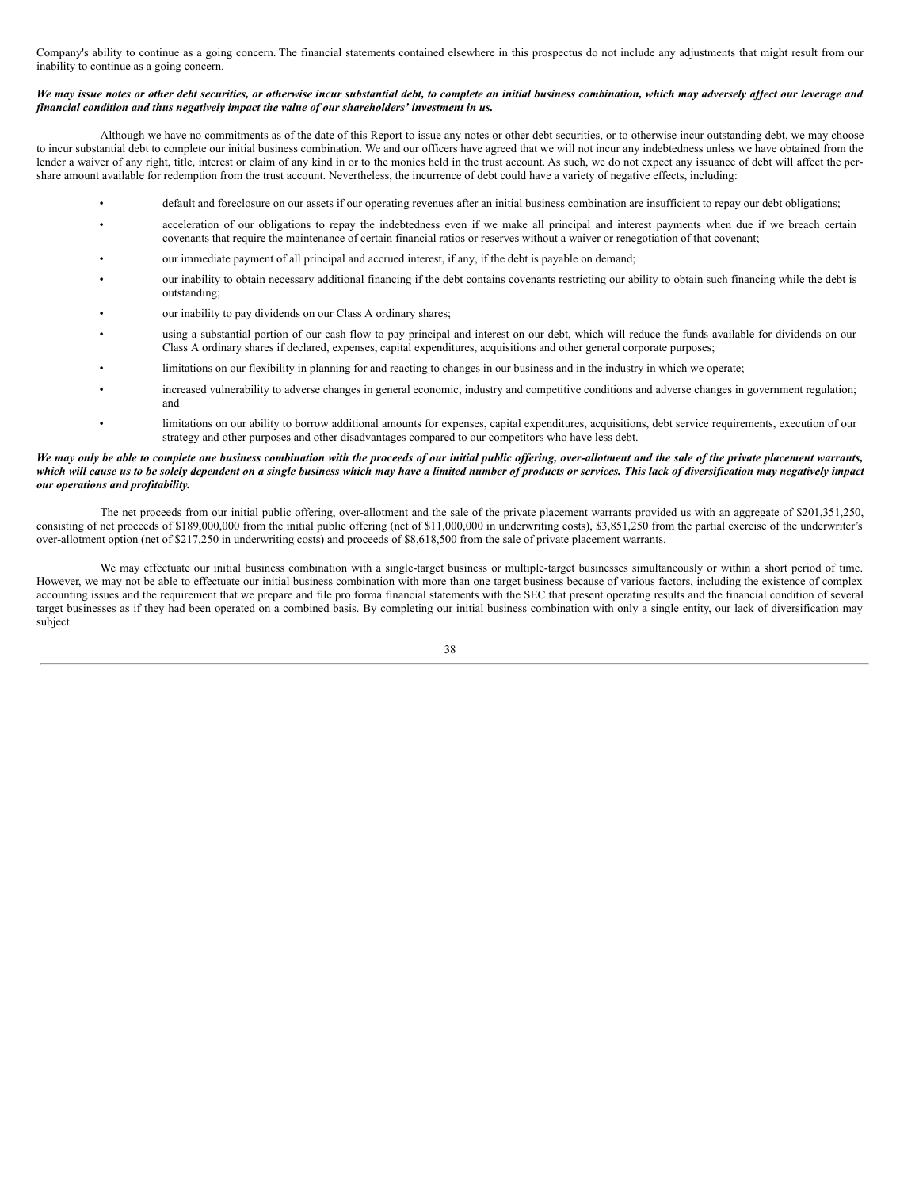Company's ability to continue as a going concern. The financial statements contained elsewhere in this prospectus do not include any adjustments that might result from our inability to continue as a going concern.

## We may issue notes or other debt securities, or otherwise incur substantial debt, to complete an initial business combination, which may adversely affect our leverage and *financial condition and thus negatively impact the value of our shareholders' investment in us.*

Although we have no commitments as of the date of this Report to issue any notes or other debt securities, or to otherwise incur outstanding debt, we may choose to incur substantial debt to complete our initial business combination. We and our officers have agreed that we will not incur any indebtedness unless we have obtained from the lender a waiver of any right, title, interest or claim of any kind in or to the monies held in the trust account. As such, we do not expect any issuance of debt will affect the pershare amount available for redemption from the trust account. Nevertheless, the incurrence of debt could have a variety of negative effects, including:

- default and foreclosure on our assets if our operating revenues after an initial business combination are insufficient to repay our debt obligations;
- acceleration of our obligations to repay the indebtedness even if we make all principal and interest payments when due if we breach certain covenants that require the maintenance of certain financial ratios or reserves without a waiver or renegotiation of that covenant;
- our immediate payment of all principal and accrued interest, if any, if the debt is payable on demand;
- our inability to obtain necessary additional financing if the debt contains covenants restricting our ability to obtain such financing while the debt is outstanding;
- our inability to pay dividends on our Class A ordinary shares;
- using a substantial portion of our cash flow to pay principal and interest on our debt, which will reduce the funds available for dividends on our Class A ordinary shares if declared, expenses, capital expenditures, acquisitions and other general corporate purposes;
- limitations on our flexibility in planning for and reacting to changes in our business and in the industry in which we operate;
- increased vulnerability to adverse changes in general economic, industry and competitive conditions and adverse changes in government regulation; and
- limitations on our ability to borrow additional amounts for expenses, capital expenditures, acquisitions, debt service requirements, execution of our strategy and other purposes and other disadvantages compared to our competitors who have less debt.

# We may only be able to complete one business combination with the proceeds of our initial public offering, over-allotment and the sale of the private placement warrants, which will cause us to be solely dependent on a single business which may have a limited number of products or services. This lack of diversification may negatively impact *our operations and profitability.*

The net proceeds from our initial public offering, over-allotment and the sale of the private placement warrants provided us with an aggregate of \$201,351,250, consisting of net proceeds of \$189,000,000 from the initial public offering (net of \$11,000,000 in underwriting costs), \$3,851,250 from the partial exercise of the underwriter's over-allotment option (net of \$217,250 in underwriting costs) and proceeds of \$8,618,500 from the sale of private placement warrants.

We may effectuate our initial business combination with a single-target business or multiple-target businesses simultaneously or within a short period of time. However, we may not be able to effectuate our initial business combination with more than one target business because of various factors, including the existence of complex accounting issues and the requirement that we prepare and file pro forma financial statements with the SEC that present operating results and the financial condition of several target businesses as if they had been operated on a combined basis. By completing our initial business combination with only a single entity, our lack of diversification may subject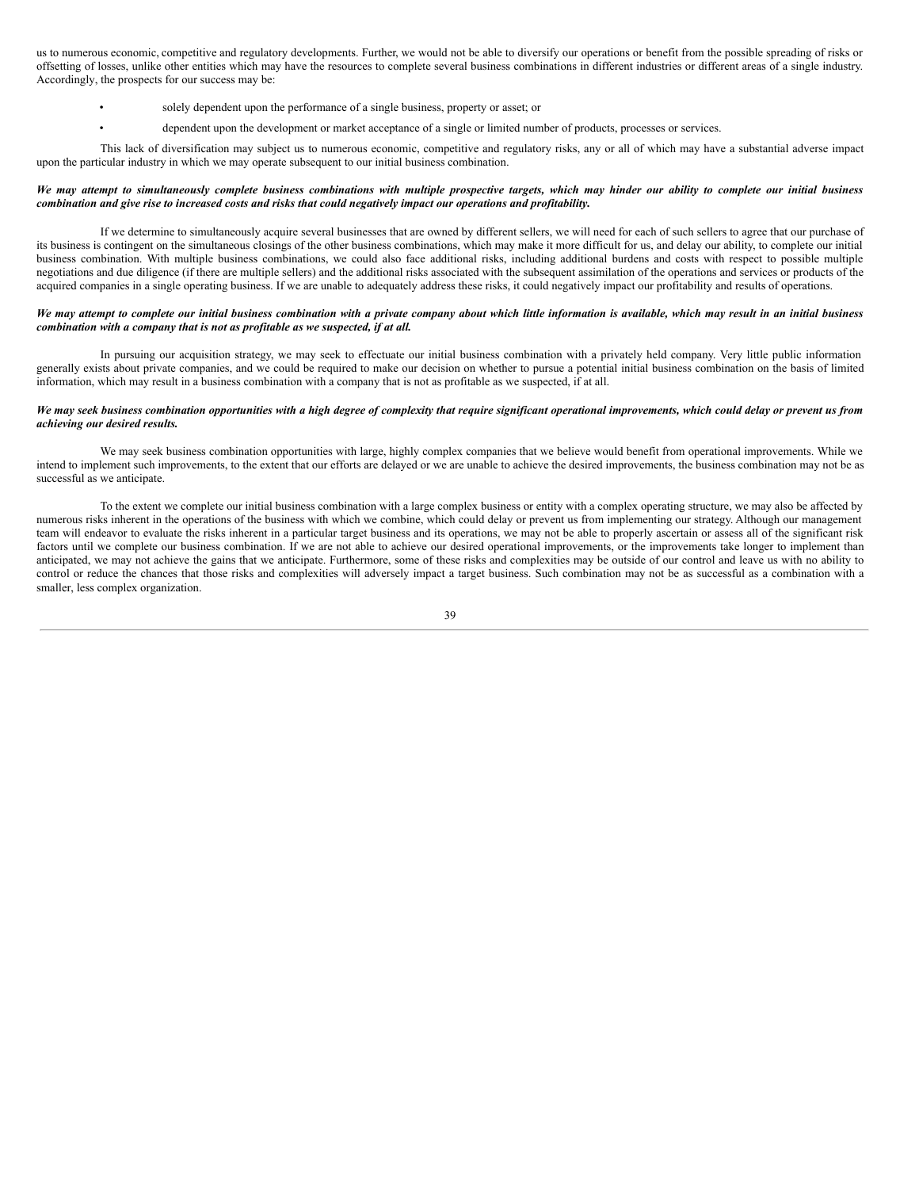us to numerous economic, competitive and regulatory developments. Further, we would not be able to diversify our operations or benefit from the possible spreading of risks or offsetting of losses, unlike other entities which may have the resources to complete several business combinations in different industries or different areas of a single industry. Accordingly, the prospects for our success may be:

- solely dependent upon the performance of a single business, property or asset; or
- dependent upon the development or market acceptance of a single or limited number of products, processes or services.

This lack of diversification may subject us to numerous economic, competitive and regulatory risks, any or all of which may have a substantial adverse impact upon the particular industry in which we may operate subsequent to our initial business combination.

## We may attempt to simultaneously complete business combinations with multiple prospective targets, which may hinder our ability to complete our initial business combination and give rise to increased costs and risks that could negatively impact our operations and profitability.

If we determine to simultaneously acquire several businesses that are owned by different sellers, we will need for each of such sellers to agree that our purchase of its business is contingent on the simultaneous closings of the other business combinations, which may make it more difficult for us, and delay our ability, to complete our initial business combination. With multiple business combinations, we could also face additional risks, including additional burdens and costs with respect to possible multiple negotiations and due diligence (if there are multiple sellers) and the additional risks associated with the subsequent assimilation of the operations and services or products of the acquired companies in a single operating business. If we are unable to adequately address these risks, it could negatively impact our profitability and results of operations.

## We may attempt to complete our initial business combination with a private company about which little information is available, which may result in an initial business *combination with a company that is not as profitable as we suspected, if at all.*

In pursuing our acquisition strategy, we may seek to effectuate our initial business combination with a privately held company. Very little public information generally exists about private companies, and we could be required to make our decision on whether to pursue a potential initial business combination on the basis of limited information, which may result in a business combination with a company that is not as profitable as we suspected, if at all.

# We may seek business combination opportunities with a high degree of complexity that require significant operational improvements, which could delay or prevent us from *achieving our desired results.*

We may seek business combination opportunities with large, highly complex companies that we believe would benefit from operational improvements. While we intend to implement such improvements, to the extent that our efforts are delayed or we are unable to achieve the desired improvements, the business combination may not be as successful as we anticipate.

To the extent we complete our initial business combination with a large complex business or entity with a complex operating structure, we may also be affected by numerous risks inherent in the operations of the business with which we combine, which could delay or prevent us from implementing our strategy. Although our management team will endeavor to evaluate the risks inherent in a particular target business and its operations, we may not be able to properly ascertain or assess all of the significant risk factors until we complete our business combination. If we are not able to achieve our desired operational improvements, or the improvements take longer to implement than anticipated, we may not achieve the gains that we anticipate. Furthermore, some of these risks and complexities may be outside of our control and leave us with no ability to control or reduce the chances that those risks and complexities will adversely impact a target business. Such combination may not be as successful as a combination with a smaller, less complex organization.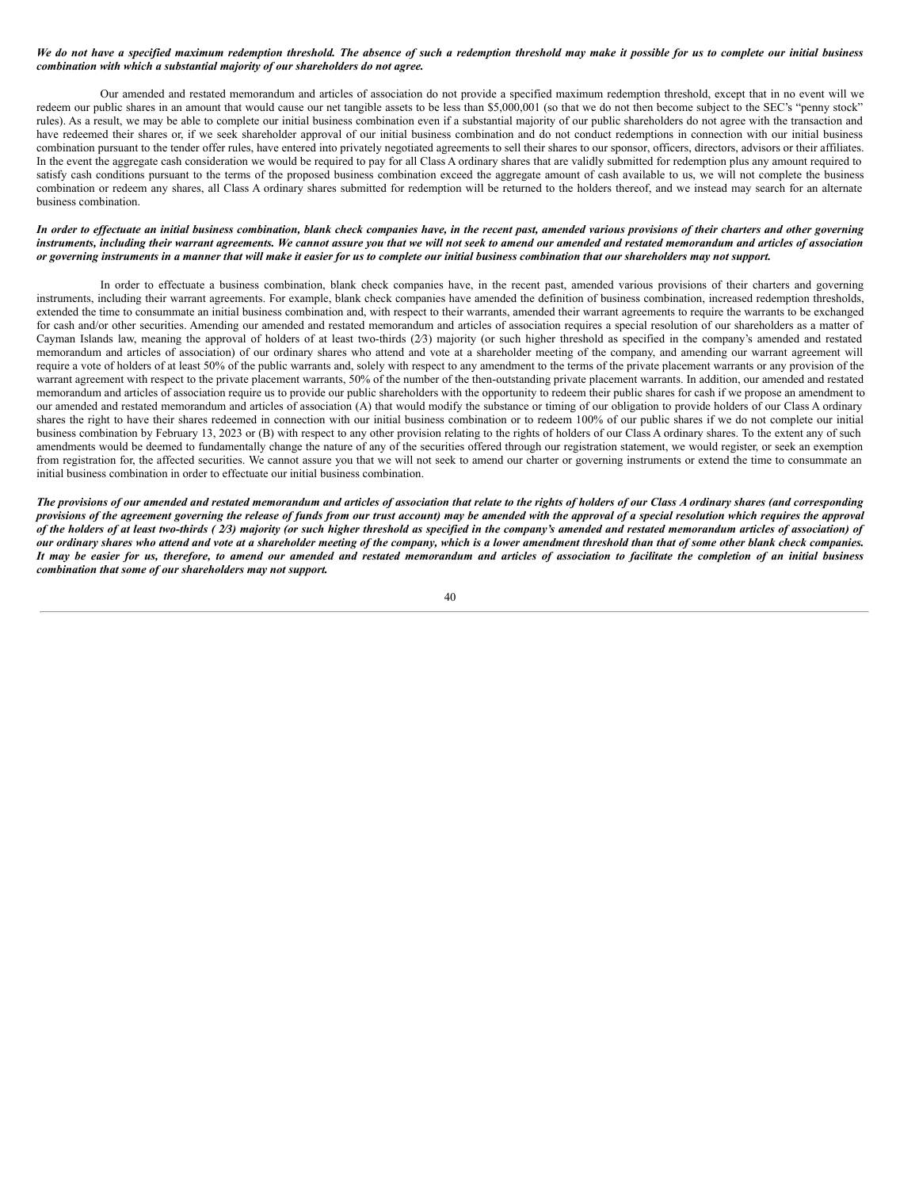# We do not have a specified maximum redemption threshold. The absence of such a redemption threshold may make it possible for us to complete our initial business *combination with which a substantial majority of our shareholders do not agree.*

Our amended and restated memorandum and articles of association do not provide a specified maximum redemption threshold, except that in no event will we redeem our public shares in an amount that would cause our net tangible assets to be less than \$5,000,001 (so that we do not then become subject to the SEC's "penny stock" rules). As a result, we may be able to complete our initial business combination even if a substantial majority of our public shareholders do not agree with the transaction and have redeemed their shares or, if we seek shareholder approval of our initial business combination and do not conduct redemptions in connection with our initial business combination pursuant to the tender offer rules, have entered into privately negotiated agreements to sell their shares to our sponsor, officers, directors, advisors or their affiliates. In the event the aggregate cash consideration we would be required to pay for all Class A ordinary shares that are validly submitted for redemption plus any amount required to satisfy cash conditions pursuant to the terms of the proposed business combination exceed the aggregate amount of cash available to us, we will not complete the business combination or redeem any shares, all Class A ordinary shares submitted for redemption will be returned to the holders thereof, and we instead may search for an alternate business combination.

## In order to effectuate an initial business combination, blank check companies have, in the recent past, amended various provisions of their charters and other governing instruments, including their warrant agreements. We cannot assure you that we will not seek to amend our amended and restated memorandum and articles of association or governing instruments in a manner that will make it easier for us to complete our initial business combination that our shareholders may not support.

In order to effectuate a business combination, blank check companies have, in the recent past, amended various provisions of their charters and governing instruments, including their warrant agreements. For example, blank check companies have amended the definition of business combination, increased redemption thresholds, extended the time to consummate an initial business combination and, with respect to their warrants, amended their warrant agreements to require the warrants to be exchanged for cash and/or other securities. Amending our amended and restated memorandum and articles of association requires a special resolution of our shareholders as a matter of Cayman Islands law, meaning the approval of holders of at least two-thirds (23) majority (or such higher threshold as specified in the company's amended and restated memorandum and articles of association) of our ordinary shares who attend and vote at a shareholder meeting of the company, and amending our warrant agreement will require a vote of holders of at least 50% of the public warrants and, solely with respect to any amendment to the terms of the private placement warrants or any provision of the warrant agreement with respect to the private placement warrants, 50% of the number of the then-outstanding private placement warrants. In addition, our amended and restated memorandum and articles of association require us to provide our public shareholders with the opportunity to redeem their public shares for cash if we propose an amendment to our amended and restated memorandum and articles of association (A) that would modify the substance or timing of our obligation to provide holders of our Class A ordinary shares the right to have their shares redeemed in connection with our initial business combination or to redeem 100% of our public shares if we do not complete our initial business combination by February 13, 2023 or (B) with respect to any other provision relating to the rights of holders of our Class A ordinary shares. To the extent any of such amendments would be deemed to fundamentally change the nature of any of the securities offered through our registration statement, we would register, or seek an exemption from registration for, the affected securities. We cannot assure you that we will not seek to amend our charter or governing instruments or extend the time to consummate an initial business combination in order to effectuate our initial business combination.

The provisions of our amended and restated memorandum and articles of association that relate to the rights of holders of our Class A ordinary shares (and corresponding provisions of the agreement governing the release of funds from our trust account) may be amended with the approval of a special resolution which requires the approval of the holders of at least two-thirds (23) majority (or such higher threshold as specified in the company's amended and restated memorandum articles of association) of our ordinary shares who attend and vote at a shareholder meeting of the company, which is a lower amendment threshold than that of some other blank check companies. It may be easier for us, therefore, to amend our amended and restated memorandum and articles of association to facilitate the completion of an initial business *combination that some of our shareholders may not support.*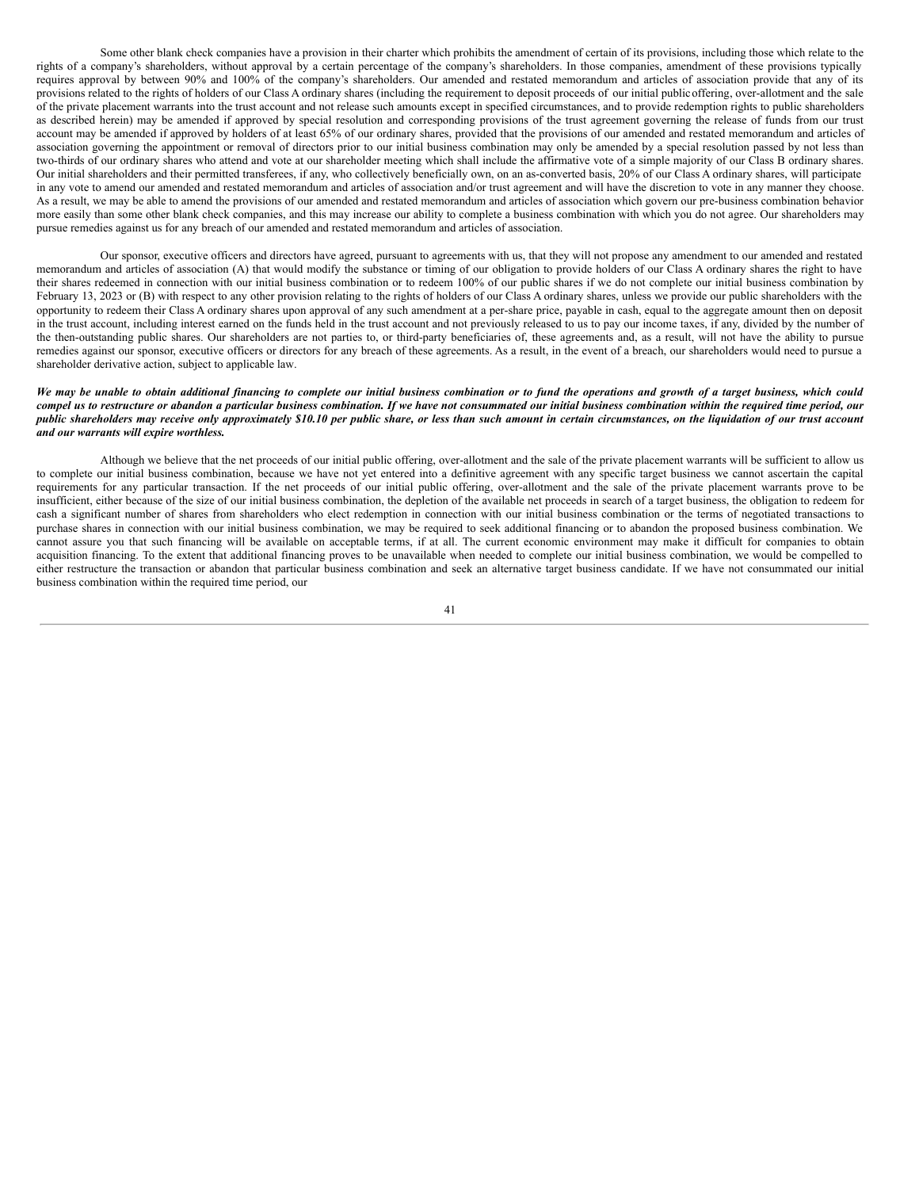Some other blank check companies have a provision in their charter which prohibits the amendment of certain of its provisions, including those which relate to the rights of a company's shareholders, without approval by a certain percentage of the company's shareholders. In those companies, amendment of these provisions typically requires approval by between 90% and 100% of the company's shareholders. Our amended and restated memorandum and articles of association provide that any of its provisions related to the rights of holders of our Class A ordinary shares (including the requirement to deposit proceeds of our initial publicoffering, over-allotment and the sale of the private placement warrants into the trust account and not release such amounts except in specified circumstances, and to provide redemption rights to public shareholders as described herein) may be amended if approved by special resolution and corresponding provisions of the trust agreement governing the release of funds from our trust account may be amended if approved by holders of at least 65% of our ordinary shares, provided that the provisions of our amended and restated memorandum and articles of association governing the appointment or removal of directors prior to our initial business combination may only be amended by a special resolution passed by not less than two-thirds of our ordinary shares who attend and vote at our shareholder meeting which shall include the affirmative vote of a simple majority of our Class B ordinary shares. Our initial shareholders and their permitted transferees, if any, who collectively beneficially own, on an as-converted basis, 20% of our Class A ordinary shares, will participate in any vote to amend our amended and restated memorandum and articles of association and/or trust agreement and will have the discretion to vote in any manner they choose. As a result, we may be able to amend the provisions of our amended and restated memorandum and articles of association which govern our pre-business combination behavior more easily than some other blank check companies, and this may increase our ability to complete a business combination with which you do not agree. Our shareholders may pursue remedies against us for any breach of our amended and restated memorandum and articles of association.

Our sponsor, executive officers and directors have agreed, pursuant to agreements with us, that they will not propose any amendment to our amended and restated memorandum and articles of association (A) that would modify the substance or timing of our obligation to provide holders of our Class A ordinary shares the right to have their shares redeemed in connection with our initial business combination or to redeem 100% of our public shares if we do not complete our initial business combination by February 13, 2023 or (B) with respect to any other provision relating to the rights of holders of our Class A ordinary shares, unless we provide our public shareholders with the opportunity to redeem their Class A ordinary shares upon approval of any such amendment at a per-share price, payable in cash, equal to the aggregate amount then on deposit in the trust account, including interest earned on the funds held in the trust account and not previously released to us to pay our income taxes, if any, divided by the number of the then-outstanding public shares. Our shareholders are not parties to, or third-party beneficiaries of, these agreements and, as a result, will not have the ability to pursue remedies against our sponsor, executive officers or directors for any breach of these agreements. As a result, in the event of a breach, our shareholders would need to pursue a shareholder derivative action, subject to applicable law.

## We may be unable to obtain additional financing to complete our initial business combination or to fund the operations and growth of a target business, which could compel us to restructure or abandon a particular business combination. If we have not consummated our initial business combination within the required time period, our public shareholders may receive only approximately \$10.10 per public share, or less than such amount in certain circumstances, on the liquidation of our trust account *and our warrants will expire worthless.*

Although we believe that the net proceeds of our initial public offering, over-allotment and the sale of the private placement warrants will be sufficient to allow us to complete our initial business combination, because we have not yet entered into a definitive agreement with any specific target business we cannot ascertain the capital requirements for any particular transaction. If the net proceeds of our initial public offering, over-allotment and the sale of the private placement warrants prove to be insufficient, either because of the size of our initial business combination, the depletion of the available net proceeds in search of a target business, the obligation to redeem for cash a significant number of shares from shareholders who elect redemption in connection with our initial business combination or the terms of negotiated transactions to purchase shares in connection with our initial business combination, we may be required to seek additional financing or to abandon the proposed business combination. We cannot assure you that such financing will be available on acceptable terms, if at all. The current economic environment may make it difficult for companies to obtain acquisition financing. To the extent that additional financing proves to be unavailable when needed to complete our initial business combination, we would be compelled to either restructure the transaction or abandon that particular business combination and seek an alternative target business candidate. If we have not consummated our initial business combination within the required time period, our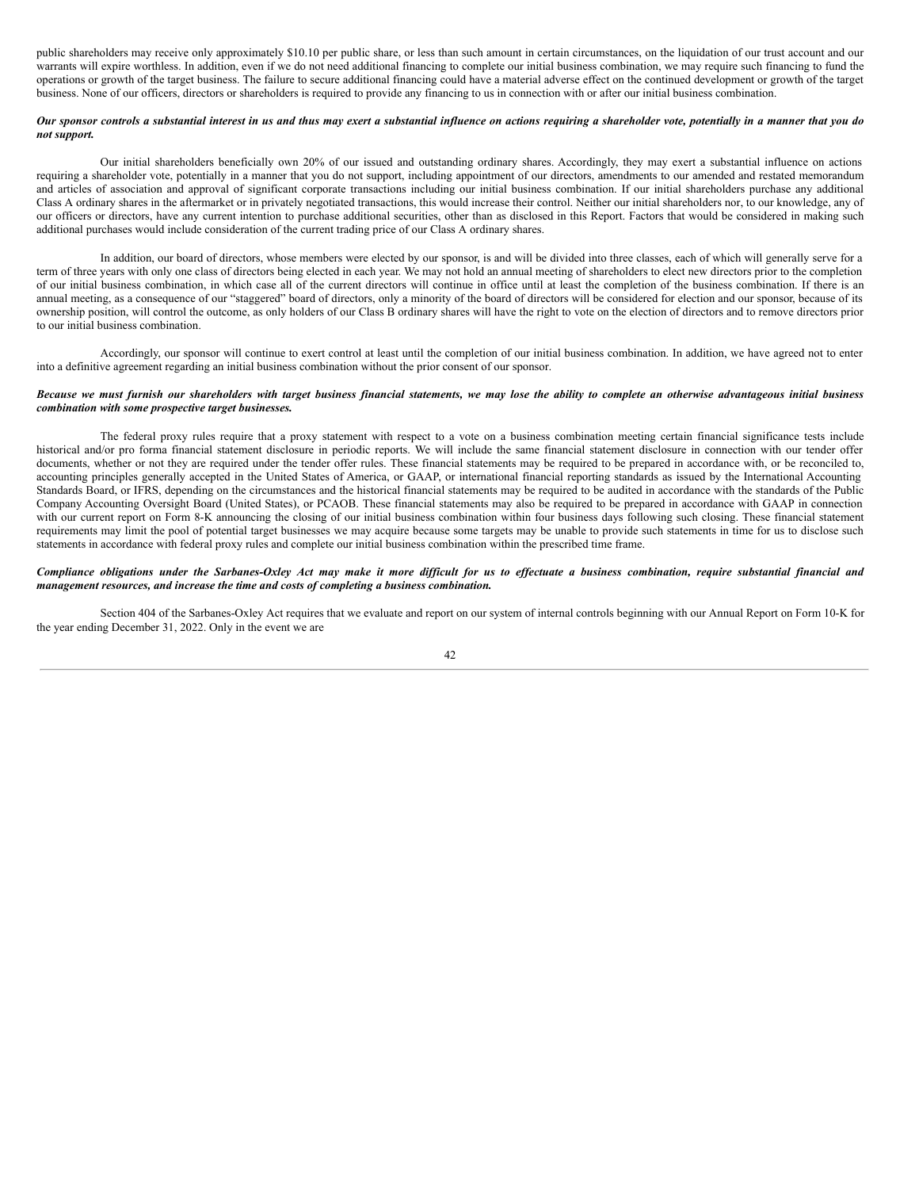public shareholders may receive only approximately \$10.10 per public share, or less than such amount in certain circumstances, on the liquidation of our trust account and our warrants will expire worthless. In addition, even if we do not need additional financing to complete our initial business combination, we may require such financing to fund the operations or growth of the target business. The failure to secure additional financing could have a material adverse effect on the continued development or growth of the target business. None of our officers, directors or shareholders is required to provide any financing to us in connection with or after our initial business combination.

# Our sponsor controls a substantial interest in us and thus may exert a substantial influence on actions requiring a shareholder vote, potentially in a manner that you do *not support.*

Our initial shareholders beneficially own 20% of our issued and outstanding ordinary shares. Accordingly, they may exert a substantial influence on actions requiring a shareholder vote, potentially in a manner that you do not support, including appointment of our directors, amendments to our amended and restated memorandum and articles of association and approval of significant corporate transactions including our initial business combination. If our initial shareholders purchase any additional Class A ordinary shares in the aftermarket or in privately negotiated transactions, this would increase their control. Neither our initial shareholders nor, to our knowledge, any of our officers or directors, have any current intention to purchase additional securities, other than as disclosed in this Report. Factors that would be considered in making such additional purchases would include consideration of the current trading price of our Class A ordinary shares.

In addition, our board of directors, whose members were elected by our sponsor, is and will be divided into three classes, each of which will generally serve for a term of three years with only one class of directors being elected in each year. We may not hold an annual meeting of shareholders to elect new directors prior to the completion of our initial business combination, in which case all of the current directors will continue in office until at least the completion of the business combination. If there is an annual meeting, as a consequence of our "staggered" board of directors, only a minority of the board of directors will be considered for election and our sponsor, because of its ownership position, will control the outcome, as only holders of our Class B ordinary shares will have the right to vote on the election of directors and to remove directors prior to our initial business combination.

Accordingly, our sponsor will continue to exert control at least until the completion of our initial business combination. In addition, we have agreed not to enter into a definitive agreement regarding an initial business combination without the prior consent of our sponsor.

## Because we must furnish our shareholders with target business financial statements, we may lose the ability to complete an otherwise advantageous initial business *combination with some prospective target businesses.*

The federal proxy rules require that a proxy statement with respect to a vote on a business combination meeting certain financial significance tests include historical and/or pro forma financial statement disclosure in periodic reports. We will include the same financial statement disclosure in connection with our tender offer documents, whether or not they are required under the tender offer rules. These financial statements may be required to be prepared in accordance with, or be reconciled to, accounting principles generally accepted in the United States of America, or GAAP, or international financial reporting standards as issued by the International Accounting Standards Board, or IFRS, depending on the circumstances and the historical financial statements may be required to be audited in accordance with the standards of the Public Company Accounting Oversight Board (United States), or PCAOB. These financial statements may also be required to be prepared in accordance with GAAP in connection with our current report on Form 8-K announcing the closing of our initial business combination within four business days following such closing. These financial statement requirements may limit the pool of potential target businesses we may acquire because some targets may be unable to provide such statements in time for us to disclose such statements in accordance with federal proxy rules and complete our initial business combination within the prescribed time frame.

## Compliance obligations under the Sarbanes-Oxley Act may make it more difficult for us to effectuate a business combination, require substantial financial and *management resources, and increase the time and costs of completing a business combination.*

Section 404 of the Sarbanes-Oxley Act requires that we evaluate and report on our system of internal controls beginning with our Annual Report on Form 10-K for the year ending December 31, 2022. Only in the event we are

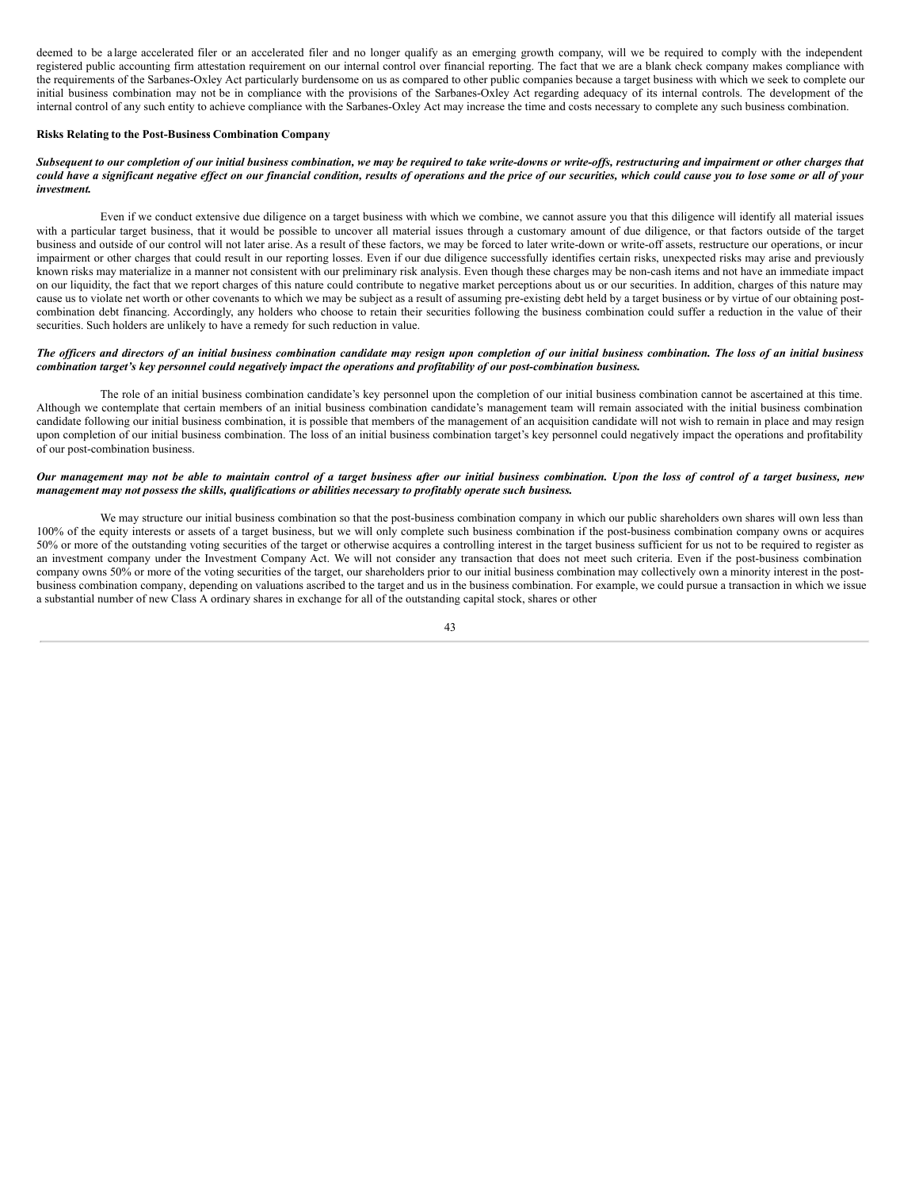deemed to be a large accelerated filer or an accelerated filer and no longer qualify as an emerging growth company, will we be required to comply with the independent registered public accounting firm attestation requirement on our internal control over financial reporting. The fact that we are a blank check company makes compliance with the requirements of the Sarbanes-Oxley Act particularly burdensome on us as compared to other public companies because a target business with which we seek to complete our initial business combination may not be in compliance with the provisions of the Sarbanes-Oxley Act regarding adequacy of its internal controls. The development of the internal control of any such entity to achieve compliance with the Sarbanes-Oxley Act may increase the time and costs necessary to complete any such business combination.

# **Risks Relating to the Post-Business Combination Company**

## Subsequent to our completion of our initial business combination, we may be required to take write-downs or write-offs, restructuring and impairment or other charges that could have a significant negative effect on our financial condition, results of operations and the price of our securities, which could cause you to lose some or all of your *investment.*

Even if we conduct extensive due diligence on a target business with which we combine, we cannot assure you that this diligence will identify all material issues with a particular target business, that it would be possible to uncover all material issues through a customary amount of due diligence, or that factors outside of the target business and outside of our control will not later arise. As a result of these factors, we may be forced to later write-down or write-off assets, restructure our operations, or incur impairment or other charges that could result in our reporting losses. Even if our due diligence successfully identifies certain risks, unexpected risks may arise and previously known risks may materialize in a manner not consistent with our preliminary risk analysis. Even though these charges may be non-cash items and not have an immediate impact on our liquidity, the fact that we report charges of this nature could contribute to negative market perceptions about us or our securities. In addition, charges of this nature may cause us to violate net worth or other covenants to which we may be subject as a result of assuming pre-existing debt held by a target business or by virtue of our obtaining postcombination debt financing. Accordingly, any holders who choose to retain their securities following the business combination could suffer a reduction in the value of their securities. Such holders are unlikely to have a remedy for such reduction in value.

## The officers and directors of an initial business combination candidate may resign upon completion of our initial business combination. The loss of an initial business combination target's key personnel could negatively impact the operations and profitability of our post-combination business.

The role of an initial business combination candidate's key personnel upon the completion of our initial business combination cannot be ascertained at this time. Although we contemplate that certain members of an initial business combination candidate's management team will remain associated with the initial business combination candidate following our initial business combination, it is possible that members of the management of an acquisition candidate will not wish to remain in place and may resign upon completion of our initial business combination. The loss of an initial business combination target's key personnel could negatively impact the operations and profitability of our post-combination business.

## Our management may not be able to maintain control of a target business after our initial business combination. Upon the loss of control of a target business, new *management may not possess the skills, qualifications or abilities necessary to profitably operate such business.*

We may structure our initial business combination so that the post-business combination company in which our public shareholders own shares will own less than 100% of the equity interests or assets of a target business, but we will only complete such business combination if the post-business combination company owns or acquires 50% or more of the outstanding voting securities of the target or otherwise acquires a controlling interest in the target business sufficient for us not to be required to register as an investment company under the Investment Company Act. We will not consider any transaction that does not meet such criteria. Even if the post-business combination company owns 50% or more of the voting securities of the target, our shareholders prior to our initial business combination may collectively own a minority interest in the postbusiness combination company, depending on valuations ascribed to the target and us in the business combination. For example, we could pursue a transaction in which we issue a substantial number of new Class A ordinary shares in exchange for all of the outstanding capital stock, shares or other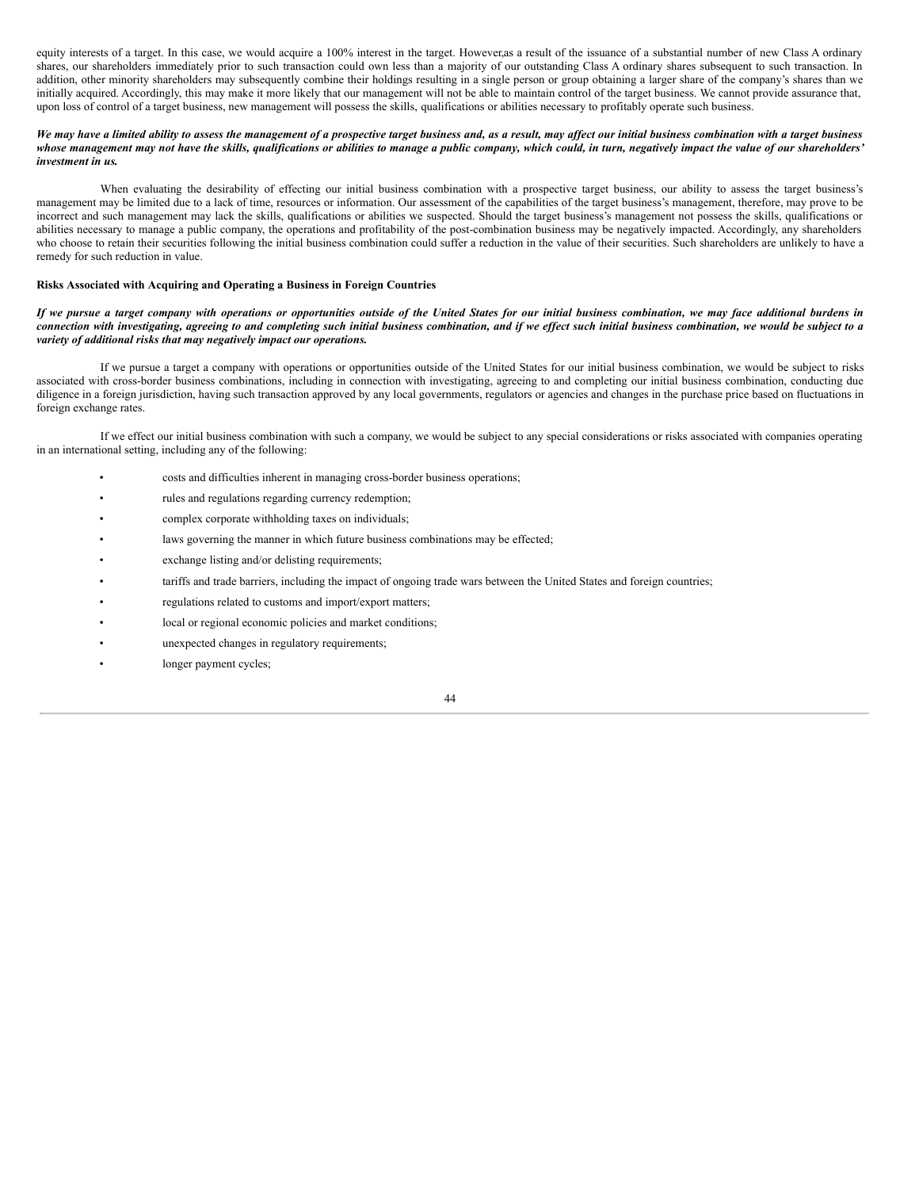equity interests of a target. In this case, we would acquire a 100% interest in the target. However, as a result of the issuance of a substantial number of new Class A ordinary shares, our shareholders immediately prior to such transaction could own less than a majority of our outstanding Class A ordinary shares subsequent to such transaction. In addition, other minority shareholders may subsequently combine their holdings resulting in a single person or group obtaining a larger share of the company's shares than we initially acquired. Accordingly, this may make it more likely that our management will not be able to maintain control of the target business. We cannot provide assurance that, upon loss of control of a target business, new management will possess the skills, qualifications or abilities necessary to profitably operate such business.

## We may have a limited ability to assess the management of a prospective target business and, as a result, may affect our initial business combination with a target business whose management may not have the skills, qualifications or abilities to manage a public company, which could, in turn, negatively impact the value of our shareholders' *investment in us.*

When evaluating the desirability of effecting our initial business combination with a prospective target business, our ability to assess the target business's management may be limited due to a lack of time, resources or information. Our assessment of the capabilities of the target business's management, therefore, may prove to be incorrect and such management may lack the skills, qualifications or abilities we suspected. Should the target business's management not possess the skills, qualifications or abilities necessary to manage a public company, the operations and profitability of the post-combination business may be negatively impacted. Accordingly, any shareholders who choose to retain their securities following the initial business combination could suffer a reduction in the value of their securities. Such shareholders are unlikely to have a remedy for such reduction in value.

### **Risks Associated with Acquiring and Operating a Business in Foreign Countries**

## If we pursue a target company with operations or opportunities outside of the United States for our initial business combination, we may face additional burdens in connection with investigating, agreeing to and completing such initial business combination, and if we effect such initial business combination, we would be subject to a *variety of additional risks that may negatively impact our operations.*

If we pursue a target a company with operations or opportunities outside of the United States for our initial business combination, we would be subject to risks associated with cross-border business combinations, including in connection with investigating, agreeing to and completing our initial business combination, conducting due diligence in a foreign jurisdiction, having such transaction approved by any local governments, regulators or agencies and changes in the purchase price based on fluctuations in foreign exchange rates.

If we effect our initial business combination with such a company, we would be subject to any special considerations or risks associated with companies operating in an international setting, including any of the following:

- costs and difficulties inherent in managing cross-border business operations;
- rules and regulations regarding currency redemption;
- complex corporate withholding taxes on individuals;
- laws governing the manner in which future business combinations may be effected;
- exchange listing and/or delisting requirements;
- tariffs and trade barriers, including the impact of ongoing trade wars between the United States and foreign countries;
- regulations related to customs and import/export matters;
- local or regional economic policies and market conditions;
- unexpected changes in regulatory requirements;
- longer payment cycles;

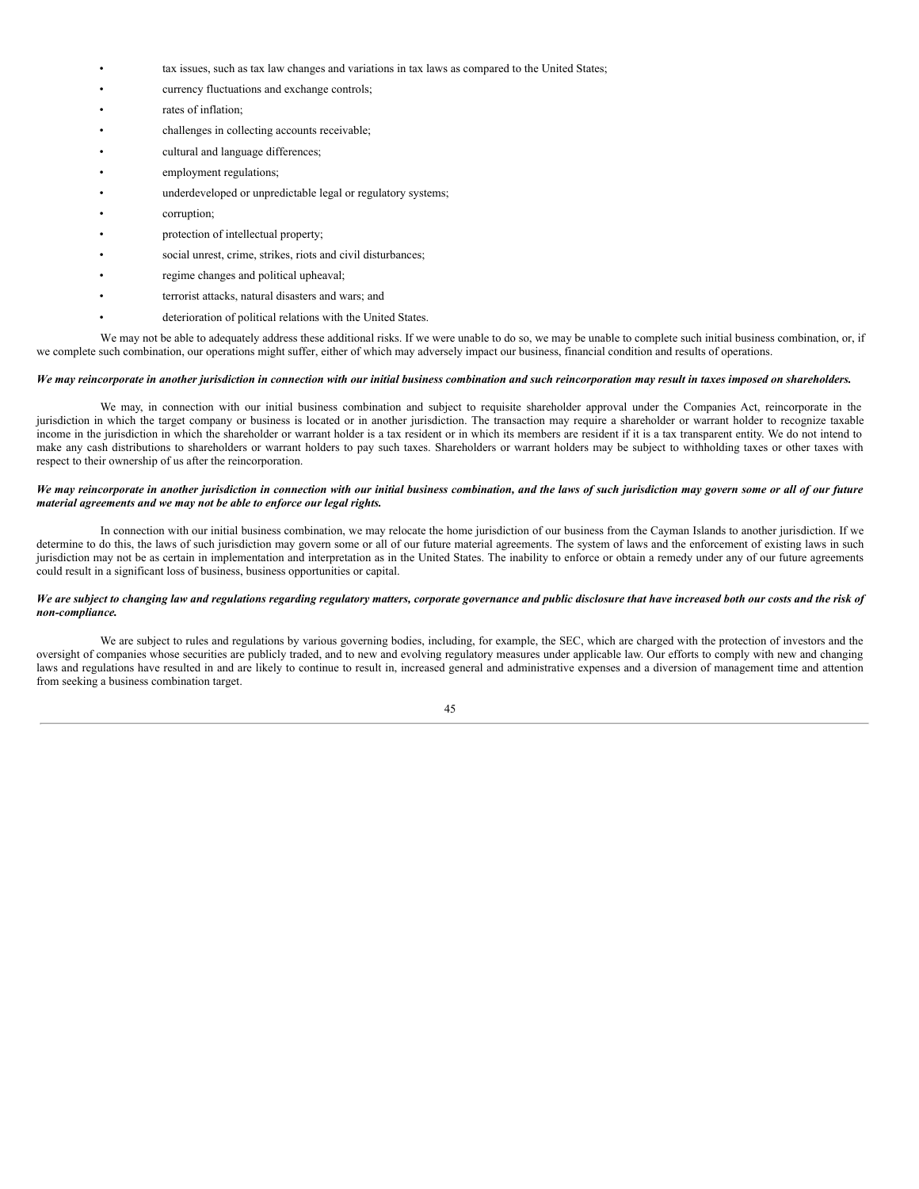- tax issues, such as tax law changes and variations in tax laws as compared to the United States;
- currency fluctuations and exchange controls;
- rates of inflation;
- challenges in collecting accounts receivable;
- cultural and language differences;
- employment regulations;
- underdeveloped or unpredictable legal or regulatory systems;
- corruption;
- protection of intellectual property;
- social unrest, crime, strikes, riots and civil disturbances;
- regime changes and political upheaval;
- terrorist attacks, natural disasters and wars; and
- deterioration of political relations with the United States.

We may not be able to adequately address these additional risks. If we were unable to do so, we may be unable to complete such initial business combination, or, if we complete such combination, our operations might suffer, either of which may adversely impact our business, financial condition and results of operations.

## We may reincorporate in another jurisdiction in connection with our initial business combination and such reincorporation may result in taxes imposed on shareholders.

We may, in connection with our initial business combination and subject to requisite shareholder approval under the Companies Act, reincorporate in the jurisdiction in which the target company or business is located or in another jurisdiction. The transaction may require a shareholder or warrant holder to recognize taxable income in the jurisdiction in which the shareholder or warrant holder is a tax resident or in which its members are resident if it is a tax transparent entity. We do not intend to make any cash distributions to shareholders or warrant holders to pay such taxes. Shareholders or warrant holders may be subject to withholding taxes or other taxes with respect to their ownership of us after the reincorporation.

## We may reincorporate in another jurisdiction in connection with our initial business combination, and the laws of such jurisdiction may govern some or all of our future *material agreements and we may not be able to enforce our legal rights.*

In connection with our initial business combination, we may relocate the home jurisdiction of our business from the Cayman Islands to another jurisdiction. If we determine to do this, the laws of such jurisdiction may govern some or all of our future material agreements. The system of laws and the enforcement of existing laws in such jurisdiction may not be as certain in implementation and interpretation as in the United States. The inability to enforce or obtain a remedy under any of our future agreements could result in a significant loss of business, business opportunities or capital.

## We are subject to changing law and regulations regarding regulatory matters, corporate governance and public disclosure that have increased both our costs and the risk of *non-compliance.*

We are subject to rules and regulations by various governing bodies, including, for example, the SEC, which are charged with the protection of investors and the oversight of companies whose securities are publicly traded, and to new and evolving regulatory measures under applicable law. Our efforts to comply with new and changing laws and regulations have resulted in and are likely to continue to result in, increased general and administrative expenses and a diversion of management time and attention from seeking a business combination target.

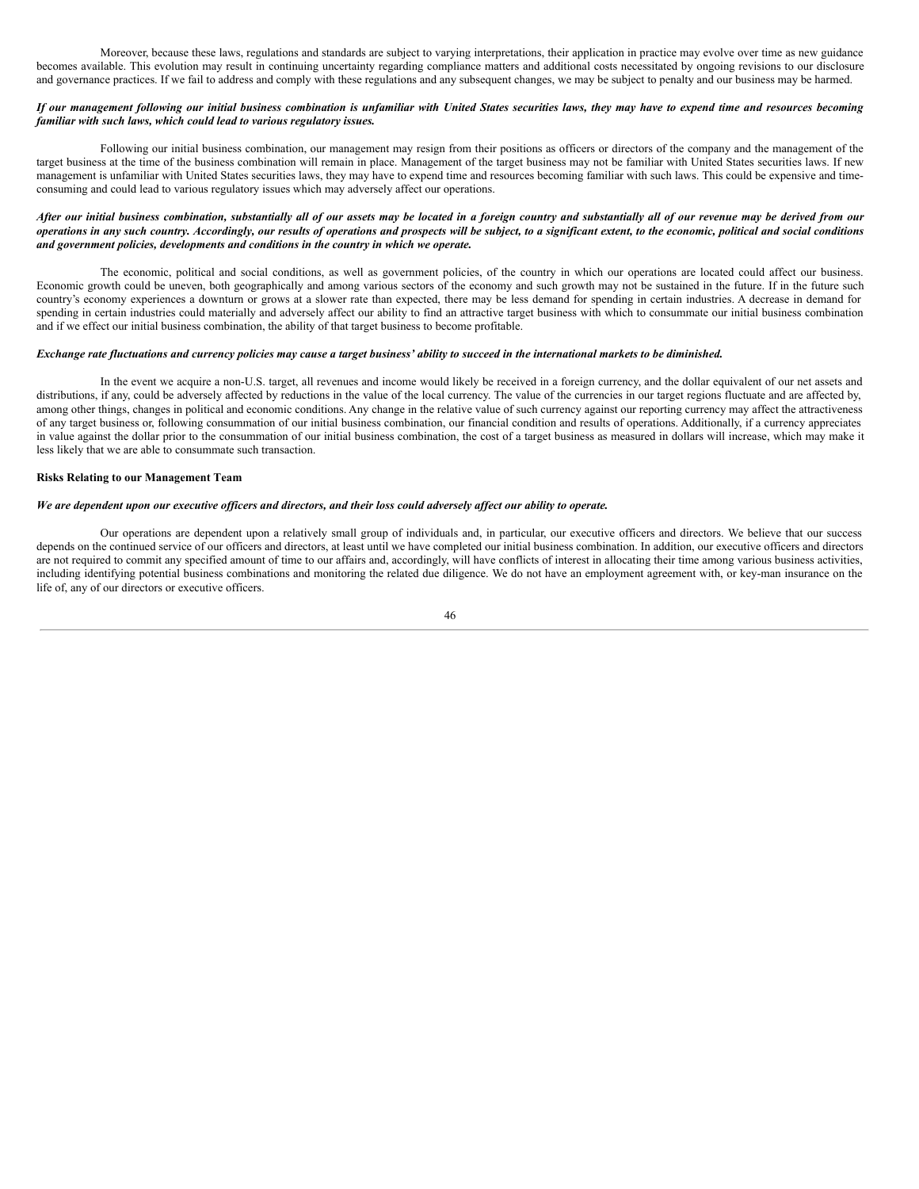Moreover, because these laws, regulations and standards are subject to varying interpretations, their application in practice may evolve over time as new guidance becomes available. This evolution may result in continuing uncertainty regarding compliance matters and additional costs necessitated by ongoing revisions to our disclosure and governance practices. If we fail to address and comply with these regulations and any subsequent changes, we may be subject to penalty and our business may be harmed.

# If our management following our initial business combination is unfamiliar with United States securities laws, they may have to expend time and resources becoming *familiar with such laws, which could lead to various regulatory issues.*

Following our initial business combination, our management may resign from their positions as officers or directors of the company and the management of the target business at the time of the business combination will remain in place. Management of the target business may not be familiar with United States securities laws. If new management is unfamiliar with United States securities laws, they may have to expend time and resources becoming familiar with such laws. This could be expensive and timeconsuming and could lead to various regulatory issues which may adversely affect our operations.

## After our initial business combination, substantially all of our assets may be located in a foreign country and substantially all of our revenue may be derived from our operations in any such country. Accordingly, our results of operations and prospects will be subject, to a significant extent, to the economic, political and social conditions *and government policies, developments and conditions in the country in which we operate.*

The economic, political and social conditions, as well as government policies, of the country in which our operations are located could affect our business. Economic growth could be uneven, both geographically and among various sectors of the economy and such growth may not be sustained in the future. If in the future such country's economy experiences a downturn or grows at a slower rate than expected, there may be less demand for spending in certain industries. A decrease in demand for spending in certain industries could materially and adversely affect our ability to find an attractive target business with which to consummate our initial business combination and if we effect our initial business combination, the ability of that target business to become profitable.

## Exchange rate fluctuations and currency policies may cause a target business' ability to succeed in the international markets to be diminished.

In the event we acquire a non-U.S. target, all revenues and income would likely be received in a foreign currency, and the dollar equivalent of our net assets and distributions, if any, could be adversely affected by reductions in the value of the local currency. The value of the currencies in our target regions fluctuate and are affected by, among other things, changes in political and economic conditions. Any change in the relative value of such currency against our reporting currency may affect the attractiveness of any target business or, following consummation of our initial business combination, our financial condition and results of operations. Additionally, if a currency appreciates in value against the dollar prior to the consummation of our initial business combination, the cost of a target business as measured in dollars will increase, which may make it less likely that we are able to consummate such transaction.

#### **Risks Relating to our Management Team**

## We are dependent upon our executive officers and directors, and their loss could adversely affect our ability to operate.

Our operations are dependent upon a relatively small group of individuals and, in particular, our executive officers and directors. We believe that our success depends on the continued service of our officers and directors, at least until we have completed our initial business combination. In addition, our executive officers and directors are not required to commit any specified amount of time to our affairs and, accordingly, will have conflicts of interest in allocating their time among various business activities, including identifying potential business combinations and monitoring the related due diligence. We do not have an employment agreement with, or key-man insurance on the life of, any of our directors or executive officers.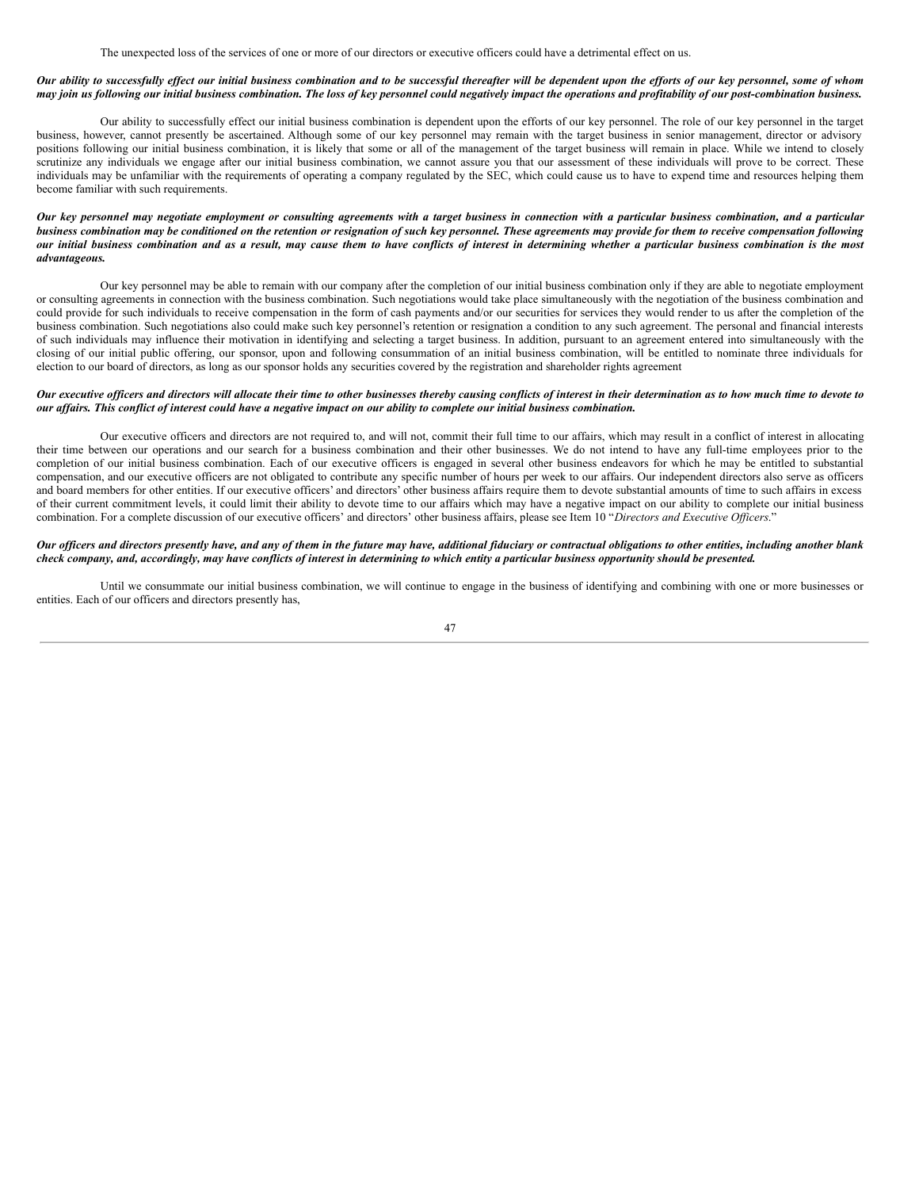## Our ability to successfully effect our initial business combination and to be successful thereafter will be dependent upon the efforts of our key personnel, some of whom may join us following our initial business combination. The loss of key personnel could negatively impact the operations and profitability of our post-combination business.

Our ability to successfully effect our initial business combination is dependent upon the efforts of our key personnel. The role of our key personnel in the target business, however, cannot presently be ascertained. Although some of our key personnel may remain with the target business in senior management, director or advisory positions following our initial business combination, it is likely that some or all of the management of the target business will remain in place. While we intend to closely scrutinize any individuals we engage after our initial business combination, we cannot assure you that our assessment of these individuals will prove to be correct. These individuals may be unfamiliar with the requirements of operating a company regulated by the SEC, which could cause us to have to expend time and resources helping them become familiar with such requirements.

## Our key personnel may negotiate employment or consulting agreements with a target business in connection with a particular business combination, and a particular business combination may be conditioned on the retention or resignation of such key personnel. These agreements may provide for them to receive compensation following our initial business combination and as a result, may cause them to have conflicts of interest in determining whether a particular business combination is the most *advantageous.*

Our key personnel may be able to remain with our company after the completion of our initial business combination only if they are able to negotiate employment or consulting agreements in connection with the business combination. Such negotiations would take place simultaneously with the negotiation of the business combination and could provide for such individuals to receive compensation in the form of cash payments and/or our securities for services they would render to us after the completion of the business combination. Such negotiations also could make such key personnel's retention or resignation a condition to any such agreement. The personal and financial interests of such individuals may influence their motivation in identifying and selecting a target business. In addition, pursuant to an agreement entered into simultaneously with the closing of our initial public offering, our sponsor, upon and following consummation of an initial business combination, will be entitled to nominate three individuals for election to our board of directors, as long as our sponsor holds any securities covered by the registration and shareholder rights agreement

## Our executive officers and directors will allocate their time to other businesses thereby causing conflicts of interest in their determination as to how much time to devote to our affairs. This conflict of interest could have a negative impact on our ability to complete our initial business combination.

Our executive officers and directors are not required to, and will not, commit their full time to our affairs, which may result in a conflict of interest in allocating their time between our operations and our search for a business combination and their other businesses. We do not intend to have any full-time employees prior to the completion of our initial business combination. Each of our executive officers is engaged in several other business endeavors for which he may be entitled to substantial compensation, and our executive officers are not obligated to contribute any specific number of hours per week to our affairs. Our independent directors also serve as officers and board members for other entities. If our executive officers' and directors' other business affairs require them to devote substantial amounts of time to such affairs in excess of their current commitment levels, it could limit their ability to devote time to our affairs which may have a negative impact on our ability to complete our initial business combination. For a complete discussion of our executive officers' and directors' other business affairs, please see Item 10 "*Directors and Executive Of icers*."

## Our officers and directors presently have, and any of them in the future may have, additional fiduciary or contractual obligations to other entities, including another blank check company, and, accordingly, may have conflicts of interest in determining to which entity a particular business opportunity should be presented.

Until we consummate our initial business combination, we will continue to engage in the business of identifying and combining with one or more businesses or entities. Each of our officers and directors presently has,

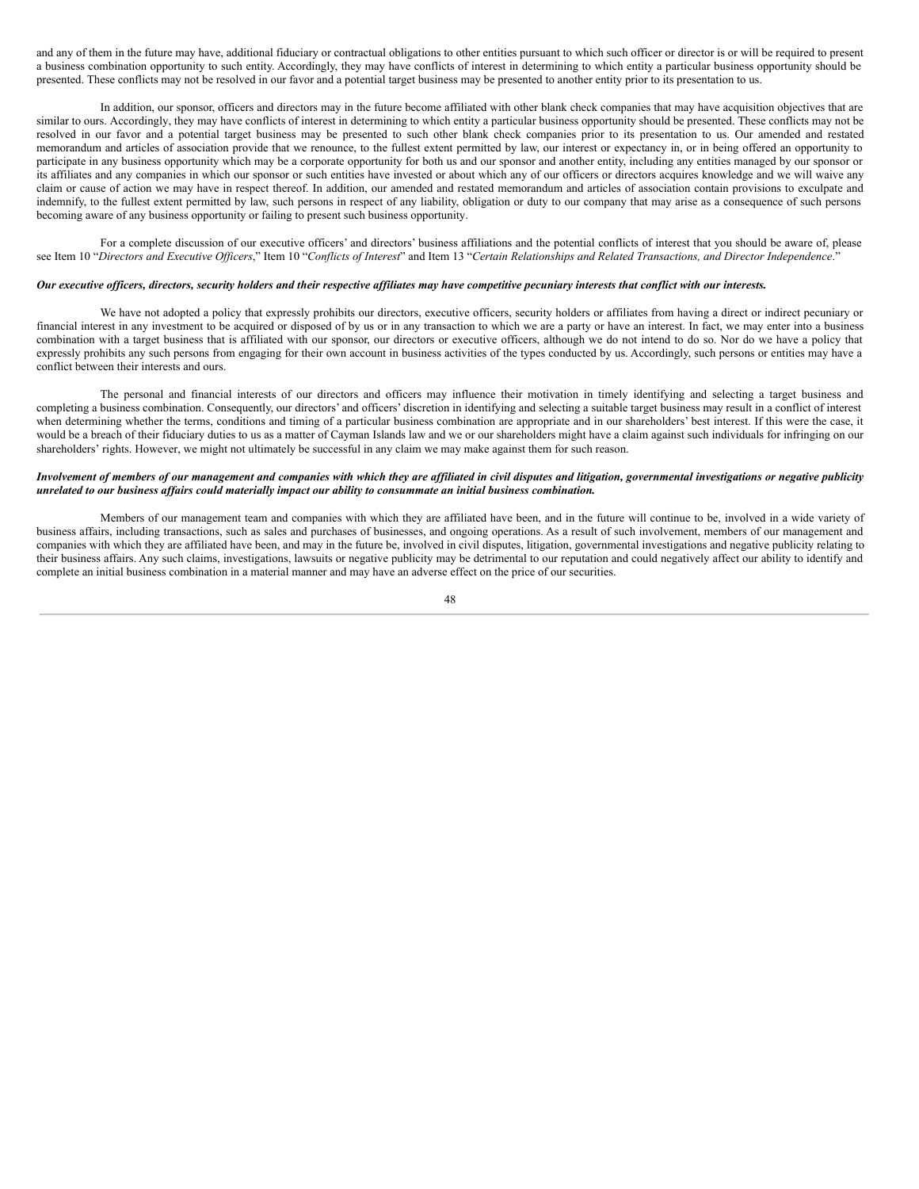and any of them in the future may have, additional fiduciary or contractual obligations to other entities pursuant to which such officer or director is or will be required to present a business combination opportunity to such entity. Accordingly, they may have conflicts of interest in determining to which entity a particular business opportunity should be presented. These conflicts may not be resolved in our favor and a potential target business may be presented to another entity prior to its presentation to us.

In addition, our sponsor, officers and directors may in the future become affiliated with other blank check companies that may have acquisition objectives that are similar to ours. Accordingly, they may have conflicts of interest in determining to which entity a particular business opportunity should be presented. These conflicts may not be resolved in our favor and a potential target business may be presented to such other blank check companies prior to its presentation to us. Our amended and restated memorandum and articles of association provide that we renounce, to the fullest extent permitted by law, our interest or expectancy in, or in being offered an opportunity to participate in any business opportunity which may be a corporate opportunity for both us and our sponsor and another entity, including any entities managed by our sponsor or its affiliates and any companies in which our sponsor or such entities have invested or about which any of our officers or directors acquires knowledge and we will waive any claim or cause of action we may have in respect thereof. In addition, our amended and restated memorandum and articles of association contain provisions to exculpate and indemnify, to the fullest extent permitted by law, such persons in respect of any liability, obligation or duty to our company that may arise as a consequence of such persons becoming aware of any business opportunity or failing to present such business opportunity.

For a complete discussion of our executive officers' and directors' business affiliations and the potential conflicts of interest that you should be aware of, please see Item 10 "Directors and Executive Officers," Item 10 "Conflicts of Interest" and Item 13 "Certain Relationships and Related Transactions, and Director Independence."

#### Our executive officers, directors, security holders and their respective affiliates may have competitive pecuniary interests that conflict with our interests.

We have not adopted a policy that expressly prohibits our directors, executive officers, security holders or affiliates from having a direct or indirect pecuniary or financial interest in any investment to be acquired or disposed of by us or in any transaction to which we are a party or have an interest. In fact, we may enter into a business combination with a target business that is affiliated with our sponsor, our directors or executive officers, although we do not intend to do so. Nor do we have a policy that expressly prohibits any such persons from engaging for their own account in business activities of the types conducted by us. Accordingly, such persons or entities may have a conflict between their interests and ours.

The personal and financial interests of our directors and officers may influence their motivation in timely identifying and selecting a target business and completing a business combination. Consequently, our directors' and officers' discretion in identifying and selecting a suitable target business may result in a conflict of interest when determining whether the terms, conditions and timing of a particular business combination are appropriate and in our shareholders' best interest. If this were the case, it would be a breach of their fiduciary duties to us as a matter of Cayman Islands law and we or our shareholders might have a claim against such individuals for infringing on our shareholders' rights. However, we might not ultimately be successful in any claim we may make against them for such reason.

## Involvement of members of our management and companies with which they are affiliated in civil disputes and litigation, governmental investigations or negative publicity unrelated to our business affairs could materially impact our ability to consummate an initial business combination.

Members of our management team and companies with which they are affiliated have been, and in the future will continue to be, involved in a wide variety of business affairs, including transactions, such as sales and purchases of businesses, and ongoing operations. As a result of such involvement, members of our management and companies with which they are affiliated have been, and may in the future be, involved in civil disputes, litigation, governmental investigations and negative publicity relating to their business affairs. Any such claims, investigations, lawsuits or negative publicity may be detrimental to our reputation and could negatively affect our ability to identify and complete an initial business combination in a material manner and may have an adverse effect on the price of our securities.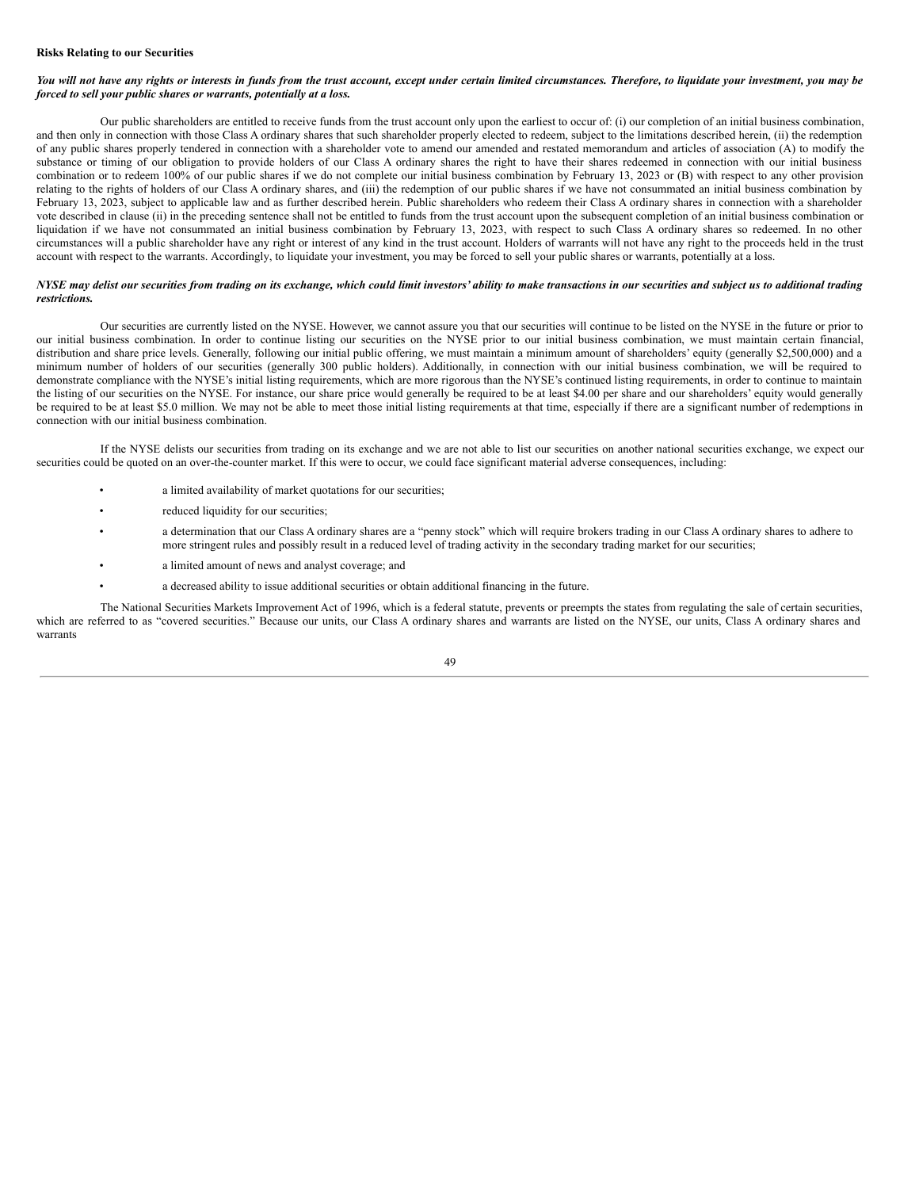### **Risks Relating to our Securities**

## You will not have any rights or interests in funds from the trust account, except under certain limited circumstances. Therefore, to liquidate your investment, you may be *forced to sell your public shares or warrants, potentially at a loss.*

Our public shareholders are entitled to receive funds from the trust account only upon the earliest to occur of: (i) our completion of an initial business combination, and then only in connection with those Class A ordinary shares that such shareholder properly elected to redeem, subject to the limitations described herein, (ii) the redemption of any public shares properly tendered in connection with a shareholder vote to amend our amended and restated memorandum and articles of association (A) to modify the substance or timing of our obligation to provide holders of our Class A ordinary shares the right to have their shares redeemed in connection with our initial business combination or to redeem 100% of our public shares if we do not complete our initial business combination by February 13, 2023 or (B) with respect to any other provision relating to the rights of holders of our Class A ordinary shares, and (iii) the redemption of our public shares if we have not consummated an initial business combination by February 13, 2023, subject to applicable law and as further described herein. Public shareholders who redeem their Class A ordinary shares in connection with a shareholder vote described in clause (ii) in the preceding sentence shall not be entitled to funds from the trust account upon the subsequent completion of an initial business combination or liquidation if we have not consummated an initial business combination by February 13, 2023, with respect to such Class A ordinary shares so redeemed. In no other circumstances will a public shareholder have any right or interest of any kind in the trust account. Holders of warrants will not have any right to the proceeds held in the trust account with respect to the warrants. Accordingly, to liquidate your investment, you may be forced to sell your public shares or warrants, potentially at a loss.

#### NYSE may delist our securities from trading on its exchange, which could limit investors' ability to make transactions in our securities and subject us to additional trading *restrictions.*

Our securities are currently listed on the NYSE. However, we cannot assure you that our securities will continue to be listed on the NYSE in the future or prior to our initial business combination. In order to continue listing our securities on the NYSE prior to our initial business combination, we must maintain certain financial, distribution and share price levels. Generally, following our initial public offering, we must maintain a minimum amount of shareholders' equity (generally \$2,500,000) and a minimum number of holders of our securities (generally 300 public holders). Additionally, in connection with our initial business combination, we will be required to demonstrate compliance with the NYSE's initial listing requirements, which are more rigorous than the NYSE's continued listing requirements, in order to continue to maintain the listing of our securities on the NYSE. For instance, our share price would generally be required to be at least \$4.00 per share and our shareholders' equity would generally be required to be at least \$5.0 million. We may not be able to meet those initial listing requirements at that time, especially if there are a significant number of redemptions in connection with our initial business combination.

If the NYSE delists our securities from trading on its exchange and we are not able to list our securities on another national securities exchange, we expect our securities could be quoted on an over-the-counter market. If this were to occur, we could face significant material adverse consequences, including:

- a limited availability of market quotations for our securities;
- reduced liquidity for our securities;
- a determination that our Class A ordinary shares are a "penny stock" which will require brokers trading in our Class A ordinary shares to adhere to more stringent rules and possibly result in a reduced level of trading activity in the secondary trading market for our securities;
- a limited amount of news and analyst coverage; and
- a decreased ability to issue additional securities or obtain additional financing in the future.

The National Securities Markets Improvement Act of 1996, which is a federal statute, prevents or preempts the states from regulating the sale of certain securities, which are referred to as "covered securities." Because our units, our Class A ordinary shares and warrants are listed on the NYSE, our units, Class A ordinary shares and warrants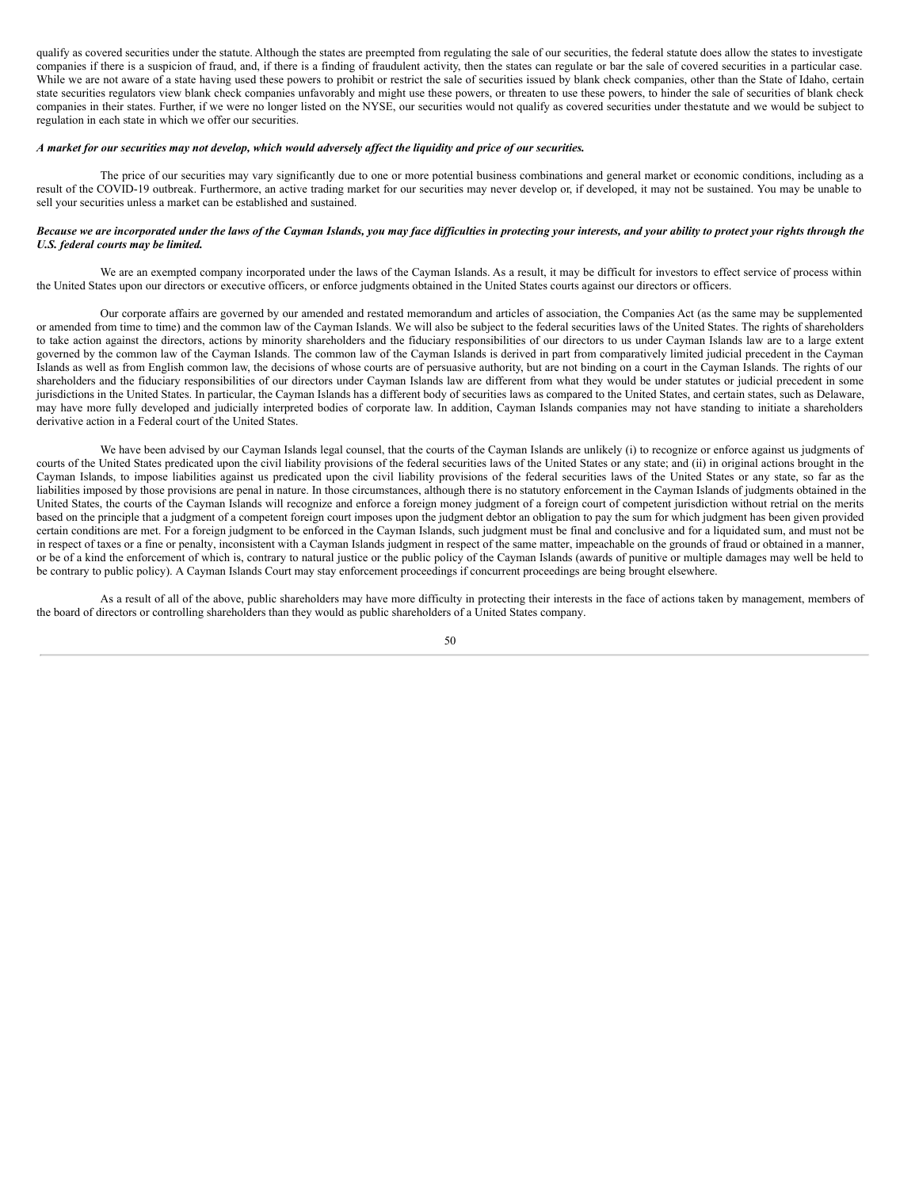qualify as covered securities under the statute. Although the states are preempted from regulating the sale of our securities, the federal statute does allow the states to investigate companies if there is a suspicion of fraud, and, if there is a finding of fraudulent activity, then the states can regulate or bar the sale of covered securities in a particular case. While we are not aware of a state having used these powers to prohibit or restrict the sale of securities issued by blank check companies, other than the State of Idaho, certain state securities regulators view blank check companies unfavorably and might use these powers, or threaten to use these powers, to hinder the sale of securities of blank check companies in their states. Further, if we were no longer listed on the NYSE, our securities would not qualify as covered securities under thestatute and we would be subject to regulation in each state in which we offer our securities.

## A market for our securities may not develop, which would adversely affect the liquidity and price of our securities.

The price of our securities may vary significantly due to one or more potential business combinations and general market or economic conditions, including as a result of the COVID-19 outbreak. Furthermore, an active trading market for our securities may never develop or, if developed, it may not be sustained. You may be unable to sell your securities unless a market can be established and sustained.

# Because we are incorporated under the laws of the Cayman Islands, you may face difficulties in protecting your interests, and your ability to protect your rights through the *U.S. federal courts may be limited.*

We are an exempted company incorporated under the laws of the Cayman Islands. As a result, it may be difficult for investors to effect service of process within the United States upon our directors or executive officers, or enforce judgments obtained in the United States courts against our directors or officers.

Our corporate affairs are governed by our amended and restated memorandum and articles of association, the Companies Act (as the same may be supplemented or amended from time to time) and the common law of the Cayman Islands. We will also be subject to the federal securities laws of the United States. The rights of shareholders to take action against the directors, actions by minority shareholders and the fiduciary responsibilities of our directors to us under Cayman Islands law are to a large extent governed by the common law of the Cayman Islands. The common law of the Cayman Islands is derived in part from comparatively limited judicial precedent in the Cayman Islands as well as from English common law, the decisions of whose courts are of persuasive authority, but are not binding on a court in the Cayman Islands. The rights of our shareholders and the fiduciary responsibilities of our directors under Cayman Islands law are different from what they would be under statutes or judicial precedent in some jurisdictions in the United States. In particular, the Cayman Islands has a different body of securities laws as compared to the United States, and certain states, such as Delaware, may have more fully developed and judicially interpreted bodies of corporate law. In addition, Cayman Islands companies may not have standing to initiate a shareholders derivative action in a Federal court of the United States.

We have been advised by our Cayman Islands legal counsel, that the courts of the Cayman Islands are unlikely (i) to recognize or enforce against us judgments of courts of the United States predicated upon the civil liability provisions of the federal securities laws of the United States or any state; and (ii) in original actions brought in the Cayman Islands, to impose liabilities against us predicated upon the civil liability provisions of the federal securities laws of the United States or any state, so far as the liabilities imposed by those provisions are penal in nature. In those circumstances, although there is no statutory enforcement in the Cayman Islands of judgments obtained in the United States, the courts of the Cayman Islands will recognize and enforce a foreign money judgment of a foreign court of competent jurisdiction without retrial on the merits based on the principle that a judgment of a competent foreign court imposes upon the judgment debtor an obligation to pay the sum for which judgment has been given provided certain conditions are met. For a foreign judgment to be enforced in the Cayman Islands, such judgment must be final and conclusive and for a liquidated sum, and must not be in respect of taxes or a fine or penalty, inconsistent with a Cayman Islands judgment in respect of the same matter, impeachable on the grounds of fraud or obtained in a manner, or be of a kind the enforcement of which is, contrary to natural justice or the public policy of the Cayman Islands (awards of punitive or multiple damages may well be held to be contrary to public policy). A Cayman Islands Court may stay enforcement proceedings if concurrent proceedings are being brought elsewhere.

As a result of all of the above, public shareholders may have more difficulty in protecting their interests in the face of actions taken by management, members of the board of directors or controlling shareholders than they would as public shareholders of a United States company.

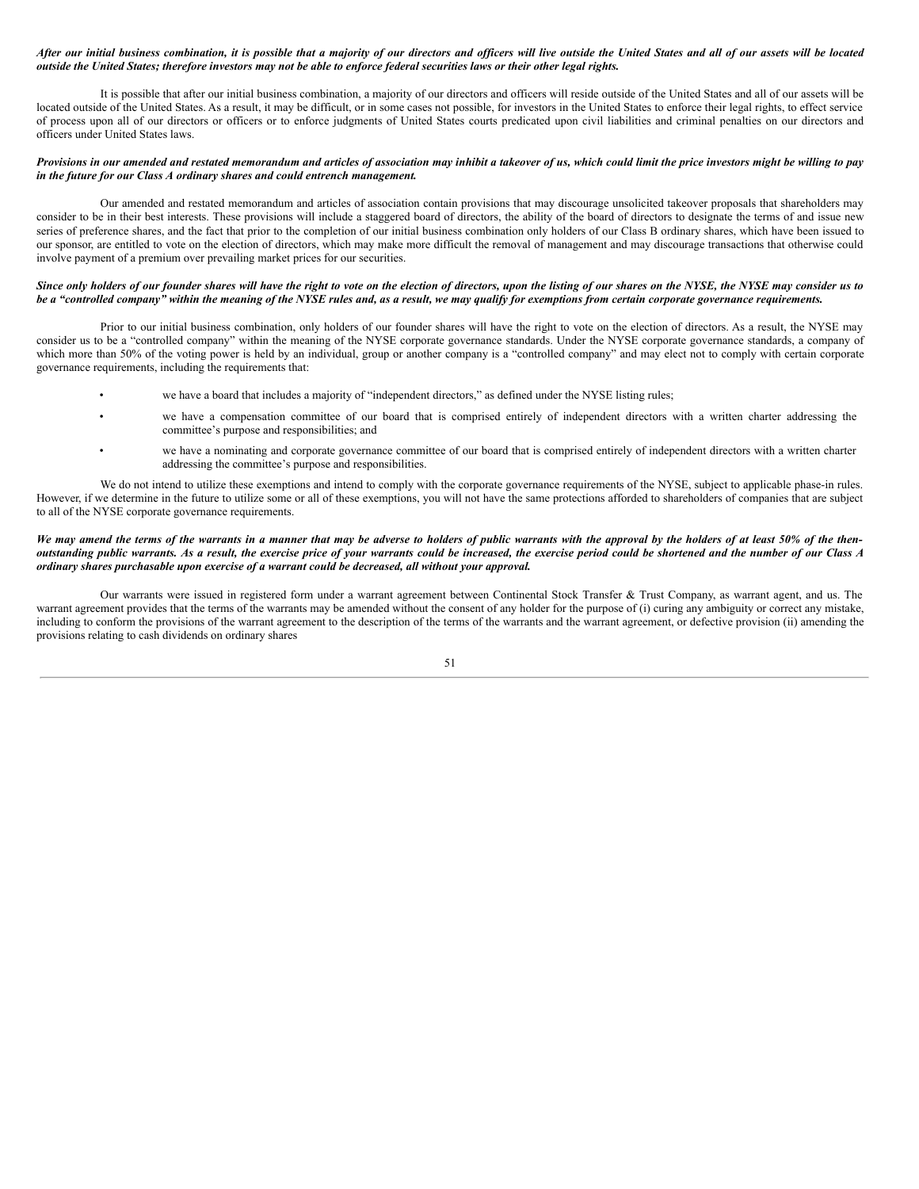## After our initial business combination, it is possible that a majority of our directors and officers will live outside the United States and all of our assets will be located outside the United States; therefore investors may not be able to enforce federal securities laws or their other legal rights.

It is possible that after our initial business combination, a majority of our directors and officers will reside outside of the United States and all of our assets will be located outside of the United States. As a result, it may be difficult, or in some cases not possible, for investors in the United States to enforce their legal rights, to effect service of process upon all of our directors or officers or to enforce judgments of United States courts predicated upon civil liabilities and criminal penalties on our directors and officers under United States laws.

## Provisions in our amended and restated memorandum and articles of association may inhibit a takeover of us, which could limit the price investors might be willing to pay *in the future for our Class A ordinary shares and could entrench management.*

Our amended and restated memorandum and articles of association contain provisions that may discourage unsolicited takeover proposals that shareholders may consider to be in their best interests. These provisions will include a staggered board of directors, the ability of the board of directors to designate the terms of and issue new series of preference shares, and the fact that prior to the completion of our initial business combination only holders of our Class B ordinary shares, which have been issued to our sponsor, are entitled to vote on the election of directors, which may make more difficult the removal of management and may discourage transactions that otherwise could involve payment of a premium over prevailing market prices for our securities.

## Since only holders of our founder shares will have the right to vote on the election of directors, upon the listing of our shares on the NYSE, the NYSE may consider us to be a "controlled company" within the meaning of the NYSE rules and, as a result, we may qualify for exemptions from certain corporate governance requirements.

Prior to our initial business combination, only holders of our founder shares will have the right to vote on the election of directors. As a result, the NYSE may consider us to be a "controlled company" within the meaning of the NYSE corporate governance standards. Under the NYSE corporate governance standards, a company of which more than 50% of the voting power is held by an individual, group or another company is a "controlled company" and may elect not to comply with certain corporate governance requirements, including the requirements that:

- we have a board that includes a majority of "independent directors," as defined under the NYSE listing rules;
- we have a compensation committee of our board that is comprised entirely of independent directors with a written charter addressing the committee's purpose and responsibilities; and
- we have a nominating and corporate governance committee of our board that is comprised entirely of independent directors with a written charter addressing the committee's purpose and responsibilities.

We do not intend to utilize these exemptions and intend to comply with the corporate governance requirements of the NYSE, subject to applicable phase-in rules. However, if we determine in the future to utilize some or all of these exemptions, you will not have the same protections afforded to shareholders of companies that are subject to all of the NYSE corporate governance requirements.

# We may amend the terms of the warrants in a manner that may be adverse to holders of public warrants with the approval by the holders of at least 50% of the thenoutstanding public warrants. As a result, the exercise price of your warrants could be increased, the exercise period could be shortened and the number of our Class A *ordinary shares purchasable upon exercise of a warrant could be decreased, all without your approval.*

Our warrants were issued in registered form under a warrant agreement between Continental Stock Transfer & Trust Company, as warrant agent, and us. The warrant agreement provides that the terms of the warrants may be amended without the consent of any holder for the purpose of (i) curing any ambiguity or correct any mistake, including to conform the provisions of the warrant agreement to the description of the terms of the warrants and the warrant agreement, or defective provision (ii) amending the provisions relating to cash dividends on ordinary shares

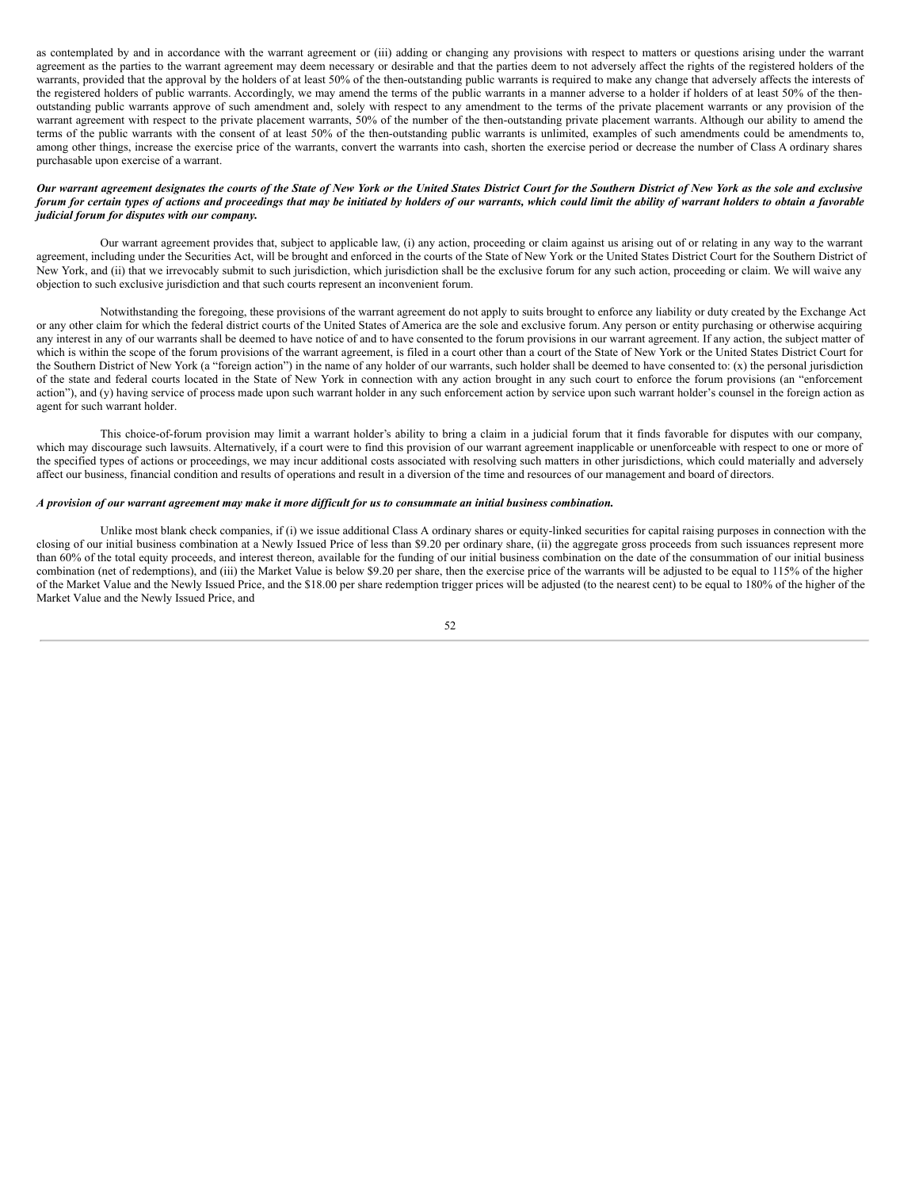as contemplated by and in accordance with the warrant agreement or (iii) adding or changing any provisions with respect to matters or questions arising under the warrant agreement as the parties to the warrant agreement may deem necessary or desirable and that the parties deem to not adversely affect the rights of the registered holders of the warrants, provided that the approval by the holders of at least 50% of the then-outstanding public warrants is required to make any change that adversely affects the interests of the registered holders of public warrants. Accordingly, we may amend the terms of the public warrants in a manner adverse to a holder if holders of at least 50% of the thenoutstanding public warrants approve of such amendment and, solely with respect to any amendment to the terms of the private placement warrants or any provision of the warrant agreement with respect to the private placement warrants, 50% of the number of the then-outstanding private placement warrants. Although our ability to amend the terms of the public warrants with the consent of at least 50% of the then-outstanding public warrants is unlimited, examples of such amendments could be amendments to, among other things, increase the exercise price of the warrants, convert the warrants into cash, shorten the exercise period or decrease the number of Class A ordinary shares purchasable upon exercise of a warrant.

## Our warrant agreement designates the courts of the State of New York or the United States District Court for the Southern District of New York as the sole and exclusive forum for certain types of actions and proceedings that may be initiated by holders of our warrants, which could limit the ability of warrant holders to obtain a favorable *judicial forum for disputes with our company.*

Our warrant agreement provides that, subject to applicable law, (i) any action, proceeding or claim against us arising out of or relating in any way to the warrant agreement, including under the Securities Act, will be brought and enforced in the courts of the State of New York or the United States District Court for the Southern District of New York, and (ii) that we irrevocably submit to such jurisdiction, which jurisdiction shall be the exclusive forum for any such action, proceeding or claim. We will waive any objection to such exclusive jurisdiction and that such courts represent an inconvenient forum.

Notwithstanding the foregoing, these provisions of the warrant agreement do not apply to suits brought to enforce any liability or duty created by the Exchange Act or any other claim for which the federal district courts of the United States of America are the sole and exclusive forum. Any person or entity purchasing or otherwise acquiring any interest in any of our warrants shall be deemed to have notice of and to have consented to the forum provisions in our warrant agreement. If any action, the subject matter of which is within the scope of the forum provisions of the warrant agreement, is filed in a court other than a court of the State of New York or the United States District Court for the Southern District of New York (a "foreign action") in the name of any holder of our warrants, such holder shall be deemed to have consented to: (x) the personal jurisdiction of the state and federal courts located in the State of New York in connection with any action brought in any such court to enforce the forum provisions (an "enforcement action"), and (y) having service of process made upon such warrant holder in any such enforcement action by service upon such warrant holder's counsel in the foreign action as agent for such warrant holder.

This choice-of-forum provision may limit a warrant holder's ability to bring a claim in a judicial forum that it finds favorable for disputes with our company, which may discourage such lawsuits. Alternatively, if a court were to find this provision of our warrant agreement inapplicable or unenforceable with respect to one or more of the specified types of actions or proceedings, we may incur additional costs associated with resolving such matters in other jurisdictions, which could materially and adversely affect our business, financial condition and results of operations and result in a diversion of the time and resources of our management and board of directors.

# A provision of our warrant agreement may make it more difficult for us to consummate an initial business combination.

Unlike most blank check companies, if (i) we issue additional Class A ordinary shares or equity-linked securities for capital raising purposes in connection with the closing of our initial business combination at a Newly Issued Price of less than \$9.20 per ordinary share, (ii) the aggregate gross proceeds from such issuances represent more than 60% of the total equity proceeds, and interest thereon, available for the funding of our initial business combination on the date of the consummation of our initial business combination (net of redemptions), and (iii) the Market Value is below \$9.20 per share, then the exercise price of the warrants will be adjusted to be equal to 115% of the higher of the Market Value and the Newly Issued Price, and the \$18.00 per share redemption trigger prices will be adjusted (to the nearest cent) to be equal to 180% of the higher of the Market Value and the Newly Issued Price, and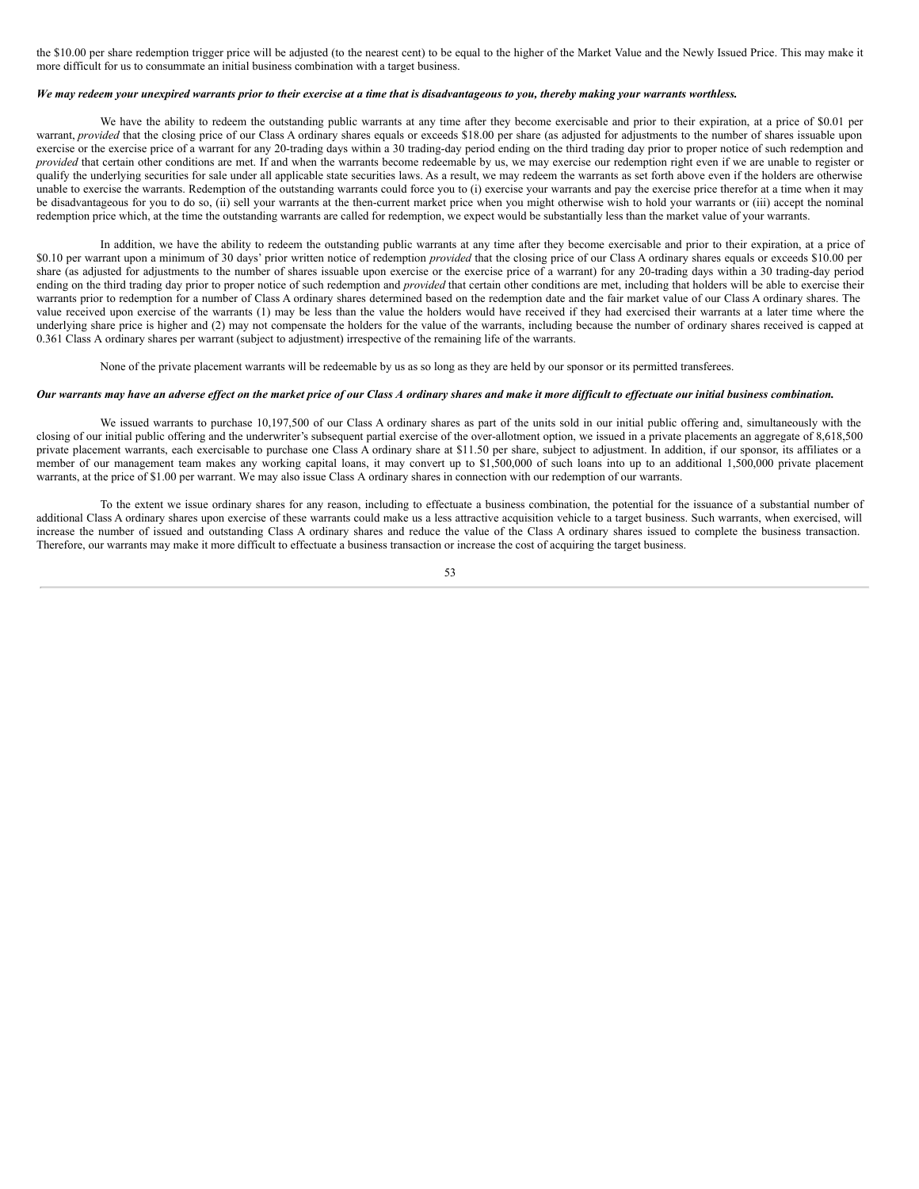the \$10.00 per share redemption trigger price will be adjusted (to the nearest cent) to be equal to the higher of the Market Value and the Newly Issued Price. This may make it more difficult for us to consummate an initial business combination with a target business.

#### We may redeem your unexpired warrants prior to their exercise at a time that is disadvantageous to you, thereby making your warrants worthless.

We have the ability to redeem the outstanding public warrants at any time after they become exercisable and prior to their expiration, at a price of \$0.01 per warrant, *provided* that the closing price of our Class A ordinary shares equals or exceeds \$18.00 per share (as adjusted for adjustments to the number of shares issuable upon exercise or the exercise price of a warrant for any 20-trading days within a 30 trading-day period ending on the third trading day prior to proper notice of such redemption and *provided* that certain other conditions are met. If and when the warrants become redeemable by us, we may exercise our redemption right even if we are unable to register or qualify the underlying securities for sale under all applicable state securities laws. As a result, we may redeem the warrants as set forth above even if the holders are otherwise unable to exercise the warrants. Redemption of the outstanding warrants could force you to (i) exercise your warrants and pay the exercise price therefor at a time when it may be disadvantageous for you to do so, (ii) sell your warrants at the then-current market price when you might otherwise wish to hold your warrants or (iii) accept the nominal redemption price which, at the time the outstanding warrants are called for redemption, we expect would be substantially less than the market value of your warrants.

In addition, we have the ability to redeem the outstanding public warrants at any time after they become exercisable and prior to their expiration, at a price of \$0.10 per warrant upon a minimum of 30 days' prior written notice of redemption *provided* that the closing price of our Class A ordinary shares equals or exceeds \$10.00 per share (as adjusted for adjustments to the number of shares issuable upon exercise or the exercise price of a warrant) for any 20-trading days within a 30 trading-day period ending on the third trading day prior to proper notice of such redemption and *provided* that certain other conditions are met, including that holders will be able to exercise their warrants prior to redemption for a number of Class A ordinary shares determined based on the redemption date and the fair market value of our Class A ordinary shares. The value received upon exercise of the warrants (1) may be less than the value the holders would have received if they had exercised their warrants at a later time where the underlying share price is higher and (2) may not compensate the holders for the value of the warrants, including because the number of ordinary shares received is capped at 0.361 Class A ordinary shares per warrant (subject to adjustment) irrespective of the remaining life of the warrants.

None of the private placement warrants will be redeemable by us as so long as they are held by our sponsor or its permitted transferees.

## Our warrants may have an adverse effect on the market price of our Class A ordinary shares and make it more difficult to effectuate our initial business combination.

We issued warrants to purchase 10,197,500 of our Class A ordinary shares as part of the units sold in our initial public offering and, simultaneously with the closing of our initial public offering and the underwriter's subsequent partial exercise of the over-allotment option, we issued in a private placements an aggregate of 8,618,500 private placement warrants, each exercisable to purchase one Class A ordinary share at \$11.50 per share, subject to adjustment. In addition, if our sponsor, its affiliates or a member of our management team makes any working capital loans, it may convert up to \$1,500,000 of such loans into up to an additional 1,500,000 private placement warrants, at the price of \$1.00 per warrant. We may also issue Class A ordinary shares in connection with our redemption of our warrants.

To the extent we issue ordinary shares for any reason, including to effectuate a business combination, the potential for the issuance of a substantial number of additional Class A ordinary shares upon exercise of these warrants could make us a less attractive acquisition vehicle to a target business. Such warrants, when exercised, will increase the number of issued and outstanding Class A ordinary shares and reduce the value of the Class A ordinary shares issued to complete the business transaction. Therefore, our warrants may make it more difficult to effectuate a business transaction or increase the cost of acquiring the target business.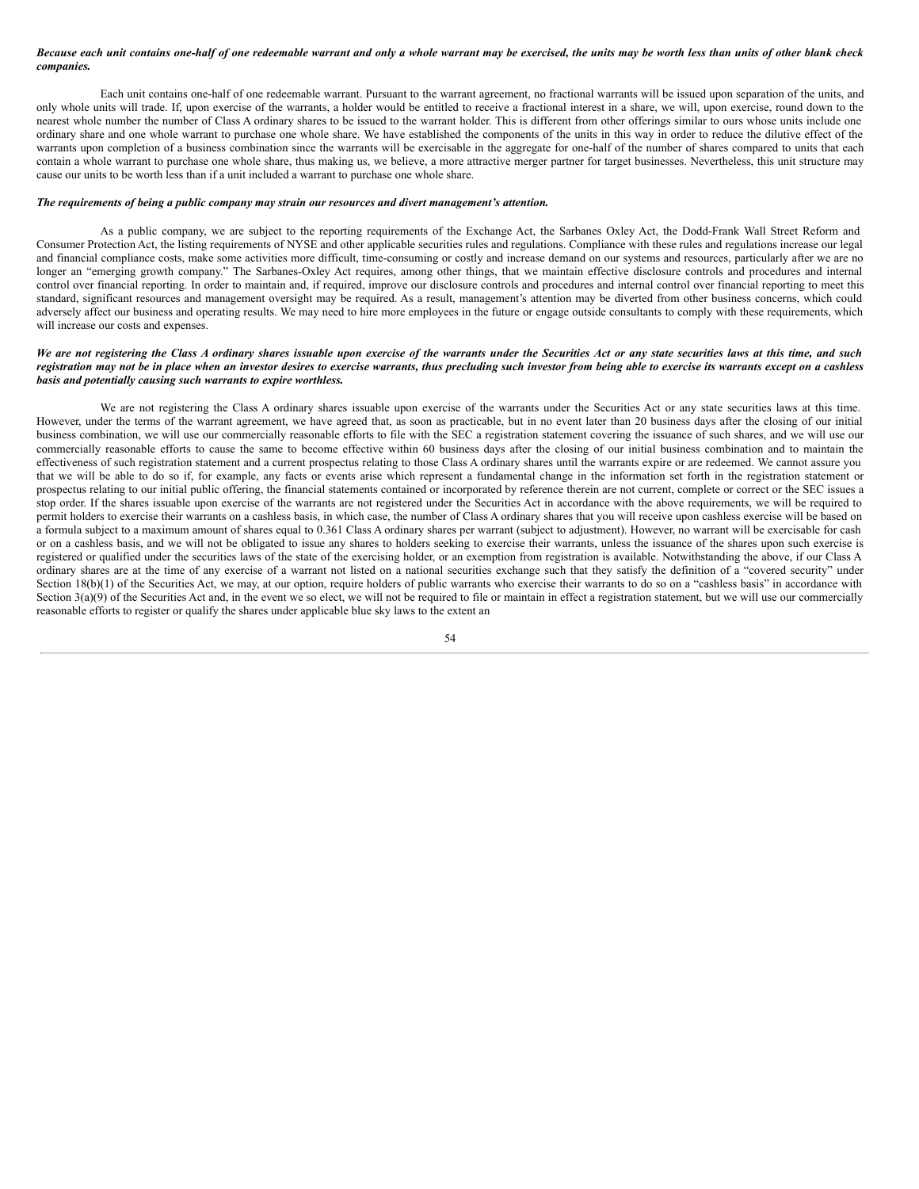## Because each unit contains one-half of one redeemable warrant and only a whole warrant may be exercised, the units may be worth less than units of other blank check *companies.*

Each unit contains one-half of one redeemable warrant. Pursuant to the warrant agreement, no fractional warrants will be issued upon separation of the units, and only whole units will trade. If, upon exercise of the warrants, a holder would be entitled to receive a fractional interest in a share, we will, upon exercise, round down to the nearest whole number the number of Class A ordinary shares to be issued to the warrant holder. This is different from other offerings similar to ours whose units include one ordinary share and one whole warrant to purchase one whole share. We have established the components of the units in this way in order to reduce the dilutive effect of the warrants upon completion of a business combination since the warrants will be exercisable in the aggregate for one-half of the number of shares compared to units that each contain a whole warrant to purchase one whole share, thus making us, we believe, a more attractive merger partner for target businesses. Nevertheless, this unit structure may cause our units to be worth less than if a unit included a warrant to purchase one whole share.

#### *The requirements of being a public company may strain our resources and divert management's attention.*

As a public company, we are subject to the reporting requirements of the Exchange Act, the Sarbanes Oxley Act, the Dodd-Frank Wall Street Reform and Consumer Protection Act, the listing requirements of NYSE and other applicable securities rules and regulations. Compliance with these rules and regulations increase our legal and financial compliance costs, make some activities more difficult, time-consuming or costly and increase demand on our systems and resources, particularly after we are no longer an "emerging growth company." The Sarbanes-Oxley Act requires, among other things, that we maintain effective disclosure controls and procedures and internal control over financial reporting. In order to maintain and, if required, improve our disclosure controls and procedures and internal control over financial reporting to meet this standard, significant resources and management oversight may be required. As a result, management's attention may be diverted from other business concerns, which could adversely affect our business and operating results. We may need to hire more employees in the future or engage outside consultants to comply with these requirements, which will increase our costs and expenses.

## We are not registering the Class A ordinary shares issuable upon exercise of the warrants under the Securities Act or any state securities laws at this time, and such registration may not be in place when an investor desires to exercise warrants, thus precluding such investor from being able to exercise its warrants except on a cashless *basis and potentially causing such warrants to expire worthless.*

We are not registering the Class A ordinary shares issuable upon exercise of the warrants under the Securities Act or any state securities laws at this time. However, under the terms of the warrant agreement, we have agreed that, as soon as practicable, but in no event later than 20 business days after the closing of our initial business combination, we will use our commercially reasonable efforts to file with the SEC a registration statement covering the issuance of such shares, and we will use our commercially reasonable efforts to cause the same to become effective within 60 business days after the closing of our initial business combination and to maintain the effectiveness of such registration statement and a current prospectus relating to those Class A ordinary shares until the warrants expire or are redeemed. We cannot assure you that we will be able to do so if, for example, any facts or events arise which represent a fundamental change in the information set forth in the registration statement or prospectus relating to our initial public offering, the financial statements contained or incorporated by reference therein are not current, complete or correct or the SEC issues a stop order. If the shares issuable upon exercise of the warrants are not registered under the Securities Act in accordance with the above requirements, we will be required to permit holders to exercise their warrants on a cashless basis, in which case, the number of Class A ordinary shares that you will receive upon cashless exercise will be based on a formula subject to a maximum amount of shares equal to 0.361 Class A ordinary shares per warrant (subject to adjustment). However, no warrant will be exercisable for cash or on a cashless basis, and we will not be obligated to issue any shares to holders seeking to exercise their warrants, unless the issuance of the shares upon such exercise is registered or qualified under the securities laws of the state of the exercising holder, or an exemption from registration is available. Notwithstanding the above, if our Class A ordinary shares are at the time of any exercise of a warrant not listed on a national securities exchange such that they satisfy the definition of a "covered security" under Section 18(b)(1) of the Securities Act, we may, at our option, require holders of public warrants who exercise their warrants to do so on a "cashless basis" in accordance with Section  $3(a)(9)$  of the Securities Act and, in the event we so elect, we will not be required to file or maintain in effect a registration statement, but we will use our commercially reasonable efforts to register or qualify the shares under applicable blue sky laws to the extent an

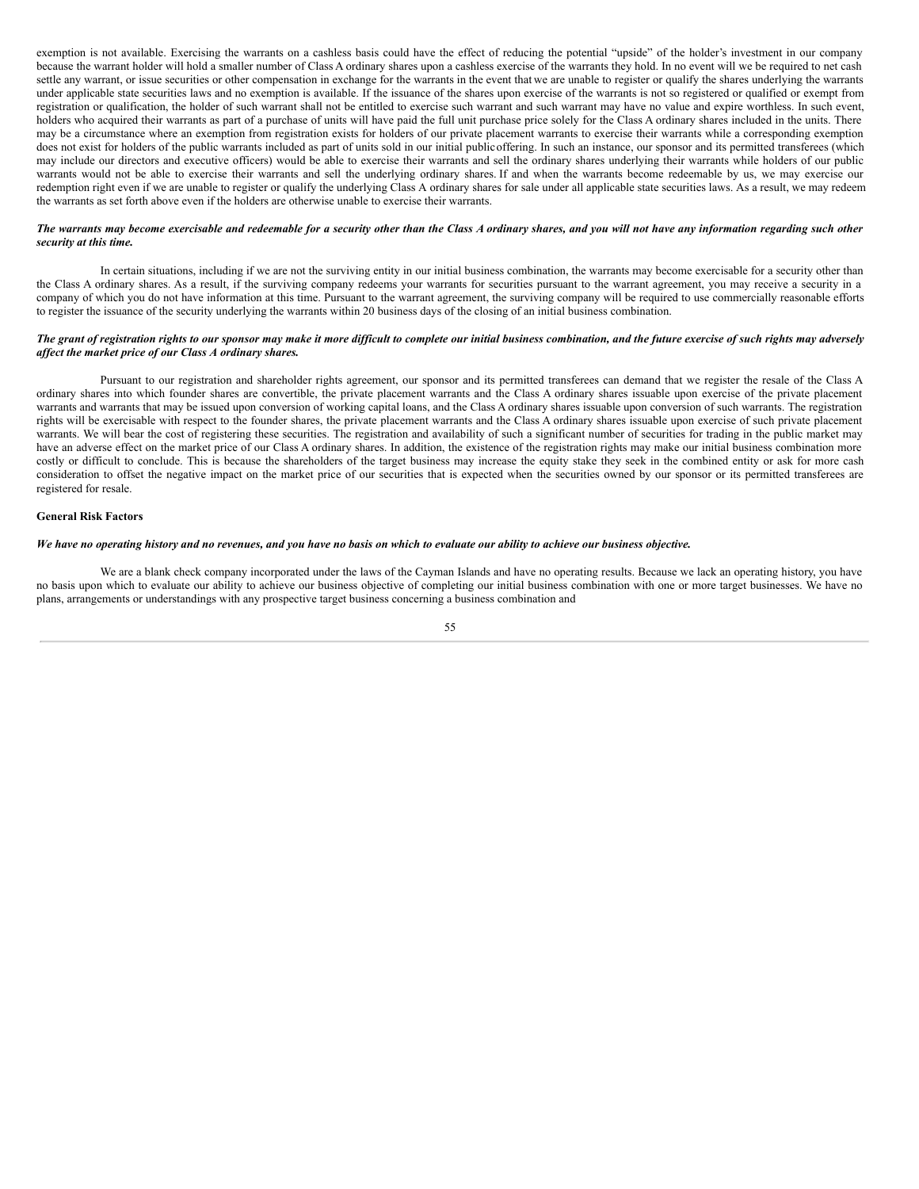exemption is not available. Exercising the warrants on a cashless basis could have the effect of reducing the potential "upside" of the holder's investment in our company because the warrant holder will hold a smaller number of Class A ordinary shares upon a cashless exercise of the warrants they hold. In no event will we be required to net cash settle any warrant, or issue securities or other compensation in exchange for the warrants in the event that we are unable to register or qualify the shares underlying the warrants under applicable state securities laws and no exemption is available. If the issuance of the shares upon exercise of the warrants is not so registered or qualified or exempt from registration or qualification, the holder of such warrant shall not be entitled to exercise such warrant and such warrant may have no value and expire worthless. In such event, holders who acquired their warrants as part of a purchase of units will have paid the full unit purchase price solely for the Class A ordinary shares included in the units. There may be a circumstance where an exemption from registration exists for holders of our private placement warrants to exercise their warrants while a corresponding exemption does not exist for holders of the public warrants included as part of units sold in our initial public offering. In such an instance, our sponsor and its permitted transferees (which may include our directors and executive officers) would be able to exercise their warrants and sell the ordinary shares underlying their warrants while holders of our public warrants would not be able to exercise their warrants and sell the underlying ordinary shares. If and when the warrants become redeemable by us, we may exercise our redemption right even if we are unable to register or qualify the underlying Class A ordinary shares for sale under all applicable state securities laws. As a result, we may redeem the warrants as set forth above even if the holders are otherwise unable to exercise their warrants.

## The warrants may become exercisable and redeemable for a security other than the Class A ordinary shares, and you will not have any information regarding such other *security at this time.*

In certain situations, including if we are not the surviving entity in our initial business combination, the warrants may become exercisable for a security other than the Class A ordinary shares. As a result, if the surviving company redeems your warrants for securities pursuant to the warrant agreement, you may receive a security in a company of which you do not have information at this time. Pursuant to the warrant agreement, the surviving company will be required to use commercially reasonable efforts to register the issuance of the security underlying the warrants within 20 business days of the closing of an initial business combination.

## The grant of registration rights to our sponsor may make it more difficult to complete our initial business combination, and the future exercise of such rights may adversely *af ect the market price of our Class A ordinary shares.*

Pursuant to our registration and shareholder rights agreement, our sponsor and its permitted transferees can demand that we register the resale of the Class A ordinary shares into which founder shares are convertible, the private placement warrants and the Class A ordinary shares issuable upon exercise of the private placement warrants and warrants that may be issued upon conversion of working capital loans, and the Class A ordinary shares issuable upon conversion of such warrants. The registration rights will be exercisable with respect to the founder shares, the private placement warrants and the Class A ordinary shares issuable upon exercise of such private placement warrants. We will bear the cost of registering these securities. The registration and availability of such a significant number of securities for trading in the public market may have an adverse effect on the market price of our Class A ordinary shares. In addition, the existence of the registration rights may make our initial business combination more costly or difficult to conclude. This is because the shareholders of the target business may increase the equity stake they seek in the combined entity or ask for more cash consideration to offset the negative impact on the market price of our securities that is expected when the securities owned by our sponsor or its permitted transferees are registered for resale.

# **General Risk Factors**

## We have no operating history and no revenues, and you have no basis on which to evaluate our ability to achieve our business objective.

We are a blank check company incorporated under the laws of the Cayman Islands and have no operating results. Because we lack an operating history, you have no basis upon which to evaluate our ability to achieve our business objective of completing our initial business combination with one or more target businesses. We have no plans, arrangements or understandings with any prospective target business concerning a business combination and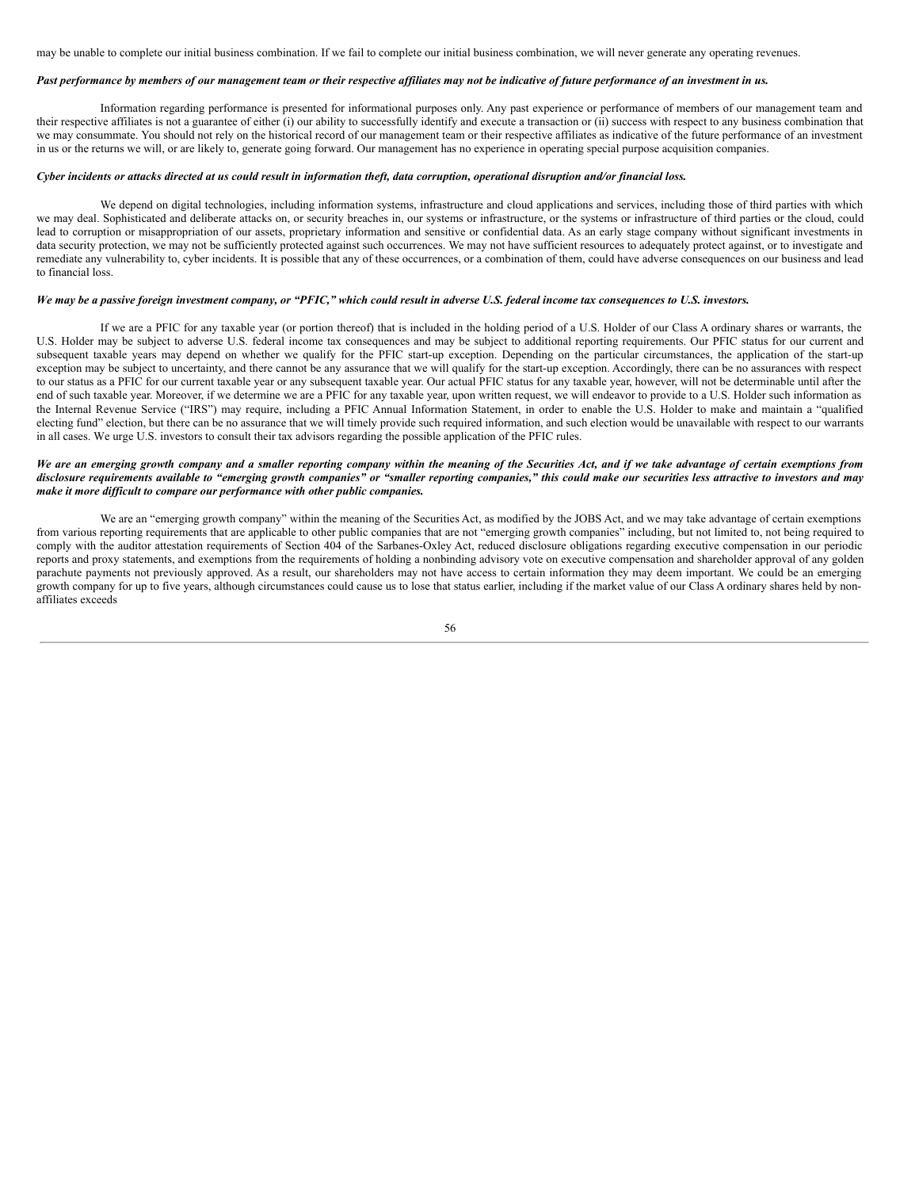may be unable to complete our initial business combination. If we fail to complete our initial business combination, we will never generate any operating revenues.

# Past performance by members of our management team or their respective affiliates may not be indicative of future performance of an investment in us.

Information regarding performance is presented for informational purposes only. Any past experience or performance of members of our management team and their respective affiliates is not a guarantee of either (i) our ability to successfully identify and execute a transaction or (ii) success with respect to any business combination that we may consummate. You should not rely on the historical record of our management team or their respective affiliates as indicative of the future performance of an investment in us or the returns we will, or are likely to, generate going forward. Our management has no experience in operating special purpose acquisition companies.

# Cyber incidents or attacks directed at us could result in information theft, data corruption, operational disruption and/or financial loss.

We depend on digital technologies, including information systems, infrastructure and cloud applications and services, including those of third parties with which we may deal. Sophisticated and deliberate attacks on, or security breaches in, our systems or infrastructure, or the systems or infrastructure of third parties or the cloud, could lead to corruption or misappropriation of our assets, proprietary information and sensitive or confidential data. As an early stage company without significant investments in data security protection, we may not be sufficiently protected against such occurrences. We may not have sufficient resources to adequately protect against, or to investigate and remediate any vulnerability to, cyber incidents. It is possible that any of these occurrences, or a combination of them, could have adverse consequences on our business and lead to financial loss.

#### We may be a passive foreign investment company, or "PFIC," which could result in adverse U.S. federal income tax consequences to U.S. investors.

If we are a PFIC for any taxable year (or portion thereof) that is included in the holding period of a U.S. Holder of our Class A ordinary shares or warrants, the U.S. Holder may be subject to adverse U.S. federal income tax consequences and may be subject to additional reporting requirements. Our PFIC status for our current and subsequent taxable years may depend on whether we qualify for the PFIC start-up exception. Depending on the particular circumstances, the application of the start-up exception may be subject to uncertainty, and there cannot be any assurance that we will qualify for the start-up exception. Accordingly, there can be no assurances with respect to our status as a PFIC for our current taxable year or any subsequent taxable year. Our actual PFIC status for any taxable year, however, will not be determinable until after the end of such taxable year. Moreover, if we determine we are a PFIC for any taxable year, upon written request, we will endeavor to provide to a U.S. Holder such information as the Internal Revenue Service ("IRS") may require, including a PFIC Annual Information Statement, in order to enable the U.S. Holder to make and maintain a "qualified electing fund" election, but there can be no assurance that we will timely provide such required information, and such election would be unavailable with respect to our warrants in all cases. We urge U.S. investors to consult their tax advisors regarding the possible application of the PFIC rules.

## We are an emerging growth company and a smaller reporting company within the meaning of the Securities Act, and if we take advantage of certain exemptions from disclosure requirements available to "emerging growth companies" or "smaller reporting companies," this could make our securities less attractive to investors and may *make it more dif icult to compare our performance with other public companies.*

We are an "emerging growth company" within the meaning of the Securities Act, as modified by the JOBS Act, and we may take advantage of certain exemptions from various reporting requirements that are applicable to other public companies that are not "emerging growth companies" including, but not limited to, not being required to comply with the auditor attestation requirements of Section 404 of the Sarbanes-Oxley Act, reduced disclosure obligations regarding executive compensation in our periodic reports and proxy statements, and exemptions from the requirements of holding a nonbinding advisory vote on executive compensation and shareholder approval of any golden parachute payments not previously approved. As a result, our shareholders may not have access to certain information they may deem important. We could be an emerging growth company for up to five years, although circumstances could cause us to lose that status earlier, including if the market value of our Class A ordinary shares held by nonaffiliates exceeds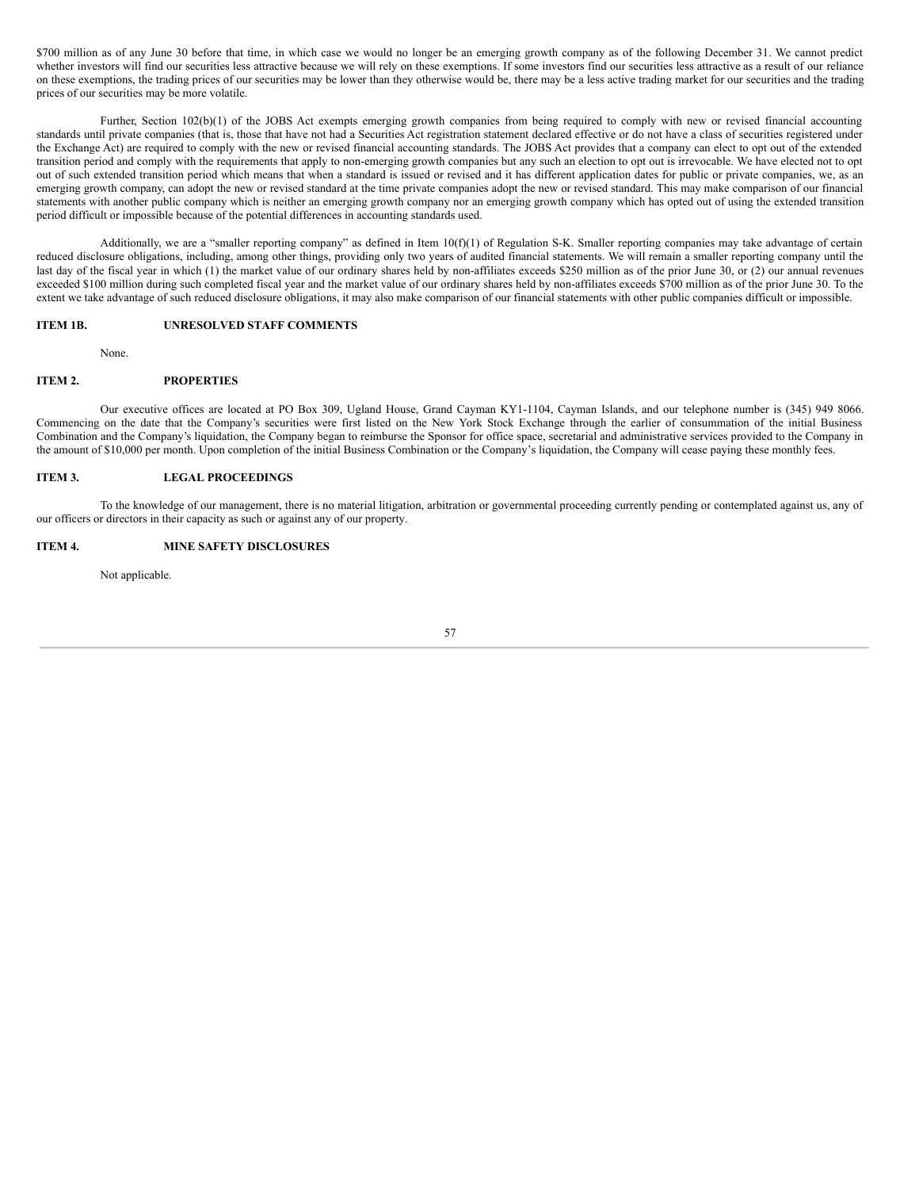\$700 million as of any June 30 before that time, in which case we would no longer be an emerging growth company as of the following December 31. We cannot predict whether investors will find our securities less attractive because we will rely on these exemptions. If some investors find our securities less attractive as a result of our reliance on these exemptions, the trading prices of our securities may be lower than they otherwise would be, there may be a less active trading market for our securities and the trading prices of our securities may be more volatile.

Further, Section 102(b)(1) of the JOBS Act exempts emerging growth companies from being required to comply with new or revised financial accounting standards until private companies (that is, those that have not had a Securities Act registration statement declared effective or do not have a class of securities registered under the Exchange Act) are required to comply with the new or revised financial accounting standards. The JOBS Act provides that a company can elect to opt out of the extended transition period and comply with the requirements that apply to non-emerging growth companies but any such an election to opt out is irrevocable. We have elected not to opt out of such extended transition period which means that when a standard is issued or revised and it has different application dates for public or private companies, we, as an emerging growth company, can adopt the new or revised standard at the time private companies adopt the new or revised standard. This may make comparison of our financial statements with another public company which is neither an emerging growth company nor an emerging growth company which has opted out of using the extended transition period difficult or impossible because of the potential differences in accounting standards used.

Additionally, we are a "smaller reporting company" as defined in Item 10(f)(1) of Regulation S-K. Smaller reporting companies may take advantage of certain reduced disclosure obligations, including, among other things, providing only two years of audited financial statements. We will remain a smaller reporting company until the last day of the fiscal year in which (1) the market value of our ordinary shares held by non-affiliates exceeds \$250 million as of the prior June 30, or (2) our annual revenues exceeded \$100 million during such completed fiscal year and the market value of our ordinary shares held by non-affiliates exceeds \$700 million as of the prior June 30. To the extent we take advantage of such reduced disclosure obligations, it may also make comparison of our financial statements with other public companies difficult or impossible.

# **ITEM 1B. UNRESOLVED STAFF COMMENTS**

None.

# **ITEM 2. PROPERTIES**

Our executive offices are located at PO Box 309, Ugland House, Grand Cayman KY1-1104, Cayman Islands, and our telephone number is (345) 949 8066. Commencing on the date that the Company's securities were first listed on the New York Stock Exchange through the earlier of consummation of the initial Business Combination and the Company's liquidation, the Company began to reimburse the Sponsor for office space, secretarial and administrative services provided to the Company in the amount of \$10,000 per month. Upon completion of the initial Business Combination or the Company's liquidation, the Company will cease paying these monthly fees.

## **ITEM 3. LEGAL PROCEEDINGS**

To the knowledge of our management, there is no material litigation, arbitration or governmental proceeding currently pending or contemplated against us, any of our officers or directors in their capacity as such or against any of our property.

# **ITEM 4. MINE SAFETY DISCLOSURES**

Not applicable.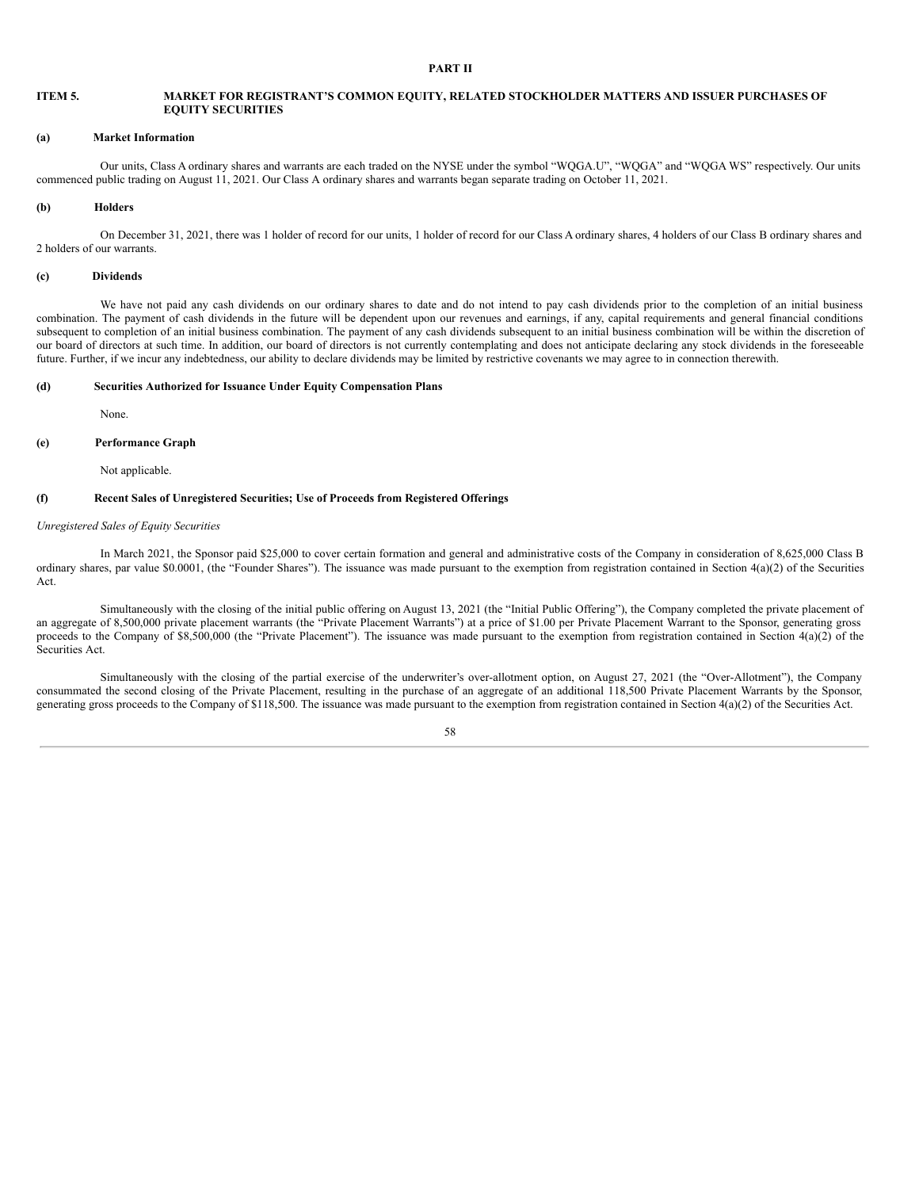# **PART II**

# **ITEM 5. MARKET FOR REGISTRANT'S COMMON EQUITY, RELATED STOCKHOLDER MATTERS AND ISSUER PURCHASES OF EQUITY SECURITIES**

## **(a) Market Information**

Our units, Class A ordinary shares and warrants are each traded on the NYSE under the symbol "WQGA.U", "WQGA" and "WQGA WS" respectively. Our units commenced public trading on August 11, 2021. Our Class A ordinary shares and warrants began separate trading on October 11, 2021.

## **(b) Holders**

On December 31, 2021, there was 1 holder of record for our units, 1 holder of record for our Class A ordinary shares, 4 holders of our Class B ordinary shares and 2 holders of our warrants.

#### **(c) Dividends**

We have not paid any cash dividends on our ordinary shares to date and do not intend to pay cash dividends prior to the completion of an initial business combination. The payment of cash dividends in the future will be dependent upon our revenues and earnings, if any, capital requirements and general financial conditions subsequent to completion of an initial business combination. The payment of any cash dividends subsequent to an initial business combination will be within the discretion of our board of directors at such time. In addition, our board of directors is not currently contemplating and does not anticipate declaring any stock dividends in the foreseeable future. Further, if we incur any indebtedness, our ability to declare dividends may be limited by restrictive covenants we may agree to in connection therewith.

## **(d) Securities Authorized for Issuance Under Equity Compensation Plans**

None.

#### **(e) Performance Graph**

Not applicable.

#### **(f) Recent Sales of Unregistered Securities; Use of Proceeds from Registered Offerings**

## *Unregistered Sales of Equity Securities*

In March 2021, the Sponsor paid \$25,000 to cover certain formation and general and administrative costs of the Company in consideration of 8,625,000 Class B ordinary shares, par value \$0.0001, (the "Founder Shares"). The issuance was made pursuant to the exemption from registration contained in Section 4(a)(2) of the Securities Act.

Simultaneously with the closing of the initial public offering on August 13, 2021 (the "Initial Public Offering"), the Company completed the private placement of an aggregate of 8,500,000 private placement warrants (the "Private Placement Warrants") at a price of \$1.00 per Private Placement Warrant to the Sponsor, generating gross proceeds to the Company of \$8,500,000 (the "Private Placement"). The issuance was made pursuant to the exemption from registration contained in Section 4(a)(2) of the Securities Act.

Simultaneously with the closing of the partial exercise of the underwriter's over-allotment option, on August 27, 2021 (the "Over-Allotment"), the Company consummated the second closing of the Private Placement, resulting in the purchase of an aggregate of an additional 118,500 Private Placement Warrants by the Sponsor, generating gross proceeds to the Company of \$118,500. The issuance was made pursuant to the exemption from registration contained in Section  $4(a)(2)$  of the Securities Act.

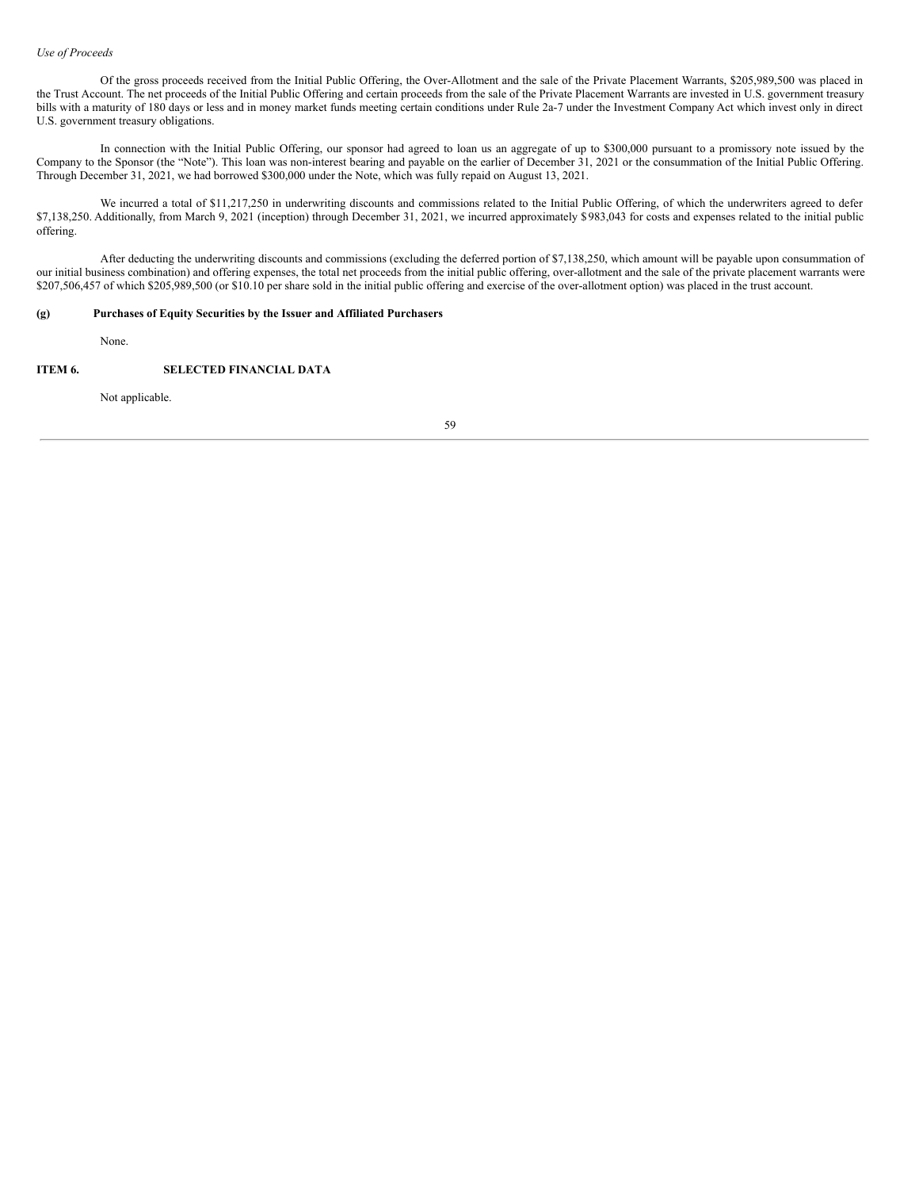# *Use of Proceeds*

Of the gross proceeds received from the Initial Public Offering, the Over-Allotment and the sale of the Private Placement Warrants, \$205,989,500 was placed in the Trust Account. The net proceeds of the Initial Public Offering and certain proceeds from the sale of the Private Placement Warrants are invested in U.S. government treasury bills with a maturity of 180 days or less and in money market funds meeting certain conditions under Rule 2a-7 under the Investment Company Act which invest only in direct U.S. government treasury obligations.

In connection with the Initial Public Offering, our sponsor had agreed to loan us an aggregate of up to \$300,000 pursuant to a promissory note issued by the Company to the Sponsor (the "Note"). This loan was non-interest bearing and payable on the earlier of December 31, 2021 or the consummation of the Initial Public Offering. Through December 31, 2021, we had borrowed \$300,000 under the Note, which was fully repaid on August 13, 2021.

We incurred a total of \$11,217,250 in underwriting discounts and commissions related to the Initial Public Offering, of which the underwriters agreed to defer \$7,138,250. Additionally, from March 9, 2021 (inception) through December 31, 2021, we incurred approximately \$ 983,043 for costs and expenses related to the initial public offering.

After deducting the underwriting discounts and commissions (excluding the deferred portion of \$7,138,250, which amount will be payable upon consummation of our initial business combination) and offering expenses, the total net proceeds from the initial public offering, over-allotment and the sale of the private placement warrants were \$207,506,457 of which \$205,989,500 (or \$10.10 per share sold in the initial public offering and exercise of the over-allotment option) was placed in the trust account.

# **(g) Purchases of Equity Securities by the Issuer and Affiliated Purchasers**

None.

# **ITEM 6. SELECTED FINANCIAL DATA**

Not applicable.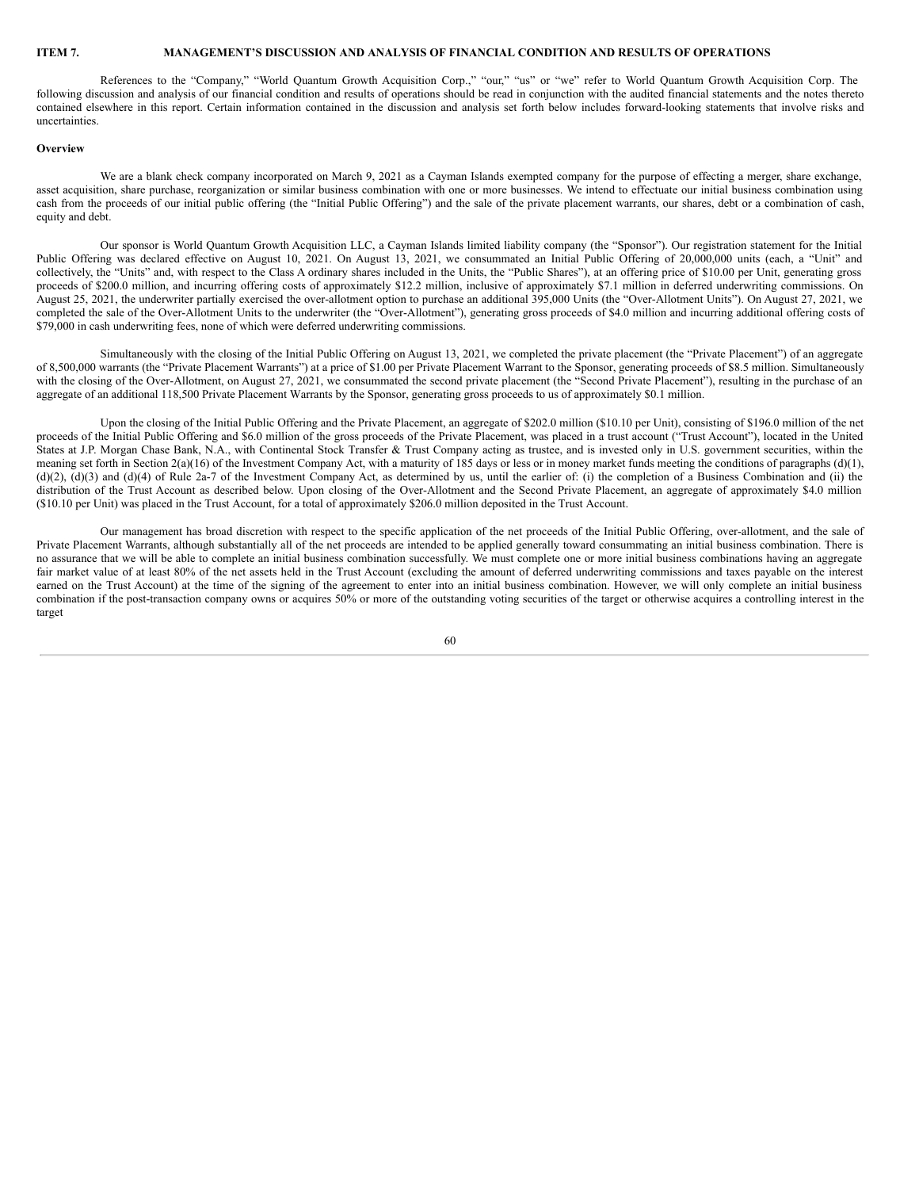# **ITEM 7. MANAGEMENT'S DISCUSSION AND ANALYSIS OF FINANCIAL CONDITION AND RESULTS OF OPERATIONS**

References to the "Company," "World Quantum Growth Acquisition Corp.," "our," "us" or "we" refer to World Quantum Growth Acquisition Corp. The following discussion and analysis of our financial condition and results of operations should be read in conjunction with the audited financial statements and the notes thereto contained elsewhere in this report. Certain information contained in the discussion and analysis set forth below includes forward-looking statements that involve risks and uncertainties.

#### **Overview**

We are a blank check company incorporated on March 9, 2021 as a Cayman Islands exempted company for the purpose of effecting a merger, share exchange, asset acquisition, share purchase, reorganization or similar business combination with one or more businesses. We intend to effectuate our initial business combination using cash from the proceeds of our initial public offering (the "Initial Public Offering") and the sale of the private placement warrants, our shares, debt or a combination of cash, equity and debt.

Our sponsor is World Quantum Growth Acquisition LLC, a Cayman Islands limited liability company (the "Sponsor"). Our registration statement for the Initial Public Offering was declared effective on August 10, 2021. On August 13, 2021, we consummated an Initial Public Offering of 20,000,000 units (each, a "Unit" and collectively, the "Units" and, with respect to the Class A ordinary shares included in the Units, the "Public Shares"), at an offering price of \$10.00 per Unit, generating gross proceeds of \$200.0 million, and incurring offering costs of approximately \$12.2 million, inclusive of approximately \$7.1 million in deferred underwriting commissions. On August 25, 2021, the underwriter partially exercised the over-allotment option to purchase an additional 395,000 Units (the "Over-Allotment Units"). On August 27, 2021, we completed the sale of the Over-Allotment Units to the underwriter (the "Over-Allotment"), generating gross proceeds of \$4.0 million and incurring additional offering costs of \$79,000 in cash underwriting fees, none of which were deferred underwriting commissions.

Simultaneously with the closing of the Initial Public Offering on August 13, 2021, we completed the private placement (the "Private Placement") of an aggregate of 8,500,000 warrants (the "Private Placement Warrants") at a price of \$1.00 per Private Placement Warrant to the Sponsor, generating proceeds of \$8.5 million. Simultaneously with the closing of the Over-Allotment, on August 27, 2021, we consummated the second private placement (the "Second Private Placement"), resulting in the purchase of an aggregate of an additional 118,500 Private Placement Warrants by the Sponsor, generating gross proceeds to us of approximately \$0.1 million.

Upon the closing of the Initial Public Offering and the Private Placement, an aggregate of \$202.0 million (\$10.10 per Unit), consisting of \$196.0 million of the net proceeds of the Initial Public Offering and \$6.0 million of the gross proceeds of the Private Placement, was placed in a trust account ("Trust Account"), located in the United States at J.P. Morgan Chase Bank, N.A., with Continental Stock Transfer & Trust Company acting as trustee, and is invested only in U.S. government securities, within the meaning set forth in Section 2(a)(16) of the Investment Company Act, with a maturity of 185 days or less or in money market funds meeting the conditions of paragraphs (d)(1),  $(d)(2)$ ,  $(d)(3)$  and  $(d)(4)$  of Rule 2a-7 of the Investment Company Act, as determined by us, until the earlier of: (i) the completion of a Business Combination and (ii) the distribution of the Trust Account as described below. Upon closing of the Over-Allotment and the Second Private Placement, an aggregate of approximately \$4.0 million (\$10.10 per Unit) was placed in the Trust Account, for a total of approximately \$206.0 million deposited in the Trust Account.

Our management has broad discretion with respect to the specific application of the net proceeds of the Initial Public Offering, over-allotment, and the sale of Private Placement Warrants, although substantially all of the net proceeds are intended to be applied generally toward consummating an initial business combination. There is no assurance that we will be able to complete an initial business combination successfully. We must complete one or more initial business combinations having an aggregate fair market value of at least 80% of the net assets held in the Trust Account (excluding the amount of deferred underwriting commissions and taxes payable on the interest earned on the Trust Account) at the time of the signing of the agreement to enter into an initial business combination. However, we will only complete an initial business combination if the post-transaction company owns or acquires 50% or more of the outstanding voting securities of the target or otherwise acquires a controlling interest in the target

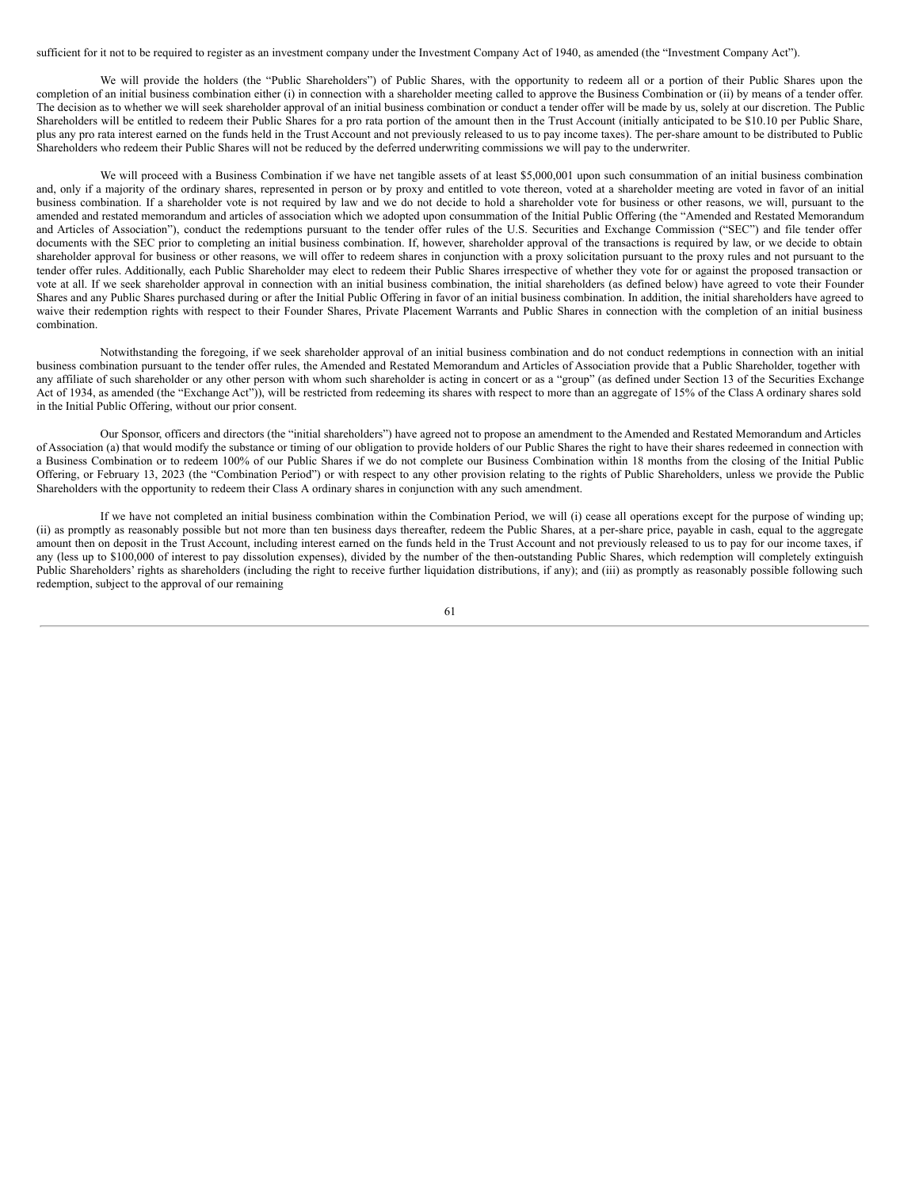sufficient for it not to be required to register as an investment company under the Investment Company Act of 1940, as amended (the "Investment Company Act").

We will provide the holders (the "Public Shareholders") of Public Shares, with the opportunity to redeem all or a portion of their Public Shares upon the completion of an initial business combination either (i) in connection with a shareholder meeting called to approve the Business Combination or (ii) by means of a tender offer. The decision as to whether we will seek shareholder approval of an initial business combination or conduct a tender offer will be made by us, solely at our discretion. The Public Shareholders will be entitled to redeem their Public Shares for a pro rata portion of the amount then in the Trust Account (initially anticipated to be \$10.10 per Public Share, plus any pro rata interest earned on the funds held in the Trust Account and not previously released to us to pay income taxes). The per-share amount to be distributed to Public Shareholders who redeem their Public Shares will not be reduced by the deferred underwriting commissions we will pay to the underwriter.

We will proceed with a Business Combination if we have net tangible assets of at least \$5,000,001 upon such consummation of an initial business combination and, only if a majority of the ordinary shares, represented in person or by proxy and entitled to vote thereon, voted at a shareholder meeting are voted in favor of an initial business combination. If a shareholder vote is not required by law and we do not decide to hold a shareholder vote for business or other reasons, we will, pursuant to the amended and restated memorandum and articles of association which we adopted upon consummation of the Initial Public Offering (the "Amended and Restated Memorandum and Articles of Association"), conduct the redemptions pursuant to the tender offer rules of the U.S. Securities and Exchange Commission ("SEC") and file tender offer documents with the SEC prior to completing an initial business combination. If, however, shareholder approval of the transactions is required by law, or we decide to obtain shareholder approval for business or other reasons, we will offer to redeem shares in conjunction with a proxy solicitation pursuant to the proxy rules and not pursuant to the tender offer rules. Additionally, each Public Shareholder may elect to redeem their Public Shares irrespective of whether they vote for or against the proposed transaction or vote at all. If we seek shareholder approval in connection with an initial business combination, the initial shareholders (as defined below) have agreed to vote their Founder Shares and any Public Shares purchased during or after the Initial Public Offering in favor of an initial business combination. In addition, the initial shareholders have agreed to waive their redemption rights with respect to their Founder Shares, Private Placement Warrants and Public Shares in connection with the completion of an initial business combination.

Notwithstanding the foregoing, if we seek shareholder approval of an initial business combination and do not conduct redemptions in connection with an initial business combination pursuant to the tender offer rules, the Amended and Restated Memorandum and Articles of Association provide that a Public Shareholder, together with any affiliate of such shareholder or any other person with whom such shareholder is acting in concert or as a "group" (as defined under Section 13 of the Securities Exchange Act of 1934, as amended (the "Exchange Act")), will be restricted from redeeming its shares with respect to more than an aggregate of 15% of the Class A ordinary shares sold in the Initial Public Offering, without our prior consent.

Our Sponsor, officers and directors (the "initial shareholders") have agreed not to propose an amendment to the Amended and Restated Memorandum and Articles of Association (a) that would modify the substance or timing of our obligation to provide holders of our Public Shares the right to have their shares redeemed in connection with a Business Combination or to redeem 100% of our Public Shares if we do not complete our Business Combination within 18 months from the closing of the Initial Public Offering, or February 13, 2023 (the "Combination Period") or with respect to any other provision relating to the rights of Public Shareholders, unless we provide the Public Shareholders with the opportunity to redeem their Class A ordinary shares in conjunction with any such amendment.

If we have not completed an initial business combination within the Combination Period, we will (i) cease all operations except for the purpose of winding up; (ii) as promptly as reasonably possible but not more than ten business days thereafter, redeem the Public Shares, at a per-share price, payable in cash, equal to the aggregate amount then on deposit in the Trust Account, including interest earned on the funds held in the Trust Account and not previously released to us to pay for our income taxes, if any (less up to \$100,000 of interest to pay dissolution expenses), divided by the number of the then-outstanding Public Shares, which redemption will completely extinguish Public Shareholders' rights as shareholders (including the right to receive further liquidation distributions, if any); and (iii) as promptly as reasonably possible following such redemption, subject to the approval of our remaining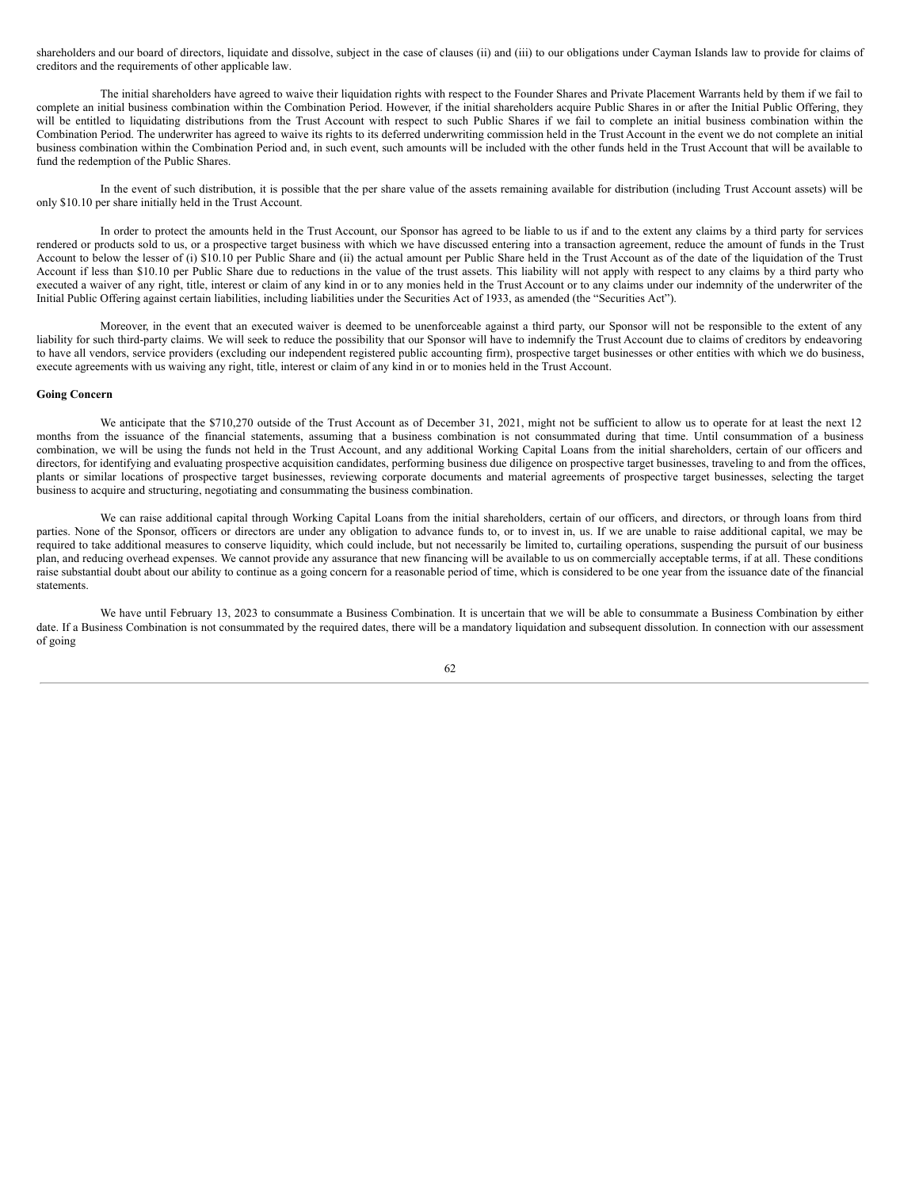shareholders and our board of directors, liquidate and dissolve, subject in the case of clauses (ii) and (iii) to our obligations under Cayman Islands law to provide for claims of creditors and the requirements of other applicable law.

The initial shareholders have agreed to waive their liquidation rights with respect to the Founder Shares and Private Placement Warrants held by them if we fail to complete an initial business combination within the Combination Period. However, if the initial shareholders acquire Public Shares in or after the Initial Public Offering, they will be entitled to liquidating distributions from the Trust Account with respect to such Public Shares if we fail to complete an initial business combination within the Combination Period. The underwriter has agreed to waive its rights to its deferred underwriting commission held in the Trust Account in the event we do not complete an initial business combination within the Combination Period and, in such event, such amounts will be included with the other funds held in the Trust Account that will be available to fund the redemption of the Public Shares.

In the event of such distribution, it is possible that the per share value of the assets remaining available for distribution (including Trust Account assets) will be only \$10.10 per share initially held in the Trust Account.

In order to protect the amounts held in the Trust Account, our Sponsor has agreed to be liable to us if and to the extent any claims by a third party for services rendered or products sold to us, or a prospective target business with which we have discussed entering into a transaction agreement, reduce the amount of funds in the Trust Account to below the lesser of (i) \$10.10 per Public Share and (ii) the actual amount per Public Share held in the Trust Account as of the date of the liquidation of the Trust Account if less than \$10.10 per Public Share due to reductions in the value of the trust assets. This liability will not apply with respect to any claims by a third party who executed a waiver of any right, title, interest or claim of any kind in or to any monies held in the Trust Account or to any claims under our indemnity of the underwriter of the Initial Public Offering against certain liabilities, including liabilities under the Securities Act of 1933, as amended (the "Securities Act").

Moreover, in the event that an executed waiver is deemed to be unenforceable against a third party, our Sponsor will not be responsible to the extent of any liability for such third-party claims. We will seek to reduce the possibility that our Sponsor will have to indemnify the Trust Account due to claims of creditors by endeavoring to have all vendors, service providers (excluding our independent registered public accounting firm), prospective target businesses or other entities with which we do business, execute agreements with us waiving any right, title, interest or claim of any kind in or to monies held in the Trust Account.

# **Going Concern**

We anticipate that the \$710,270 outside of the Trust Account as of December 31, 2021, might not be sufficient to allow us to operate for at least the next 12 months from the issuance of the financial statements, assuming that a business combination is not consummated during that time. Until consummation of a business combination, we will be using the funds not held in the Trust Account, and any additional Working Capital Loans from the initial shareholders, certain of our officers and directors, for identifying and evaluating prospective acquisition candidates, performing business due diligence on prospective target businesses, traveling to and from the offices, plants or similar locations of prospective target businesses, reviewing corporate documents and material agreements of prospective target businesses, selecting the target business to acquire and structuring, negotiating and consummating the business combination.

We can raise additional capital through Working Capital Loans from the initial shareholders, certain of our officers, and directors, or through loans from third parties. None of the Sponsor, officers or directors are under any obligation to advance funds to, or to invest in, us. If we are unable to raise additional capital, we may be required to take additional measures to conserve liquidity, which could include, but not necessarily be limited to, curtailing operations, suspending the pursuit of our business plan, and reducing overhead expenses. We cannot provide any assurance that new financing will be available to us on commercially acceptable terms, if at all. These conditions raise substantial doubt about our ability to continue as a going concern for a reasonable period of time, which is considered to be one year from the issuance date of the financial statements.

We have until February 13, 2023 to consummate a Business Combination. It is uncertain that we will be able to consummate a Business Combination by either date. If a Business Combination is not consummated by the required dates, there will be a mandatory liquidation and subsequent dissolution. In connection with our assessment of going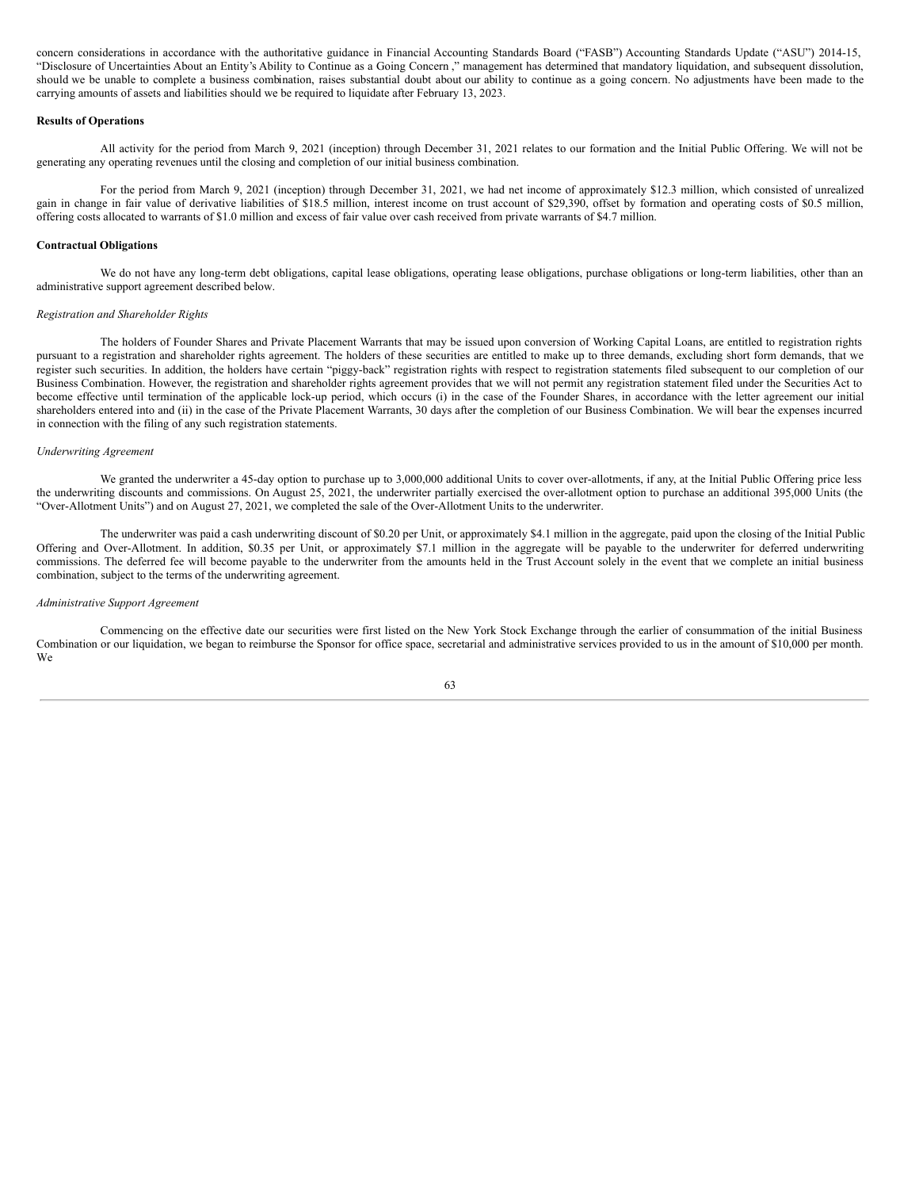concern considerations in accordance with the authoritative guidance in Financial Accounting Standards Board ("FASB") Accounting Standards Update ("ASU") 2014-15, "Disclosure of Uncertainties About an Entity's Ability to Continue as a Going Concern ," management has determined that mandatory liquidation, and subsequent dissolution, should we be unable to complete a business combination, raises substantial doubt about our ability to continue as a going concern. No adjustments have been made to the carrying amounts of assets and liabilities should we be required to liquidate after February 13, 2023.

# **Results of Operations**

All activity for the period from March 9, 2021 (inception) through December 31, 2021 relates to our formation and the Initial Public Offering. We will not be generating any operating revenues until the closing and completion of our initial business combination.

For the period from March 9, 2021 (inception) through December 31, 2021, we had net income of approximately \$12.3 million, which consisted of unrealized gain in change in fair value of derivative liabilities of \$18.5 million, interest income on trust account of \$29,390, offset by formation and operating costs of \$0.5 million, offering costs allocated to warrants of \$1.0 million and excess of fair value over cash received from private warrants of \$4.7 million.

# **Contractual Obligations**

We do not have any long-term debt obligations, capital lease obligations, operating lease obligations, purchase obligations or long-term liabilities, other than an administrative support agreement described below.

#### *Registration and Shareholder Rights*

The holders of Founder Shares and Private Placement Warrants that may be issued upon conversion of Working Capital Loans, are entitled to registration rights pursuant to a registration and shareholder rights agreement. The holders of these securities are entitled to make up to three demands, excluding short form demands, that we register such securities. In addition, the holders have certain "piggy-back" registration rights with respect to registration statements filed subsequent to our completion of our Business Combination. However, the registration and shareholder rights agreement provides that we will not permit any registration statement filed under the Securities Act to become effective until termination of the applicable lock-up period, which occurs (i) in the case of the Founder Shares, in accordance with the letter agreement our initial shareholders entered into and (ii) in the case of the Private Placement Warrants, 30 days after the completion of our Business Combination. We will bear the expenses incurred in connection with the filing of any such registration statements.

### *Underwriting Agreement*

We granted the underwriter a 45-day option to purchase up to 3,000,000 additional Units to cover over-allotments, if any, at the Initial Public Offering price less the underwriting discounts and commissions. On August 25, 2021, the underwriter partially exercised the over-allotment option to purchase an additional 395,000 Units (the "Over-Allotment Units") and on August 27, 2021, we completed the sale of the Over-Allotment Units to the underwriter.

The underwriter was paid a cash underwriting discount of \$0.20 per Unit, or approximately \$4.1 million in the aggregate, paid upon the closing of the Initial Public Offering and Over-Allotment. In addition, \$0.35 per Unit, or approximately \$7.1 million in the aggregate will be payable to the underwriter for deferred underwriting commissions. The deferred fee will become payable to the underwriter from the amounts held in the Trust Account solely in the event that we complete an initial business combination, subject to the terms of the underwriting agreement.

# *Administrative Support Agreement*

Commencing on the effective date our securities were first listed on the New York Stock Exchange through the earlier of consummation of the initial Business Combination or our liquidation, we began to reimburse the Sponsor for office space, secretarial and administrative services provided to us in the amount of \$10,000 per month. We

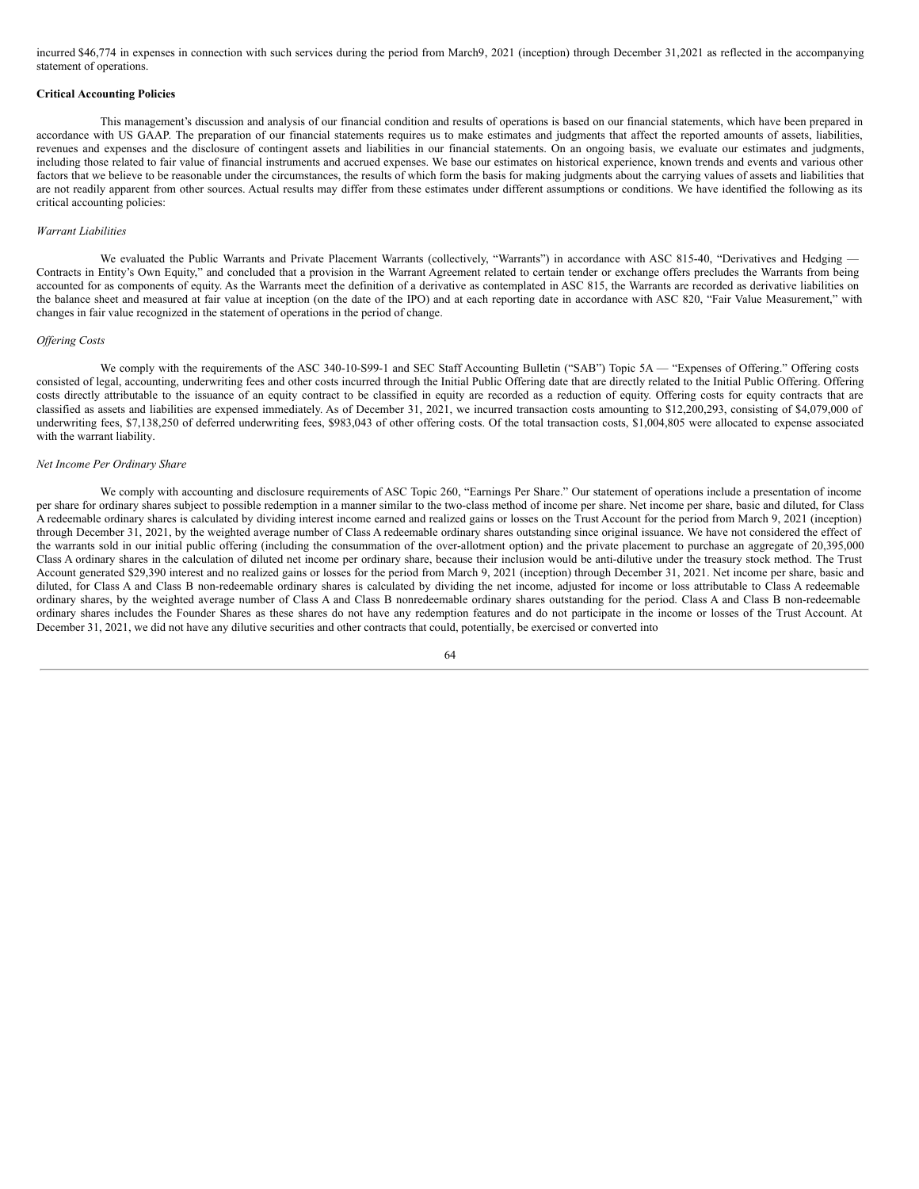incurred \$46,774 in expenses in connection with such services during the period from March9, 2021 (inception) through December 31,2021 as reflected in the accompanying statement of operations.

### **Critical Accounting Policies**

This management's discussion and analysis of our financial condition and results of operations is based on our financial statements, which have been prepared in accordance with US GAAP. The preparation of our financial statements requires us to make estimates and judgments that affect the reported amounts of assets, liabilities, revenues and expenses and the disclosure of contingent assets and liabilities in our financial statements. On an ongoing basis, we evaluate our estimates and judgments, including those related to fair value of financial instruments and accrued expenses. We base our estimates on historical experience, known trends and events and various other factors that we believe to be reasonable under the circumstances, the results of which form the basis for making judgments about the carrying values of assets and liabilities that are not readily apparent from other sources. Actual results may differ from these estimates under different assumptions or conditions. We have identified the following as its critical accounting policies:

## *Warrant Liabilities*

We evaluated the Public Warrants and Private Placement Warrants (collectively, "Warrants") in accordance with ASC 815-40, "Derivatives and Hedging -Contracts in Entity's Own Equity," and concluded that a provision in the Warrant Agreement related to certain tender or exchange offers precludes the Warrants from being accounted for as components of equity. As the Warrants meet the definition of a derivative as contemplated in ASC 815, the Warrants are recorded as derivative liabilities on the balance sheet and measured at fair value at inception (on the date of the IPO) and at each reporting date in accordance with ASC 820, "Fair Value Measurement," with changes in fair value recognized in the statement of operations in the period of change.

#### *Of ering Costs*

We comply with the requirements of the ASC 340-10-S99-1 and SEC Staff Accounting Bulletin ("SAB") Topic 5A — "Expenses of Offering." Offering costs consisted of legal, accounting, underwriting fees and other costs incurred through the Initial Public Offering date that are directly related to the Initial Public Offering. Offering costs directly attributable to the issuance of an equity contract to be classified in equity are recorded as a reduction of equity. Offering costs for equity contracts that are classified as assets and liabilities are expensed immediately. As of December 31, 2021, we incurred transaction costs amounting to \$12,200,293, consisting of \$4,079,000 of underwriting fees, \$7,138,250 of deferred underwriting fees, \$983,043 of other offering costs. Of the total transaction costs, \$1,004,805 were allocated to expense associated with the warrant liability.

## *Net Income Per Ordinary Share*

We comply with accounting and disclosure requirements of ASC Topic 260, "Earnings Per Share." Our statement of operations include a presentation of income per share for ordinary shares subject to possible redemption in a manner similar to the two-class method of income per share. Net income per share, basic and diluted, for Class A redeemable ordinary shares is calculated by dividing interest income earned and realized gains or losses on the Trust Account for the period from March 9, 2021 (inception) through December 31, 2021, by the weighted average number of Class A redeemable ordinary shares outstanding since original issuance. We have not considered the effect of the warrants sold in our initial public offering (including the consummation of the over-allotment option) and the private placement to purchase an aggregate of 20,395,000 Class A ordinary shares in the calculation of diluted net income per ordinary share, because their inclusion would be anti-dilutive under the treasury stock method. The Trust Account generated \$29,390 interest and no realized gains or losses for the period from March 9, 2021 (inception) through December 31, 2021. Net income per share, basic and diluted, for Class A and Class B non-redeemable ordinary shares is calculated by dividing the net income, adjusted for income or loss attributable to Class A redeemable ordinary shares, by the weighted average number of Class A and Class B nonredeemable ordinary shares outstanding for the period. Class A and Class B non-redeemable ordinary shares includes the Founder Shares as these shares do not have any redemption features and do not participate in the income or losses of the Trust Account. At December 31, 2021, we did not have any dilutive securities and other contracts that could, potentially, be exercised or converted into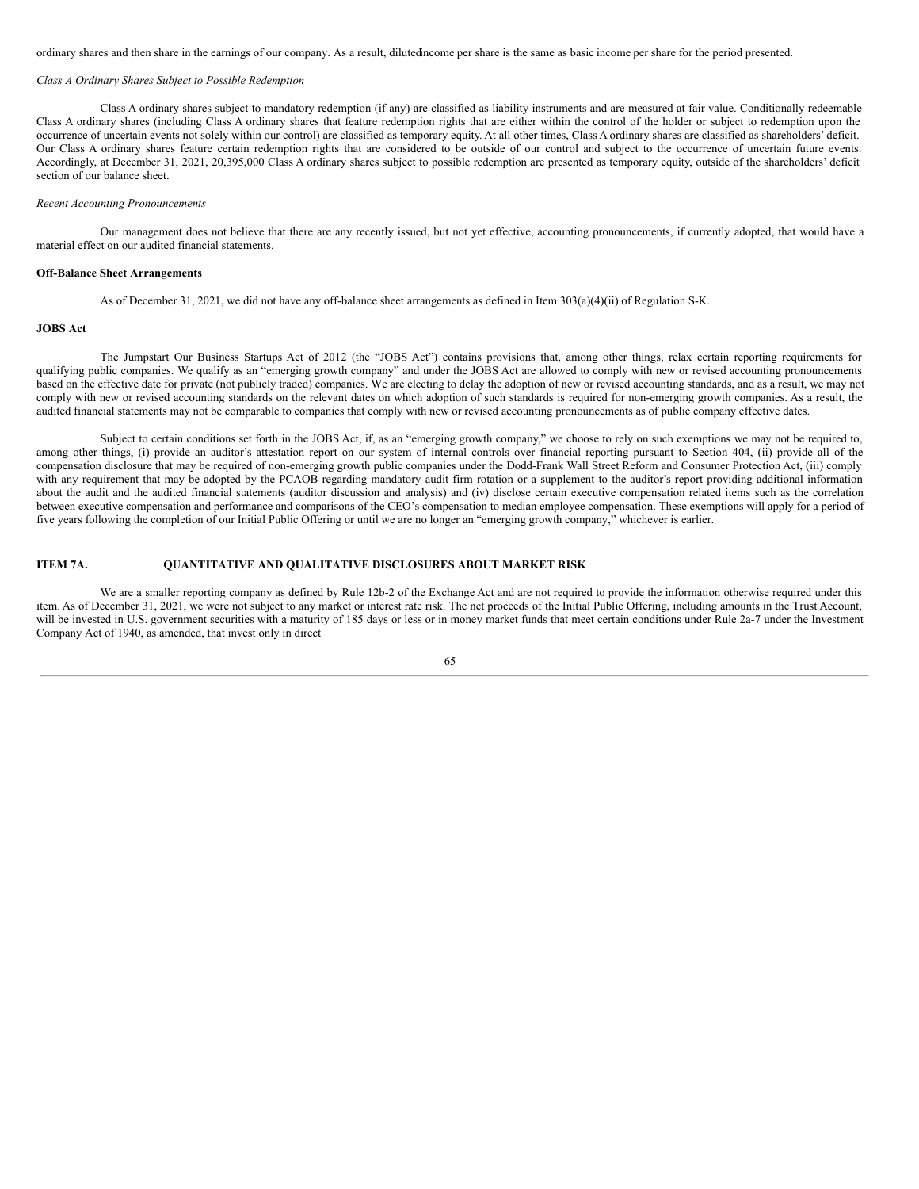ordinary shares and then share in the earnings of our company. As a result, dilutedincome per share is the same as basic income per share for the period presented.

# *Class A Ordinary Shares Subject to Possible Redemption*

Class A ordinary shares subject to mandatory redemption (if any) are classified as liability instruments and are measured at fair value. Conditionally redeemable Class A ordinary shares (including Class A ordinary shares that feature redemption rights that are either within the control of the holder or subject to redemption upon the occurrence of uncertain events not solely within our control) are classified as temporary equity. At all other times, Class A ordinary shares are classified as shareholders' deficit. Our Class A ordinary shares feature certain redemption rights that are considered to be outside of our control and subject to the occurrence of uncertain future events. Accordingly, at December 31, 2021, 20,395,000 Class A ordinary shares subject to possible redemption are presented as temporary equity, outside of the shareholders' deficit section of our balance sheet.

#### *Recent Accounting Pronouncements*

Our management does not believe that there are any recently issued, but not yet effective, accounting pronouncements, if currently adopted, that would have a material effect on our audited financial statements.

## **Off-Balance Sheet Arrangements**

As of December 31, 2021, we did not have any off-balance sheet arrangements as defined in Item 303(a)(4)(ii) of Regulation S-K.

# **JOBS Act**

The Jumpstart Our Business Startups Act of 2012 (the "JOBS Act") contains provisions that, among other things, relax certain reporting requirements for qualifying public companies. We qualify as an "emerging growth company" and under the JOBS Act are allowed to comply with new or revised accounting pronouncements based on the effective date for private (not publicly traded) companies. We are electing to delay the adoption of new or revised accounting standards, and as a result, we may not comply with new or revised accounting standards on the relevant dates on which adoption of such standards is required for non-emerging growth companies. As a result, the audited financial statements may not be comparable to companies that comply with new or revised accounting pronouncements as of public company effective dates.

Subject to certain conditions set forth in the JOBS Act, if, as an "emerging growth company," we choose to rely on such exemptions we may not be required to, among other things, (i) provide an auditor's attestation report on our system of internal controls over financial reporting pursuant to Section 404, (ii) provide all of the compensation disclosure that may be required of non-emerging growth public companies under the Dodd-Frank Wall Street Reform and Consumer Protection Act, (iii) comply with any requirement that may be adopted by the PCAOB regarding mandatory audit firm rotation or a supplement to the auditor's report providing additional information about the audit and the audited financial statements (auditor discussion and analysis) and (iv) disclose certain executive compensation related items such as the correlation between executive compensation and performance and comparisons of the CEO's compensation to median employee compensation. These exemptions will apply for a period of five years following the completion of our Initial Public Offering or until we are no longer an "emerging growth company," whichever is earlier.

# **ITEM 7A. QUANTITATIVE AND QUALITATIVE DISCLOSURES ABOUT MARKET RISK**

We are a smaller reporting company as defined by Rule 12b-2 of the Exchange Act and are not required to provide the information otherwise required under this item. As of December 31, 2021, we were not subject to any market or interest rate risk. The net proceeds of the Initial Public Offering, including amounts in the Trust Account, will be invested in U.S. government securities with a maturity of 185 days or less or in money market funds that meet certain conditions under Rule 2a-7 under the Investment Company Act of 1940, as amended, that invest only in direct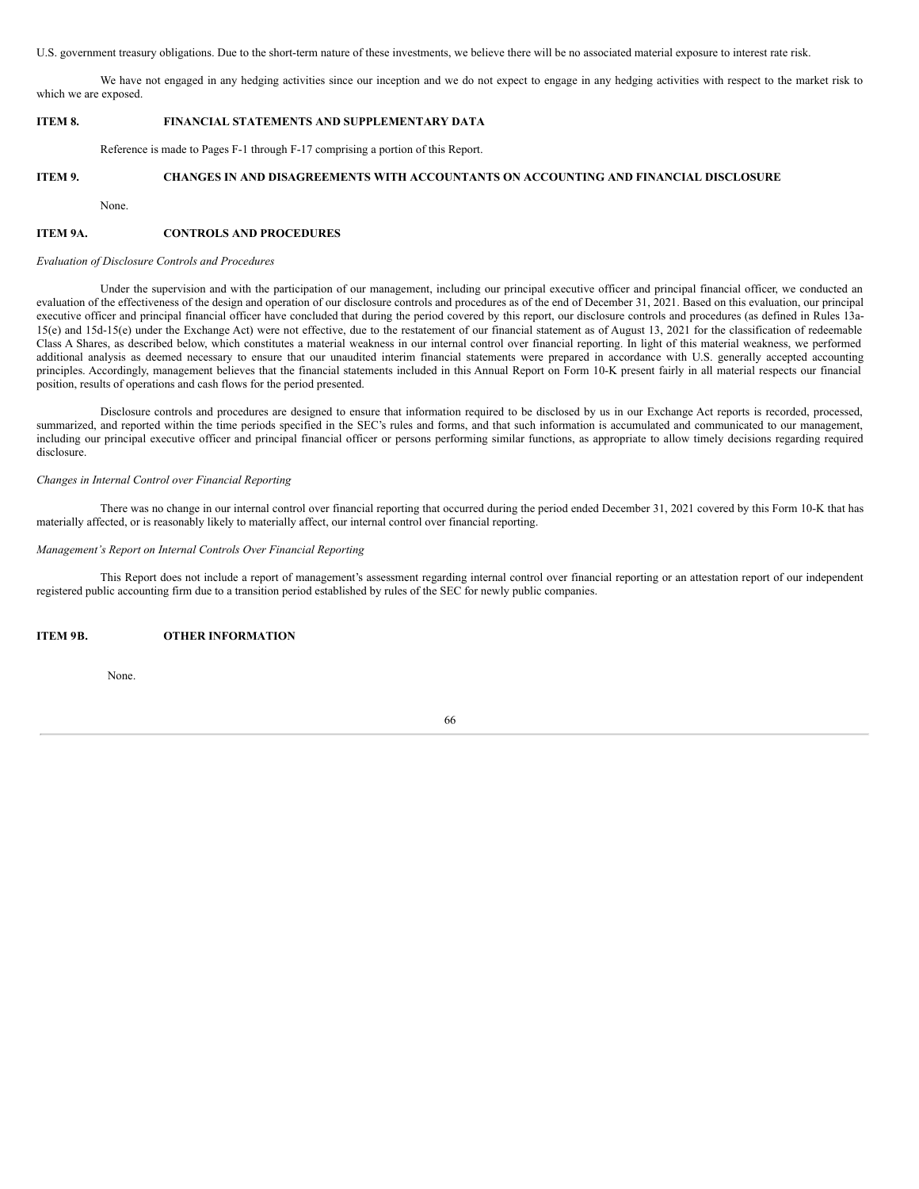U.S. government treasury obligations. Due to the short-term nature of these investments, we believe there will be no associated material exposure to interest rate risk.

We have not engaged in any hedging activities since our inception and we do not expect to engage in any hedging activities with respect to the market risk to which we are exposed.

# **ITEM 8. FINANCIAL STATEMENTS AND SUPPLEMENTARY DATA**

Reference is made to Pages F-1 through F-17 comprising a portion of this Report.

#### **ITEM 9. CHANGES IN AND DISAGREEMENTS WITH ACCOUNTANTS ON ACCOUNTING AND FINANCIAL DISCLOSURE**

None.

## **ITEM 9A. CONTROLS AND PROCEDURES**

*Evaluation of Disclosure Controls and Procedures*

Under the supervision and with the participation of our management, including our principal executive officer and principal financial officer, we conducted an evaluation of the effectiveness of the design and operation of our disclosure controls and procedures as of the end of December 31, 2021. Based on this evaluation, our principal executive officer and principal financial officer have concluded that during the period covered by this report, our disclosure controls and procedures (as defined in Rules 13a-15(e) and 15d-15(e) under the Exchange Act) were not effective, due to the restatement of our financial statement as of August 13, 2021 for the classification of redeemable Class A Shares, as described below, which constitutes a material weakness in our internal control over financial reporting. In light of this material weakness, we performed additional analysis as deemed necessary to ensure that our unaudited interim financial statements were prepared in accordance with U.S. generally accepted accounting principles. Accordingly, management believes that the financial statements included in this Annual Report on Form 10-K present fairly in all material respects our financial position, results of operations and cash flows for the period presented.

Disclosure controls and procedures are designed to ensure that information required to be disclosed by us in our Exchange Act reports is recorded, processed, summarized, and reported within the time periods specified in the SEC's rules and forms, and that such information is accumulated and communicated to our management, including our principal executive officer and principal financial officer or persons performing similar functions, as appropriate to allow timely decisions regarding required disclosure.

## *Changes in Internal Control over Financial Reporting*

There was no change in our internal control over financial reporting that occurred during the period ended December 31, 2021 covered by this Form 10-K that has materially affected, or is reasonably likely to materially affect, our internal control over financial reporting.

# *Management's Report on Internal Controls Over Financial Reporting*

This Report does not include a report of management's assessment regarding internal control over financial reporting or an attestation report of our independent registered public accounting firm due to a transition period established by rules of the SEC for newly public companies.

## **ITEM 9B. OTHER INFORMATION**

None.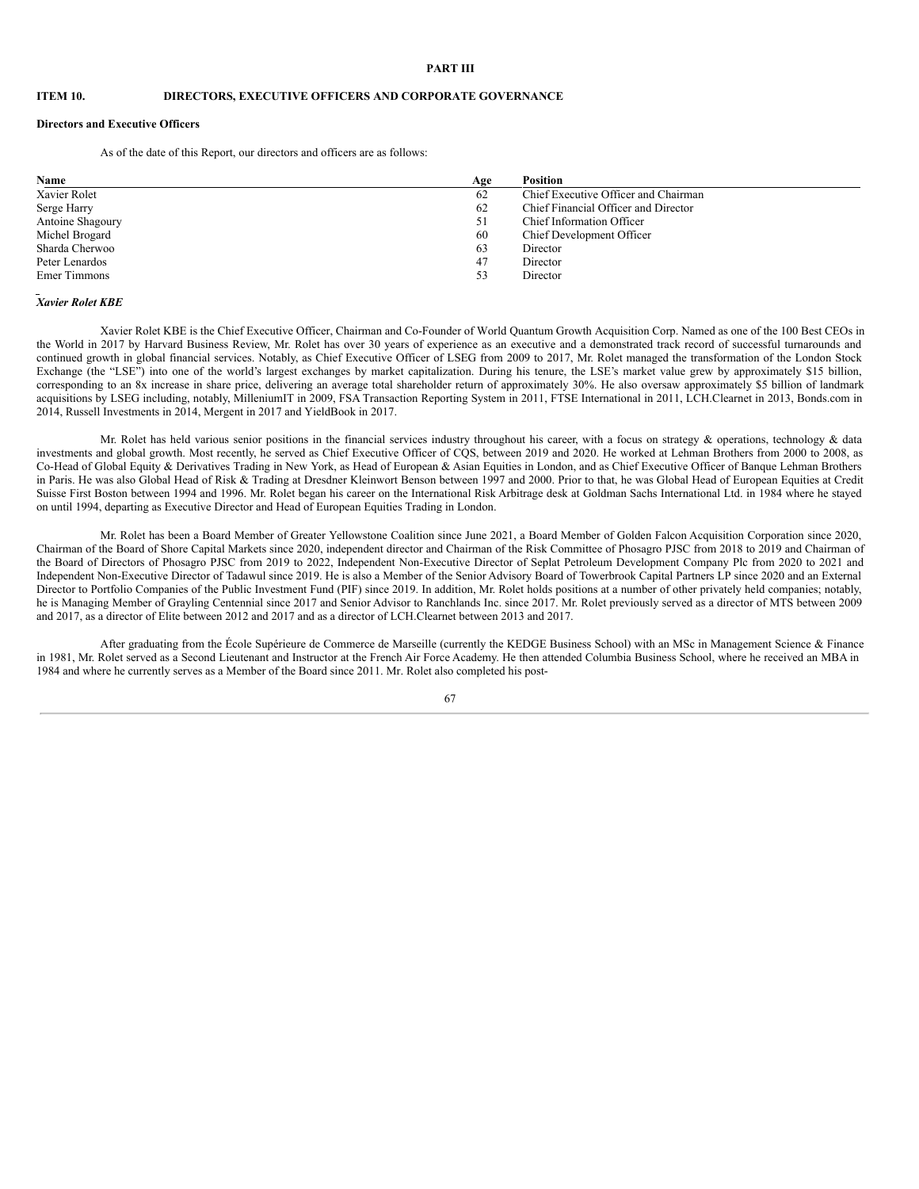# **PART III**

# **ITEM 10. DIRECTORS, EXECUTIVE OFFICERS AND CORPORATE GOVERNANCE**

## **Directors and Executive Officers**

As of the date of this Report, our directors and officers are as follows:

| Name             | Age | <b>Position</b>                      |
|------------------|-----|--------------------------------------|
| Xavier Rolet     | 62  | Chief Executive Officer and Chairman |
| Serge Harry      | 62  | Chief Financial Officer and Director |
| Antoine Shagoury | 51  | Chief Information Officer            |
| Michel Brogard   | 60  | Chief Development Officer            |
| Sharda Cherwoo   | 63  | Director                             |
| Peter Lenardos   | 47  | Director                             |
| Emer Timmons     | 53  | Director                             |

## *Xavier Rolet KBE*

Xavier Rolet KBE is the Chief Executive Officer, Chairman and Co-Founder of World Quantum Growth Acquisition Corp. Named as one of the 100 Best CEOs in the World in 2017 by Harvard Business Review, Mr. Rolet has over 30 years of experience as an executive and a demonstrated track record of successful turnarounds and continued growth in global financial services. Notably, as Chief Executive Officer of LSEG from 2009 to 2017, Mr. Rolet managed the transformation of the London Stock Exchange (the "LSE") into one of the world's largest exchanges by market capitalization. During his tenure, the LSE's market value grew by approximately \$15 billion, corresponding to an 8x increase in share price, delivering an average total shareholder return of approximately 30%. He also oversaw approximately \$5 billion of landmark acquisitions by LSEG including, notably, MilleniumIT in 2009, FSA Transaction Reporting System in 2011, FTSE International in 2011, LCH.Clearnet in 2013, Bonds.com in 2014, Russell Investments in 2014, Mergent in 2017 and YieldBook in 2017.

Mr. Rolet has held various senior positions in the financial services industry throughout his career, with a focus on strategy & operations, technology & data investments and global growth. Most recently, he served as Chief Executive Officer of CQS, between 2019 and 2020. He worked at Lehman Brothers from 2000 to 2008, as Co-Head of Global Equity & Derivatives Trading in New York, as Head of European & Asian Equities in London, and as Chief Executive Officer of Banque Lehman Brothers in Paris. He was also Global Head of Risk & Trading at Dresdner Kleinwort Benson between 1997 and 2000. Prior to that, he was Global Head of European Equities at Credit Suisse First Boston between 1994 and 1996. Mr. Rolet began his career on the International Risk Arbitrage desk at Goldman Sachs International Ltd. in 1984 where he stayed on until 1994, departing as Executive Director and Head of European Equities Trading in London.

Mr. Rolet has been a Board Member of Greater Yellowstone Coalition since June 2021, a Board Member of Golden Falcon Acquisition Corporation since 2020, Chairman of the Board of Shore Capital Markets since 2020, independent director and Chairman of the Risk Committee of Phosagro PJSC from 2018 to 2019 and Chairman of the Board of Directors of Phosagro PJSC from 2019 to 2022, Independent Non-Executive Director of Seplat Petroleum Development Company Plc from 2020 to 2021 and Independent Non-Executive Director of Tadawul since 2019. He is also a Member of the Senior Advisory Board of Towerbrook Capital Partners LP since 2020 and an External Director to Portfolio Companies of the Public Investment Fund (PIF) since 2019. In addition, Mr. Rolet holds positions at a number of other privately held companies; notably, he is Managing Member of Grayling Centennial since 2017 and Senior Advisor to Ranchlands Inc. since 2017. Mr. Rolet previously served as a director of MTS between 2009 and 2017, as a director of Elite between 2012 and 2017 and as a director of LCH.Clearnet between 2013 and 2017.

After graduating from the École Supérieure de Commerce de Marseille (currently the KEDGE Business School) with an MSc in Management Science & Finance in 1981, Mr. Rolet served as a Second Lieutenant and Instructor at the French Air Force Academy. He then attended Columbia Business School, where he received an MBA in 1984 and where he currently serves as a Member of the Board since 2011. Mr. Rolet also completed his post-

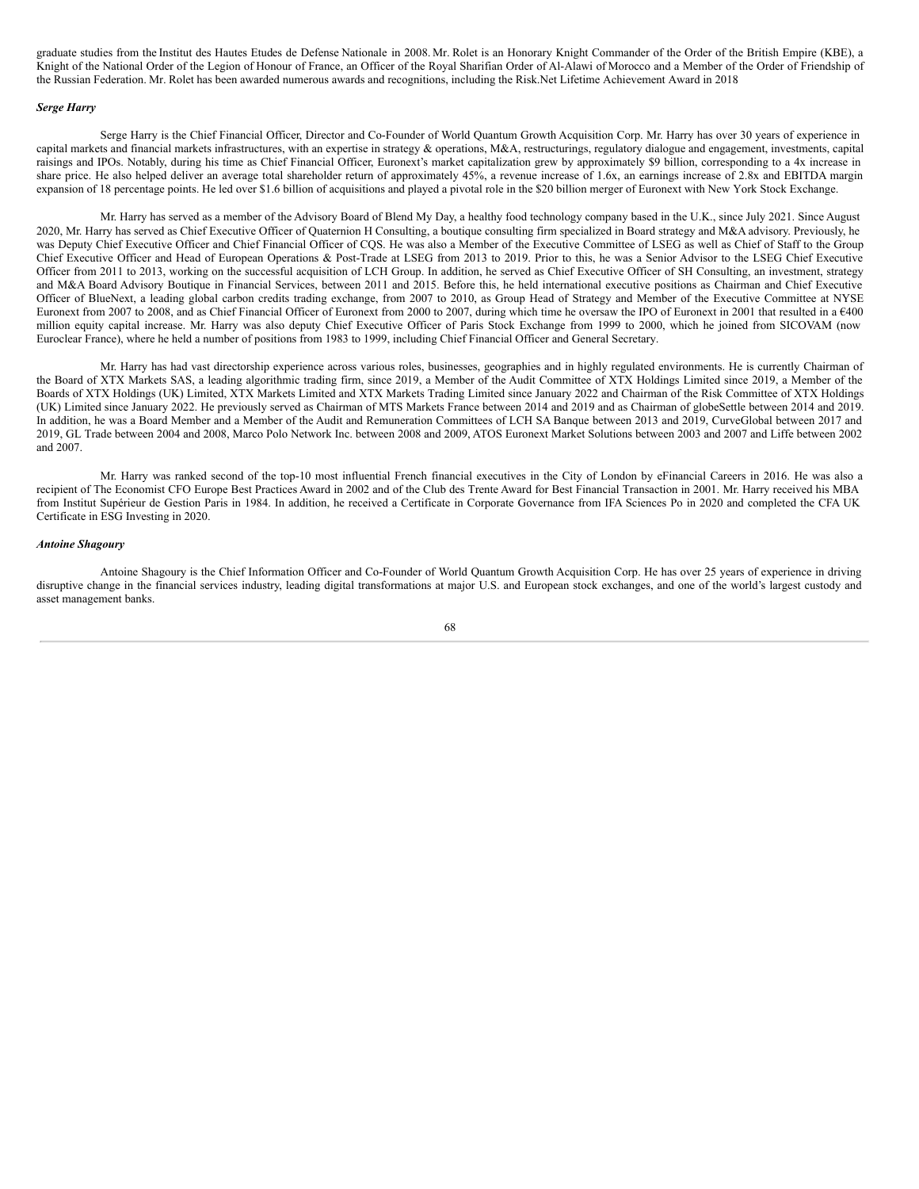graduate studies from the Institut des Hautes Etudes de Defense Nationale in 2008. Mr. Rolet is an Honorary Knight Commander of the Order of the British Empire (KBE), a Knight of the National Order of the Legion of Honour of France, an Officer of the Royal Sharifian Order of Al-Alawi of Morocco and a Member of the Order of Friendship of the Russian Federation. Mr. Rolet has been awarded numerous awards and recognitions, including the Risk.Net Lifetime Achievement Award in 2018.

## *Serge Harry*

Serge Harry is the Chief Financial Officer, Director and Co-Founder of World Quantum Growth Acquisition Corp. Mr. Harry has over 30 years of experience in capital markets and financial markets infrastructures, with an expertise in strategy & operations, M&A, restructurings, regulatory dialogue and engagement, investments, capital raisings and IPOs. Notably, during his time as Chief Financial Officer, Euronext's market capitalization grew by approximately \$9 billion, corresponding to a 4x increase in share price. He also helped deliver an average total shareholder return of approximately 45%, a revenue increase of 1.6x, an earnings increase of 2.8x and EBITDA margin expansion of 18 percentage points. He led over \$1.6 billion of acquisitions and played a pivotal role in the \$20 billion merger of Euronext with New York Stock Exchange.

Mr. Harry has served as a member of the Advisory Board of Blend My Day, a healthy food technology company based in the U.K., since July 2021. Since August 2020, Mr. Harry has served as Chief Executive Officer of Quaternion H Consulting, a boutique consulting firm specialized in Board strategy and M&A advisory. Previously, he was Deputy Chief Executive Officer and Chief Financial Officer of COS. He was also a Member of the Executive Committee of LSEG as well as Chief of Staff to the Group Chief Executive Officer and Head of European Operations & Post-Trade at LSEG from 2013 to 2019. Prior to this, he was a Senior Advisor to the LSEG Chief Executive Officer from 2011 to 2013, working on the successful acquisition of LCH Group. In addition, he served as Chief Executive Officer of SH Consulting, an investment, strategy and M&A Board Advisory Boutique in Financial Services, between 2011 and 2015. Before this, he held international executive positions as Chairman and Chief Executive Officer of BlueNext, a leading global carbon credits trading exchange, from 2007 to 2010, as Group Head of Strategy and Member of the Executive Committee at NYSE Euronext from 2007 to 2008, and as Chief Financial Officer of Euronext from 2000 to 2007, during which time he oversaw the IPO of Euronext in 2001 that resulted in a €400 million equity capital increase. Mr. Harry was also deputy Chief Executive Officer of Paris Stock Exchange from 1999 to 2000, which he joined from SICOVAM (now Euroclear France), where he held a number of positions from 1983 to 1999, including Chief Financial Officer and General Secretary.

Mr. Harry has had vast directorship experience across various roles, businesses, geographies and in highly regulated environments. He is currently Chairman of the Board of XTX Markets SAS, a leading algorithmic trading firm, since 2019, a Member of the Audit Committee of XTX Holdings Limited since 2019, a Member of the Boards of XTX Holdings (UK) Limited, XTX Markets Limited and XTX Markets Trading Limited since January 2022 and Chairman of the Risk Committee of XTX Holdings (UK) Limited since January 2022. He previously served as Chairman of MTS Markets France between 2014 and 2019 and as Chairman of globeSettle between 2014 and 2019. In addition, he was a Board Member and a Member of the Audit and Remuneration Committees of LCH SA Banque between 2013 and 2019, CurveGlobal between 2017 and 2019, GL Trade between 2004 and 2008, Marco Polo Network Inc. between 2008 and 2009, ATOS Euronext Market Solutions between 2003 and 2007 and Liffe between 2002 and 2007.

Mr. Harry was ranked second of the top-10 most influential French financial executives in the City of London by eFinancial Careers in 2016. He was also a recipient of The Economist CFO Europe Best Practices Award in 2002 and of the Club des Trente Award for Best Financial Transaction in 2001. Mr. Harry received his MBA from Institut Supérieur de Gestion Paris in 1984. In addition, he received a Certificate in Corporate Governance from IFA Sciences Po in 2020 and completed the CFA UK Certificate in ESG Investing in 2020.

#### *Antoine Shagoury*

Antoine Shagoury is the Chief Information Officer and Co-Founder of World Quantum Growth Acquisition Corp. He has over 25 years of experience in driving disruptive change in the financial services industry, leading digital transformations at major U.S. and European stock exchanges, and one of the world's largest custody and asset management banks.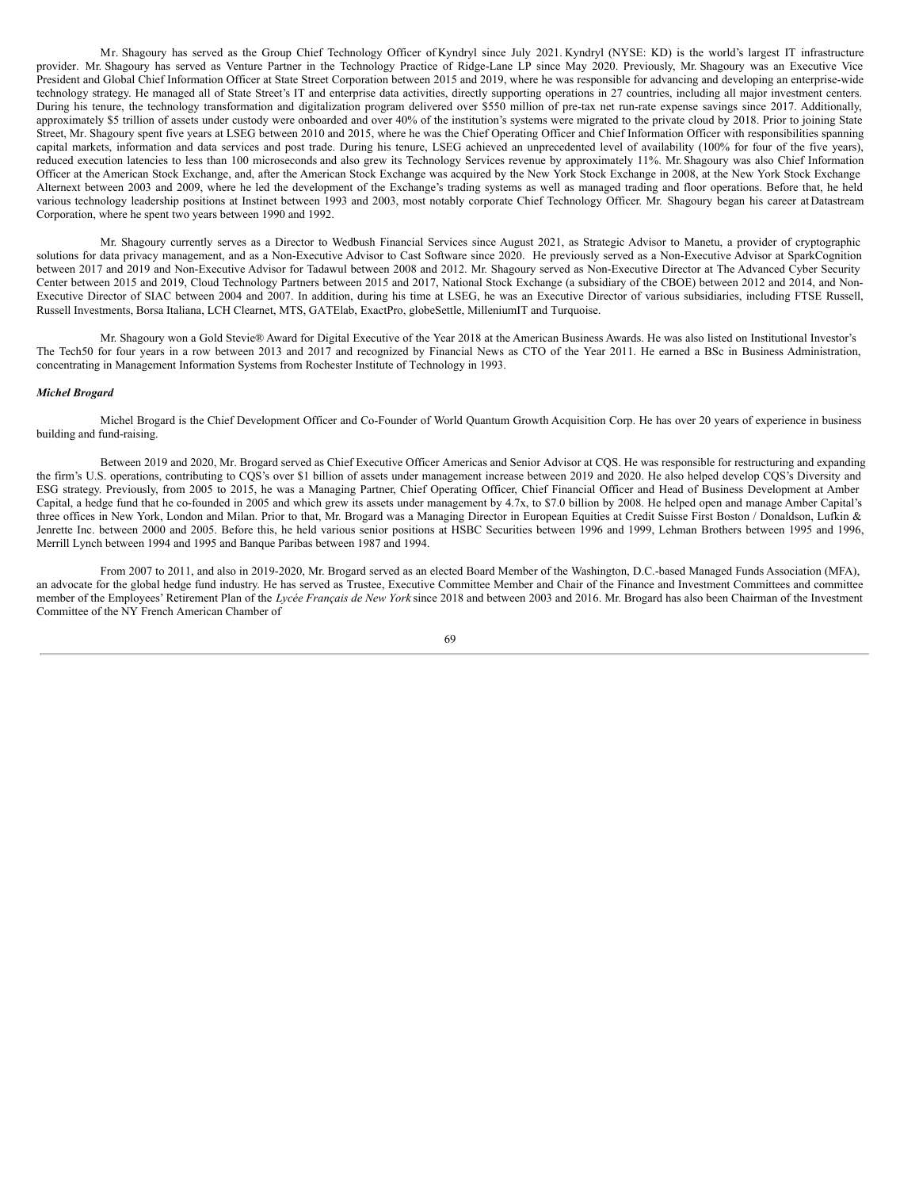Mr. Shagoury has served as the Group Chief Technology Officer of Kyndryl since July 2021. Kyndryl (NYSE: KD) is the world's largest IT infrastructure provider. Mr. Shagoury has served as Venture Partner in the Technology Practice of Ridge-Lane LP since May 2020. Previously, Mr. Shagoury was an Executive Vice President and Global Chief Information Officer at State Street Corporation between 2015 and 2019, where he was responsible for advancing and developing an enterprise-wide technology strategy. He managed all of State Street's IT and enterprise data activities, directly supporting operations in 27 countries, including all major investment centers. During his tenure, the technology transformation and digitalization program delivered over \$550 million of pre-tax net run-rate expense savings since 2017. Additionally, approximately \$5 trillion of assets under custody were onboarded and over 40% of the institution's systems were migrated to the private cloud by 2018. Prior to joining State Street, Mr. Shagoury spent five years at LSEG between 2010 and 2015, where he was the Chief Operating Officer and Chief Information Officer with responsibilities spanning capital markets, information and data services and post trade. During his tenure, LSEG achieved an unprecedented level of availability (100% for four of the five years), reduced execution latencies to less than 100 microseconds and also grew its Technology Services revenue by approximately 11%. Mr. Shagoury was also Chief Information Officer at the American Stock Exchange, and, after the American Stock Exchange was acquired by the New York Stock Exchange in 2008, at the New York Stock Exchange Alternext between 2003 and 2009, where he led the development of the Exchange's trading systems as well as managed trading and floor operations. Before that, he held various technology leadership positions at Instinet between 1993 and 2003, most notably corporate Chief Technology Officer. Mr. Shagoury began his career atDatastream Corporation, where he spent two years between 1990 and 1992.

Mr. Shagoury currently serves as a Director to Wedbush Financial Services since August 2021, as Strategic Advisor to Manetu, a provider of cryptographic solutions for data privacy management, and as a Non-Executive Advisor to Cast Software since 2020. He previously served as a Non-Executive Advisor at SparkCognition between 2017 and 2019 and Non-Executive Advisor for Tadawul between 2008 and 2012. Mr. Shagoury served as Non-Executive Director at The Advanced Cyber Security Center between 2015 and 2019, Cloud Technology Partners between 2015 and 2017, National Stock Exchange (a subsidiary of the CBOE) between 2012 and 2014, and Non-Executive Director of SIAC between 2004 and 2007. In addition, during his time at LSEG, he was an Executive Director of various subsidiaries, including FTSE Russell, Russell Investments, Borsa Italiana, LCH Clearnet, MTS, GATElab, ExactPro, globeSettle, MilleniumIT and Turquoise.

Mr. Shagoury won a Gold Stevie® Award for Digital Executive of the Year 2018 at the American Business Awards. He was also listed on Institutional Investor's The Tech50 for four years in a row between 2013 and 2017 and recognized by Financial News as CTO of the Year 2011. He earned a BSc in Business Administration, concentrating in Management Information Systems from Rochester Institute of Technology in 1993.

### *Michel Brogard*

Michel Brogard is the Chief Development Officer and Co-Founder of World Quantum Growth Acquisition Corp. He has over 20 years of experience in business building and fund-raising.

Between 2019 and 2020, Mr. Brogard served as Chief Executive Officer Americas and Senior Advisor at CQS. He was responsible for restructuring and expanding the firm's U.S. operations, contributing to CQS's over \$1 billion of assets under management increase between 2019 and 2020. He also helped develop CQS's Diversity and ESG strategy. Previously, from 2005 to 2015, he was a Managing Partner, Chief Operating Officer, Chief Financial Officer and Head of Business Development at Amber Capital, a hedge fund that he co-founded in 2005 and which grew its assets under management by 4.7x, to \$7.0 billion by 2008. He helped open and manage Amber Capital's three offices in New York, London and Milan. Prior to that, Mr. Brogard was a Managing Director in European Equities at Credit Suisse First Boston / Donaldson, Lufkin & Jenrette Inc. between 2000 and 2005. Before this, he held various senior positions at HSBC Securities between 1996 and 1999, Lehman Brothers between 1995 and 1996, Merrill Lynch between 1994 and 1995 and Banque Paribas between 1987 and 1994.

From 2007 to 2011, and also in 2019-2020, Mr. Brogard served as an elected Board Member of the Washington, D.C.-based Managed Funds Association (MFA), an advocate for the global hedge fund industry. He has served as Trustee, Executive Committee Member and Chair of the Finance and Investment Committees and committee member of the Employees' Retirement Plan of the *Lycée Français de New York* since 2018 and between 2003 and 2016. Mr. Brogard has also been Chairman of the Investment Committee of the NY French American Chamber of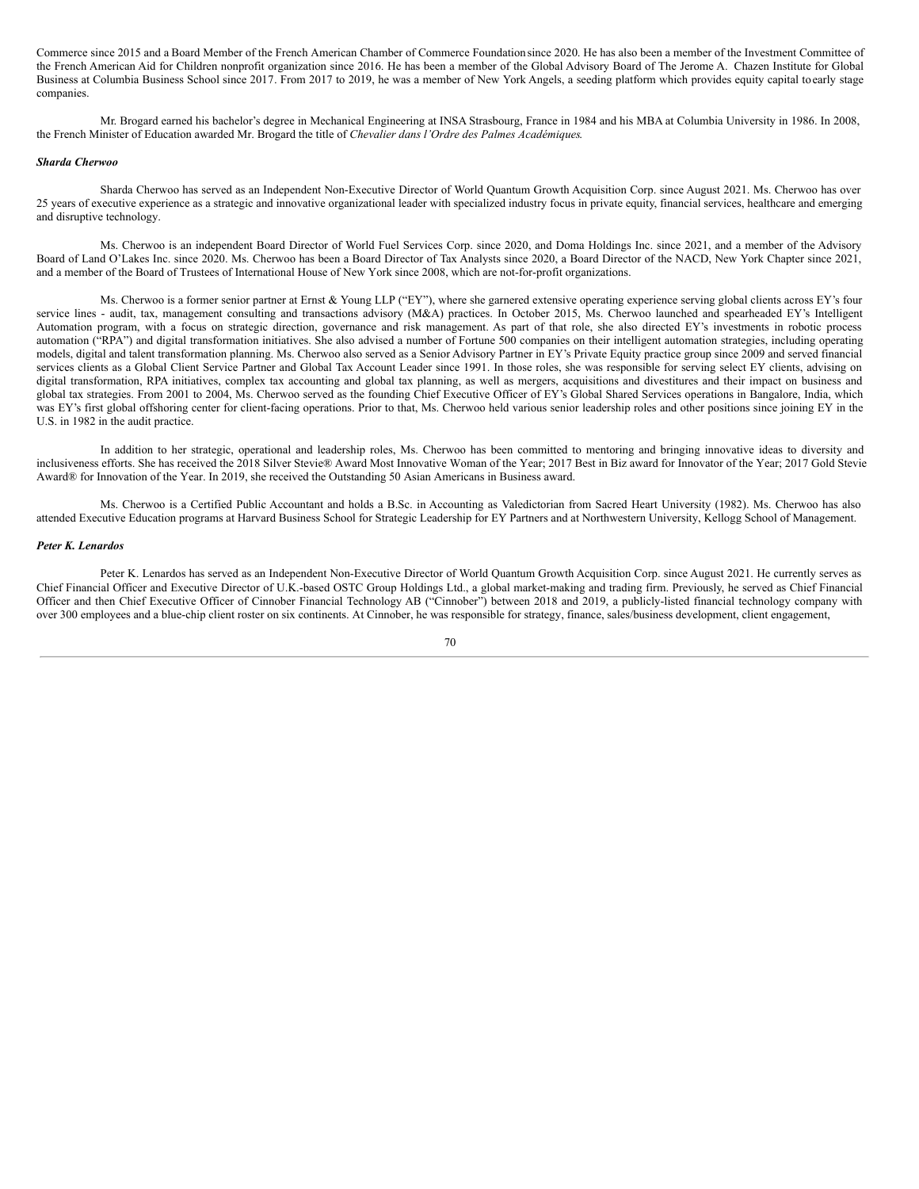Commerce since 2015 and a Board Member of the French American Chamber of Commerce Foundation since 2020. He has also been a member of the Investment Committee of the French American Aid for Children nonprofit organization since 2016. He has been a member of the Global Advisory Board of The Jerome A. Chazen Institute for Global Business at Columbia Business School since 2017. From 2017 to 2019, he was a member of New York Angels, a seeding platform which provides equity capital toearly stage companies.

Mr. Brogard earned his bachelor's degree in Mechanical Engineering at INSA Strasbourg, France in 1984 and his MBA at Columbia University in 1986. In 2008, the French Minister of Education awarded Mr. Brogard the title of *Chevalier dans l'Ordre des Palmes Académiques*.

## *Sharda Cherwoo*

Sharda Cherwoo has served as an Independent Non-Executive Director of World Quantum Growth Acquisition Corp. since August 2021. Ms. Cherwoo has over 25 years of executive experience as a strategic and innovative organizational leader with specialized industry focus in private equity, financial services, healthcare and emerging and disruptive technology.

Ms. Cherwoo is an independent Board Director of World Fuel Services Corp. since 2020, and Doma Holdings Inc. since 2021, and a member of the Advisory Board of Land O'Lakes Inc. since 2020. Ms. Cherwoo has been a Board Director of Tax Analysts since 2020, a Board Director of the NACD, New York Chapter since 2021, and a member of the Board of Trustees of International House of New York since 2008, which are not-for-profit organizations.

Ms. Cherwoo is a former senior partner at Ernst & Young LLP ("EY"), where she garnered extensive operating experience serving global clients across EY's four service lines - audit, tax, management consulting and transactions advisory (M&A) practices. In October 2015, Ms. Cherwoo launched and spearheaded EY's Intelligent Automation program, with a focus on strategic direction, governance and risk management. As part of that role, she also directed EY's investments in robotic process automation ("RPA") and digital transformation initiatives. She also advised a number of Fortune 500 companies on their intelligent automation strategies, including operating models, digital and talent transformation planning. Ms. Cherwoo also served as a Senior Advisory Partner in EY's Private Equity practice group since 2009 and served financial services clients as a Global Client Service Partner and Global Tax Account Leader since 1991. In those roles, she was responsible for serving select EY clients, advising on digital transformation, RPA initiatives, complex tax accounting and global tax planning, as well as mergers, acquisitions and divestitures and their impact on business and global tax strategies. From 2001 to 2004, Ms. Cherwoo served as the founding Chief Executive Officer of EY's Global Shared Services operations in Bangalore, India, which was EY's first global offshoring center for client-facing operations. Prior to that, Ms. Cherwoo held various senior leadership roles and other positions since joining EY in the U.S. in 1982 in the audit practice.

In addition to her strategic, operational and leadership roles, Ms. Cherwoo has been committed to mentoring and bringing innovative ideas to diversity and inclusiveness efforts. She has received the 2018 Silver Stevie® Award Most Innovative Woman of the Year; 2017 Best in Biz award for Innovator of the Year; 2017 Gold Stevie Award® for Innovation of the Year. In 2019, she received the Outstanding 50 Asian Americans in Business award.

Ms. Cherwoo is a Certified Public Accountant and holds a B.Sc. in Accounting as Valedictorian from Sacred Heart University (1982). Ms. Cherwoo has also attended Executive Education programs at Harvard Business School for Strategic Leadership for EY Partners and at Northwestern University, Kellogg School of Management.

#### *Peter K. Lenardos*

Peter K. Lenardos has served as an Independent Non-Executive Director of World Quantum Growth Acquisition Corp. since August 2021. He currently serves as Chief Financial Officer and Executive Director of U.K.-based OSTC Group Holdings Ltd., a global market-making and trading firm. Previously, he served as Chief Financial Officer and then Chief Executive Officer of Cinnober Financial Technology AB ("Cinnober") between 2018 and 2019, a publicly-listed financial technology company with over 300 employees and a blue-chip client roster on six continents. At Cinnober, he was responsible for strategy, finance, sales/business development, client engagement,

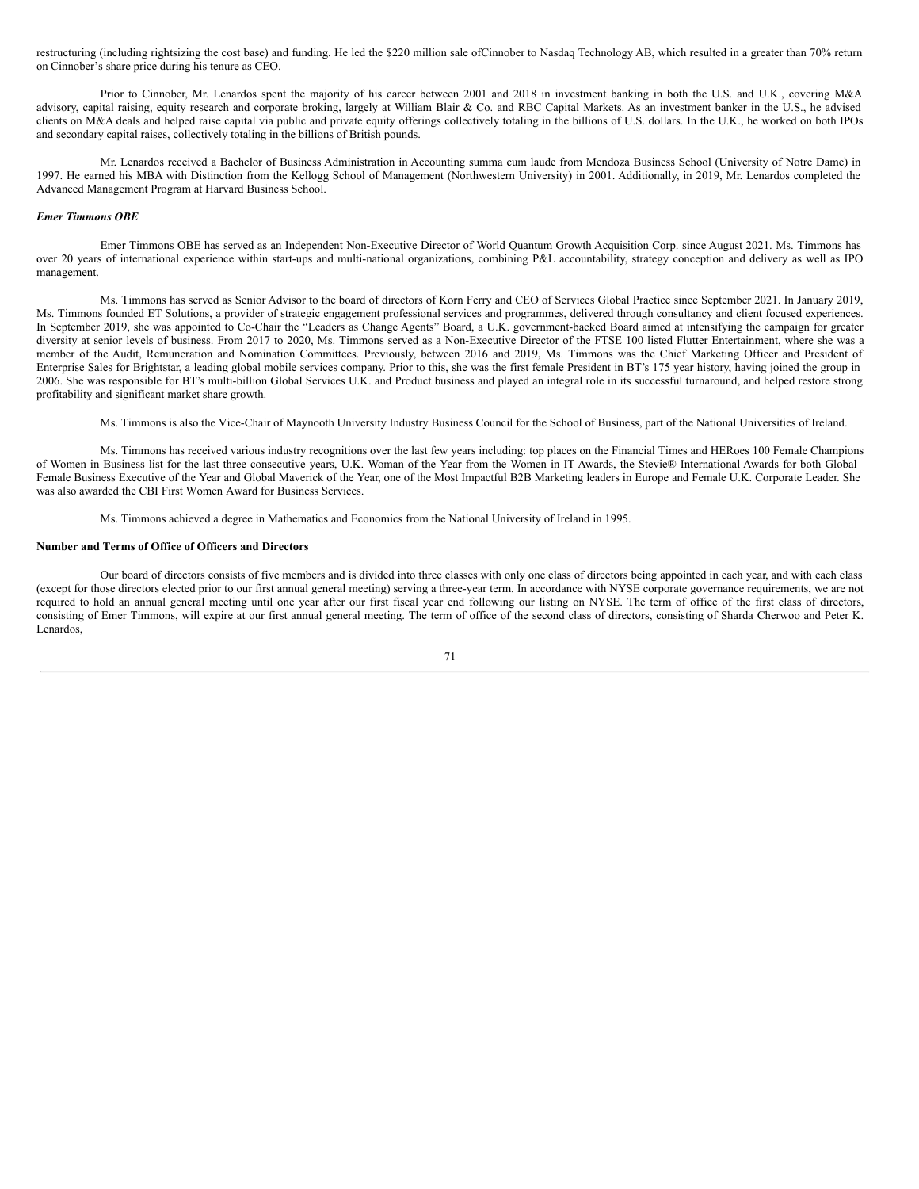restructuring (including rightsizing the cost base) and funding. He led the \$220 million sale ofCinnober to Nasdaq Technology AB, which resulted in a greater than 70% return on Cinnober's share price during his tenure as CEO.

Prior to Cinnober, Mr. Lenardos spent the majority of his career between 2001 and 2018 in investment banking in both the U.S. and U.K., covering M&A advisory, capital raising, equity research and corporate broking, largely at William Blair & Co. and RBC Capital Markets. As an investment banker in the U.S., he advised clients on M&A deals and helped raise capital via public and private equity offerings collectively totaling in the billions of U.S. dollars. In the U.K., he worked on both IPOs and secondary capital raises, collectively totaling in the billions of British pounds.

Mr. Lenardos received a Bachelor of Business Administration in Accounting summa cum laude from Mendoza Business School (University of Notre Dame) in 1997. He earned his MBA with Distinction from the Kellogg School of Management (Northwestern University) in 2001. Additionally, in 2019, Mr. Lenardos completed the Advanced Management Program at Harvard Business School.

#### *Emer Timmons OBE*

Emer Timmons OBE has served as an Independent Non-Executive Director of World Quantum Growth Acquisition Corp. since August 2021. Ms. Timmons has over 20 years of international experience within start-ups and multi-national organizations, combining P&L accountability, strategy conception and delivery as well as IPO management.

Ms. Timmons has served as Senior Advisor to the board of directors of Korn Ferry and CEO of Services Global Practice since September 2021. In January 2019, Ms. Timmons founded ET Solutions, a provider of strategic engagement professional services and programmes, delivered through consultancy and client focused experiences. In September 2019, she was appointed to Co-Chair the "Leaders as Change Agents" Board, a U.K. government-backed Board aimed at intensifying the campaign for greater diversity at senior levels of business. From 2017 to 2020, Ms. Timmons served as a Non-Executive Director of the FTSE 100 listed Flutter Entertainment, where she was a member of the Audit, Remuneration and Nomination Committees. Previously, between 2016 and 2019, Ms. Timmons was the Chief Marketing Officer and President of Enterprise Sales for Brightstar, a leading global mobile services company. Prior to this, she was the first female President in BT's 175 year history, having joined the group in 2006. She was responsible for BT's multi-billion Global Services U.K. and Product business and played an integral role in its successful turnaround, and helped restore strong profitability and significant market share growth.

Ms. Timmons is also the Vice-Chair of Maynooth University Industry Business Council for the School of Business, part of the National Universities of Ireland.

Ms. Timmons has received various industry recognitions over the last few years including: top places on the Financial Times and HERoes 100 Female Champions of Women in Business list for the last three consecutive years, U.K. Woman of the Year from the Women in IT Awards, the Stevie® International Awards for both Global Female Business Executive of the Year and Global Maverick of the Year, one of the Most Impactful B2B Marketing leaders in Europe and Female U.K. Corporate Leader. She was also awarded the CBI First Women Award for Business Services.

Ms. Timmons achieved a degree in Mathematics and Economics from the National University of Ireland in 1995.

## **Number and Terms of Office of Officers and Directors**

Our board of directors consists of five members and is divided into three classes with only one class of directors being appointed in each year, and with each class (except for those directors elected prior to our first annual general meeting) serving a three-year term. In accordance with NYSE corporate governance requirements, we are not required to hold an annual general meeting until one year after our first fiscal year end following our listing on NYSE. The term of office of the first class of directors, consisting of Emer Timmons, will expire at our first annual general meeting. The term of office of the second class of directors, consisting of Sharda Cherwoo and Peter K. Lenardos,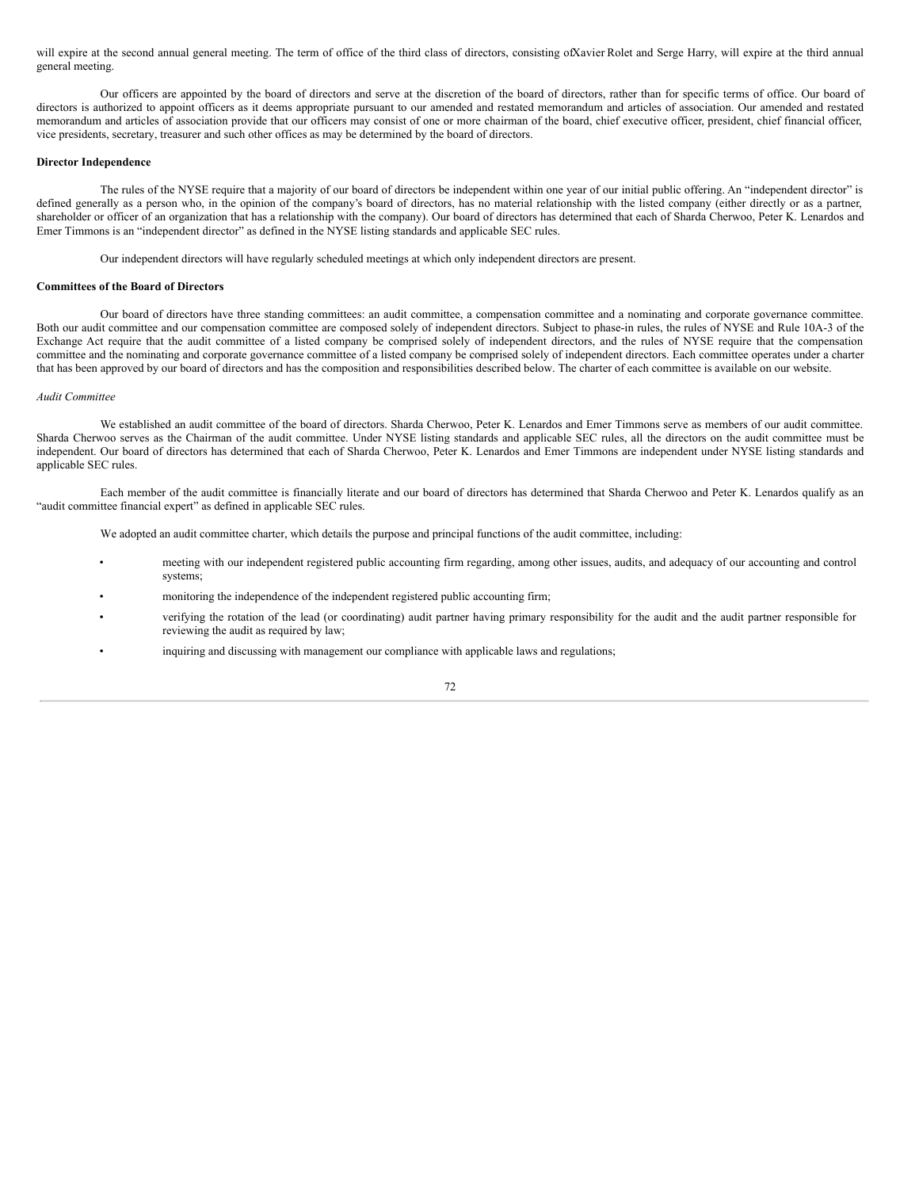will expire at the second annual general meeting. The term of office of the third class of directors, consisting ofXavier Rolet and Serge Harry, will expire at the third annual general meeting.

Our officers are appointed by the board of directors and serve at the discretion of the board of directors, rather than for specific terms of office. Our board of directors is authorized to appoint officers as it deems appropriate pursuant to our amended and restated memorandum and articles of association. Our amended and restated memorandum and articles of association provide that our officers may consist of one or more chairman of the board, chief executive officer, president, chief financial officer, vice presidents, secretary, treasurer and such other offices as may be determined by the board of directors.

#### **Director Independence**

The rules of the NYSE require that a majority of our board of directors be independent within one year of our initial public offering. An "independent director" is defined generally as a person who, in the opinion of the company's board of directors, has no material relationship with the listed company (either directly or as a partner, shareholder or officer of an organization that has a relationship with the company). Our board of directors has determined that each of Sharda Cherwoo, Peter K. Lenardos and Emer Timmons is an "independent director" as defined in the NYSE listing standards and applicable SEC rules.

Our independent directors will have regularly scheduled meetings at which only independent directors are present.

## **Committees of the Board of Directors**

Our board of directors have three standing committees: an audit committee, a compensation committee and a nominating and corporate governance committee. Both our audit committee and our compensation committee are composed solely of independent directors. Subject to phase-in rules, the rules of NYSE and Rule 10A-3 of the Exchange Act require that the audit committee of a listed company be comprised solely of independent directors, and the rules of NYSE require that the compensation committee and the nominating and corporate governance committee of a listed company be comprised solely of independent directors. Each committee operates under a charter that has been approved by our board of directors and has the composition and responsibilities described below. The charter of each committee is available on our website.

## *Audit Committee*

We established an audit committee of the board of directors. Sharda Cherwoo, Peter K. Lenardos and Emer Timmons serve as members of our audit committee. Sharda Cherwoo serves as the Chairman of the audit committee. Under NYSE listing standards and applicable SEC rules, all the directors on the audit committee must be independent. Our board of directors has determined that each of Sharda Cherwoo, Peter K. Lenardos and Emer Timmons are independent under NYSE listing standards and applicable SEC rules.

Each member of the audit committee is financially literate and our board of directors has determined that Sharda Cherwoo and Peter K. Lenardos qualify as an "audit committee financial expert" as defined in applicable SEC rules.

We adopted an audit committee charter, which details the purpose and principal functions of the audit committee, including:

- meeting with our independent registered public accounting firm regarding, among other issues, audits, and adequacy of our accounting and control systems;
- monitoring the independence of the independent registered public accounting firm;
- verifying the rotation of the lead (or coordinating) audit partner having primary responsibility for the audit and the audit partner responsible for reviewing the audit as required by law;
- inquiring and discussing with management our compliance with applicable laws and regulations;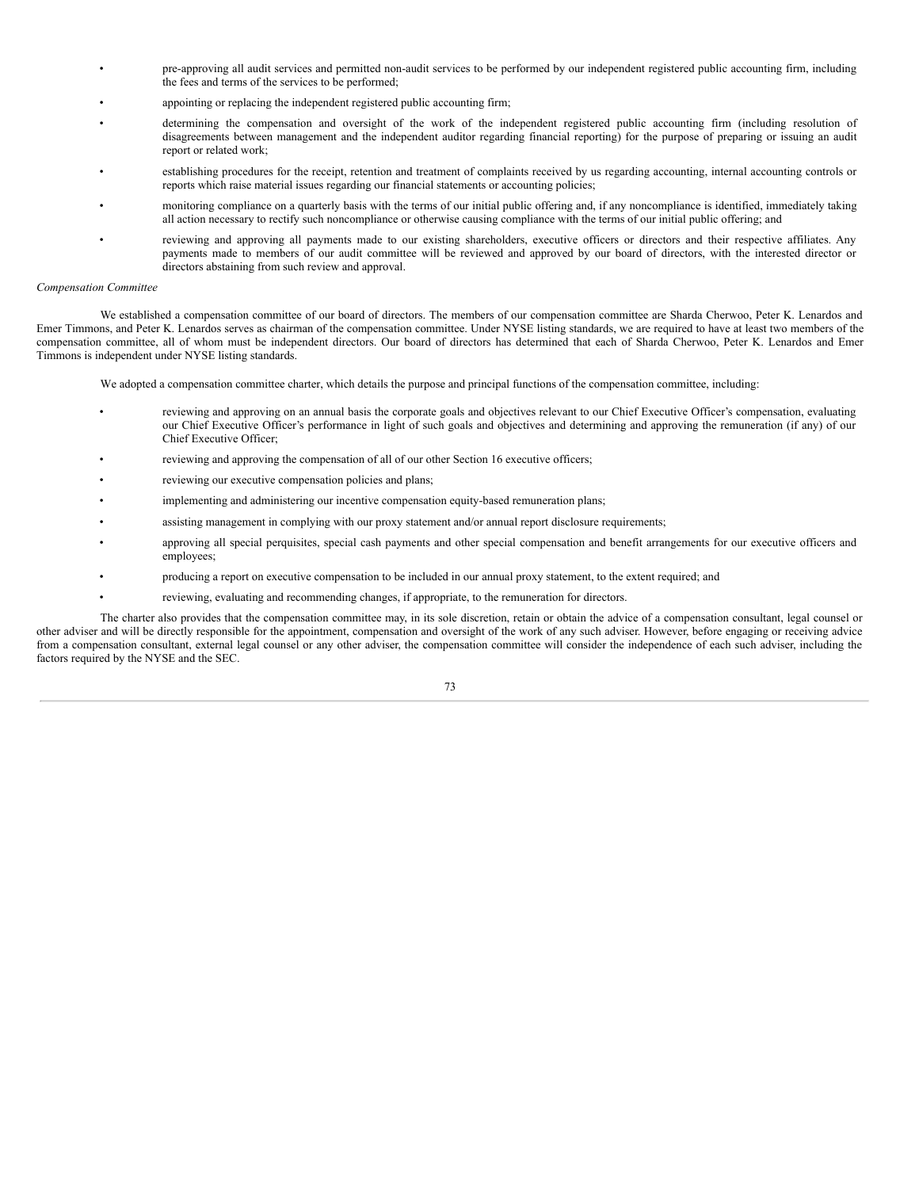- pre-approving all audit services and permitted non-audit services to be performed by our independent registered public accounting firm, including the fees and terms of the services to be performed;
- appointing or replacing the independent registered public accounting firm;
- determining the compensation and oversight of the work of the independent registered public accounting firm (including resolution of disagreements between management and the independent auditor regarding financial reporting) for the purpose of preparing or issuing an audit report or related work;
- establishing procedures for the receipt, retention and treatment of complaints received by us regarding accounting, internal accounting controls or reports which raise material issues regarding our financial statements or accounting policies;
- monitoring compliance on a quarterly basis with the terms of our initial public offering and, if any noncompliance is identified, immediately taking all action necessary to rectify such noncompliance or otherwise causing compliance with the terms of our initial public offering; and
- reviewing and approving all payments made to our existing shareholders, executive officers or directors and their respective affiliates. Any payments made to members of our audit committee will be reviewed and approved by our board of directors, with the interested director or directors abstaining from such review and approval.

#### *Compensation Committee*

We established a compensation committee of our board of directors. The members of our compensation committee are Sharda Cherwoo, Peter K. Lenardos and Emer Timmons, and Peter K. Lenardos serves as chairman of the compensation committee. Under NYSE listing standards, we are required to have at least two members of the compensation committee, all of whom must be independent directors. Our board of directors has determined that each of Sharda Cherwoo, Peter K. Lenardos and Emer Timmons is independent under NYSE listing standards.

We adopted a compensation committee charter, which details the purpose and principal functions of the compensation committee, including:

- reviewing and approving on an annual basis the corporate goals and objectives relevant to our Chief Executive Officer's compensation, evaluating our Chief Executive Officer's performance in light of such goals and objectives and determining and approving the remuneration (if any) of our Chief Executive Officer;
- reviewing and approving the compensation of all of our other Section 16 executive officers;
- reviewing our executive compensation policies and plans;
- implementing and administering our incentive compensation equity-based remuneration plans;
- assisting management in complying with our proxy statement and/or annual report disclosure requirements;
- approving all special perquisites, special cash payments and other special compensation and benefit arrangements for our executive officers and employees;
- producing a report on executive compensation to be included in our annual proxy statement, to the extent required; and
- reviewing, evaluating and recommending changes, if appropriate, to the remuneration for directors.

The charter also provides that the compensation committee may, in its sole discretion, retain or obtain the advice of a compensation consultant, legal counsel or other adviser and will be directly responsible for the appointment, compensation and oversight of the work of any such adviser. However, before engaging or receiving advice from a compensation consultant, external legal counsel or any other adviser, the compensation committee will consider the independence of each such adviser, including the factors required by the NYSE and the SEC.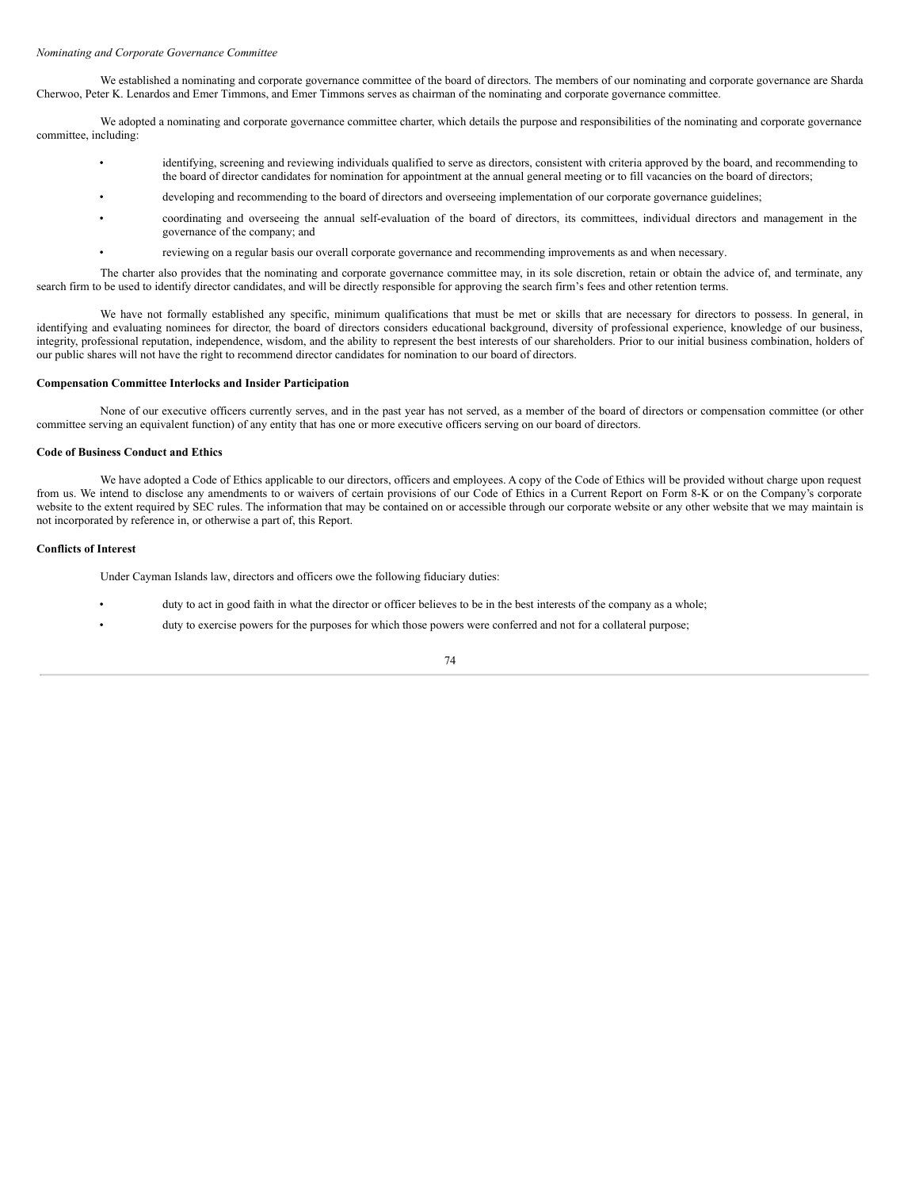#### *Nominating and Corporate Governance Committee*

We established a nominating and corporate governance committee of the board of directors. The members of our nominating and corporate governance are Sharda Cherwoo, Peter K. Lenardos and Emer Timmons, and Emer Timmons serves as chairman of the nominating and corporate governance committee.

We adopted a nominating and corporate governance committee charter, which details the purpose and responsibilities of the nominating and corporate governance committee, including:

- identifying, screening and reviewing individuals qualified to serve as directors, consistent with criteria approved by the board, and recommending to the board of director candidates for nomination for appointment at the annual general meeting or to fill vacancies on the board of directors;
- developing and recommending to the board of directors and overseeing implementation of our corporate governance guidelines;
- coordinating and overseeing the annual self-evaluation of the board of directors, its committees, individual directors and management in the governance of the company; and
	- reviewing on a regular basis our overall corporate governance and recommending improvements as and when necessary.

The charter also provides that the nominating and corporate governance committee may, in its sole discretion, retain or obtain the advice of, and terminate, any search firm to be used to identify director candidates, and will be directly responsible for approving the search firm's fees and other retention terms.

We have not formally established any specific, minimum qualifications that must be met or skills that are necessary for directors to possess. In general, in identifying and evaluating nominees for director, the board of directors considers educational background, diversity of professional experience, knowledge of our business, integrity, professional reputation, independence, wisdom, and the ability to represent the best interests of our shareholders. Prior to our initial business combination, holders of our public shares will not have the right to recommend director candidates for nomination to our board of directors.

#### **Compensation Committee Interlocks and Insider Participation**

None of our executive officers currently serves, and in the past year has not served, as a member of the board of directors or compensation committee (or other committee serving an equivalent function) of any entity that has one or more executive officers serving on our board of directors.

## **Code of Business Conduct and Ethics**

We have adopted a Code of Ethics applicable to our directors, officers and employees. A copy of the Code of Ethics will be provided without charge upon request from us. We intend to disclose any amendments to or waivers of certain provisions of our Code of Ethics in a Current Report on Form 8-K or on the Company's corporate website to the extent required by SEC rules. The information that may be contained on or accessible through our corporate website or any other website that we may maintain is not incorporated by reference in, or otherwise a part of, this Report.

## **Conflicts of Interest**

Under Cayman Islands law, directors and officers owe the following fiduciary duties:

- duty to act in good faith in what the director or officer believes to be in the best interests of the company as a whole;
- duty to exercise powers for the purposes for which those powers were conferred and not for a collateral purpose;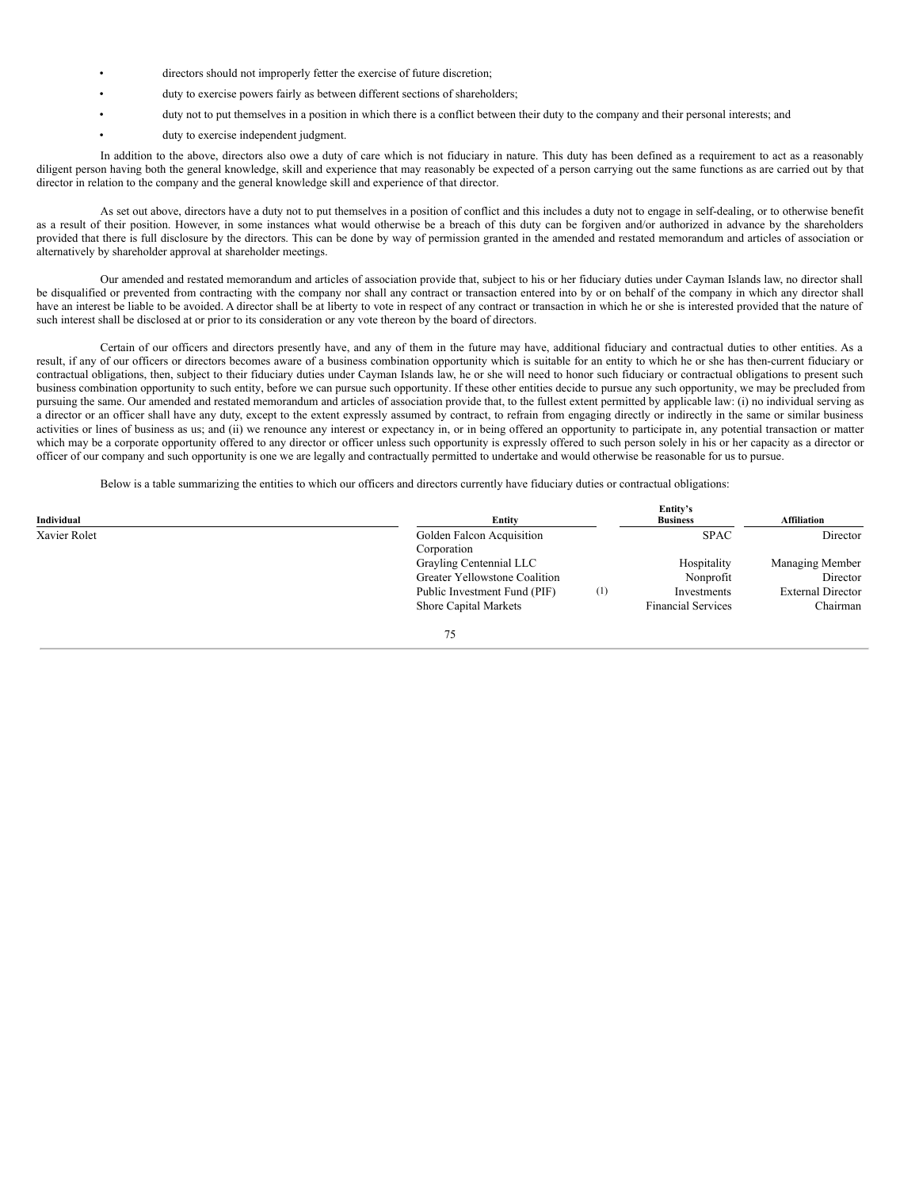- directors should not improperly fetter the exercise of future discretion;
- duty to exercise powers fairly as between different sections of shareholders;
- duty not to put themselves in a position in which there is a conflict between their duty to the company and their personal interests; and
- duty to exercise independent judgment.

In addition to the above, directors also owe a duty of care which is not fiduciary in nature. This duty has been defined as a requirement to act as a reasonably diligent person having both the general knowledge, skill and experience that may reasonably be expected of a person carrying out the same functions as are carried out by that director in relation to the company and the general knowledge skill and experience of that director.

As set out above, directors have a duty not to put themselves in a position of conflict and this includes a duty not to engage in self-dealing, or to otherwise benefit as a result of their position. However, in some instances what would otherwise be a breach of this duty can be forgiven and/or authorized in advance by the shareholders provided that there is full disclosure by the directors. This can be done by way of permission granted in the amended and restated memorandum and articles of association or alternatively by shareholder approval at shareholder meetings.

Our amended and restated memorandum and articles of association provide that, subject to his or her fiduciary duties under Cayman Islands law, no director shall be disqualified or prevented from contracting with the company nor shall any contract or transaction entered into by or on behalf of the company in which any director shall have an interest be liable to be avoided. A director shall be at liberty to vote in respect of any contract or transaction in which he or she is interested provided that the nature of such interest shall be disclosed at or prior to its consideration or any vote thereon by the board of directors.

Certain of our officers and directors presently have, and any of them in the future may have, additional fiduciary and contractual duties to other entities. As a result, if any of our officers or directors becomes aware of a business combination opportunity which is suitable for an entity to which he or she has then-current fiduciary or contractual obligations, then, subject to their fiduciary duties under Cayman Islands law, he or she will need to honor such fiduciary or contractual obligations to present such business combination opportunity to such entity, before we can pursue such opportunity. If these other entities decide to pursue any such opportunity, we may be precluded from pursuing the same. Our amended and restated memorandum and articles of association provide that, to the fullest extent permitted by applicable law: (i) no individual serving as a director or an officer shall have any duty, except to the extent expressly assumed by contract, to refrain from engaging directly or indirectly in the same or similar business activities or lines of business as us; and (ii) we renounce any interest or expectancy in, or in being offered an opportunity to participate in, any potential transaction or matter which may be a corporate opportunity offered to any director or officer unless such opportunity is expressly offered to such person solely in his or her capacity as a director or officer of our company and such opportunity is one we are legally and contractually permitted to undertake and would otherwise be reasonable for us to pursue.

Below is a table summarizing the entities to which our officers and directors currently have fiduciary duties or contractual obligations:

| Individual   | Entity                        |          | Entity's<br><b>Business</b> | <b>Affiliation</b>       |
|--------------|-------------------------------|----------|-----------------------------|--------------------------|
| Xavier Rolet | Golden Falcon Acquisition     |          | <b>SPAC</b>                 | Director                 |
|              | Corporation                   |          |                             |                          |
|              | Grayling Centennial LLC       |          | Hospitality                 | Managing Member          |
|              | Greater Yellowstone Coalition |          | Nonprofit                   | Director                 |
|              | Public Investment Fund (PIF)  | $^{(1)}$ | Investments                 | <b>External Director</b> |
|              | <b>Shore Capital Markets</b>  |          | <b>Financial Services</b>   | Chairman                 |
|              | 75                            |          |                             |                          |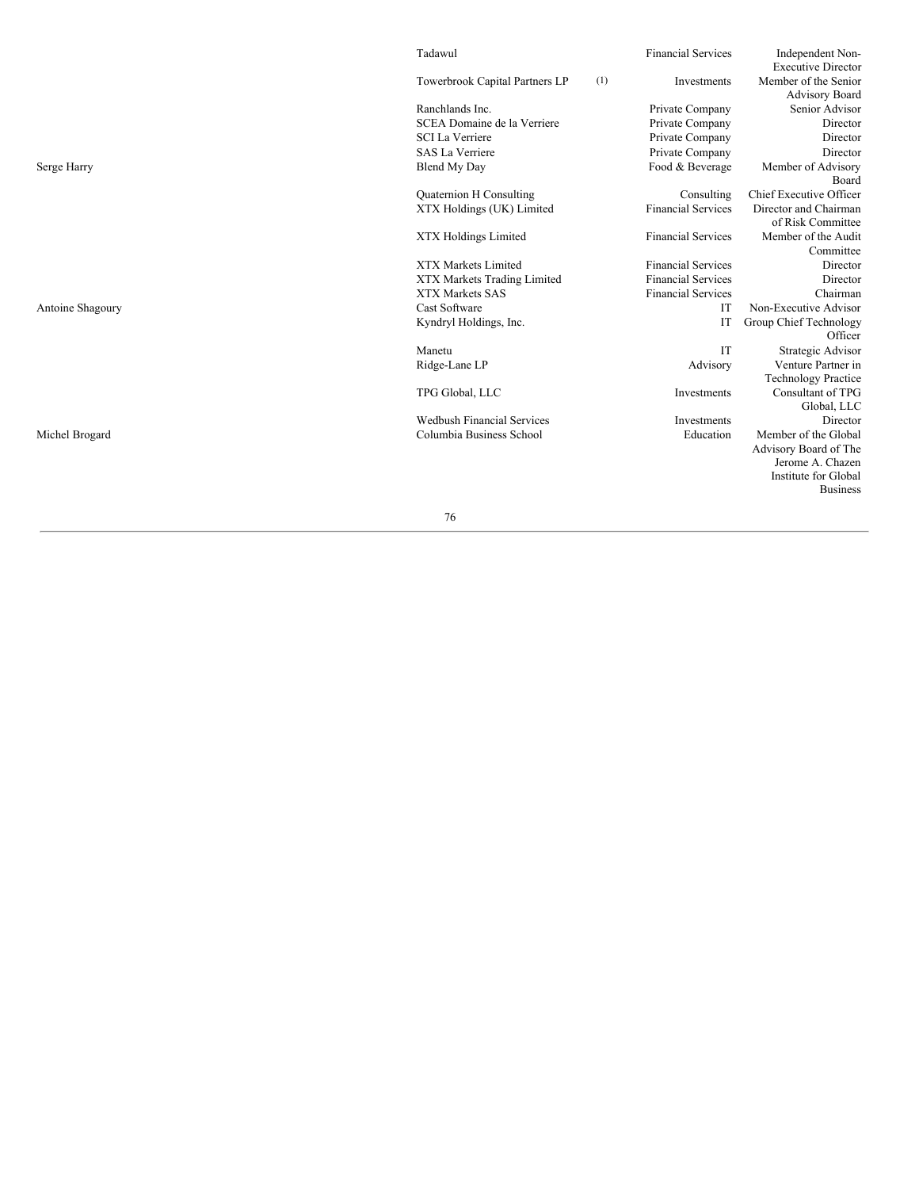| <b>Executive Director</b><br>(1)<br>Member of the Senior<br>Towerbrook Capital Partners LP<br>Investments<br><b>Advisory Board</b><br>Senior Advisor<br>Ranchlands Inc.<br>Private Company<br>SCEA Domaine de la Verriere<br>Director<br>Private Company<br><b>SCI La Verriere</b><br>Private Company<br>Director<br><b>SAS La Verriere</b><br>Director<br>Private Company<br><b>Blend My Day</b><br>Food & Beverage<br>Member of Advisory<br>Serge Harry<br>Board<br>Quaternion H Consulting<br>Chief Executive Officer<br>Consulting<br><b>Financial Services</b><br>Director and Chairman<br>XTX Holdings (UK) Limited<br>of Risk Committee<br>Member of the Audit<br>XTX Holdings Limited<br><b>Financial Services</b><br>Committee<br>XTX Markets Limited<br><b>Financial Services</b><br>Director<br><b>Financial Services</b><br>XTX Markets Trading Limited<br>Director<br><b>Financial Services</b><br>Chairman<br>XTX Markets SAS<br>Non-Executive Advisor<br><b>Cast Software</b><br>IT<br>Antoine Shagoury<br>Group Chief Technology<br>IT<br>Kyndryl Holdings, Inc.<br>Officer |
|---------------------------------------------------------------------------------------------------------------------------------------------------------------------------------------------------------------------------------------------------------------------------------------------------------------------------------------------------------------------------------------------------------------------------------------------------------------------------------------------------------------------------------------------------------------------------------------------------------------------------------------------------------------------------------------------------------------------------------------------------------------------------------------------------------------------------------------------------------------------------------------------------------------------------------------------------------------------------------------------------------------------------------------------------------------------------------------------|
|                                                                                                                                                                                                                                                                                                                                                                                                                                                                                                                                                                                                                                                                                                                                                                                                                                                                                                                                                                                                                                                                                             |
|                                                                                                                                                                                                                                                                                                                                                                                                                                                                                                                                                                                                                                                                                                                                                                                                                                                                                                                                                                                                                                                                                             |
|                                                                                                                                                                                                                                                                                                                                                                                                                                                                                                                                                                                                                                                                                                                                                                                                                                                                                                                                                                                                                                                                                             |
|                                                                                                                                                                                                                                                                                                                                                                                                                                                                                                                                                                                                                                                                                                                                                                                                                                                                                                                                                                                                                                                                                             |
|                                                                                                                                                                                                                                                                                                                                                                                                                                                                                                                                                                                                                                                                                                                                                                                                                                                                                                                                                                                                                                                                                             |
|                                                                                                                                                                                                                                                                                                                                                                                                                                                                                                                                                                                                                                                                                                                                                                                                                                                                                                                                                                                                                                                                                             |
|                                                                                                                                                                                                                                                                                                                                                                                                                                                                                                                                                                                                                                                                                                                                                                                                                                                                                                                                                                                                                                                                                             |
|                                                                                                                                                                                                                                                                                                                                                                                                                                                                                                                                                                                                                                                                                                                                                                                                                                                                                                                                                                                                                                                                                             |
|                                                                                                                                                                                                                                                                                                                                                                                                                                                                                                                                                                                                                                                                                                                                                                                                                                                                                                                                                                                                                                                                                             |
|                                                                                                                                                                                                                                                                                                                                                                                                                                                                                                                                                                                                                                                                                                                                                                                                                                                                                                                                                                                                                                                                                             |
|                                                                                                                                                                                                                                                                                                                                                                                                                                                                                                                                                                                                                                                                                                                                                                                                                                                                                                                                                                                                                                                                                             |
|                                                                                                                                                                                                                                                                                                                                                                                                                                                                                                                                                                                                                                                                                                                                                                                                                                                                                                                                                                                                                                                                                             |
|                                                                                                                                                                                                                                                                                                                                                                                                                                                                                                                                                                                                                                                                                                                                                                                                                                                                                                                                                                                                                                                                                             |
|                                                                                                                                                                                                                                                                                                                                                                                                                                                                                                                                                                                                                                                                                                                                                                                                                                                                                                                                                                                                                                                                                             |
|                                                                                                                                                                                                                                                                                                                                                                                                                                                                                                                                                                                                                                                                                                                                                                                                                                                                                                                                                                                                                                                                                             |
|                                                                                                                                                                                                                                                                                                                                                                                                                                                                                                                                                                                                                                                                                                                                                                                                                                                                                                                                                                                                                                                                                             |
|                                                                                                                                                                                                                                                                                                                                                                                                                                                                                                                                                                                                                                                                                                                                                                                                                                                                                                                                                                                                                                                                                             |
|                                                                                                                                                                                                                                                                                                                                                                                                                                                                                                                                                                                                                                                                                                                                                                                                                                                                                                                                                                                                                                                                                             |
|                                                                                                                                                                                                                                                                                                                                                                                                                                                                                                                                                                                                                                                                                                                                                                                                                                                                                                                                                                                                                                                                                             |
|                                                                                                                                                                                                                                                                                                                                                                                                                                                                                                                                                                                                                                                                                                                                                                                                                                                                                                                                                                                                                                                                                             |
| IT<br>Strategic Advisor<br>Manetu                                                                                                                                                                                                                                                                                                                                                                                                                                                                                                                                                                                                                                                                                                                                                                                                                                                                                                                                                                                                                                                           |
| Venture Partner in<br>Ridge-Lane LP<br>Advisory                                                                                                                                                                                                                                                                                                                                                                                                                                                                                                                                                                                                                                                                                                                                                                                                                                                                                                                                                                                                                                             |
| <b>Technology Practice</b>                                                                                                                                                                                                                                                                                                                                                                                                                                                                                                                                                                                                                                                                                                                                                                                                                                                                                                                                                                                                                                                                  |
| <b>Consultant of TPG</b><br>TPG Global, LLC<br>Investments                                                                                                                                                                                                                                                                                                                                                                                                                                                                                                                                                                                                                                                                                                                                                                                                                                                                                                                                                                                                                                  |
| Global, LLC                                                                                                                                                                                                                                                                                                                                                                                                                                                                                                                                                                                                                                                                                                                                                                                                                                                                                                                                                                                                                                                                                 |
| <b>Wedbush Financial Services</b><br>Director<br>Investments                                                                                                                                                                                                                                                                                                                                                                                                                                                                                                                                                                                                                                                                                                                                                                                                                                                                                                                                                                                                                                |
| Columbia Business School<br>Member of the Global<br>Michel Brogard<br>Education                                                                                                                                                                                                                                                                                                                                                                                                                                                                                                                                                                                                                                                                                                                                                                                                                                                                                                                                                                                                             |
| Advisory Board of The                                                                                                                                                                                                                                                                                                                                                                                                                                                                                                                                                                                                                                                                                                                                                                                                                                                                                                                                                                                                                                                                       |
| Jerome A. Chazen                                                                                                                                                                                                                                                                                                                                                                                                                                                                                                                                                                                                                                                                                                                                                                                                                                                                                                                                                                                                                                                                            |
| Institute for Global                                                                                                                                                                                                                                                                                                                                                                                                                                                                                                                                                                                                                                                                                                                                                                                                                                                                                                                                                                                                                                                                        |
| <b>Business</b>                                                                                                                                                                                                                                                                                                                                                                                                                                                                                                                                                                                                                                                                                                                                                                                                                                                                                                                                                                                                                                                                             |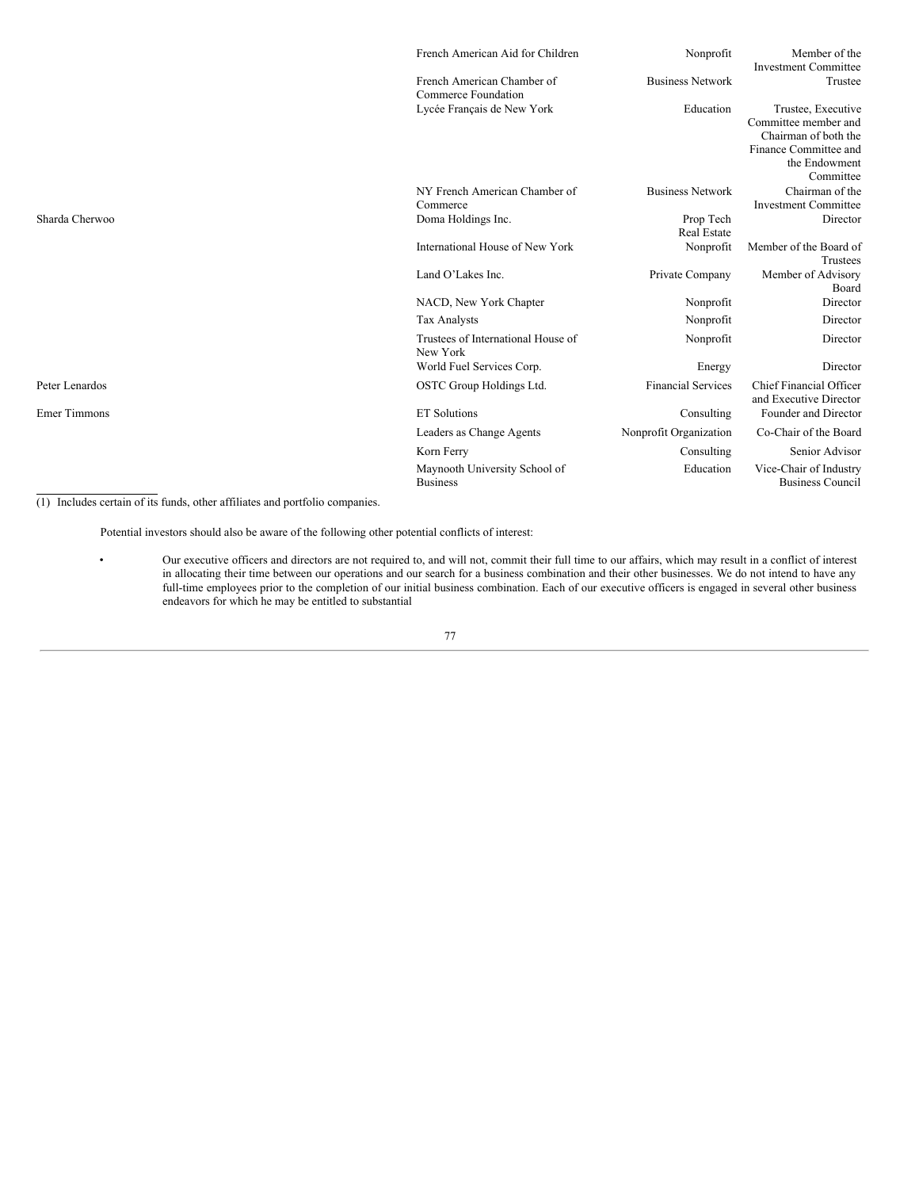|                                                           | French American Aid for Children                  | Nonprofit                       | Member of the<br><b>Investment Committee</b>                                                                              |
|-----------------------------------------------------------|---------------------------------------------------|---------------------------------|---------------------------------------------------------------------------------------------------------------------------|
|                                                           | French American Chamber of<br>Commerce Foundation | <b>Business Network</b>         | Trustee                                                                                                                   |
|                                                           | Lycée Français de New York                        | Education                       | Trustee, Executive<br>Committee member and<br>Chairman of both the<br>Finance Committee and<br>the Endowment<br>Committee |
|                                                           | NY French American Chamber of<br>Commerce         | <b>Business Network</b>         | Chairman of the<br><b>Investment Committee</b>                                                                            |
| Sharda Cherwoo                                            | Doma Holdings Inc.                                | Prop Tech<br><b>Real Estate</b> | Director                                                                                                                  |
|                                                           | International House of New York                   | Nonprofit                       | Member of the Board of<br>Trustees                                                                                        |
|                                                           | Land O'Lakes Inc.                                 | Private Company                 | Member of Advisory<br>Board                                                                                               |
|                                                           | NACD, New York Chapter                            | Nonprofit                       | Director                                                                                                                  |
|                                                           | <b>Tax Analysts</b>                               | Nonprofit                       | Director                                                                                                                  |
|                                                           | Trustees of International House of<br>New York    | Nonprofit                       | Director                                                                                                                  |
|                                                           | World Fuel Services Corp.                         | Energy                          | Director                                                                                                                  |
| Peter Lenardos                                            | OSTC Group Holdings Ltd.                          | <b>Financial Services</b>       | Chief Financial Officer<br>and Executive Director                                                                         |
| <b>Emer Timmons</b>                                       | <b>ET Solutions</b>                               | Consulting                      | Founder and Director                                                                                                      |
|                                                           | Leaders as Change Agents                          | Nonprofit Organization          | Co-Chair of the Board                                                                                                     |
|                                                           | Korn Ferry                                        | Consulting                      | Senior Advisor                                                                                                            |
| $\mathbf{a}$<br><b>CONTRACTOR</b><br>$\sim$ $\sim$ $\sim$ | Maynooth University School of<br><b>Business</b>  | Education                       | Vice-Chair of Industry<br><b>Business Council</b>                                                                         |

(1) Includes certain of its funds, other affiliates and portfolio companies.

Potential investors should also be aware of the following other potential conflicts of interest:

• Our executive officers and directors are not required to, and will not, commit their full time to our affairs, which may result in a conflict of interest in allocating their time between our operations and our search for a business combination and their other businesses. We do not intend to have any full-time employees prior to the completion of our initial business combination. Each of our executive officers is engaged in several other business endeavors for which he may be entitled to substantial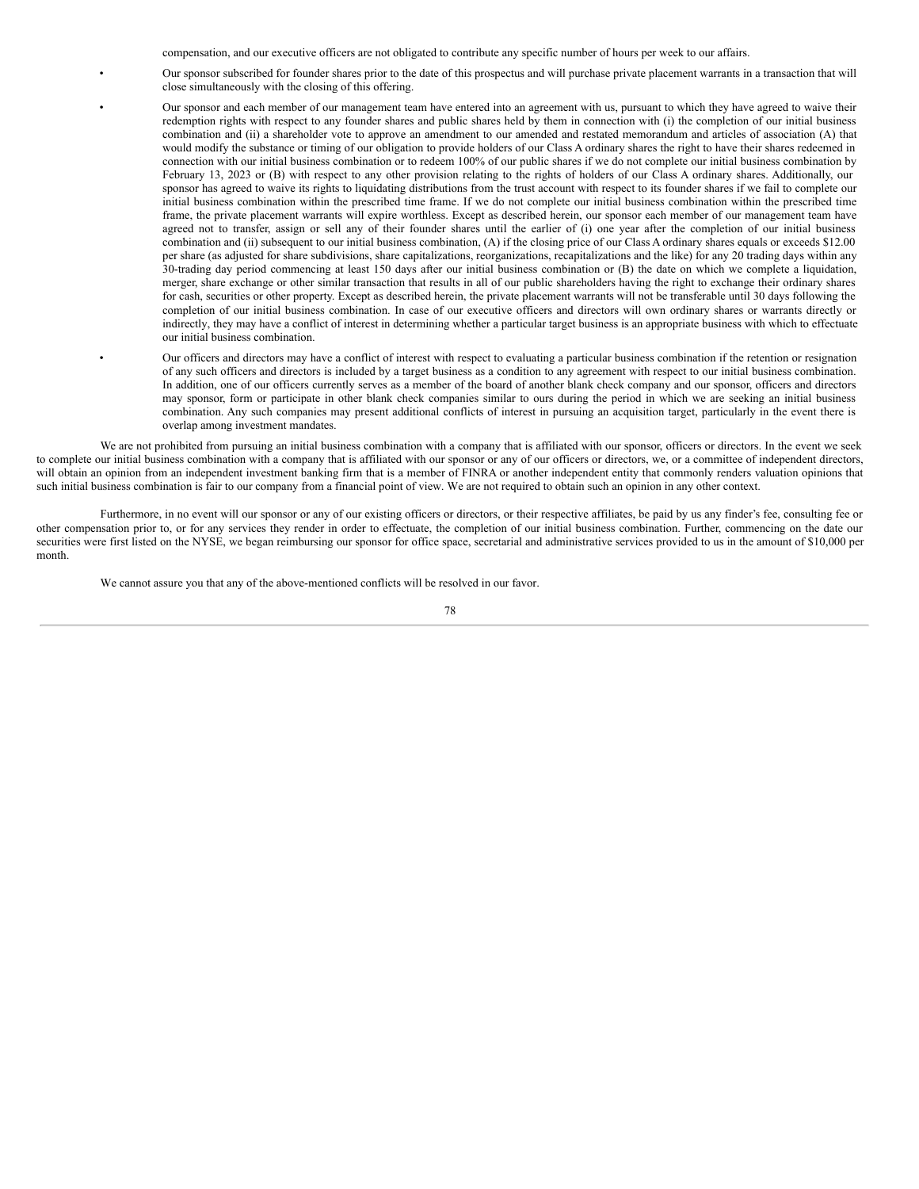compensation, and our executive officers are not obligated to contribute any specific number of hours per week to our affairs.

- Our sponsor subscribed for founder shares prior to the date of this prospectus and will purchase private placement warrants in a transaction that will close simultaneously with the closing of this offering.
- Our sponsor and each member of our management team have entered into an agreement with us, pursuant to which they have agreed to waive their redemption rights with respect to any founder shares and public shares held by them in connection with (i) the completion of our initial business combination and (ii) a shareholder vote to approve an amendment to our amended and restated memorandum and articles of association (A) that would modify the substance or timing of our obligation to provide holders of our Class A ordinary shares the right to have their shares redeemed in connection with our initial business combination or to redeem 100% of our public shares if we do not complete our initial business combination by February 13, 2023 or (B) with respect to any other provision relating to the rights of holders of our Class A ordinary shares. Additionally, our sponsor has agreed to waive its rights to liquidating distributions from the trust account with respect to its founder shares if we fail to complete our initial business combination within the prescribed time frame. If we do not complete our initial business combination within the prescribed time frame, the private placement warrants will expire worthless. Except as described herein, our sponsor each member of our management team have agreed not to transfer, assign or sell any of their founder shares until the earlier of (i) one year after the completion of our initial business combination and (ii) subsequent to our initial business combination, (A) if the closing price of our Class A ordinary shares equals or exceeds \$12.00 per share (as adjusted for share subdivisions, share capitalizations, reorganizations, recapitalizations and the like) for any 20 trading days within any 30-trading day period commencing at least 150 days after our initial business combination or (B) the date on which we complete a liquidation, merger, share exchange or other similar transaction that results in all of our public shareholders having the right to exchange their ordinary shares for cash, securities or other property. Except as described herein, the private placement warrants will not be transferable until 30 days following the completion of our initial business combination. In case of our executive officers and directors will own ordinary shares or warrants directly or indirectly, they may have a conflict of interest in determining whether a particular target business is an appropriate business with which to effectuate our initial business combination.
	- Our officers and directors may have a conflict of interest with respect to evaluating a particular business combination if the retention or resignation of any such officers and directors is included by a target business as a condition to any agreement with respect to our initial business combination. In addition, one of our officers currently serves as a member of the board of another blank check company and our sponsor, officers and directors may sponsor, form or participate in other blank check companies similar to ours during the period in which we are seeking an initial business combination. Any such companies may present additional conflicts of interest in pursuing an acquisition target, particularly in the event there is overlap among investment mandates.

We are not prohibited from pursuing an initial business combination with a company that is affiliated with our sponsor, officers or directors. In the event we seek to complete our initial business combination with a company that is affiliated with our sponsor or any of our officers or directors, we, or a committee of independent directors, will obtain an opinion from an independent investment banking firm that is a member of FINRA or another independent entity that commonly renders valuation opinions that such initial business combination is fair to our company from a financial point of view. We are not required to obtain such an opinion in any other context.

Furthermore, in no event will our sponsor or any of our existing officers or directors, or their respective affiliates, be paid by us any finder's fee, consulting fee or other compensation prior to, or for any services they render in order to effectuate, the completion of our initial business combination. Further, commencing on the date our securities were first listed on the NYSE, we began reimbursing our sponsor for office space, secretarial and administrative services provided to us in the amount of \$10,000 per month.

We cannot assure you that any of the above-mentioned conflicts will be resolved in our favor.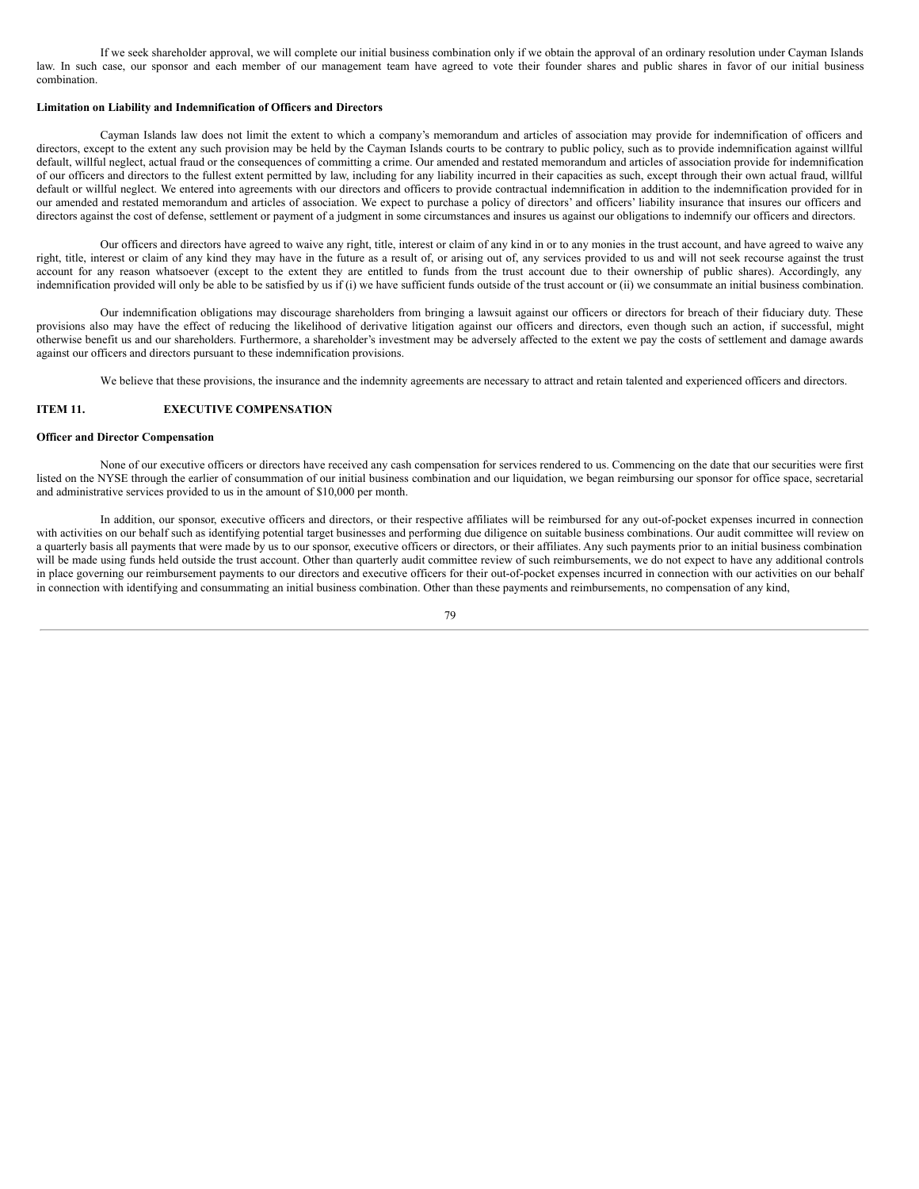If we seek shareholder approval, we will complete our initial business combination only if we obtain the approval of an ordinary resolution under Cayman Islands law. In such case, our sponsor and each member of our management team have agreed to vote their founder shares and public shares in favor of our initial business combination.

#### **Limitation on Liability and Indemnification of Officers and Directors**

Cayman Islands law does not limit the extent to which a company's memorandum and articles of association may provide for indemnification of officers and directors, except to the extent any such provision may be held by the Cayman Islands courts to be contrary to public policy, such as to provide indemnification against willful default, willful neglect, actual fraud or the consequences of committing a crime. Our amended and restated memorandum and articles of association provide for indemnification of our officers and directors to the fullest extent permitted by law, including for any liability incurred in their capacities as such, except through their own actual fraud, willful default or willful neglect. We entered into agreements with our directors and officers to provide contractual indemnification in addition to the indemnification provided for in our amended and restated memorandum and articles of association. We expect to purchase a policy of directors' and officers' liability insurance that insures our officers and directors against the cost of defense, settlement or payment of a judgment in some circumstances and insures us against our obligations to indemnify our officers and directors.

Our officers and directors have agreed to waive any right, title, interest or claim of any kind in or to any monies in the trust account, and have agreed to waive any right, title, interest or claim of any kind they may have in the future as a result of, or arising out of, any services provided to us and will not seek recourse against the trust account for any reason whatsoever (except to the extent they are entitled to funds from the trust account due to their ownership of public shares). Accordingly, any indemnification provided will only be able to be satisfied by us if (i) we have sufficient funds outside of the trust account or (ii) we consummate an initial business combination.

Our indemnification obligations may discourage shareholders from bringing a lawsuit against our officers or directors for breach of their fiduciary duty. These provisions also may have the effect of reducing the likelihood of derivative litigation against our officers and directors, even though such an action, if successful, might otherwise benefit us and our shareholders. Furthermore, a shareholder's investment may be adversely affected to the extent we pay the costs of settlement and damage awards against our officers and directors pursuant to these indemnification provisions.

We believe that these provisions, the insurance and the indemnity agreements are necessary to attract and retain talented and experienced officers and directors.

#### **ITEM 11. EXECUTIVE COMPENSATION**

#### **Officer and Director Compensation**

None of our executive officers or directors have received any cash compensation for services rendered to us. Commencing on the date that our securities were first listed on the NYSE through the earlier of consummation of our initial business combination and our liquidation, we began reimbursing our sponsor for office space, secretarial and administrative services provided to us in the amount of \$10,000 per month.

In addition, our sponsor, executive officers and directors, or their respective affiliates will be reimbursed for any out-of-pocket expenses incurred in connection with activities on our behalf such as identifying potential target businesses and performing due diligence on suitable business combinations. Our audit committee will review on a quarterly basis all payments that were made by us to our sponsor, executive officers or directors, or their affiliates. Any such payments prior to an initial business combination will be made using funds held outside the trust account. Other than quarterly audit committee review of such reimbursements, we do not expect to have any additional controls in place governing our reimbursement payments to our directors and executive officers for their out-of-pocket expenses incurred in connection with our activities on our behalf in connection with identifying and consummating an initial business combination. Other than these payments and reimbursements, no compensation of any kind,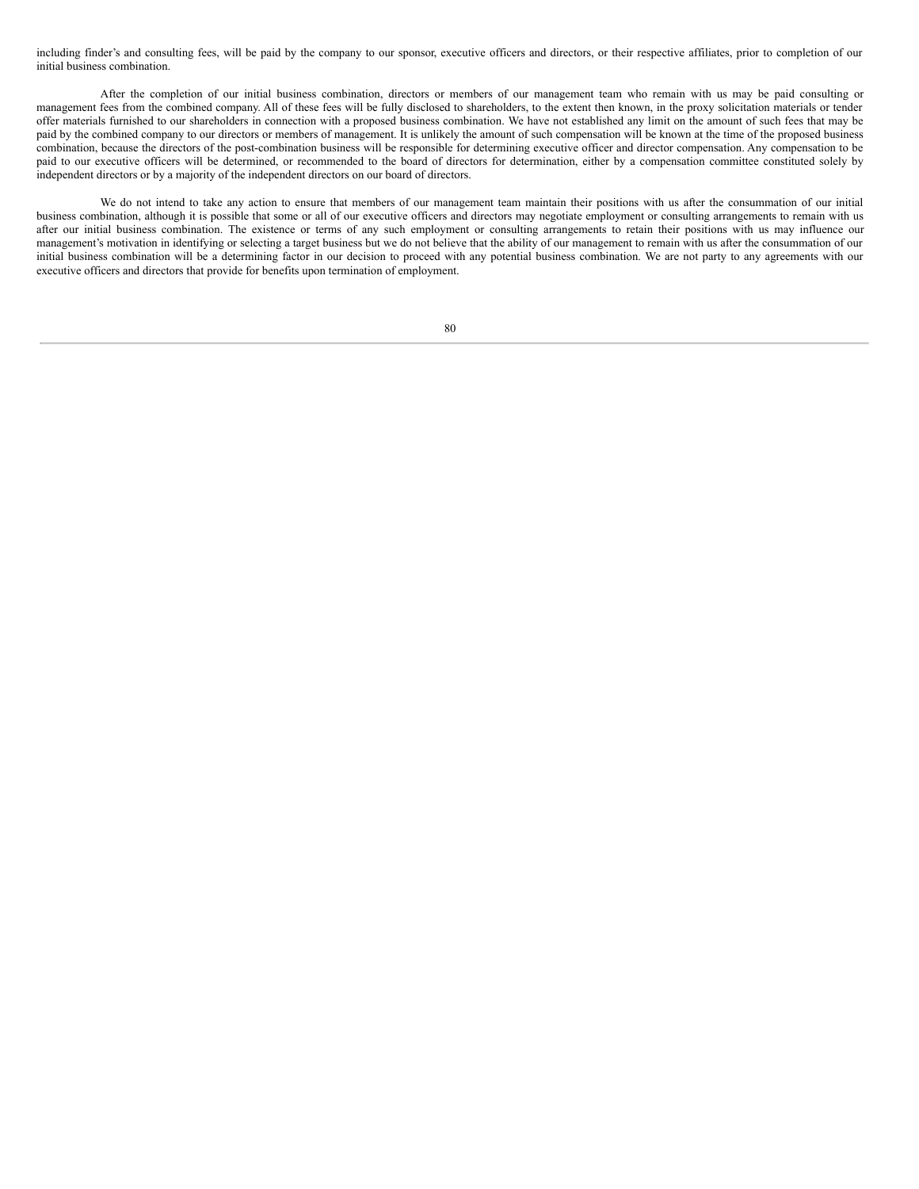including finder's and consulting fees, will be paid by the company to our sponsor, executive officers and directors, or their respective affiliates, prior to completion of our initial business combination.

After the completion of our initial business combination, directors or members of our management team who remain with us may be paid consulting or management fees from the combined company. All of these fees will be fully disclosed to shareholders, to the extent then known, in the proxy solicitation materials or tender offer materials furnished to our shareholders in connection with a proposed business combination. We have not established any limit on the amount of such fees that may be paid by the combined company to our directors or members of management. It is unlikely the amount of such compensation will be known at the time of the proposed business combination, because the directors of the post-combination business will be responsible for determining executive officer and director compensation. Any compensation to be paid to our executive officers will be determined, or recommended to the board of directors for determination, either by a compensation committee constituted solely by independent directors or by a majority of the independent directors on our board of directors.

We do not intend to take any action to ensure that members of our management team maintain their positions with us after the consummation of our initial business combination, although it is possible that some or all of our executive officers and directors may negotiate employment or consulting arrangements to remain with us after our initial business combination. The existence or terms of any such employment or consulting arrangements to retain their positions with us may influence our management's motivation in identifying or selecting a target business but we do not believe that the ability of our management to remain with us after the consummation of our initial business combination will be a determining factor in our decision to proceed with any potential business combination. We are not party to any agreements with our executive officers and directors that provide for benefits upon termination of employment.

|             | I |    |
|-------------|---|----|
| I<br>v<br>ï |   | ۰. |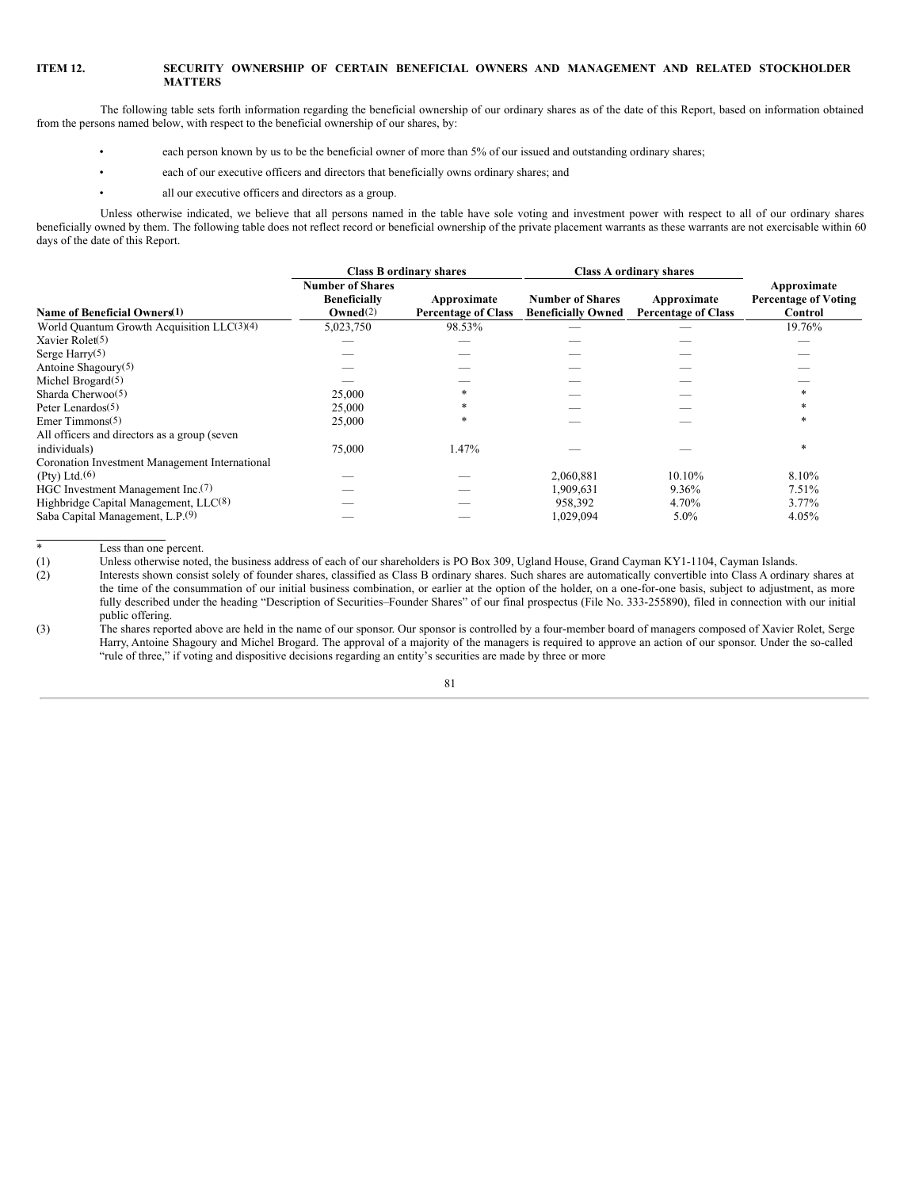# **ITEM 12. SECURITY OWNERSHIP OF CERTAIN BENEFICIAL OWNERS AND MANAGEMENT AND RELATED STOCKHOLDER MATTERS**

The following table sets forth information regarding the beneficial ownership of our ordinary shares as of the date of this Report, based on information obtained from the persons named below, with respect to the beneficial ownership of our shares, by:

- each person known by us to be the beneficial owner of more than 5% of our issued and outstanding ordinary shares;
- each of our executive officers and directors that beneficially owns ordinary shares; and
- all our executive officers and directors as a group.

Unless otherwise indicated, we believe that all persons named in the table have sole voting and investment power with respect to all of our ordinary shares beneficially owned by them. The following table does not reflect record or beneficial ownership of the private placement warrants as these warrants are not exercisable within 60 days of the date of this Report.

|                                                |                                                            | <b>Class B ordinary shares</b>            | <b>Class A ordinary shares</b>                       |                                           |                                                       |
|------------------------------------------------|------------------------------------------------------------|-------------------------------------------|------------------------------------------------------|-------------------------------------------|-------------------------------------------------------|
| Name of Beneficial Owners(1)                   | <b>Number of Shares</b><br><b>Beneficially</b><br>Owned(2) | Approximate<br><b>Percentage of Class</b> | <b>Number of Shares</b><br><b>Beneficially Owned</b> | Approximate<br><b>Percentage of Class</b> | Approximate<br><b>Percentage of Voting</b><br>Control |
| World Quantum Growth Acquisition LLC(3)(4)     | 5,023,750                                                  | 98.53%                                    |                                                      |                                           | 19.76%                                                |
| Xavier Rolet <sup>(5)</sup>                    |                                                            |                                           |                                                      |                                           |                                                       |
| Serge Harry $(5)$                              |                                                            |                                           |                                                      |                                           |                                                       |
| Antoine Shagoury $(5)$                         |                                                            |                                           |                                                      |                                           |                                                       |
| Michel Brogard $(5)$                           |                                                            |                                           |                                                      |                                           |                                                       |
| Sharda Cherwoo <sup>(5)</sup>                  | 25,000                                                     |                                           |                                                      |                                           |                                                       |
| Peter Lenardos(5)                              | 25,000                                                     |                                           |                                                      |                                           |                                                       |
| Emer Timmons $(5)$                             | 25,000                                                     | *                                         |                                                      |                                           |                                                       |
| All officers and directors as a group (seven   |                                                            |                                           |                                                      |                                           |                                                       |
| individuals)                                   | 75,000                                                     | 1.47%                                     |                                                      |                                           | $\ast$                                                |
| Coronation Investment Management International |                                                            |                                           |                                                      |                                           |                                                       |
| $($ Pty $)$ Ltd $(6)$                          |                                                            |                                           | 2,060,881                                            | 10.10%                                    | 8.10%                                                 |
| HGC Investment Management Inc. <sup>(7)</sup>  |                                                            |                                           | 1,909,631                                            | 9.36%                                     | 7.51%                                                 |
| Highbridge Capital Management, LLC(8)          |                                                            |                                           | 958,392                                              | 4.70%                                     | 3.77%                                                 |
| Saba Capital Management, L.P.(9)               |                                                            |                                           | 1,029,094                                            | $5.0\%$                                   | 4.05%                                                 |

\* Less than one percent.<br>(1) Unless otherwise noted

(1) Unless otherwise noted, the business address of each of our shareholders is PO Box 309, Ugland House, Grand Cayman KY1-1104, Cayman Islands.<br>(2) Interests shown consist solely of founder shares, classified as Class B o

Interests shown consist solely of founder shares, classified as Class B ordinary shares. Such shares are automatically convertible into Class A ordinary shares at the time of the consummation of our initial business combination, or earlier at the option of the holder, on a one-for-one basis, subject to adjustment, as more fully described under the heading "Description of Securities-Founder Shares" of our final prospectus (File No. 333-255890), filed in connection with our initial public offering.

(3) The shares reported above are held in the name of our sponsor. Our sponsor is controlled by a four-member board of managers composed of Xavier Rolet, Serge Harry, Antoine Shagoury and Michel Brogard. The approval of a majority of the managers is required to approve an action of our sponsor. Under the so-called "rule of three," if voting and dispositive decisions regarding an entity's securities are made by three or more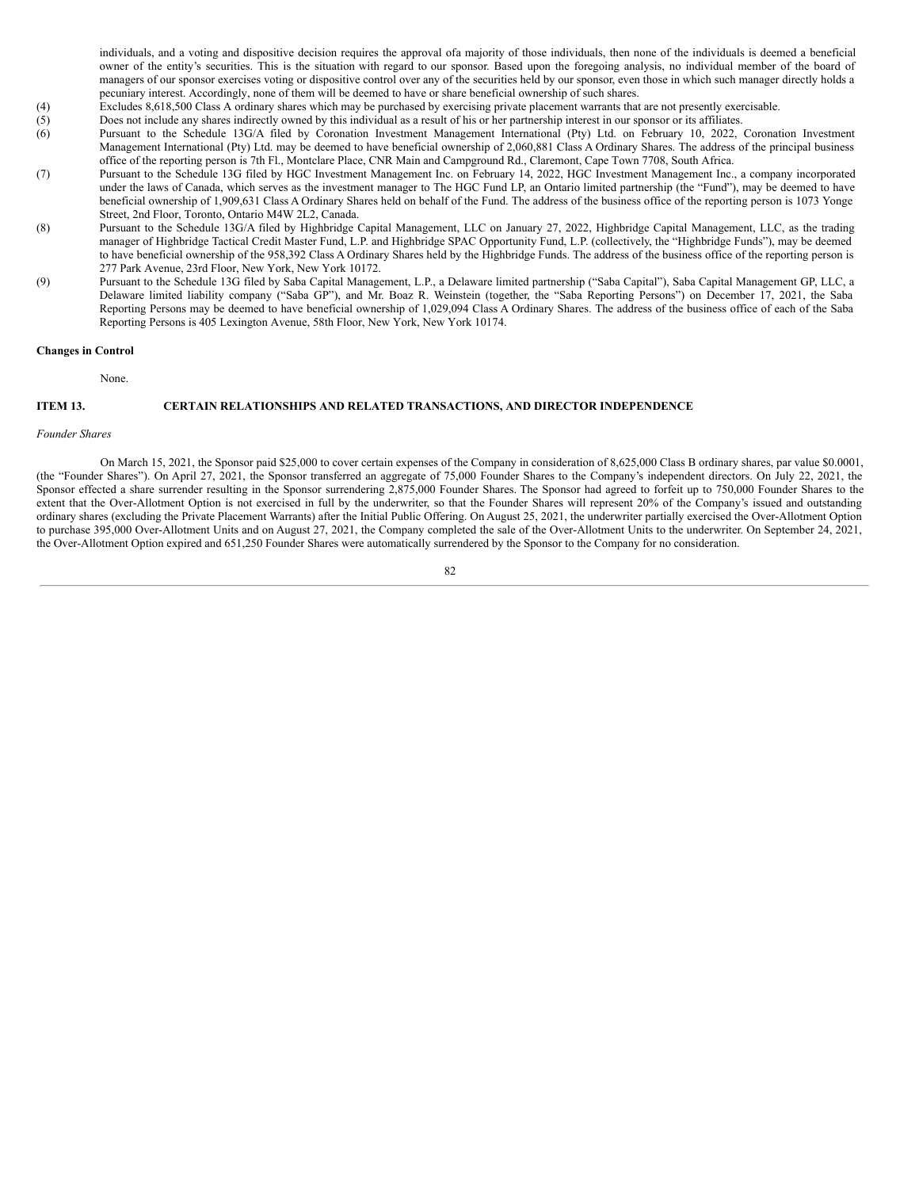individuals, and a voting and dispositive decision requires the approval ofa majority of those individuals, then none of the individuals is deemed a beneficial owner of the entity's securities. This is the situation with regard to our sponsor. Based upon the foregoing analysis, no individual member of the board of managers of our sponsor exercises voting or dispositive control over any of the securities held by our sponsor, even those in which such manager directly holds a pecuniary interest. Accordingly, none of them will be deemed to have or share beneficial ownership of such shares.

- (4) Excludes 8,618,500 Class A ordinary shares which may be purchased by exercising private placement warrants that are not presently exercisable.
- (5) Does not include any shares indirectly owned by this individual as a result of his or her partnership interest in our sponsor or its affiliates.
- (6) Pursuant to the Schedule 13G/A filed by Coronation Investment Management International (Pty) Ltd. on February 10, 2022, Coronation Investment Management International (Pty) Ltd. may be deemed to have beneficial ownership of 2,060,881 Class A Ordinary Shares. The address of the principal business office of the reporting person is 7th Fl., Montclare Place, CNR Main and Campground Rd., Claremont, Cape Town 7708, South Africa.
- (7) Pursuant to the Schedule 13G filed by HGC Investment Management Inc. on February 14, 2022, HGC Investment Management Inc., a company incorporated under the laws of Canada, which serves as the investment manager to The HGC Fund LP, an Ontario limited partnership (the "Fund"), may be deemed to have beneficial ownership of 1,909,631 Class A Ordinary Shares held on behalf of the Fund. The address of the business office of the reporting person is 1073 Yonge Street, 2nd Floor, Toronto, Ontario M4W 2L2, Canada.
- (8) Pursuant to the Schedule 13G/A filed by Highbridge Capital Management, LLC on January 27, 2022, Highbridge Capital Management, LLC, as the trading manager of Highbridge Tactical Credit Master Fund, L.P. and Highbridge SPAC Opportunity Fund, L.P. (collectively, the "Highbridge Funds"), may be deemed to have beneficial ownership of the 958,392 Class A Ordinary Shares held by the Highbridge Funds. The address of the business office of the reporting person is 277 Park Avenue, 23rd Floor, New York, New York 10172.
- (9) Pursuant to the Schedule 13G filed by Saba Capital Management, L.P., a Delaware limited partnership ("Saba Capital"), Saba Capital Management GP, LLC, a Delaware limited liability company ("Saba GP"), and Mr. Boaz R. Weinstein (together, the "Saba Reporting Persons") on December 17, 2021, the Saba Reporting Persons may be deemed to have beneficial ownership of 1,029,094 Class A Ordinary Shares. The address of the business office of each of the Saba Reporting Persons is 405 Lexington Avenue, 58th Floor, New York, New York 10174.

#### **Changes in Control**

None.

# **ITEM 13. CERTAIN RELATIONSHIPS AND RELATED TRANSACTIONS, AND DIRECTOR INDEPENDENCE**

#### *Founder Shares*

On March 15, 2021, the Sponsor paid \$25,000 to cover certain expenses of the Company in consideration of 8,625,000 Class B ordinary shares, par value \$0.0001, (the "Founder Shares"). On April 27, 2021, the Sponsor transferred an aggregate of 75,000 Founder Shares to the Company's independent directors. On July 22, 2021, the Sponsor effected a share surrender resulting in the Sponsor surrendering 2,875,000 Founder Shares. The Sponsor had agreed to forfeit up to 750,000 Founder Shares to the extent that the Over-Allotment Option is not exercised in full by the underwriter, so that the Founder Shares will represent 20% of the Company's issued and outstanding ordinary shares (excluding the Private Placement Warrants) after the Initial Public Offering. On August 25, 2021, the underwriter partially exercised the Over-Allotment Option to purchase 395,000 Over-Allotment Units and on August 27, 2021, the Company completed the sale of the Over-Allotment Units to the underwriter. On September 24, 2021, the Over-Allotment Option expired and 651,250 Founder Shares were automatically surrendered by the Sponsor to the Company for no consideration.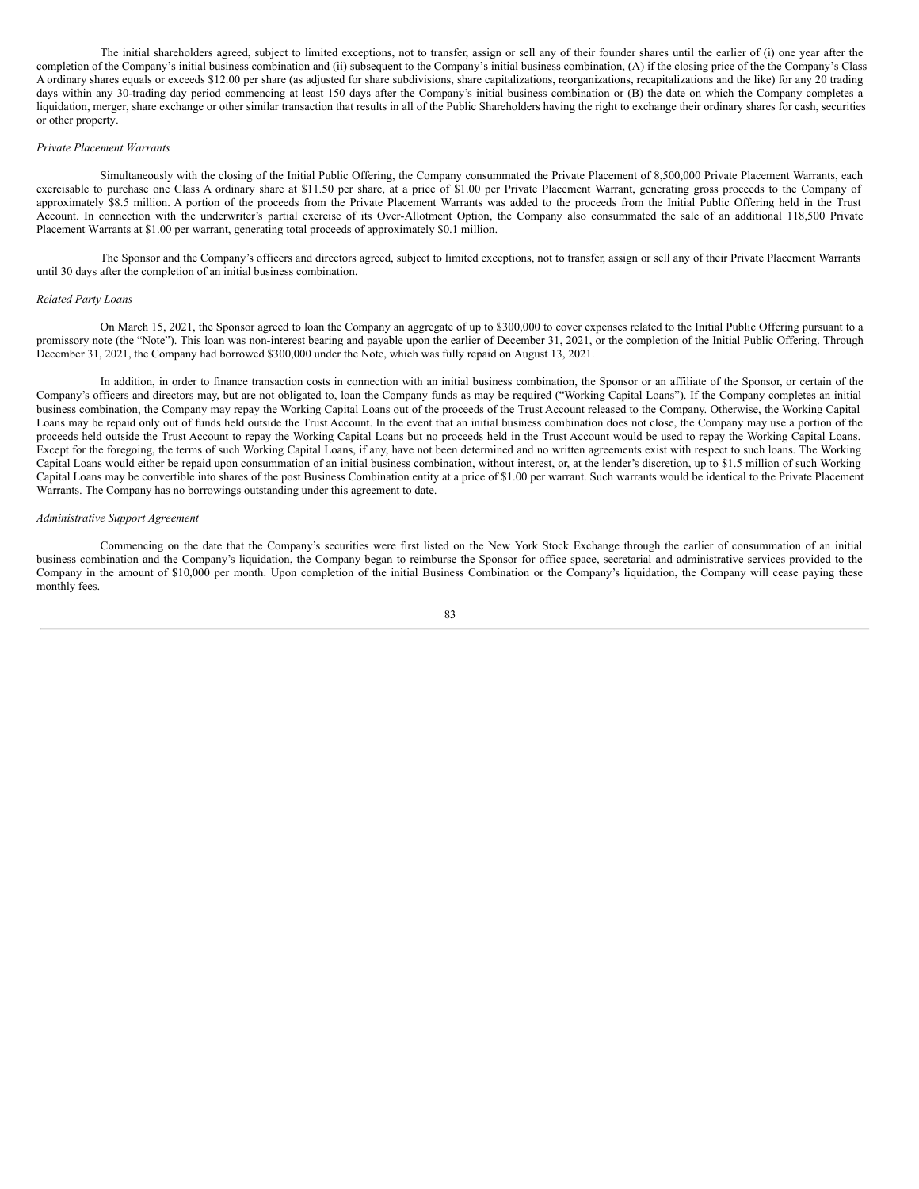The initial shareholders agreed, subject to limited exceptions, not to transfer, assign or sell any of their founder shares until the earlier of (i) one year after the completion of the Company's initial business combination and (ii) subsequent to the Company's initial business combination, (A) if the closing price of the the Company's Class A ordinary shares equals or exceeds \$12.00 per share (as adjusted for share subdivisions, share capitalizations, reorganizations, recapitalizations and the like) for any 20 trading days within any 30-trading day period commencing at least 150 days after the Company's initial business combination or (B) the date on which the Company completes a liquidation, merger, share exchange or other similar transaction that results in all of the Public Shareholders having the right to exchange their ordinary shares for cash, securities or other property.

#### *Private Placement Warrants*

Simultaneously with the closing of the Initial Public Offering, the Company consummated the Private Placement of 8,500,000 Private Placement Warrants, each exercisable to purchase one Class A ordinary share at \$11.50 per share, at a price of \$1.00 per Private Placement Warrant, generating gross proceeds to the Company of approximately \$8.5 million. A portion of the proceeds from the Private Placement Warrants was added to the proceeds from the Initial Public Offering held in the Trust Account. In connection with the underwriter's partial exercise of its Over-Allotment Option, the Company also consummated the sale of an additional 118,500 Private Placement Warrants at \$1.00 per warrant, generating total proceeds of approximately \$0.1 million.

The Sponsor and the Company's officers and directors agreed, subject to limited exceptions, not to transfer, assign or sell any of their Private Placement Warrants until 30 days after the completion of an initial business combination.

#### *Related Party Loans*

On March 15, 2021, the Sponsor agreed to loan the Company an aggregate of up to \$300,000 to cover expenses related to the Initial Public Offering pursuant to a promissory note (the "Note"). This loan was non-interest bearing and payable upon the earlier of December 31, 2021, or the completion of the Initial Public Offering. Through December 31, 2021, the Company had borrowed \$300,000 under the Note, which was fully repaid on August 13, 2021.

In addition, in order to finance transaction costs in connection with an initial business combination, the Sponsor or an affiliate of the Sponsor, or certain of the Company's officers and directors may, but are not obligated to, loan the Company funds as may be required ("Working Capital Loans"). If the Company completes an initial business combination, the Company may repay the Working Capital Loans out of the proceeds of the Trust Account released to the Company. Otherwise, the Working Capital Loans may be repaid only out of funds held outside the Trust Account. In the event that an initial business combination does not close, the Company may use a portion of the proceeds held outside the Trust Account to repay the Working Capital Loans but no proceeds held in the Trust Account would be used to repay the Working Capital Loans. Except for the foregoing, the terms of such Working Capital Loans, if any, have not been determined and no written agreements exist with respect to such loans. The Working Capital Loans would either be repaid upon consummation of an initial business combination, without interest, or, at the lender's discretion, up to \$1.5 million of such Working Capital Loans may be convertible into shares of the post Business Combination entity at a price of \$1.00 per warrant. Such warrants would be identical to the Private Placement Warrants. The Company has no borrowings outstanding under this agreement to date.

#### *Administrative Support Agreement*

Commencing on the date that the Company's securities were first listed on the New York Stock Exchange through the earlier of consummation of an initial business combination and the Company's liquidation, the Company began to reimburse the Sponsor for office space, secretarial and administrative services provided to the Company in the amount of \$10,000 per month. Upon completion of the initial Business Combination or the Company's liquidation, the Company will cease paying these monthly fees.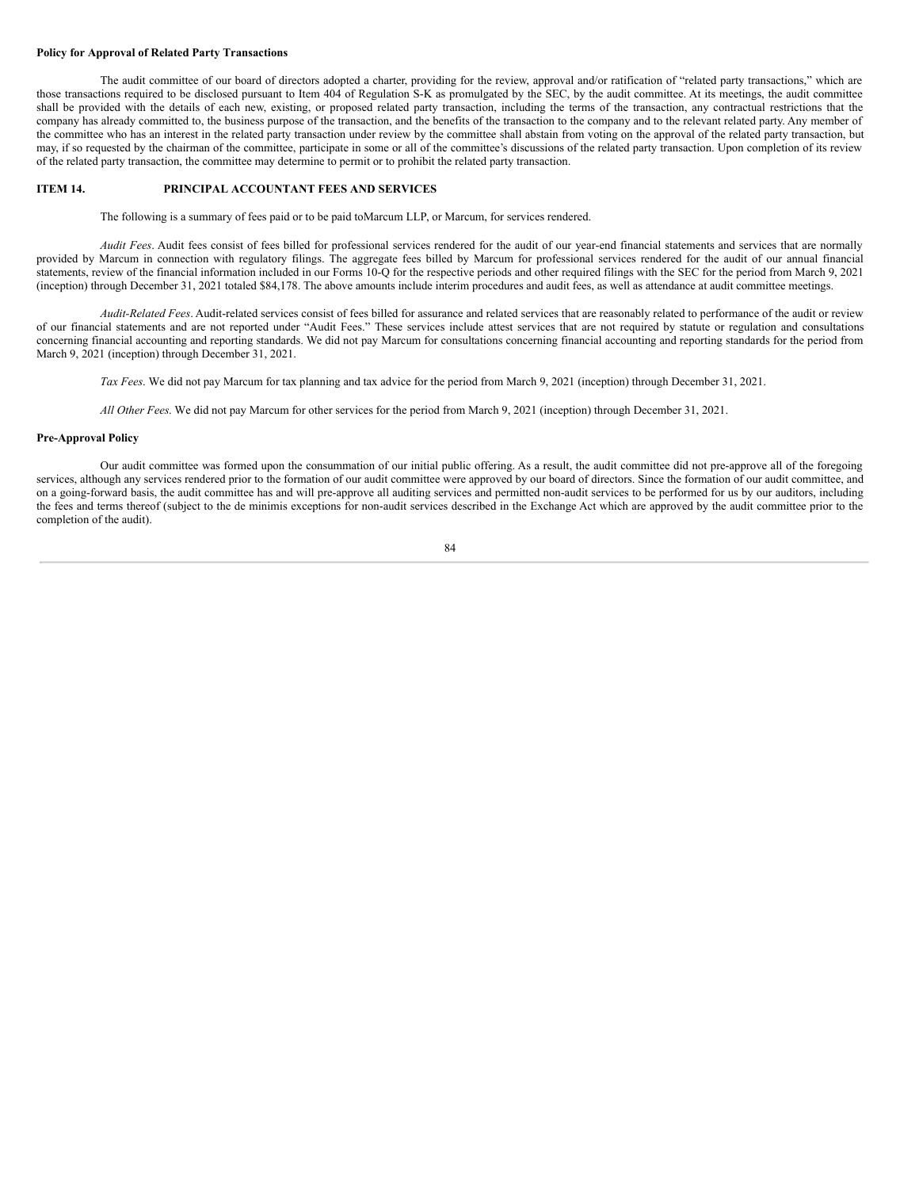### **Policy for Approval of Related Party Transactions**

The audit committee of our board of directors adopted a charter, providing for the review, approval and/or ratification of "related party transactions," which are those transactions required to be disclosed pursuant to Item 404 of Regulation S-K as promulgated by the SEC, by the audit committee. At its meetings, the audit committee shall be provided with the details of each new, existing, or proposed related party transaction, including the terms of the transaction, any contractual restrictions that the company has already committed to, the business purpose of the transaction, and the benefits of the transaction to the company and to the relevant related party. Any member of the committee who has an interest in the related party transaction under review by the committee shall abstain from voting on the approval of the related party transaction, but may, if so requested by the chairman of the committee, participate in some or all of the committee's discussions of the related party transaction. Upon completion of its review of the related party transaction, the committee may determine to permit or to prohibit the related party transaction.

### **ITEM 14. PRINCIPAL ACCOUNTANT FEES AND SERVICES**

The following is a summary of fees paid or to be paid toMarcum LLP, or Marcum, for services rendered.

*Audit Fees*. Audit fees consist of fees billed for professional services rendered for the audit of our year-end financial statements and services that are normally provided by Marcum in connection with regulatory filings. The aggregate fees billed by Marcum for professional services rendered for the audit of our annual financial statements, review of the financial information included in our Forms 10-Q for the respective periods and other required filings with the SEC for the period from March 9, 2021 (inception) through December 31, 2021 totaled \$84,178. The above amounts include interim procedures and audit fees, as well as attendance at audit committee meetings.

*Audit-Related Fees*. Audit-related services consist of fees billed for assurance and related services that are reasonably related to performance of the audit or review of our financial statements and are not reported under "Audit Fees." These services include attest services that are not required by statute or regulation and consultations concerning financial accounting and reporting standards. We did not pay Marcum for consultations concerning financial accounting and reporting standards for the period from March 9, 2021 (inception) through December 31, 2021.

*Tax Fees*. We did not pay Marcum for tax planning and tax advice for the period from March 9, 2021 (inception) through December 31, 2021.

*All Other Fees*. We did not pay Marcum for other services for the period from March 9, 2021 (inception) through December 31, 2021.

#### **Pre-Approval Policy**

Our audit committee was formed upon the consummation of our initial public offering. As a result, the audit committee did not pre-approve all of the foregoing services, although any services rendered prior to the formation of our audit committee were approved by our board of directors. Since the formation of our audit committee, and on a going-forward basis, the audit committee has and will pre-approve all auditing services and permitted non-audit services to be performed for us by our auditors, including the fees and terms thereof (subject to the de minimis exceptions for non-audit services described in the Exchange Act which are approved by the audit committee prior to the completion of the audit).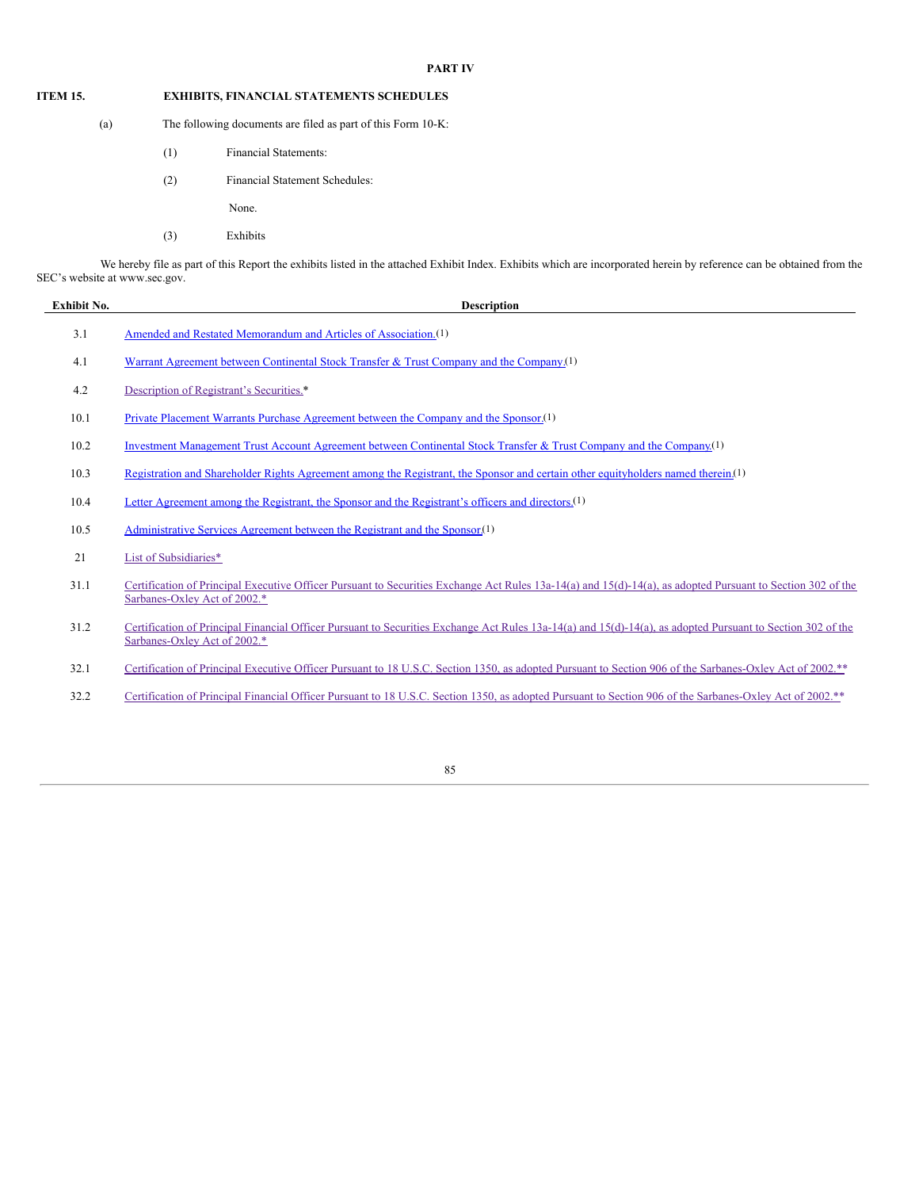# **ITEM 15. EXHIBITS, FINANCIAL STATEMENTS SCHEDULES**

|  | (a) | The following documents are filed as part of this Form 10-K: |
|--|-----|--------------------------------------------------------------|
|  |     |                                                              |

- (1) Financial Statements:
- (2) Financial Statement Schedules:

None.

(3) Exhibits

We hereby file as part of this Report the exhibits listed in the attached Exhibit Index. Exhibits which are incorporated herein by reference can be obtained from the SEC's website at www.sec.gov.

| <b>Exhibit No.</b> | <b>Description</b>                                                                                                                                                                          |
|--------------------|---------------------------------------------------------------------------------------------------------------------------------------------------------------------------------------------|
| 3.1                | Amended and Restated Memorandum and Articles of Association. <sup>(1)</sup>                                                                                                                 |
| 4.1                | Warrant Agreement between Continental Stock Transfer & Trust Company and the Company. <sup>(1)</sup>                                                                                        |
| 4.2                | Description of Registrant's Securities.*                                                                                                                                                    |
| 10.1               | Private Placement Warrants Purchase Agreement between the Company and the Sponsor. <sup>(1)</sup>                                                                                           |
| 10.2               | Investment Management Trust Account Agreement between Continental Stock Transfer & Trust Company and the Company. <sup>(1)</sup>                                                            |
| 10.3               | Registration and Shareholder Rights Agreement among the Registrant, the Sponsor and certain other equityholders named therein. <sup>(1)</sup>                                               |
| 10.4               | Letter Agreement among the Registrant, the Sponsor and the Registrant's officers and directors.(1)                                                                                          |
| 10.5               | Administrative Services Agreement between the Registrant and the Sponsor. <sup>(1)</sup>                                                                                                    |
| 21                 | List of Subsidiaries*                                                                                                                                                                       |
| 31.1               | Certification of Principal Executive Officer Pursuant to Securities Exchange Act Rules 13a-14(a) and 15(d)-14(a), as adopted Pursuant to Section 302 of the<br>Sarbanes-Oxley Act of 2002.* |
| 31.2               | Certification of Principal Financial Officer Pursuant to Securities Exchange Act Rules 13a-14(a) and 15(d)-14(a), as adopted Pursuant to Section 302 of the<br>Sarbanes-Oxley Act of 2002.* |
| 32.1               | Certification of Principal Executive Officer Pursuant to 18 U.S.C. Section 1350, as adopted Pursuant to Section 906 of the Sarbanes-Oxley Act of 2002.**                                    |
| 32.2               | Certification of Principal Financial Officer Pursuant to 18 U.S.C. Section 1350, as adopted Pursuant to Section 906 of the Sarbanes-Oxley Act of 2002.**                                    |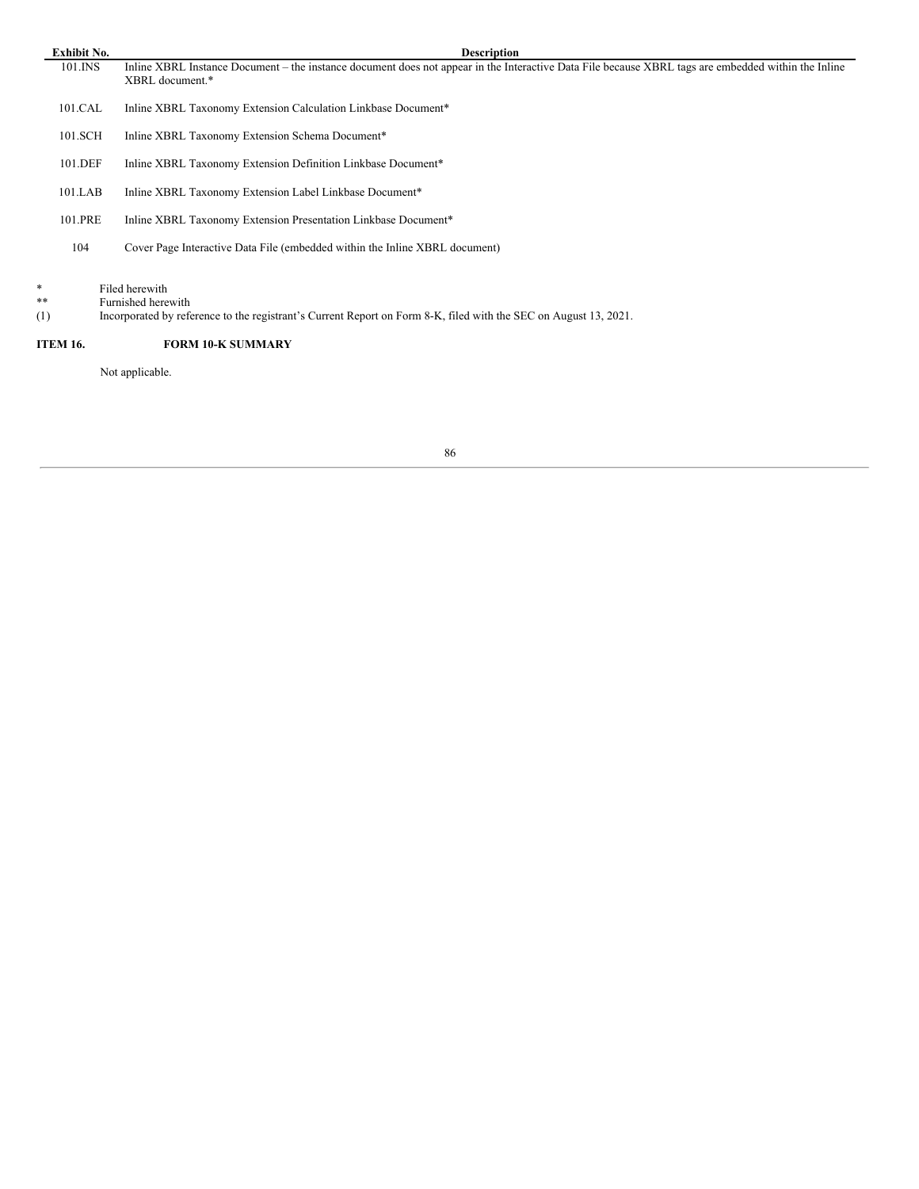| <b>Exhibit No.</b> | <b>Description</b>                                                                                                                                                     |
|--------------------|------------------------------------------------------------------------------------------------------------------------------------------------------------------------|
| 101.INS            | Inline XBRL Instance Document – the instance document does not appear in the Interactive Data File because XBRL tags are embedded within the Inline<br>XBRL document.* |
| 101.CAL            | Inline XBRL Taxonomy Extension Calculation Linkbase Document*                                                                                                          |
| 101.SCH            | Inline XBRL Taxonomy Extension Schema Document*                                                                                                                        |
| 101.DEF            | Inline XBRL Taxonomy Extension Definition Linkbase Document*                                                                                                           |
| $101$ .LAB         | Inline XBRL Taxonomy Extension Label Linkbase Document*                                                                                                                |
| 101.PRE            | Inline XBRL Taxonomy Extension Presentation Linkbase Document*                                                                                                         |
| 104                | Cover Page Interactive Data File (embedded within the Inline XBRL document)                                                                                            |
| *<br>**<br>(1)     | Filed herewith<br>Furnished herewith<br>Incorporated by reference to the registrant's Current Report on Form 8-K, filed with the SEC on August 13, 2021.               |
| <b>ITEM 16.</b>    | <b>FORM 10-K SUMMARY</b>                                                                                                                                               |

86

Not applicable.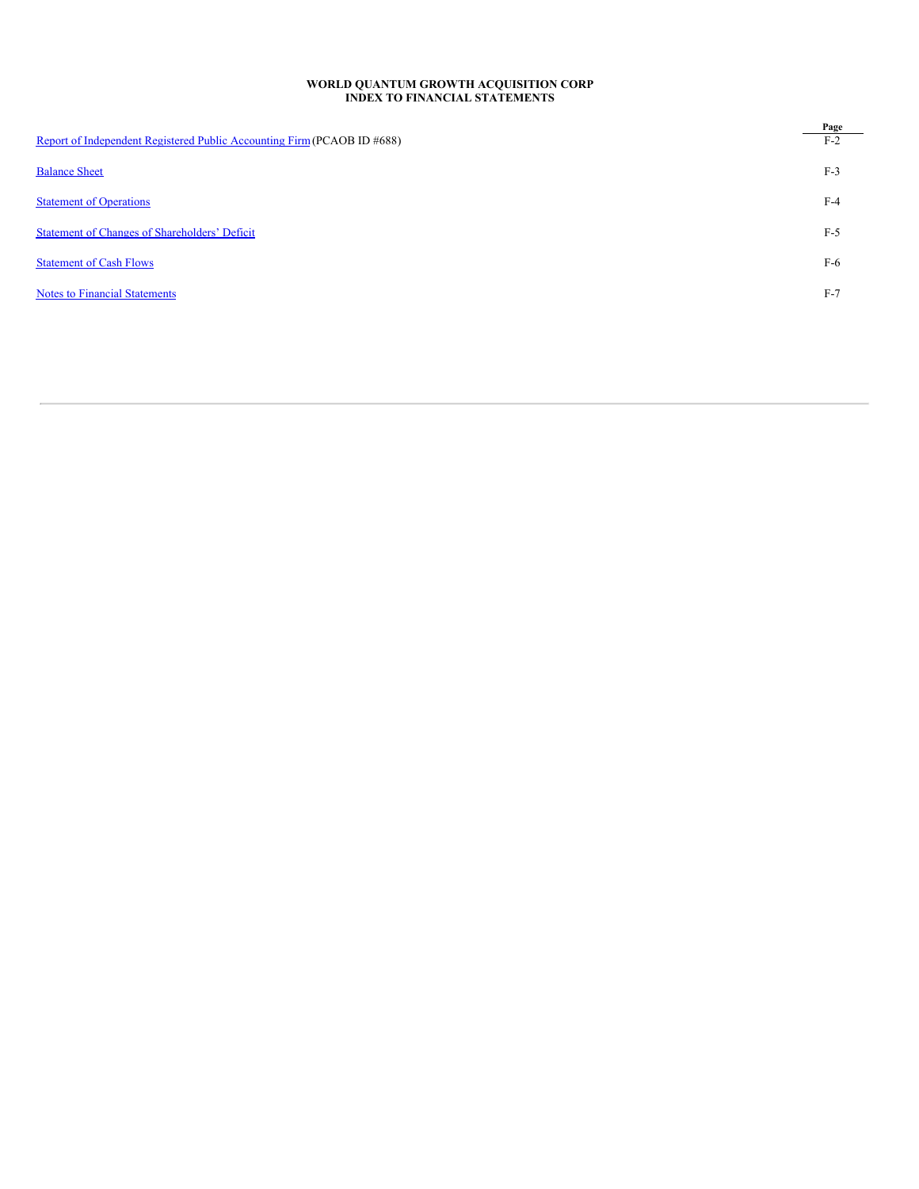#### **WORLD QUANTUM GROWTH ACQUISITION CORP INDEX TO FINANCIAL STATEMENTS**

|                                                                         | Page  |
|-------------------------------------------------------------------------|-------|
| Report of Independent Registered Public Accounting Firm (PCAOB ID #688) | $F-2$ |
| <b>Balance Sheet</b>                                                    | $F-3$ |
| <b>Statement of Operations</b>                                          | $F-4$ |
| <b>Statement of Changes of Shareholders' Deficit</b>                    | $F-5$ |
| <b>Statement of Cash Flows</b>                                          | F-6   |
| <b>Notes to Financial Statements</b>                                    | $F-7$ |
|                                                                         |       |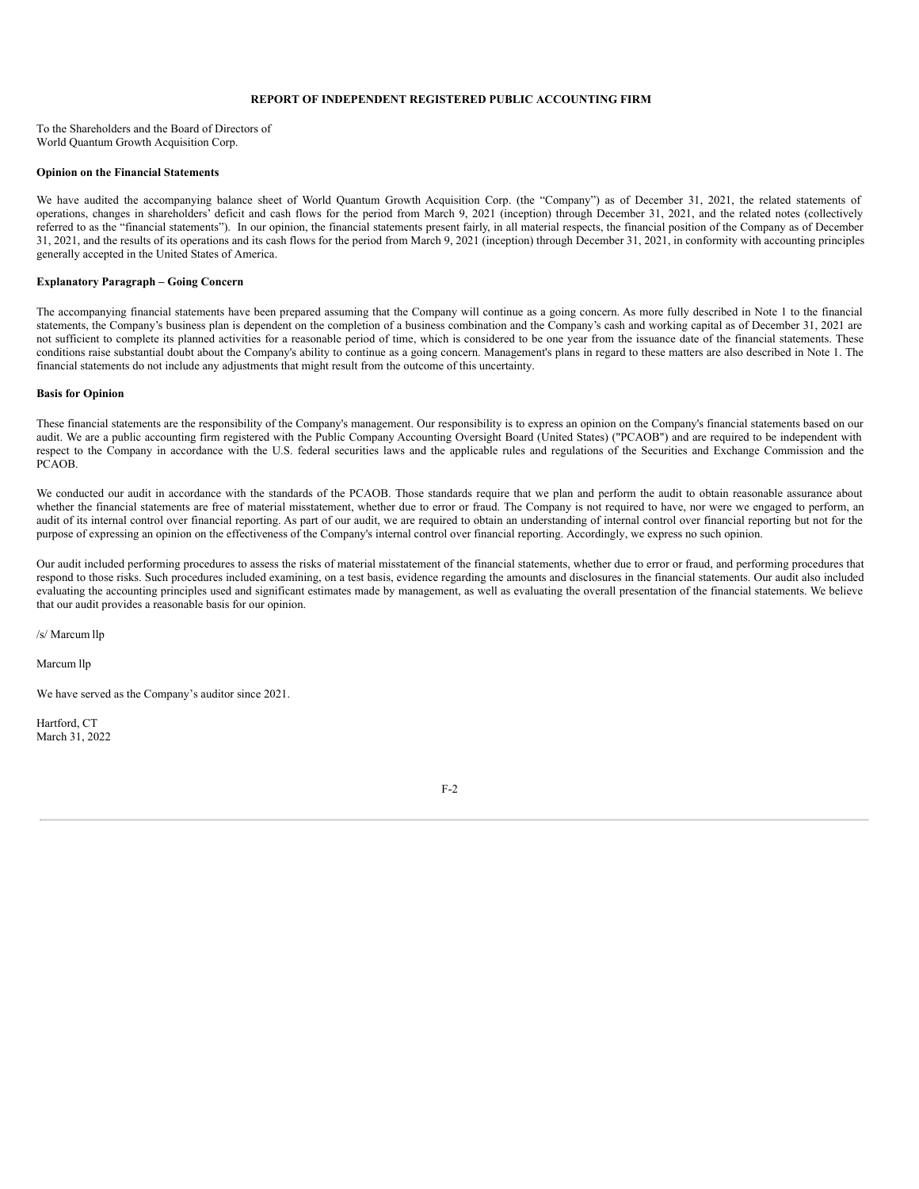# **REPORT OF INDEPENDENT REGISTERED PUBLIC ACCOUNTING FIRM**

<span id="page-89-0"></span>To the Shareholders and the Board of Directors of World Quantum Growth Acquisition Corp.

#### **Opinion on the Financial Statements**

We have audited the accompanying balance sheet of World Quantum Growth Acquisition Corp. (the "Company") as of December 31, 2021, the related statements of operations, changes in shareholders' deficit and cash flows for the period from March 9, 2021 (inception) through December 31, 2021, and the related notes (collectively referred to as the "financial statements"). In our opinion, the financial statements present fairly, in all material respects, the financial position of the Company as of December 31, 2021, and the results of its operations and its cash flows for the period from March 9, 2021 (inception) through December 31, 2021, in conformity with accounting principles generally accepted in the United States of America.

## **Explanatory Paragraph – Going Concern**

The accompanying financial statements have been prepared assuming that the Company will continue as a going concern. As more fully described in Note 1 to the financial statements, the Company's business plan is dependent on the completion of a business combination and the Company's cash and working capital as of December 31, 2021 are not sufficient to complete its planned activities for a reasonable period of time, which is considered to be one year from the issuance date of the financial statements. These conditions raise substantial doubt about the Company's ability to continue as a going concern. Management's plans in regard to these matters are also described in Note 1. The financial statements do not include any adjustments that might result from the outcome of this uncertainty.

### **Basis for Opinion**

These financial statements are the responsibility of the Company's management. Our responsibility is to express an opinion on the Company's financial statements based on our audit. We are a public accounting firm registered with the Public Company Accounting Oversight Board (United States) ("PCAOB") and are required to be independent with respect to the Company in accordance with the U.S. federal securities laws and the applicable rules and regulations of the Securities and Exchange Commission and the PCAOB.

We conducted our audit in accordance with the standards of the PCAOB. Those standards require that we plan and perform the audit to obtain reasonable assurance about whether the financial statements are free of material misstatement, whether due to error or fraud. The Company is not required to have, nor were we engaged to perform, an audit of its internal control over financial reporting. As part of our audit, we are required to obtain an understanding of internal control over financial reporting but not for the purpose of expressing an opinion on the effectiveness of the Company's internal control over financial reporting. Accordingly, we express no such opinion.

Our audit included performing procedures to assess the risks of material misstatement of the financial statements, whether due to error or fraud, and performing procedures that respond to those risks. Such procedures included examining, on a test basis, evidence regarding the amounts and disclosures in the financial statements. Our audit also included evaluating the accounting principles used and significant estimates made by management, as well as evaluating the overall presentation of the financial statements. We believe that our audit provides a reasonable basis for our opinion.

/s/ Marcum llp

Marcum llp

We have served as the Company's auditor since 2021.

Hartford, CT March 31, 2022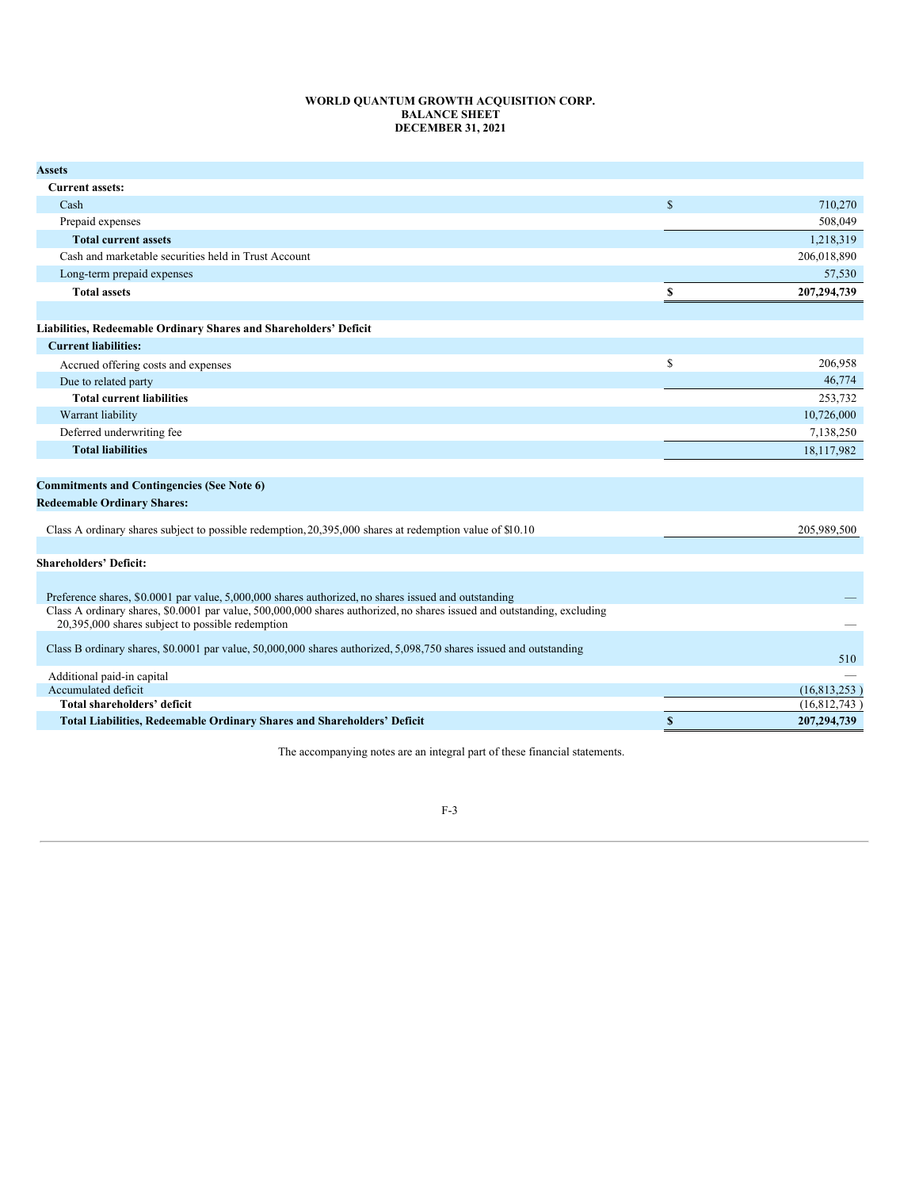## **WORLD QUANTUM GROWTH ACQUISITION CORP. BALANCE SHEET DECEMBER 31, 2021**

<span id="page-90-0"></span>

| <b>Assets</b>                                                                                                           |              |                |
|-------------------------------------------------------------------------------------------------------------------------|--------------|----------------|
| <b>Current assets:</b>                                                                                                  |              |                |
| Cash                                                                                                                    | $\mathbb{S}$ | 710,270        |
| Prepaid expenses                                                                                                        |              | 508,049        |
| <b>Total current assets</b>                                                                                             |              | 1,218,319      |
| Cash and marketable securities held in Trust Account                                                                    |              | 206,018,890    |
| Long-term prepaid expenses                                                                                              |              | 57,530         |
| <b>Total assets</b>                                                                                                     | \$           | 207,294,739    |
|                                                                                                                         |              |                |
| Liabilities, Redeemable Ordinary Shares and Shareholders' Deficit                                                       |              |                |
| <b>Current liabilities:</b>                                                                                             |              |                |
| Accrued offering costs and expenses                                                                                     | \$           | 206,958        |
| Due to related party                                                                                                    |              | 46,774         |
| <b>Total current liabilities</b>                                                                                        |              | 253,732        |
| Warrant liability                                                                                                       |              | 10,726,000     |
| Deferred underwriting fee                                                                                               |              | 7,138,250      |
| <b>Total liabilities</b>                                                                                                |              | 18,117,982     |
|                                                                                                                         |              |                |
| <b>Commitments and Contingencies (See Note 6)</b>                                                                       |              |                |
| <b>Redeemable Ordinary Shares:</b>                                                                                      |              |                |
| Class A ordinary shares subject to possible redemption, 20,395,000 shares at redemption value of \$10.10                |              | 205,989,500    |
|                                                                                                                         |              |                |
| <b>Shareholders' Deficit:</b>                                                                                           |              |                |
|                                                                                                                         |              |                |
| Preference shares, \$0.0001 par value, 5,000,000 shares authorized, no shares issued and outstanding                    |              |                |
| Class A ordinary shares, \$0.0001 par value, 500,000,000 shares authorized, no shares issued and outstanding, excluding |              |                |
| 20,395,000 shares subject to possible redemption                                                                        |              |                |
| Class B ordinary shares, \$0.0001 par value, 50,000,000 shares authorized, 5,098,750 shares issued and outstanding      |              |                |
|                                                                                                                         |              | 510            |
| Additional paid-in capital<br>Accumulated deficit                                                                       |              | (16, 813, 253) |
| Total shareholders' deficit                                                                                             |              | (16,812,743)   |
| Total Liabilities, Redeemable Ordinary Shares and Shareholders' Deficit                                                 | $\mathbf S$  | 207,294,739    |
|                                                                                                                         |              |                |

The accompanying notes are an integral part of these financial statements.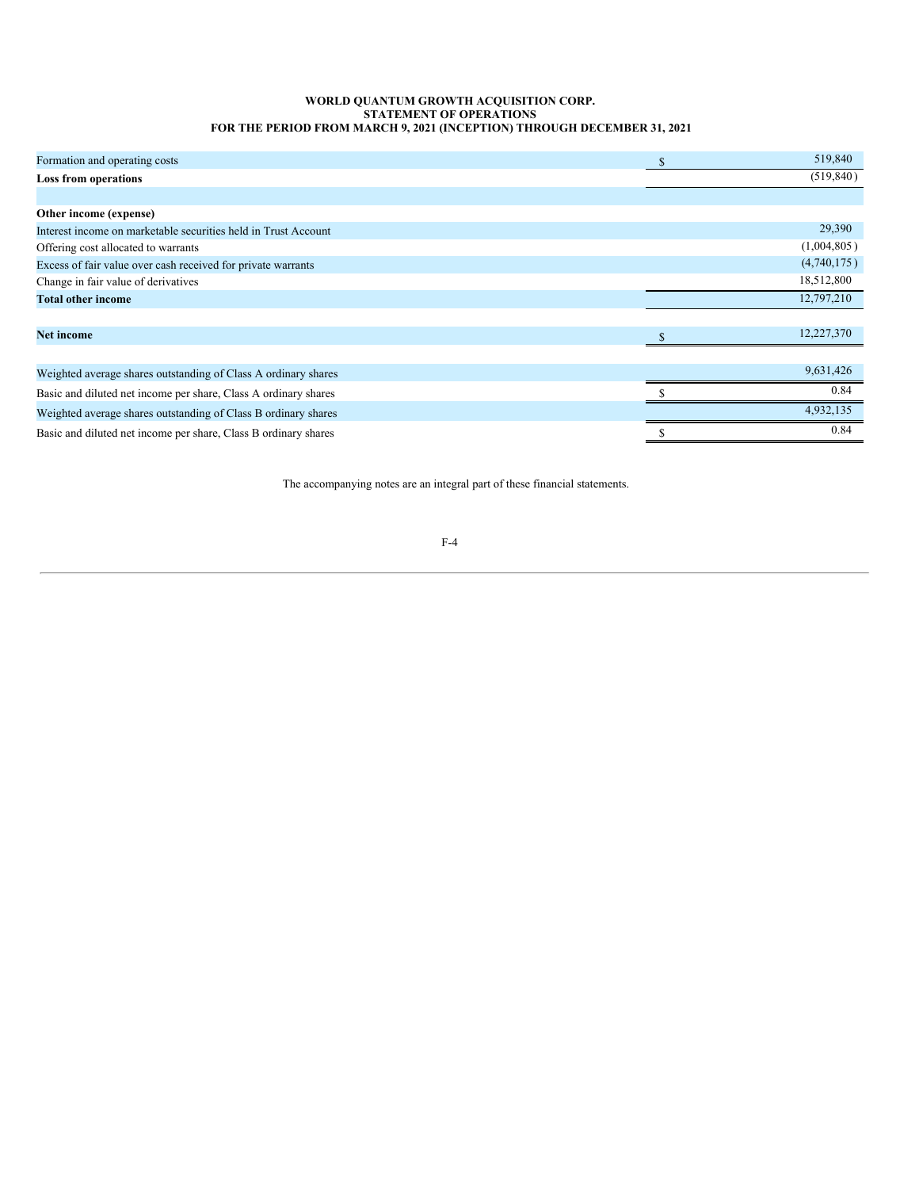#### **WORLD QUANTUM GROWTH ACQUISITION CORP. STATEMENT OF OPERATIONS FOR THE PERIOD FROM MARCH 9, 2021 (INCEPTION) THROUGH DECEMBER 31, 2021**

<span id="page-91-0"></span>

| Formation and operating costs                                   | $\mathbf{s}$ | 519,840     |
|-----------------------------------------------------------------|--------------|-------------|
| Loss from operations                                            |              | (519, 840)  |
|                                                                 |              |             |
| Other income (expense)                                          |              |             |
| Interest income on marketable securities held in Trust Account  |              | 29,390      |
| Offering cost allocated to warrants                             |              | (1,004,805) |
| Excess of fair value over cash received for private warrants    |              | (4,740,175) |
| Change in fair value of derivatives                             |              | 18,512,800  |
| <b>Total other income</b>                                       |              | 12,797,210  |
|                                                                 |              |             |
| <b>Net income</b>                                               |              | 12,227,370  |
|                                                                 |              |             |
| Weighted average shares outstanding of Class A ordinary shares  |              | 9,631,426   |
| Basic and diluted net income per share, Class A ordinary shares |              | 0.84        |
| Weighted average shares outstanding of Class B ordinary shares  |              | 4,932,135   |
| Basic and diluted net income per share, Class B ordinary shares |              | 0.84        |

The accompanying notes are an integral part of these financial statements.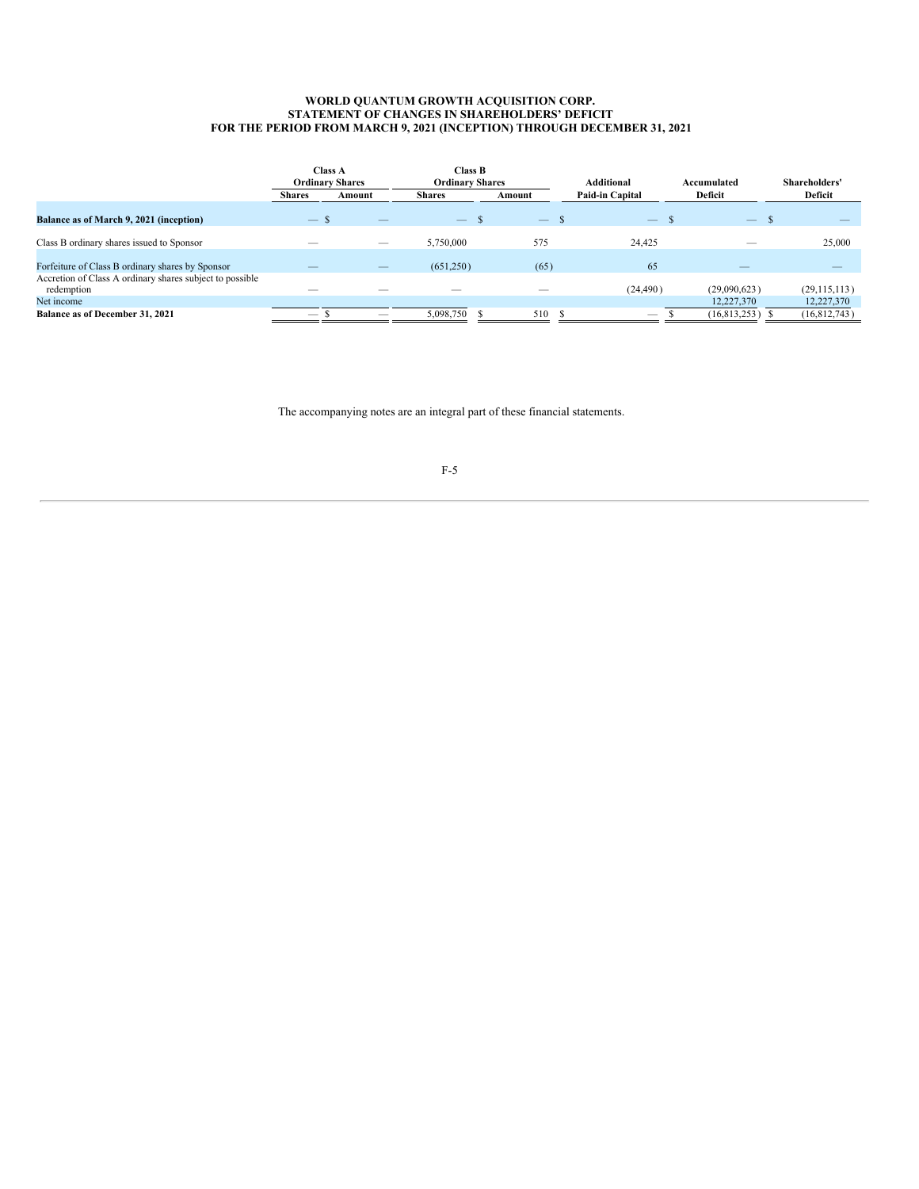#### **WORLD QUANTUM GROWTH ACQUISITION CORP. STATEMENT OF CHANGES IN SHAREHOLDERS' DEFICIT FOR THE PERIOD FROM MARCH 9, 2021 (INCEPTION) THROUGH DECEMBER 31, 2021**

<span id="page-92-0"></span>

|                                                                        | <b>Class A</b><br><b>Ordinary Shares</b> |                          | <b>Class B</b><br><b>Ordinary Shares</b> |        | Additional               | Accumulated              | Shareholders'  |
|------------------------------------------------------------------------|------------------------------------------|--------------------------|------------------------------------------|--------|--------------------------|--------------------------|----------------|
|                                                                        | <b>Shares</b>                            | Amount                   | <b>Shares</b>                            | Amount | Paid-in Capital          | Deficit                  | Deficit        |
| Balance as of March 9, 2021 (inception)                                | $-$ \$                                   |                          | $\overline{\phantom{a}}$                 | $ -$   | $\overline{\phantom{a}}$ | $\overline{\phantom{a}}$ |                |
| Class B ordinary shares issued to Sponsor                              |                                          | $\overline{\phantom{m}}$ | 5,750,000                                | 575    | 24,425                   |                          | 25,000         |
| Forfeiture of Class B ordinary shares by Sponsor                       |                                          |                          | (651,250)                                | (65)   | 65                       |                          |                |
| Accretion of Class A ordinary shares subject to possible<br>redemption |                                          |                          |                                          |        | (24, 490)                | (29,090,623)             | (29, 115, 113) |
| Net income                                                             |                                          |                          |                                          |        |                          | 12,227,370               | 12,227,370     |
| Balance as of December 31, 2021                                        | $\overline{\phantom{a}}$                 | $-$                      | 5,098,750                                | 510    | $\overline{\phantom{m}}$ | (16,813,253)             | (16, 812, 743) |

The accompanying notes are an integral part of these financial statements.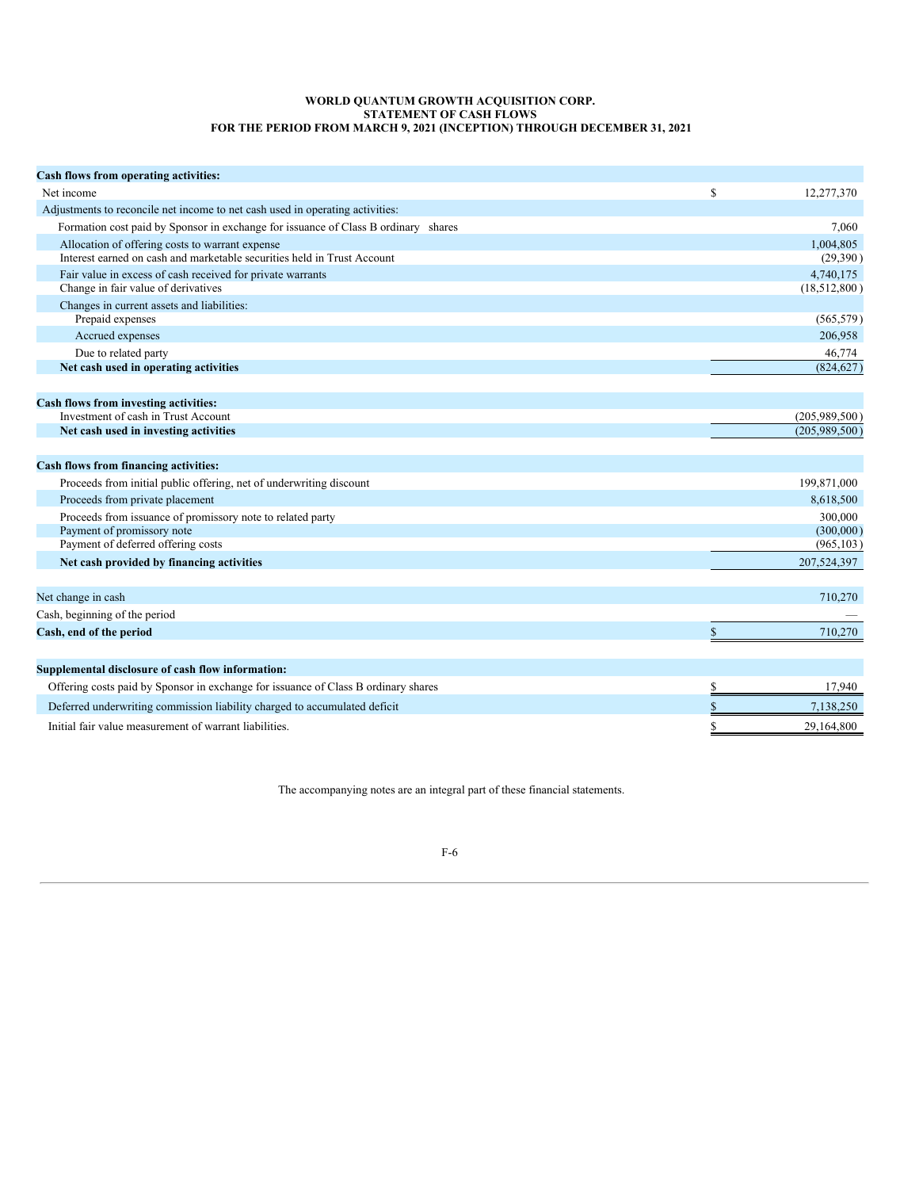#### **WORLD QUANTUM GROWTH ACQUISITION CORP. STATEMENT OF CASH FLOWS FOR THE PERIOD FROM MARCH 9, 2021 (INCEPTION) THROUGH DECEMBER 31, 2021**

<span id="page-93-0"></span>

| Cash flows from operating activities:                                              |          |               |
|------------------------------------------------------------------------------------|----------|---------------|
| Net income                                                                         | \$       | 12,277,370    |
| Adjustments to reconcile net income to net cash used in operating activities:      |          |               |
| Formation cost paid by Sponsor in exchange for issuance of Class B ordinary shares |          | 7,060         |
| Allocation of offering costs to warrant expense                                    |          | 1,004,805     |
| Interest earned on cash and marketable securities held in Trust Account            |          | (29,390)      |
| Fair value in excess of cash received for private warrants                         |          | 4,740,175     |
| Change in fair value of derivatives                                                |          | (18,512,800)  |
| Changes in current assets and liabilities:                                         |          | (565, 579)    |
| Prepaid expenses<br>Accrued expenses                                               |          | 206,958       |
| Due to related party                                                               |          | 46.774        |
| Net cash used in operating activities                                              |          | (824, 627)    |
|                                                                                    |          |               |
| Cash flows from investing activities:                                              |          |               |
| Investment of cash in Trust Account                                                |          | (205,989,500) |
| Net cash used in investing activities                                              |          | (205,989,500) |
|                                                                                    |          |               |
| Cash flows from financing activities:                                              |          |               |
| Proceeds from initial public offering, net of underwriting discount                |          | 199,871,000   |
| Proceeds from private placement                                                    |          | 8,618,500     |
| Proceeds from issuance of promissory note to related party                         |          | 300,000       |
| Payment of promissory note                                                         |          | (300,000)     |
| Payment of deferred offering costs                                                 |          | (965, 103)    |
| Net cash provided by financing activities                                          |          | 207,524,397   |
| Net change in cash                                                                 |          | 710,270       |
| Cash, beginning of the period                                                      |          |               |
| Cash, end of the period                                                            | \$       | 710,270       |
|                                                                                    |          |               |
| Supplemental disclosure of cash flow information:                                  |          |               |
| Offering costs paid by Sponsor in exchange for issuance of Class B ordinary shares | \$       | 17,940        |
| Deferred underwriting commission liability charged to accumulated deficit          | <b>S</b> | 7,138,250     |
| Initial fair value measurement of warrant liabilities.                             | S        | 29,164,800    |

The accompanying notes are an integral part of these financial statements.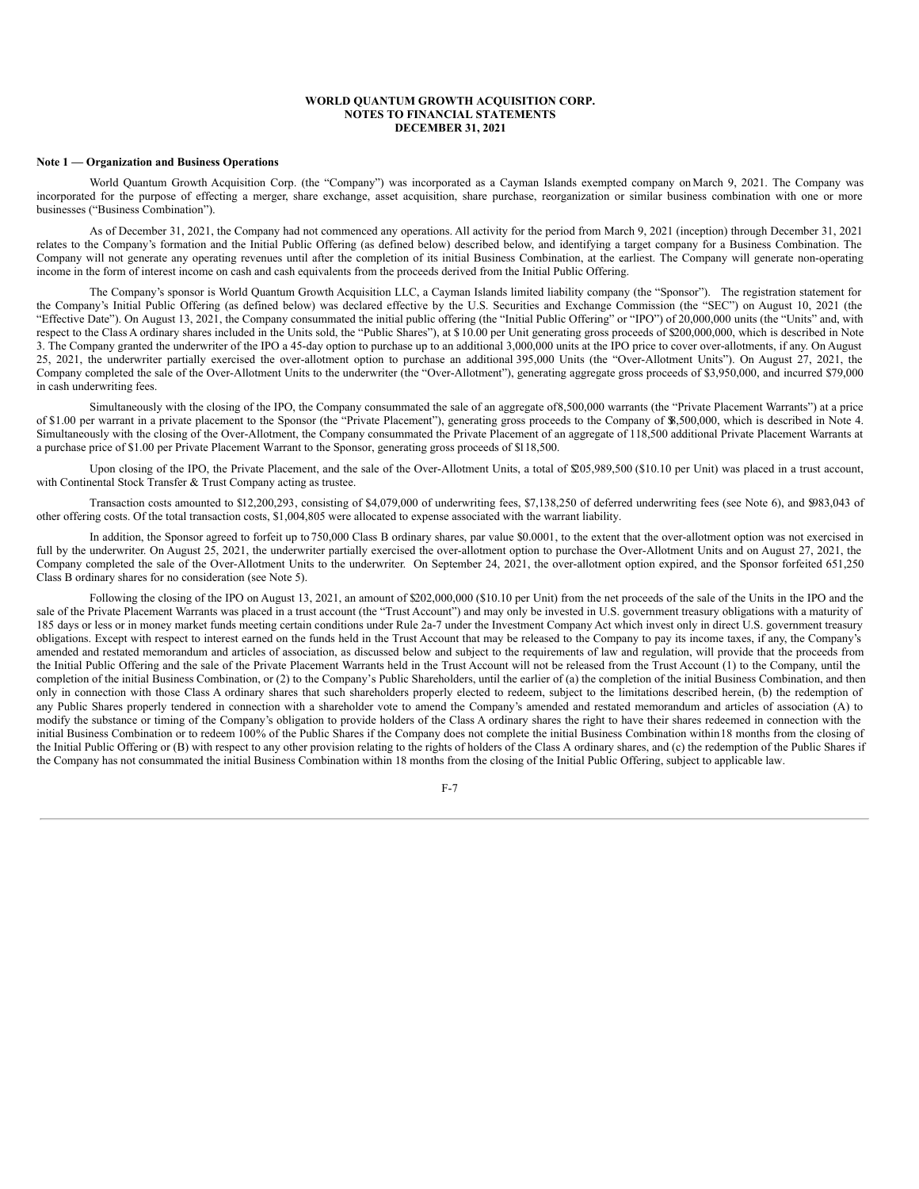## **WORLD QUANTUM GROWTH ACQUISITION CORP. NOTES TO FINANCIAL STATEMENTS DECEMBER 31, 2021**

## <span id="page-94-0"></span>**Note 1 — Organization and Business Operations**

World Quantum Growth Acquisition Corp. (the "Company") was incorporated as a Cayman Islands exempted company on March 9, 2021. The Company was incorporated for the purpose of effecting a merger, share exchange, asset acquisition, share purchase, reorganization or similar business combination with one or more businesses ("Business Combination").

As of December 31, 2021, the Company had not commenced any operations. All activity for the period from March 9, 2021 (inception) through December 31, 2021 relates to the Company's formation and the Initial Public Offering (as defined below) described below, and identifying a target company for a Business Combination. The Company will not generate any operating revenues until after the completion of its initial Business Combination, at the earliest. The Company will generate non-operating income in the form of interest income on cash and cash equivalents from the proceeds derived from the Initial Public Offering.

The Company's sponsor is World Quantum Growth Acquisition LLC, a Cayman Islands limited liability company (the "Sponsor"). The registration statement for the Company's Initial Public Offering (as defined below) was declared effective by the U.S. Securities and Exchange Commission (the "SEC") on August 10, 2021 (the "Effective Date"). On August 13, 2021, the Company consummated the initial public offering (the "Initial Public Offering" or "IPO") of 20,000,000 units (the "Units" and, with respect to the Class A ordinary shares included in the Units sold, the "Public Shares"), at \$ 10.00 per Unit generating gross proceeds of \$200,000,000, which is described in Note 3. The Company granted the underwriter of the IPO a 45-day option to purchase up to an additional 3,000,000 units at the IPO price to cover over-allotments, if any. On August 25, 2021, the underwriter partially exercised the over-allotment option to purchase an additional 395,000 Units (the "Over-Allotment Units"). On August 27, 2021, the Company completed the sale of the Over-Allotment Units to the underwriter (the "Over-Allotment"), generating aggregate gross proceeds of \$3,950,000, and incurred \$79,000 in cash underwriting fees.

Simultaneously with the closing of the IPO, the Company consummated the sale of an aggregate of8,500,000 warrants (the "Private Placement Warrants") at a price of \$1.00 per warrant in a private placement to the Sponsor (the "Private Placement"), generating gross proceeds to the Company of \$8,500,000, which is described in Note 4. Simultaneously with the closing of the Over-Allotment, the Company consummated the Private Placement of an aggregate of 118,500 additional Private Placement Warrants at a purchase price of \$1.00 per Private Placement Warrant to the Sponsor, generating gross proceeds of \$118,500.

Upon closing of the IPO, the Private Placement, and the sale of the Over-Allotment Units, a total of \$205,989,500 (\$10.10 per Unit) was placed in a trust account, with Continental Stock Transfer & Trust Company acting as trustee.

Transaction costs amounted to \$12,200,293, consisting of \$4,079,000 of underwriting fees, \$7,138,250 of deferred underwriting fees (see Note 6), and \$983,043 of other offering costs. Of the total transaction costs, \$1,004,805 were allocated to expense associated with the warrant liability.

In addition, the Sponsor agreed to forfeit up to 750,000 Class B ordinary shares, par value \$0.0001, to the extent that the over-allotment option was not exercised in full by the underwriter. On August 25, 2021, the underwriter partially exercised the over-allotment option to purchase the Over-Allotment Units and on August 27, 2021, the Company completed the sale of the Over-Allotment Units to the underwriter. On September 24, 2021, the over-allotment option expired, and the Sponsor forfeited 651,250 Class B ordinary shares for no consideration (see Note 5).

Following the closing of the IPO on August 13, 2021, an amount of \$202,000,000 (\$10.10 per Unit) from the net proceeds of the sale of the Units in the IPO and the sale of the Private Placement Warrants was placed in a trust account (the "Trust Account") and may only be invested in U.S. government treasury obligations with a maturity of 185 days or less or in money market funds meeting certain conditions under Rule 2a-7 under the Investment Company Act which invest only in direct U.S. government treasury obligations. Except with respect to interest earned on the funds held in the Trust Account that may be released to the Company to pay its income taxes, if any, the Company's amended and restated memorandum and articles of association, as discussed below and subject to the requirements of law and regulation, will provide that the proceeds from the Initial Public Offering and the sale of the Private Placement Warrants held in the Trust Account will not be released from the Trust Account (1) to the Company, until the completion of the initial Business Combination, or (2) to the Company's Public Shareholders, until the earlier of (a) the completion of the initial Business Combination, and then only in connection with those Class A ordinary shares that such shareholders properly elected to redeem, subject to the limitations described herein, (b) the redemption of any Public Shares properly tendered in connection with a shareholder vote to amend the Company's amended and restated memorandum and articles of association (A) to modify the substance or timing of the Company's obligation to provide holders of the Class A ordinary shares the right to have their shares redeemed in connection with the initial Business Combination or to redeem 100% of the Public Shares if the Company does not complete the initial Business Combination within 18 months from the closing of the Initial Public Offering or (B) with respect to any other provision relating to the rights of holders of the Class A ordinary shares, and (c) the redemption of the Public Shares if the Company has not consummated the initial Business Combination within 18 months from the closing of the Initial Public Offering, subject to applicable law.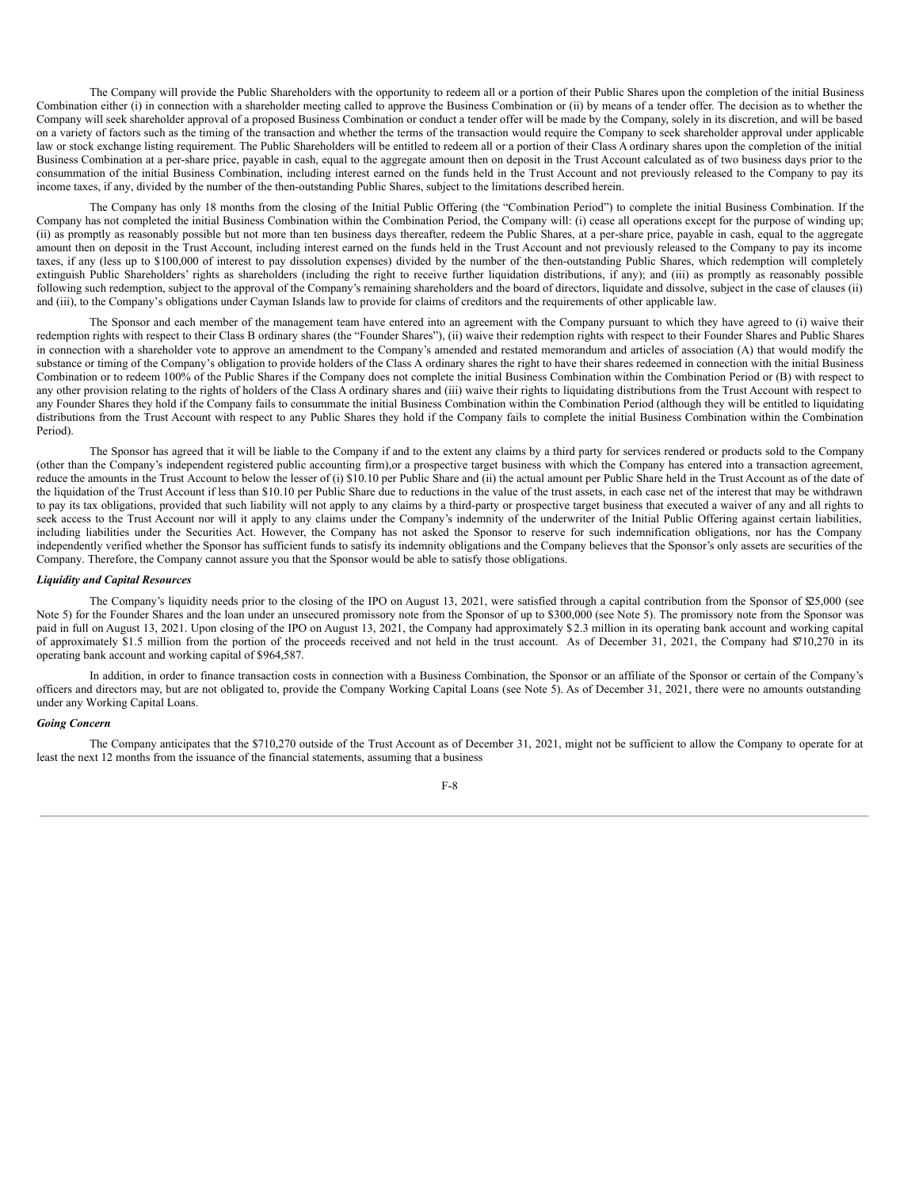The Company will provide the Public Shareholders with the opportunity to redeem all or a portion of their Public Shares upon the completion of the initial Business Combination either (i) in connection with a shareholder meeting called to approve the Business Combination or (ii) by means of a tender offer. The decision as to whether the Company will seek shareholder approval of a proposed Business Combination or conduct a tender offer will be made by the Company, solely in its discretion, and will be based on a variety of factors such as the timing of the transaction and whether the terms of the transaction would require the Company to seek shareholder approval under applicable law or stock exchange listing requirement. The Public Shareholders will be entitled to redeem all or a portion of their Class A ordinary shares upon the completion of the initial Business Combination at a per-share price, payable in cash, equal to the aggregate amount then on deposit in the Trust Account calculated as of two business days prior to the consummation of the initial Business Combination, including interest earned on the funds held in the Trust Account and not previously released to the Company to pay its income taxes, if any, divided by the number of the then-outstanding Public Shares, subject to the limitations described herein.

The Company has only 18 months from the closing of the Initial Public Offering (the "Combination Period") to complete the initial Business Combination. If the Company has not completed the initial Business Combination within the Combination Period, the Company will: (i) cease all operations except for the purpose of winding up; (ii) as promptly as reasonably possible but not more than ten business days thereafter, redeem the Public Shares, at a per-share price, payable in cash, equal to the aggregate amount then on deposit in the Trust Account, including interest earned on the funds held in the Trust Account and not previously released to the Company to pay its income taxes, if any (less up to \$100,000 of interest to pay dissolution expenses) divided by the number of the then-outstanding Public Shares, which redemption will completely extinguish Public Shareholders' rights as shareholders (including the right to receive further liquidation distributions, if any); and (iii) as promptly as reasonably possible following such redemption, subject to the approval of the Company's remaining shareholders and the board of directors, liquidate and dissolve, subject in the case of clauses (ii) and (iii), to the Company's obligations under Cayman Islands law to provide for claims of creditors and the requirements of other applicable law.

The Sponsor and each member of the management team have entered into an agreement with the Company pursuant to which they have agreed to (i) waive their redemption rights with respect to their Class B ordinary shares (the "Founder Shares"), (ii) waive their redemption rights with respect to their Founder Shares and Public Shares in connection with a shareholder vote to approve an amendment to the Company's amended and restated memorandum and articles of association (A) that would modify the substance or timing of the Company's obligation to provide holders of the Class A ordinary shares the right to have their shares redeemed in connection with the initial Business Combination or to redeem 100% of the Public Shares if the Company does not complete the initial Business Combination within the Combination Period or (B) with respect to any other provision relating to the rights of holders of the Class A ordinary shares and (iii) waive their rights to liquidating distributions from the Trust Account with respect to any Founder Shares they hold if the Company fails to consummate the initial Business Combination within the Combination Period (although they will be entitled to liquidating distributions from the Trust Account with respect to any Public Shares they hold if the Company fails to complete the initial Business Combination within the Combination Period).

The Sponsor has agreed that it will be liable to the Company if and to the extent any claims by a third party for services rendered or products sold to the Company (other than the Company's independent registered public accounting firm),or a prospective target business with which the Company has entered into a transaction agreement, reduce the amounts in the Trust Account to below the lesser of (i) \$10.10 per Public Share and (ii) the actual amount per Public Share held in the Trust Account as of the date of the liquidation of the Trust Account if less than \$10.10 per Public Share due to reductions in the value of the trust assets, in each case net of the interest that may be withdrawn to pay its tax obligations, provided that such liability will not apply to any claims by a third-party or prospective target business that executed a waiver of any and all rights to seek access to the Trust Account nor will it apply to any claims under the Company's indemnity of the underwriter of the Initial Public Offering against certain liabilities, including liabilities under the Securities Act. However, the Company has not asked the Sponsor to reserve for such indemnification obligations, nor has the Company independently verified whether the Sponsor has sufficient funds to satisfy its indemnity obligations and the Company believes that the Sponsor's only assets are securities of the Company. Therefore, the Company cannot assure you that the Sponsor would be able to satisfy those obligations.

#### *Liquidity and Capital Resources*

The Company's liquidity needs prior to the closing of the IPO on August 13, 2021, were satisfied through a capital contribution from the Sponsor of \$25,000 (see Note 5) for the Founder Shares and the loan under an unsecured promissory note from the Sponsor of up to \$300,000 (see Note 5). The promissory note from the Sponsor was paid in full on August 13, 2021. Upon closing of the IPO on August 13, 2021, the Company had approximately \$ 2.3 million in its operating bank account and working capital of approximately \$1.5 million from the portion of the proceeds received and not held in the trust account. As of December 31, 2021, the Company had \$710,270 in its operating bank account and working capital of \$964,587.

In addition, in order to finance transaction costs in connection with a Business Combination, the Sponsor or an affiliate of the Sponsor or certain of the Company's officers and directors may, but are not obligated to, provide the Company Working Capital Loans (see Note 5). As of December 31, 2021, there were no amounts outstanding under any Working Capital Loans.

#### *Going Concern*

The Company anticipates that the \$710,270 outside of the Trust Account as of December 31, 2021, might not be sufficient to allow the Company to operate for at least the next 12 months from the issuance of the financial statements, assuming that a business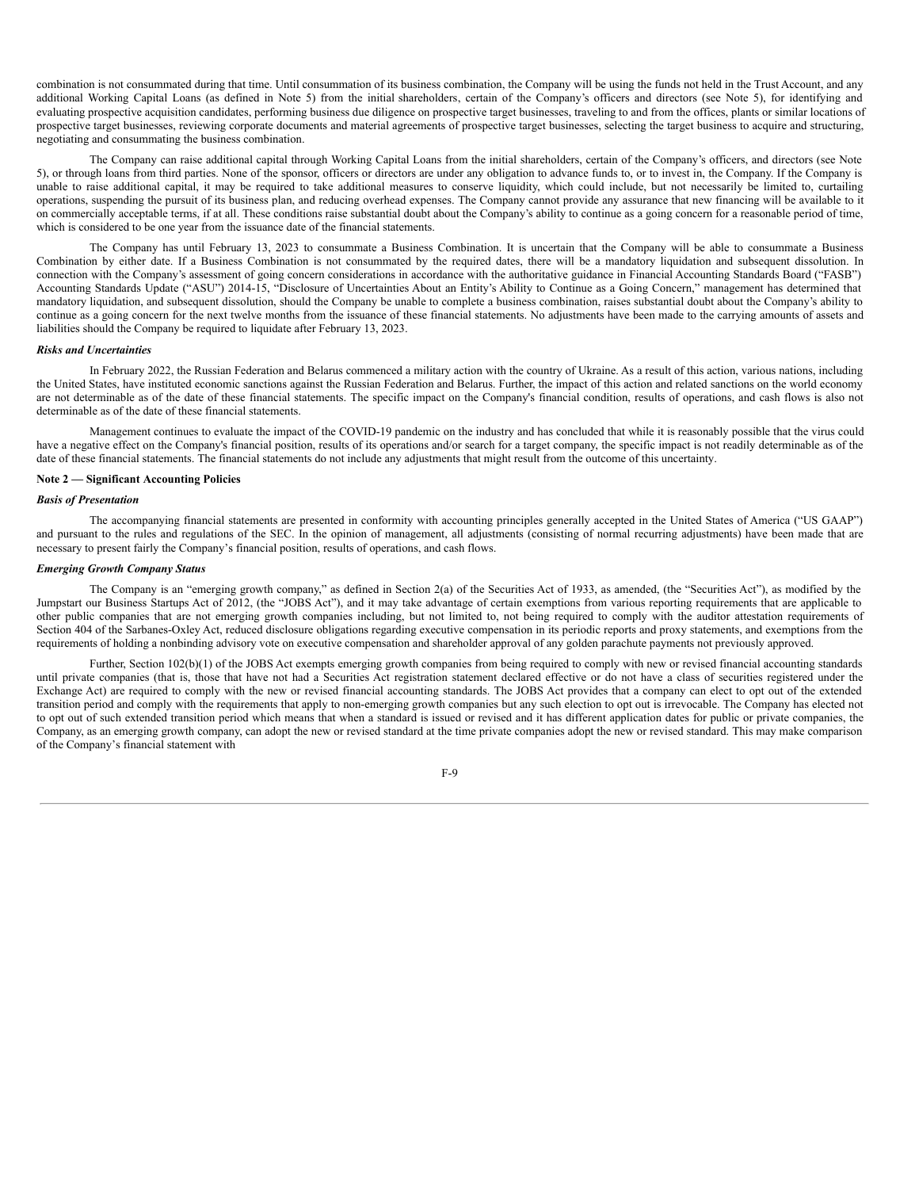combination is not consummated during that time. Until consummation of its business combination, the Company will be using the funds not held in the Trust Account, and any additional Working Capital Loans (as defined in Note 5) from the initial shareholders, certain of the Company's officers and directors (see Note 5), for identifying and evaluating prospective acquisition candidates, performing business due diligence on prospective target businesses, traveling to and from the offices, plants or similar locations of prospective target businesses, reviewing corporate documents and material agreements of prospective target businesses, selecting the target business to acquire and structuring, negotiating and consummating the business combination.

The Company can raise additional capital through Working Capital Loans from the initial shareholders, certain of the Company's officers, and directors (see Note 5), or through loans from third parties. None of the sponsor, officers or directors are under any obligation to advance funds to, or to invest in, the Company. If the Company is unable to raise additional capital, it may be required to take additional measures to conserve liquidity, which could include, but not necessarily be limited to, curtailing operations, suspending the pursuit of its business plan, and reducing overhead expenses. The Company cannot provide any assurance that new financing will be available to it on commercially acceptable terms, if at all. These conditions raise substantial doubt about the Company's ability to continue as a going concern for a reasonable period of time, which is considered to be one year from the issuance date of the financial statements.

The Company has until February 13, 2023 to consummate a Business Combination. It is uncertain that the Company will be able to consummate a Business Combination by either date. If a Business Combination is not consummated by the required dates, there will be a mandatory liquidation and subsequent dissolution. In connection with the Company's assessment of going concern considerations in accordance with the authoritative guidance in Financial Accounting Standards Board ("FASB") Accounting Standards Update ("ASU") 2014-15, "Disclosure of Uncertainties About an Entity's Ability to Continue as a Going Concern," management has determined that mandatory liquidation, and subsequent dissolution, should the Company be unable to complete a business combination, raises substantial doubt about the Company's ability to continue as a going concern for the next twelve months from the issuance of these financial statements. No adjustments have been made to the carrying amounts of assets and liabilities should the Company be required to liquidate after February 13, 2023.

#### *Risks and Uncertainties*

In February 2022, the Russian Federation and Belarus commenced a military action with the country of Ukraine. As a result of this action, various nations, including the United States, have instituted economic sanctions against the Russian Federation and Belarus. Further, the impact of this action and related sanctions on the world economy are not determinable as of the date of these financial statements. The specific impact on the Company's financial condition, results of operations, and cash flows is also not determinable as of the date of these financial statements.

Management continues to evaluate the impact of the COVID-19 pandemic on the industry and has concluded that while it is reasonably possible that the virus could have a negative effect on the Company's financial position, results of its operations and/or search for a target company, the specific impact is not readily determinable as of the date of these financial statements. The financial statements do not include any adjustments that might result from the outcome of this uncertainty.

## **Note 2 — Significant Accounting Policies**

## *Basis of Presentation*

The accompanying financial statements are presented in conformity with accounting principles generally accepted in the United States of America ("US GAAP") and pursuant to the rules and regulations of the SEC. In the opinion of management, all adjustments (consisting of normal recurring adjustments) have been made that are necessary to present fairly the Company's financial position, results of operations, and cash flows.

## *Emerging Growth Company Status*

The Company is an "emerging growth company," as defined in Section 2(a) of the Securities Act of 1933, as amended, (the "Securities Act"), as modified by the Jumpstart our Business Startups Act of 2012, (the "JOBS Act"), and it may take advantage of certain exemptions from various reporting requirements that are applicable to other public companies that are not emerging growth companies including, but not limited to, not being required to comply with the auditor attestation requirements of Section 404 of the Sarbanes-Oxley Act, reduced disclosure obligations regarding executive compensation in its periodic reports and proxy statements, and exemptions from the requirements of holding a nonbinding advisory vote on executive compensation and shareholder approval of any golden parachute payments not previously approved.

Further, Section 102(b)(1) of the JOBS Act exempts emerging growth companies from being required to comply with new or revised financial accounting standards until private companies (that is, those that have not had a Securities Act registration statement declared effective or do not have a class of securities registered under the Exchange Act) are required to comply with the new or revised financial accounting standards. The JOBS Act provides that a company can elect to opt out of the extended transition period and comply with the requirements that apply to non-emerging growth companies but any such election to opt out is irrevocable. The Company has elected not to opt out of such extended transition period which means that when a standard is issued or revised and it has different application dates for public or private companies, the Company, as an emerging growth company, can adopt the new or revised standard at the time private companies adopt the new or revised standard. This may make comparison of the Company's financial statement with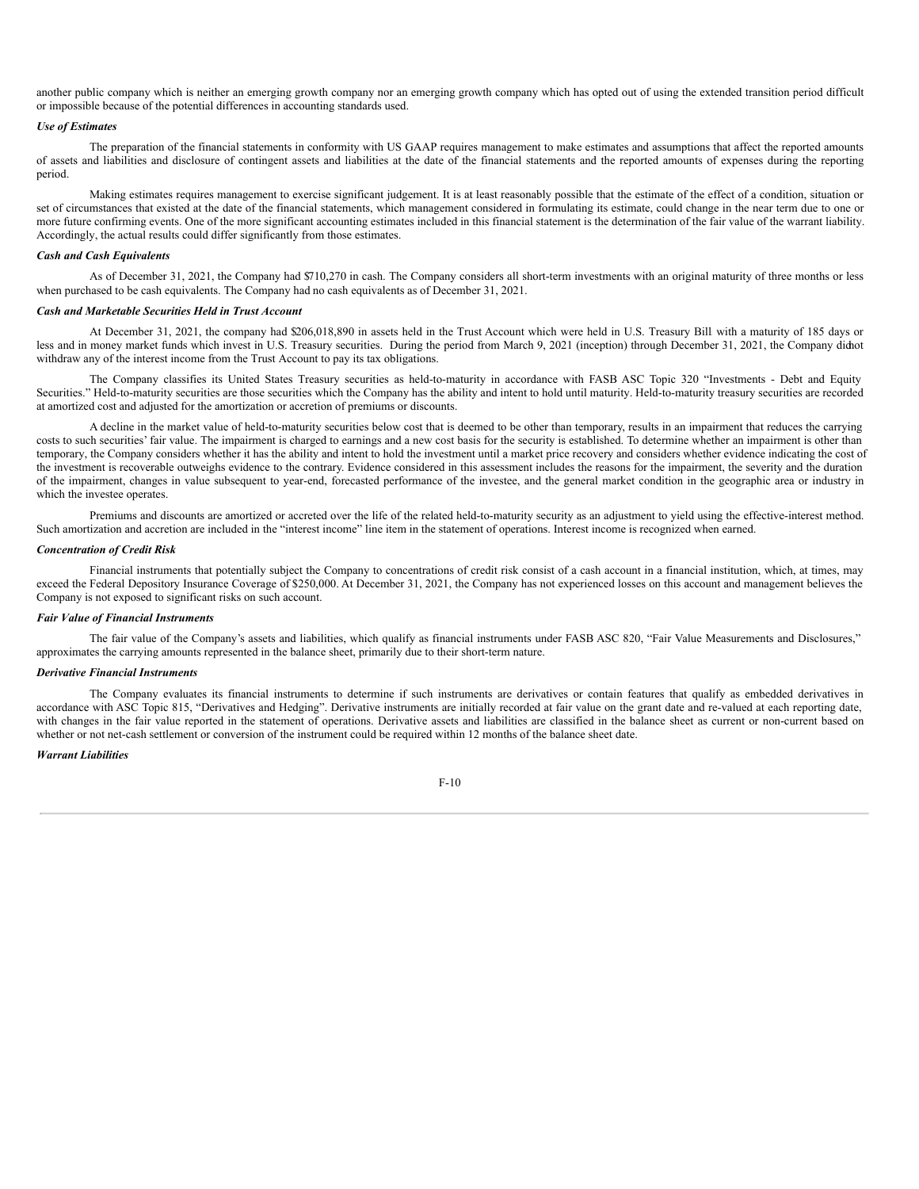another public company which is neither an emerging growth company nor an emerging growth company which has opted out of using the extended transition period difficult or impossible because of the potential differences in accounting standards used.

#### *Use of Estimates*

The preparation of the financial statements in conformity with US GAAP requires management to make estimates and assumptions that affect the reported amounts of assets and liabilities and disclosure of contingent assets and liabilities at the date of the financial statements and the reported amounts of expenses during the reporting period.

Making estimates requires management to exercise significant judgement. It is at least reasonably possible that the estimate of the effect of a condition, situation or set of circumstances that existed at the date of the financial statements, which management considered in formulating its estimate, could change in the near term due to one or more future confirming events. One of the more significant accounting estimates included in this financial statement is the determination of the fair value of the warrant liability. Accordingly, the actual results could differ significantly from those estimates.

#### *Cash and Cash Equivalents*

As of December 31, 2021, the Company had \$710,270 in cash. The Company considers all short-term investments with an original maturity of three months or less when purchased to be cash equivalents. The Company had no cash equivalents as of December 31, 2021.

### *Cash and Marketable Securities Held in Trust Account*

At December 31, 2021, the company had \$206,018,890 in assets held in the Trust Account which were held in U.S. Treasury Bill with a maturity of 185 days or less and in money market funds which invest in U.S. Treasury securities. During the period from March 9, 2021 (inception) through December 31, 2021, the Company didnot withdraw any of the interest income from the Trust Account to pay its tax obligations.

The Company classifies its United States Treasury securities as held-to-maturity in accordance with FASB ASC Topic 320 "Investments - Debt and Equity Securities." Held-to-maturity securities are those securities which the Company has the ability and intent to hold until maturity. Held-to-maturity treasury securities are recorded at amortized cost and adjusted for the amortization or accretion of premiums or discounts.

A decline in the market value of held-to-maturity securities below cost that is deemed to be other than temporary, results in an impairment that reduces the carrying costs to such securities' fair value. The impairment is charged to earnings and a new cost basis for the security is established. To determine whether an impairment is other than temporary, the Company considers whether it has the ability and intent to hold the investment until a market price recovery and considers whether evidence indicating the cost of the investment is recoverable outweighs evidence to the contrary. Evidence considered in this assessment includes the reasons for the impairment, the severity and the duration of the impairment, changes in value subsequent to year-end, forecasted performance of the investee, and the general market condition in the geographic area or industry in which the investee operates.

Premiums and discounts are amortized or accreted over the life of the related held-to-maturity security as an adjustment to yield using the effective-interest method. Such amortization and accretion are included in the "interest income" line item in the statement of operations. Interest income is recognized when earned.

#### *Concentration of Credit Risk*

Financial instruments that potentially subject the Company to concentrations of credit risk consist of a cash account in a financial institution, which, at times, may exceed the Federal Depository Insurance Coverage of \$250,000. At December 31, 2021, the Company has not experienced losses on this account and management believes the Company is not exposed to significant risks on such account.

### *Fair Value of Financial Instruments*

The fair value of the Company's assets and liabilities, which qualify as financial instruments under FASB ASC 820, "Fair Value Measurements and Disclosures," approximates the carrying amounts represented in the balance sheet, primarily due to their short-term nature.

#### *Derivative Financial Instruments*

The Company evaluates its financial instruments to determine if such instruments are derivatives or contain features that qualify as embedded derivatives in accordance with ASC Topic 815, "Derivatives and Hedging". Derivative instruments are initially recorded at fair value on the grant date and re-valued at each reporting date, with changes in the fair value reported in the statement of operations. Derivative assets and liabilities are classified in the balance sheet as current or non-current based on whether or not net-cash settlement or conversion of the instrument could be required within 12 months of the balance sheet date.

#### *Warrant Liabilities*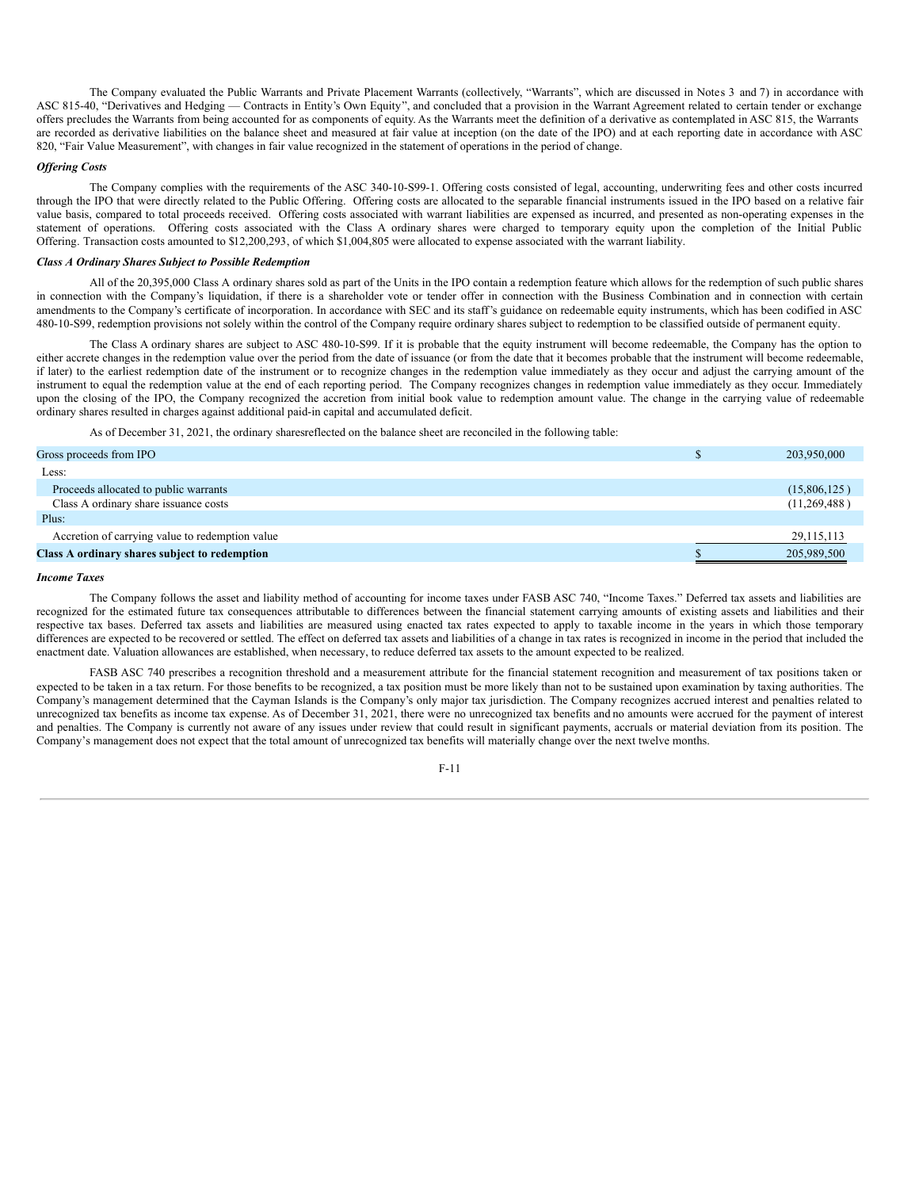The Company evaluated the Public Warrants and Private Placement Warrants (collectively, "Warrants", which are discussed in Notes 3 and 7) in accordance with ASC 815-40, "Derivatives and Hedging — Contracts in Entity's Own Equity", and concluded that a provision in the Warrant Agreement related to certain tender or exchange offers precludes the Warrants from being accounted for as components of equity. As the Warrants meet the definition of a derivative as contemplated in ASC 815, the Warrants are recorded as derivative liabilities on the balance sheet and measured at fair value at inception (on the date of the IPO) and at each reporting date in accordance with ASC 820, "Fair Value Measurement", with changes in fair value recognized in the statement of operations in the period of change.

#### *Of ering Costs*

The Company complies with the requirements of the ASC 340-10-S99-1. Offering costs consisted of legal, accounting, underwriting fees and other costs incurred through the IPO that were directly related to the Public Offering. Offering costs are allocated to the separable financial instruments issued in the IPO based on a relative fair value basis, compared to total proceeds received. Offering costs associated with warrant liabilities are expensed as incurred, and presented as non-operating expenses in the statement of operations. Offering costs associated with the Class A ordinary shares were charged to temporary equity upon the completion of the Initial Public Offering. Transaction costs amounted to \$12,200,293, of which \$1,004,805 were allocated to expense associated with the warrant liability.

#### *Class A Ordinary Shares Subject to Possible Redemption*

All of the 20,395,000 Class A ordinary shares sold as part of the Units in the IPO contain a redemption feature which allows for the redemption of such public shares in connection with the Company's liquidation, if there is a shareholder vote or tender offer in connection with the Business Combination and in connection with certain amendments to the Company's certificate of incorporation. In accordance with SEC and its staff's guidance on redeemable equity instruments, which has been codified in ASC 480-10-S99, redemption provisions not solely within the control of the Company require ordinary shares subject to redemption to be classified outside of permanent equity.

The Class A ordinary shares are subject to ASC 480-10-S99. If it is probable that the equity instrument will become redeemable, the Company has the option to either accrete changes in the redemption value over the period from the date of issuance (or from the date that it becomes probable that the instrument will become redeemable, if later) to the earliest redemption date of the instrument or to recognize changes in the redemption value immediately as they occur and adjust the carrying amount of the instrument to equal the redemption value at the end of each reporting period. The Company recognizes changes in redemption value immediately as they occur. Immediately upon the closing of the IPO, the Company recognized the accretion from initial book value to redemption amount value. The change in the carrying value of redeemable ordinary shares resulted in charges against additional paid-in capital and accumulated deficit.

As of December 31, 2021, the ordinary sharesreflected on the balance sheet are reconciled in the following table:

| Ф | 203,950,000  |
|---|--------------|
|   |              |
|   | (15,806,125) |
|   | (11,269,488) |
|   |              |
|   | 29,115,113   |
|   | 205,989,500  |
|   |              |

#### *Income Taxes*

The Company follows the asset and liability method of accounting for income taxes under FASB ASC 740, "Income Taxes." Deferred tax assets and liabilities are recognized for the estimated future tax consequences attributable to differences between the financial statement carrying amounts of existing assets and liabilities and their respective tax bases. Deferred tax assets and liabilities are measured using enacted tax rates expected to apply to taxable income in the years in which those temporary differences are expected to be recovered or settled. The effect on deferred tax assets and liabilities of a change in tax rates is recognized in income in the period that included the enactment date. Valuation allowances are established, when necessary, to reduce deferred tax assets to the amount expected to be realized.

FASB ASC 740 prescribes a recognition threshold and a measurement attribute for the financial statement recognition and measurement of tax positions taken or expected to be taken in a tax return. For those benefits to be recognized, a tax position must be more likely than not to be sustained upon examination by taxing authorities. The Company's management determined that the Cayman Islands is the Company's only major tax jurisdiction. The Company recognizes accrued interest and penalties related to unrecognized tax benefits as income tax expense. As of December 31, 2021, there were no unrecognized tax benefits and no amounts were accrued for the payment of interest and penalties. The Company is currently not aware of any issues under review that could result in significant payments, accruals or material deviation from its position. The Company's management does not expect that the total amount of unrecognized tax benefits will materially change over the next twelve months.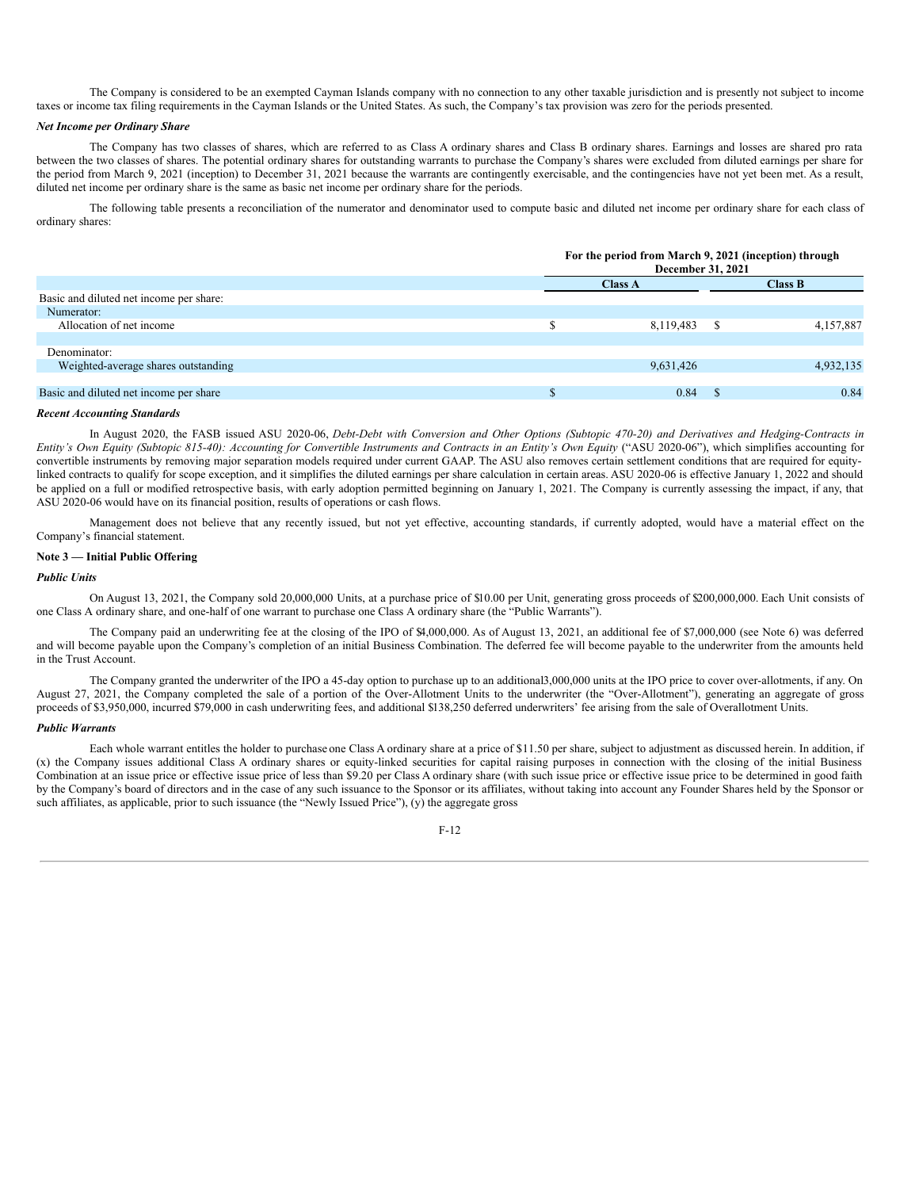The Company is considered to be an exempted Cayman Islands company with no connection to any other taxable jurisdiction and is presently not subject to income taxes or income tax filing requirements in the Cayman Islands or the United States. As such, the Company's tax provision was zero for the periods presented.

## *Net Income per Ordinary Share*

The Company has two classes of shares, which are referred to as Class A ordinary shares and Class B ordinary shares. Earnings and losses are shared pro rata between the two classes of shares. The potential ordinary shares for outstanding warrants to purchase the Company's shares were excluded from diluted earnings per share for the period from March 9, 2021 (inception) to December 31, 2021 because the warrants are contingently exercisable, and the contingencies have not yet been met. As a result, diluted net income per ordinary share is the same as basic net income per ordinary share for the periods.

The following table presents a reconciliation of the numerator and denominator used to compute basic and diluted net income per ordinary share for each class of ordinary shares:

|                                         | For the period from March 9, 2021 (inception) through<br>December 31, 2021 |           |    |           |
|-----------------------------------------|----------------------------------------------------------------------------|-----------|----|-----------|
|                                         | <b>Class A</b>                                                             |           |    | Class B   |
| Basic and diluted net income per share: |                                                                            |           |    |           |
| Numerator:                              |                                                                            |           |    |           |
| Allocation of net income                |                                                                            | 8,119,483 | -S | 4,157,887 |
|                                         |                                                                            |           |    |           |
| Denominator:                            |                                                                            |           |    |           |
| Weighted-average shares outstanding     |                                                                            | 9,631,426 |    | 4,932,135 |
|                                         |                                                                            |           |    |           |
| Basic and diluted net income per share  |                                                                            | 0.84      | -S | 0.84      |
|                                         |                                                                            |           |    |           |

#### *Recent Accounting Standards*

In August 2020, the FASB issued ASU 2020-06, Debt-Debt with Conversion and Other Options (Subtopic 470-20) and Derivatives and Hedging-Contracts in Entity's Own Equity (Subtopic 815-40): Accounting for Convertible Instruments and Contracts in an Entity's Own Equity ("ASU 2020-06"), which simplifies accounting for convertible instruments by removing major separation models required under current GAAP. The ASU also removes certain settlement conditions that are required for equitylinked contracts to qualify for scope exception, and it simplifies the diluted earnings per share calculation in certain areas. ASU 2020-06 is effective January 1, 2022 and should be applied on a full or modified retrospective basis, with early adoption permitted beginning on January 1, 2021. The Company is currently assessing the impact, if any, that ASU 2020-06 would have on its financial position, results of operations or cash flows.

Management does not believe that any recently issued, but not yet effective, accounting standards, if currently adopted, would have a material effect on the Company's financial statement.

#### **Note 3 — Initial Public Offering**

#### *Public Units*

On August 13, 2021, the Company sold 20,000,000 Units, at a purchase price of \$10.00 per Unit, generating gross proceeds of \$200,000,000. Each Unit consists of one Class A ordinary share, and one-half of one warrant to purchase one Class A ordinary share (the "Public Warrants").

The Company paid an underwriting fee at the closing of the IPO of \$4,000,000. As of August 13, 2021, an additional fee of \$7,000,000 (see Note 6) was deferred and will become payable upon the Company's completion of an initial Business Combination. The deferred fee will become payable to the underwriter from the amounts held in the Trust Account.

The Company granted the underwriter of the IPO a 45-day option to purchase up to an additional3,000,000 units at the IPO price to cover over-allotments, if any. On August 27, 2021, the Company completed the sale of a portion of the Over-Allotment Units to the underwriter (the "Over-Allotment"), generating an aggregate of gross proceeds of \$3,950,000, incurred \$79,000 in cash underwriting fees, and additional \$138,250 deferred underwriters' fee arising from the sale of Overallotment Units.

#### *Public Warrants*

Each whole warrant entitles the holder to purchase one Class A ordinary share at a price of \$11.50 per share, subject to adjustment as discussed herein. In addition, if (x) the Company issues additional Class A ordinary shares or equity-linked securities for capital raising purposes in connection with the closing of the initial Business Combination at an issue price or effective issue price of less than \$9.20 per Class A ordinary share (with such issue price or effective issue price to be determined in good faith by the Company's board of directors and in the case of any such issuance to the Sponsor or its affiliates, without taking into account any Founder Shares held by the Sponsor or such affiliates, as applicable, prior to such issuance (the "Newly Issued Price"), (y) the aggregate gross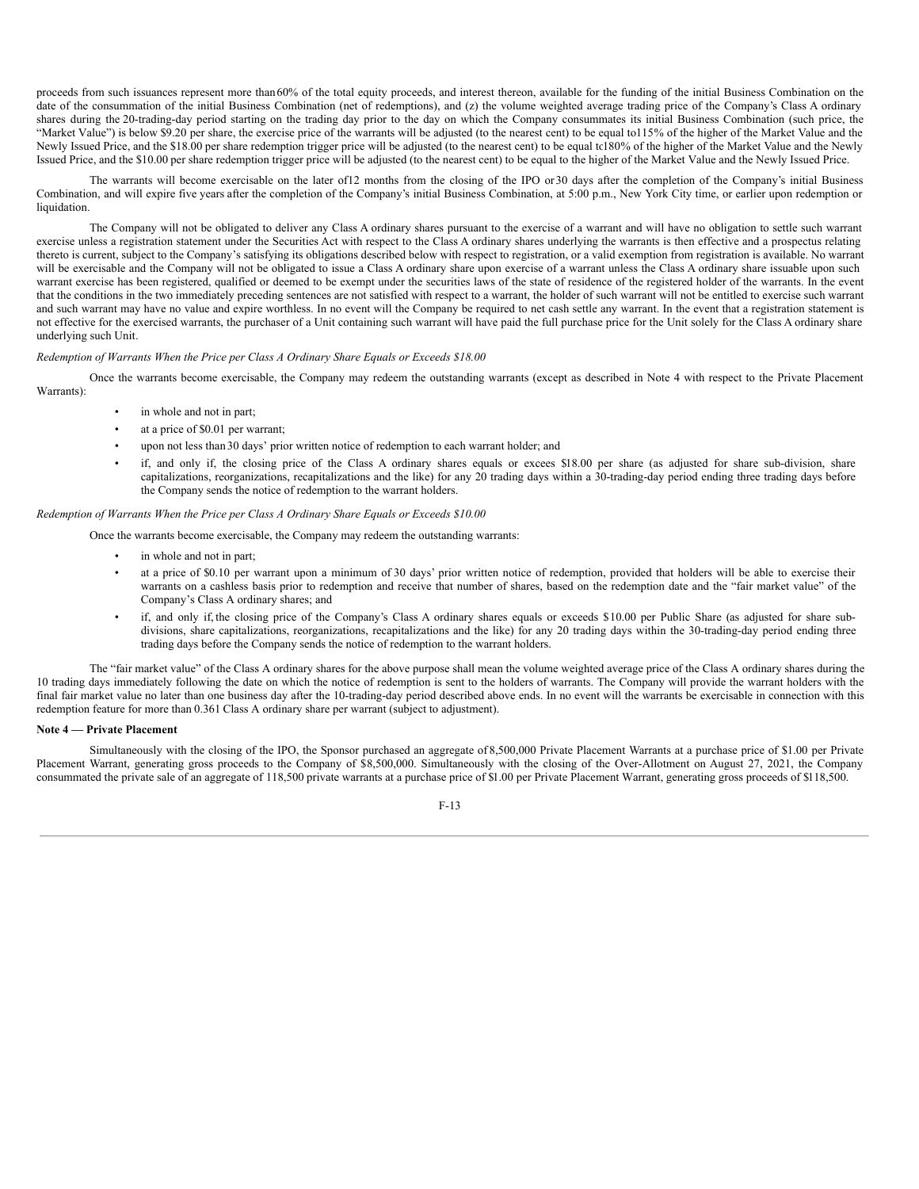proceeds from such issuances represent more than60% of the total equity proceeds, and interest thereon, available for the funding of the initial Business Combination on the date of the consummation of the initial Business Combination (net of redemptions), and (z) the volume weighted average trading price of the Company's Class A ordinary shares during the 20-trading-day period starting on the trading day prior to the day on which the Company consummates its initial Business Combination (such price, the "Market Value") is below \$9.20 per share, the exercise price of the warrants will be adjusted (to the nearest cent) to be equal to115% of the higher of the Market Value and the Newly Issued Price, and the \$18.00 per share redemption trigger price will be adjusted (to the nearest cent) to be equal to 180% of the higher of the Market Value and the Newly Issued Price, and the \$10.00 per share redemption trigger price will be adjusted (to the nearest cent) to be equal to the higher of the Market Value and the Newly Issued Price.

The warrants will become exercisable on the later of12 months from the closing of the IPO or 30 days after the completion of the Company's initial Business Combination, and will expire five years after the completion of the Company's initial Business Combination, at 5:00 p.m., New York City time, or earlier upon redemption or liquidation.

The Company will not be obligated to deliver any Class A ordinary shares pursuant to the exercise of a warrant and will have no obligation to settle such warrant exercise unless a registration statement under the Securities Act with respect to the Class A ordinary shares underlying the warrants is then effective and a prospectus relating thereto is current, subject to the Company's satisfying its obligations described below with respect to registration, or a valid exemption from registration is available. No warrant will be exercisable and the Company will not be obligated to issue a Class A ordinary share upon exercise of a warrant unless the Class A ordinary share issuable upon such warrant exercise has been registered, qualified or deemed to be exempt under the securities laws of the state of residence of the registered holder of the warrants. In the event that the conditions in the two immediately preceding sentences are not satisfied with respect to a warrant, the holder of such warrant will not be entitled to exercise such warrant and such warrant may have no value and expire worthless. In no event will the Company be required to net cash settle any warrant. In the event that a registration statement is not effective for the exercised warrants, the purchaser of a Unit containing such warrant will have paid the full purchase price for the Unit solely for the Class A ordinary share underlying such Unit.

#### *Redemption of Warrants When the Price per Class A Ordinary Share Equals or Exceeds \$18.00*

Once the warrants become exercisable, the Company may redeem the outstanding warrants (except as described in Note 4 with respect to the Private Placement Warrants):

- in whole and not in part;
- at a price of \$0.01 per warrant;
- upon not less than 30 days' prior written notice of redemption to each warrant holder; and
- if, and only if, the closing price of the Class A ordinary shares equals or excees \$18.00 per share (as adjusted for share sub-division, share capitalizations, reorganizations, recapitalizations and the like) for any 20 trading days within a 30-trading-day period ending three trading days before the Company sends the notice of redemption to the warrant holders.

#### *Redemption of Warrants When the Price per Class A Ordinary Share Equals or Exceeds \$10.00*

Once the warrants become exercisable, the Company may redeem the outstanding warrants:

- in whole and not in part:
- at a price of \$0.10 per warrant upon a minimum of 30 days' prior written notice of redemption, provided that holders will be able to exercise their warrants on a cashless basis prior to redemption and receive that number of shares, based on the redemption date and the "fair market value" of the Company's Class A ordinary shares; and
- if, and only if, the closing price of the Company's Class A ordinary shares equals or exceeds \$10.00 per Public Share (as adjusted for share subdivisions, share capitalizations, reorganizations, recapitalizations and the like) for any 20 trading days within the 30-trading-day period ending three trading days before the Company sends the notice of redemption to the warrant holders.

The "fair market value" of the Class A ordinary shares for the above purpose shall mean the volume weighted average price of the Class A ordinary shares during the 10 trading days immediately following the date on which the notice of redemption is sent to the holders of warrants. The Company will provide the warrant holders with the final fair market value no later than one business day after the 10-trading-day period described above ends. In no event will the warrants be exercisable in connection with this redemption feature for more than 0.361 Class A ordinary share per warrant (subject to adjustment).

### **Note 4 — Private Placement**

Simultaneously with the closing of the IPO, the Sponsor purchased an aggregate of 8,500,000 Private Placement Warrants at a purchase price of \$1.00 per Private Placement Warrant, generating gross proceeds to the Company of \$8,500,000. Simultaneously with the closing of the Over-Allotment on August 27, 2021, the Company consummated the private sale of an aggregate of 118,500 private warrants at a purchase price of \$1.00 per Private Placement Warrant, generating gross proceeds of \$118,500.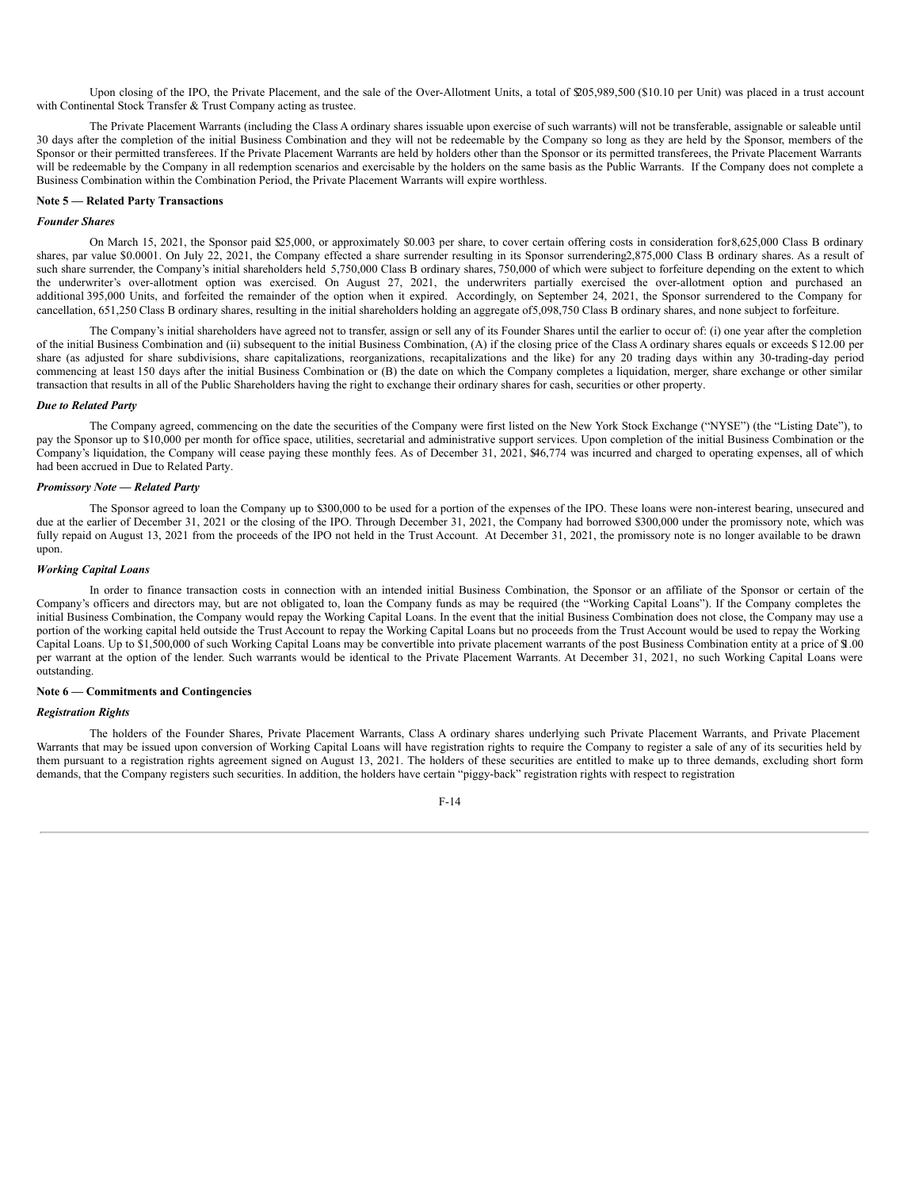Upon closing of the IPO, the Private Placement, and the sale of the Over-Allotment Units, a total of \$205,989,500 (\$10.10 per Unit) was placed in a trust account with Continental Stock Transfer & Trust Company acting as trustee.

The Private Placement Warrants (including the Class A ordinary shares issuable upon exercise of such warrants) will not be transferable, assignable or saleable until 30 days after the completion of the initial Business Combination and they will not be redeemable by the Company so long as they are held by the Sponsor, members of the Sponsor or their permitted transferees. If the Private Placement Warrants are held by holders other than the Sponsor or its permitted transferees, the Private Placement Warrants will be redeemable by the Company in all redemption scenarios and exercisable by the holders on the same basis as the Public Warrants. If the Company does not complete a Business Combination within the Combination Period, the Private Placement Warrants will expire worthless.

## **Note 5 — Related Party Transactions**

## *Founder Shares*

On March 15, 2021, the Sponsor paid \$25,000, or approximately \$0.003 per share, to cover certain offering costs in consideration for8,625,000 Class B ordinary shares, par value \$0.0001. On July 22, 2021, the Company effected a share surrender resulting in its Sponsor surrendering2,875,000 Class B ordinary shares. As a result of such share surrender, the Company's initial shareholders held 5,750,000 Class B ordinary shares, 750,000 of which were subject to forfeiture depending on the extent to which the underwriter's over-allotment option was exercised. On August 27, 2021, the underwriters partially exercised the over-allotment option and purchased an additional 395,000 Units, and forfeited the remainder of the option when it expired. Accordingly, on September 24, 2021, the Sponsor surrendered to the Company for cancellation, 651,250 Class B ordinary shares, resulting in the initial shareholders holding an aggregate of5,098,750 Class B ordinary shares, and none subject to forfeiture.

The Company's initial shareholders have agreed not to transfer, assign or sell any of its Founder Shares until the earlier to occur of: (i) one year after the completion of the initial Business Combination and (ii) subsequent to the initial Business Combination, (A) if the closing price of the Class A ordinary shares equals or exceeds \$ 12.00 per share (as adjusted for share subdivisions, share capitalizations, recapitalizations, recapitalizations and the like) for any 20 trading days within any 30-trading-day period commencing at least 150 days after the initial Business Combination or (B) the date on which the Company completes a liquidation, merger, share exchange or other similar transaction that results in all of the Public Shareholders having the right to exchange their ordinary shares for cash, securities or other property.

#### *Due to Related Party*

The Company agreed, commencing on the date the securities of the Company were first listed on the New York Stock Exchange ("NYSE") (the "Listing Date"), to pay the Sponsor up to \$10,000 per month for office space, utilities, secretarial and administrative support services. Upon completion of the initial Business Combination or the Company's liquidation, the Company will cease paying these monthly fees. As of December 31, 2021, \$46,774 was incurred and charged to operating expenses, all of which had been accrued in Due to Related Party.

## *Promissory Note — Related Party*

The Sponsor agreed to loan the Company up to \$300,000 to be used for a portion of the expenses of the IPO. These loans were non-interest bearing, unsecured and due at the earlier of December 31, 2021 or the closing of the IPO. Through December 31, 2021, the Company had borrowed \$300,000 under the promissory note, which was fully repaid on August 13, 2021 from the proceeds of the IPO not held in the Trust Account. At December 31, 2021, the promissory note is no longer available to be drawn upon.

#### *Working Capital Loans*

In order to finance transaction costs in connection with an intended initial Business Combination, the Sponsor or an affiliate of the Sponsor or certain of the Company's officers and directors may, but are not obligated to, loan the Company funds as may be required (the "Working Capital Loans"). If the Company completes the initial Business Combination, the Company would repay the Working Capital Loans. In the event that the initial Business Combination does not close, the Company may use a portion of the working capital held outside the Trust Account to repay the Working Capital Loans but no proceeds from the Trust Account would be used to repay the Working Capital Loans. Up to \$1,500,000 of such Working Capital Loans may be convertible into private placement warrants of the post Business Combination entity at a price of \$1.00 per warrant at the option of the lender. Such warrants would be identical to the Private Placement Warrants. At December 31, 2021, no such Working Capital Loans were outstanding.

# **Note 6 — Commitments and Contingencies**

## *Registration Rights*

The holders of the Founder Shares, Private Placement Warrants, Class A ordinary shares underlying such Private Placement Warrants, and Private Placement Warrants that may be issued upon conversion of Working Capital Loans will have registration rights to require the Company to register a sale of any of its securities held by them pursuant to a registration rights agreement signed on August 13, 2021. The holders of these securities are entitled to make up to three demands, excluding short form demands, that the Company registers such securities. In addition, the holders have certain "piggy-back" registration rights with respect to registration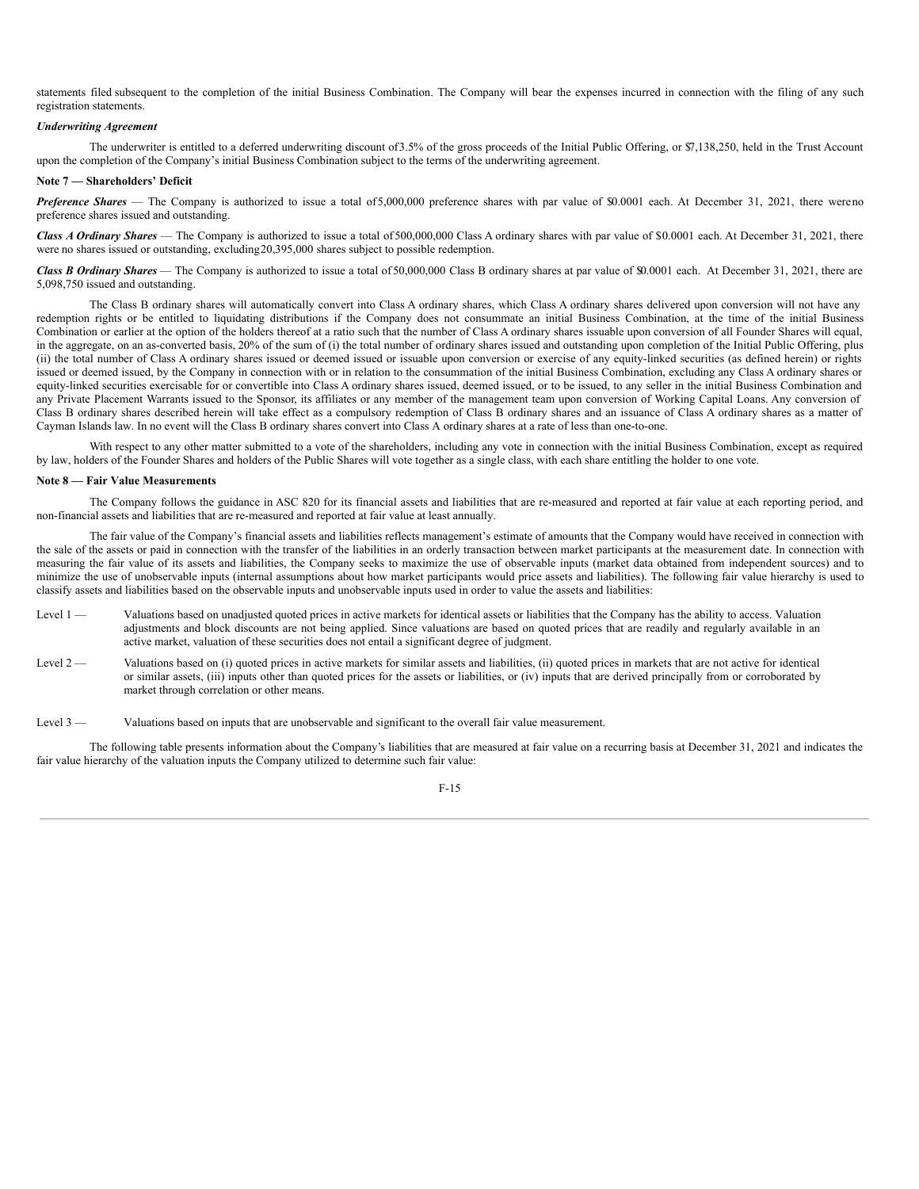statements filed subsequent to the completion of the initial Business Combination. The Company will bear the expenses incurred in connection with the filing of any such registration statements.

#### *Underwriting Agreement*

The underwriter is entitled to a deferred underwriting discount of 3.5% of the gross proceeds of the Initial Public Offering, or \$7,138,250, held in the Trust Account upon the completion of the Company's initial Business Combination subject to the terms of the underwriting agreement.

#### **Note 7 — Shareholders' Deficit**

*Preference Shares* — The Company is authorized to issue a total of5,000,000 preference shares with par value of \$0.0001 each. At December 31, 2021, there wereno preference shares issued and outstanding.

*Class A Ordinary Shares* — The Company is authorized to issue a total of 500,000,000 Class A ordinary shares with par value of \$0.0001 each. At December 31, 2021, there were no shares issued or outstanding, excluding20,395,000 shares subject to possible redemption.

*Class B Ordinary Shares* — The Company is authorized to issue a total of 50,000,000 Class B ordinary shares at par value of \$0.0001 each. At December 31, 2021, there are 5,098,750 issued and outstanding.

The Class B ordinary shares will automatically convert into Class A ordinary shares, which Class A ordinary shares delivered upon conversion will not have any redemption rights or be entitled to liquidating distributions if the Company does not consummate an initial Business Combination, at the time of the initial Business Combination or earlier at the option of the holders thereof at a ratio such that the number of Class A ordinary shares issuable upon conversion of all Founder Shares will equal, in the aggregate, on an as-converted basis, 20% of the sum of (i) the total number of ordinary shares issued and outstanding upon completion of the Initial Public Offering, plus (ii) the total number of Class A ordinary shares issued or deemed issued or issuable upon conversion or exercise of any equity-linked securities (as defined herein) or rights issued or deemed issued, by the Company in connection with or in relation to the consummation of the initial Business Combination, excluding any Class A ordinary shares or equity-linked securities exercisable for or convertible into Class A ordinary shares issued, deemed issued, or to be issued, to any seller in the initial Business Combination and any Private Placement Warrants issued to the Sponsor, its affiliates or any member of the management team upon conversion of Working Capital Loans. Any conversion of Class B ordinary shares described herein will take effect as a compulsory redemption of Class B ordinary shares and an issuance of Class A ordinary shares as a matter of Cayman Islands law. In no event will the Class B ordinary shares convert into Class A ordinary shares at a rate of less than one-to-one.

With respect to any other matter submitted to a vote of the shareholders, including any vote in connection with the initial Business Combination, except as required by law, holders of the Founder Shares and holders of the Public Shares will vote together as a single class, with each share entitling the holder to one vote.

#### **Note 8 — Fair Value Measurements**

The Company follows the guidance in ASC 820 for its financial assets and liabilities that are re-measured and reported at fair value at each reporting period, and non-financial assets and liabilities that are re-measured and reported at fair value at least annually.

The fair value of the Company's financial assets and liabilities reflects management's estimate of amounts that the Company would have received in connection with the sale of the assets or paid in connection with the transfer of the liabilities in an orderly transaction between market participants at the measurement date. In connection with measuring the fair value of its assets and liabilities, the Company seeks to maximize the use of observable inputs (market data obtained from independent sources) and to minimize the use of unobservable inputs (internal assumptions about how market participants would price assets and liabilities). The following fair value hierarchy is used to classify assets and liabilities based on the observable inputs and unobservable inputs used in order to value the assets and liabilities:

- Level 1 Valuations based on unadjusted quoted prices in active markets for identical assets or liabilities that the Company has the ability to access. Valuation adjustments and block discounts are not being applied. Since valuations are based on quoted prices that are readily and regularly available in an active market, valuation of these securities does not entail a significant degree of judgment.
- Level  $2$  Valuations based on (i) quoted prices in active markets for similar assets and liabilities, (ii) quoted prices in markets that are not active for identical or similar assets, (iii) inputs other than quoted prices for the assets or liabilities, or (iv) inputs that are derived principally from or corroborated by market through correlation or other means.

Level 3 — Valuations based on inputs that are unobservable and significant to the overall fair value measurement.

The following table presents information about the Company's liabilities that are measured at fair value on a recurring basis at December 31, 2021 and indicates the fair value hierarchy of the valuation inputs the Company utilized to determine such fair value:

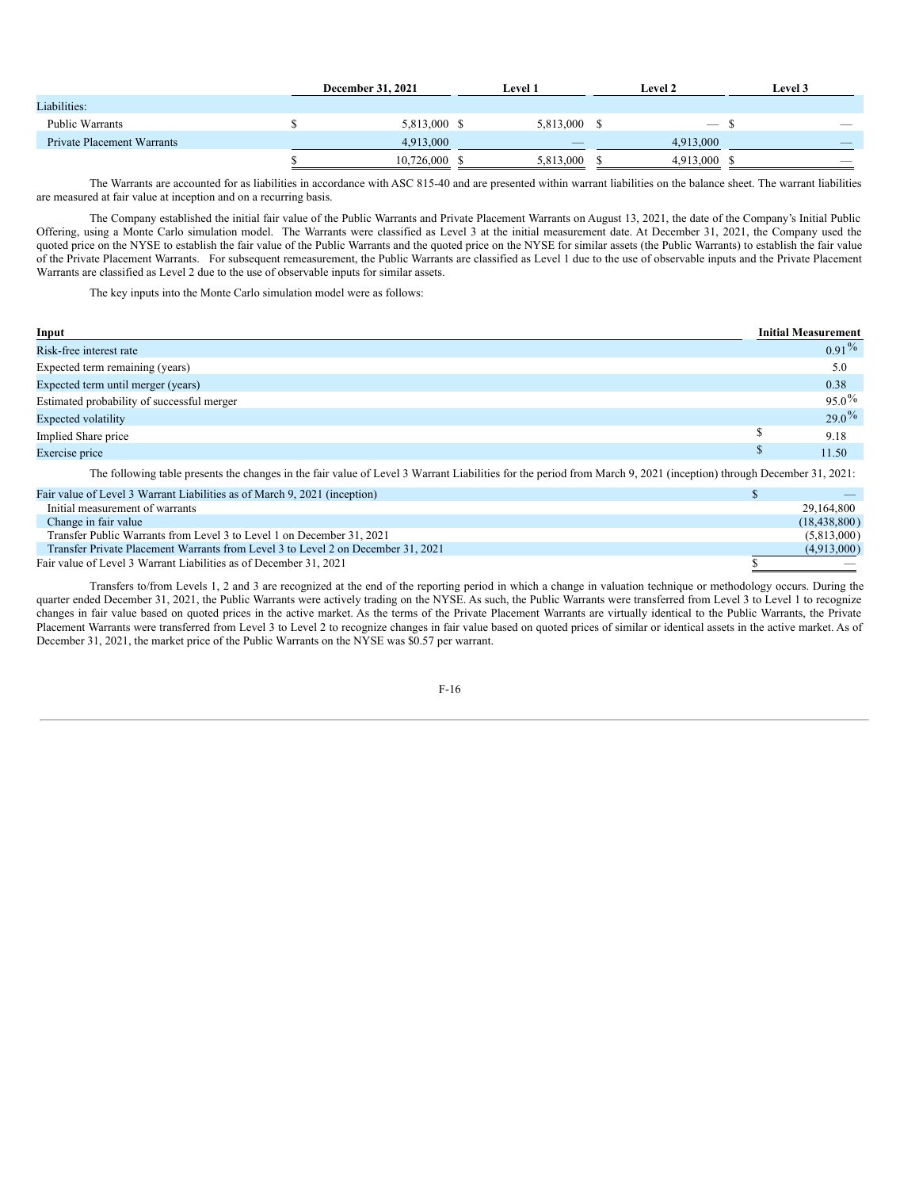|                                   | <b>December 31, 2021</b> | <b>Level 1</b>           | <b>Level 2</b> | Level 3                  |
|-----------------------------------|--------------------------|--------------------------|----------------|--------------------------|
| Liabilities:                      |                          |                          |                |                          |
| <b>Public Warrants</b>            | 5,813,000 \$             | 5,813,000                |                | $\sim$                   |
| <b>Private Placement Warrants</b> | 4.913.000                | $\overline{\phantom{a}}$ | 4.913.000      | $\overline{\phantom{a}}$ |
|                                   | 10,726,000               | 5,813,000                | 4,913,000      | $\sim$                   |

The Warrants are accounted for as liabilities in accordance with ASC 815-40 and are presented within warrant liabilities on the balance sheet. The warrant liabilities are measured at fair value at inception and on a recurring basis.

The Company established the initial fair value of the Public Warrants and Private Placement Warrants on August 13, 2021, the date of the Company's Initial Public Offering, using a Monte Carlo simulation model. The Warrants were classified as Level 3 at the initial measurement date. At December 31, 2021, the Company used the quoted price on the NYSE to establish the fair value of the Public Warrants and the quoted price on the NYSE for similar assets (the Public Warrants) to establish the fair value of the Private Placement Warrants. For subsequent remeasurement, the Public Warrants are classified as Level 1 due to the use of observable inputs and the Private Placement Warrants are classified as Level 2 due to the use of observable inputs for similar assets.

The key inputs into the Monte Carlo simulation model were as follows:

| Input                                      | <b>Initial Measurement</b> |          |
|--------------------------------------------|----------------------------|----------|
| Risk-free interest rate                    |                            | $0.91\%$ |
| Expected term remaining (years)            |                            | 5.0      |
| Expected term until merger (years)         |                            | 0.38     |
| Estimated probability of successful merger |                            | $95.0\%$ |
| <b>Expected volatility</b>                 |                            | $29.0\%$ |
| Implied Share price                        |                            | 9.18     |
| Exercise price                             |                            | 11.50    |

The following table presents the changes in the fair value of Level 3 Warrant Liabilities for the period from March 9, 2021 (inception) through December 31, 2021:

| Fair value of Level 3 Warrant Liabilities as of March 9, 2021 (inception)        |                |
|----------------------------------------------------------------------------------|----------------|
| Initial measurement of warrants                                                  | 29,164,800     |
| Change in fair value                                                             | (18, 438, 800) |
| Transfer Public Warrants from Level 3 to Level 1 on December 31, 2021            | (5.813.000)    |
| Transfer Private Placement Warrants from Level 3 to Level 2 on December 31, 2021 | (4,913,000)    |
| Fair value of Level 3 Warrant Liabilities as of December 31, 2021                |                |

Transfers to/from Levels 1, 2 and 3 are recognized at the end of the reporting period in which a change in valuation technique or methodology occurs. During the quarter ended December 31, 2021, the Public Warrants were actively trading on the NYSE. As such, the Public Warrants were transferred from Level 3 to Level 1 to recognize changes in fair value based on quoted prices in the active market. As the terms of the Private Placement Warrants are virtually identical to the Public Warrants, the Private Placement Warrants were transferred from Level 3 to Level 2 to recognize changes in fair value based on quoted prices of similar or identical assets in the active market. As of December 31, 2021, the market price of the Public Warrants on the NYSE was \$0.57 per warrant.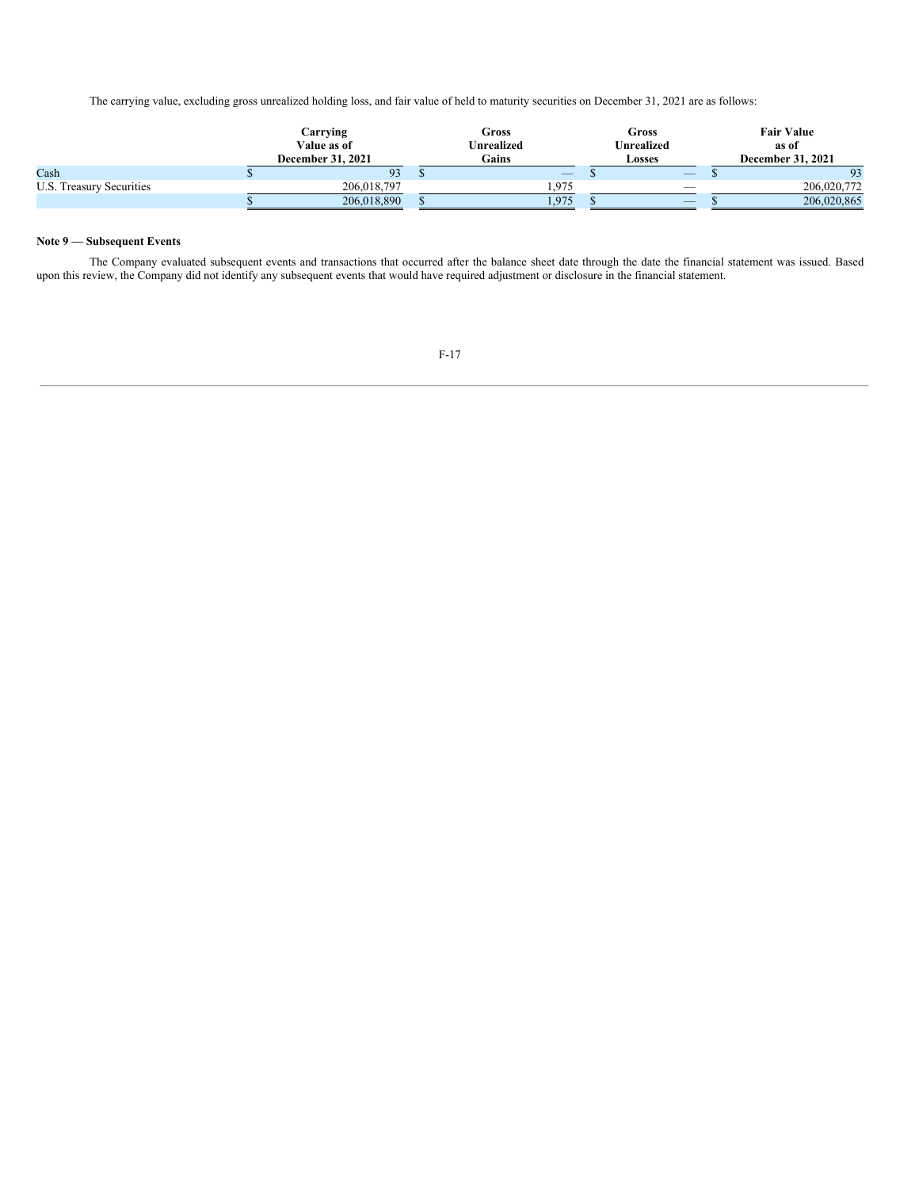The carrying value, excluding gross unrealized holding loss, and fair value of held to maturity securities on December 31, 2021 are as follows:

|                          | Carrying<br>Value as of<br>December 31, 2021 |  | Gross<br>Unrealized<br>Gains |  | Gross<br>Unrealized<br>Losses |  | <b>Fair Value</b><br>as of<br><b>December 31, 2021</b> |  |
|--------------------------|----------------------------------------------|--|------------------------------|--|-------------------------------|--|--------------------------------------------------------|--|
| Cash                     | 93                                           |  | $\overline{\phantom{a}}$     |  | $\overline{\phantom{a}}$      |  | 93                                                     |  |
| U.S. Treasury Securities | 206,018,797                                  |  | .975                         |  |                               |  | 206,020,772                                            |  |
|                          | 206,018,890                                  |  | 1.975                        |  |                               |  | 206,020,865                                            |  |

# **Note 9 — Subsequent Events**

The Company evaluated subsequent events and transactions that occurred after the balance sheet date through the date the financial statement was issued. Based upon this review, the Company did not identify any subsequent events that would have required adjustment or disclosure in the financial statement.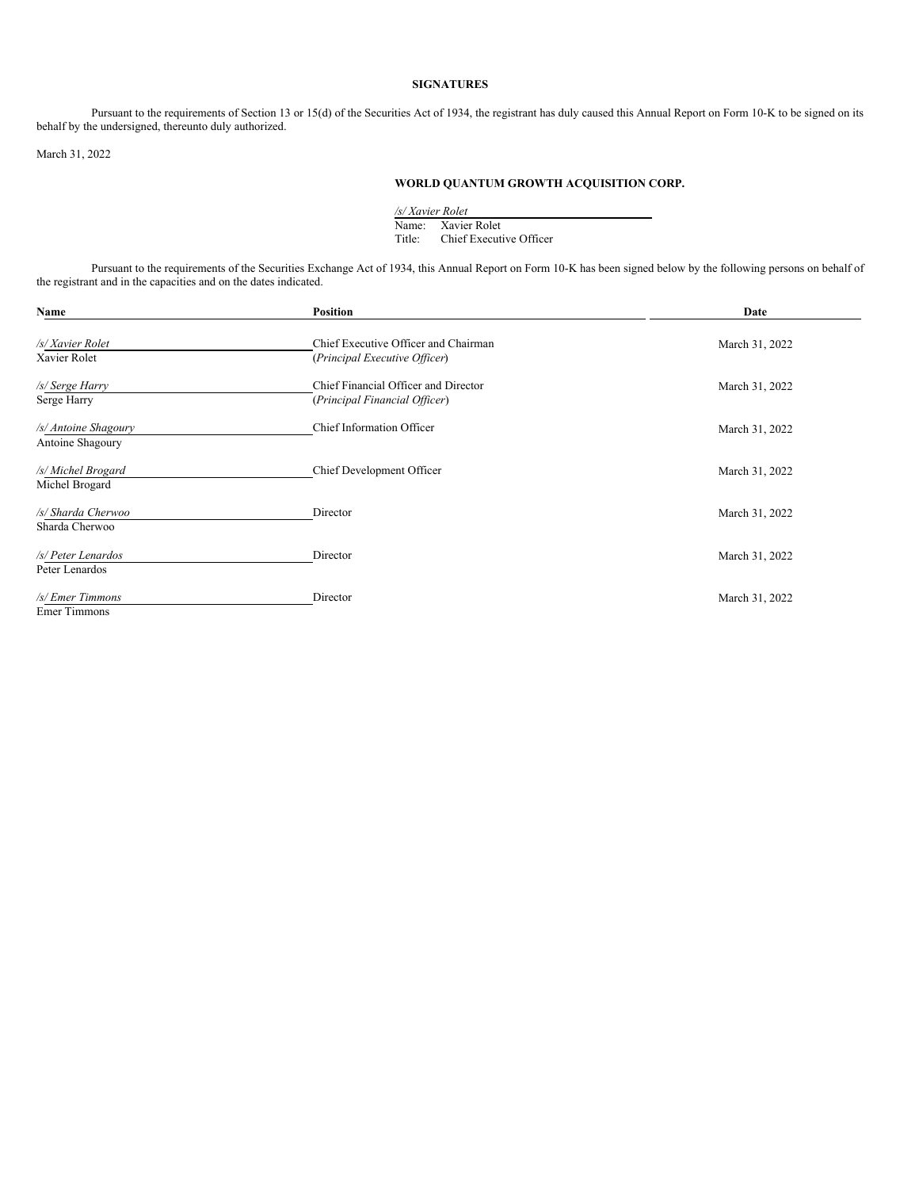# **SIGNATURES**

Pursuant to the requirements of Section 13 or 15(d) of the Securities Act of 1934, the registrant has duly caused this Annual Report on Form 10-K to be signed on its behalf by the undersigned, thereunto duly authorized.

March 31, 2022

# **WORLD QUANTUM GROWTH ACQUISITION CORP.**

*/s/ Xavier Rolet* Name: Xavier Rolet<br>Title: Chief Executi Chief Executive Officer

Pursuant to the requirements of the Securities Exchange Act of 1934, this Annual Report on Form 10-K has been signed below by the following persons on behalf of the registrant and in the capacities and on the dates indicated.

| <b>Position</b><br>Name                  |                                                                       | Date           |
|------------------------------------------|-----------------------------------------------------------------------|----------------|
| /s/ Xavier Rolet<br>Xavier Rolet         | Chief Executive Officer and Chairman<br>(Principal Executive Officer) | March 31, 2022 |
| /s/ Serge Harry<br>Serge Harry           | Chief Financial Officer and Director<br>(Principal Financial Officer) | March 31, 2022 |
| /s/ Antoine Shagoury<br>Antoine Shagoury | Chief Information Officer                                             | March 31, 2022 |
| /s/ Michel Brogard<br>Michel Brogard     | Chief Development Officer                                             | March 31, 2022 |
| /s/ Sharda Cherwoo<br>Sharda Cherwoo     | Director                                                              | March 31, 2022 |
| /s/ Peter Lenardos<br>Peter Lenardos     | Director                                                              | March 31, 2022 |
| /s/ Emer Timmons<br><b>Emer Timmons</b>  | Director                                                              | March 31, 2022 |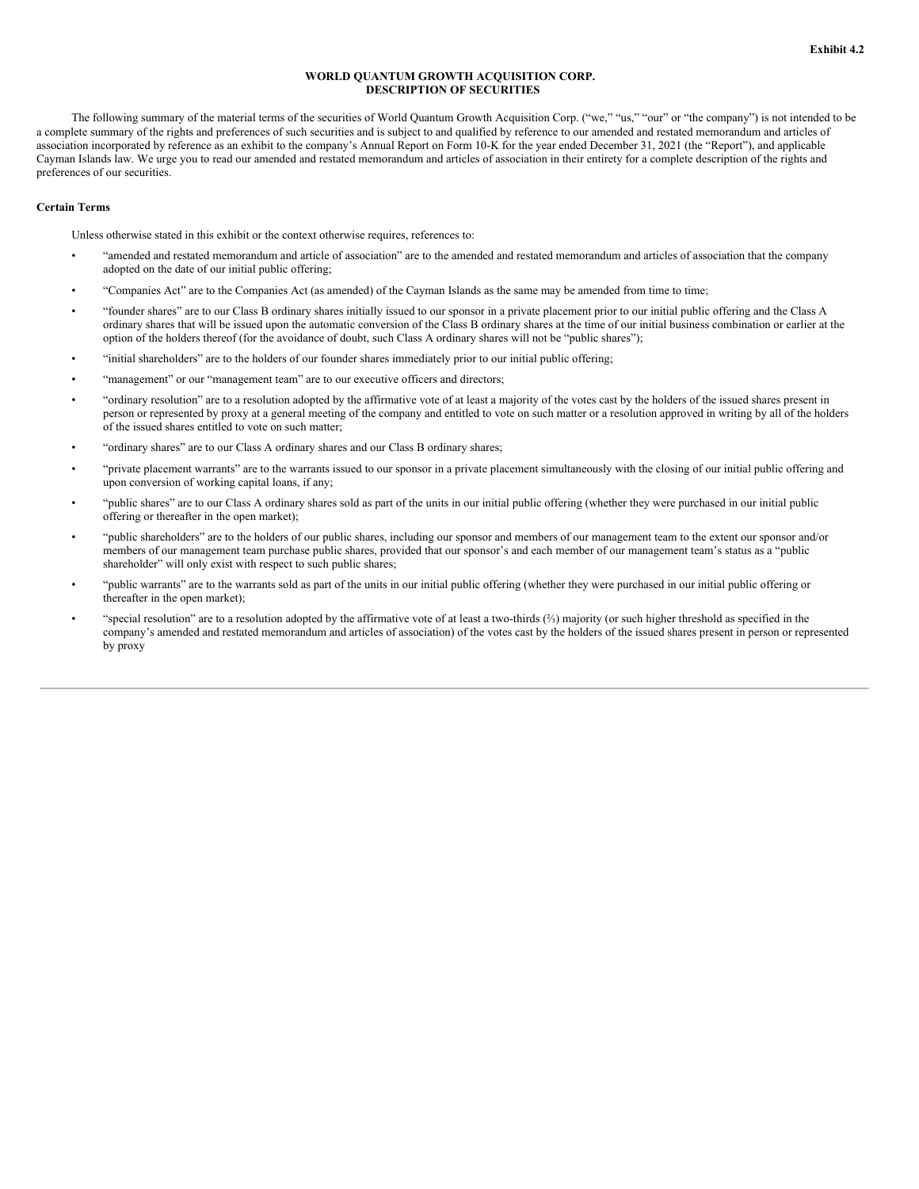## **WORLD QUANTUM GROWTH ACQUISITION CORP. DESCRIPTION OF SECURITIES**

The following summary of the material terms of the securities of World Quantum Growth Acquisition Corp. ("we," "us," "our" or "the company") is not intended to be a complete summary of the rights and preferences of such securities and is subject to and qualified by reference to our amended and restated memorandum and articles of association incorporated by reference as an exhibit to the company's Annual Report on Form 10-K for the year ended December 31, 2021 (the "Report"), and applicable Cayman Islands law. We urge you to read our amended and restated memorandum and articles of association in their entirety for a complete description of the rights and preferences of our securities.

# **Certain Terms**

Unless otherwise stated in this exhibit or the context otherwise requires, references to:

- "amended and restated memorandum and article of association" are to the amended and restated memorandum and articles of association that the company adopted on the date of our initial public offering;
- "Companies Act" are to the Companies Act (as amended) of the Cayman Islands as the same may be amended from time to time;
- "founder shares" are to our Class B ordinary shares initially issued to our sponsor in a private placement prior to our initial public offering and the Class A ordinary shares that will be issued upon the automatic conversion of the Class B ordinary shares at the time of our initial business combination or earlier at the option of the holders thereof (for the avoidance of doubt, such Class A ordinary shares will not be "public shares");
- "initial shareholders" are to the holders of our founder shares immediately prior to our initial public offering;
- "management" or our "management team" are to our executive officers and directors;
- "ordinary resolution" are to a resolution adopted by the affirmative vote of at least a majority of the votes cast by the holders of the issued shares present in person or represented by proxy at a general meeting of the company and entitled to vote on such matter or a resolution approved in writing by all of the holders of the issued shares entitled to vote on such matter;
- "ordinary shares" are to our Class A ordinary shares and our Class B ordinary shares;
- "private placement warrants" are to the warrants issued to our sponsor in a private placement simultaneously with the closing of our initial public offering and upon conversion of working capital loans, if any;
- "public shares" are to our Class A ordinary shares sold as part of the units in our initial public offering (whether they were purchased in our initial public offering or thereafter in the open market);
- "public shareholders" are to the holders of our public shares, including our sponsor and members of our management team to the extent our sponsor and/or members of our management team purchase public shares, provided that our sponsor's and each member of our management team's status as a "public shareholder" will only exist with respect to such public shares;
- "public warrants" are to the warrants sold as part of the units in our initial public offering (whether they were purchased in our initial public offering or thereafter in the open market);
- "special resolution" are to a resolution adopted by the affirmative vote of at least a two-thirds (⅔) majority (or such higher threshold as specified in the company's amended and restated memorandum and articles of association) of the votes cast by the holders of the issued shares present in person or represented by proxy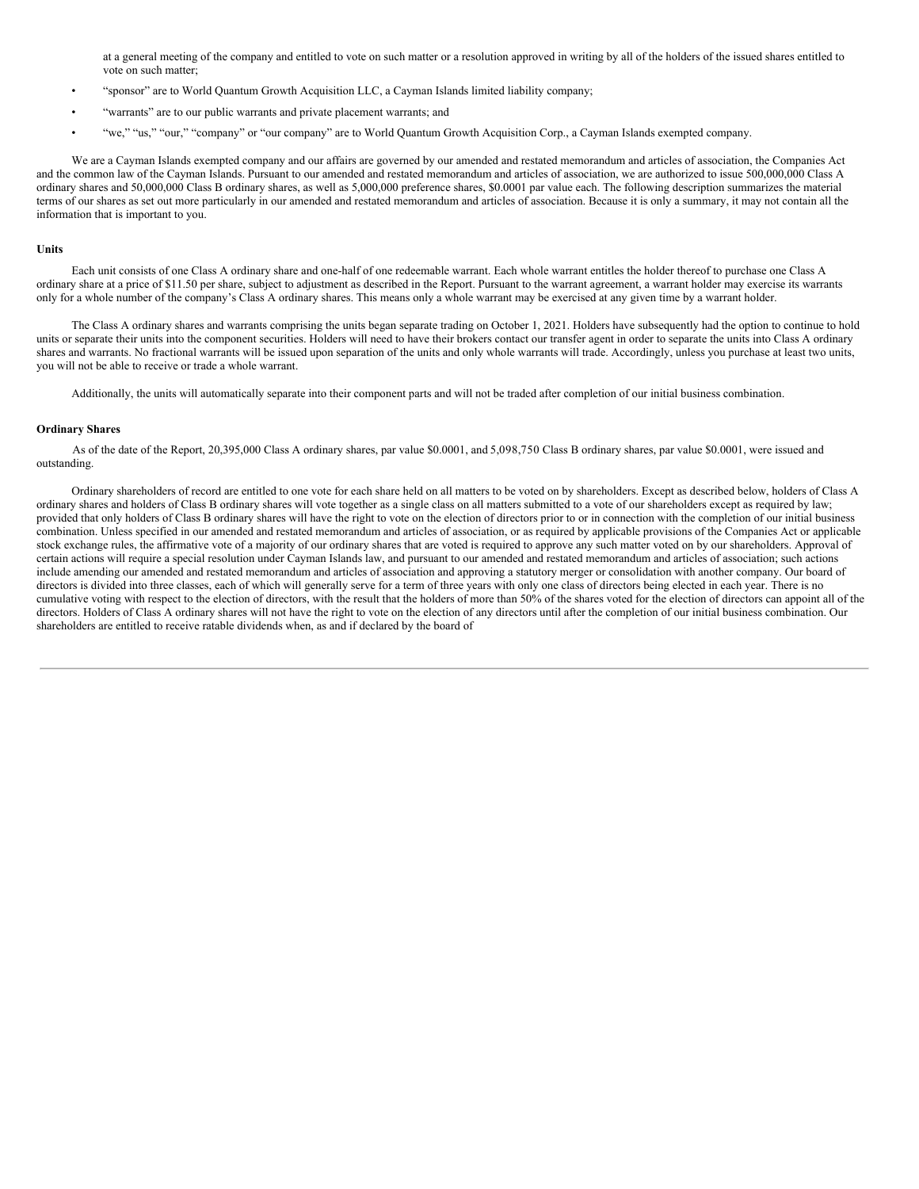at a general meeting of the company and entitled to vote on such matter or a resolution approved in writing by all of the holders of the issued shares entitled to vote on such matter;

- "sponsor" are to World Quantum Growth Acquisition LLC, a Cayman Islands limited liability company;
- "warrants" are to our public warrants and private placement warrants; and
- "we," "us," "our," "company" or "our company" are to World Quantum Growth Acquisition Corp., a Cayman Islands exempted company.

We are a Cayman Islands exempted company and our affairs are governed by our amended and restated memorandum and articles of association, the Companies Act and the common law of the Cayman Islands. Pursuant to our amended and restated memorandum and articles of association, we are authorized to issue 500,000,000 Class A ordinary shares and 50,000,000 Class B ordinary shares, as well as 5,000,000 preference shares, \$0.0001 par value each. The following description summarizes the material terms of our shares as set out more particularly in our amended and restated memorandum and articles of association. Because it is only a summary, it may not contain all the information that is important to you.

#### **Units**

Each unit consists of one Class A ordinary share and one-half of one redeemable warrant. Each whole warrant entitles the holder thereof to purchase one Class A ordinary share at a price of \$11.50 per share, subject to adjustment as described in the Report. Pursuant to the warrant agreement, a warrant holder may exercise its warrants only for a whole number of the company's Class A ordinary shares. This means only a whole warrant may be exercised at any given time by a warrant holder.

The Class A ordinary shares and warrants comprising the units began separate trading on October 1, 2021. Holders have subsequently had the option to continue to hold units or separate their units into the component securities. Holders will need to have their brokers contact our transfer agent in order to separate the units into Class A ordinary shares and warrants. No fractional warrants will be issued upon separation of the units and only whole warrants will trade. Accordingly, unless you purchase at least two units, you will not be able to receive or trade a whole warrant.

Additionally, the units will automatically separate into their component parts and will not be traded after completion of our initial business combination.

## **Ordinary Shares**

As of the date of the Report, 20,395,000 Class A ordinary shares, par value \$0.0001, and 5,098,750 Class B ordinary shares, par value \$0.0001, were issued and outstanding.

Ordinary shareholders of record are entitled to one vote for each share held on all matters to be voted on by shareholders. Except as described below, holders of Class A ordinary shares and holders of Class B ordinary shares will vote together as a single class on all matters submitted to a vote of our shareholders except as required by law; provided that only holders of Class B ordinary shares will have the right to vote on the election of directors prior to or in connection with the completion of our initial business combination. Unless specified in our amended and restated memorandum and articles of association, or as required by applicable provisions of the Companies Act or applicable stock exchange rules, the affirmative vote of a majority of our ordinary shares that are voted is required to approve any such matter voted on by our shareholders. Approval of certain actions will require a special resolution under Cayman Islands law, and pursuant to our amended and restated memorandum and articles of association; such actions include amending our amended and restated memorandum and articles of association and approving a statutory merger or consolidation with another company. Our board of directors is divided into three classes, each of which will generally serve for a term of three years with only one class of directors being elected in each year. There is no cumulative voting with respect to the election of directors, with the result that the holders of more than 50% of the shares voted for the election of directors can appoint all of the directors. Holders of Class A ordinary shares will not have the right to vote on the election of any directors until after the completion of our initial business combination. Our shareholders are entitled to receive ratable dividends when, as and if declared by the board of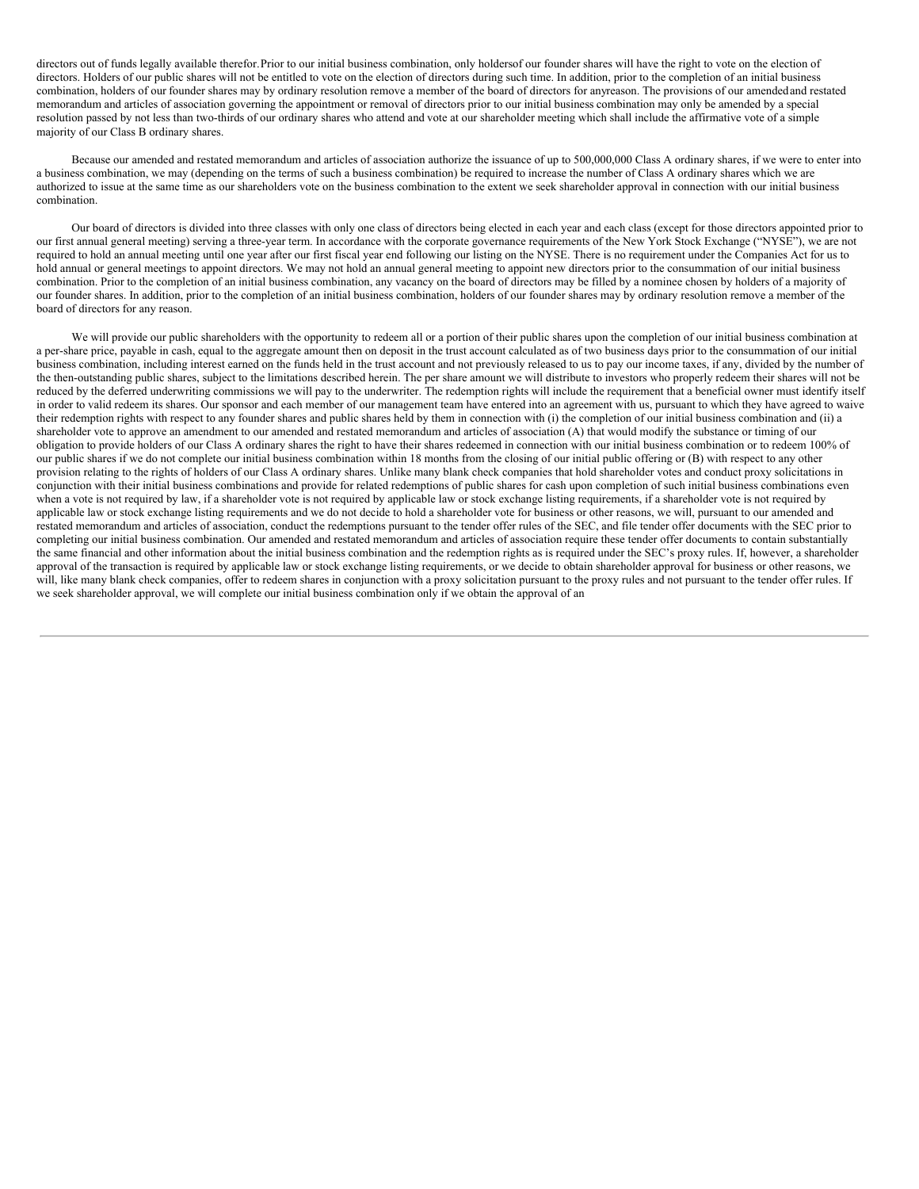directors out of funds legally available therefor. Prior to our initial business combination, only holdersof our founder shares will have the right to vote on the election of directors. Holders of our public shares will not be entitled to vote on the election of directors during such time. In addition, prior to the completion of an initial business combination, holders of our founder shares may by ordinary resolution remove a member of the board of directors for anyreason. The provisions of our amendedand restated memorandum and articles of association governing the appointment or removal of directors prior to our initial business combination may only be amended by a special resolution passed by not less than two-thirds of our ordinary shares who attend and vote at our shareholder meeting which shall include the affirmative vote of a simple majority of our Class B ordinary shares.

Because our amended and restated memorandum and articles of association authorize the issuance of up to 500,000,000 Class A ordinary shares, if we were to enter into a business combination, we may (depending on the terms of such a business combination) be required to increase the number of Class A ordinary shares which we are authorized to issue at the same time as our shareholders vote on the business combination to the extent we seek shareholder approval in connection with our initial business combination.

Our board of directors is divided into three classes with only one class of directors being elected in each year and each class (except for those directors appointed prior to our first annual general meeting) serving a three-year term. In accordance with the corporate governance requirements of the New York Stock Exchange ("NYSE"), we are not required to hold an annual meeting until one year after our first fiscal year end following our listing on the NYSE. There is no requirement under the Companies Act for us to hold annual or general meetings to appoint directors. We may not hold an annual general meeting to appoint new directors prior to the consummation of our initial business combination. Prior to the completion of an initial business combination, any vacancy on the board of directors may be filled by a nominee chosen by holders of a majority of our founder shares. In addition, prior to the completion of an initial business combination, holders of our founder shares may by ordinary resolution remove a member of the board of directors for any reason.

We will provide our public shareholders with the opportunity to redeem all or a portion of their public shares upon the completion of our initial business combination at a per-share price, payable in cash, equal to the aggregate amount then on deposit in the trust account calculated as of two business days prior to the consummation of our initial business combination, including interest earned on the funds held in the trust account and not previously released to us to pay our income taxes, if any, divided by the number of the then-outstanding public shares, subject to the limitations described herein. The per share amount we will distribute to investors who properly redeem their shares will not be reduced by the deferred underwriting commissions we will pay to the underwriter. The redemption rights will include the requirement that a beneficial owner must identify itself in order to valid redeem its shares. Our sponsor and each member of our management team have entered into an agreement with us, pursuant to which they have agreed to waive their redemption rights with respect to any founder shares and public shares held by them in connection with (i) the completion of our initial business combination and (ii) a shareholder vote to approve an amendment to our amended and restated memorandum and articles of association (A) that would modify the substance or timing of our obligation to provide holders of our Class A ordinary shares the right to have their shares redeemed in connection with our initial business combination or to redeem 100% of our public shares if we do not complete our initial business combination within 18 months from the closing of our initial public offering or (B) with respect to any other provision relating to the rights of holders of our Class A ordinary shares. Unlike many blank check companies that hold shareholder votes and conduct proxy solicitations in conjunction with their initial business combinations and provide for related redemptions of public shares for cash upon completion of such initial business combinations even when a vote is not required by law, if a shareholder vote is not required by applicable law or stock exchange listing requirements, if a shareholder vote is not required by applicable law or stock exchange listing requirements and we do not decide to hold a shareholder vote for business or other reasons, we will, pursuant to our amended and restated memorandum and articles of association, conduct the redemptions pursuant to the tender offer rules of the SEC, and file tender offer documents with the SEC prior to completing our initial business combination. Our amended and restated memorandum and articles of association require these tender offer documents to contain substantially the same financial and other information about the initial business combination and the redemption rights as is required under the SEC's proxy rules. If, however, a shareholder approval of the transaction is required by applicable law or stock exchange listing requirements, or we decide to obtain shareholder approval for business or other reasons, we will, like many blank check companies, offer to redeem shares in conjunction with a proxy solicitation pursuant to the proxy rules and not pursuant to the tender offer rules. If we seek shareholder approval, we will complete our initial business combination only if we obtain the approval of an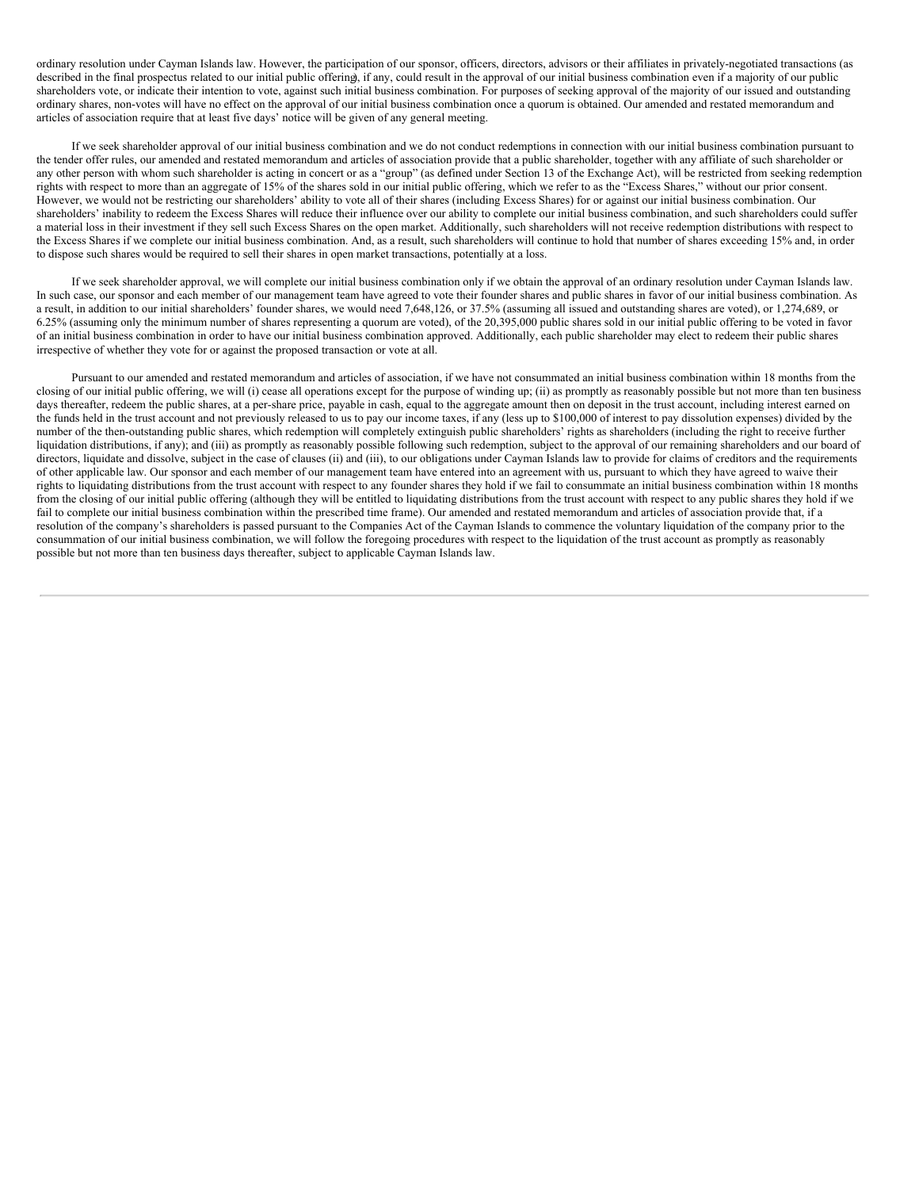ordinary resolution under Cayman Islands law. However, the participation of our sponsor, officers, directors, advisors or their affiliates in privately-negotiated transactions (as described in the final prospectus related to our initial public offering, if any, could result in the approval of our initial business combination even if a majority of our public shareholders vote, or indicate their intention to vote, against such initial business combination. For purposes of seeking approval of the majority of our issued and outstanding ordinary shares, non-votes will have no effect on the approval of our initial business combination once a quorum is obtained. Our amended and restated memorandum and articles of association require that at least five days' notice will be given of any general meeting.

If we seek shareholder approval of our initial business combination and we do not conduct redemptions in connection with our initial business combination pursuant to the tender offer rules, our amended and restated memorandum and articles of association provide that a public shareholder, together with any affiliate of such shareholder or any other person with whom such shareholder is acting in concert or as a "group" (as defined under Section 13 of the Exchange Act), will be restricted from seeking redemption rights with respect to more than an aggregate of 15% of the shares sold in our initial public offering, which we refer to as the "Excess Shares," without our prior consent. However, we would not be restricting our shareholders' ability to vote all of their shares (including Excess Shares) for or against our initial business combination. Our shareholders' inability to redeem the Excess Shares will reduce their influence over our ability to complete our initial business combination, and such shareholders could suffer a material loss in their investment if they sell such Excess Shares on the open market. Additionally, such shareholders will not receive redemption distributions with respect to the Excess Shares if we complete our initial business combination. And, as a result, such shareholders will continue to hold that number of shares exceeding 15% and, in order to dispose such shares would be required to sell their shares in open market transactions, potentially at a loss.

If we seek shareholder approval, we will complete our initial business combination only if we obtain the approval of an ordinary resolution under Cayman Islands law. In such case, our sponsor and each member of our management team have agreed to vote their founder shares and public shares in favor of our initial business combination. As a result, in addition to our initial shareholders' founder shares, we would need 7,648,126, or 37.5% (assuming all issued and outstanding shares are voted), or 1,274,689, or 6.25% (assuming only the minimum number of shares representing a quorum are voted), of the 20,395,000 public shares sold in our initial public offering to be voted in favor of an initial business combination in order to have our initial business combination approved. Additionally, each public shareholder may elect to redeem their public shares irrespective of whether they vote for or against the proposed transaction or vote at all.

Pursuant to our amended and restated memorandum and articles of association, if we have not consummated an initial business combination within 18 months from the closing of our initial public offering, we will (i) cease all operations except for the purpose of winding up; (ii) as promptly as reasonably possible but not more than ten business days thereafter, redeem the public shares, at a per-share price, payable in cash, equal to the aggregate amount then on deposit in the trust account, including interest earned on the funds held in the trust account and not previously released to us to pay our income taxes, if any (less up to \$100,000 of interest to pay dissolution expenses) divided by the number of the then-outstanding public shares, which redemption will completely extinguish public shareholders' rights as shareholders (including the right to receive further liquidation distributions, if any); and (iii) as promptly as reasonably possible following such redemption, subject to the approval of our remaining shareholders and our board of directors, liquidate and dissolve, subject in the case of clauses (ii) and (iii), to our obligations under Cayman Islands law to provide for claims of creditors and the requirements of other applicable law. Our sponsor and each member of our management team have entered into an agreement with us, pursuant to which they have agreed to waive their rights to liquidating distributions from the trust account with respect to any founder shares they hold if we fail to consummate an initial business combination within 18 months from the closing of our initial public offering (although they will be entitled to liquidating distributions from the trust account with respect to any public shares they hold if we fail to complete our initial business combination within the prescribed time frame). Our amended and restated memorandum and articles of association provide that, if a resolution of the company's shareholders is passed pursuant to the Companies Act of the Cayman Islands to commence the voluntary liquidation of the company prior to the consummation of our initial business combination, we will follow the foregoing procedures with respect to the liquidation of the trust account as promptly as reasonably possible but not more than ten business days thereafter, subject to applicable Cayman Islands law.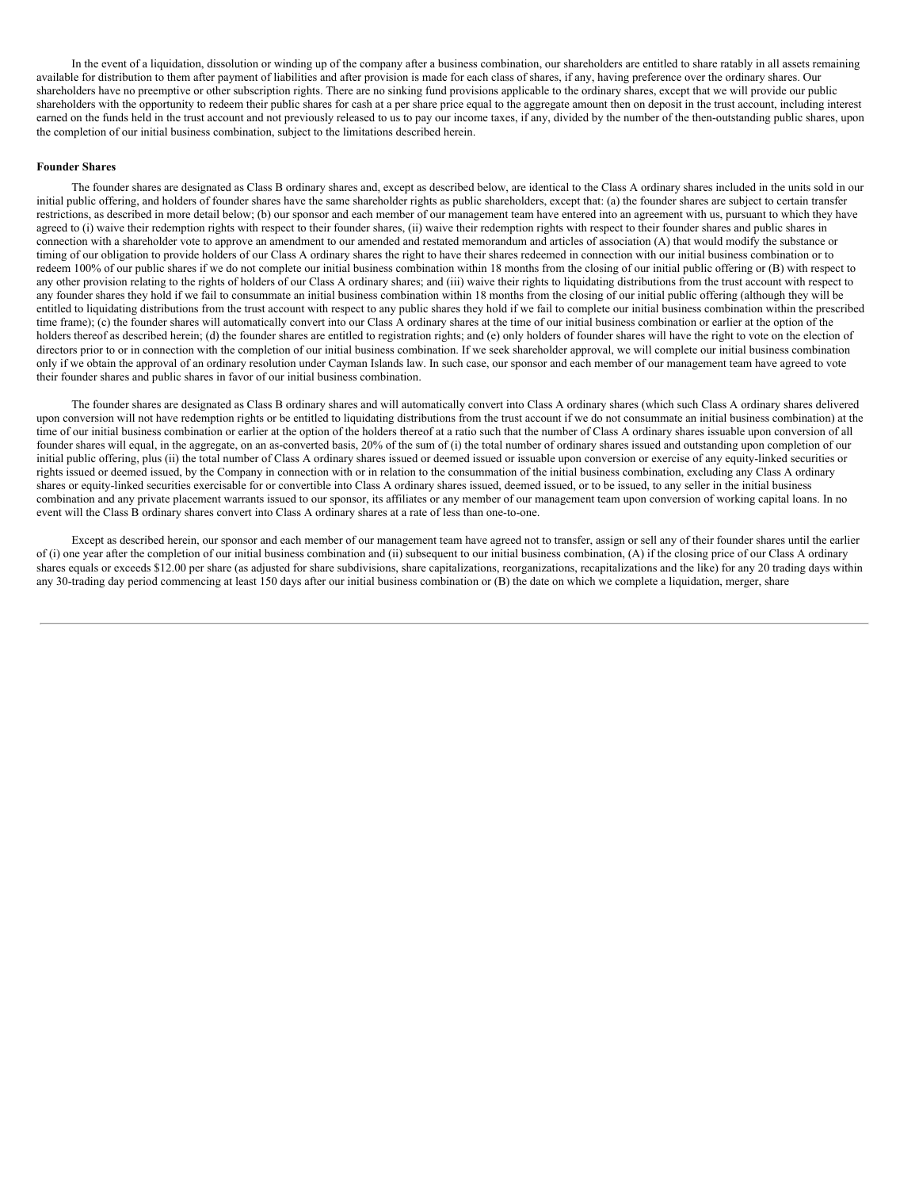In the event of a liquidation, dissolution or winding up of the company after a business combination, our shareholders are entitled to share ratably in all assets remaining available for distribution to them after payment of liabilities and after provision is made for each class of shares, if any, having preference over the ordinary shares. Our shareholders have no preemptive or other subscription rights. There are no sinking fund provisions applicable to the ordinary shares, except that we will provide our public shareholders with the opportunity to redeem their public shares for cash at a per share price equal to the aggregate amount then on deposit in the trust account, including interest earned on the funds held in the trust account and not previously released to us to pay our income taxes, if any, divided by the number of the then-outstanding public shares, upon the completion of our initial business combination, subject to the limitations described herein.

### **Founder Shares**

The founder shares are designated as Class B ordinary shares and, except as described below, are identical to the Class A ordinary shares included in the units sold in our initial public offering, and holders of founder shares have the same shareholder rights as public shareholders, except that: (a) the founder shares are subject to certain transfer restrictions, as described in more detail below; (b) our sponsor and each member of our management team have entered into an agreement with us, pursuant to which they have agreed to (i) waive their redemption rights with respect to their founder shares, (ii) waive their redemption rights with respect to their founder shares and public shares in connection with a shareholder vote to approve an amendment to our amended and restated memorandum and articles of association (A) that would modify the substance or timing of our obligation to provide holders of our Class A ordinary shares the right to have their shares redeemed in connection with our initial business combination or to redeem 100% of our public shares if we do not complete our initial business combination within 18 months from the closing of our initial public offering or (B) with respect to any other provision relating to the rights of holders of our Class A ordinary shares; and (iii) waive their rights to liquidating distributions from the trust account with respect to any founder shares they hold if we fail to consummate an initial business combination within 18 months from the closing of our initial public offering (although they will be entitled to liquidating distributions from the trust account with respect to any public shares they hold if we fail to complete our initial business combination within the prescribed time frame); (c) the founder shares will automatically convert into our Class A ordinary shares at the time of our initial business combination or earlier at the option of the holders thereof as described herein; (d) the founder shares are entitled to registration rights; and (e) only holders of founder shares will have the right to vote on the election of directors prior to or in connection with the completion of our initial business combination. If we seek shareholder approval, we will complete our initial business combination only if we obtain the approval of an ordinary resolution under Cayman Islands law. In such case, our sponsor and each member of our management team have agreed to vote their founder shares and public shares in favor of our initial business combination.

The founder shares are designated as Class B ordinary shares and will automatically convert into Class A ordinary shares (which such Class A ordinary shares delivered upon conversion will not have redemption rights or be entitled to liquidating distributions from the trust account if we do not consummate an initial business combination) at the time of our initial business combination or earlier at the option of the holders thereof at a ratio such that the number of Class A ordinary shares issuable upon conversion of all founder shares will equal, in the aggregate, on an as-converted basis, 20% of the sum of (i) the total number of ordinary shares issued and outstanding upon completion of our initial public offering, plus (ii) the total number of Class A ordinary shares issued or deemed issued or issuable upon conversion or exercise of any equity-linked securities or rights issued or deemed issued, by the Company in connection with or in relation to the consummation of the initial business combination, excluding any Class A ordinary shares or equity-linked securities exercisable for or convertible into Class A ordinary shares issued, deemed issued, or to be issued, to any seller in the initial business combination and any private placement warrants issued to our sponsor, its affiliates or any member of our management team upon conversion of working capital loans. In no event will the Class B ordinary shares convert into Class A ordinary shares at a rate of less than one-to-one.

Except as described herein, our sponsor and each member of our management team have agreed not to transfer, assign or sell any of their founder shares until the earlier of (i) one year after the completion of our initial business combination and (ii) subsequent to our initial business combination, (A) if the closing price of our Class A ordinary shares equals or exceeds \$12.00 per share (as adjusted for share subdivisions, share capitalizations, reorganizations, recapitalizations and the like) for any 20 trading days within any 30-trading day period commencing at least 150 days after our initial business combination or (B) the date on which we complete a liquidation, merger, share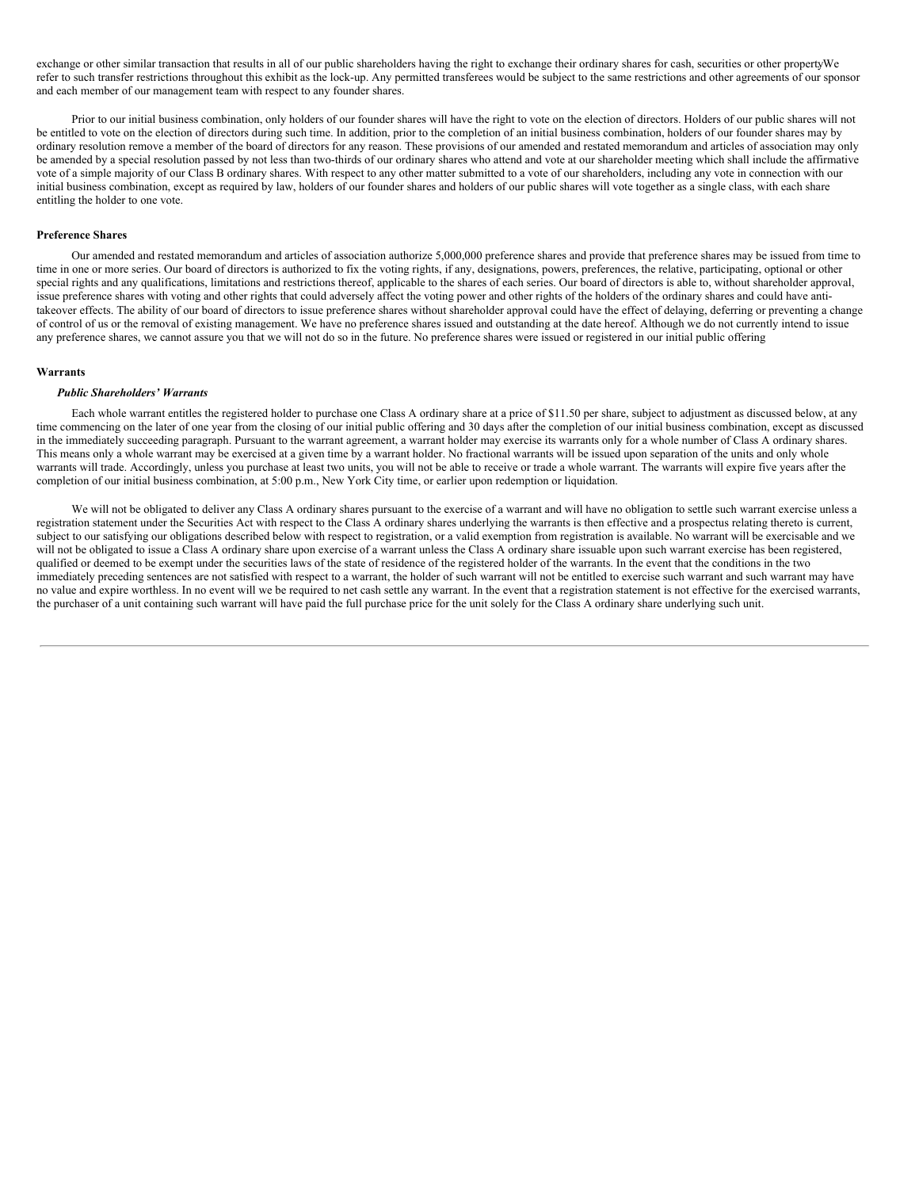exchange or other similar transaction that results in all of our public shareholders having the right to exchange their ordinary shares for cash, securities or other property We refer to such transfer restrictions throughout this exhibit as the lock-up. Any permitted transferees would be subject to the same restrictions and other agreements of our sponsor and each member of our management team with respect to any founder shares.

Prior to our initial business combination, only holders of our founder shares will have the right to vote on the election of directors. Holders of our public shares will not be entitled to vote on the election of directors during such time. In addition, prior to the completion of an initial business combination, holders of our founder shares may by ordinary resolution remove a member of the board of directors for any reason. These provisions of our amended and restated memorandum and articles of association may only be amended by a special resolution passed by not less than two-thirds of our ordinary shares who attend and vote at our shareholder meeting which shall include the affirmative vote of a simple majority of our Class B ordinary shares. With respect to any other matter submitted to a vote of our shareholders, including any vote in connection with our initial business combination, except as required by law, holders of our founder shares and holders of our public shares will vote together as a single class, with each share entitling the holder to one vote.

## **Preference Shares**

Our amended and restated memorandum and articles of association authorize 5,000,000 preference shares and provide that preference shares may be issued from time to time in one or more series. Our board of directors is authorized to fix the voting rights, if any, designations, powers, preferences, the relative, participating, optional or other special rights and any qualifications, limitations and restrictions thereof, applicable to the shares of each series. Our board of directors is able to, without shareholder approval, issue preference shares with voting and other rights that could adversely affect the voting power and other rights of the holders of the ordinary shares and could have antitakeover effects. The ability of our board of directors to issue preference shares without shareholder approval could have the effect of delaying, deferring or preventing a change of control of us or the removal of existing management. We have no preference shares issued and outstanding at the date hereof. Although we do not currently intend to issue any preference shares, we cannot assure you that we will not do so in the future. No preference shares were issued or registered in our initial public offering

#### **Warrants**

#### *Public Shareholders' Warrants*

Each whole warrant entitles the registered holder to purchase one Class A ordinary share at a price of \$11.50 per share, subject to adjustment as discussed below, at any time commencing on the later of one year from the closing of our initial public offering and 30 days after the completion of our initial business combination, except as discussed in the immediately succeeding paragraph. Pursuant to the warrant agreement, a warrant holder may exercise its warrants only for a whole number of Class A ordinary shares. This means only a whole warrant may be exercised at a given time by a warrant holder. No fractional warrants will be issued upon separation of the units and only whole warrants will trade. Accordingly, unless you purchase at least two units, you will not be able to receive or trade a whole warrant. The warrants will expire five years after the completion of our initial business combination, at 5:00 p.m., New York City time, or earlier upon redemption or liquidation.

We will not be obligated to deliver any Class A ordinary shares pursuant to the exercise of a warrant and will have no obligation to settle such warrant exercise unless a registration statement under the Securities Act with respect to the Class A ordinary shares underlying the warrants is then effective and a prospectus relating thereto is current, subject to our satisfying our obligations described below with respect to registration, or a valid exemption from registration is available. No warrant will be exercisable and we will not be obligated to issue a Class A ordinary share upon exercise of a warrant unless the Class A ordinary share issuable upon such warrant exercise has been registered, qualified or deemed to be exempt under the securities laws of the state of residence of the registered holder of the warrants. In the event that the conditions in the two immediately preceding sentences are not satisfied with respect to a warrant, the holder of such warrant will not be entitled to exercise such warrant and such warrant may have no value and expire worthless. In no event will we be required to net cash settle any warrant. In the event that a registration statement is not effective for the exercised warrants, the purchaser of a unit containing such warrant will have paid the full purchase price for the unit solely for the Class A ordinary share underlying such unit.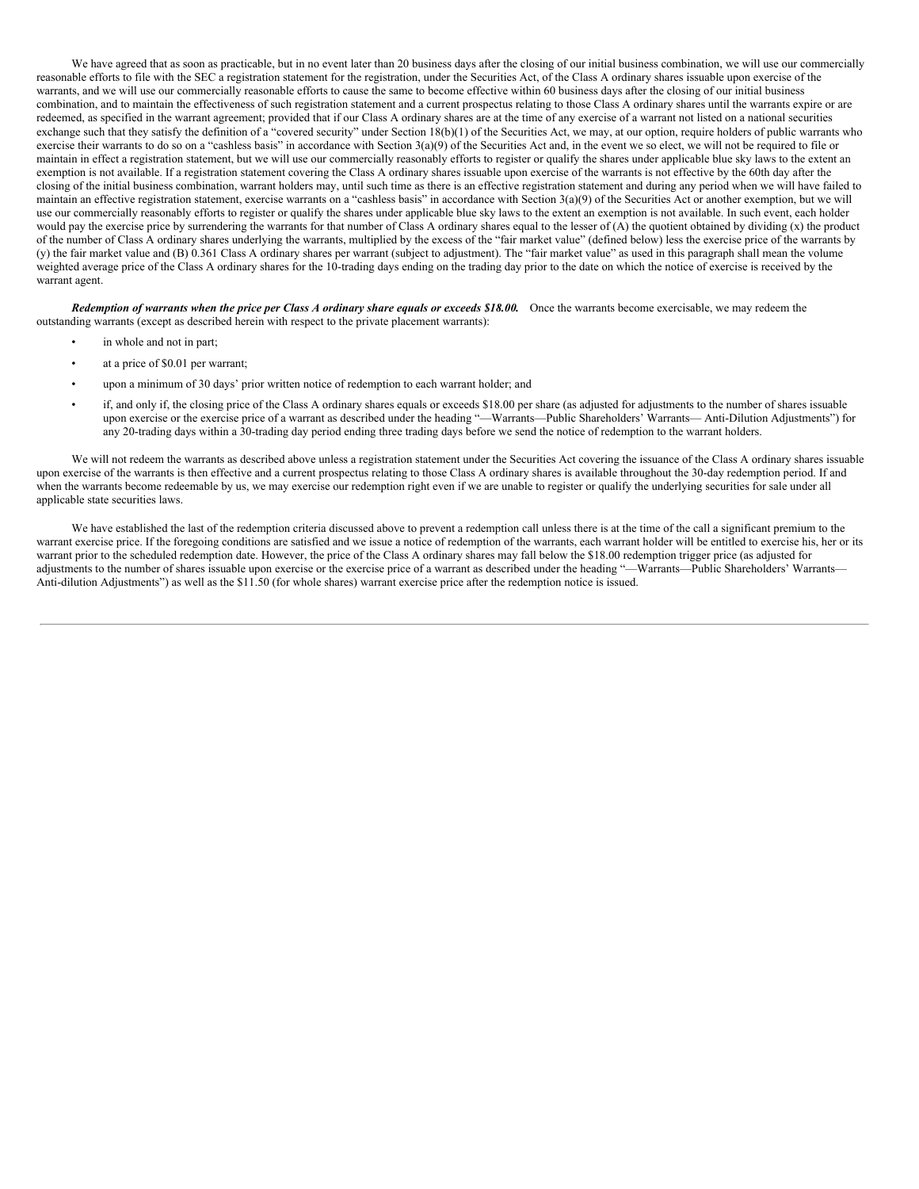We have agreed that as soon as practicable, but in no event later than 20 business days after the closing of our initial business combination, we will use our commercially reasonable efforts to file with the SEC a registration statement for the registration, under the Securities Act, of the Class A ordinary shares issuable upon exercise of the warrants, and we will use our commercially reasonable efforts to cause the same to become effective within 60 business days after the closing of our initial business combination, and to maintain the effectiveness of such registration statement and a current prospectus relating to those Class A ordinary shares until the warrants expire or are redeemed, as specified in the warrant agreement; provided that if our Class A ordinary shares are at the time of any exercise of a warrant not listed on a national securities exchange such that they satisfy the definition of a "covered security" under Section 18(b)(1) of the Securities Act, we may, at our option, require holders of public warrants who exercise their warrants to do so on a "cashless basis" in accordance with Section 3(a)(9) of the Securities Act and, in the event we so elect, we will not be required to file or maintain in effect a registration statement, but we will use our commercially reasonably efforts to register or qualify the shares under applicable blue sky laws to the extent an exemption is not available. If a registration statement covering the Class A ordinary shares issuable upon exercise of the warrants is not effective by the 60th day after the closing of the initial business combination, warrant holders may, until such time as there is an effective registration statement and during any period when we will have failed to maintain an effective registration statement, exercise warrants on a "cashless basis" in accordance with Section 3(a)(9) of the Securities Act or another exemption, but we will use our commercially reasonably efforts to register or qualify the shares under applicable blue sky laws to the extent an exemption is not available. In such event, each holder would pay the exercise price by surrendering the warrants for that number of Class A ordinary shares equal to the lesser of  $(A)$  the quotient obtained by dividing  $(x)$  the product of the number of Class A ordinary shares underlying the warrants, multiplied by the excess of the "fair market value" (defined below) less the exercise price of the warrants by (y) the fair market value and (B) 0.361 Class A ordinary shares per warrant (subject to adjustment). The "fair market value" as used in this paragraph shall mean the volume weighted average price of the Class A ordinary shares for the 10-trading days ending on the trading day prior to the date on which the notice of exercise is received by the warrant agent.

Redemption of warrants when the price per Class A ordinary share equals or exceeds \$18.00. Once the warrants become exercisable, we may redeem the outstanding warrants (except as described herein with respect to the private placement warrants):

- in whole and not in part;
- at a price of \$0.01 per warrant;
- upon a minimum of 30 days' prior written notice of redemption to each warrant holder; and
- if, and only if, the closing price of the Class A ordinary shares equals or exceeds \$18.00 per share (as adjusted for adjustments to the number of shares issuable upon exercise or the exercise price of a warrant as described under the heading "—Warrants—Public Shareholders' Warrants— Anti-Dilution Adjustments") for any 20-trading days within a 30-trading day period ending three trading days before we send the notice of redemption to the warrant holders.

We will not redeem the warrants as described above unless a registration statement under the Securities Act covering the issuance of the Class A ordinary shares issuable upon exercise of the warrants is then effective and a current prospectus relating to those Class A ordinary shares is available throughout the 30-day redemption period. If and when the warrants become redeemable by us, we may exercise our redemption right even if we are unable to register or qualify the underlying securities for sale under all applicable state securities laws.

We have established the last of the redemption criteria discussed above to prevent a redemption call unless there is at the time of the call a significant premium to the warrant exercise price. If the foregoing conditions are satisfied and we issue a notice of redemption of the warrants, each warrant holder will be entitled to exercise his, her or its warrant prior to the scheduled redemption date. However, the price of the Class A ordinary shares may fall below the \$18.00 redemption trigger price (as adjusted for adjustments to the number of shares issuable upon exercise or the exercise price of a warrant as described under the heading "—Warrants—Public Shareholders' Warrants— Anti-dilution Adjustments") as well as the \$11.50 (for whole shares) warrant exercise price after the redemption notice is issued.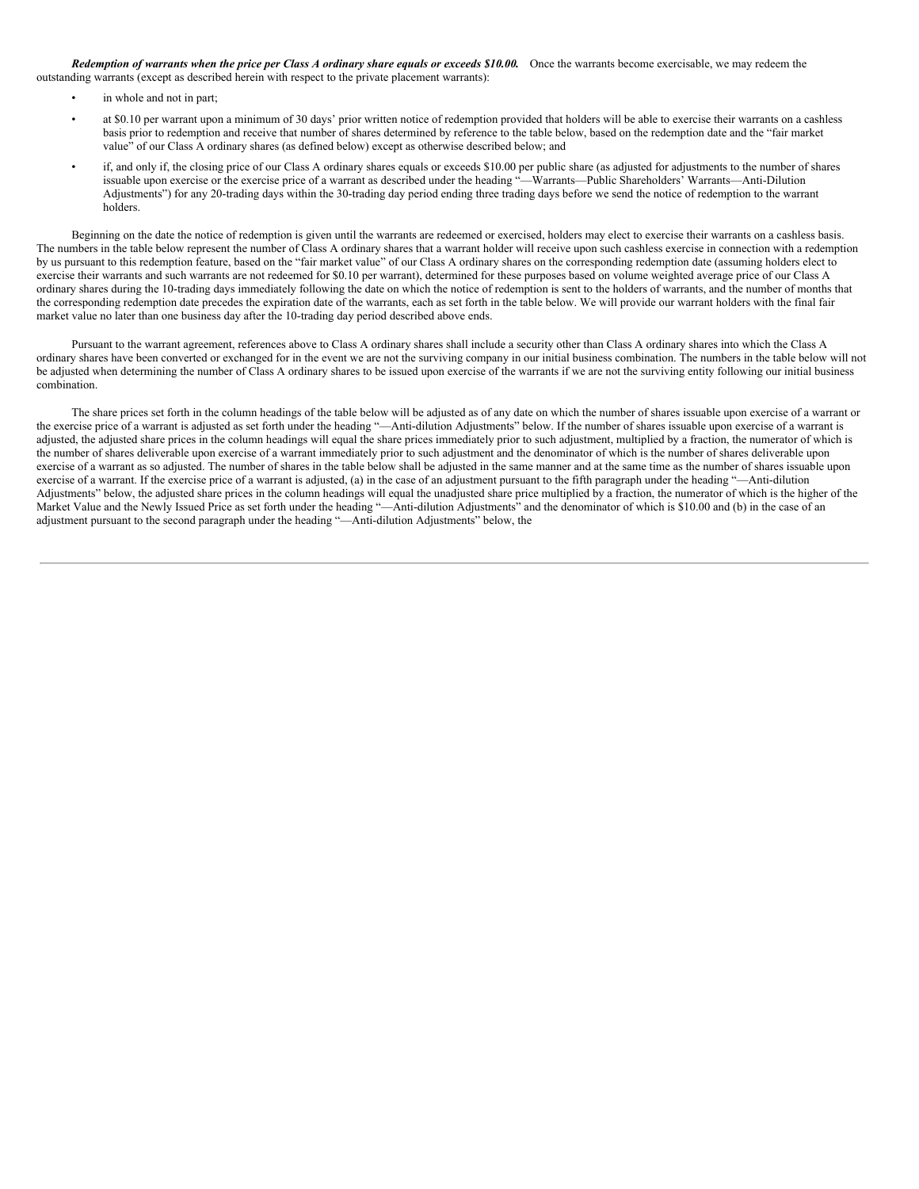Redemption of warrants when the price per Class A ordinary share equals or exceeds \$10.00. Once the warrants become exercisable, we may redeem the outstanding warrants (except as described herein with respect to the private placement warrants):

- in whole and not in part;
- at \$0.10 per warrant upon a minimum of 30 days' prior written notice of redemption provided that holders will be able to exercise their warrants on a cashless basis prior to redemption and receive that number of shares determined by reference to the table below, based on the redemption date and the "fair market value" of our Class A ordinary shares (as defined below) except as otherwise described below; and
- if, and only if, the closing price of our Class A ordinary shares equals or exceeds \$10.00 per public share (as adjusted for adjustments to the number of shares issuable upon exercise or the exercise price of a warrant as described under the heading "—Warrants—Public Shareholders' Warrants—Anti-Dilution Adjustments") for any 20-trading days within the 30-trading day period ending three trading days before we send the notice of redemption to the warrant holders.

Beginning on the date the notice of redemption is given until the warrants are redeemed or exercised, holders may elect to exercise their warrants on a cashless basis. The numbers in the table below represent the number of Class A ordinary shares that a warrant holder will receive upon such cashless exercise in connection with a redemption by us pursuant to this redemption feature, based on the "fair market value" of our Class A ordinary shares on the corresponding redemption date (assuming holders elect to exercise their warrants and such warrants are not redeemed for \$0.10 per warrant), determined for these purposes based on volume weighted average price of our Class A ordinary shares during the 10-trading days immediately following the date on which the notice of redemption is sent to the holders of warrants, and the number of months that the corresponding redemption date precedes the expiration date of the warrants, each as set forth in the table below. We will provide our warrant holders with the final fair market value no later than one business day after the 10-trading day period described above ends.

Pursuant to the warrant agreement, references above to Class A ordinary shares shall include a security other than Class A ordinary shares into which the Class A ordinary shares have been converted or exchanged for in the event we are not the surviving company in our initial business combination. The numbers in the table below will not be adjusted when determining the number of Class A ordinary shares to be issued upon exercise of the warrants if we are not the surviving entity following our initial business combination.

The share prices set forth in the column headings of the table below will be adjusted as of any date on which the number of shares issuable upon exercise of a warrant or the exercise price of a warrant is adjusted as set forth under the heading "—Anti-dilution Adjustments" below. If the number of shares issuable upon exercise of a warrant is adjusted, the adjusted share prices in the column headings will equal the share prices immediately prior to such adjustment, multiplied by a fraction, the numerator of which is the number of shares deliverable upon exercise of a warrant immediately prior to such adjustment and the denominator of which is the number of shares deliverable upon exercise of a warrant as so adjusted. The number of shares in the table below shall be adjusted in the same manner and at the same time as the number of shares issuable upon exercise of a warrant. If the exercise price of a warrant is adjusted, (a) in the case of an adjustment pursuant to the fifth paragraph under the heading "—Anti-dilution Adjustments" below, the adjusted share prices in the column headings will equal the unadjusted share price multiplied by a fraction, the numerator of which is the higher of the Market Value and the Newly Issued Price as set forth under the heading "—Anti-dilution Adjustments" and the denominator of which is \$10.00 and (b) in the case of an adjustment pursuant to the second paragraph under the heading "—Anti-dilution Adjustments" below, the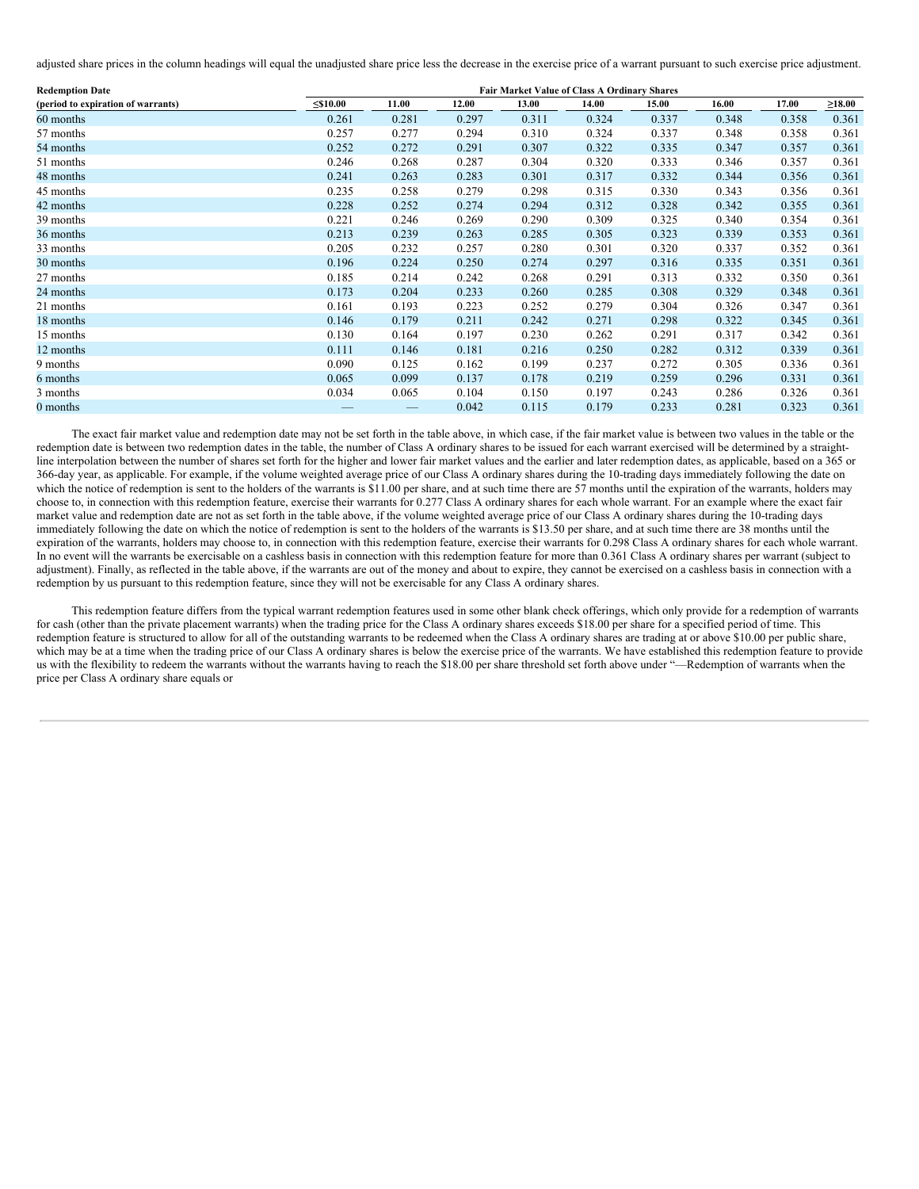adjusted share prices in the column headings will equal the unadjusted share price less the decrease in the exercise price of a warrant pursuant to such exercise price adjustment.

| <b>Redemption Date</b><br>(period to expiration of warrants) | Fair Market Value of Class A Ordinary Shares |                                 |       |       |       |       |       |       |              |
|--------------------------------------------------------------|----------------------------------------------|---------------------------------|-------|-------|-------|-------|-------|-------|--------------|
|                                                              | $\leq$ \$10.00                               | 11.00                           | 12.00 | 13.00 | 14.00 | 15.00 | 16.00 | 17.00 | $\geq$ 18.00 |
| 60 months                                                    | 0.261                                        | 0.281                           | 0.297 | 0.311 | 0.324 | 0.337 | 0.348 | 0.358 | 0.361        |
| 57 months                                                    | 0.257                                        | 0.277                           | 0.294 | 0.310 | 0.324 | 0.337 | 0.348 | 0.358 | 0.361        |
| 54 months                                                    | 0.252                                        | 0.272                           | 0.291 | 0.307 | 0.322 | 0.335 | 0.347 | 0.357 | 0.361        |
| 51 months                                                    | 0.246                                        | 0.268                           | 0.287 | 0.304 | 0.320 | 0.333 | 0.346 | 0.357 | 0.361        |
| 48 months                                                    | 0.241                                        | 0.263                           | 0.283 | 0.301 | 0.317 | 0.332 | 0.344 | 0.356 | 0.361        |
| 45 months                                                    | 0.235                                        | 0.258                           | 0.279 | 0.298 | 0.315 | 0.330 | 0.343 | 0.356 | 0.361        |
| 42 months                                                    | 0.228                                        | 0.252                           | 0.274 | 0.294 | 0.312 | 0.328 | 0.342 | 0.355 | 0.361        |
| 39 months                                                    | 0.221                                        | 0.246                           | 0.269 | 0.290 | 0.309 | 0.325 | 0.340 | 0.354 | 0.361        |
| 36 months                                                    | 0.213                                        | 0.239                           | 0.263 | 0.285 | 0.305 | 0.323 | 0.339 | 0.353 | 0.361        |
| 33 months                                                    | 0.205                                        | 0.232                           | 0.257 | 0.280 | 0.301 | 0.320 | 0.337 | 0.352 | 0.361        |
| 30 months                                                    | 0.196                                        | 0.224                           | 0.250 | 0.274 | 0.297 | 0.316 | 0.335 | 0.351 | 0.361        |
| 27 months                                                    | 0.185                                        | 0.214                           | 0.242 | 0.268 | 0.291 | 0.313 | 0.332 | 0.350 | 0.361        |
| 24 months                                                    | 0.173                                        | 0.204                           | 0.233 | 0.260 | 0.285 | 0.308 | 0.329 | 0.348 | 0.361        |
| 21 months                                                    | 0.161                                        | 0.193                           | 0.223 | 0.252 | 0.279 | 0.304 | 0.326 | 0.347 | 0.361        |
| 18 months                                                    | 0.146                                        | 0.179                           | 0.211 | 0.242 | 0.271 | 0.298 | 0.322 | 0.345 | 0.361        |
| 15 months                                                    | 0.130                                        | 0.164                           | 0.197 | 0.230 | 0.262 | 0.291 | 0.317 | 0.342 | 0.361        |
| 12 months                                                    | 0.111                                        | 0.146                           | 0.181 | 0.216 | 0.250 | 0.282 | 0.312 | 0.339 | 0.361        |
| 9 months                                                     | 0.090                                        | 0.125                           | 0.162 | 0.199 | 0.237 | 0.272 | 0.305 | 0.336 | 0.361        |
| 6 months                                                     | 0.065                                        | 0.099                           | 0.137 | 0.178 | 0.219 | 0.259 | 0.296 | 0.331 | 0.361        |
| 3 months                                                     | 0.034                                        | 0.065                           | 0.104 | 0.150 | 0.197 | 0.243 | 0.286 | 0.326 | 0.361        |
| 0 months                                                     |                                              | $\hspace{0.1mm}-\hspace{0.1mm}$ | 0.042 | 0.115 | 0.179 | 0.233 | 0.281 | 0.323 | 0.361        |

The exact fair market value and redemption date may not be set forth in the table above, in which case, if the fair market value is between two values in the table or the redemption date is between two redemption dates in the table, the number of Class A ordinary shares to be issued for each warrant exercised will be determined by a straightline interpolation between the number of shares set forth for the higher and lower fair market values and the earlier and later redemption dates, as applicable, based on a 365 or 366-day year, as applicable. For example, if the volume weighted average price of our Class A ordinary shares during the 10-trading days immediately following the date on which the notice of redemption is sent to the holders of the warrants is  $$11.00$  per share, and at such time there are 57 months until the expiration of the warrants, holders may choose to, in connection with this redemption feature, exercise their warrants for 0.277 Class A ordinary shares for each whole warrant. For an example where the exact fair market value and redemption date are not as set forth in the table above, if the volume weighted average price of our Class A ordinary shares during the 10-trading days immediately following the date on which the notice of redemption is sent to the holders of the warrants is \$13.50 per share, and at such time there are 38 months until the expiration of the warrants, holders may choose to, in connection with this redemption feature, exercise their warrants for 0.298 Class A ordinary shares for each whole warrant. In no event will the warrants be exercisable on a cashless basis in connection with this redemption feature for more than 0.361 Class A ordinary shares per warrant (subject to adjustment). Finally, as reflected in the table above, if the warrants are out of the money and about to expire, they cannot be exercised on a cashless basis in connection with a redemption by us pursuant to this redemption feature, since they will not be exercisable for any Class A ordinary shares.

This redemption feature differs from the typical warrant redemption features used in some other blank check offerings, which only provide for a redemption of warrants for cash (other than the private placement warrants) when the trading price for the Class A ordinary shares exceeds \$18.00 per share for a specified period of time. This redemption feature is structured to allow for all of the outstanding warrants to be redeemed when the Class A ordinary shares are trading at or above \$10.00 per public share, which may be at a time when the trading price of our Class A ordinary shares is below the exercise price of the warrants. We have established this redemption feature to provide us with the flexibility to redeem the warrants without the warrants having to reach the \$18.00 per share threshold set forth above under "—Redemption of warrants when the price per Class A ordinary share equals or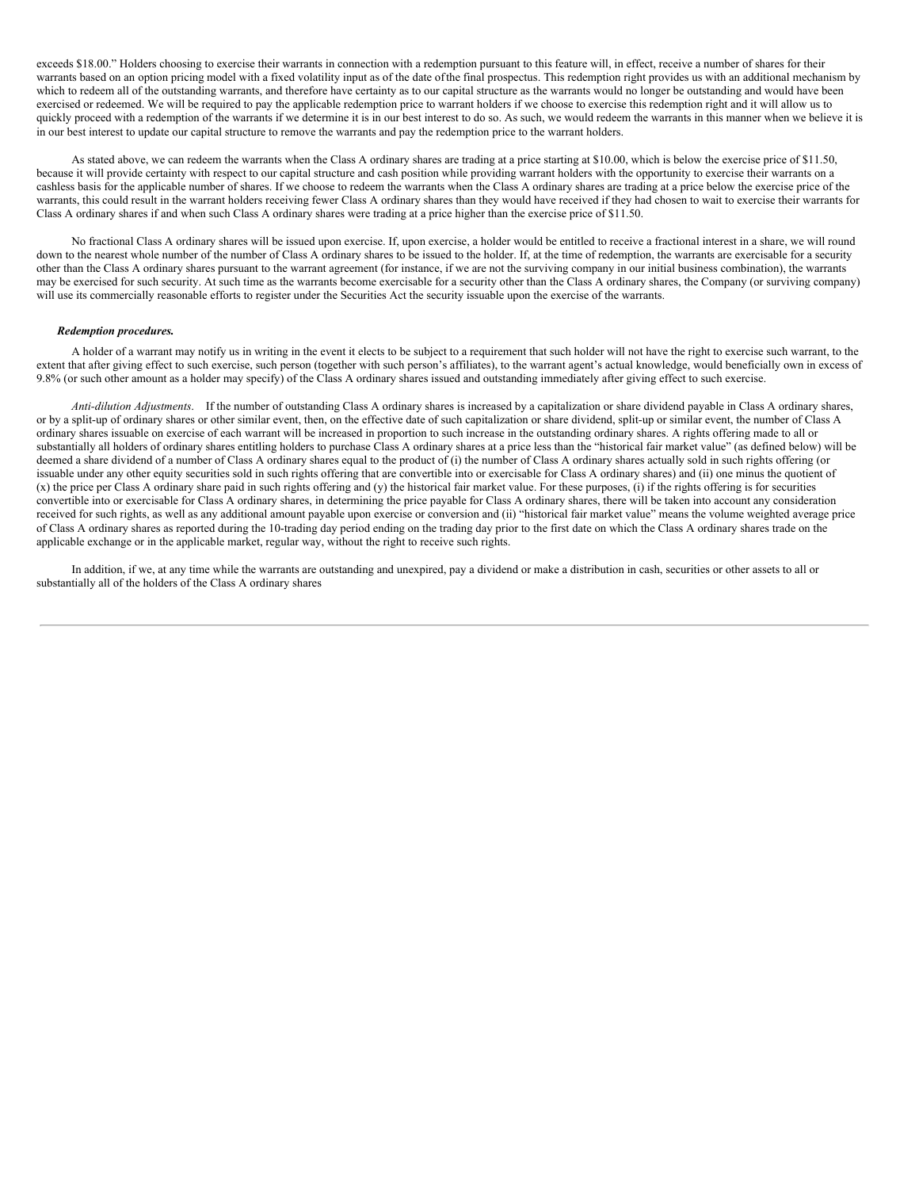exceeds \$18.00." Holders choosing to exercise their warrants in connection with a redemption pursuant to this feature will, in effect, receive a number of shares for their warrants based on an option pricing model with a fixed volatility input as of the date of the final prospectus. This redemption right provides us with an additional mechanism by which to redeem all of the outstanding warrants, and therefore have certainty as to our capital structure as the warrants would no longer be outstanding and would have been exercised or redeemed. We will be required to pay the applicable redemption price to warrant holders if we choose to exercise this redemption right and it will allow us to quickly proceed with a redemption of the warrants if we determine it is in our best interest to do so. As such, we would redeem the warrants in this manner when we believe it is in our best interest to update our capital structure to remove the warrants and pay the redemption price to the warrant holders.

As stated above, we can redeem the warrants when the Class A ordinary shares are trading at a price starting at \$10.00, which is below the exercise price of \$11.50, because it will provide certainty with respect to our capital structure and cash position while providing warrant holders with the opportunity to exercise their warrants on a cashless basis for the applicable number of shares. If we choose to redeem the warrants when the Class A ordinary shares are trading at a price below the exercise price of the warrants, this could result in the warrant holders receiving fewer Class A ordinary shares than they would have received if they had chosen to wait to exercise their warrants for Class A ordinary shares if and when such Class A ordinary shares were trading at a price higher than the exercise price of \$11.50.

No fractional Class A ordinary shares will be issued upon exercise. If, upon exercise, a holder would be entitled to receive a fractional interest in a share, we will round down to the nearest whole number of the number of Class A ordinary shares to be issued to the holder. If, at the time of redemption, the warrants are exercisable for a security other than the Class A ordinary shares pursuant to the warrant agreement (for instance, if we are not the surviving company in our initial business combination), the warrants may be exercised for such security. At such time as the warrants become exercisable for a security other than the Class A ordinary shares, the Company (or surviving company) will use its commercially reasonable efforts to register under the Securities Act the security issuable upon the exercise of the warrants.

#### *Redemption procedures.*

A holder of a warrant may notify us in writing in the event it elects to be subject to a requirement that such holder will not have the right to exercise such warrant, to the extent that after giving effect to such exercise, such person (together with such person's affiliates), to the warrant agent's actual knowledge, would beneficially own in excess of 9.8% (or such other amount as a holder may specify) of the Class A ordinary shares issued and outstanding immediately after giving effect to such exercise.

*Anti-dilution Adjustments*. If the number of outstanding Class A ordinary shares is increased by a capitalization or share dividend payable in Class A ordinary shares, or by a split-up of ordinary shares or other similar event, then, on the effective date of such capitalization or share dividend, split-up or similar event, the number of Class A ordinary shares issuable on exercise of each warrant will be increased in proportion to such increase in the outstanding ordinary shares. A rights offering made to all or substantially all holders of ordinary shares entitling holders to purchase Class A ordinary shares at a price less than the "historical fair market value" (as defined below) will be deemed a share dividend of a number of Class A ordinary shares equal to the product of (i) the number of Class A ordinary shares actually sold in such rights offering (or issuable under any other equity securities sold in such rights offering that are convertible into or exercisable for Class A ordinary shares) and (ii) one minus the quotient of (x) the price per Class A ordinary share paid in such rights offering and (y) the historical fair market value. For these purposes, (i) if the rights offering is for securities convertible into or exercisable for Class A ordinary shares, in determining the price payable for Class A ordinary shares, there will be taken into account any consideration received for such rights, as well as any additional amount payable upon exercise or conversion and (ii) "historical fair market value" means the volume weighted average price of Class A ordinary shares as reported during the 10-trading day period ending on the trading day prior to the first date on which the Class A ordinary shares trade on the applicable exchange or in the applicable market, regular way, without the right to receive such rights.

In addition, if we, at any time while the warrants are outstanding and unexpired, pay a dividend or make a distribution in cash, securities or other assets to all or substantially all of the holders of the Class A ordinary shares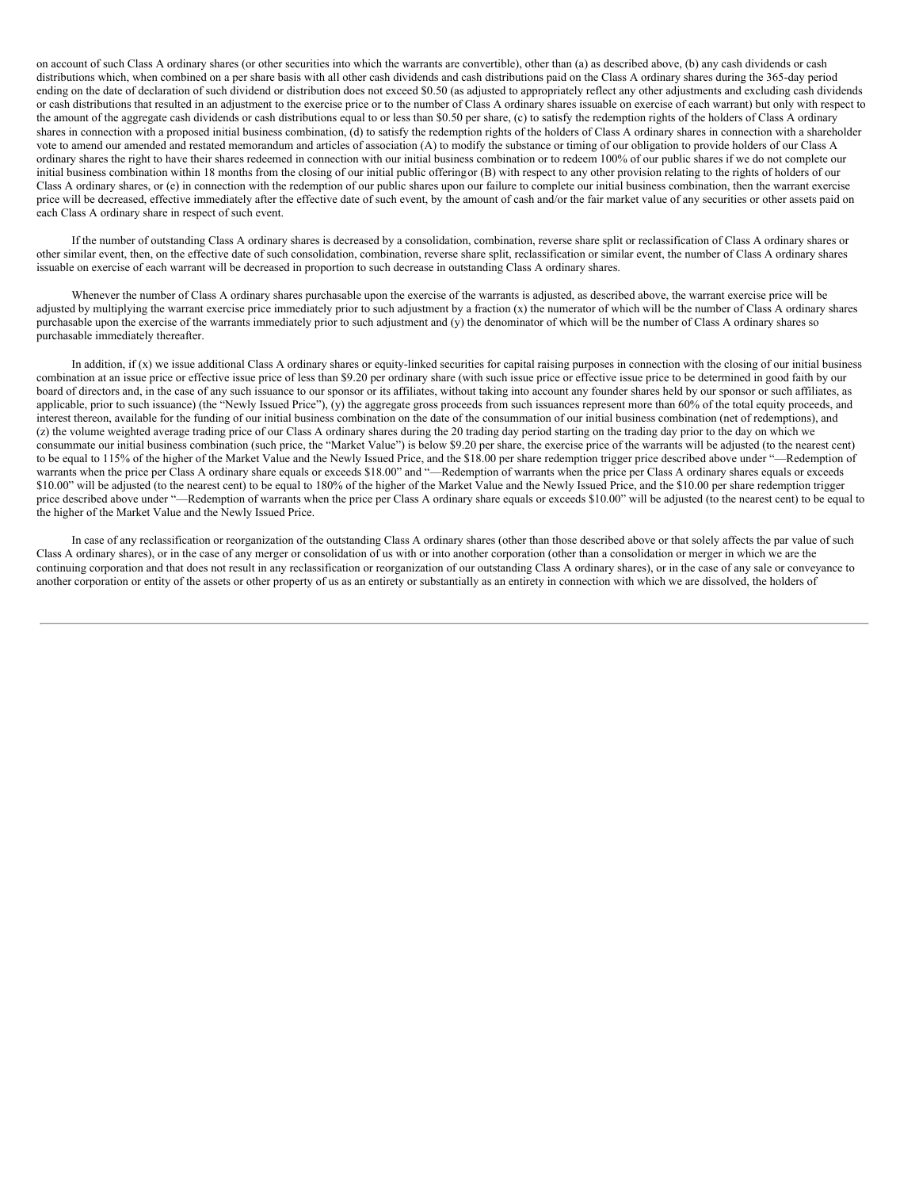on account of such Class A ordinary shares (or other securities into which the warrants are convertible), other than (a) as described above, (b) any cash dividends or cash distributions which, when combined on a per share basis with all other cash dividends and cash distributions paid on the Class A ordinary shares during the 365-day period ending on the date of declaration of such dividend or distribution does not exceed \$0.50 (as adjusted to appropriately reflect any other adjustments and excluding cash dividends or cash distributions that resulted in an adjustment to the exercise price or to the number of Class A ordinary shares issuable on exercise of each warrant) but only with respect to the amount of the aggregate cash dividends or cash distributions equal to or less than \$0.50 per share, (c) to satisfy the redemption rights of the holders of Class A ordinary shares in connection with a proposed initial business combination, (d) to satisfy the redemption rights of the holders of Class A ordinary shares in connection with a shareholder vote to amend our amended and restated memorandum and articles of association (A) to modify the substance or timing of our obligation to provide holders of our Class A ordinary shares the right to have their shares redeemed in connection with our initial business combination or to redeem 100% of our public shares if we do not complete our initial business combination within 18 months from the closing of our initial public offeringor (B) with respect to any other provision relating to the rights of holders of our Class A ordinary shares, or (e) in connection with the redemption of our public shares upon our failure to complete our initial business combination, then the warrant exercise price will be decreased, effective immediately after the effective date of such event, by the amount of cash and/or the fair market value of any securities or other assets paid on each Class A ordinary share in respect of such event.

If the number of outstanding Class A ordinary shares is decreased by a consolidation, combination, reverse share split or reclassification of Class A ordinary shares or other similar event, then, on the effective date of such consolidation, combination, reverse share split, reclassification or similar event, the number of Class A ordinary shares issuable on exercise of each warrant will be decreased in proportion to such decrease in outstanding Class A ordinary shares.

Whenever the number of Class A ordinary shares purchasable upon the exercise of the warrants is adjusted, as described above, the warrant exercise price will be adjusted by multiplying the warrant exercise price immediately prior to such adjustment by a fraction (x) the numerator of which will be the number of Class A ordinary shares purchasable upon the exercise of the warrants immediately prior to such adjustment and (y) the denominator of which will be the number of Class A ordinary shares so purchasable immediately thereafter.

In addition, if (x) we issue additional Class A ordinary shares or equity-linked securities for capital raising purposes in connection with the closing of our initial business combination at an issue price or effective issue price of less than \$9.20 per ordinary share (with such issue price or effective issue price to be determined in good faith by our board of directors and, in the case of any such issuance to our sponsor or its affiliates, without taking into account any founder shares held by our sponsor or such affiliates, as applicable, prior to such issuance) (the "Newly Issued Price"), (y) the aggregate gross proceeds from such issuances represent more than  $60\%$  of the total equity proceeds, and interest thereon, available for the funding of our initial business combination on the date of the consummation of our initial business combination (net of redemptions), and (z) the volume weighted average trading price of our Class A ordinary shares during the 20 trading day period starting on the trading day prior to the day on which we consummate our initial business combination (such price, the "Market Value") is below \$9.20 per share, the exercise price of the warrants will be adjusted (to the nearest cent) to be equal to 115% of the higher of the Market Value and the Newly Issued Price, and the \$18.00 per share redemption trigger price described above under "—Redemption of warrants when the price per Class A ordinary share equals or exceeds \$18.00" and "—Redemption of warrants when the price per Class A ordinary shares equals or exceeds \$10.00" will be adjusted (to the nearest cent) to be equal to 180% of the higher of the Market Value and the Newly Issued Price, and the \$10.00 per share redemption trigger price described above under "—Redemption of warrants when the price per Class A ordinary share equals or exceeds \$10.00" will be adjusted (to the nearest cent) to be equal to the higher of the Market Value and the Newly Issued Price.

In case of any reclassification or reorganization of the outstanding Class A ordinary shares (other than those described above or that solely affects the par value of such Class A ordinary shares), or in the case of any merger or consolidation of us with or into another corporation (other than a consolidation or merger in which we are the continuing corporation and that does not result in any reclassification or reorganization of our outstanding Class A ordinary shares), or in the case of any sale or conveyance to another corporation or entity of the assets or other property of us as an entirety or substantially as an entirety in connection with which we are dissolved, the holders of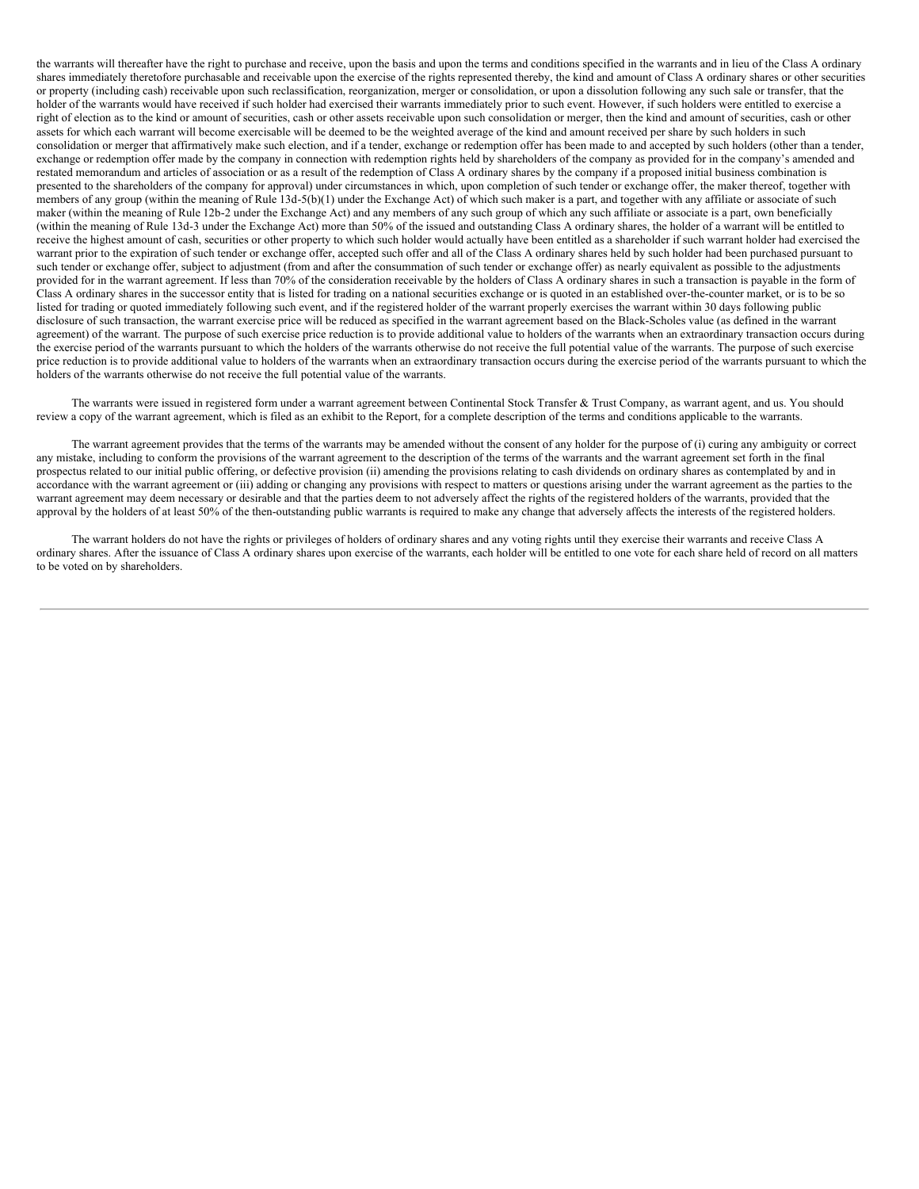the warrants will thereafter have the right to purchase and receive, upon the basis and upon the terms and conditions specified in the warrants and in lieu of the Class A ordinary shares immediately theretofore purchasable and receivable upon the exercise of the rights represented thereby, the kind and amount of Class A ordinary shares or other securities or property (including cash) receivable upon such reclassification, reorganization, merger or consolidation, or upon a dissolution following any such sale or transfer, that the holder of the warrants would have received if such holder had exercised their warrants immediately prior to such event. However, if such holders were entitled to exercise a right of election as to the kind or amount of securities, cash or other assets receivable upon such consolidation or merger, then the kind and amount of securities, cash or other assets for which each warrant will become exercisable will be deemed to be the weighted average of the kind and amount received per share by such holders in such consolidation or merger that affirmatively make such election, and if a tender, exchange or redemption offer has been made to and accepted by such holders (other than a tender, exchange or redemption offer made by the company in connection with redemption rights held by shareholders of the company as provided for in the company's amended and restated memorandum and articles of association or as a result of the redemption of Class A ordinary shares by the company if a proposed initial business combination is presented to the shareholders of the company for approval) under circumstances in which, upon completion of such tender or exchange offer, the maker thereof, together with members of any group (within the meaning of Rule 13d-5(b)(1) under the Exchange Act) of which such maker is a part, and together with any affiliate or associate of such maker (within the meaning of Rule 12b-2 under the Exchange Act) and any members of any such group of which any such affiliate or associate is a part, own beneficially (within the meaning of Rule 13d-3 under the Exchange Act) more than 50% of the issued and outstanding Class A ordinary shares, the holder of a warrant will be entitled to receive the highest amount of cash, securities or other property to which such holder would actually have been entitled as a shareholder if such warrant holder had exercised the warrant prior to the expiration of such tender or exchange offer, accepted such offer and all of the Class A ordinary shares held by such holder had been purchased pursuant to such tender or exchange offer, subject to adjustment (from and after the consummation of such tender or exchange offer) as nearly equivalent as possible to the adjustments provided for in the warrant agreement. If less than 70% of the consideration receivable by the holders of Class A ordinary shares in such a transaction is payable in the form of Class A ordinary shares in the successor entity that is listed for trading on a national securities exchange or is quoted in an established over-the-counter market, or is to be so listed for trading or quoted immediately following such event, and if the registered holder of the warrant properly exercises the warrant within 30 days following public disclosure of such transaction, the warrant exercise price will be reduced as specified in the warrant agreement based on the Black-Scholes value (as defined in the warrant agreement) of the warrant. The purpose of such exercise price reduction is to provide additional value to holders of the warrants when an extraordinary transaction occurs during the exercise period of the warrants pursuant to which the holders of the warrants otherwise do not receive the full potential value of the warrants. The purpose of such exercise price reduction is to provide additional value to holders of the warrants when an extraordinary transaction occurs during the exercise period of the warrants pursuant to which the holders of the warrants otherwise do not receive the full potential value of the warrants.

The warrants were issued in registered form under a warrant agreement between Continental Stock Transfer & Trust Company, as warrant agent, and us. You should review a copy of the warrant agreement, which is filed as an exhibit to the Report, for a complete description of the terms and conditions applicable to the warrants.

The warrant agreement provides that the terms of the warrants may be amended without the consent of any holder for the purpose of (i) curing any ambiguity or correct any mistake, including to conform the provisions of the warrant agreement to the description of the terms of the warrants and the warrant agreement set forth in the final prospectus related to our initial public offering, or defective provision (ii) amending the provisions relating to cash dividends on ordinary shares as contemplated by and in accordance with the warrant agreement or (iii) adding or changing any provisions with respect to matters or questions arising under the warrant agreement as the parties to the warrant agreement may deem necessary or desirable and that the parties deem to not adversely affect the rights of the registered holders of the warrants, provided that the approval by the holders of at least 50% of the then-outstanding public warrants is required to make any change that adversely affects the interests of the registered holders.

The warrant holders do not have the rights or privileges of holders of ordinary shares and any voting rights until they exercise their warrants and receive Class A ordinary shares. After the issuance of Class A ordinary shares upon exercise of the warrants, each holder will be entitled to one vote for each share held of record on all matters to be voted on by shareholders.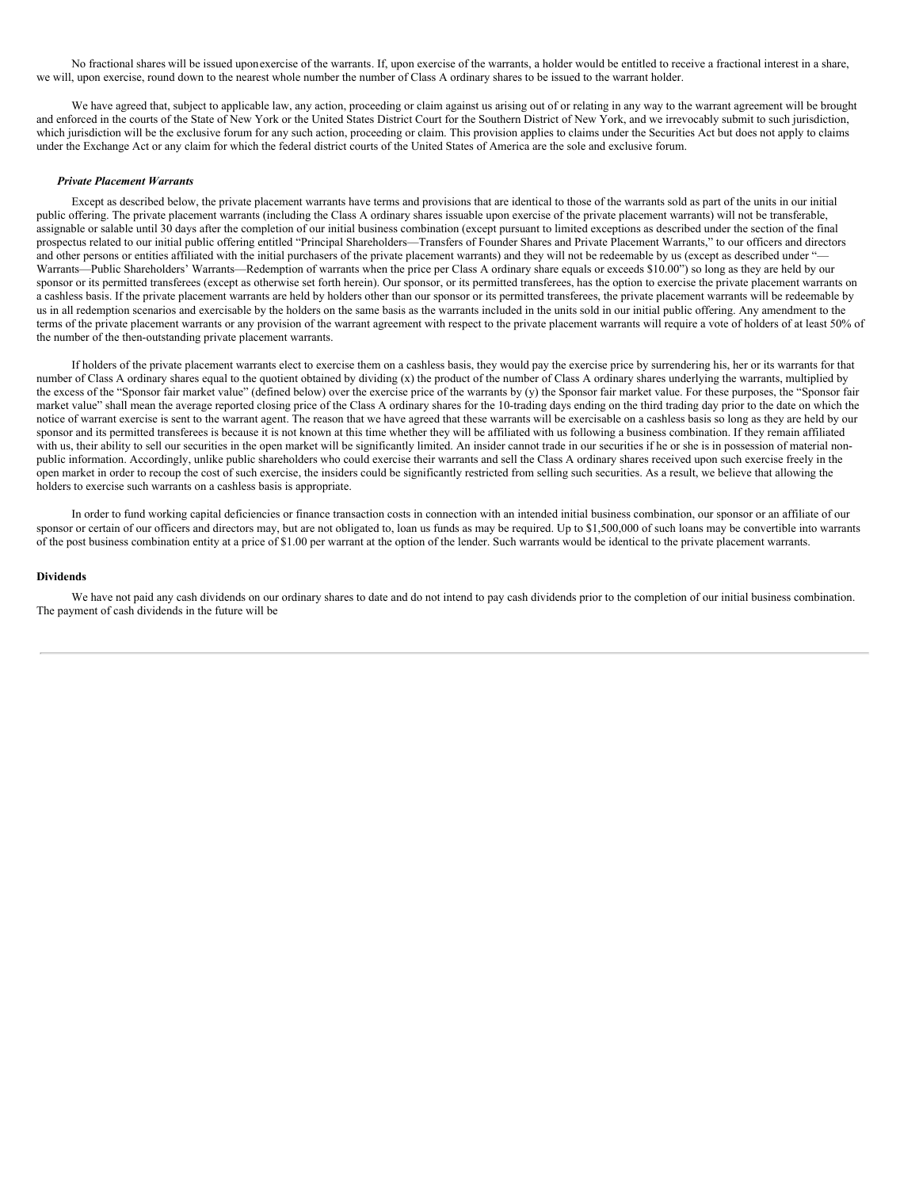No fractional shares will be issued uponexercise of the warrants. If, upon exercise of the warrants, a holder would be entitled to receive a fractional interest in a share, we will, upon exercise, round down to the nearest whole number the number of Class A ordinary shares to be issued to the warrant holder.

We have agreed that, subject to applicable law, any action, proceeding or claim against us arising out of or relating in any way to the warrant agreement will be brought and enforced in the courts of the State of New York or the United States District Court for the Southern District of New York, and we irrevocably submit to such jurisdiction, which jurisdiction will be the exclusive forum for any such action, proceeding or claim. This provision applies to claims under the Securities Act but does not apply to claims under the Exchange Act or any claim for which the federal district courts of the United States of America are the sole and exclusive forum.

#### *Private Placement Warrants*

Except as described below, the private placement warrants have terms and provisions that are identical to those of the warrants sold as part of the units in our initial public offering. The private placement warrants (including the Class A ordinary shares issuable upon exercise of the private placement warrants) will not be transferable, assignable or salable until 30 days after the completion of our initial business combination (except pursuant to limited exceptions as described under the section of the final prospectus related to our initial public offering entitled "Principal Shareholders—Transfers of Founder Shares and Private Placement Warrants," to our officers and directors and other persons or entities affiliated with the initial purchasers of the private placement warrants) and they will not be redeemable by us (except as described under "-Warrants—Public Shareholders' Warrants—Redemption of warrants when the price per Class A ordinary share equals or exceeds \$10.00") so long as they are held by our sponsor or its permitted transferees (except as otherwise set forth herein). Our sponsor, or its permitted transferees, has the option to exercise the private placement warrants on a cashless basis. If the private placement warrants are held by holders other than our sponsor or its permitted transferees, the private placement warrants will be redeemable by us in all redemption scenarios and exercisable by the holders on the same basis as the warrants included in the units sold in our initial public offering. Any amendment to the terms of the private placement warrants or any provision of the warrant agreement with respect to the private placement warrants will require a vote of holders of at least 50% of the number of the then-outstanding private placement warrants.

If holders of the private placement warrants elect to exercise them on a cashless basis, they would pay the exercise price by surrendering his, her or its warrants for that number of Class A ordinary shares equal to the quotient obtained by dividing (x) the product of the number of Class A ordinary shares underlying the warrants, multiplied by the excess of the "Sponsor fair market value" (defined below) over the exercise price of the warrants by (y) the Sponsor fair market value. For these purposes, the "Sponsor fair market value" shall mean the average reported closing price of the Class A ordinary shares for the 10-trading days ending on the third trading day prior to the date on which the notice of warrant exercise is sent to the warrant agent. The reason that we have agreed that these warrants will be exercisable on a cashless basis so long as they are held by our sponsor and its permitted transferees is because it is not known at this time whether they will be affiliated with us following a business combination. If they remain affiliated with us, their ability to sell our securities in the open market will be significantly limited. An insider cannot trade in our securities if he or she is in possession of material nonpublic information. Accordingly, unlike public shareholders who could exercise their warrants and sell the Class A ordinary shares received upon such exercise freely in the open market in order to recoup the cost of such exercise, the insiders could be significantly restricted from selling such securities. As a result, we believe that allowing the holders to exercise such warrants on a cashless basis is appropriate.

In order to fund working capital deficiencies or finance transaction costs in connection with an intended initial business combination, our sponsor or an affiliate of our sponsor or certain of our officers and directors may, but are not obligated to, loan us funds as may be required. Up to \$1,500,000 of such loans may be convertible into warrants of the post business combination entity at a price of \$1.00 per warrant at the option of the lender. Such warrants would be identical to the private placement warrants.

#### **Dividends**

We have not paid any cash dividends on our ordinary shares to date and do not intend to pay cash dividends prior to the completion of our initial business combination. The payment of cash dividends in the future will be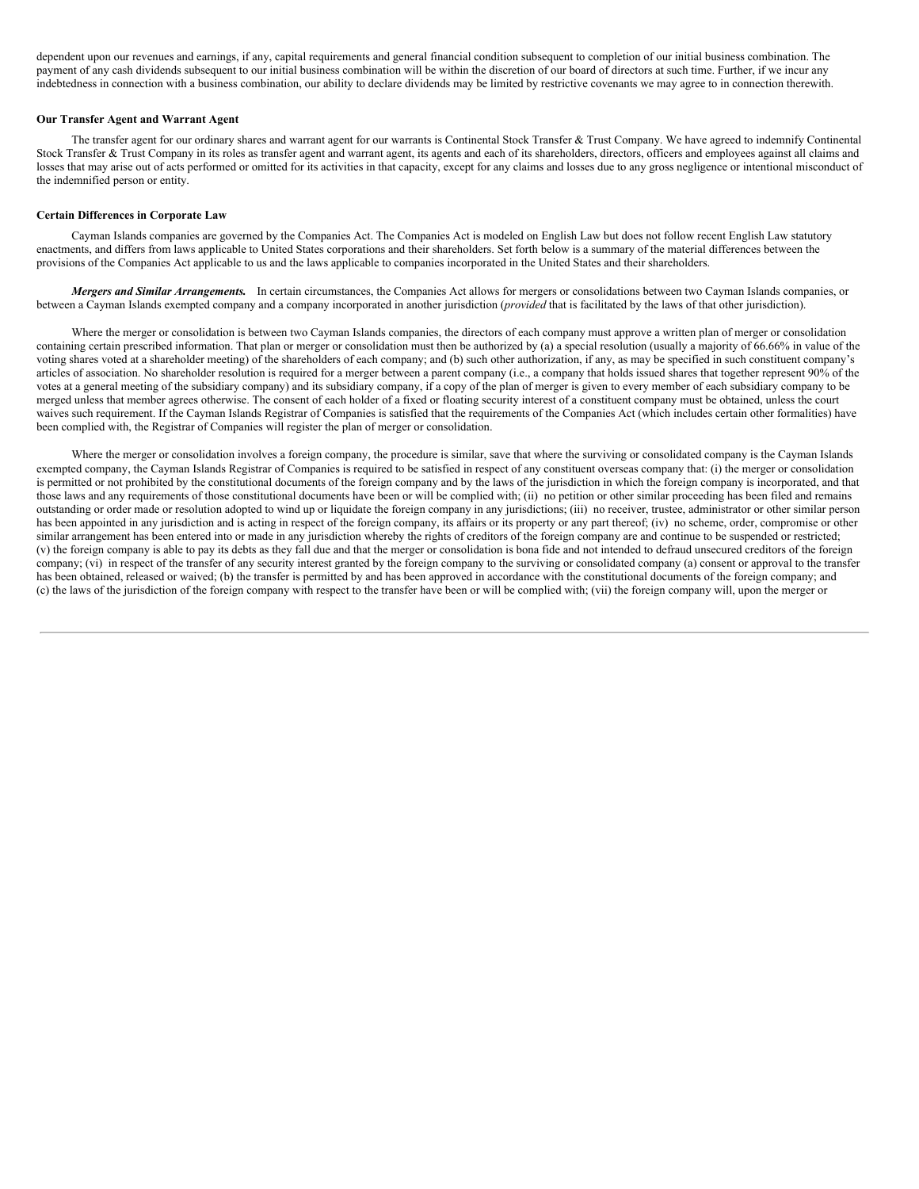dependent upon our revenues and earnings, if any, capital requirements and general financial condition subsequent to completion of our initial business combination. The payment of any cash dividends subsequent to our initial business combination will be within the discretion of our board of directors at such time. Further, if we incur any indebtedness in connection with a business combination, our ability to declare dividends may be limited by restrictive covenants we may agree to in connection therewith.

#### **Our Transfer Agent and Warrant Agent**

The transfer agent for our ordinary shares and warrant agent for our warrants is Continental Stock Transfer & Trust Company. We have agreed to indemnify Continental Stock Transfer & Trust Company in its roles as transfer agent and warrant agent, its agents and each of its shareholders, directors, officers and employees against all claims and losses that may arise out of acts performed or omitted for its activities in that capacity, except for any claims and losses due to any gross negligence or intentional misconduct of the indemnified person or entity.

#### **Certain Differences in Corporate Law**

Cayman Islands companies are governed by the Companies Act. The Companies Act is modeled on English Law but does not follow recent English Law statutory enactments, and differs from laws applicable to United States corporations and their shareholders. Set forth below is a summary of the material differences between the provisions of the Companies Act applicable to us and the laws applicable to companies incorporated in the United States and their shareholders.

*Mergers and Similar Arrangements***.** In certain circumstances, the Companies Act allows for mergers or consolidations between two Cayman Islands companies, or between a Cayman Islands exempted company and a company incorporated in another jurisdiction (*provided* that is facilitated by the laws of that other jurisdiction).

Where the merger or consolidation is between two Cayman Islands companies, the directors of each company must approve a written plan of merger or consolidation containing certain prescribed information. That plan or merger or consolidation must then be authorized by (a) a special resolution (usually a majority of 66.66% in value of the voting shares voted at a shareholder meeting) of the shareholders of each company; and (b) such other authorization, if any, as may be specified in such constituent company's articles of association. No shareholder resolution is required for a merger between a parent company (i.e., a company that holds issued shares that together represent 90% of the votes at a general meeting of the subsidiary company) and its subsidiary company, if a copy of the plan of merger is given to every member of each subsidiary company to be merged unless that member agrees otherwise. The consent of each holder of a fixed or floating security interest of a constituent company must be obtained, unless the court waives such requirement. If the Cayman Islands Registrar of Companies is satisfied that the requirements of the Companies Act (which includes certain other formalities) have been complied with, the Registrar of Companies will register the plan of merger or consolidation.

Where the merger or consolidation involves a foreign company, the procedure is similar, save that where the surviving or consolidated company is the Cayman Islands exempted company, the Cayman Islands Registrar of Companies is required to be satisfied in respect of any constituent overseas company that: (i) the merger or consolidation is permitted or not prohibited by the constitutional documents of the foreign company and by the laws of the jurisdiction in which the foreign company is incorporated, and that those laws and any requirements of those constitutional documents have been or will be complied with; (ii) no petition or other similar proceeding has been filed and remains outstanding or order made or resolution adopted to wind up or liquidate the foreign company in any jurisdictions; (iii) no receiver, trustee, administrator or other similar person has been appointed in any jurisdiction and is acting in respect of the foreign company, its affairs or its property or any part thereof; (iv) no scheme, order, compromise or other similar arrangement has been entered into or made in any jurisdiction whereby the rights of creditors of the foreign company are and continue to be suspended or restricted; (v) the foreign company is able to pay its debts as they fall due and that the merger or consolidation is bona fide and not intended to defraud unsecured creditors of the foreign company; (vi) in respect of the transfer of any security interest granted by the foreign company to the surviving or consolidated company (a) consent or approval to the transfer has been obtained, released or waived; (b) the transfer is permitted by and has been approved in accordance with the constitutional documents of the foreign company; and (c) the laws of the jurisdiction of the foreign company with respect to the transfer have been or will be complied with; (vii) the foreign company will, upon the merger or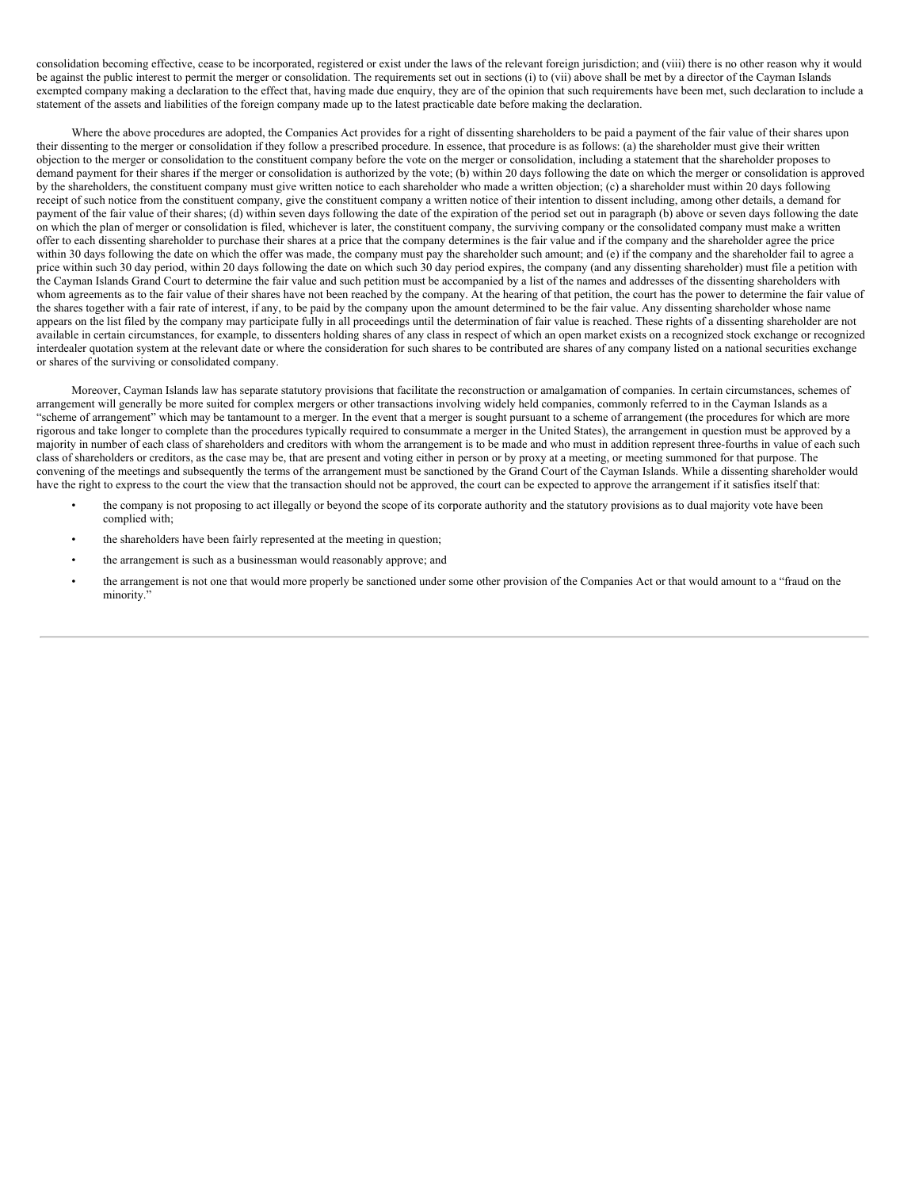consolidation becoming effective, cease to be incorporated, registered or exist under the laws of the relevant foreign jurisdiction; and (viii) there is no other reason why it would be against the public interest to permit the merger or consolidation. The requirements set out in sections (i) to (vii) above shall be met by a director of the Cayman Islands exempted company making a declaration to the effect that, having made due enquiry, they are of the opinion that such requirements have been met, such declaration to include a statement of the assets and liabilities of the foreign company made up to the latest practicable date before making the declaration.

Where the above procedures are adopted, the Companies Act provides for a right of dissenting shareholders to be paid a payment of the fair value of their shares upon their dissenting to the merger or consolidation if they follow a prescribed procedure. In essence, that procedure is as follows: (a) the shareholder must give their written objection to the merger or consolidation to the constituent company before the vote on the merger or consolidation, including a statement that the shareholder proposes to demand payment for their shares if the merger or consolidation is authorized by the vote; (b) within 20 days following the date on which the merger or consolidation is approved by the shareholders, the constituent company must give written notice to each shareholder who made a written objection; (c) a shareholder must within 20 days following receipt of such notice from the constituent company, give the constituent company a written notice of their intention to dissent including, among other details, a demand for payment of the fair value of their shares; (d) within seven days following the date of the expiration of the period set out in paragraph (b) above or seven days following the date on which the plan of merger or consolidation is filed, whichever is later, the constituent company, the surviving company or the consolidated company must make a written offer to each dissenting shareholder to purchase their shares at a price that the company determines is the fair value and if the company and the shareholder agree the price within 30 days following the date on which the offer was made, the company must pay the shareholder such amount; and (e) if the company and the shareholder fail to agree a price within such 30 day period, within 20 days following the date on which such 30 day period expires, the company (and any dissenting shareholder) must file a petition with the Cayman Islands Grand Court to determine the fair value and such petition must be accompanied by a list of the names and addresses of the dissenting shareholders with whom agreements as to the fair value of their shares have not been reached by the company. At the hearing of that petition, the court has the power to determine the fair value of the shares together with a fair rate of interest, if any, to be paid by the company upon the amount determined to be the fair value. Any dissenting shareholder whose name appears on the list filed by the company may participate fully in all proceedings until the determination of fair value is reached. These rights of a dissenting shareholder are not available in certain circumstances, for example, to dissenters holding shares of any class in respect of which an open market exists on a recognized stock exchange or recognized interdealer quotation system at the relevant date or where the consideration for such shares to be contributed are shares of any company listed on a national securities exchange or shares of the surviving or consolidated company.

Moreover, Cayman Islands law has separate statutory provisions that facilitate the reconstruction or amalgamation of companies. In certain circumstances, schemes of arrangement will generally be more suited for complex mergers or other transactions involving widely held companies, commonly referred to in the Cayman Islands as a "scheme of arrangement" which may be tantamount to a merger. In the event that a merger is sought pursuant to a scheme of arrangement (the procedures for which are more rigorous and take longer to complete than the procedures typically required to consummate a merger in the United States), the arrangement in question must be approved by a majority in number of each class of shareholders and creditors with whom the arrangement is to be made and who must in addition represent three-fourths in value of each such class of shareholders or creditors, as the case may be, that are present and voting either in person or by proxy at a meeting, or meeting summoned for that purpose. The convening of the meetings and subsequently the terms of the arrangement must be sanctioned by the Grand Court of the Cayman Islands. While a dissenting shareholder would have the right to express to the court the view that the transaction should not be approved, the court can be expected to approve the arrangement if it satisfies itself that:

- the company is not proposing to act illegally or beyond the scope of its corporate authority and the statutory provisions as to dual majority vote have been complied with;
- the shareholders have been fairly represented at the meeting in question;
- the arrangement is such as a businessman would reasonably approve; and
- the arrangement is not one that would more properly be sanctioned under some other provision of the Companies Act or that would amount to a "fraud on the minority."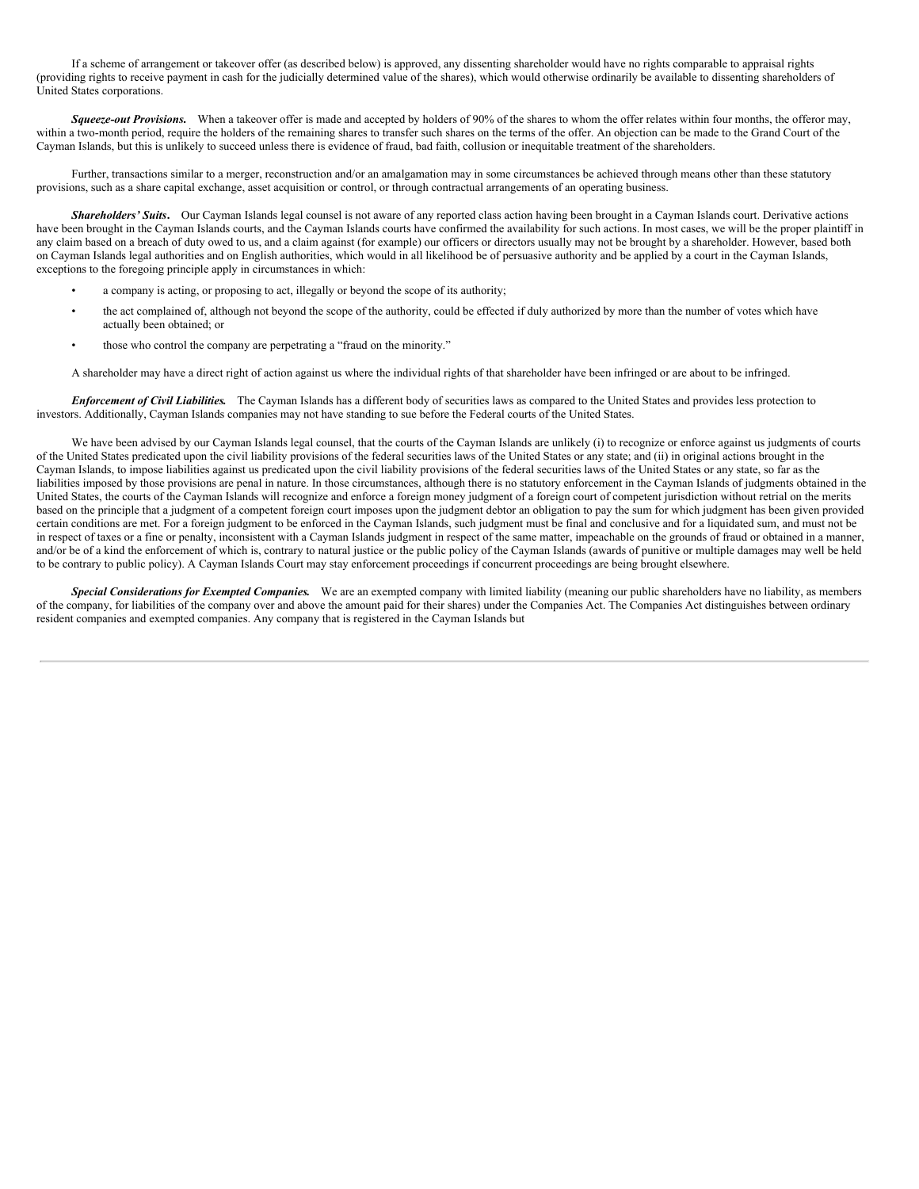If a scheme of arrangement or takeover offer (as described below) is approved, any dissenting shareholder would have no rights comparable to appraisal rights (providing rights to receive payment in cash for the judicially determined value of the shares), which would otherwise ordinarily be available to dissenting shareholders of United States corporations.

*Squeeze-out Provisions.* When a takeover offer is made and accepted by holders of 90% of the shares to whom the offer relates within four months, the offeror may, within a two-month period, require the holders of the remaining shares to transfer such shares on the terms of the offer. An objection can be made to the Grand Court of the Cayman Islands, but this is unlikely to succeed unless there is evidence of fraud, bad faith, collusion or inequitable treatment of the shareholders.

Further, transactions similar to a merger, reconstruction and/or an amalgamation may in some circumstances be achieved through means other than these statutory provisions, such as a share capital exchange, asset acquisition or control, or through contractual arrangements of an operating business.

*Shareholders' Suits***.** Our Cayman Islands legal counsel is not aware of any reported class action having been brought in a Cayman Islands court. Derivative actions have been brought in the Cayman Islands courts, and the Cayman Islands courts have confirmed the availability for such actions. In most cases, we will be the proper plaintiff in any claim based on a breach of duty owed to us, and a claim against (for example) our officers or directors usually may not be brought by a shareholder. However, based both on Cayman Islands legal authorities and on English authorities, which would in all likelihood be of persuasive authority and be applied by a court in the Cayman Islands, exceptions to the foregoing principle apply in circumstances in which:

- a company is acting, or proposing to act, illegally or beyond the scope of its authority;
- the act complained of, although not beyond the scope of the authority, could be effected if duly authorized by more than the number of votes which have actually been obtained; or
- those who control the company are perpetrating a "fraud on the minority."

A shareholder may have a direct right of action against us where the individual rights of that shareholder have been infringed or are about to be infringed.

*Enforcement of Civil Liabilities***.** The Cayman Islands has a different body of securities laws as compared to the United States and provides less protection to investors. Additionally, Cayman Islands companies may not have standing to sue before the Federal courts of the United States.

We have been advised by our Cayman Islands legal counsel, that the courts of the Cayman Islands are unlikely (i) to recognize or enforce against us judgments of courts of the United States predicated upon the civil liability provisions of the federal securities laws of the United States or any state; and (ii) in original actions brought in the Cayman Islands, to impose liabilities against us predicated upon the civil liability provisions of the federal securities laws of the United States or any state, so far as the liabilities imposed by those provisions are penal in nature. In those circumstances, although there is no statutory enforcement in the Cayman Islands of judgments obtained in the United States, the courts of the Cayman Islands will recognize and enforce a foreign money judgment of a foreign court of competent jurisdiction without retrial on the merits based on the principle that a judgment of a competent foreign court imposes upon the judgment debtor an obligation to pay the sum for which judgment has been given provided certain conditions are met. For a foreign judgment to be enforced in the Cayman Islands, such judgment must be final and conclusive and for a liquidated sum, and must not be in respect of taxes or a fine or penalty, inconsistent with a Cayman Islands judgment in respect of the same matter, impeachable on the grounds of fraud or obtained in a manner, and/or be of a kind the enforcement of which is, contrary to natural justice or the public policy of the Cayman Islands (awards of punitive or multiple damages may well be held to be contrary to public policy). A Cayman Islands Court may stay enforcement proceedings if concurrent proceedings are being brought elsewhere.

*Special Considerations for Exempted Companies***.** We are an exempted company with limited liability (meaning our public shareholders have no liability, as members of the company, for liabilities of the company over and above the amount paid for their shares) under the Companies Act. The Companies Act distinguishes between ordinary resident companies and exempted companies. Any company that is registered in the Cayman Islands but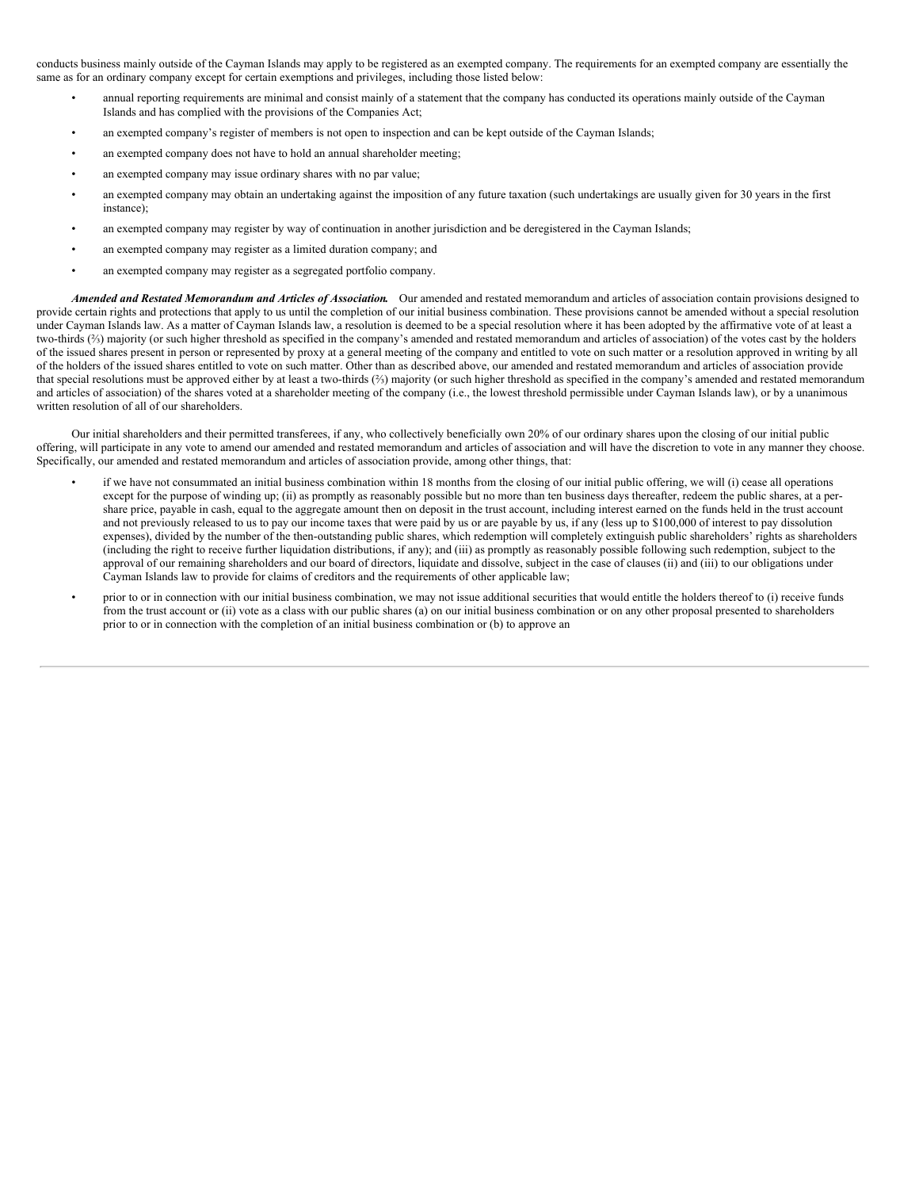conducts business mainly outside of the Cayman Islands may apply to be registered as an exempted company. The requirements for an exempted company are essentially the same as for an ordinary company except for certain exemptions and privileges, including those listed below:

- annual reporting requirements are minimal and consist mainly of a statement that the company has conducted its operations mainly outside of the Cayman Islands and has complied with the provisions of the Companies Act;
- an exempted company's register of members is not open to inspection and can be kept outside of the Cayman Islands;
- an exempted company does not have to hold an annual shareholder meeting;
- an exempted company may issue ordinary shares with no par value;
- an exempted company may obtain an undertaking against the imposition of any future taxation (such undertakings are usually given for 30 years in the first instance);
- an exempted company may register by way of continuation in another jurisdiction and be deregistered in the Cayman Islands;
- an exempted company may register as a limited duration company; and
- an exempted company may register as a segregated portfolio company.

*Amended and Restated Memorandum and Articles of Association***.** Our amended and restated memorandum and articles of association contain provisions designed to provide certain rights and protections that apply to us until the completion of our initial business combination. These provisions cannot be amended without a special resolution under Cayman Islands law. As a matter of Cayman Islands law, a resolution is deemed to be a special resolution where it has been adopted by the affirmative vote of at least a two-thirds (⅔) majority (or such higher threshold as specified in the company's amended and restated memorandum and articles of association) of the votes cast by the holders of the issued shares present in person or represented by proxy at a general meeting of the company and entitled to vote on such matter or a resolution approved in writing by all of the holders of the issued shares entitled to vote on such matter. Other than as described above, our amended and restated memorandum and articles of association provide that special resolutions must be approved either by at least a two-thirds (⅔) majority (or such higher threshold as specified in the company's amended and restated memorandum and articles of association) of the shares voted at a shareholder meeting of the company (i.e., the lowest threshold permissible under Cayman Islands law), or by a unanimous written resolution of all of our shareholders.

Our initial shareholders and their permitted transferees, if any, who collectively beneficially own 20% of our ordinary shares upon the closing of our initial public offering, will participate in any vote to amend our amended and restated memorandum and articles of association and will have the discretion to vote in any manner they choose. Specifically, our amended and restated memorandum and articles of association provide, among other things, that:

- if we have not consummated an initial business combination within 18 months from the closing of our initial public offering, we will (i) cease all operations except for the purpose of winding up; (ii) as promptly as reasonably possible but no more than ten business days thereafter, redeem the public shares, at a pershare price, payable in cash, equal to the aggregate amount then on deposit in the trust account, including interest earned on the funds held in the trust account and not previously released to us to pay our income taxes that were paid by us or are payable by us, if any (less up to \$100,000 of interest to pay dissolution expenses), divided by the number of the then-outstanding public shares, which redemption will completely extinguish public shareholders' rights as shareholders (including the right to receive further liquidation distributions, if any); and (iii) as promptly as reasonably possible following such redemption, subject to the approval of our remaining shareholders and our board of directors, liquidate and dissolve, subject in the case of clauses (ii) and (iii) to our obligations under Cayman Islands law to provide for claims of creditors and the requirements of other applicable law;
- prior to or in connection with our initial business combination, we may not issue additional securities that would entitle the holders thereof to (i) receive funds from the trust account or (ii) vote as a class with our public shares (a) on our initial business combination or on any other proposal presented to shareholders prior to or in connection with the completion of an initial business combination or (b) to approve an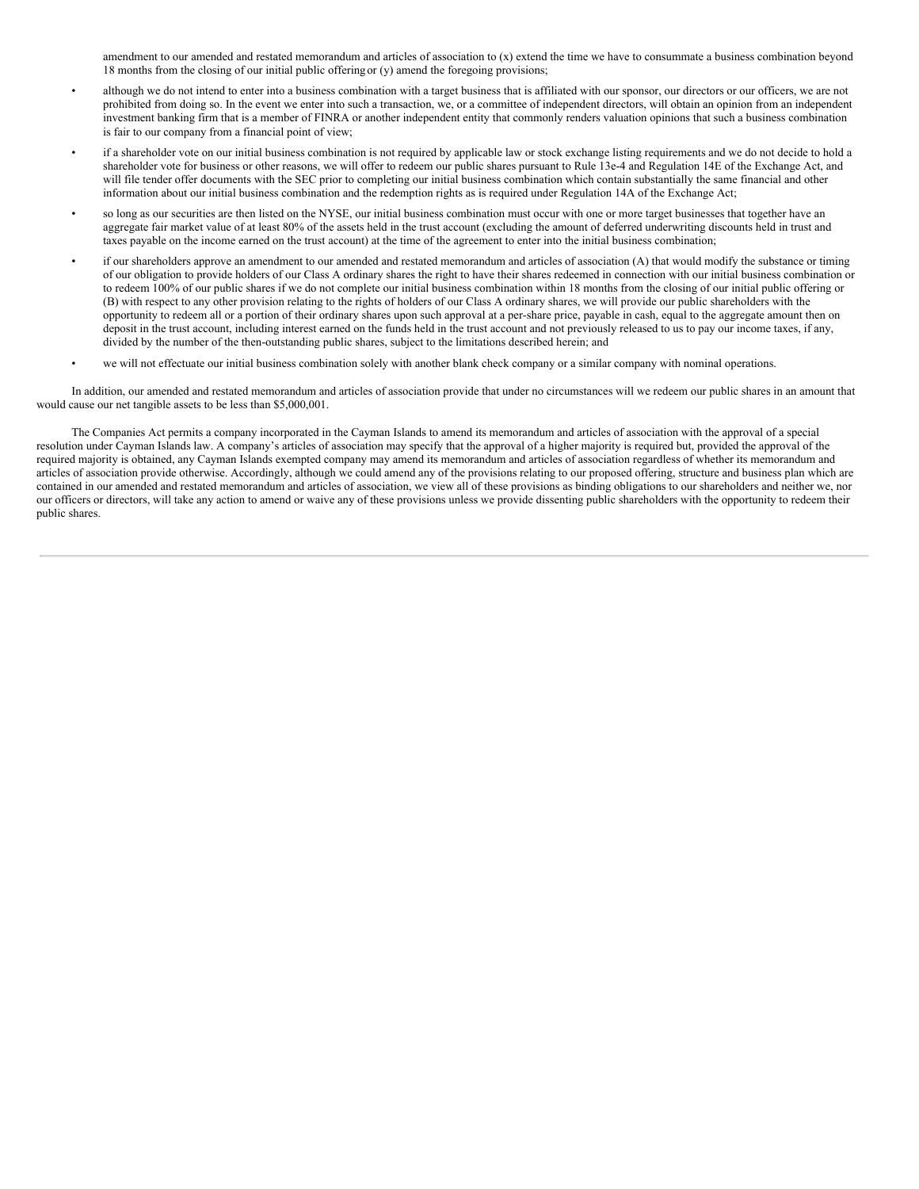amendment to our amended and restated memorandum and articles of association to (x) extend the time we have to consummate a business combination beyond 18 months from the closing of our initial public offeringor (y) amend the foregoing provisions;

- although we do not intend to enter into a business combination with a target business that is affiliated with our sponsor, our directors or our officers, we are not prohibited from doing so. In the event we enter into such a transaction, we, or a committee of independent directors, will obtain an opinion from an independent investment banking firm that is a member of FINRA or another independent entity that commonly renders valuation opinions that such a business combination is fair to our company from a financial point of view;
- if a shareholder vote on our initial business combination is not required by applicable law or stock exchange listing requirements and we do not decide to hold a shareholder vote for business or other reasons, we will offer to redeem our public shares pursuant to Rule 13e-4 and Regulation 14E of the Exchange Act, and will file tender offer documents with the SEC prior to completing our initial business combination which contain substantially the same financial and other information about our initial business combination and the redemption rights as is required under Regulation 14A of the Exchange Act;
- so long as our securities are then listed on the NYSE, our initial business combination must occur with one or more target businesses that together have an aggregate fair market value of at least 80% of the assets held in the trust account (excluding the amount of deferred underwriting discounts held in trust and taxes payable on the income earned on the trust account) at the time of the agreement to enter into the initial business combination;
- if our shareholders approve an amendment to our amended and restated memorandum and articles of association (A) that would modify the substance or timing of our obligation to provide holders of our Class A ordinary shares the right to have their shares redeemed in connection with our initial business combination or to redeem 100% of our public shares if we do not complete our initial business combination within 18 months from the closing of our initial public offering or (B) with respect to any other provision relating to the rights of holders of our Class A ordinary shares, we will provide our public shareholders with the opportunity to redeem all or a portion of their ordinary shares upon such approval at a per-share price, payable in cash, equal to the aggregate amount then on deposit in the trust account, including interest earned on the funds held in the trust account and not previously released to us to pay our income taxes, if any, divided by the number of the then-outstanding public shares, subject to the limitations described herein; and
- we will not effectuate our initial business combination solely with another blank check company or a similar company with nominal operations.

In addition, our amended and restated memorandum and articles of association provide that under no circumstances will we redeem our public shares in an amount that would cause our net tangible assets to be less than \$5,000,001.

The Companies Act permits a company incorporated in the Cayman Islands to amend its memorandum and articles of association with the approval of a special resolution under Cayman Islands law. A company's articles of association may specify that the approval of a higher majority is required but, provided the approval of the required majority is obtained, any Cayman Islands exempted company may amend its memorandum and articles of association regardless of whether its memorandum and articles of association provide otherwise. Accordingly, although we could amend any of the provisions relating to our proposed offering, structure and business plan which are contained in our amended and restated memorandum and articles of association, we view all of these provisions as binding obligations to our shareholders and neither we, nor our officers or directors, will take any action to amend or waive any of these provisions unless we provide dissenting public shareholders with the opportunity to redeem their public shares.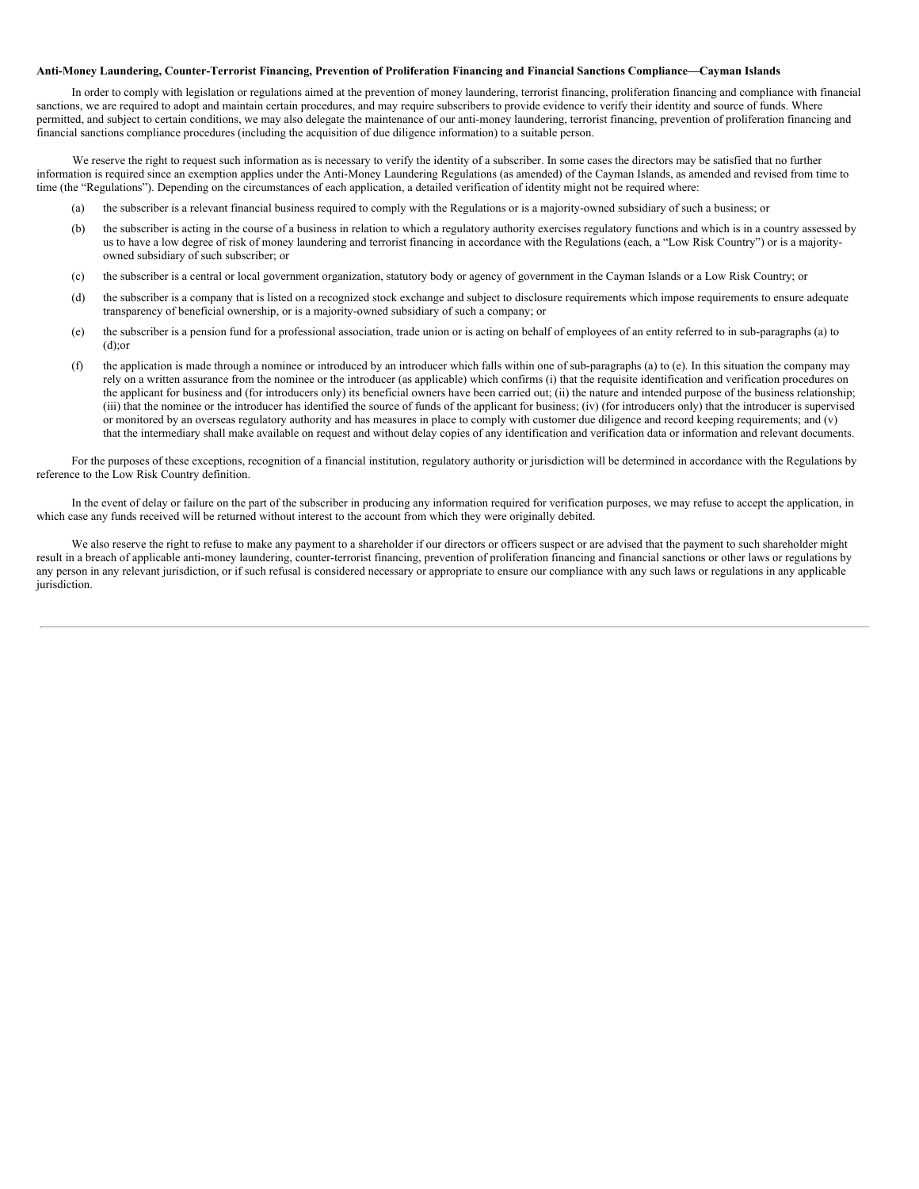#### Anti-Money Laundering, Counter-Terrorist Financing, Prevention of Proliferation Financing and Financial Sanctions Compliance-Cayman Islands

In order to comply with legislation or regulations aimed at the prevention of money laundering, terrorist financing, proliferation financing and compliance with financial sanctions, we are required to adopt and maintain certain procedures, and may require subscribers to provide evidence to verify their identity and source of funds. Where permitted, and subject to certain conditions, we may also delegate the maintenance of our anti-money laundering, terrorist financing, prevention of proliferation financing and financial sanctions compliance procedures (including the acquisition of due diligence information) to a suitable person.

We reserve the right to request such information as is necessary to verify the identity of a subscriber. In some cases the directors may be satisfied that no further information is required since an exemption applies under the Anti-Money Laundering Regulations (as amended) of the Cayman Islands, as amended and revised from time to time (the "Regulations"). Depending on the circumstances of each application, a detailed verification of identity might not be required where:

- (a) the subscriber is a relevant financial business required to comply with the Regulations or is a majority-owned subsidiary of such a business; or
- (b) the subscriber is acting in the course of a business in relation to which a regulatory authority exercises regulatory functions and which is in a country assessed by us to have a low degree of risk of money laundering and terrorist financing in accordance with the Regulations (each, a "Low Risk Country") or is a majorityowned subsidiary of such subscriber; or
- (c) the subscriber is a central or local government organization, statutory body or agency of government in the Cayman Islands or a Low Risk Country; or
- (d) the subscriber is a company that is listed on a recognized stock exchange and subject to disclosure requirements which impose requirements to ensure adequate transparency of beneficial ownership, or is a majority-owned subsidiary of such a company; or
- (e) the subscriber is a pension fund for a professional association, trade union or is acting on behalf of employees of an entity referred to in sub-paragraphs (a) to  $(d)$ ;or
- (f) the application is made through a nominee or introduced by an introducer which falls within one of sub-paragraphs (a) to (e). In this situation the company may rely on a written assurance from the nominee or the introducer (as applicable) which confirms (i) that the requisite identification and verification procedures on the applicant for business and (for introducers only) its beneficial owners have been carried out; (ii) the nature and intended purpose of the business relationship; (iii) that the nominee or the introducer has identified the source of funds of the applicant for business; (iv) (for introducers only) that the introducer is supervised or monitored by an overseas regulatory authority and has measures in place to comply with customer due diligence and record keeping requirements; and (v) that the intermediary shall make available on request and without delay copies of any identification and verification data or information and relevant documents.

For the purposes of these exceptions, recognition of a financial institution, regulatory authority or jurisdiction will be determined in accordance with the Regulations by reference to the Low Risk Country definition.

In the event of delay or failure on the part of the subscriber in producing any information required for verification purposes, we may refuse to accept the application, in which case any funds received will be returned without interest to the account from which they were originally debited.

We also reserve the right to refuse to make any payment to a shareholder if our directors or officers suspect or are advised that the payment to such shareholder might result in a breach of applicable anti-money laundering, counter-terrorist financing, prevention of proliferation financing and financial sanctions or other laws or regulations by any person in any relevant jurisdiction, or if such refusal is considered necessary or appropriate to ensure our compliance with any such laws or regulations in any applicable jurisdiction.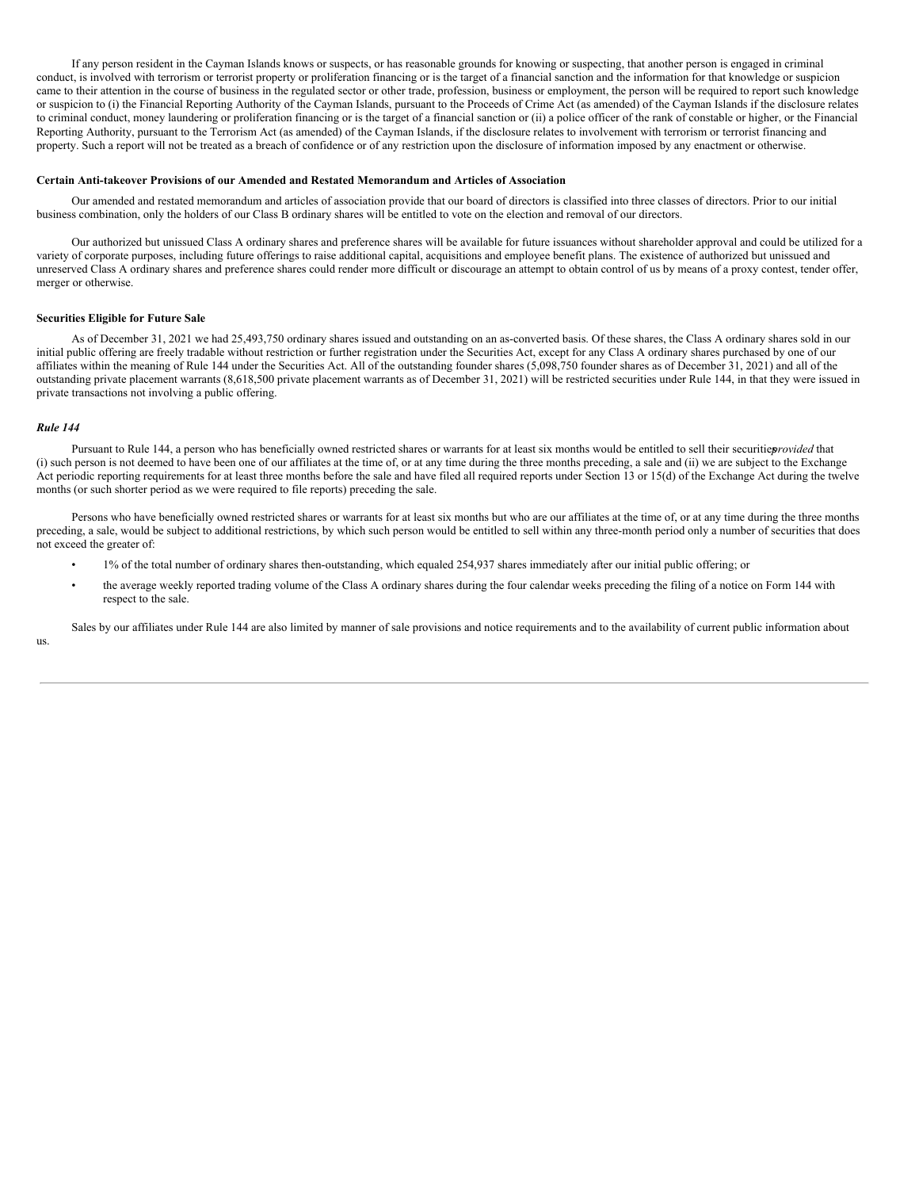If any person resident in the Cayman Islands knows or suspects, or has reasonable grounds for knowing or suspecting, that another person is engaged in criminal conduct, is involved with terrorism or terrorist property or proliferation financing or is the target of a financial sanction and the information for that knowledge or suspicion came to their attention in the course of business in the regulated sector or other trade, profession, business or employment, the person will be required to report such knowledge or suspicion to (i) the Financial Reporting Authority of the Cayman Islands, pursuant to the Proceeds of Crime Act (as amended) of the Cayman Islands if the disclosure relates to criminal conduct, money laundering or proliferation financing or is the target of a financial sanction or (ii) a police officer of the rank of constable or higher, or the Financial Reporting Authority, pursuant to the Terrorism Act (as amended) of the Cayman Islands, if the disclosure relates to involvement with terrorism or terrorist financing and property. Such a report will not be treated as a breach of confidence or of any restriction upon the disclosure of information imposed by any enactment or otherwise.

#### **Certain Anti-takeover Provisions of our Amended and Restated Memorandum and Articles of Association**

Our amended and restated memorandum and articles of association provide that our board of directors is classified into three classes of directors. Prior to our initial business combination, only the holders of our Class B ordinary shares will be entitled to vote on the election and removal of our directors.

Our authorized but unissued Class A ordinary shares and preference shares will be available for future issuances without shareholder approval and could be utilized for a variety of corporate purposes, including future offerings to raise additional capital, acquisitions and employee benefit plans. The existence of authorized but unissued and unreserved Class A ordinary shares and preference shares could render more difficult or discourage an attempt to obtain control of us by means of a proxy contest, tender offer, merger or otherwise.

#### **Securities Eligible for Future Sale**

As of December 31, 2021 we had 25,493,750 ordinary shares issued and outstanding on an as-converted basis. Of these shares, the Class A ordinary shares sold in our initial public offering are freely tradable without restriction or further registration under the Securities Act, except for any Class A ordinary shares purchased by one of our affiliates within the meaning of Rule 144 under the Securities Act. All of the outstanding founder shares (5,098,750 founder shares as of December 31, 2021) and all of the outstanding private placement warrants (8,618,500 private placement warrants as of December 31, 2021) will be restricted securities under Rule 144, in that they were issued in private transactions not involving a public offering.

#### *Rule 144*

Pursuant to Rule 144, a person who has beneficially owned restricted shares or warrants for at least six months would be entitled to sell their securities *rovided* that (i) such person is not deemed to have been one of our affiliates at the time of, or at any time during the three months preceding, a sale and (ii) we are subject to the Exchange Act periodic reporting requirements for at least three months before the sale and have filed all required reports under Section 13 or 15(d) of the Exchange Act during the twelve months (or such shorter period as we were required to file reports) preceding the sale.

Persons who have beneficially owned restricted shares or warrants for at least six months but who are our affiliates at the time of, or at any time during the three months preceding, a sale, would be subject to additional restrictions, by which such person would be entitled to sell within any three-month period only a number of securities that does not exceed the greater of:

- 1% of the total number of ordinary shares then-outstanding, which equaled 254,937 shares immediately after our initial public offering; or
- the average weekly reported trading volume of the Class A ordinary shares during the four calendar weeks preceding the filing of a notice on Form 144 with respect to the sale.

Sales by our affiliates under Rule 144 are also limited by manner of sale provisions and notice requirements and to the availability of current public information about

us.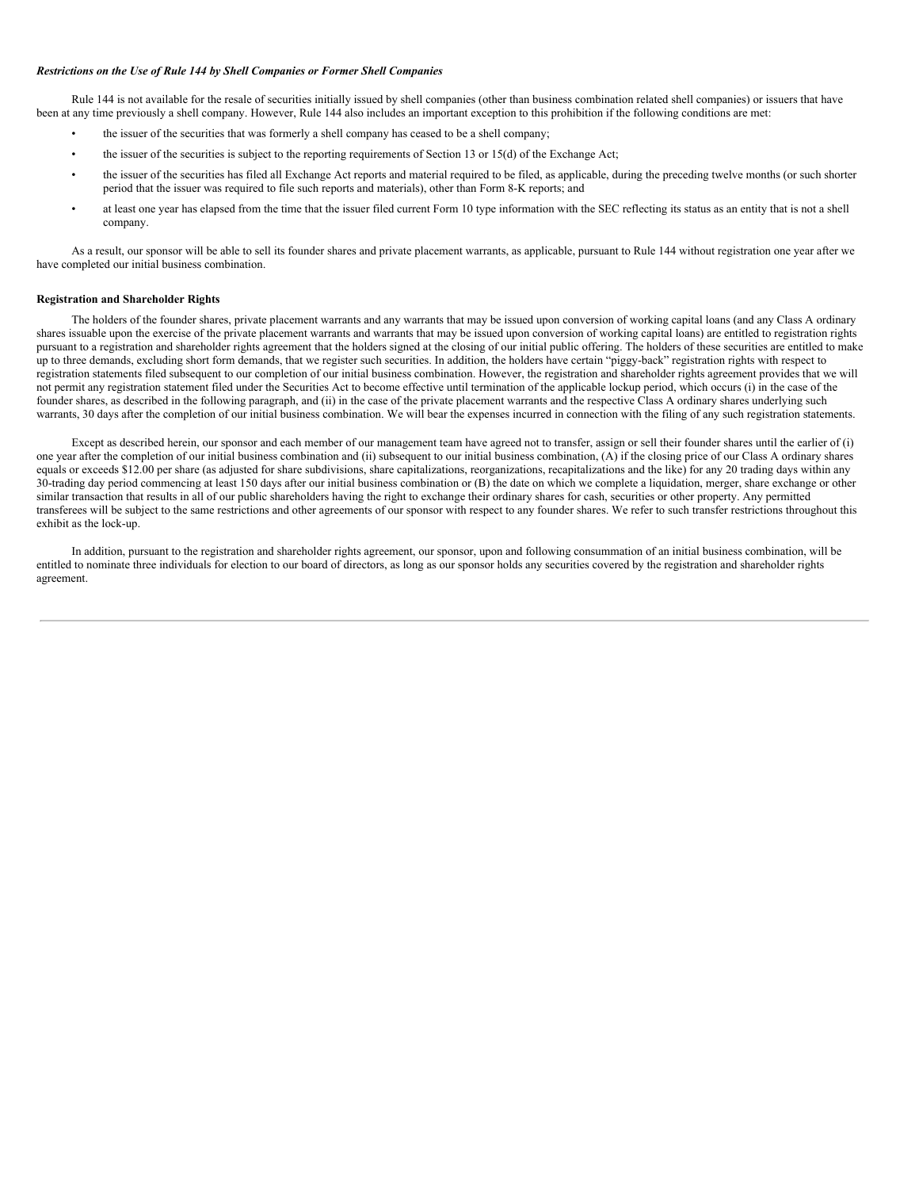## *Restrictions on the Use of Rule 144 by Shell Companies or Former Shell Companies*

Rule 144 is not available for the resale of securities initially issued by shell companies (other than business combination related shell companies) or issuers that have been at any time previously a shell company. However, Rule 144 also includes an important exception to this prohibition if the following conditions are met:

- the issuer of the securities that was formerly a shell company has ceased to be a shell company;
- the issuer of the securities is subject to the reporting requirements of Section 13 or 15(d) of the Exchange Act;
- the issuer of the securities has filed all Exchange Act reports and material required to be filed, as applicable, during the preceding twelve months (or such shorter period that the issuer was required to file such reports and materials), other than Form 8-K reports; and
- at least one year has elapsed from the time that the issuer filed current Form 10 type information with the SEC reflecting its status as an entity that is not a shell company.

As a result, our sponsor will be able to sell its founder shares and private placement warrants, as applicable, pursuant to Rule 144 without registration one year after we have completed our initial business combination.

## **Registration and Shareholder Rights**

The holders of the founder shares, private placement warrants and any warrants that may be issued upon conversion of working capital loans (and any Class A ordinary shares issuable upon the exercise of the private placement warrants and warrants that may be issued upon conversion of working capital loans) are entitled to registration rights pursuant to a registration and shareholder rights agreement that the holders signed at the closing of our initial public offering. The holders of these securities are entitled to make up to three demands, excluding short form demands, that we register such securities. In addition, the holders have certain "piggy-back" registration rights with respect to registration statements filed subsequent to our completion of our initial business combination. However, the registration and shareholder rights agreement provides that we will not permit any registration statement filed under the Securities Act to become effective until termination of the applicable lockup period, which occurs (i) in the case of the founder shares, as described in the following paragraph, and (ii) in the case of the private placement warrants and the respective Class A ordinary shares underlying such warrants, 30 days after the completion of our initial business combination. We will bear the expenses incurred in connection with the filing of any such registration statements.

Except as described herein, our sponsor and each member of our management team have agreed not to transfer, assign or sell their founder shares until the earlier of (i) one year after the completion of our initial business combination and (ii) subsequent to our initial business combination, (A) if the closing price of our Class A ordinary shares equals or exceeds \$12.00 per share (as adjusted for share subdivisions, share capitalizations, recorganizations, recapitalizations and the like) for any 20 trading days within any 30-trading day period commencing at least 150 days after our initial business combination or (B) the date on which we complete a liquidation, merger, share exchange or other similar transaction that results in all of our public shareholders having the right to exchange their ordinary shares for cash, securities or other property. Any permitted transferees will be subject to the same restrictions and other agreements of our sponsor with respect to any founder shares. We refer to such transfer restrictions throughout this exhibit as the lock-up.

In addition, pursuant to the registration and shareholder rights agreement, our sponsor, upon and following consummation of an initial business combination, will be entitled to nominate three individuals for election to our board of directors, as long as our sponsor holds any securities covered by the registration and shareholder rights agreement.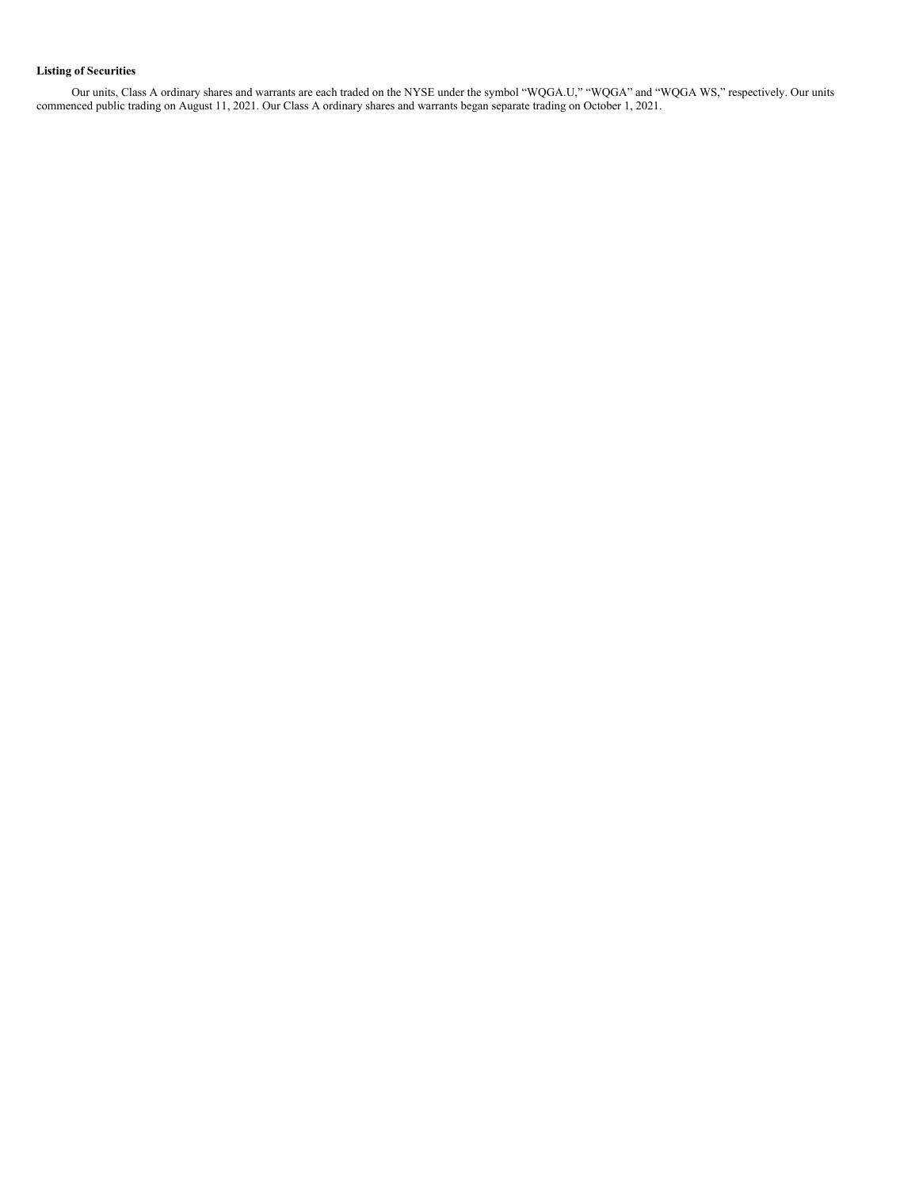## **Listing of Securities**

Our units, Class A ordinary shares and warrants are each traded on the NYSE under the symbol "WQGA.U," "WQGA" and "WQGA WS," respectively. Our units commenced public trading on August 11, 2021. Our Class A ordinary shares and warrants began separate trading on October 1, 2021.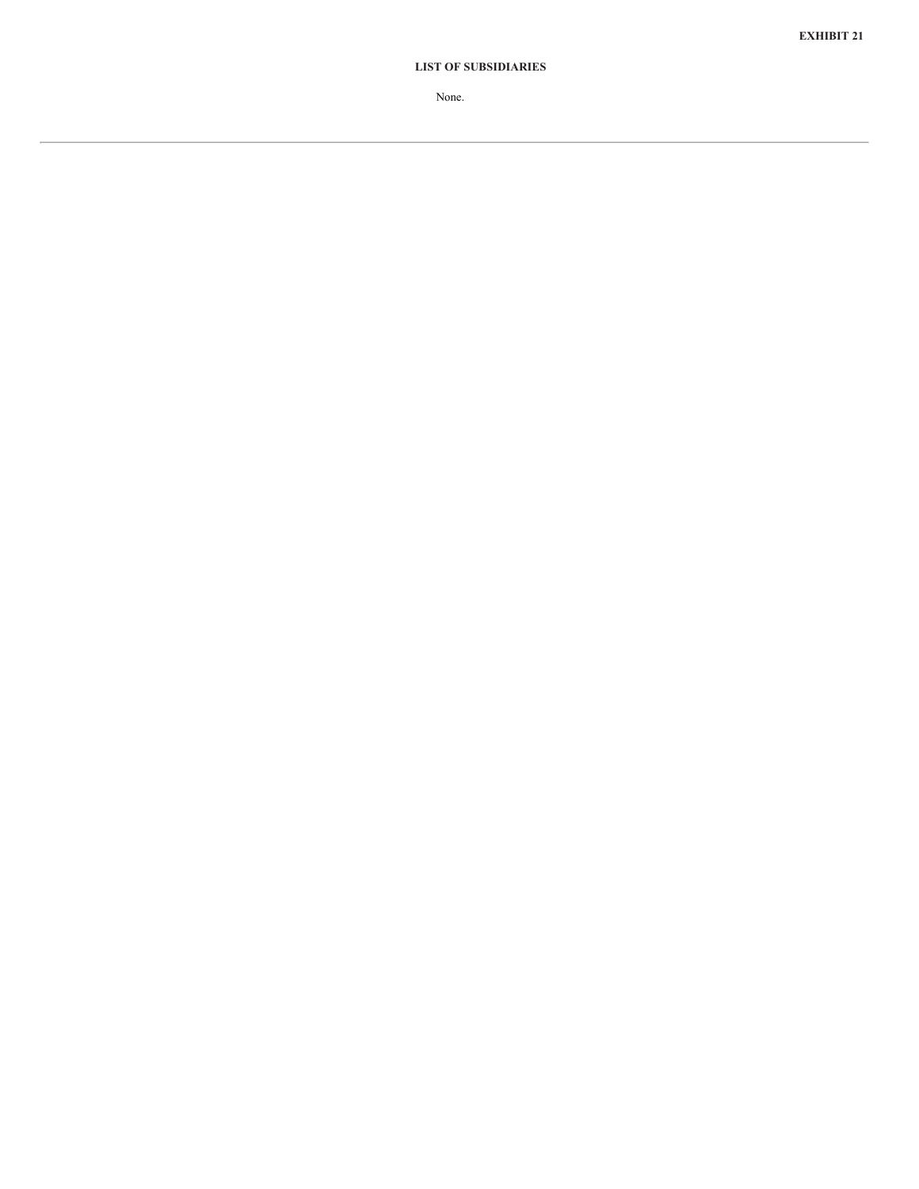# **LIST OF SUBSIDIARIES**

None.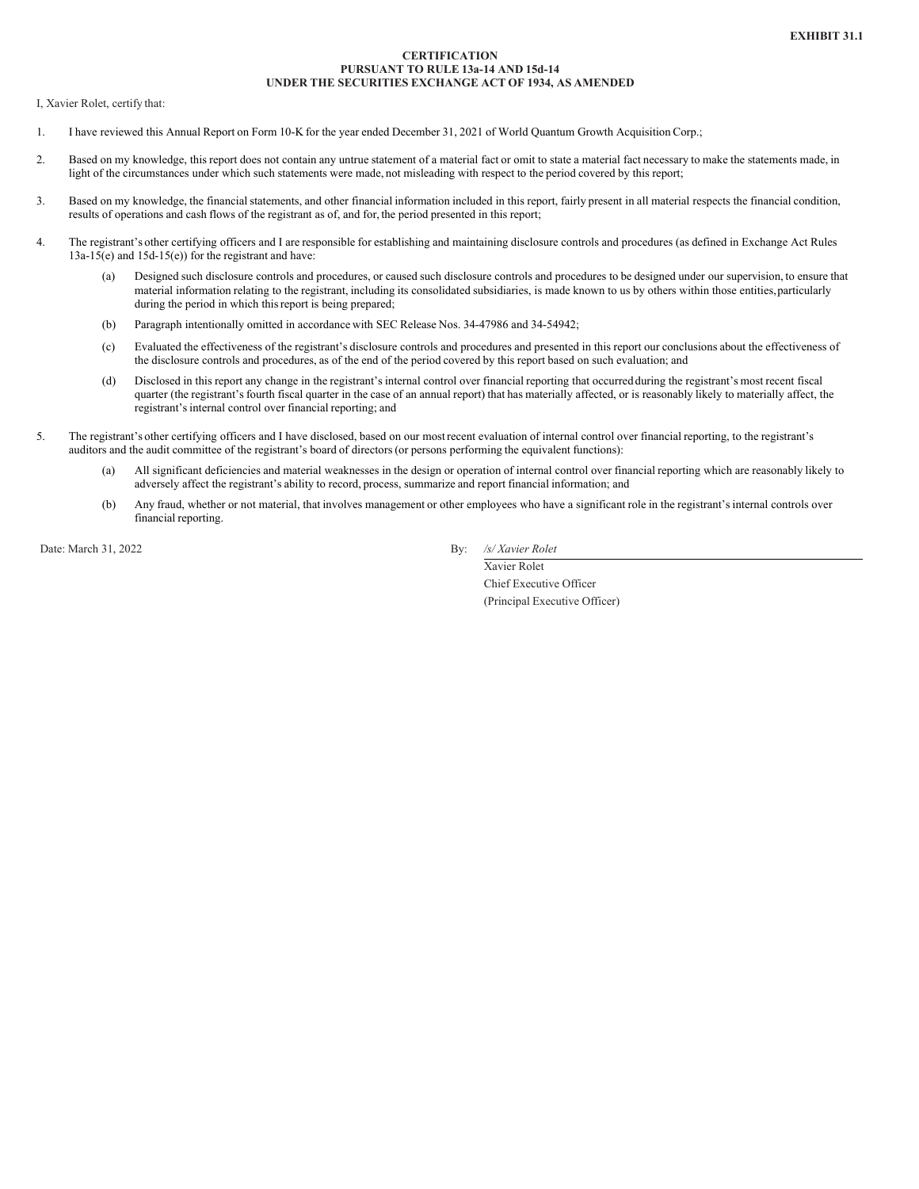## **CERTIFICATION PURSUANT TO RULE 13a-14 AND 15d-14 UNDER THE SECURITIES EXCHANGE ACT OF 1934, AS AMENDED**

I, Xavier Rolet, certify that:

- 1. I have reviewed this Annual Report on Form 10-K for the year ended December 31, 2021 of World Quantum Growth Acquisition Corp.;
- 2. Based on my knowledge, this report does not contain any untrue statement of a material fact or omit to state a material fact necessary to make the statements made, in light of the circumstances under which such statements were made, not misleading with respect to the period covered by this report;
- 3. Based on my knowledge, the financial statements, and other financial information included in this report, fairly present in all material respects the financial condition, results of operations and cash flows of the registrant as of, and for, the period presented in this report;
- 4. The registrant's other certifying officers and I are responsible for establishing and maintaining disclosure controls and procedures (as defined in Exchange Act Rules 13a-15(e) and 15d-15(e)) for the registrant and have:
	- (a) Designed such disclosure controls and procedures, or caused such disclosure controls and procedures to be designed under our supervision, to ensure that material information relating to the registrant, including its consolidated subsidiaries, is made known to us by others within those entities,particularly during the period in which this report is being prepared;
	- (b) Paragraph intentionally omitted in accordance with SEC Release Nos. 34-47986 and 34-54942;
	- (c) Evaluated the effectiveness of the registrant's disclosure controls and procedures and presented in this report our conclusions about the effectiveness of the disclosure controls and procedures, as of the end of the period covered by this report based on such evaluation; and
	- (d) Disclosed in this report any change in the registrant's internal control over financial reporting that occurred during the registrant's most recent fiscal quarter (the registrant's fourth fiscal quarter in the case of an annual report) that has materially affected, or is reasonably likely to materially affect, the registrant's internal control over financial reporting; and
- 5. The registrant's other certifying officers and I have disclosed, based on our mostrecent evaluation of internal control over financial reporting, to the registrant's auditors and the audit committee of the registrant's board of directors(or persons performing the equivalent functions):
	- All significant deficiencies and material weaknesses in the design or operation of internal control over financial reporting which are reasonably likely to adversely affect the registrant's ability to record, process, summarize and report financial information; and
	- (b) Any fraud, whether or not material, that involves management or other employees who have a significant role in the registrant's internal controls over financial reporting.

Date: March 31, 2022 By: */s/ Xavier Rolet*

Xavier Rolet Chief Executive Officer (Principal Executive Officer)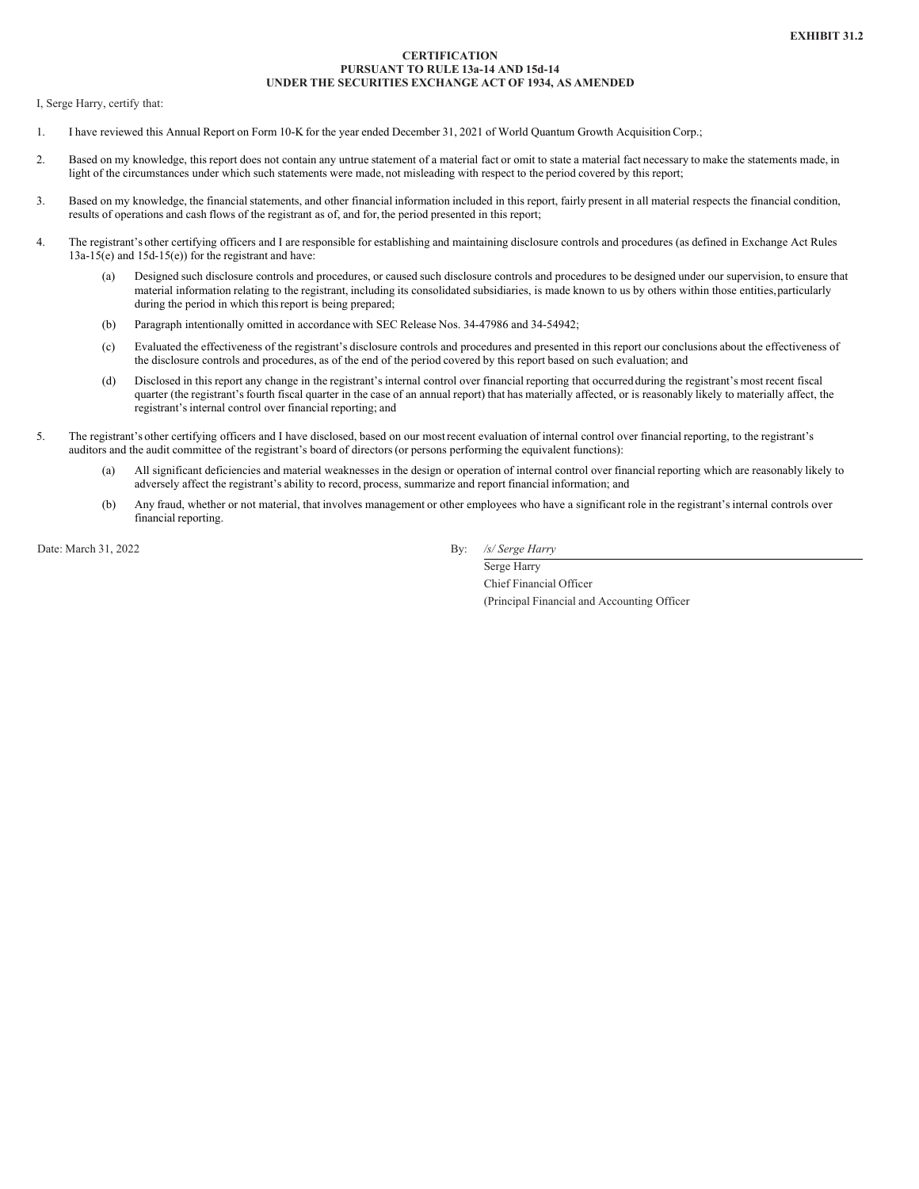## **CERTIFICATION PURSUANT TO RULE 13a-14 AND 15d-14 UNDER THE SECURITIES EXCHANGE ACT OF 1934, AS AMENDED**

I, Serge Harry, certify that:

- 1. I have reviewed this Annual Report on Form 10-K for the year ended December 31, 2021 of World Quantum Growth Acquisition Corp.;
- 2. Based on my knowledge, this report does not contain any untrue statement of a material fact or omit to state a material fact necessary to make the statements made, in light of the circumstances under which such statements were made, not misleading with respect to the period covered by this report;
- 3. Based on my knowledge, the financial statements, and other financial information included in this report, fairly present in all material respects the financial condition, results of operations and cash flows of the registrant as of, and for, the period presented in this report;
- 4. The registrant's other certifying officers and I are responsible for establishing and maintaining disclosure controls and procedures (as defined in Exchange Act Rules 13a-15(e) and 15d-15(e)) for the registrant and have:
	- (a) Designed such disclosure controls and procedures, or caused such disclosure controls and procedures to be designed under our supervision, to ensure that material information relating to the registrant, including its consolidated subsidiaries, is made known to us by others within those entities,particularly during the period in which this report is being prepared;
	- (b) Paragraph intentionally omitted in accordance with SEC Release Nos. 34-47986 and 34-54942;
	- (c) Evaluated the effectiveness of the registrant's disclosure controls and procedures and presented in this report our conclusions about the effectiveness of the disclosure controls and procedures, as of the end of the period covered by this report based on such evaluation; and
	- (d) Disclosed in this report any change in the registrant's internal control over financial reporting that occurred during the registrant's most recent fiscal quarter (the registrant's fourth fiscal quarter in the case of an annual report) that has materially affected, or is reasonably likely to materially affect, the registrant's internal control over financial reporting; and
- 5. The registrant's other certifying officers and I have disclosed, based on our mostrecent evaluation of internal control over financial reporting, to the registrant's auditors and the audit committee of the registrant's board of directors(or persons performing the equivalent functions):
	- All significant deficiencies and material weaknesses in the design or operation of internal control over financial reporting which are reasonably likely to adversely affect the registrant's ability to record, process, summarize and report financial information; and
	- (b) Any fraud, whether or not material, that involves management or other employees who have a significant role in the registrant's internal controls over financial reporting.

Date: March 31, 2022 By: */s/ Serge Harry*

Serge Harry Chief Financial Officer (Principal Financial and Accounting Officer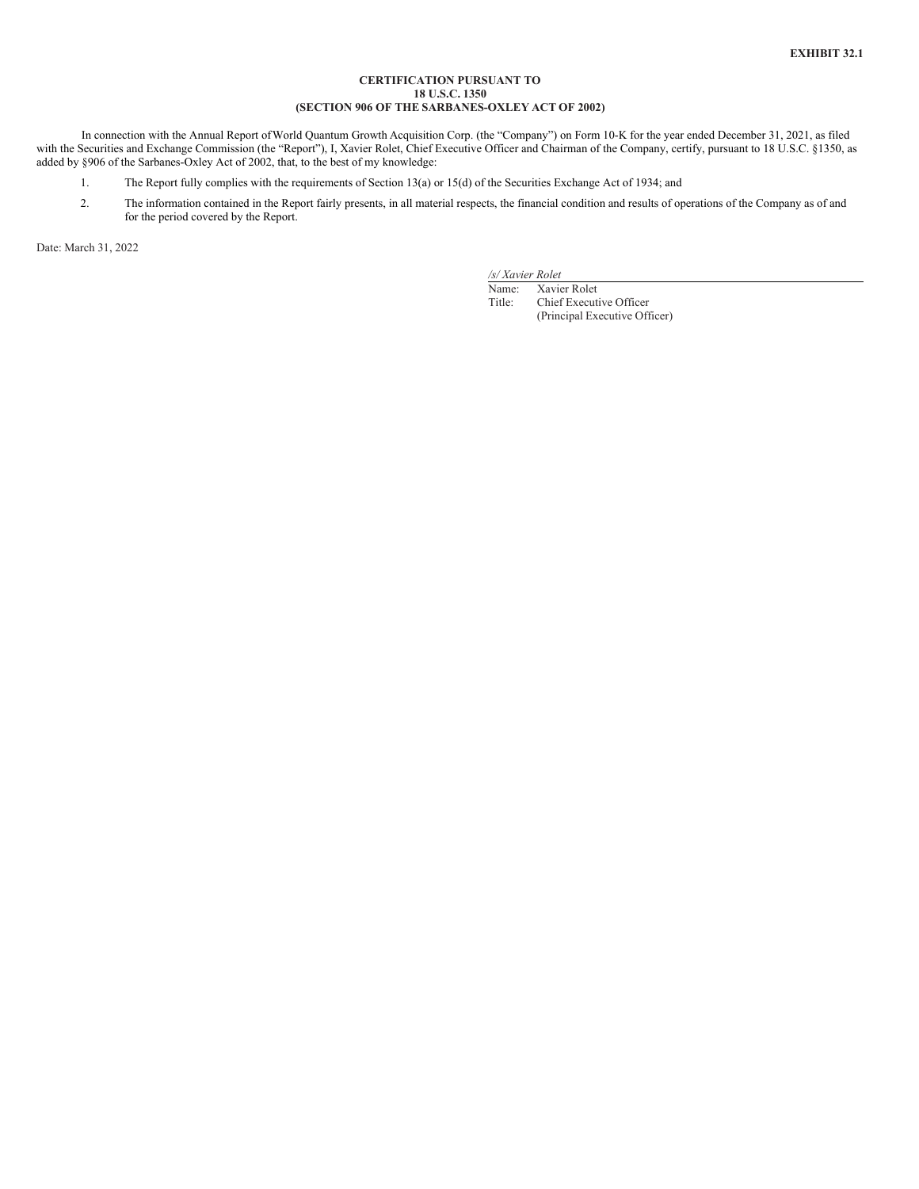## **CERTIFICATION PURSUANT TO 18 U.S.C. 1350 (SECTION 906 OF THE SARBANES-OXLEY ACT OF 2002)**

In connection with the Annual Report ofWorld Quantum Growth Acquisition Corp. (the "Company") on Form 10-K for the year ended December 31, 2021, as filed with the Securities and Exchange Commission (the "Report"), I, Xavier Rolet, Chief Executive Officer and Chairman of the Company, certify, pursuant to 18 U.S.C. §1350, as added by §906 of the Sarbanes-Oxley Act of 2002, that, to the best of my knowledge:

- 1. The Report fully complies with the requirements of Section 13(a) or 15(d) of the Securities Exchange Act of 1934; and
- 2. The information contained in the Report fairly presents, in all material respects, the financial condition and results of operations of the Company as of and for the period covered by the Report.

Date: March 31, 2022

*/s/ Xavier Rolet*

Name: Xavier Rolet<br>Title: Chief Execut Chief Executive Officer (Principal Executive Officer)